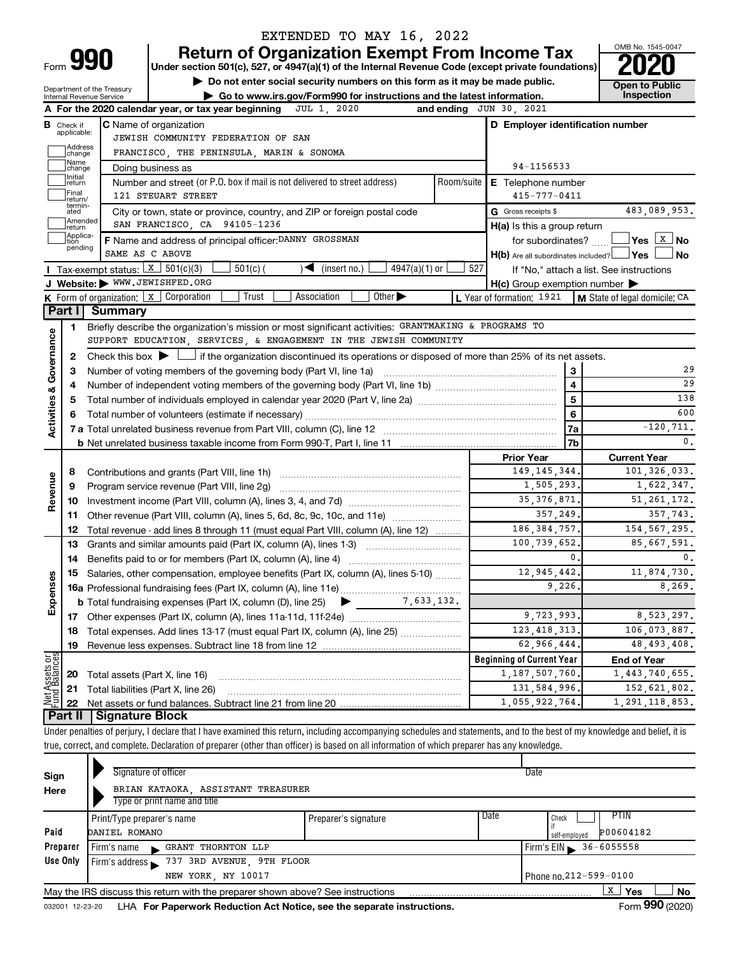Department of the Treasury

# EXTENDED TO MAY 16, 2022

**990** Return of Organization Exempt From Income Tax <br>
Under section 501(c), 527, or 4947(a)(1) of the Internal Revenue Code (except private foundations)<br> **PO20** 

**10 Do not enter social security numbers on this form as it may be made public. Concept 1** Open to Public

**| Go to www.irs.gov/Form990 for instructions and the latest information. Inspection**

OMB No. 1545-0047

|                                    |                                                      | $\blacktriangleright$ Go to www.irs.gov/Form990 for instructions and the latest information.<br>Internal Revenue Service                                                   |             |                                                                       | <b>Inspection</b>                        |  |  |  |  |
|------------------------------------|------------------------------------------------------|----------------------------------------------------------------------------------------------------------------------------------------------------------------------------|-------------|-----------------------------------------------------------------------|------------------------------------------|--|--|--|--|
|                                    |                                                      | A For the 2020 calendar year, or tax year beginning<br>JUL 1, 2020                                                                                                         |             | and ending JUN 30, 2021                                               |                                          |  |  |  |  |
|                                    | <b>B</b> Check if applicable:<br> Address<br> change | <b>C</b> Name of organization<br>JEWISH COMMUNITY FEDERATION OF SAN<br>FRANCISCO, THE PENINSULA, MARIN & SONOMA                                                            |             | D Employer identification number                                      |                                          |  |  |  |  |
|                                    | Name<br> change                                      | Doing business as                                                                                                                                                          | 94-1156533  |                                                                       |                                          |  |  |  |  |
|                                    | Initial<br>return                                    | Number and street (or P.O. box if mail is not delivered to street address)                                                                                                 | Room/suite  | <b>E</b> Telephone number                                             |                                          |  |  |  |  |
|                                    | Final<br>return/                                     | 121 STEUART STREET                                                                                                                                                         |             | $415 - 777 - 0411$                                                    |                                          |  |  |  |  |
|                                    | termin-<br>ated                                      | City or town, state or province, country, and ZIP or foreign postal code                                                                                                   |             | G Gross receipts \$                                                   | 483,089,953.                             |  |  |  |  |
|                                    | Amended<br>return                                    | SAN FRANCISCO, CA 94105-1236                                                                                                                                               |             | $H(a)$ is this a group return                                         |                                          |  |  |  |  |
|                                    | Applica-<br>tion<br>pending                          | F Name and address of principal officer: DANNY GROSSMAN<br>SAME AS C ABOVE                                                                                                 |             | for subordinates?<br>$H(b)$ Are all subordinates included? $\Box$ Yes | <u> </u> Yes <u>  x  </u> No<br>⊿ No     |  |  |  |  |
|                                    |                                                      | <b>I</b> Tax-exempt status: $X \ 501(c)(3)$<br>$501(c)$ (<br>$\sqrt{\bullet}$ (insert no.)<br>$4947(a)(1)$ or                                                              | 527         |                                                                       | If "No," attach a list. See instructions |  |  |  |  |
|                                    |                                                      | J Website: WWW.JEWISHFED.ORG                                                                                                                                               |             | $H(c)$ Group exemption number $\blacktriangleright$                   |                                          |  |  |  |  |
|                                    |                                                      | Association<br>Other $\blacktriangleright$<br><b>K</b> Form of organization: $\boxed{x}$ Corporation<br>Trust                                                              |             | L Year of formation: 1921                                             | <b>M</b> State of legal domicile: CA     |  |  |  |  |
|                                    | Part I                                               | <b>Summary</b>                                                                                                                                                             |             |                                                                       |                                          |  |  |  |  |
|                                    | 1                                                    | Briefly describe the organization's mission or most significant activities: GRANTMAKING & PROGRAMS TO                                                                      |             |                                                                       |                                          |  |  |  |  |
|                                    |                                                      | SUPPORT EDUCATION, SERVICES, & ENGAGEMENT IN THE JEWISH COMMUNITY                                                                                                          |             |                                                                       |                                          |  |  |  |  |
| <b>Activities &amp; Governance</b> | 2                                                    | Check this box $\blacktriangleright$ $\Box$ if the organization discontinued its operations or disposed of more than 25% of its net assets.                                |             |                                                                       |                                          |  |  |  |  |
|                                    | з                                                    | Number of voting members of the governing body (Part VI, line 1a)                                                                                                          |             | 3                                                                     | 29                                       |  |  |  |  |
|                                    | 4                                                    |                                                                                                                                                                            |             | $\overline{\mathbf{4}}$                                               | 29                                       |  |  |  |  |
|                                    | 5                                                    |                                                                                                                                                                            | 5           | 138                                                                   |                                          |  |  |  |  |
|                                    | 6                                                    |                                                                                                                                                                            | 6           | 600                                                                   |                                          |  |  |  |  |
|                                    |                                                      |                                                                                                                                                                            |             | 7a                                                                    | $-120, 711.$                             |  |  |  |  |
|                                    |                                                      |                                                                                                                                                                            |             | 7b                                                                    | $\mathbf{0}$ .                           |  |  |  |  |
|                                    |                                                      |                                                                                                                                                                            |             | <b>Prior Year</b>                                                     | <b>Current Year</b>                      |  |  |  |  |
|                                    | 8                                                    |                                                                                                                                                                            |             | 149, 145, 344.                                                        | 101,326,033.                             |  |  |  |  |
| Revenue                            | 9                                                    | Program service revenue (Part VIII, line 2g) [11] [11] matter contracts are program service revenue (Part VIII, line 2g)                                                   |             | 1,505,293.                                                            | 1,622,347.                               |  |  |  |  |
|                                    | 10                                                   |                                                                                                                                                                            |             | 35, 376, 871.                                                         | 51, 261, 172.                            |  |  |  |  |
|                                    | 11                                                   | Other revenue (Part VIII, column (A), lines 5, 6d, 8c, 9c, 10c, and 11e)                                                                                                   |             | 357,249.                                                              | 357,743.                                 |  |  |  |  |
|                                    | 12                                                   | Total revenue - add lines 8 through 11 (must equal Part VIII, column (A), line 12)                                                                                         |             | 186, 384, 757.                                                        | 154, 567, 295.                           |  |  |  |  |
|                                    | 13                                                   | Grants and similar amounts paid (Part IX, column (A), lines 1-3)                                                                                                           |             | 100,739,652.                                                          | 85,667,591.                              |  |  |  |  |
|                                    | 14                                                   | Benefits paid to or for members (Part IX, column (A), line 4)                                                                                                              |             | 0.                                                                    | 0.                                       |  |  |  |  |
|                                    | 15                                                   | Salaries, other compensation, employee benefits (Part IX, column (A), lines 5-10)                                                                                          | 12,945,442. | 11,874,730.<br>8,269.                                                 |                                          |  |  |  |  |
| Expenses                           |                                                      |                                                                                                                                                                            | 9,226.      |                                                                       |                                          |  |  |  |  |
|                                    |                                                      | <b>b</b> Total fundraising expenses (Part IX, column (D), line 25) $\blacktriangleright$                                                                                   | 7,633,132.  |                                                                       |                                          |  |  |  |  |
|                                    |                                                      |                                                                                                                                                                            |             | 9,723,993.                                                            | 8,523,297.                               |  |  |  |  |
|                                    |                                                      | 18 Total expenses. Add lines 13-17 (must equal Part IX, column (A), line 25)                                                                                               |             | 123, 418, 313.                                                        | 106,073,887.                             |  |  |  |  |
|                                    | 19                                                   |                                                                                                                                                                            |             | 62,966,444.                                                           | 48, 493, 408.                            |  |  |  |  |
| Net Assets or                      |                                                      |                                                                                                                                                                            |             | <b>Beginning of Current Year</b>                                      | <b>End of Year</b>                       |  |  |  |  |
|                                    | 20                                                   | Total assets (Part X, line 16)                                                                                                                                             |             | 1,187,507,760.                                                        | 1,443,740,655.                           |  |  |  |  |
|                                    | 21                                                   | Total liabilities (Part X, line 26)                                                                                                                                        |             | 131,584,996.                                                          | 152,621,802.                             |  |  |  |  |
|                                    | 22<br>Part II                                        | Signature Block                                                                                                                                                            |             | 1,055,922,764.                                                        | 1, 291, 118, 853.                        |  |  |  |  |
|                                    |                                                      | Under penalties of perjury, I declare that I have examined this return, including accompanying schedules and statements, and to the best of my knowledge and belief, it is |             |                                                                       |                                          |  |  |  |  |
|                                    |                                                      |                                                                                                                                                                            |             |                                                                       |                                          |  |  |  |  |

true, correct, and complete. Declaration of preparer (other than officer) is based on all information of which preparer has any knowledge.

| Sign     | Signature of officer                                                            |                      | Date                                                |  |  |  |  |  |
|----------|---------------------------------------------------------------------------------|----------------------|-----------------------------------------------------|--|--|--|--|--|
| Here     | BRIAN KATAOKA ASSISTANT TREASURER<br>Type or print name and title               |                      |                                                     |  |  |  |  |  |
| Paid     | Print/Type preparer's name<br>DANIEL ROMANO                                     | Preparer's signature | Date<br>PTIN<br>Check<br>P00604182<br>self-emploved |  |  |  |  |  |
| Preparer | GRANT THORNTON LLP<br>Firm's name<br>$\mathbf{r}$                               |                      | $Firm's EIN > 36-6055558$                           |  |  |  |  |  |
| Use Only | 737 3RD AVENUE, 9TH FLOOR<br>Firm's address                                     |                      |                                                     |  |  |  |  |  |
|          | Phone no.212-599-0100<br>NEW YORK, NY 10017                                     |                      |                                                     |  |  |  |  |  |
|          | May the IRS discuss this return with the preparer shown above? See instructions |                      | x<br>No<br>Yes                                      |  |  |  |  |  |
|          |                                                                                 |                      | $0.00 \div 0.00$                                    |  |  |  |  |  |

032001 12-23-20 LHA **For Paperwork Reduction Act Notice, see the separate instructions.** Form 990 (2020)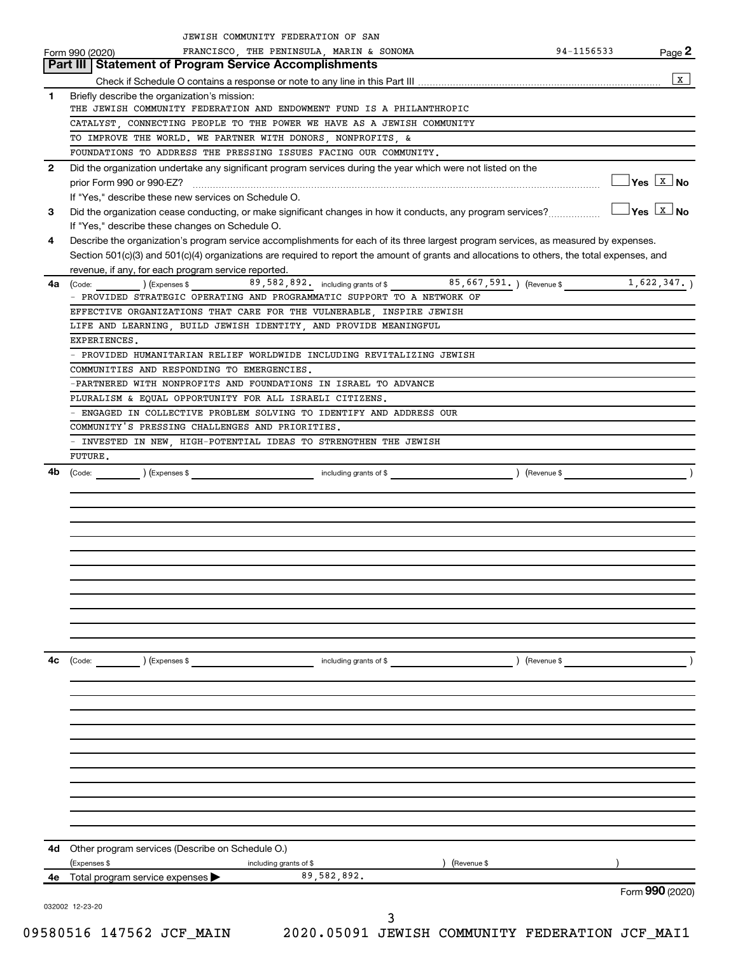|                | JEWISH COMMUNITY FEDERATION OF SAN                                                                                                           |               |                                    |              |
|----------------|----------------------------------------------------------------------------------------------------------------------------------------------|---------------|------------------------------------|--------------|
|                | FRANCISCO, THE PENINSULA, MARIN & SONOMA<br>Form 990 (2020)                                                                                  |               | 94-1156533                         | Page 2       |
|                | Part III   Statement of Program Service Accomplishments                                                                                      |               |                                    |              |
|                |                                                                                                                                              |               |                                    | $\mathbf{x}$ |
| 1              | Briefly describe the organization's mission:                                                                                                 |               |                                    |              |
|                | THE JEWISH COMMUNITY FEDERATION AND ENDOWMENT FUND IS A PHILANTHROPIC                                                                        |               |                                    |              |
|                | CATALYST, CONNECTING PEOPLE TO THE POWER WE HAVE AS A JEWISH COMMUNITY                                                                       |               |                                    |              |
|                | TO IMPROVE THE WORLD. WE PARTNER WITH DONORS, NONPROFITS, &                                                                                  |               |                                    |              |
|                | FOUNDATIONS TO ADDRESS THE PRESSING ISSUES FACING OUR COMMUNITY.                                                                             |               |                                    |              |
| $\overline{2}$ | Did the organization undertake any significant program services during the year which were not listed on the                                 |               |                                    |              |
|                |                                                                                                                                              |               | $\Box$ Yes $\boxed{\text{x}}$ No   |              |
|                | If "Yes," describe these new services on Schedule O.                                                                                         |               |                                    |              |
| 3              | Did the organization cease conducting, or make significant changes in how it conducts, any program services?                                 |               | $\Box$ Yes $\boxed{\texttt{x}}$ No |              |
|                | If "Yes," describe these changes on Schedule O.                                                                                              |               |                                    |              |
| 4              | Describe the organization's program service accomplishments for each of its three largest program services, as measured by expenses.         |               |                                    |              |
|                | Section 501(c)(3) and 501(c)(4) organizations are required to report the amount of grants and allocations to others, the total expenses, and |               |                                    |              |
|                | revenue, if any, for each program service reported.                                                                                          |               |                                    |              |
| 4a             | (Code: ) (Expenses \$89,582,892. including grants of \$85,667,591.) (Revenue \$1,622,347.)                                                   |               |                                    |              |
|                | - PROVIDED STRATEGIC OPERATING AND PROGRAMMATIC SUPPORT TO A NETWORK OF                                                                      |               |                                    |              |
|                | EFFECTIVE ORGANIZATIONS THAT CARE FOR THE VULNERABLE, INSPIRE JEWISH                                                                         |               |                                    |              |
|                | LIFE AND LEARNING BUILD JEWISH IDENTITY AND PROVIDE MEANINGFUL                                                                               |               |                                    |              |
|                | EXPERIENCES.                                                                                                                                 |               |                                    |              |
|                | - PROVIDED HUMANITARIAN RELIEF WORLDWIDE INCLUDING REVITALIZING JEWISH                                                                       |               |                                    |              |
|                | COMMUNITIES AND RESPONDING TO EMERGENCIES.                                                                                                   |               |                                    |              |
|                | -PARTNERED WITH NONPROFITS AND FOUNDATIONS IN ISRAEL TO ADVANCE                                                                              |               |                                    |              |
|                | PLURALISM & EQUAL OPPORTUNITY FOR ALL ISRAELI CITIZENS.                                                                                      |               |                                    |              |
|                | ENGAGED IN COLLECTIVE PROBLEM SOLVING TO IDENTIFY AND ADDRESS OUR                                                                            |               |                                    |              |
|                | COMMUNITY'S PRESSING CHALLENGES AND PRIORITIES.                                                                                              |               |                                    |              |
|                | - INVESTED IN NEW, HIGH-POTENTIAL IDEAS TO STRENGTHEN THE JEWISH                                                                             |               |                                    |              |
|                | FUTURE.                                                                                                                                      |               |                                    |              |
| 4b             | (Code: <u>same and Code:</u> expenses \$                                                                                                     |               |                                    |              |
|                |                                                                                                                                              |               |                                    |              |
|                |                                                                                                                                              |               |                                    |              |
|                |                                                                                                                                              |               |                                    |              |
|                |                                                                                                                                              |               |                                    |              |
|                |                                                                                                                                              |               |                                    |              |
|                |                                                                                                                                              |               |                                    |              |
|                |                                                                                                                                              |               |                                    |              |
|                |                                                                                                                                              |               |                                    |              |
|                |                                                                                                                                              |               |                                    |              |
|                |                                                                                                                                              |               |                                    |              |
|                |                                                                                                                                              |               |                                    |              |
|                |                                                                                                                                              |               |                                    |              |
| 4c             |                                                                                                                                              |               |                                    |              |
|                |                                                                                                                                              |               |                                    |              |
|                |                                                                                                                                              |               |                                    |              |
|                |                                                                                                                                              |               |                                    |              |
|                |                                                                                                                                              |               |                                    |              |
|                |                                                                                                                                              |               |                                    |              |
|                |                                                                                                                                              |               |                                    |              |
|                |                                                                                                                                              |               |                                    |              |
|                |                                                                                                                                              |               |                                    |              |
|                |                                                                                                                                              |               |                                    |              |
|                |                                                                                                                                              |               |                                    |              |
|                |                                                                                                                                              |               |                                    |              |
|                |                                                                                                                                              |               |                                    |              |
|                | 4d Other program services (Describe on Schedule O.)                                                                                          |               |                                    |              |
|                | (Expenses \$<br>including grants of \$<br>89,582,892.                                                                                        | ) (Revenue \$ |                                    |              |
| 4е             | Total program service expenses >                                                                                                             |               | Form 990 (2020)                    |              |
|                |                                                                                                                                              |               |                                    |              |
|                | 032002 12-23-20                                                                                                                              | 3             |                                    |              |
|                |                                                                                                                                              |               |                                    |              |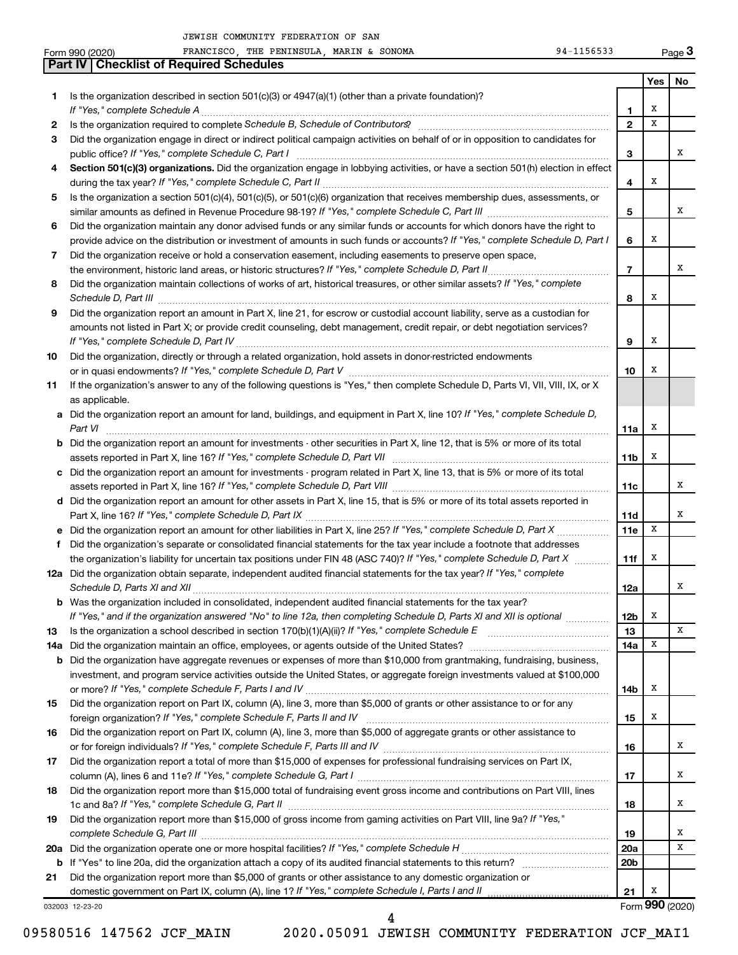|        | FRANCISCO, THE PENINSULA, MARIN & SONOMA<br>94-1156533<br>Form 990 (2020)                                                                                                                                                                                                                                                                                           |                   |        | Page 3          |
|--------|---------------------------------------------------------------------------------------------------------------------------------------------------------------------------------------------------------------------------------------------------------------------------------------------------------------------------------------------------------------------|-------------------|--------|-----------------|
|        | <b>Part IV   Checklist of Required Schedules</b>                                                                                                                                                                                                                                                                                                                    |                   |        |                 |
|        |                                                                                                                                                                                                                                                                                                                                                                     |                   | Yes    | No              |
| 1      | Is the organization described in section 501(c)(3) or 4947(a)(1) (other than a private foundation)?                                                                                                                                                                                                                                                                 |                   |        |                 |
|        |                                                                                                                                                                                                                                                                                                                                                                     | 1<br>$\mathbf{2}$ | х<br>X |                 |
| 2<br>3 |                                                                                                                                                                                                                                                                                                                                                                     |                   |        |                 |
|        | Did the organization engage in direct or indirect political campaign activities on behalf of or in opposition to candidates for                                                                                                                                                                                                                                     | 3                 |        | x               |
| 4      | Section 501(c)(3) organizations. Did the organization engage in lobbying activities, or have a section 501(h) election in effect                                                                                                                                                                                                                                    |                   |        |                 |
|        |                                                                                                                                                                                                                                                                                                                                                                     | 4                 | Х      |                 |
| 5      | Is the organization a section 501(c)(4), 501(c)(5), or 501(c)(6) organization that receives membership dues, assessments, or                                                                                                                                                                                                                                        |                   |        |                 |
|        |                                                                                                                                                                                                                                                                                                                                                                     | 5                 |        | x               |
| 6      | Did the organization maintain any donor advised funds or any similar funds or accounts for which donors have the right to                                                                                                                                                                                                                                           |                   |        |                 |
|        | provide advice on the distribution or investment of amounts in such funds or accounts? If "Yes," complete Schedule D, Part I                                                                                                                                                                                                                                        | 6                 | Х      |                 |
| 7      | Did the organization receive or hold a conservation easement, including easements to preserve open space,                                                                                                                                                                                                                                                           |                   |        |                 |
|        |                                                                                                                                                                                                                                                                                                                                                                     | $\overline{7}$    |        | x               |
| 8      | Did the organization maintain collections of works of art, historical treasures, or other similar assets? If "Yes," complete<br>Schedule D, Part III <b>Marting Community</b> Construction of the Construction of the Construction of the Construction of the Construction of the Construction of the Construction of the Construction of the Construction of the C | 8                 | х      |                 |
| 9      | Did the organization report an amount in Part X, line 21, for escrow or custodial account liability, serve as a custodian for                                                                                                                                                                                                                                       |                   |        |                 |
|        | amounts not listed in Part X; or provide credit counseling, debt management, credit repair, or debt negotiation services?                                                                                                                                                                                                                                           |                   |        |                 |
|        |                                                                                                                                                                                                                                                                                                                                                                     | 9                 | х      |                 |
| 10     | Did the organization, directly or through a related organization, hold assets in donor-restricted endowments                                                                                                                                                                                                                                                        | 10                | х      |                 |
| 11     | If the organization's answer to any of the following questions is "Yes," then complete Schedule D, Parts VI, VII, VIII, IX, or X                                                                                                                                                                                                                                    |                   |        |                 |
|        | as applicable.                                                                                                                                                                                                                                                                                                                                                      |                   |        |                 |
|        | a Did the organization report an amount for land, buildings, and equipment in Part X, line 10? If "Yes," complete Schedule D,<br>Part VI                                                                                                                                                                                                                            | 11a               | х      |                 |
|        | <b>b</b> Did the organization report an amount for investments - other securities in Part X, line 12, that is 5% or more of its total                                                                                                                                                                                                                               |                   |        |                 |
|        |                                                                                                                                                                                                                                                                                                                                                                     | 11b               | х      |                 |
|        | c Did the organization report an amount for investments - program related in Part X, line 13, that is 5% or more of its total                                                                                                                                                                                                                                       |                   |        |                 |
|        |                                                                                                                                                                                                                                                                                                                                                                     | 11c               |        | х               |
|        | d Did the organization report an amount for other assets in Part X, line 15, that is 5% or more of its total assets reported in                                                                                                                                                                                                                                     | 11d               |        | х               |
|        |                                                                                                                                                                                                                                                                                                                                                                     | 11e               | Х      |                 |
| f      | Did the organization's separate or consolidated financial statements for the tax year include a footnote that addresses                                                                                                                                                                                                                                             |                   |        |                 |
|        | the organization's liability for uncertain tax positions under FIN 48 (ASC 740)? If "Yes," complete Schedule D, Part X                                                                                                                                                                                                                                              | 11f               | х      |                 |
|        | 12a Did the organization obtain separate, independent audited financial statements for the tax year? If "Yes," complete                                                                                                                                                                                                                                             | 12a               |        | x               |
|        | <b>b</b> Was the organization included in consolidated, independent audited financial statements for the tax year?                                                                                                                                                                                                                                                  |                   |        |                 |
|        | If "Yes," and if the organization answered "No" to line 12a, then completing Schedule D, Parts XI and XII is optional                                                                                                                                                                                                                                               | 12b               | х      |                 |
| 13     |                                                                                                                                                                                                                                                                                                                                                                     | 13                |        | х               |
| 14a    |                                                                                                                                                                                                                                                                                                                                                                     | 14a               | х      |                 |
|        | <b>b</b> Did the organization have aggregate revenues or expenses of more than \$10,000 from grantmaking, fundraising, business,                                                                                                                                                                                                                                    |                   |        |                 |
|        | investment, and program service activities outside the United States, or aggregate foreign investments valued at \$100,000                                                                                                                                                                                                                                          |                   |        |                 |
|        |                                                                                                                                                                                                                                                                                                                                                                     | 14b               | х      |                 |
| 15     | Did the organization report on Part IX, column (A), line 3, more than \$5,000 of grants or other assistance to or for any                                                                                                                                                                                                                                           | 15                | х      |                 |
| 16     | Did the organization report on Part IX, column (A), line 3, more than \$5,000 of aggregate grants or other assistance to                                                                                                                                                                                                                                            |                   |        |                 |
|        |                                                                                                                                                                                                                                                                                                                                                                     | 16                |        | х               |
| 17     | Did the organization report a total of more than \$15,000 of expenses for professional fundraising services on Part IX,                                                                                                                                                                                                                                             |                   |        |                 |
|        |                                                                                                                                                                                                                                                                                                                                                                     | 17                |        | х               |
| 18     | Did the organization report more than \$15,000 total of fundraising event gross income and contributions on Part VIII, lines                                                                                                                                                                                                                                        | 18                |        | х               |
| 19     | Did the organization report more than \$15,000 of gross income from gaming activities on Part VIII, line 9a? If "Yes,"                                                                                                                                                                                                                                              |                   |        |                 |
|        |                                                                                                                                                                                                                                                                                                                                                                     | 19                |        | x               |
| 20a    |                                                                                                                                                                                                                                                                                                                                                                     | 20a               |        | х               |
| b      |                                                                                                                                                                                                                                                                                                                                                                     | 20 <sub>b</sub>   |        |                 |
| 21     | Did the organization report more than \$5,000 of grants or other assistance to any domestic organization or                                                                                                                                                                                                                                                         |                   |        |                 |
|        |                                                                                                                                                                                                                                                                                                                                                                     | 21                | х      |                 |
|        | 032003 12-23-20                                                                                                                                                                                                                                                                                                                                                     |                   |        | Form 990 (2020) |

09580516 147562 JCF\_MAIN 2020.05091 JEWISH COMMUNITY FEDERATION JCF\_MAI1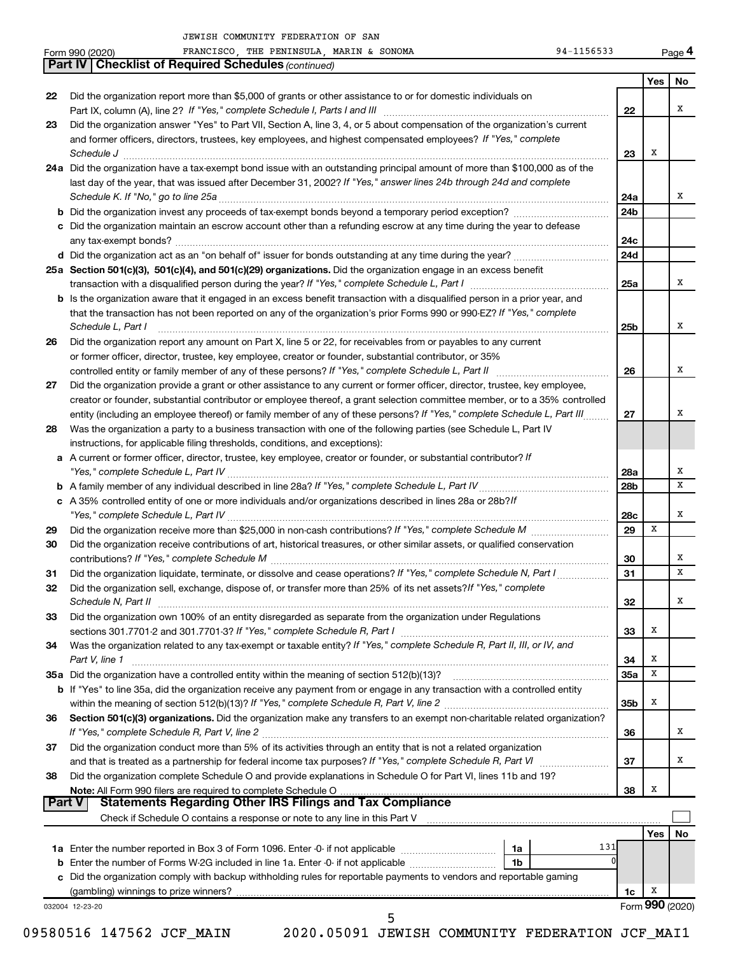Form 990 (2020) FRANCISCO,THE PENINSULA,MARIN & SONOMA 94-1156533 Page

FRANCISCO, THE PENINSULA, MARIN & SONOMA  $94-1156533$ 

**4**

|    | <b>Part IV   Checklist of Required Schedules (continued)</b>                                                                                                                                                          |                 |                 |     |
|----|-----------------------------------------------------------------------------------------------------------------------------------------------------------------------------------------------------------------------|-----------------|-----------------|-----|
|    |                                                                                                                                                                                                                       |                 | Yes             | No. |
| 22 | Did the organization report more than \$5,000 of grants or other assistance to or for domestic individuals on                                                                                                         |                 |                 |     |
|    |                                                                                                                                                                                                                       | 22              |                 | x   |
| 23 | Did the organization answer "Yes" to Part VII, Section A, line 3, 4, or 5 about compensation of the organization's current                                                                                            |                 |                 |     |
|    | and former officers, directors, trustees, key employees, and highest compensated employees? If "Yes," complete                                                                                                        |                 |                 |     |
|    | Schedule J <b>Execute Schedule J Execute Schedule J</b>                                                                                                                                                               | 23              | х               |     |
|    | 24a Did the organization have a tax-exempt bond issue with an outstanding principal amount of more than \$100,000 as of the                                                                                           |                 |                 |     |
|    | last day of the year, that was issued after December 31, 2002? If "Yes," answer lines 24b through 24d and complete                                                                                                    |                 |                 |     |
|    |                                                                                                                                                                                                                       | 24a             |                 | x   |
|    |                                                                                                                                                                                                                       | 24 <sub>b</sub> |                 |     |
|    | c Did the organization maintain an escrow account other than a refunding escrow at any time during the year to defease                                                                                                |                 |                 |     |
|    |                                                                                                                                                                                                                       | 24c             |                 |     |
|    |                                                                                                                                                                                                                       | 24d             |                 |     |
|    | 25a Section 501(c)(3), 501(c)(4), and 501(c)(29) organizations. Did the organization engage in an excess benefit                                                                                                      |                 |                 |     |
|    |                                                                                                                                                                                                                       | 25a             |                 | x   |
|    | <b>b</b> Is the organization aware that it engaged in an excess benefit transaction with a disqualified person in a prior year, and                                                                                   |                 |                 |     |
|    | that the transaction has not been reported on any of the organization's prior Forms 990 or 990-EZ? If "Yes," complete                                                                                                 |                 |                 |     |
|    | Schedule L, Part I                                                                                                                                                                                                    | 25b             |                 | x   |
| 26 | Did the organization report any amount on Part X, line 5 or 22, for receivables from or payables to any current                                                                                                       |                 |                 |     |
|    | or former officer, director, trustee, key employee, creator or founder, substantial contributor, or 35%                                                                                                               |                 |                 |     |
|    |                                                                                                                                                                                                                       | 26              |                 | x   |
| 27 | Did the organization provide a grant or other assistance to any current or former officer, director, trustee, key employee,                                                                                           |                 |                 |     |
|    | creator or founder, substantial contributor or employee thereof, a grant selection committee member, or to a 35% controlled                                                                                           |                 |                 |     |
|    | entity (including an employee thereof) or family member of any of these persons? If "Yes," complete Schedule L, Part III                                                                                              | 27              |                 | x   |
| 28 | Was the organization a party to a business transaction with one of the following parties (see Schedule L, Part IV                                                                                                     |                 |                 |     |
|    | instructions, for applicable filing thresholds, conditions, and exceptions):                                                                                                                                          |                 |                 |     |
|    | a A current or former officer, director, trustee, key employee, creator or founder, or substantial contributor? If                                                                                                    |                 |                 |     |
|    |                                                                                                                                                                                                                       | 28a             |                 | x   |
|    |                                                                                                                                                                                                                       | 28b             |                 | x   |
|    | c A 35% controlled entity of one or more individuals and/or organizations described in lines 28a or 28b?/f                                                                                                            |                 |                 |     |
|    |                                                                                                                                                                                                                       | 28c             |                 | x   |
| 29 |                                                                                                                                                                                                                       | 29              | x               |     |
| 30 | Did the organization receive contributions of art, historical treasures, or other similar assets, or qualified conservation                                                                                           |                 |                 |     |
|    |                                                                                                                                                                                                                       | 30              |                 | x   |
| 31 | Did the organization liquidate, terminate, or dissolve and cease operations? If "Yes," complete Schedule N, Part I                                                                                                    | 31              |                 | x   |
| 32 | Did the organization sell, exchange, dispose of, or transfer more than 25% of its net assets? If "Yes," complete                                                                                                      |                 |                 |     |
|    | Schedule N, Part II                                                                                                                                                                                                   | 32              |                 |     |
| 33 | Did the organization own 100% of an entity disregarded as separate from the organization under Regulations                                                                                                            |                 |                 |     |
|    |                                                                                                                                                                                                                       | 33              | х               |     |
| 34 | Was the organization related to any tax-exempt or taxable entity? If "Yes," complete Schedule R, Part II, III, or IV, and                                                                                             |                 |                 |     |
|    | Part V, line 1                                                                                                                                                                                                        | 34              | х               |     |
|    | 35a Did the organization have a controlled entity within the meaning of section 512(b)(13)?                                                                                                                           | 35a             | х               |     |
|    | b If "Yes" to line 35a, did the organization receive any payment from or engage in any transaction with a controlled entity                                                                                           |                 |                 |     |
|    |                                                                                                                                                                                                                       | 35b             | х               |     |
| 36 | Section 501(c)(3) organizations. Did the organization make any transfers to an exempt non-charitable related organization?                                                                                            |                 |                 |     |
|    |                                                                                                                                                                                                                       | 36              |                 | x   |
| 37 | Did the organization conduct more than 5% of its activities through an entity that is not a related organization                                                                                                      |                 |                 |     |
|    |                                                                                                                                                                                                                       | 37              |                 | x   |
| 38 | Did the organization complete Schedule O and provide explanations in Schedule O for Part VI, lines 11b and 19?                                                                                                        |                 |                 |     |
|    | Note: All Form 990 filers are required to complete Schedule O<br>All Form 990 filers are required to complete Schedule O …………………………………………………………………………………<br>Statements Regarding Other IRS Filings and Tax Compliance | 38              | Х               |     |
|    | <b>Part V</b>                                                                                                                                                                                                         |                 |                 |     |
|    | Check if Schedule O contains a response or note to any line in this Part V [11] [12] Check if Schedule O contains a response or note to any line in this Part V                                                       |                 |                 |     |
|    |                                                                                                                                                                                                                       |                 | Yes             | No  |
|    | 131<br>1a                                                                                                                                                                                                             |                 |                 |     |
|    | 0<br>1b                                                                                                                                                                                                               |                 |                 |     |
|    | c Did the organization comply with backup withholding rules for reportable payments to vendors and reportable gaming                                                                                                  |                 |                 |     |
|    |                                                                                                                                                                                                                       | 1c              | х               |     |
|    | 032004 12-23-20                                                                                                                                                                                                       |                 | Form 990 (2020) |     |
|    | 5                                                                                                                                                                                                                     |                 |                 |     |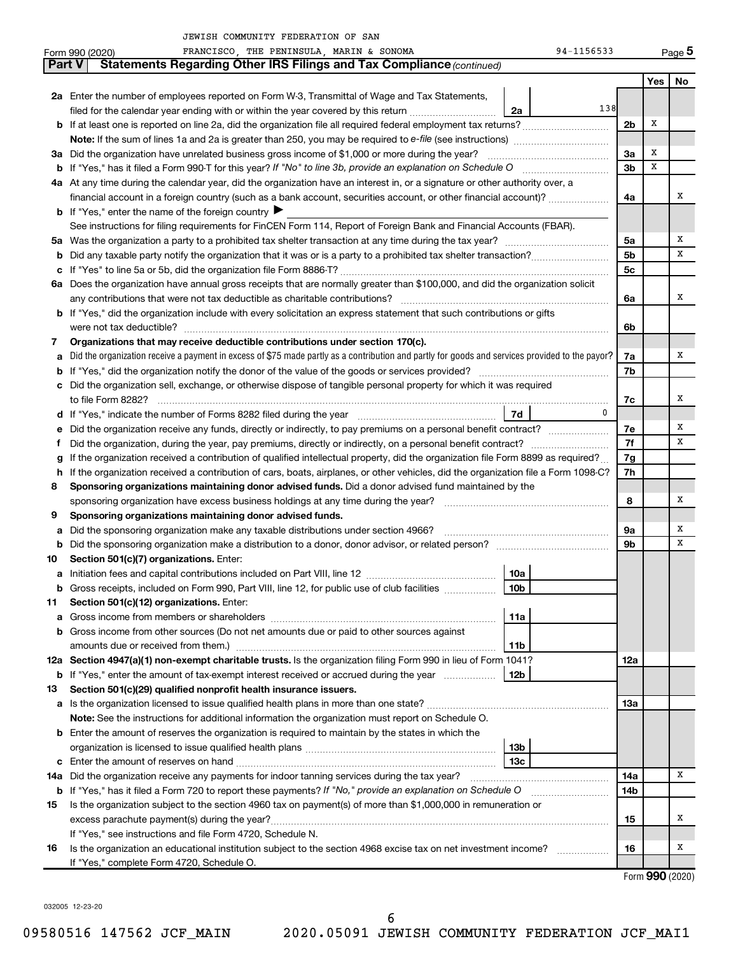|     | FRANCISCO, THE PENINSULA, MARIN & SONOMA<br>94-1156533<br>Form 990 (2020)                                                                       |                |     | Page 5 |  |  |  |  |  |
|-----|-------------------------------------------------------------------------------------------------------------------------------------------------|----------------|-----|--------|--|--|--|--|--|
|     | Statements Regarding Other IRS Filings and Tax Compliance (continued)<br>Part V                                                                 |                |     |        |  |  |  |  |  |
|     |                                                                                                                                                 |                | Yes | No     |  |  |  |  |  |
|     | 2a Enter the number of employees reported on Form W-3, Transmittal of Wage and Tax Statements,                                                  |                |     |        |  |  |  |  |  |
|     | 138<br>filed for the calendar year ending with or within the year covered by this return <i>[[[[[[[[[[[[[[]]]]</i> ]]<br>2a                     |                |     |        |  |  |  |  |  |
|     | <b>b</b> If at least one is reported on line 2a, did the organization file all required federal employment tax returns?<br>2 <sub>b</sub>       |                |     |        |  |  |  |  |  |
|     |                                                                                                                                                 |                |     |        |  |  |  |  |  |
|     | 3a Did the organization have unrelated business gross income of \$1,000 or more during the year?                                                |                |     |        |  |  |  |  |  |
|     |                                                                                                                                                 | 3 <sub>b</sub> | X   |        |  |  |  |  |  |
|     | 4a At any time during the calendar year, did the organization have an interest in, or a signature or other authority over, a                    |                |     |        |  |  |  |  |  |
|     | financial account in a foreign country (such as a bank account, securities account, or other financial account)?                                | 4a             |     | х      |  |  |  |  |  |
|     | <b>b</b> If "Yes," enter the name of the foreign country $\blacktriangleright$                                                                  |                |     |        |  |  |  |  |  |
|     | See instructions for filing requirements for FinCEN Form 114, Report of Foreign Bank and Financial Accounts (FBAR).                             |                |     |        |  |  |  |  |  |
| 5a  |                                                                                                                                                 | 5a             |     | х      |  |  |  |  |  |
| b   |                                                                                                                                                 | 5 <sub>b</sub> |     | X      |  |  |  |  |  |
| с   |                                                                                                                                                 | 5 <sub>c</sub> |     |        |  |  |  |  |  |
|     | 6a Does the organization have annual gross receipts that are normally greater than \$100,000, and did the organization solicit                  |                |     |        |  |  |  |  |  |
|     |                                                                                                                                                 | 6a             |     | х      |  |  |  |  |  |
|     | b If "Yes," did the organization include with every solicitation an express statement that such contributions or gifts                          |                |     |        |  |  |  |  |  |
|     | were not tax deductible?                                                                                                                        | 6b             |     |        |  |  |  |  |  |
| 7   | Organizations that may receive deductible contributions under section 170(c).                                                                   |                |     |        |  |  |  |  |  |
|     | Did the organization receive a payment in excess of \$75 made partly as a contribution and partly for goods and services provided to the payor? | 7a             |     | х      |  |  |  |  |  |
| b   |                                                                                                                                                 | 7b             |     |        |  |  |  |  |  |
|     | c Did the organization sell, exchange, or otherwise dispose of tangible personal property for which it was required                             |                |     |        |  |  |  |  |  |
|     |                                                                                                                                                 | 7c             |     | х      |  |  |  |  |  |
|     | $\mathbf{0}$<br>  7d                                                                                                                            |                |     |        |  |  |  |  |  |
| е   |                                                                                                                                                 | 7е             |     | х      |  |  |  |  |  |
| f.  | Did the organization, during the year, pay premiums, directly or indirectly, on a personal benefit contract?                                    | 7f<br>7g       |     | x      |  |  |  |  |  |
|     | If the organization received a contribution of qualified intellectual property, did the organization file Form 8899 as required?                |                |     |        |  |  |  |  |  |
|     | h If the organization received a contribution of cars, boats, airplanes, or other vehicles, did the organization file a Form 1098-C?            | 7h             |     |        |  |  |  |  |  |
| 8   | Sponsoring organizations maintaining donor advised funds. Did a donor advised fund maintained by the                                            |                |     |        |  |  |  |  |  |
|     |                                                                                                                                                 | 8              |     | х      |  |  |  |  |  |
| 9   | Sponsoring organizations maintaining donor advised funds.                                                                                       |                |     |        |  |  |  |  |  |
| а   | Did the sponsoring organization make any taxable distributions under section 4966?                                                              | 9a             |     | х      |  |  |  |  |  |
| b   |                                                                                                                                                 | 9 <sub>b</sub> |     | х      |  |  |  |  |  |
| 10  | Section 501(c)(7) organizations. Enter:                                                                                                         |                |     |        |  |  |  |  |  |
| a   | 10a<br>Gross receipts, included on Form 990, Part VIII, line 12, for public use of club facilities                                              |                |     |        |  |  |  |  |  |
| b   | 10b                                                                                                                                             |                |     |        |  |  |  |  |  |
| 11  | Section 501(c)(12) organizations. Enter:                                                                                                        |                |     |        |  |  |  |  |  |
| а   | 11a<br>Gross income from other sources (Do not net amounts due or paid to other sources against                                                 |                |     |        |  |  |  |  |  |
| b   | amounts due or received from them.)<br>11b                                                                                                      |                |     |        |  |  |  |  |  |
|     | 12a Section 4947(a)(1) non-exempt charitable trusts. Is the organization filing Form 990 in lieu of Form 1041?                                  | 12a            |     |        |  |  |  |  |  |
| b   | 12 <sub>b</sub><br>If "Yes," enter the amount of tax-exempt interest received or accrued during the year                                        |                |     |        |  |  |  |  |  |
| 13  | Section 501(c)(29) qualified nonprofit health insurance issuers.                                                                                |                |     |        |  |  |  |  |  |
|     |                                                                                                                                                 | 13a            |     |        |  |  |  |  |  |
|     | Note: See the instructions for additional information the organization must report on Schedule O.                                               |                |     |        |  |  |  |  |  |
|     | <b>b</b> Enter the amount of reserves the organization is required to maintain by the states in which the                                       |                |     |        |  |  |  |  |  |
|     | 13 <sub>b</sub>                                                                                                                                 |                |     |        |  |  |  |  |  |
| с   | 13 <sub>c</sub>                                                                                                                                 |                |     |        |  |  |  |  |  |
| 14a | Did the organization receive any payments for indoor tanning services during the tax year?                                                      | 14a            |     | Х      |  |  |  |  |  |
|     | <b>b</b> If "Yes," has it filed a Form 720 to report these payments? If "No," provide an explanation on Schedule O                              | 14b            |     |        |  |  |  |  |  |
| 15  | Is the organization subject to the section 4960 tax on payment(s) of more than \$1,000,000 in remuneration or                                   |                |     |        |  |  |  |  |  |
|     |                                                                                                                                                 | 15             |     | х      |  |  |  |  |  |
|     | If "Yes," see instructions and file Form 4720, Schedule N.                                                                                      |                |     |        |  |  |  |  |  |
| 16  | Is the organization an educational institution subject to the section 4968 excise tax on net investment income?                                 | 16             |     | х      |  |  |  |  |  |
|     | If "Yes," complete Form 4720, Schedule O.                                                                                                       |                |     |        |  |  |  |  |  |

Form (2020) **990**

032005 12-23-20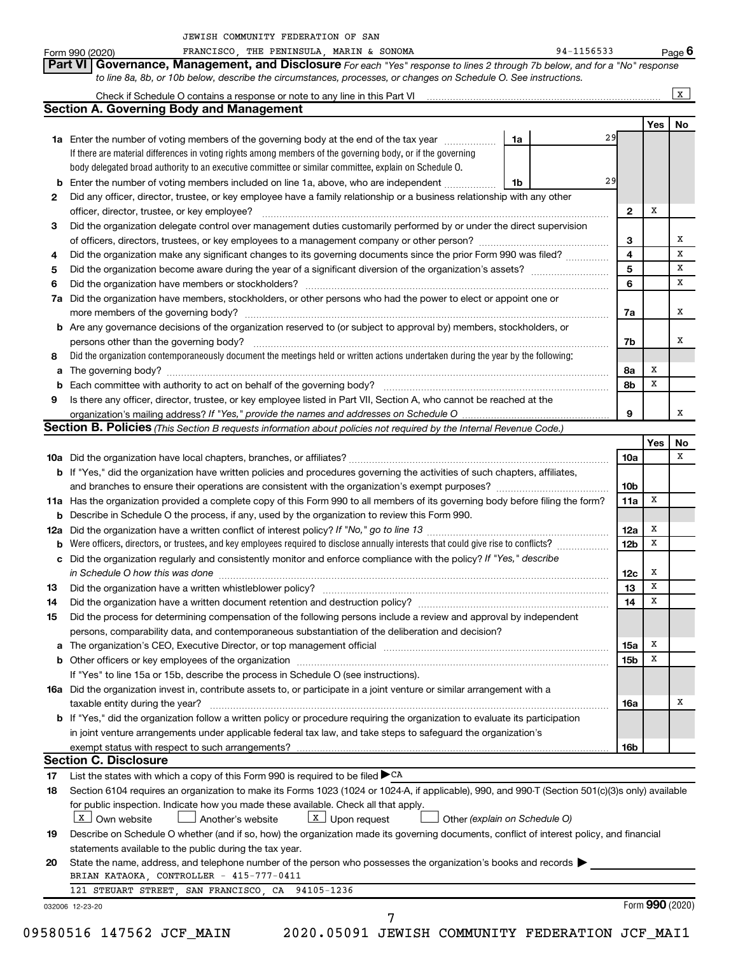|     | to line 8a, 8b, or 10b below, describe the circumstances, processes, or changes on Schedule O. See instructions.                                                                                                              |                         |        |              |
|-----|-------------------------------------------------------------------------------------------------------------------------------------------------------------------------------------------------------------------------------|-------------------------|--------|--------------|
|     |                                                                                                                                                                                                                               |                         |        | $\mathbf{x}$ |
|     | <b>Section A. Governing Body and Management</b>                                                                                                                                                                               |                         |        |              |
|     |                                                                                                                                                                                                                               |                         | Yes    | No           |
|     | 29<br>1a<br><b>1a</b> Enter the number of voting members of the governing body at the end of the tax year <i>manumum</i>                                                                                                      |                         |        |              |
|     | If there are material differences in voting rights among members of the governing body, or if the governing<br>body delegated broad authority to an executive committee or similar committee, explain on Schedule O.          |                         |        |              |
|     | 29<br><b>b</b> Enter the number of voting members included on line 1a, above, who are independent<br>1b                                                                                                                       |                         |        |              |
| 2   | Did any officer, director, trustee, or key employee have a family relationship or a business relationship with any other                                                                                                      |                         |        |              |
|     |                                                                                                                                                                                                                               | $\mathbf{2}$            | x      |              |
| 3   | Did the organization delegate control over management duties customarily performed by or under the direct supervision                                                                                                         |                         |        |              |
|     | of officers, directors, trustees, or key employees to a management company or other person?                                                                                                                                   | 3                       |        |              |
| 4   | Did the organization make any significant changes to its governing documents since the prior Form 990 was filed?                                                                                                              | $\overline{\mathbf{4}}$ |        |              |
| 5   |                                                                                                                                                                                                                               | $\overline{5}$          |        |              |
| 6   |                                                                                                                                                                                                                               | 6                       |        |              |
| 7a  | Did the organization have members, stockholders, or other persons who had the power to elect or appoint one or                                                                                                                |                         |        |              |
|     |                                                                                                                                                                                                                               | 7a                      |        |              |
|     | <b>b</b> Are any governance decisions of the organization reserved to (or subject to approval by) members, stockholders, or                                                                                                   |                         |        |              |
|     | persons other than the governing body?                                                                                                                                                                                        | 7b                      |        |              |
| 8   | Did the organization contemporaneously document the meetings held or written actions undertaken during the year by the following:                                                                                             |                         |        |              |
| а   |                                                                                                                                                                                                                               | 8а                      | х      |              |
|     |                                                                                                                                                                                                                               | 8b                      | x      |              |
| 9   | Is there any officer, director, trustee, or key employee listed in Part VII, Section A, who cannot be reached at the                                                                                                          |                         |        |              |
|     | organization's mailing address? If "Yes," provide the names and addresses on Schedule O                                                                                                                                       | 9                       |        |              |
|     | Section B. Policies (This Section B requests information about policies not required by the Internal Revenue Code.)                                                                                                           |                         |        |              |
|     |                                                                                                                                                                                                                               |                         | Yes    | No           |
|     |                                                                                                                                                                                                                               | 10a                     |        |              |
|     | b If "Yes," did the organization have written policies and procedures governing the activities of such chapters, affiliates,                                                                                                  |                         |        |              |
|     |                                                                                                                                                                                                                               | 10 <sub>b</sub>         |        |              |
|     | 11a Has the organization provided a complete copy of this Form 990 to all members of its governing body before filing the form?                                                                                               | 11a                     | x      |              |
|     | <b>b</b> Describe in Schedule O the process, if any, used by the organization to review this Form 990.                                                                                                                        |                         |        |              |
| 12a |                                                                                                                                                                                                                               | 12a                     | x      |              |
| b   | Were officers, directors, or trustees, and key employees required to disclose annually interests that could give rise to conflicts?                                                                                           | 12 <sub>b</sub>         | x      |              |
|     | c Did the organization regularly and consistently monitor and enforce compliance with the policy? If "Yes," describe                                                                                                          |                         |        |              |
|     | in Schedule O how this was done                                                                                                                                                                                               | 12c                     | x<br>X |              |
| 13  |                                                                                                                                                                                                                               | 13<br>14                | X      |              |
| 14  | Did the process for determining compensation of the following persons include a review and approval by independent                                                                                                            |                         |        |              |
| 15  | persons, comparability data, and contemporaneous substantiation of the deliberation and decision?                                                                                                                             |                         |        |              |
|     | The organization's CEO, Executive Director, or top management official manufactured content content of the organization's CEO, Executive Director, or top management official manufactured content of the original content of | 15a                     | x      |              |
| а   |                                                                                                                                                                                                                               | 15 <sub>b</sub>         | х      |              |
|     | If "Yes" to line 15a or 15b, describe the process in Schedule O (see instructions).                                                                                                                                           |                         |        |              |
|     | 16a Did the organization invest in, contribute assets to, or participate in a joint venture or similar arrangement with a                                                                                                     |                         |        |              |
|     | taxable entity during the year?                                                                                                                                                                                               | 16a                     |        |              |
|     | <b>b</b> If "Yes," did the organization follow a written policy or procedure requiring the organization to evaluate its participation                                                                                         |                         |        |              |
|     | in joint venture arrangements under applicable federal tax law, and take steps to safeguard the organization's                                                                                                                |                         |        |              |
|     |                                                                                                                                                                                                                               | 16b                     |        |              |
|     | <b>Section C. Disclosure</b>                                                                                                                                                                                                  |                         |        |              |
| 17  | List the states with which a copy of this Form 990 is required to be filed CA                                                                                                                                                 |                         |        |              |
| 18  | Section 6104 requires an organization to make its Forms 1023 (1024 or 1024-A, if applicable), 990, and 990-T (Section 501(c)(3)s only) available                                                                              |                         |        |              |
|     | for public inspection. Indicate how you made these available. Check all that apply.                                                                                                                                           |                         |        |              |
|     | $\boxed{\texttt{X}}$ Own website<br>$\lfloor x \rfloor$ Upon request<br>Another's website<br>Other (explain on Schedule O)                                                                                                    |                         |        |              |
| 19  | Describe on Schedule O whether (and if so, how) the organization made its governing documents, conflict of interest policy, and financial                                                                                     |                         |        |              |
|     | statements available to the public during the tax year.                                                                                                                                                                       |                         |        |              |
|     | State the name, address, and telephone number of the person who possesses the organization's books and records                                                                                                                |                         |        |              |
| 20  |                                                                                                                                                                                                                               |                         |        |              |
|     | BRIAN KATAOKA, CONTROLLER - 415-777-0411                                                                                                                                                                                      |                         |        |              |
|     | 121 STEUART STREET, SAN FRANCISCO, CA 94105-1236                                                                                                                                                                              |                         |        |              |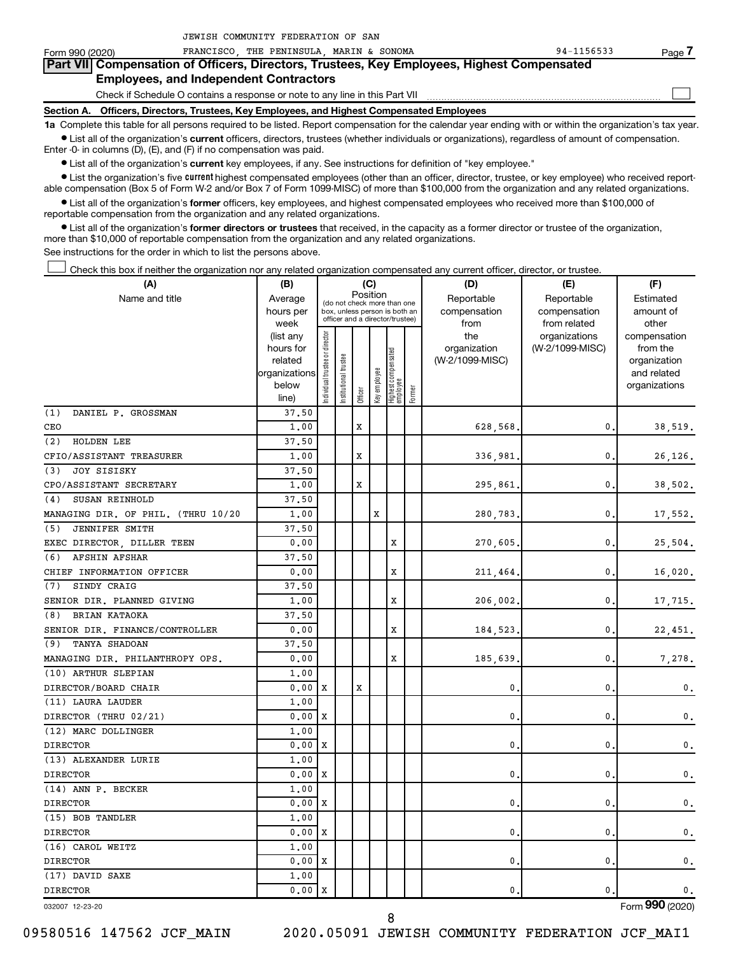| Form 990 (2020)                                                                                                                                            | THE PENINSULA MARIN & SONOMA<br>FRANCISCO | 94-1156533<br>Page 7 |  |  |  |  |  |  |  |  |
|------------------------------------------------------------------------------------------------------------------------------------------------------------|-------------------------------------------|----------------------|--|--|--|--|--|--|--|--|
| Part VII Compensation of Officers, Directors, Trustees, Key Employees, Highest Compensated                                                                 |                                           |                      |  |  |  |  |  |  |  |  |
| <b>Employees, and Independent Contractors</b>                                                                                                              |                                           |                      |  |  |  |  |  |  |  |  |
| Check if Schedule O contains a response or note to any line in this Part VII                                                                               |                                           |                      |  |  |  |  |  |  |  |  |
| Section A. Officers, Directors, Trustees, Key Employees, and Highest Compensated Employees                                                                 |                                           |                      |  |  |  |  |  |  |  |  |
| 1a Complete this table for all persons required to be listed. Report compensation for the calendar year ending with or within the organization's tax year. |                                           |                      |  |  |  |  |  |  |  |  |

 $\bullet$  List all of the organization's current officers, directors, trustees (whether individuals or organizations), regardless of amount of compensation. Enter -0- in columns (D), (E), and (F) if no compensation was paid.

**•** List all of the organization's current key employees, if any. See instructions for definition of "key employee."

JEWISH COMMUNITY FEDERATION OF SAN

• List the organization's five *current* highest compensated employees (other than an officer, director, trustee, or key employee) who received reportable compensation (Box 5 of Form W-2 and/or Box 7 of Form 1099-MISC) of more than \$100,000 from the organization and any related organizations.

 $\bullet$  List all of the organization's former officers, key employees, and highest compensated employees who received more than \$100,000 of reportable compensation from the organization and any related organizations.

**•** List all of the organization's former directors or trustees that received, in the capacity as a former director or trustee of the organization, more than \$10,000 of reportable compensation from the organization and any related organizations.

See instructions for the order in which to list the persons above.

Check this box if neither the organization nor any related organization compensated any current officer, director, or trustee.  $\Box$ 

| (A)                                | (B)                  |                               |                                                                  |             | (C)          |                                 |        | (D)                             | (E)             | (F)                      |
|------------------------------------|----------------------|-------------------------------|------------------------------------------------------------------|-------------|--------------|---------------------------------|--------|---------------------------------|-----------------|--------------------------|
| Name and title                     | Average              |                               | (do not check more than one                                      | Position    |              |                                 |        | Reportable                      | Reportable      | Estimated                |
|                                    | hours per            |                               | box, unless person is both an<br>officer and a director/trustee) |             |              |                                 |        | compensation                    | compensation    | amount of                |
|                                    | week                 |                               |                                                                  |             |              |                                 |        | from                            | from related    | other                    |
|                                    | (list any            |                               |                                                                  |             |              |                                 |        | the                             | organizations   | compensation             |
|                                    | hours for<br>related |                               |                                                                  |             |              |                                 |        | organization<br>(W-2/1099-MISC) | (W-2/1099-MISC) | from the<br>organization |
|                                    | organizations        |                               |                                                                  |             |              |                                 |        |                                 |                 | and related              |
|                                    | below                |                               |                                                                  |             |              |                                 |        |                                 |                 | organizations            |
|                                    | line)                | ndividual trustee or director | Institutional trustee                                            | Officer     | Key employee | Highest compensated<br>employee | Former |                                 |                 |                          |
| (1)<br>DANIEL P. GROSSMAN          | 37.50                |                               |                                                                  |             |              |                                 |        |                                 |                 |                          |
| CEO                                | 1,00                 |                               |                                                                  | X           |              |                                 |        | 628,568.                        | 0               | 38,519.                  |
| <b>HOLDEN LEE</b><br>(2)           | 37.50                |                               |                                                                  |             |              |                                 |        |                                 |                 |                          |
| CFIO/ASSISTANT TREASURER           | 1.00                 |                               |                                                                  | $\mathbf x$ |              |                                 |        | 336,981                         | 0               | 26,126.                  |
| <b>JOY SISISKY</b><br>(3)          | 37.50                |                               |                                                                  |             |              |                                 |        |                                 |                 |                          |
| CPO/ASSISTANT SECRETARY            | 1.00                 |                               |                                                                  | X           |              |                                 |        | 295,861                         | 0               | 38,502.                  |
| SUSAN REINHOLD<br>(4)              | 37.50                |                               |                                                                  |             |              |                                 |        |                                 |                 |                          |
| MANAGING DIR. OF PHIL. (THRU 10/20 | 1,00                 |                               |                                                                  |             | X            |                                 |        | 280,783,                        | 0               | 17,552.                  |
| JENNIFER SMITH<br>(5)              | 37.50                |                               |                                                                  |             |              |                                 |        |                                 |                 |                          |
| EXEC DIRECTOR, DILLER TEEN         | 0.00                 |                               |                                                                  |             |              | X                               |        | 270,605                         | 0               | 25,504.                  |
| <b>AFSHIN AFSHAR</b><br>(6)        | 37.50                |                               |                                                                  |             |              |                                 |        |                                 |                 |                          |
| CHIEF INFORMATION OFFICER          | 0.00                 |                               |                                                                  |             |              | $\mathbf x$                     |        | 211,464                         | 0               | 16,020.                  |
| SINDY CRAIG<br>(7)                 | 37.50                |                               |                                                                  |             |              |                                 |        |                                 |                 |                          |
| SENIOR DIR. PLANNED GIVING         | 1,00                 |                               |                                                                  |             |              | X                               |        | 206,002                         | 0               | 17,715.                  |
| (8)<br>BRIAN KATAOKA               | 37.50                |                               |                                                                  |             |              |                                 |        |                                 |                 |                          |
| SENIOR DIR. FINANCE/CONTROLLER     | 0.00                 |                               |                                                                  |             |              | X                               |        | 184,523,                        | 0               | 22,451.                  |
| (9)<br><b>TANYA SHADOAN</b>        | 37.50                |                               |                                                                  |             |              |                                 |        |                                 |                 |                          |
| MANAGING DIR. PHILANTHROPY OPS.    | 0.00                 |                               |                                                                  |             |              | X                               |        | 185,639                         | 0               | 7,278.                   |
| (10) ARTHUR SLEPIAN                | 1.00                 |                               |                                                                  |             |              |                                 |        |                                 |                 |                          |
| DIRECTOR/BOARD CHAIR               | 0.00                 | х                             |                                                                  | X           |              |                                 |        | $\mathbf 0$                     | 0               | 0.                       |
| (11) LAURA LAUDER                  | 1.00                 |                               |                                                                  |             |              |                                 |        |                                 |                 |                          |
| DIRECTOR (THRU 02/21)              | 0.00                 | Х                             |                                                                  |             |              |                                 |        | 0.                              | 0               | 0.                       |
| (12) MARC DOLLINGER                | 1.00                 |                               |                                                                  |             |              |                                 |        |                                 |                 |                          |
| <b>DIRECTOR</b>                    | 0.00                 | X                             |                                                                  |             |              |                                 |        | $\mathbf 0$                     | 0               | 0.                       |
| (13) ALEXANDER LURIE               | 1.00                 |                               |                                                                  |             |              |                                 |        |                                 |                 |                          |
| <b>DIRECTOR</b>                    | 0.00                 | X                             |                                                                  |             |              |                                 |        | 0.                              | 0               | $\mathbf{0}$ .           |
| (14) ANN P. BECKER                 | 1.00                 |                               |                                                                  |             |              |                                 |        |                                 |                 |                          |
| <b>DIRECTOR</b>                    | 0.00                 | X                             |                                                                  |             |              |                                 |        | 0                               | 0               | $\mathbf{0}$ .           |
| (15) BOB TANDLER                   | 1.00                 |                               |                                                                  |             |              |                                 |        |                                 |                 |                          |
| <b>DIRECTOR</b>                    | 0.00                 | х                             |                                                                  |             |              |                                 |        | 0.                              | 0               | 0.                       |
| (16) CAROL WEITZ                   | 1.00                 |                               |                                                                  |             |              |                                 |        |                                 |                 |                          |
| <b>DIRECTOR</b>                    | 0.00                 | X                             |                                                                  |             |              |                                 |        | 0.                              | 0               | $\mathbf{0}$ .           |
| (17) DAVID SAXE                    | 1.00                 |                               |                                                                  |             |              |                                 |        |                                 |                 |                          |
| <b>DIRECTOR</b>                    | 0.00                 | X                             |                                                                  |             |              |                                 |        | 0.                              | 0               | $\mathbf{0}$ .           |
| 032007 12-23-20                    |                      |                               |                                                                  |             |              |                                 |        |                                 |                 | Form 990 (2020)          |

8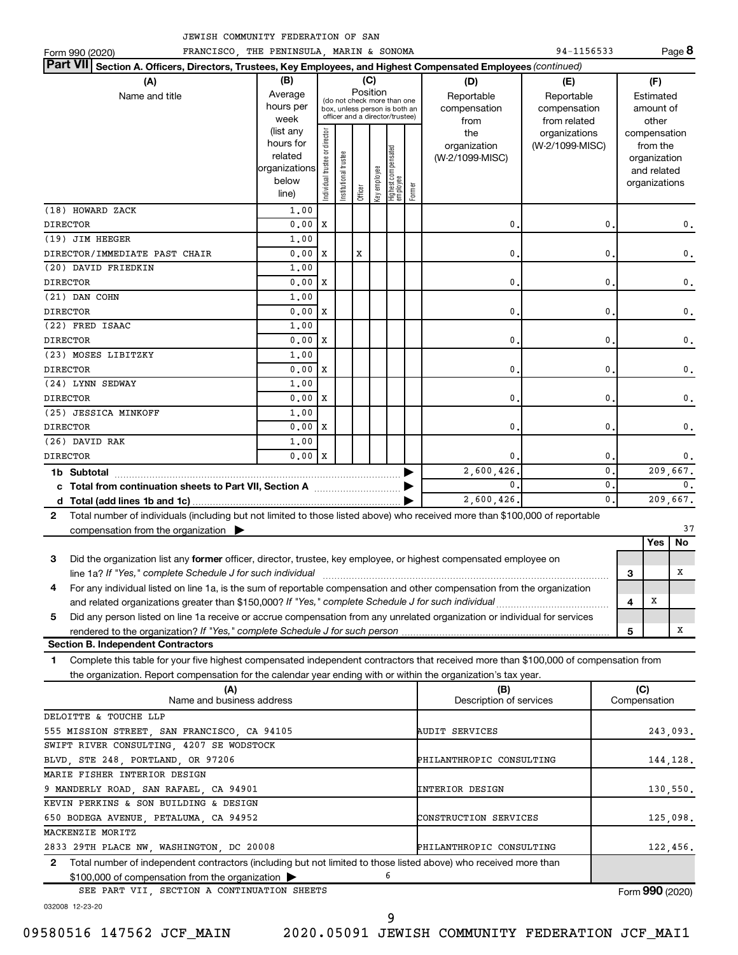|  | JEWISH COMMUNITY FEDERATION OF SAN |  |  |
|--|------------------------------------|--|--|
|  |                                    |  |  |

|                      |                                                                                                                                                                                                                                                        | SH COMMONIII FEDERAIION OF                                            |                                            |                                |         |              |                                         |        |                                                                                                 |                                  |                                           |                                                   |                                                                          |                |                                        |  |
|----------------------|--------------------------------------------------------------------------------------------------------------------------------------------------------------------------------------------------------------------------------------------------------|-----------------------------------------------------------------------|--------------------------------------------|--------------------------------|---------|--------------|-----------------------------------------|--------|-------------------------------------------------------------------------------------------------|----------------------------------|-------------------------------------------|---------------------------------------------------|--------------------------------------------------------------------------|----------------|----------------------------------------|--|
| Form 990 (2020)      | FRANCISCO THE PENINSULA MARIN & SONOMA                                                                                                                                                                                                                 |                                                                       |                                            |                                |         |              |                                         |        |                                                                                                 | 94-1156533                       |                                           |                                                   |                                                                          | Page 8         |                                        |  |
| <b>Part VII</b>      | Section A. Officers, Directors, Trustees, Key Employees, and Highest Compensated Employees (continued)                                                                                                                                                 |                                                                       |                                            |                                |         |              |                                         |        |                                                                                                 |                                  |                                           |                                                   |                                                                          |                |                                        |  |
|                      | Name and title                                                                                                                                                                                                                                         |                                                                       | (A)<br>(B)<br>Average<br>hours per<br>week |                                |         |              | Position                                | (C)    | (do not check more than one<br>box, unless person is both an<br>officer and a director/trustee) |                                  | (D)<br>Reportable<br>compensation<br>from | (E)<br>Reportable<br>compensation<br>from related |                                                                          |                | (F)<br>Estimated<br>amount of<br>other |  |
|                      |                                                                                                                                                                                                                                                        | (list any<br>hours for<br>related<br> organizations<br>below<br>line) | Individual trustee or director             | Institutional trustee          | Officer | Key employee | <br>  Highest compensated<br>  employee | Former | the<br>organization<br>(W-2/1099-MISC)                                                          | organizations<br>(W-2/1099-MISC) |                                           |                                                   | compensation<br>from the<br>organization<br>and related<br>organizations |                |                                        |  |
| (18) HOWARD ZACK     |                                                                                                                                                                                                                                                        | 1,00                                                                  |                                            |                                |         |              |                                         |        |                                                                                                 |                                  |                                           |                                                   |                                                                          |                |                                        |  |
| <b>DIRECTOR</b>      |                                                                                                                                                                                                                                                        | 0.00                                                                  | х                                          |                                |         |              |                                         |        | 0.                                                                                              |                                  | 0                                         |                                                   |                                                                          | 0.             |                                        |  |
| (19) JIM HEEGER      |                                                                                                                                                                                                                                                        | 1.00                                                                  |                                            |                                |         |              |                                         |        |                                                                                                 |                                  |                                           |                                                   |                                                                          |                |                                        |  |
|                      | DIRECTOR/IMMEDIATE PAST CHAIR                                                                                                                                                                                                                          | 0.00                                                                  | х                                          |                                | X       |              |                                         |        | 0.                                                                                              |                                  | 0                                         |                                                   |                                                                          | 0.             |                                        |  |
| (20) DAVID FRIEDKIN  |                                                                                                                                                                                                                                                        | 1.00                                                                  |                                            |                                |         |              |                                         |        |                                                                                                 |                                  |                                           |                                                   |                                                                          |                |                                        |  |
| <b>DIRECTOR</b>      |                                                                                                                                                                                                                                                        | 0.00                                                                  | X                                          |                                |         |              |                                         |        | 0.                                                                                              |                                  | 0                                         |                                                   |                                                                          | 0.             |                                        |  |
| (21) DAN COHN        |                                                                                                                                                                                                                                                        | 1,00                                                                  |                                            |                                |         |              |                                         |        |                                                                                                 |                                  |                                           |                                                   |                                                                          |                |                                        |  |
| <b>DIRECTOR</b>      |                                                                                                                                                                                                                                                        | 0.00                                                                  | X                                          |                                |         |              |                                         |        | 0.                                                                                              |                                  | 0                                         |                                                   |                                                                          | 0.             |                                        |  |
| (22) FRED ISAAC      |                                                                                                                                                                                                                                                        | 1.00                                                                  |                                            |                                |         |              |                                         |        |                                                                                                 |                                  |                                           |                                                   |                                                                          |                |                                        |  |
| <b>DIRECTOR</b>      |                                                                                                                                                                                                                                                        | 0.00                                                                  | X                                          |                                |         |              |                                         |        | 0.                                                                                              |                                  | 0                                         |                                                   |                                                                          | 0.             |                                        |  |
| (23) MOSES LIBITZKY  |                                                                                                                                                                                                                                                        | 1,00                                                                  |                                            |                                |         |              |                                         |        |                                                                                                 |                                  |                                           |                                                   |                                                                          |                |                                        |  |
| <b>DIRECTOR</b>      |                                                                                                                                                                                                                                                        | 0.00                                                                  | X                                          |                                |         |              |                                         |        | 0.                                                                                              |                                  | 0                                         |                                                   |                                                                          | 0.             |                                        |  |
| (24) LYNN SEDWAY     |                                                                                                                                                                                                                                                        | 1,00                                                                  |                                            |                                |         |              |                                         |        |                                                                                                 |                                  |                                           |                                                   |                                                                          |                |                                        |  |
| <b>DIRECTOR</b>      |                                                                                                                                                                                                                                                        | 0.00                                                                  | X                                          |                                |         |              |                                         |        | 0.                                                                                              |                                  | 0                                         |                                                   |                                                                          | 0.             |                                        |  |
| (25) JESSICA MINKOFF |                                                                                                                                                                                                                                                        | 1,00                                                                  |                                            |                                |         |              |                                         |        |                                                                                                 |                                  |                                           |                                                   |                                                                          |                |                                        |  |
| <b>DIRECTOR</b>      |                                                                                                                                                                                                                                                        | 0.00                                                                  | X                                          |                                |         |              |                                         |        | 0.                                                                                              |                                  | 0                                         |                                                   |                                                                          | 0.             |                                        |  |
| (26) DAVID RAK       |                                                                                                                                                                                                                                                        | 1.00                                                                  |                                            |                                |         |              |                                         |        |                                                                                                 |                                  |                                           |                                                   |                                                                          |                |                                        |  |
| <b>DIRECTOR</b>      |                                                                                                                                                                                                                                                        | 0.00                                                                  | $\mathbf{x}$                               |                                |         |              |                                         |        | 0.                                                                                              |                                  | 0                                         |                                                   |                                                                          | 0.             |                                        |  |
| 1b Subtotal          |                                                                                                                                                                                                                                                        |                                                                       |                                            |                                |         |              |                                         |        | 2,600,426.                                                                                      |                                  | $\mathbf{0}$                              |                                                   |                                                                          | 209,667.       |                                        |  |
|                      |                                                                                                                                                                                                                                                        |                                                                       |                                            |                                |         |              |                                         |        | 0.                                                                                              |                                  | $\mathbf{0}$                              |                                                   |                                                                          | $\mathbf{0}$ . |                                        |  |
|                      |                                                                                                                                                                                                                                                        |                                                                       |                                            |                                |         |              |                                         |        | 2,600,426.                                                                                      |                                  | $\mathbf{0}$ .                            |                                                   |                                                                          | 209,667.       |                                        |  |
| $\mathbf{2}$         | Total number of individuals (including but not limited to those listed above) who received more than \$100,000 of reportable                                                                                                                           |                                                                       |                                            |                                |         |              |                                         |        |                                                                                                 |                                  |                                           |                                                   |                                                                          |                |                                        |  |
|                      | compensation from the organization $\triangleright$                                                                                                                                                                                                    |                                                                       |                                            |                                |         |              |                                         |        |                                                                                                 |                                  |                                           |                                                   |                                                                          | 37             |                                        |  |
|                      |                                                                                                                                                                                                                                                        |                                                                       |                                            |                                |         |              |                                         |        |                                                                                                 |                                  |                                           |                                                   | Yes                                                                      | <b>No</b>      |                                        |  |
| 3                    | Did the organization list any former officer, director, trustee, key employee, or highest compensated employee on                                                                                                                                      |                                                                       |                                            |                                |         |              |                                         |        |                                                                                                 |                                  |                                           |                                                   |                                                                          |                |                                        |  |
|                      | line 1a? If "Yes," complete Schedule J for such individual                                                                                                                                                                                             |                                                                       |                                            |                                |         |              |                                         |        |                                                                                                 |                                  |                                           | 3                                                 |                                                                          | х              |                                        |  |
| 4                    | For any individual listed on line 1a, is the sum of reportable compensation and other compensation from the organization                                                                                                                               |                                                                       |                                            |                                |         |              |                                         |        |                                                                                                 |                                  |                                           |                                                   |                                                                          |                |                                        |  |
|                      | and related organizations greater than \$150,000? If "Yes," complete Schedule J for such individual                                                                                                                                                    |                                                                       |                                            |                                |         |              |                                         |        |                                                                                                 |                                  |                                           | 4                                                 | Х                                                                        |                |                                        |  |
| 5                    | Did any person listed on line 1a receive or accrue compensation from any unrelated organization or individual for services                                                                                                                             |                                                                       |                                            |                                |         |              |                                         |        |                                                                                                 |                                  |                                           |                                                   |                                                                          |                |                                        |  |
|                      |                                                                                                                                                                                                                                                        |                                                                       |                                            |                                |         |              |                                         |        |                                                                                                 |                                  |                                           | 5                                                 |                                                                          | х              |                                        |  |
|                      | <b>Section B. Independent Contractors</b>                                                                                                                                                                                                              |                                                                       |                                            |                                |         |              |                                         |        |                                                                                                 |                                  |                                           |                                                   |                                                                          |                |                                        |  |
| 1.                   | Complete this table for your five highest compensated independent contractors that received more than \$100,000 of compensation from<br>the organization. Report compensation for the calendar year ending with or within the organization's tax year. |                                                                       |                                            |                                |         |              |                                         |        |                                                                                                 |                                  |                                           |                                                   |                                                                          |                |                                        |  |
|                      | (A)<br>Name and business address                                                                                                                                                                                                                       |                                                                       |                                            | (B)<br>Description of services |         |              |                                         |        |                                                                                                 |                                  |                                           | (C)                                               | Compensation                                                             |                |                                        |  |
|                      | DELOITTE & TOUCHE LLP                                                                                                                                                                                                                                  |                                                                       |                                            |                                |         |              |                                         |        |                                                                                                 |                                  |                                           |                                                   |                                                                          |                |                                        |  |
|                      | 555 MISSION STREET, SAN FRANCISCO, CA 94105<br>SWIFT RIVER CONSULTING, 4207 SE WODSTOCK                                                                                                                                                                |                                                                       |                                            |                                |         |              |                                         |        | AUDIT SERVICES                                                                                  |                                  |                                           |                                                   |                                                                          | 243,093.       |                                        |  |
|                      | BLVD STE 248 PORTLAND OR 97206                                                                                                                                                                                                                         |                                                                       |                                            |                                |         |              |                                         |        | PHILANTHROPIC CONSULTING                                                                        |                                  |                                           |                                                   |                                                                          | 144 128.       |                                        |  |

| BLVD, STE 248, PORTLAND, OR 97206                                                                                  | PHILANTHROPIC CONSULTING | 144.128. |
|--------------------------------------------------------------------------------------------------------------------|--------------------------|----------|
| MARIE FISHER INTERIOR DESIGN                                                                                       |                          |          |
| 9 MANDERLY ROAD, SAN RAFAEL, CA 94901                                                                              | <b>INTERIOR DESIGN</b>   | 130,550. |
| KEVIN PERKINS & SON BUILDING & DESIGN                                                                              |                          |          |
| 650 BODEGA AVENUE, PETALUMA, CA 94952                                                                              | CONSTRUCTION SERVICES    | 125,098. |
| MACKENZIE MORITZ                                                                                                   |                          |          |
| 2833 29TH PLACE NW, WASHINGTON, DC 20008                                                                           | PHILANTHROPIC CONSULTING | 122,456. |
| 2 Total number of independent contractors (including but not limited to those listed above) who received more than |                          |          |
| \$100,000 of compensation from the organization >                                                                  |                          |          |

9

SEE PART VII, SECTION A CONTINUATION SHEETS

Form (2020) **990**

032008 12-23-20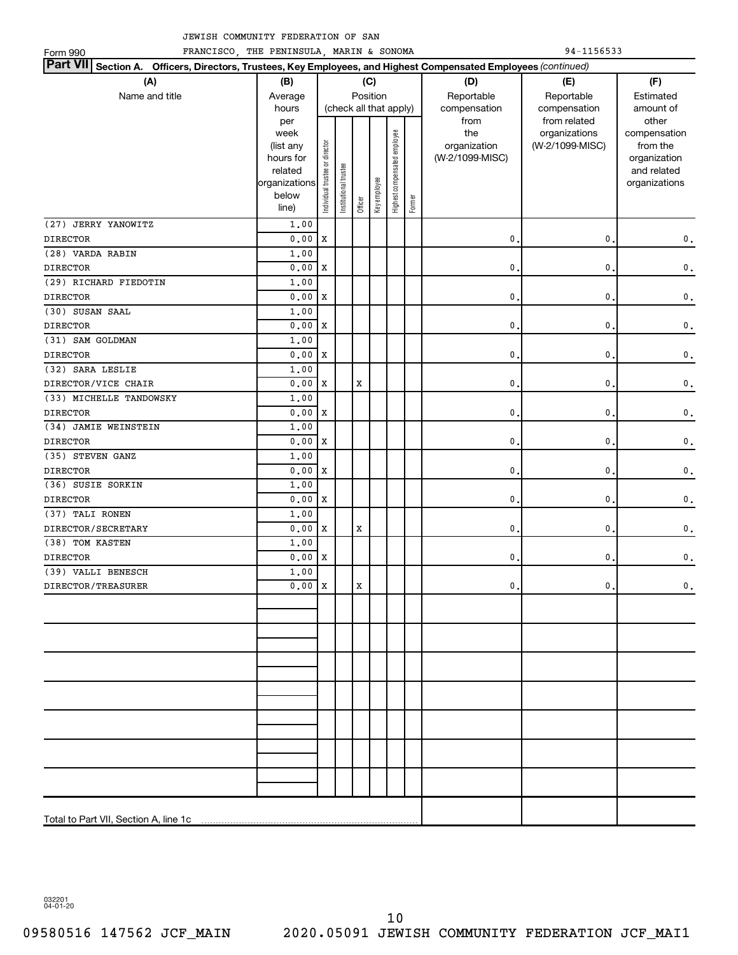| 94-1156533<br>FRANCISCO, THE PENINSULA, MARIN & SONOMA<br>Form 990                                                            |                            |                                |                       |             |              |                              |        |                 |                               |                       |
|-------------------------------------------------------------------------------------------------------------------------------|----------------------------|--------------------------------|-----------------------|-------------|--------------|------------------------------|--------|-----------------|-------------------------------|-----------------------|
| Part VII Section A. Officers, Directors, Trustees, Key Employees, and Highest Compensated Employees (continued)<br>(B)<br>(C) |                            |                                |                       |             |              |                              |        |                 |                               |                       |
| (A)                                                                                                                           | (D)                        | (E)                            | (F)                   |             |              |                              |        |                 |                               |                       |
| Name and title                                                                                                                | Average                    |                                |                       |             | Position     |                              |        | Reportable      | Reportable                    | Estimated             |
|                                                                                                                               | hours                      |                                |                       |             |              | (check all that apply)       |        | compensation    | compensation                  | amount of             |
|                                                                                                                               | per<br>week                |                                |                       |             |              |                              |        | from<br>the     | from related<br>organizations | other<br>compensation |
|                                                                                                                               | (list any                  |                                |                       |             |              | Highest compensated employee |        | organization    | (W-2/1099-MISC)               | from the              |
|                                                                                                                               | hours for                  |                                |                       |             |              |                              |        | (W-2/1099-MISC) |                               | organization          |
|                                                                                                                               | related                    |                                |                       |             |              |                              |        |                 |                               | and related           |
|                                                                                                                               | organizations              |                                |                       |             |              |                              |        |                 |                               | organizations         |
|                                                                                                                               | below                      | Individual trustee or director | Institutional trustee | Officer     | Key employee |                              | Former |                 |                               |                       |
|                                                                                                                               | line)                      |                                |                       |             |              |                              |        |                 |                               |                       |
| (27) JERRY YANOWITZ<br><b>DIRECTOR</b>                                                                                        | 1.00                       | x                              |                       |             |              |                              |        | 0               | $\mathbf{0}$                  |                       |
| (28) VARDA RABIN                                                                                                              | 0.00<br>1.00               |                                |                       |             |              |                              |        |                 |                               | $\mathbf 0$ .         |
| <b>DIRECTOR</b>                                                                                                               | 0.00                       | x                              |                       |             |              |                              |        | 0               | $\mathbf{0}$                  | $\mathbf 0$ .         |
| (29) RICHARD FIEDOTIN                                                                                                         | 1.00                       |                                |                       |             |              |                              |        |                 |                               |                       |
| <b>DIRECTOR</b>                                                                                                               | 0.00                       | $\,$ X                         |                       |             |              |                              |        | 0               | $\mathsf{0}$ .                | $\mathbf 0$ .         |
| (30) SUSAN SAAL                                                                                                               | 1.00                       |                                |                       |             |              |                              |        |                 |                               |                       |
| <b>DIRECTOR</b>                                                                                                               | 0.00                       | x                              |                       |             |              |                              |        | 0               | $\mathbf 0$ .                 | $\mathbf 0$ .         |
| (31) SAM GOLDMAN                                                                                                              | 1.00                       |                                |                       |             |              |                              |        |                 |                               |                       |
| <b>DIRECTOR</b>                                                                                                               | 0.00                       | x                              |                       |             |              |                              |        | 0               | $\mathbf{0}$                  | $\mathbf 0$ .         |
| (32) SARA LESLIE                                                                                                              | 1.00                       |                                |                       |             |              |                              |        |                 |                               |                       |
| DIRECTOR/VICE CHAIR                                                                                                           | 0.00                       | $\,$ X                         |                       | $\mathbf x$ |              |                              |        | 0               | $\mathbf 0$ .                 | $\mathbf 0$ .         |
| (33) MICHELLE TANDOWSKY                                                                                                       | 1.00                       |                                |                       |             |              |                              |        |                 |                               |                       |
| <b>DIRECTOR</b>                                                                                                               | 0.00                       | x                              |                       |             |              |                              |        | 0               | $\mathbf{0}$                  | $\mathbf 0$ .         |
| (34) JAMIE WEINSTEIN                                                                                                          | 1.00                       |                                |                       |             |              |                              |        |                 |                               |                       |
| <b>DIRECTOR</b>                                                                                                               | 0.00                       | x                              |                       |             |              |                              |        | 0               | $\mathbf{0}$                  | $\mathbf 0$ .         |
| (35) STEVEN GANZ                                                                                                              | 1.00                       |                                |                       |             |              |                              |        |                 |                               |                       |
| <b>DIRECTOR</b>                                                                                                               | 0.00                       | $\,$ X                         |                       |             |              |                              |        | 0               | $\mathbf 0$ .                 | $\mathbf 0$ .         |
| (36) SUSIE SORKIN                                                                                                             | 1.00                       |                                |                       |             |              |                              |        |                 |                               |                       |
| <b>DIRECTOR</b>                                                                                                               | 0.00                       | x                              |                       |             |              |                              |        | 0               | $\mathbf 0$ .                 | $\mathbf 0$ .         |
| (37) TALI RONEN                                                                                                               | 1.00                       |                                |                       |             |              |                              |        |                 |                               |                       |
| DIRECTOR/SECRETARY                                                                                                            | 0.00                       | $\,$ X                         |                       | $\mathbf x$ |              |                              |        | 0               | $\mathbf 0$ .                 | $\mathbf 0$ .         |
| (38) TOM KASTEN                                                                                                               | 1.00                       |                                |                       |             |              |                              |        |                 |                               |                       |
| <b>DIRECTOR</b>                                                                                                               | 0.00                       | $\mathbf{X}$                   |                       |             |              |                              |        | 0               | $\mathbf 0$ .                 | $\mathbf 0$ .         |
| (39) VALLI BENESCH                                                                                                            | 1.00<br>$0.00 \, \text{X}$ |                                |                       |             |              |                              |        |                 |                               |                       |
| DIRECTOR/TREASURER                                                                                                            |                            |                                |                       | х           |              |                              |        | 0.              | 0.                            | $\mathbf{0}$ .        |
|                                                                                                                               |                            |                                |                       |             |              |                              |        |                 |                               |                       |
|                                                                                                                               |                            |                                |                       |             |              |                              |        |                 |                               |                       |
|                                                                                                                               |                            |                                |                       |             |              |                              |        |                 |                               |                       |
|                                                                                                                               |                            |                                |                       |             |              |                              |        |                 |                               |                       |
|                                                                                                                               |                            |                                |                       |             |              |                              |        |                 |                               |                       |
|                                                                                                                               |                            |                                |                       |             |              |                              |        |                 |                               |                       |
|                                                                                                                               |                            |                                |                       |             |              |                              |        |                 |                               |                       |
|                                                                                                                               |                            |                                |                       |             |              |                              |        |                 |                               |                       |
|                                                                                                                               |                            |                                |                       |             |              |                              |        |                 |                               |                       |
|                                                                                                                               |                            |                                |                       |             |              |                              |        |                 |                               |                       |
|                                                                                                                               |                            |                                |                       |             |              |                              |        |                 |                               |                       |
|                                                                                                                               |                            |                                |                       |             |              |                              |        |                 |                               |                       |
|                                                                                                                               |                            |                                |                       |             |              |                              |        |                 |                               |                       |
| Total to Part VII, Section A, line 1c                                                                                         |                            |                                |                       |             |              |                              |        |                 |                               |                       |
|                                                                                                                               |                            |                                |                       |             |              |                              |        |                 |                               |                       |

032201 04-01-20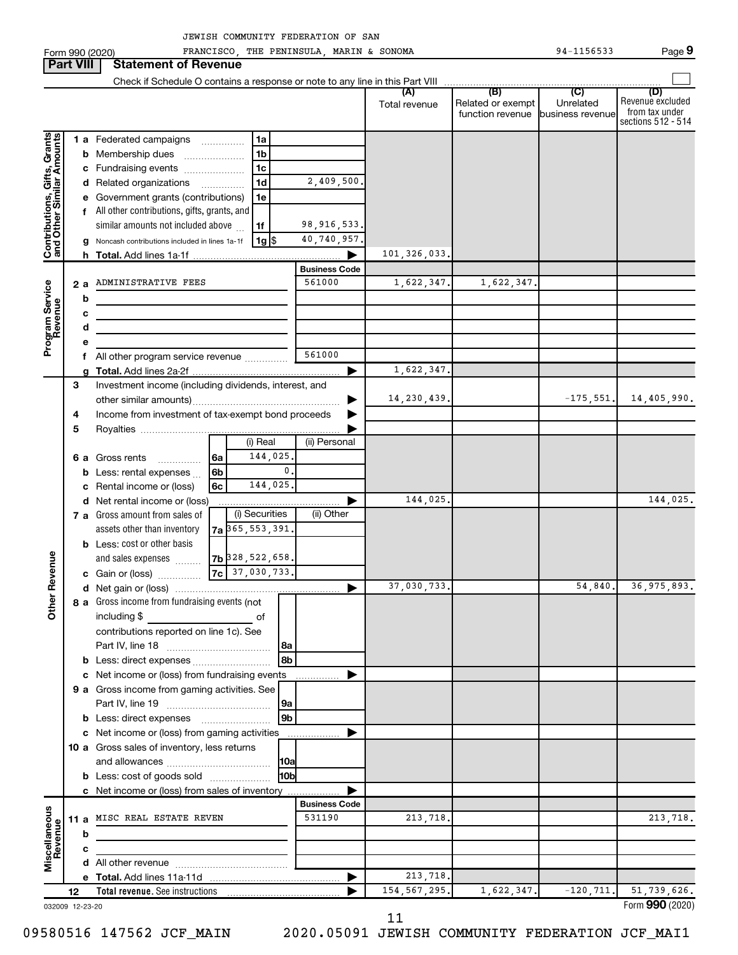Form 990 (2020) FRANCISCO, THE PENINSULA, MARIN & SONOMA Page 94-1156533

**Part VIII Statement of Revenue**  $\Box$ Check if Schedule O contains a response or note to any line in this Part VIII **(A) (B) (C) (D)** Total revenue | Related or exempt Revenue excluded Unrelated from tax under function revenue business revenue sections 512 - 514 Contributions, Gifts, Grants<br>and Other Similar Amounts **Contributions, Gifts, Grants and Other Similar Amounts** 1 **a** Federated campaigns .............. **1 a b** Membership dues .................... **1 b c** Fundraising events .................... **1 c** 2,409,500. **d** Related organizations .............. **1 d e** Government grants (contributions) **1 e f** All other contributions, gifts, grants, and 98,916,533. similar amounts not included above  $\,\ldots\,$ **1 f** 40,740,957. **g** Noncash contributions included in lines 1a-1f | 1g **1** \$ 101,326,033. **h Total.**  Add lines 1a-1f | **Business Code 2 a** ADMINISTRATIVE FEES **1** 561000 1,622,347. 1,622,347. **Program Service**<br>Revenue **Program Service b c d e** 561000 **f** All other program service revenue .............. 1,622,347. **g Total.**  Add lines 2a-2f | Investment income (including dividends, interest, and **3** 14,230,439. other similar amounts) ~~~~~~~~~~~~~~~~~ | **4** Income from investment of tax-exempt bond proceeds  $\blacktriangleright$ **5** Royalties | (i) Real (ii) Personal 144,025. **6a 6 a** Gross rents **with the Strutter** 0. **6b b** Less: rental expenses ... 144,025. **6c c** Rental income or (loss) 144,025. 144,025. **d** Net rental income or (loss) | (i) Securities | (ii) Other **7 a** Gross amount from sales of assets other than inventory **7a** 365,553,391. **b** Less: cost or other basis **Other Revenue 7b** 328,522,658. and sales expenses  $\,\ldots\ldots$ 37,030,733. **7c c** Gain or (loss) ~~~~~ 37,030,733. 54,840. 36,975,893. **d** Net gain or (loss) | **a 8** Gross income from fundraising events (not including \$ \_\_\_\_\_\_\_\_\_\_\_\_\_\_\_\_\_\_\_\_\_\_\_\_\_\_\_\_\_\_\_\_ of contributions reported on line 1c). See Part IV, line 18 ~~~~~~~~~~~~ **8a 8b b** Less: direct expenses ........................... **c** Net income or (loss) from fundraising events | **9 a** Gross income from gaming activities. See Part IV, line 19 ~~~~~~~~~~~~ **9a 9b b** Less: direct expenses ........................ **c** Net income or (loss) from gaming activities  $\blacktriangleright$ **10 a** Gross sales of inventory, less returns **10a** and allowances ~~~~~~~~~~~~ **10b b** Less: cost of goods sold .................... **c** Net income or (loss) from sales of inventory | **Business Code Miscellaneous 11 a** MISC REAL ESTATE REVEN 531190 213,718. **Revenue b c d** All other revenue ~~~~~~~~~~~~~ 213,718. **e Total.**  Add lines 11a-11d | 154,567,295. 1,622,347. -120,711. 51,739,626. **Total revenue.**  See instructions **12** |

032009 12-23-20

11

09580516 147562 JCF\_MAIN 2020.05091 JEWISH COMMUNITY FEDERATION JCF\_MAI1

Form (2020) **990**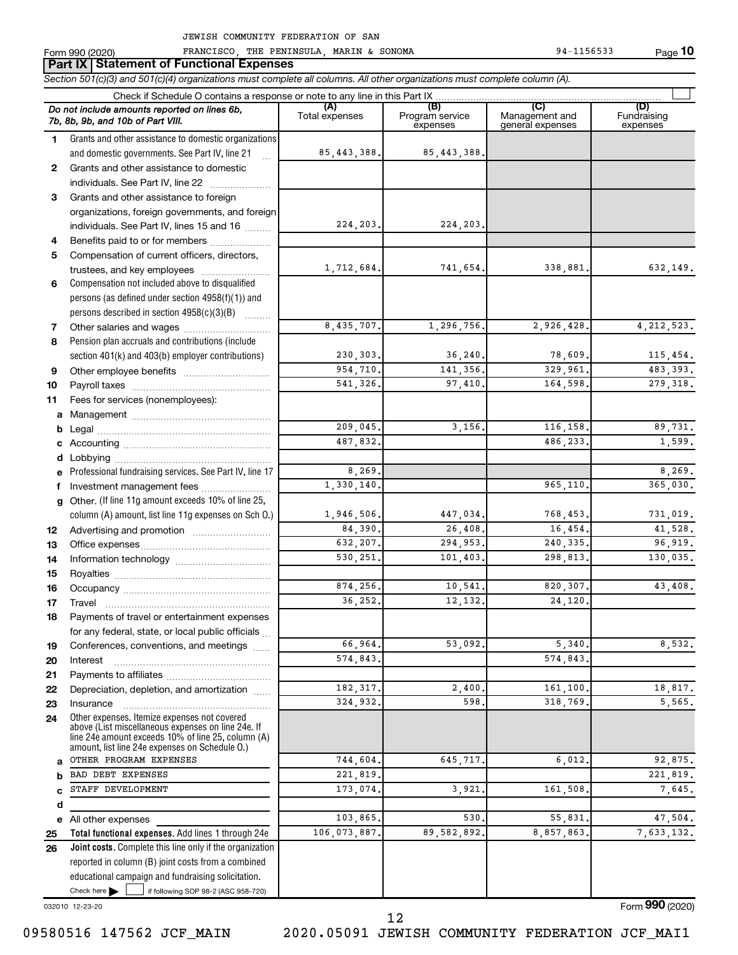**Part IX Statement of Functional Expenses**

Form 990 (2020) FRANCISCO, THE PENINSULA, MARIN & SONOMA 94-1156533 Page

**10**

|              | Section 501(c)(3) and 501(c)(4) organizations must complete all columns. All other organizations must complete column (A).<br>Check if Schedule O contains a response or note to any line in this Part IX  |                |                             |                                    |                         |
|--------------|------------------------------------------------------------------------------------------------------------------------------------------------------------------------------------------------------------|----------------|-----------------------------|------------------------------------|-------------------------|
|              | Do not include amounts reported on lines 6b,                                                                                                                                                               | (A)            | (B)                         |                                    | (D)                     |
|              | 7b, 8b, 9b, and 10b of Part VIII.                                                                                                                                                                          | Total expenses | Program service<br>expenses | Management and<br>general expenses | Fundraising<br>expenses |
| 1.           | Grants and other assistance to domestic organizations                                                                                                                                                      |                |                             |                                    |                         |
|              | and domestic governments. See Part IV, line 21                                                                                                                                                             | 85, 443, 388.  | 85, 443, 388.               |                                    |                         |
| $\mathbf{2}$ | Grants and other assistance to domestic                                                                                                                                                                    |                |                             |                                    |                         |
|              | individuals. See Part IV, line 22                                                                                                                                                                          |                |                             |                                    |                         |
| 3            | Grants and other assistance to foreign                                                                                                                                                                     |                |                             |                                    |                         |
|              | organizations, foreign governments, and foreign                                                                                                                                                            |                |                             |                                    |                         |
|              | individuals. See Part IV, lines 15 and 16                                                                                                                                                                  | 224,203.       | 224, 203.                   |                                    |                         |
| 4            | Benefits paid to or for members                                                                                                                                                                            |                |                             |                                    |                         |
| 5            | Compensation of current officers, directors,                                                                                                                                                               |                |                             |                                    |                         |
|              | trustees, and key employees                                                                                                                                                                                | 1,712,684.     | 741,654.                    | 338,881.                           | 632,149.                |
| 6            | Compensation not included above to disqualified                                                                                                                                                            |                |                             |                                    |                         |
|              | persons (as defined under section 4958(f)(1)) and                                                                                                                                                          |                |                             |                                    |                         |
|              | persons described in section 4958(c)(3)(B)                                                                                                                                                                 |                |                             |                                    |                         |
| 7            |                                                                                                                                                                                                            | 8,435,707.     | 1,296,756.                  | 2,926,428.                         | 4, 212, 523.            |
| 8            | Pension plan accruals and contributions (include                                                                                                                                                           |                |                             |                                    |                         |
|              | section 401(k) and 403(b) employer contributions)                                                                                                                                                          | 230,303.       | 36, 240.                    | 78,609.                            | 115,454.                |
| 9            |                                                                                                                                                                                                            | 954,710.       | 141,356.                    | 329.961.                           | 483, 393.               |
| 10           |                                                                                                                                                                                                            | 541,326.       | 97,410.                     | 164.598.                           | 279, 318.               |
| 11           | Fees for services (nonemployees):                                                                                                                                                                          |                |                             |                                    |                         |
| a            |                                                                                                                                                                                                            |                |                             |                                    |                         |
| b            |                                                                                                                                                                                                            | 209,045.       | 3,156.                      | 116,158.                           | 89,731.                 |
|              |                                                                                                                                                                                                            | 487,832.       |                             | 486,233.                           | 1,599.                  |
| d            |                                                                                                                                                                                                            |                |                             |                                    |                         |
|              | Professional fundraising services. See Part IV, line 17                                                                                                                                                    | 8,269          |                             |                                    | 8,269.                  |
| f            | Investment management fees                                                                                                                                                                                 | 1,330,140.     |                             | 965,110.                           | 365,030.                |
|              | g Other. (If line 11g amount exceeds 10% of line 25,                                                                                                                                                       |                |                             |                                    |                         |
|              | column (A) amount, list line 11g expenses on Sch O.)                                                                                                                                                       | 1,946,506.     | 447,034.                    | 768,453.                           | 731,019.                |
| 12           |                                                                                                                                                                                                            | 84,390.        | 26,408.                     | 16,454.                            | 41,528.                 |
| 13           |                                                                                                                                                                                                            | 632,207.       | 294,953.                    | 240, 335.                          | 96,919.                 |
| 14           |                                                                                                                                                                                                            | 530.251.       | 101,403.                    | 298,813.                           | 130,035.                |
| 15           |                                                                                                                                                                                                            |                |                             |                                    |                         |
| 16           |                                                                                                                                                                                                            | 874,256.       | 10,541.                     | 820,307.                           | 43,408.                 |
| 17           |                                                                                                                                                                                                            | 36,252.        | 12,132.                     | 24,120.                            |                         |
| 18           | Payments of travel or entertainment expenses                                                                                                                                                               |                |                             |                                    |                         |
|              | for any federal, state, or local public officials                                                                                                                                                          |                |                             |                                    |                         |
| 19           | Conferences, conventions, and meetings                                                                                                                                                                     | 66,964.        | 53,092.                     | 5,340.                             | 8,532.                  |
| 20           | Interest                                                                                                                                                                                                   | 574,843        |                             | 574,843.                           |                         |
| 21           |                                                                                                                                                                                                            |                |                             |                                    |                         |
| 22           | Depreciation, depletion, and amortization                                                                                                                                                                  | 182, 317.      | 2,400                       | 161,100.                           | 18,817.                 |
| 23           | Insurance                                                                                                                                                                                                  | 324,932        | 598                         | 318,769.                           | 5,565.                  |
| 24           | Other expenses. Itemize expenses not covered<br>above (List miscellaneous expenses on line 24e. If<br>line 24e amount exceeds 10% of line 25, column (A)<br>amount, list line 24e expenses on Schedule O.) |                |                             |                                    |                         |
| a            | OTHER PROGRAM EXPENSES                                                                                                                                                                                     | 744,604        | 645,717                     | 6,012.                             | 92,875.                 |
| b            | BAD DEBT EXPENSES                                                                                                                                                                                          | 221,819.       |                             |                                    | 221,819.                |
| C            | STAFF DEVELOPMENT                                                                                                                                                                                          | 173,074        | 3,921                       | 161,508,                           | 7,645.                  |
| d            |                                                                                                                                                                                                            |                |                             |                                    |                         |
|              | e All other expenses                                                                                                                                                                                       | 103,865        | 530                         | 55,831                             | 47,504.                 |
| 25           | Total functional expenses. Add lines 1 through 24e                                                                                                                                                         | 106,073,887    | 89,582,892.                 | 8,857,863.                         | 7,633,132.              |
| 26           | <b>Joint costs.</b> Complete this line only if the organization                                                                                                                                            |                |                             |                                    |                         |
|              | reported in column (B) joint costs from a combined                                                                                                                                                         |                |                             |                                    |                         |
|              | educational campaign and fundraising solicitation.                                                                                                                                                         |                |                             |                                    |                         |
|              | Check here $\blacktriangleright$<br>if following SOP 98-2 (ASC 958-720)                                                                                                                                    |                |                             |                                    |                         |

032010 12-23-20

Form (2020) **990**

09580516 147562 JCF\_MAIN 2020.05091 JEWISH COMMUNITY FEDERATION JCF\_MAI1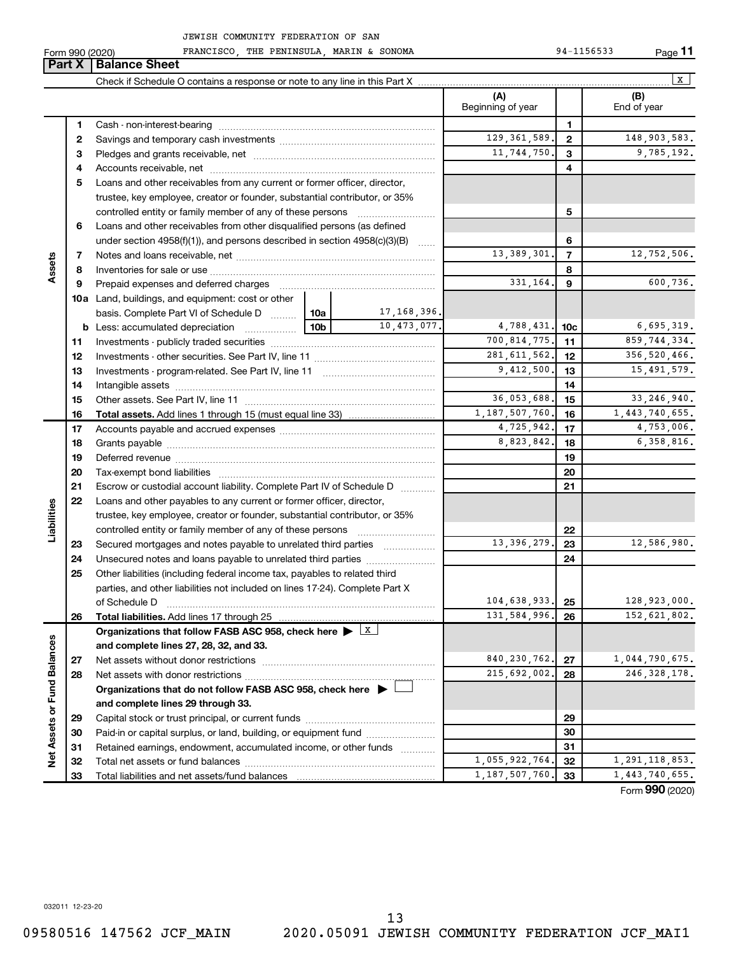**11**

|                             | Form 990 (2020) | FRANCISCO, THE PENINSULA, MARIN & SONOMA                                                                               |                                              |                |                          |                | 94-1156533    | Page 11            |
|-----------------------------|-----------------|------------------------------------------------------------------------------------------------------------------------|----------------------------------------------|----------------|--------------------------|----------------|---------------|--------------------|
|                             | Part X          | <b>Balance Sheet</b>                                                                                                   |                                              |                |                          |                |               |                    |
|                             |                 |                                                                                                                        |                                              |                |                          |                |               | x                  |
|                             |                 |                                                                                                                        |                                              |                | (A)<br>Beginning of year |                |               | (B)<br>End of year |
|                             | 1               |                                                                                                                        |                                              |                |                          | $\mathbf{1}$   |               |                    |
|                             | 2               |                                                                                                                        |                                              | 129, 361, 589. | $\overline{2}$           |                | 148,903,583.  |                    |
|                             | з               |                                                                                                                        |                                              |                | 11,744,750.              | 3              |               | 9,785,192.         |
|                             | 4               |                                                                                                                        |                                              |                |                          | 4              |               |                    |
|                             | 5               | Loans and other receivables from any current or former officer, director,                                              |                                              |                |                          |                |               |                    |
|                             |                 | trustee, key employee, creator or founder, substantial contributor, or 35%                                             |                                              |                |                          |                |               |                    |
|                             |                 | controlled entity or family member of any of these persons                                                             |                                              |                |                          | 5              |               |                    |
|                             | 6               | Loans and other receivables from other disqualified persons (as defined                                                |                                              |                |                          |                |               |                    |
|                             |                 | under section 4958(f)(1)), and persons described in section 4958(c)(3)(B)                                              |                                              |                | 6                        |                |               |                    |
|                             | 7               |                                                                                                                        |                                              |                | 13, 389, 301.            | $\overline{7}$ |               | 12,752,506.        |
| Assets                      | 8               |                                                                                                                        |                                              |                |                          | 8              |               |                    |
|                             | 9               | Prepaid expenses and deferred charges                                                                                  |                                              |                | 331,164.                 | 9              |               | 600,736.           |
|                             |                 | <b>10a</b> Land, buildings, and equipment: cost or other                                                               |                                              |                |                          |                |               |                    |
|                             |                 | basis. Complete Part VI of Schedule D  10a                                                                             |                                              | 17,168,396.    |                          |                |               |                    |
|                             |                 | <b>b</b> Less: accumulated depreciation                                                                                | 10,473,077.<br>4,788,431.<br>10 <sub>b</sub> |                |                          |                |               | 6,695,319.         |
|                             | 11              |                                                                                                                        | 700, 814, 775.                               | 11             |                          | 859,744,334.   |               |                    |
|                             | 12              |                                                                                                                        | 281, 611, 562.                               | 12             |                          | 356,520,466.   |               |                    |
|                             | 13              |                                                                                                                        |                                              | 9,412,500.     | 13                       |                | 15, 491, 579. |                    |
|                             | 14              |                                                                                                                        |                                              |                |                          | 14             |               |                    |
|                             | 15              |                                                                                                                        |                                              |                | 36,053,688.              | 15             |               | 33, 246, 940.      |
|                             | 16              |                                                                                                                        |                                              |                | 1,187,507,760.           | 16             |               | 1,443,740,655.     |
|                             | 17              |                                                                                                                        |                                              |                | 4,725,942.               | 17             |               | 4,753,006.         |
|                             | 18              |                                                                                                                        |                                              |                | 8,823,842.               | 18             |               | 6,358,816.         |
|                             | 19              |                                                                                                                        |                                              |                |                          | 19             |               |                    |
|                             | 20              |                                                                                                                        |                                              |                |                          | 20             |               |                    |
|                             | 21              | Escrow or custodial account liability. Complete Part IV of Schedule D                                                  |                                              |                |                          | 21             |               |                    |
|                             | 22              | Loans and other payables to any current or former officer, director,                                                   |                                              |                |                          |                |               |                    |
|                             |                 | trustee, key employee, creator or founder, substantial contributor, or 35%                                             |                                              |                |                          |                |               |                    |
| Liabilities                 |                 |                                                                                                                        |                                              |                |                          | 22             |               |                    |
|                             | 23              | Secured mortgages and notes payable to unrelated third parties                                                         |                                              |                | 13, 396, 279.            | 23             |               | 12,586,980.        |
|                             | 24              | Unsecured notes and loans payable to unrelated third parties                                                           |                                              |                |                          | 24             |               |                    |
|                             | 25              | Other liabilities (including federal income tax, payables to related third                                             |                                              |                |                          |                |               |                    |
|                             |                 | parties, and other liabilities not included on lines 17-24). Complete Part X                                           |                                              |                |                          |                |               |                    |
|                             |                 | of Schedule D                                                                                                          |                                              |                | 104,638,933.             | 25             |               | 128,923,000.       |
|                             | 26              |                                                                                                                        |                                              |                | 131, 584, 996.           | 26             |               | 152,621,802.       |
|                             |                 | Organizations that follow FASB ASC 958, check here $\blacktriangleright \begin{array}{c} \perp \mathbf{X} \end{array}$ |                                              |                |                          |                |               |                    |
|                             |                 | and complete lines 27, 28, 32, and 33.                                                                                 |                                              |                |                          |                |               |                    |
|                             | 27              |                                                                                                                        |                                              |                | 840, 230, 762.           | 27             |               | 1,044,790,675.     |
|                             | 28              |                                                                                                                        |                                              |                | 215,692,002.             | 28             |               | 246, 328, 178.     |
|                             |                 | Organizations that do not follow FASB ASC 958, check here $\blacktriangleright$                                        |                                              |                |                          |                |               |                    |
| Net Assets or Fund Balances |                 | and complete lines 29 through 33.                                                                                      |                                              |                |                          |                |               |                    |
|                             | 29              |                                                                                                                        |                                              |                |                          | 29             |               |                    |
|                             | 30              | Paid-in or capital surplus, or land, building, or equipment fund                                                       |                                              |                |                          | 30             |               |                    |
|                             | 31              | Retained earnings, endowment, accumulated income, or other funds                                                       |                                              |                |                          | 31             |               |                    |
|                             | 32              |                                                                                                                        |                                              |                | 1,055,922,764.           | 32             |               | 1, 291, 118, 853.  |
|                             | 33              |                                                                                                                        |                                              |                | 1, 187, 507, 760.        | 33             |               | 1,443,740,655.     |

Form (2020) **990**

032011 12-23-20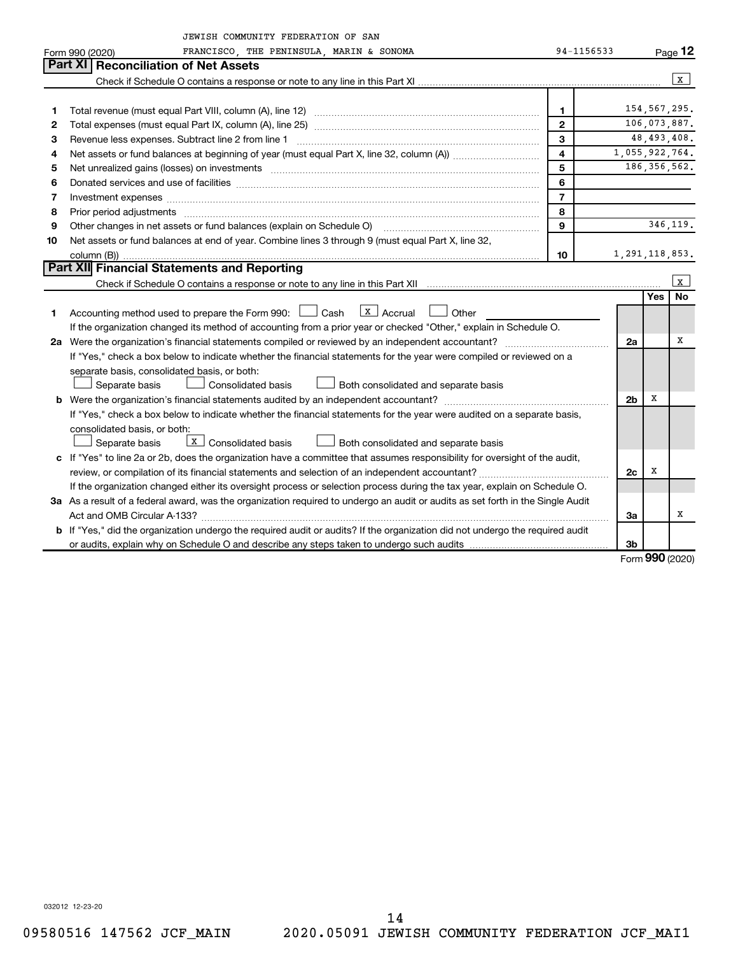|    | JEWISH COMMUNITY FEDERATION OF SAN                                                                                                                                                                                             |                         |                   |                   |                |
|----|--------------------------------------------------------------------------------------------------------------------------------------------------------------------------------------------------------------------------------|-------------------------|-------------------|-------------------|----------------|
|    | FRANCISCO, THE PENINSULA, MARIN & SONOMA<br>Form 990 (2020)                                                                                                                                                                    | 94-1156533              |                   |                   | Page 12        |
|    | Part XI Reconciliation of Net Assets                                                                                                                                                                                           |                         |                   |                   |                |
|    |                                                                                                                                                                                                                                |                         |                   |                   | x              |
|    |                                                                                                                                                                                                                                |                         |                   |                   |                |
| 1  |                                                                                                                                                                                                                                | $\mathbf 1$             |                   |                   | 154,567,295.   |
| 2  |                                                                                                                                                                                                                                | $\mathbf{2}$            |                   |                   | 106,073,887.   |
| З  |                                                                                                                                                                                                                                | 3                       |                   |                   | 48, 493, 408.  |
| 4  | Net assets or fund balances at beginning of year (must equal Part X, line 32, column (A))                                                                                                                                      | $\overline{\mathbf{4}}$ | 1,055,922,764.    |                   |                |
| 5  | Net unrealized gains (losses) on investments [11] matter continuum matter is a set of the set of the set of the                                                                                                                | 5                       |                   |                   | 186, 356, 562. |
| 6  |                                                                                                                                                                                                                                | 6                       |                   |                   |                |
| 7  | Investment expenses www.communication.com/www.communication.com/www.communication.com/www.com                                                                                                                                  | $\overline{7}$          |                   |                   |                |
| 8  | Prior period adjustments [111] matter contract and adjustments and account and account and adjustments and account and account and account and account and account and account and account and account and account account and | 8                       |                   |                   |                |
| 9  |                                                                                                                                                                                                                                | 9                       |                   |                   | 346,119.       |
| 10 | Net assets or fund balances at end of year. Combine lines 3 through 9 (must equal Part X, line 32,                                                                                                                             |                         |                   |                   |                |
|    |                                                                                                                                                                                                                                | 10                      | 1, 291, 118, 853. |                   |                |
|    | <b>Part XII</b> Financial Statements and Reporting                                                                                                                                                                             |                         |                   |                   |                |
|    |                                                                                                                                                                                                                                |                         |                   |                   | l x            |
|    |                                                                                                                                                                                                                                |                         |                   | <b>Yes</b>        | <b>No</b>      |
| 1. | X   Accrual   Other<br>Accounting method used to prepare the Form 990: [130] Cash                                                                                                                                              |                         |                   |                   |                |
|    | If the organization changed its method of accounting from a prior year or checked "Other," explain in Schedule O.                                                                                                              |                         |                   |                   |                |
|    |                                                                                                                                                                                                                                |                         | 2a                |                   | x              |
|    | If "Yes," check a box below to indicate whether the financial statements for the year were compiled or reviewed on a                                                                                                           |                         |                   |                   |                |
|    | separate basis, consolidated basis, or both:                                                                                                                                                                                   |                         |                   |                   |                |
|    | Consolidated basis<br>Separate basis<br>Both consolidated and separate basis                                                                                                                                                   |                         |                   |                   |                |
|    |                                                                                                                                                                                                                                |                         | 2b                | х                 |                |
|    | If "Yes," check a box below to indicate whether the financial statements for the year were audited on a separate basis,                                                                                                        |                         |                   |                   |                |
|    | consolidated basis, or both:                                                                                                                                                                                                   |                         |                   |                   |                |
|    | $\boxed{\mathbf{x}}$ Consolidated basis<br>Separate basis<br>Both consolidated and separate basis                                                                                                                              |                         |                   |                   |                |
|    | c If "Yes" to line 2a or 2b, does the organization have a committee that assumes responsibility for oversight of the audit,                                                                                                    |                         |                   |                   |                |
|    |                                                                                                                                                                                                                                |                         | 2c                | х                 |                |
|    | If the organization changed either its oversight process or selection process during the tax year, explain on Schedule O.                                                                                                      |                         |                   |                   |                |
|    | 3a As a result of a federal award, was the organization required to undergo an audit or audits as set forth in the Single Audit                                                                                                |                         |                   |                   |                |
|    |                                                                                                                                                                                                                                |                         | За                |                   | x              |
|    | b If "Yes," did the organization undergo the required audit or audits? If the organization did not undergo the required audit                                                                                                  |                         |                   |                   |                |
|    |                                                                                                                                                                                                                                |                         | 3b                | $000 \text{ mas}$ |                |

Form (2020) **990**

032012 12-23-20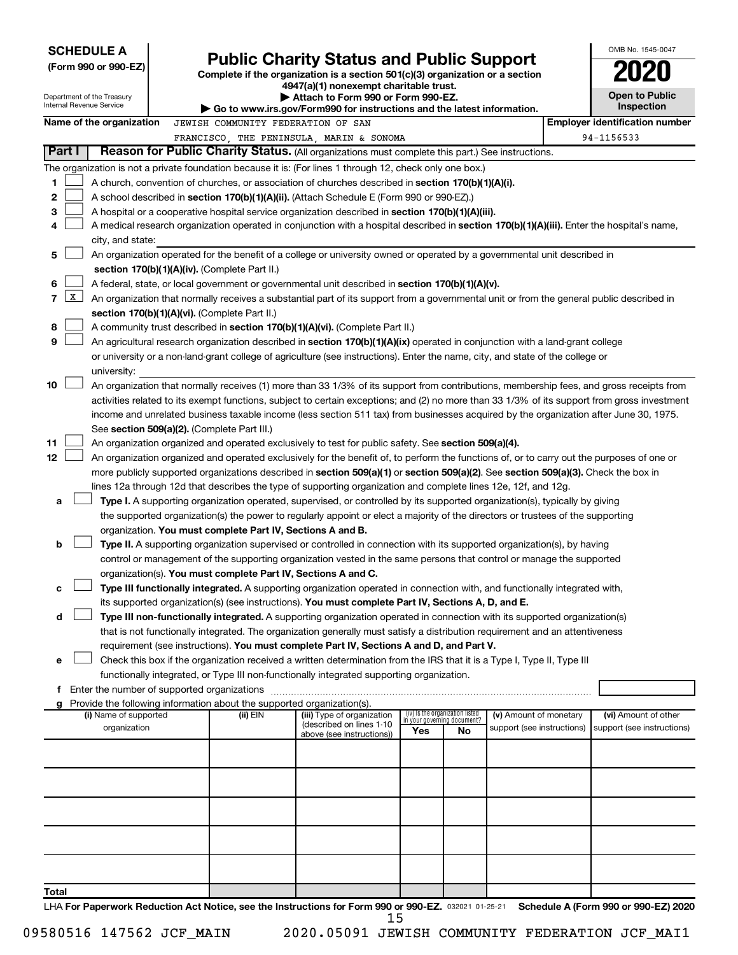| <b>SCHEDULE A</b><br>(Form 990 or 990-EZ) | <b>Public Charity Status and Public Support</b><br>Complete if the organization is a section $501(c)(3)$ organization or a section<br>4947(a)(1) nonexempt charitable trust. | OMB No. 1545-004<br>2020 |
|-------------------------------------------|------------------------------------------------------------------------------------------------------------------------------------------------------------------------------|--------------------------|
| Department of the Treasury                | Attach to Form 990 or Form 990-EZ.                                                                                                                                           | Open to Publi            |
| Internal Revenue Service                  | $\blacktriangleright$ Go to www.irs.gov/Form990 for instructions and the latest information.                                                                                 | <b>Inspection</b>        |

| OMB No. 1545-0047             |
|-------------------------------|
| U                             |
| <b>Open to Public</b><br>nooi |

|    |                     | Department of the Treasury<br>Internal Revenue Service                                                                                     |  |                                                                        | Write the Louisia and Colling and Louisian Andrews A<br>Go to www.irs.gov/Form990 for instructions and the latest information.               |                                 |                             |                            |  | <b>OPULLY LAN</b><br>Inspection       |  |
|----|---------------------|--------------------------------------------------------------------------------------------------------------------------------------------|--|------------------------------------------------------------------------|----------------------------------------------------------------------------------------------------------------------------------------------|---------------------------------|-----------------------------|----------------------------|--|---------------------------------------|--|
|    |                     | Name of the organization                                                                                                                   |  | JEWISH COMMUNITY FEDERATION OF SAN                                     |                                                                                                                                              |                                 |                             |                            |  | <b>Employer identification number</b> |  |
|    |                     |                                                                                                                                            |  |                                                                        | FRANCISCO, THE PENINSULA, MARIN & SONOMA                                                                                                     |                                 |                             |                            |  | 94-1156533                            |  |
|    | Part I              |                                                                                                                                            |  |                                                                        | <b>Reason for Public Charity Status.</b> (All organizations must complete this part.) See instructions.                                      |                                 |                             |                            |  |                                       |  |
|    |                     |                                                                                                                                            |  |                                                                        |                                                                                                                                              |                                 |                             |                            |  |                                       |  |
|    |                     |                                                                                                                                            |  |                                                                        | The organization is not a private foundation because it is: (For lines 1 through 12, check only one box.)                                    |                                 |                             |                            |  |                                       |  |
| 1. |                     |                                                                                                                                            |  |                                                                        | A church, convention of churches, or association of churches described in <b>section 170(b)(1)(A)(i).</b>                                    |                                 |                             |                            |  |                                       |  |
| 2  |                     |                                                                                                                                            |  |                                                                        | A school described in section 170(b)(1)(A)(ii). (Attach Schedule E (Form 990 or 990-EZ).)                                                    |                                 |                             |                            |  |                                       |  |
| з  |                     | A hospital or a cooperative hospital service organization described in section 170(b)(1)(A)(iii).                                          |  |                                                                        |                                                                                                                                              |                                 |                             |                            |  |                                       |  |
| 4  |                     | A medical research organization operated in conjunction with a hospital described in section 170(b)(1)(A)(iii). Enter the hospital's name, |  |                                                                        |                                                                                                                                              |                                 |                             |                            |  |                                       |  |
|    |                     | city, and state:                                                                                                                           |  |                                                                        |                                                                                                                                              |                                 |                             |                            |  |                                       |  |
| 5  |                     |                                                                                                                                            |  |                                                                        | An organization operated for the benefit of a college or university owned or operated by a governmental unit described in                    |                                 |                             |                            |  |                                       |  |
|    |                     |                                                                                                                                            |  | section 170(b)(1)(A)(iv). (Complete Part II.)                          |                                                                                                                                              |                                 |                             |                            |  |                                       |  |
| 6  |                     |                                                                                                                                            |  |                                                                        | A federal, state, or local government or governmental unit described in section 170(b)(1)(A)(v).                                             |                                 |                             |                            |  |                                       |  |
| 7  | $\lfloor x \rfloor$ |                                                                                                                                            |  |                                                                        | An organization that normally receives a substantial part of its support from a governmental unit or from the general public described in    |                                 |                             |                            |  |                                       |  |
|    |                     |                                                                                                                                            |  | section 170(b)(1)(A)(vi). (Complete Part II.)                          |                                                                                                                                              |                                 |                             |                            |  |                                       |  |
| 8  |                     |                                                                                                                                            |  |                                                                        | A community trust described in section 170(b)(1)(A)(vi). (Complete Part II.)                                                                 |                                 |                             |                            |  |                                       |  |
| 9  |                     |                                                                                                                                            |  |                                                                        | An agricultural research organization described in section 170(b)(1)(A)(ix) operated in conjunction with a land-grant college                |                                 |                             |                            |  |                                       |  |
|    |                     |                                                                                                                                            |  |                                                                        | or university or a non-land-grant college of agriculture (see instructions). Enter the name, city, and state of the college or               |                                 |                             |                            |  |                                       |  |
|    |                     | university:                                                                                                                                |  |                                                                        |                                                                                                                                              |                                 |                             |                            |  |                                       |  |
| 10 |                     |                                                                                                                                            |  |                                                                        | An organization that normally receives (1) more than 33 1/3% of its support from contributions, membership fees, and gross receipts from     |                                 |                             |                            |  |                                       |  |
|    |                     |                                                                                                                                            |  |                                                                        | activities related to its exempt functions, subject to certain exceptions; and (2) no more than 33 1/3% of its support from gross investment |                                 |                             |                            |  |                                       |  |
|    |                     |                                                                                                                                            |  |                                                                        | income and unrelated business taxable income (less section 511 tax) from businesses acquired by the organization after June 30, 1975.        |                                 |                             |                            |  |                                       |  |
|    |                     |                                                                                                                                            |  | See section 509(a)(2). (Complete Part III.)                            |                                                                                                                                              |                                 |                             |                            |  |                                       |  |
| 11 |                     |                                                                                                                                            |  |                                                                        | An organization organized and operated exclusively to test for public safety. See section 509(a)(4).                                         |                                 |                             |                            |  |                                       |  |
| 12 |                     |                                                                                                                                            |  |                                                                        | An organization organized and operated exclusively for the benefit of, to perform the functions of, or to carry out the purposes of one or   |                                 |                             |                            |  |                                       |  |
|    |                     |                                                                                                                                            |  |                                                                        | more publicly supported organizations described in section 509(a)(1) or section 509(a)(2). See section 509(a)(3). Check the box in           |                                 |                             |                            |  |                                       |  |
|    |                     |                                                                                                                                            |  |                                                                        | lines 12a through 12d that describes the type of supporting organization and complete lines 12e, 12f, and 12g.                               |                                 |                             |                            |  |                                       |  |
| а  |                     |                                                                                                                                            |  |                                                                        | Type I. A supporting organization operated, supervised, or controlled by its supported organization(s), typically by giving                  |                                 |                             |                            |  |                                       |  |
|    |                     |                                                                                                                                            |  |                                                                        | the supported organization(s) the power to regularly appoint or elect a majority of the directors or trustees of the supporting              |                                 |                             |                            |  |                                       |  |
|    |                     |                                                                                                                                            |  | organization. You must complete Part IV, Sections A and B.             |                                                                                                                                              |                                 |                             |                            |  |                                       |  |
| b  |                     |                                                                                                                                            |  |                                                                        | Type II. A supporting organization supervised or controlled in connection with its supported organization(s), by having                      |                                 |                             |                            |  |                                       |  |
|    |                     |                                                                                                                                            |  |                                                                        | control or management of the supporting organization vested in the same persons that control or manage the supported                         |                                 |                             |                            |  |                                       |  |
|    |                     |                                                                                                                                            |  | organization(s). You must complete Part IV, Sections A and C.          |                                                                                                                                              |                                 |                             |                            |  |                                       |  |
| с  |                     |                                                                                                                                            |  |                                                                        | Type III functionally integrated. A supporting organization operated in connection with, and functionally integrated with,                   |                                 |                             |                            |  |                                       |  |
|    |                     |                                                                                                                                            |  |                                                                        | its supported organization(s) (see instructions). You must complete Part IV, Sections A, D, and E.                                           |                                 |                             |                            |  |                                       |  |
| d  |                     |                                                                                                                                            |  |                                                                        | Type III non-functionally integrated. A supporting organization operated in connection with its supported organization(s)                    |                                 |                             |                            |  |                                       |  |
|    |                     |                                                                                                                                            |  |                                                                        | that is not functionally integrated. The organization generally must satisfy a distribution requirement and an attentiveness                 |                                 |                             |                            |  |                                       |  |
|    |                     |                                                                                                                                            |  |                                                                        | requirement (see instructions). You must complete Part IV, Sections A and D, and Part V.                                                     |                                 |                             |                            |  |                                       |  |
| е  |                     |                                                                                                                                            |  |                                                                        | Check this box if the organization received a written determination from the IRS that it is a Type I, Type II, Type III                      |                                 |                             |                            |  |                                       |  |
|    |                     |                                                                                                                                            |  |                                                                        | functionally integrated, or Type III non-functionally integrated supporting organization.                                                    |                                 |                             |                            |  |                                       |  |
| f  |                     | Enter the number of supported organizations                                                                                                |  |                                                                        |                                                                                                                                              |                                 |                             |                            |  |                                       |  |
| g  |                     |                                                                                                                                            |  | Provide the following information about the supported organization(s). |                                                                                                                                              |                                 |                             |                            |  |                                       |  |
|    |                     | (i) Name of supported                                                                                                                      |  | (ii) EIN                                                               | (iii) Type of organization                                                                                                                   | (iv) Is the organization listed | in your governing document? | (v) Amount of monetary     |  | (vi) Amount of other                  |  |
|    |                     | organization                                                                                                                               |  |                                                                        | (described on lines 1-10<br>above (see instructions))                                                                                        | Yes                             | No                          | support (see instructions) |  | support (see instructions)            |  |
|    |                     |                                                                                                                                            |  |                                                                        |                                                                                                                                              |                                 |                             |                            |  |                                       |  |
|    |                     |                                                                                                                                            |  |                                                                        |                                                                                                                                              |                                 |                             |                            |  |                                       |  |
|    |                     |                                                                                                                                            |  |                                                                        |                                                                                                                                              |                                 |                             |                            |  |                                       |  |
|    |                     |                                                                                                                                            |  |                                                                        |                                                                                                                                              |                                 |                             |                            |  |                                       |  |
|    |                     |                                                                                                                                            |  |                                                                        |                                                                                                                                              |                                 |                             |                            |  |                                       |  |
|    |                     |                                                                                                                                            |  |                                                                        |                                                                                                                                              |                                 |                             |                            |  |                                       |  |
|    |                     |                                                                                                                                            |  |                                                                        |                                                                                                                                              |                                 |                             |                            |  |                                       |  |
|    |                     |                                                                                                                                            |  |                                                                        |                                                                                                                                              |                                 |                             |                            |  |                                       |  |
|    |                     |                                                                                                                                            |  |                                                                        |                                                                                                                                              |                                 |                             |                            |  |                                       |  |
|    |                     |                                                                                                                                            |  |                                                                        |                                                                                                                                              |                                 |                             |                            |  |                                       |  |

**Total**

LHA For Paperwork Reduction Act Notice, see the Instructions for Form 990 or 990-EZ. 032021 01-25-21 Schedule A (Form 990 or 990-EZ) 2020 15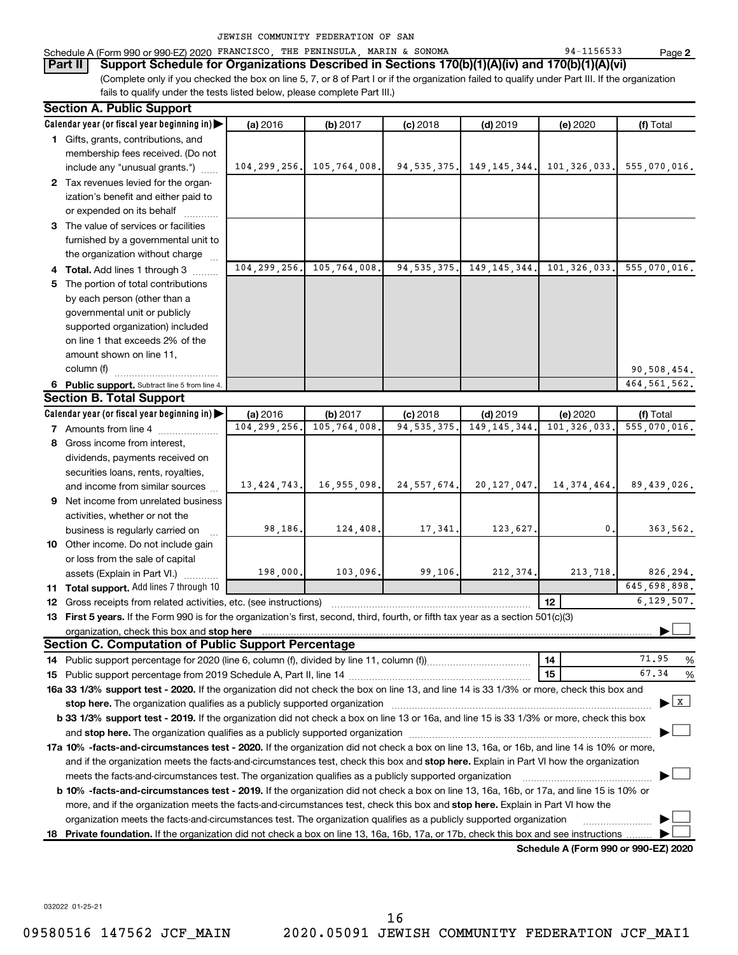|  | JEWISH COMMUNITY FEDERATION OF SAN |  |  |
|--|------------------------------------|--|--|
|  |                                    |  |  |

#### Schedule A (Form 990 or 990-EZ) 2020 FRANCISCO, THE PENINSULA, MARIN & SONOMA 94-1156533 Page

(Complete only if you checked the box on line 5, 7, or 8 of Part I or if the organization failed to qualify under Part III. If the organization fails to qualify under the tests listed below, please complete Part III.) **Part II Support Schedule for Organizations Described in Sections 170(b)(1)(A)(iv) and 170(b)(1)(A)(vi)**

| <b>Section A. Public Support</b>                                                                                                                                                                                                    |                |              |               |                |                                      |                                    |
|-------------------------------------------------------------------------------------------------------------------------------------------------------------------------------------------------------------------------------------|----------------|--------------|---------------|----------------|--------------------------------------|------------------------------------|
| Calendar year (or fiscal year beginning in)                                                                                                                                                                                         | (a) 2016       | (b) 2017     | $(c)$ 2018    | $(d)$ 2019     | (e) 2020                             | (f) Total                          |
| 1 Gifts, grants, contributions, and                                                                                                                                                                                                 |                |              |               |                |                                      |                                    |
| membership fees received. (Do not                                                                                                                                                                                                   |                |              |               |                |                                      |                                    |
| include any "unusual grants.")                                                                                                                                                                                                      | 104, 299, 256. | 105,764,008. | 94, 535, 375. | 149, 145, 344. | 101,326,033.                         | 555,070,016.                       |
| 2 Tax revenues levied for the organ-                                                                                                                                                                                                |                |              |               |                |                                      |                                    |
| ization's benefit and either paid to                                                                                                                                                                                                |                |              |               |                |                                      |                                    |
| or expended on its behalf                                                                                                                                                                                                           |                |              |               |                |                                      |                                    |
| 3 The value of services or facilities                                                                                                                                                                                               |                |              |               |                |                                      |                                    |
| furnished by a governmental unit to                                                                                                                                                                                                 |                |              |               |                |                                      |                                    |
| the organization without charge                                                                                                                                                                                                     |                |              |               |                |                                      |                                    |
| 4 Total. Add lines 1 through 3                                                                                                                                                                                                      | 104, 299, 256. | 105,764,008. | 94, 535, 375. | 149, 145, 344. | 101,326,033.                         | 555,070,016.                       |
| 5 The portion of total contributions                                                                                                                                                                                                |                |              |               |                |                                      |                                    |
| by each person (other than a                                                                                                                                                                                                        |                |              |               |                |                                      |                                    |
| governmental unit or publicly                                                                                                                                                                                                       |                |              |               |                |                                      |                                    |
| supported organization) included                                                                                                                                                                                                    |                |              |               |                |                                      |                                    |
| on line 1 that exceeds 2% of the                                                                                                                                                                                                    |                |              |               |                |                                      |                                    |
| amount shown on line 11,                                                                                                                                                                                                            |                |              |               |                |                                      |                                    |
| column (f)                                                                                                                                                                                                                          |                |              |               |                |                                      | 90,508,454.                        |
| 6 Public support. Subtract line 5 from line 4.                                                                                                                                                                                      |                |              |               |                |                                      | 464, 561, 562.                     |
| <b>Section B. Total Support</b>                                                                                                                                                                                                     |                |              |               |                |                                      |                                    |
| Calendar year (or fiscal year beginning in)                                                                                                                                                                                         | (a) 2016       | (b) 2017     | $(c)$ 2018    | $(d)$ 2019     | (e) 2020                             | (f) Total                          |
| <b>7</b> Amounts from line 4                                                                                                                                                                                                        | 104, 299, 256. | 105,764,008  | 94, 535, 375  | 149, 145, 344  | 101, 326, 033                        | 555,070,016.                       |
| 8 Gross income from interest,                                                                                                                                                                                                       |                |              |               |                |                                      |                                    |
| dividends, payments received on                                                                                                                                                                                                     |                |              |               |                |                                      |                                    |
| securities loans, rents, royalties,                                                                                                                                                                                                 |                |              |               |                |                                      |                                    |
| and income from similar sources                                                                                                                                                                                                     | 13, 424, 743.  | 16,955,098.  | 24, 557, 674. | 20, 127, 047.  | 14, 374, 464.                        | 89,439,026.                        |
| 9 Net income from unrelated business                                                                                                                                                                                                |                |              |               |                |                                      |                                    |
| activities, whether or not the                                                                                                                                                                                                      |                |              |               |                |                                      |                                    |
| business is regularly carried on                                                                                                                                                                                                    | 98,186.        | 124,408.     | 17,341.       | 123,627.       | $\mathbf 0$                          | 363,562.                           |
| 10 Other income. Do not include gain                                                                                                                                                                                                |                |              |               |                |                                      |                                    |
| or loss from the sale of capital                                                                                                                                                                                                    |                |              |               |                |                                      |                                    |
| assets (Explain in Part VI.)                                                                                                                                                                                                        | 198,000.       | 103,096.     | 99,106.       | 212,374.       | 213,718.                             | 826,294.                           |
| 11 Total support. Add lines 7 through 10                                                                                                                                                                                            |                |              |               |                |                                      | 645,698,898.                       |
| <b>12</b> Gross receipts from related activities, etc. (see instructions)                                                                                                                                                           |                |              |               |                | 12                                   | 6, 129, 507.                       |
| 13 First 5 years. If the Form 990 is for the organization's first, second, third, fourth, or fifth tax year as a section 501(c)(3)                                                                                                  |                |              |               |                |                                      |                                    |
| organization, check this box and stop here <b>construction and construction</b> construction of the state of the state of the state of the state of the state of the state of the state of the state of the state of the state of t |                |              |               |                |                                      |                                    |
| <b>Section C. Computation of Public Support Percentage</b>                                                                                                                                                                          |                |              |               |                |                                      |                                    |
|                                                                                                                                                                                                                                     |                |              |               |                | 14                                   | 71.95<br>%                         |
|                                                                                                                                                                                                                                     |                |              |               |                | 15                                   | 67.34<br>%                         |
| 16a 33 1/3% support test - 2020. If the organization did not check the box on line 13, and line 14 is 33 1/3% or more, check this box and                                                                                           |                |              |               |                |                                      |                                    |
| stop here. The organization qualifies as a publicly supported organization [11] manuscription contraction and the organization control of the organization control of the organization control of the state of the state of th      |                |              |               |                |                                      | $\blacktriangleright$ $\mathbf{X}$ |
| b 33 1/3% support test - 2019. If the organization did not check a box on line 13 or 16a, and line 15 is 33 1/3% or more, check this box                                                                                            |                |              |               |                |                                      |                                    |
|                                                                                                                                                                                                                                     |                |              |               |                |                                      |                                    |
| 17a 10% -facts-and-circumstances test - 2020. If the organization did not check a box on line 13, 16a, or 16b, and line 14 is 10% or more,                                                                                          |                |              |               |                |                                      |                                    |
| and if the organization meets the facts-and-circumstances test, check this box and stop here. Explain in Part VI how the organization                                                                                               |                |              |               |                |                                      |                                    |
| meets the facts-and-circumstances test. The organization qualifies as a publicly supported organization                                                                                                                             |                |              |               |                |                                      |                                    |
| <b>b 10% -facts-and-circumstances test - 2019.</b> If the organization did not check a box on line 13, 16a, 16b, or 17a, and line 15 is 10% or                                                                                      |                |              |               |                |                                      |                                    |
| more, and if the organization meets the facts-and-circumstances test, check this box and stop here. Explain in Part VI how the                                                                                                      |                |              |               |                |                                      |                                    |
| organization meets the facts-and-circumstances test. The organization qualifies as a publicly supported organization                                                                                                                |                |              |               |                |                                      |                                    |
| 18 Private foundation. If the organization did not check a box on line 13, 16a, 16b, 17a, or 17b, check this box and see instructions                                                                                               |                |              |               |                |                                      |                                    |
|                                                                                                                                                                                                                                     |                |              |               |                | Schodule A (Form 990 or 990-F7) 2020 |                                    |

**Schedule A (Form 990 or 990-EZ) 2020**

032022 01-25-21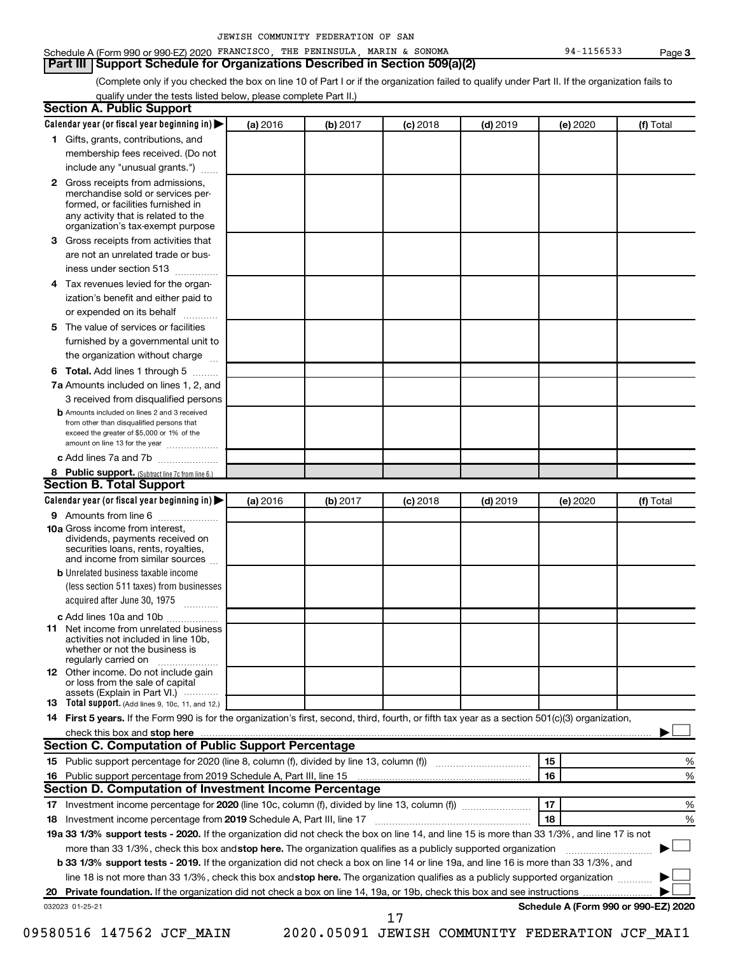# Schedule A (Form 990 or 990-EZ) 2020 FRANCISCO, THE PENINSULA, MARIN & SONOMA 94-1156533 Page

#### **Part III Support Schedule for Organizations Described in Section 509(a)(2)**

(Complete only if you checked the box on line 10 of Part I or if the organization failed to qualify under Part II. If the organization fails to qualify under the tests listed below, please complete Part II.)

| <b>Section A. Public Support</b>                                                                                                                                                                                                     |          |          |            |            |          |                                      |
|--------------------------------------------------------------------------------------------------------------------------------------------------------------------------------------------------------------------------------------|----------|----------|------------|------------|----------|--------------------------------------|
| Calendar year (or fiscal year beginning in)                                                                                                                                                                                          | (a) 2016 | (b) 2017 | $(c)$ 2018 | $(d)$ 2019 | (e) 2020 | (f) Total                            |
| 1 Gifts, grants, contributions, and                                                                                                                                                                                                  |          |          |            |            |          |                                      |
| membership fees received. (Do not                                                                                                                                                                                                    |          |          |            |            |          |                                      |
| include any "unusual grants.")                                                                                                                                                                                                       |          |          |            |            |          |                                      |
| 2 Gross receipts from admissions,<br>merchandise sold or services per-<br>formed, or facilities furnished in<br>any activity that is related to the<br>organization's tax-exempt purpose                                             |          |          |            |            |          |                                      |
| 3 Gross receipts from activities that                                                                                                                                                                                                |          |          |            |            |          |                                      |
| are not an unrelated trade or bus-                                                                                                                                                                                                   |          |          |            |            |          |                                      |
| iness under section 513                                                                                                                                                                                                              |          |          |            |            |          |                                      |
| 4 Tax revenues levied for the organ-                                                                                                                                                                                                 |          |          |            |            |          |                                      |
| ization's benefit and either paid to<br>or expended on its behalf                                                                                                                                                                    |          |          |            |            |          |                                      |
| 5 The value of services or facilities                                                                                                                                                                                                |          |          |            |            |          |                                      |
| furnished by a governmental unit to                                                                                                                                                                                                  |          |          |            |            |          |                                      |
| the organization without charge                                                                                                                                                                                                      |          |          |            |            |          |                                      |
| 6 Total. Add lines 1 through 5                                                                                                                                                                                                       |          |          |            |            |          |                                      |
| 7a Amounts included on lines 1, 2, and                                                                                                                                                                                               |          |          |            |            |          |                                      |
| 3 received from disqualified persons                                                                                                                                                                                                 |          |          |            |            |          |                                      |
| <b>b</b> Amounts included on lines 2 and 3 received<br>from other than disqualified persons that<br>exceed the greater of \$5,000 or 1% of the<br>amount on line 13 for the year                                                     |          |          |            |            |          |                                      |
| c Add lines 7a and 7b                                                                                                                                                                                                                |          |          |            |            |          |                                      |
| 8 Public support. (Subtract line 7c from line 6.)                                                                                                                                                                                    |          |          |            |            |          |                                      |
| <b>Section B. Total Support</b>                                                                                                                                                                                                      |          |          |            |            |          |                                      |
| Calendar year (or fiscal year beginning in)                                                                                                                                                                                          | (a) 2016 | (b) 2017 | $(c)$ 2018 | $(d)$ 2019 | (e) 2020 | (f) Total                            |
| 9 Amounts from line 6                                                                                                                                                                                                                |          |          |            |            |          |                                      |
| <b>10a</b> Gross income from interest,<br>dividends, payments received on<br>securities loans, rents, royalties,<br>and income from similar sources                                                                                  |          |          |            |            |          |                                      |
| <b>b</b> Unrelated business taxable income                                                                                                                                                                                           |          |          |            |            |          |                                      |
| (less section 511 taxes) from businesses<br>acquired after June 30, 1975<br>$\frac{1}{2}$                                                                                                                                            |          |          |            |            |          |                                      |
| c Add lines 10a and 10b                                                                                                                                                                                                              |          |          |            |            |          |                                      |
| <b>11</b> Net income from unrelated business<br>activities not included in line 10b.<br>whether or not the business is<br>regularly carried on                                                                                       |          |          |            |            |          |                                      |
| 12 Other income. Do not include gain<br>or loss from the sale of capital<br>assets (Explain in Part VI.)                                                                                                                             |          |          |            |            |          |                                      |
| <b>13</b> Total support. (Add lines 9, 10c, 11, and 12.)                                                                                                                                                                             |          |          |            |            |          |                                      |
| 14 First 5 years. If the Form 990 is for the organization's first, second, third, fourth, or fifth tax year as a section 501(c)(3) organization,                                                                                     |          |          |            |            |          |                                      |
| check this box and stop here <b>contained and according to the set of the set of the set of the set of the set of the set of the set of the set of the set of the set of the set of the set of the set of the set of the set of </b> |          |          |            |            |          |                                      |
| <b>Section C. Computation of Public Support Percentage</b>                                                                                                                                                                           |          |          |            |            |          |                                      |
| 15 Public support percentage for 2020 (line 8, column (f), divided by line 13, column (f) <i></i>                                                                                                                                    |          |          |            |            | 15       | ℅                                    |
| 16 Public support percentage from 2019 Schedule A, Part III, line 15                                                                                                                                                                 |          |          |            |            | 16       | %                                    |
| Section D. Computation of Investment Income Percentage                                                                                                                                                                               |          |          |            |            |          |                                      |
|                                                                                                                                                                                                                                      |          |          |            |            | 17       | %                                    |
| 18 Investment income percentage from 2019 Schedule A, Part III, line 17                                                                                                                                                              |          |          |            |            | 18       | %                                    |
| 19a 33 1/3% support tests - 2020. If the organization did not check the box on line 14, and line 15 is more than 33 1/3%, and line 17 is not                                                                                         |          |          |            |            |          |                                      |
| more than 33 1/3%, check this box and stop here. The organization qualifies as a publicly supported organization                                                                                                                     |          |          |            |            |          |                                      |
| b 33 1/3% support tests - 2019. If the organization did not check a box on line 14 or line 19a, and line 16 is more than 33 1/3%, and                                                                                                |          |          |            |            |          |                                      |
| line 18 is not more than 33 1/3%, check this box and stop here. The organization qualifies as a publicly supported organization                                                                                                      |          |          |            |            |          |                                      |
|                                                                                                                                                                                                                                      |          |          |            |            |          |                                      |
| 032023 01-25-21                                                                                                                                                                                                                      |          |          | 17         |            |          | Schedule A (Form 990 or 990-EZ) 2020 |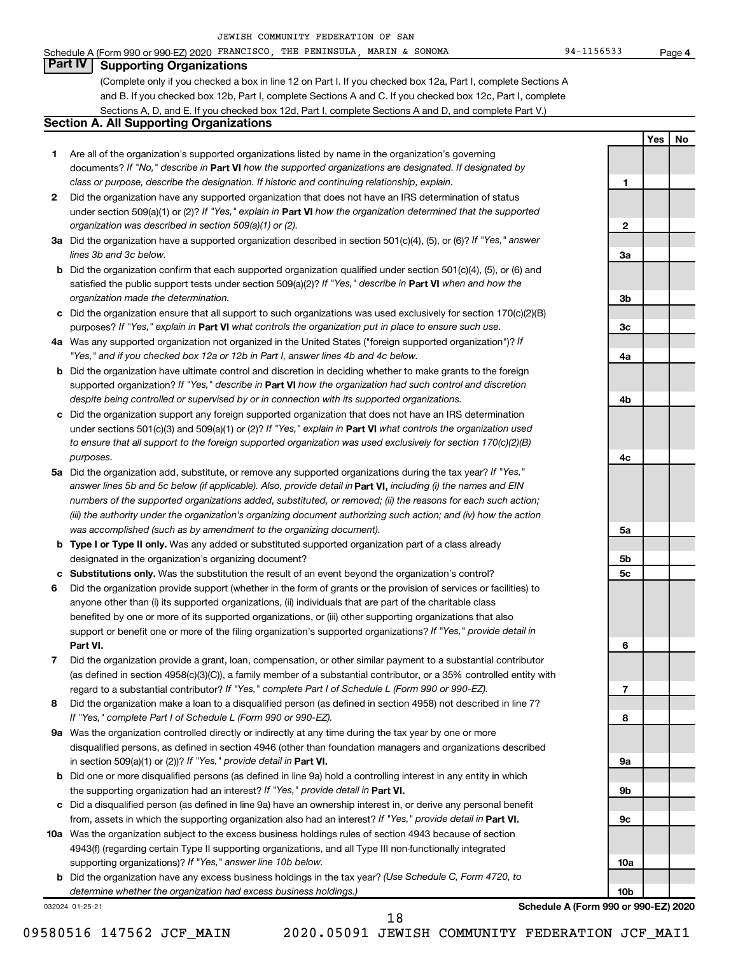# **Part IV Supporting Organizations**

(Complete only if you checked a box in line 12 on Part I. If you checked box 12a, Part I, complete Sections A and B. If you checked box 12b, Part I, complete Sections A and C. If you checked box 12c, Part I, complete Sections A, D, and E. If you checked box 12d, Part I, complete Sections A and D, and complete Part V.)

# **Section A. All Supporting Organizations**

- **1** Are all of the organization's supported organizations listed by name in the organization's governing documents? If "No," describe in Part VI how the supported organizations are designated. If designated by *class or purpose, describe the designation. If historic and continuing relationship, explain.*
- **2** Did the organization have any supported organization that does not have an IRS determination of status under section 509(a)(1) or (2)? If "Yes," explain in Part **VI** how the organization determined that the supported *organization was described in section 509(a)(1) or (2).*
- **3a** Did the organization have a supported organization described in section 501(c)(4), (5), or (6)? If "Yes," answer *lines 3b and 3c below.*
- **b** Did the organization confirm that each supported organization qualified under section 501(c)(4), (5), or (6) and satisfied the public support tests under section 509(a)(2)? If "Yes," describe in Part VI when and how the *organization made the determination.*
- **c** Did the organization ensure that all support to such organizations was used exclusively for section 170(c)(2)(B) purposes? If "Yes," explain in Part VI what controls the organization put in place to ensure such use.
- **4 a** *If* Was any supported organization not organized in the United States ("foreign supported organization")? *"Yes," and if you checked box 12a or 12b in Part I, answer lines 4b and 4c below.*
- **b** Did the organization have ultimate control and discretion in deciding whether to make grants to the foreign supported organization? If "Yes," describe in Part VI how the organization had such control and discretion *despite being controlled or supervised by or in connection with its supported organizations.*
- **c** Did the organization support any foreign supported organization that does not have an IRS determination under sections 501(c)(3) and 509(a)(1) or (2)? If "Yes," explain in Part VI what controls the organization used *to ensure that all support to the foreign supported organization was used exclusively for section 170(c)(2)(B) purposes.*
- **5a** Did the organization add, substitute, or remove any supported organizations during the tax year? If "Yes," answer lines 5b and 5c below (if applicable). Also, provide detail in **Part VI,** including (i) the names and EIN *numbers of the supported organizations added, substituted, or removed; (ii) the reasons for each such action; (iii) the authority under the organization's organizing document authorizing such action; and (iv) how the action was accomplished (such as by amendment to the organizing document).*
- **b** Type I or Type II only. Was any added or substituted supported organization part of a class already designated in the organization's organizing document?
- **c Substitutions only.**  Was the substitution the result of an event beyond the organization's control?
- **6** Did the organization provide support (whether in the form of grants or the provision of services or facilities) to **Part VI.** support or benefit one or more of the filing organization's supported organizations? If "Yes," provide detail in anyone other than (i) its supported organizations, (ii) individuals that are part of the charitable class benefited by one or more of its supported organizations, or (iii) other supporting organizations that also
- **7** Did the organization provide a grant, loan, compensation, or other similar payment to a substantial contributor regard to a substantial contributor? If "Yes," complete Part I of Schedule L (Form 990 or 990-EZ). (as defined in section 4958(c)(3)(C)), a family member of a substantial contributor, or a 35% controlled entity with
- **8** Did the organization make a loan to a disqualified person (as defined in section 4958) not described in line 7? *If "Yes," complete Part I of Schedule L (Form 990 or 990-EZ).*
- **9 a** Was the organization controlled directly or indirectly at any time during the tax year by one or more in section 509(a)(1) or (2))? If "Yes," provide detail in **Part VI.** disqualified persons, as defined in section 4946 (other than foundation managers and organizations described
- **b** Did one or more disqualified persons (as defined in line 9a) hold a controlling interest in any entity in which the supporting organization had an interest? If "Yes," provide detail in Part VI.
- **c** Did a disqualified person (as defined in line 9a) have an ownership interest in, or derive any personal benefit from, assets in which the supporting organization also had an interest? If "Yes," provide detail in Part VI.
- **10 a** Was the organization subject to the excess business holdings rules of section 4943 because of section supporting organizations)? If "Yes," answer line 10b below. 4943(f) (regarding certain Type II supporting organizations, and all Type III non-functionally integrated
	- **b** Did the organization have any excess business holdings in the tax year? (Use Schedule C, Form 4720, to *determine whether the organization had excess business holdings.)*

032024 01-25-21

**10b Schedule A (Form 990 or 990-EZ) 2020**

**1**

**2**

**3a**

**3b**

**3c**

**4a**

**4b**

**4c**

**5a**

**5b 5c**

**6**

**7**

**8**

**9a**

**9b**

**9c**

**10a**

**4**

**Yes No**

09580516 147562 JCF\_MAIN 2020.05091 JEWISH COMMUNITY FEDERATION JCF\_MAI1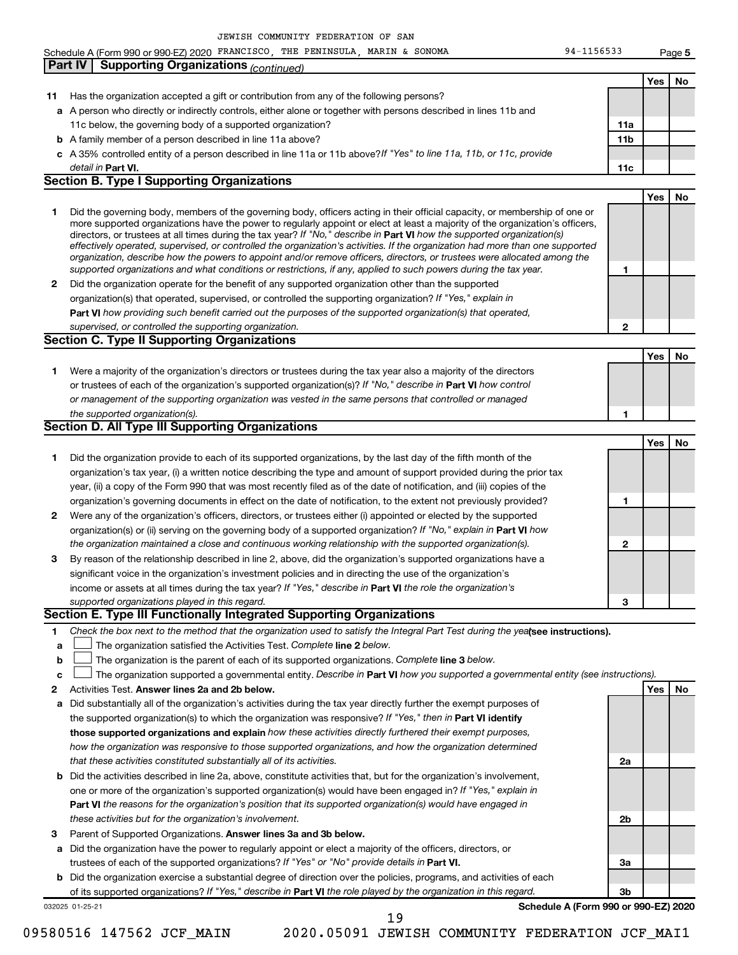**5**

Schedule A (Form 990 or 990-EZ) 2020 FRANCISCO, THE PENINSULA, MARIN & SONOMA 94-1156533 Page

|    | <b>Supporting Organizations (continued)</b><br>Part IV                                                                                                                                                                                                    |                 |     |    |
|----|-----------------------------------------------------------------------------------------------------------------------------------------------------------------------------------------------------------------------------------------------------------|-----------------|-----|----|
|    |                                                                                                                                                                                                                                                           |                 | Yes | No |
| 11 | Has the organization accepted a gift or contribution from any of the following persons?                                                                                                                                                                   |                 |     |    |
|    | a A person who directly or indirectly controls, either alone or together with persons described in lines 11b and                                                                                                                                          |                 |     |    |
|    | 11c below, the governing body of a supported organization?                                                                                                                                                                                                | 11a             |     |    |
|    | <b>b</b> A family member of a person described in line 11a above?                                                                                                                                                                                         | 11 <sub>b</sub> |     |    |
|    | c A 35% controlled entity of a person described in line 11a or 11b above?If "Yes" to line 11a, 11b, or 11c, provide                                                                                                                                       |                 |     |    |
|    | detail in Part VI.                                                                                                                                                                                                                                        | 11c             |     |    |
|    | <b>Section B. Type I Supporting Organizations</b>                                                                                                                                                                                                         |                 |     |    |
|    |                                                                                                                                                                                                                                                           |                 | Yes | No |
| 1  | Did the governing body, members of the governing body, officers acting in their official capacity, or membership of one or                                                                                                                                |                 |     |    |
|    | more supported organizations have the power to regularly appoint or elect at least a majority of the organization's officers,                                                                                                                             |                 |     |    |
|    | directors, or trustees at all times during the tax year? If "No," describe in Part VI how the supported organization(s)<br>effectively operated, supervised, or controlled the organization's activities. If the organization had more than one supported |                 |     |    |
|    | organization, describe how the powers to appoint and/or remove officers, directors, or trustees were allocated among the                                                                                                                                  |                 |     |    |
|    | supported organizations and what conditions or restrictions, if any, applied to such powers during the tax year.                                                                                                                                          | 1               |     |    |
| 2  | Did the organization operate for the benefit of any supported organization other than the supported                                                                                                                                                       |                 |     |    |
|    | organization(s) that operated, supervised, or controlled the supporting organization? If "Yes," explain in                                                                                                                                                |                 |     |    |
|    | Part VI how providing such benefit carried out the purposes of the supported organization(s) that operated,                                                                                                                                               |                 |     |    |
|    | supervised, or controlled the supporting organization.                                                                                                                                                                                                    | $\mathbf{2}$    |     |    |
|    | <b>Section C. Type II Supporting Organizations</b>                                                                                                                                                                                                        |                 |     |    |
|    |                                                                                                                                                                                                                                                           |                 | Yes | No |
| 1  | Were a majority of the organization's directors or trustees during the tax year also a majority of the directors                                                                                                                                          |                 |     |    |
|    | or trustees of each of the organization's supported organization(s)? If "No," describe in Part VI how control                                                                                                                                             |                 |     |    |
|    | or management of the supporting organization was vested in the same persons that controlled or managed                                                                                                                                                    |                 |     |    |
|    | the supported organization(s).                                                                                                                                                                                                                            | 1               |     |    |
|    | <b>Section D. All Type III Supporting Organizations</b>                                                                                                                                                                                                   |                 |     |    |
|    |                                                                                                                                                                                                                                                           |                 | Yes | No |
| 1  | Did the organization provide to each of its supported organizations, by the last day of the fifth month of the                                                                                                                                            |                 |     |    |
|    | organization's tax year, (i) a written notice describing the type and amount of support provided during the prior tax                                                                                                                                     |                 |     |    |
|    | year, (ii) a copy of the Form 990 that was most recently filed as of the date of notification, and (iii) copies of the                                                                                                                                    |                 |     |    |
|    | organization's governing documents in effect on the date of notification, to the extent not previously provided?                                                                                                                                          | 1               |     |    |
| 2  | Were any of the organization's officers, directors, or trustees either (i) appointed or elected by the supported                                                                                                                                          |                 |     |    |
|    | organization(s) or (ii) serving on the governing body of a supported organization? If "No," explain in Part VI how                                                                                                                                        |                 |     |    |
|    | the organization maintained a close and continuous working relationship with the supported organization(s).                                                                                                                                               | $\mathbf{2}$    |     |    |
| 3  | By reason of the relationship described in line 2, above, did the organization's supported organizations have a                                                                                                                                           |                 |     |    |
|    | significant voice in the organization's investment policies and in directing the use of the organization's                                                                                                                                                |                 |     |    |
|    | income or assets at all times during the tax year? If "Yes," describe in Part VI the role the organization's                                                                                                                                              |                 |     |    |
|    | supported organizations played in this regard.                                                                                                                                                                                                            | 3               |     |    |
|    | Section E. Type III Functionally Integrated Supporting Organizations                                                                                                                                                                                      |                 |     |    |
| 1  | Check the box next to the method that the organization used to satisfy the Integral Part Test during the yealsee instructions).                                                                                                                           |                 |     |    |
| a  | The organization satisfied the Activities Test. Complete line 2 below.                                                                                                                                                                                    |                 |     |    |
| b  | The organization is the parent of each of its supported organizations. Complete line 3 below.                                                                                                                                                             |                 |     |    |
| c  | The organization supported a governmental entity. Describe in Part VI how you supported a governmental entity (see instructions).                                                                                                                         |                 |     |    |
| 2  | Activities Test. Answer lines 2a and 2b below.                                                                                                                                                                                                            |                 | Yes | No |
| а  | Did substantially all of the organization's activities during the tax year directly further the exempt purposes of                                                                                                                                        |                 |     |    |
|    | the supported organization(s) to which the organization was responsive? If "Yes," then in Part VI identify                                                                                                                                                |                 |     |    |
|    | those supported organizations and explain how these activities directly furthered their exempt purposes,                                                                                                                                                  |                 |     |    |
|    | how the organization was responsive to those supported organizations, and how the organization determined                                                                                                                                                 |                 |     |    |
|    | that these activities constituted substantially all of its activities.                                                                                                                                                                                    | 2a              |     |    |
| b  | Did the activities described in line 2a, above, constitute activities that, but for the organization's involvement,                                                                                                                                       |                 |     |    |
|    | one or more of the organization's supported organization(s) would have been engaged in? If "Yes," explain in                                                                                                                                              |                 |     |    |
|    | Part VI the reasons for the organization's position that its supported organization(s) would have engaged in                                                                                                                                              |                 |     |    |
|    | these activities but for the organization's involvement.                                                                                                                                                                                                  | 2b              |     |    |
| з  | Parent of Supported Organizations. Answer lines 3a and 3b below.                                                                                                                                                                                          |                 |     |    |
| а  | Did the organization have the power to regularly appoint or elect a majority of the officers, directors, or                                                                                                                                               |                 |     |    |
|    | trustees of each of the supported organizations? If "Yes" or "No" provide details in Part VI.                                                                                                                                                             | За              |     |    |
|    | <b>b</b> Did the organization exercise a substantial degree of direction over the policies, programs, and activities of each                                                                                                                              |                 |     |    |
|    | of its supported organizations? If "Yes," describe in Part VI the role played by the organization in this regard.                                                                                                                                         | Зb              |     |    |
|    | Schedule A (Form 990 or 990-EZ) 2020<br>032025 01-25-21                                                                                                                                                                                                   |                 |     |    |
|    | 19                                                                                                                                                                                                                                                        |                 |     |    |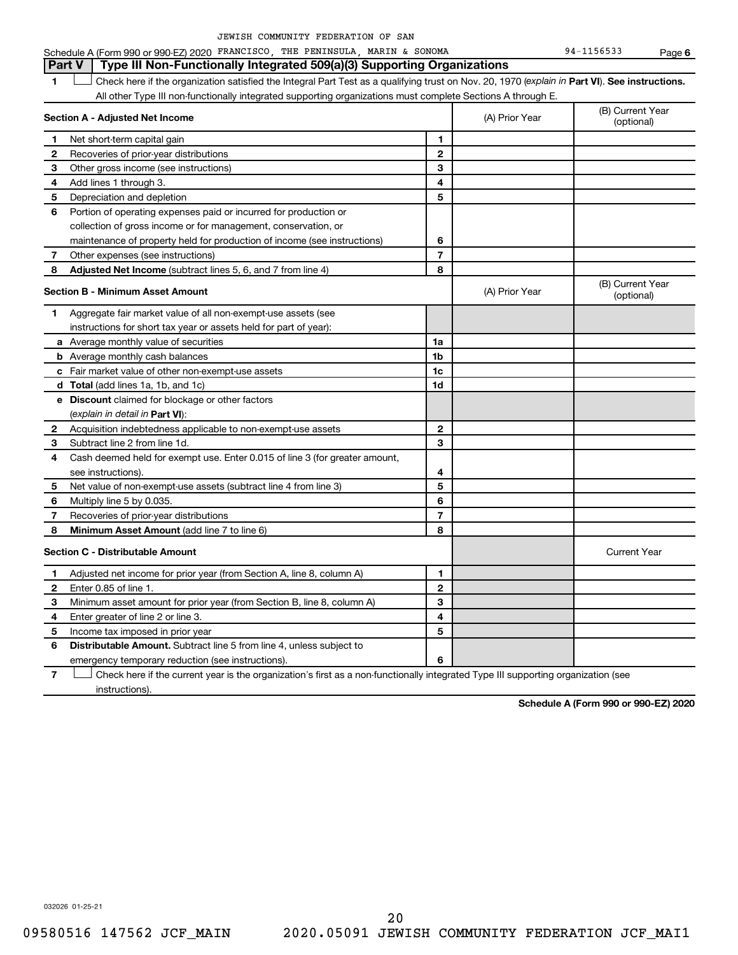|  | JEWISH COMMUNITY FEDERATION OF SAN |  |  |
|--|------------------------------------|--|--|
|  |                                    |  |  |

Schedule A (Form 990 or 990-EZ) 2020 FRANCISCO, THE PENINSULA, MARIN & SONOMA 94-1156533 Page

**6**

**Part V Type III Non-Functionally Integrated 509(a)(3) Supporting Organizations** 

1 **Letter See instructions.** Check here if the organization satisfied the Integral Part Test as a qualifying trust on Nov. 20, 1970 (*explain in* Part **VI**). See instructions. All other Type III non-functionally integrated supporting organizations must complete Sections A through E.

|              | Section A - Adjusted Net Income                                             |                | (A) Prior Year | (B) Current Year<br>(optional) |
|--------------|-----------------------------------------------------------------------------|----------------|----------------|--------------------------------|
| 1            | Net short-term capital gain                                                 | 1              |                |                                |
| $\mathbf{2}$ | Recoveries of prior-year distributions                                      | $\mathbf{2}$   |                |                                |
| 3            | Other gross income (see instructions)                                       | 3              |                |                                |
| 4            | Add lines 1 through 3.                                                      | 4              |                |                                |
| 5            | Depreciation and depletion                                                  | 5              |                |                                |
| 6            | Portion of operating expenses paid or incurred for production or            |                |                |                                |
|              | collection of gross income or for management, conservation, or              |                |                |                                |
|              | maintenance of property held for production of income (see instructions)    | 6              |                |                                |
| 7            | Other expenses (see instructions)                                           | $\overline{7}$ |                |                                |
| 8            | Adjusted Net Income (subtract lines 5, 6, and 7 from line 4)                | 8              |                |                                |
|              | <b>Section B - Minimum Asset Amount</b>                                     |                | (A) Prior Year | (B) Current Year<br>(optional) |
| 1            | Aggregate fair market value of all non-exempt-use assets (see               |                |                |                                |
|              | instructions for short tax year or assets held for part of year):           |                |                |                                |
|              | a Average monthly value of securities                                       | 1a             |                |                                |
|              | <b>b</b> Average monthly cash balances                                      | 1b             |                |                                |
|              | c Fair market value of other non-exempt-use assets                          | 1c             |                |                                |
|              | d Total (add lines 1a, 1b, and 1c)                                          | 1d             |                |                                |
|              | e Discount claimed for blockage or other factors                            |                |                |                                |
|              | (explain in detail in Part VI):                                             |                |                |                                |
| 2            | Acquisition indebtedness applicable to non-exempt-use assets                | $\mathbf{2}$   |                |                                |
| З            | Subtract line 2 from line 1d.                                               | 3              |                |                                |
| 4            | Cash deemed held for exempt use. Enter 0.015 of line 3 (for greater amount, |                |                |                                |
|              | see instructions)                                                           | 4              |                |                                |
| 5            | Net value of non-exempt-use assets (subtract line 4 from line 3)            | 5              |                |                                |
| 6            | Multiply line 5 by 0.035.                                                   | 6              |                |                                |
| 7            | Recoveries of prior-year distributions                                      | 7              |                |                                |
| 8            | Minimum Asset Amount (add line 7 to line 6)                                 | 8              |                |                                |
|              | <b>Section C - Distributable Amount</b>                                     |                |                | <b>Current Year</b>            |
| $\mathbf 1$  | Adjusted net income for prior year (from Section A, line 8, column A)       | 1              |                |                                |
| $\mathbf{2}$ | Enter 0.85 of line 1.                                                       | $\overline{2}$ |                |                                |
| з            | Minimum asset amount for prior year (from Section B, line 8, column A)      | 3              |                |                                |
| 4            | Enter greater of line 2 or line 3.                                          | 4              |                |                                |
| 5            | Income tax imposed in prior year                                            | 5              |                |                                |
| 6            | Distributable Amount. Subtract line 5 from line 4, unless subject to        |                |                |                                |
|              | emergency temporary reduction (see instructions).                           | 6              |                |                                |

**7** Check here if the current year is the organization's first as a non-functionally integrated Type III supporting organization (see † instructions).

**Schedule A (Form 990 or 990-EZ) 2020**

032026 01-25-21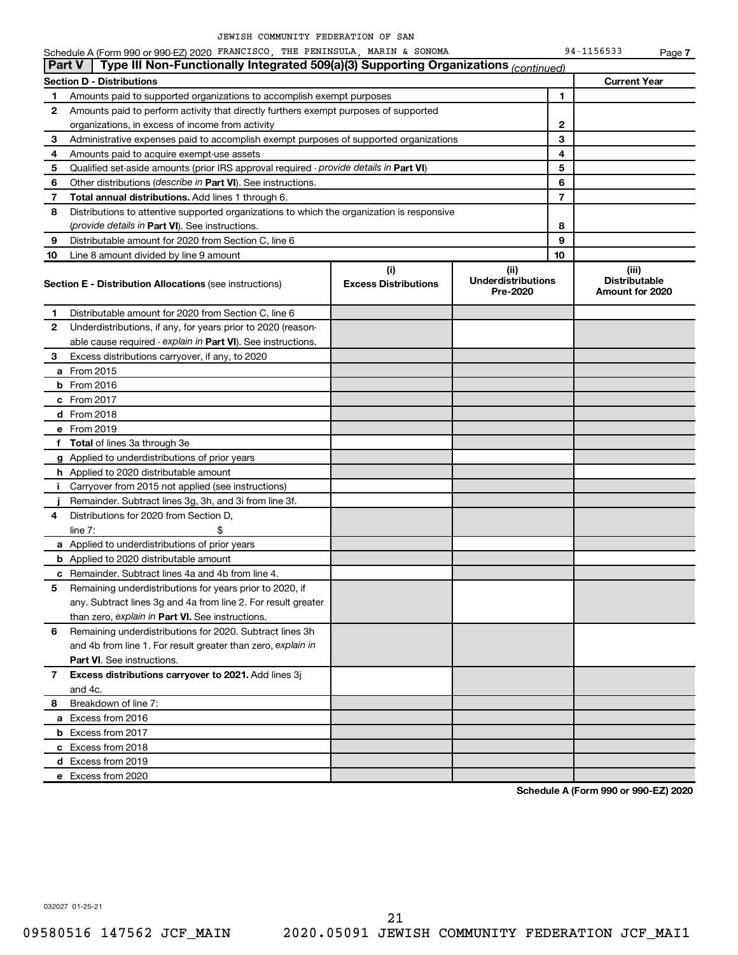Schedule A (Form 990 or 990-EZ) 2020 FRANCISCO, THE PENINSULA, MARIN & SONOMA 94-1156533 Page

|    | Schedule A (Form 990 or 990-EZ) 2020 FRANCISCO, THE PENINSULA, MARIN & SONOMA                 |                                    |                                               |                | 94-1156533                                       | Page 7 |
|----|-----------------------------------------------------------------------------------------------|------------------------------------|-----------------------------------------------|----------------|--------------------------------------------------|--------|
|    | Type III Non-Functionally Integrated 509(a)(3) Supporting Organizations (continued)<br>Part V |                                    |                                               |                |                                                  |        |
|    | Section D - Distributions                                                                     |                                    |                                               |                | <b>Current Year</b>                              |        |
| 1  | Amounts paid to supported organizations to accomplish exempt purposes                         |                                    |                                               | 1              |                                                  |        |
| 2  | Amounts paid to perform activity that directly furthers exempt purposes of supported          |                                    |                                               |                |                                                  |        |
|    | organizations, in excess of income from activity                                              |                                    |                                               | 2              |                                                  |        |
| 3  | Administrative expenses paid to accomplish exempt purposes of supported organizations         |                                    |                                               | 3              |                                                  |        |
| 4  | Amounts paid to acquire exempt-use assets                                                     |                                    |                                               | 4              |                                                  |        |
| 5  | Qualified set-aside amounts (prior IRS approval required - provide details in Part VI)        |                                    |                                               | 5              |                                                  |        |
| 6  | Other distributions ( <i>describe in Part VI</i> ). See instructions.                         |                                    |                                               | 6              |                                                  |        |
| 7  | <b>Total annual distributions.</b> Add lines 1 through 6.                                     |                                    |                                               | $\overline{7}$ |                                                  |        |
| 8  | Distributions to attentive supported organizations to which the organization is responsive    |                                    |                                               |                |                                                  |        |
|    | (provide details in Part VI). See instructions.                                               |                                    |                                               | 8              |                                                  |        |
| 9  | Distributable amount for 2020 from Section C, line 6                                          |                                    |                                               | 9              |                                                  |        |
| 10 | Line 8 amount divided by line 9 amount                                                        |                                    |                                               | 10             |                                                  |        |
|    | <b>Section E - Distribution Allocations (see instructions)</b>                                | (i)<br><b>Excess Distributions</b> | (ii)<br><b>Underdistributions</b><br>Pre-2020 |                | (iii)<br><b>Distributable</b><br>Amount for 2020 |        |
| 1  | Distributable amount for 2020 from Section C, line 6                                          |                                    |                                               |                |                                                  |        |
| 2  | Underdistributions, if any, for years prior to 2020 (reason-                                  |                                    |                                               |                |                                                  |        |
|    | able cause required - explain in Part VI). See instructions.                                  |                                    |                                               |                |                                                  |        |
| 3  | Excess distributions carryover, if any, to 2020                                               |                                    |                                               |                |                                                  |        |
|    | <b>a</b> From 2015                                                                            |                                    |                                               |                |                                                  |        |
|    | <b>b</b> From 2016                                                                            |                                    |                                               |                |                                                  |        |
|    | c From $2017$                                                                                 |                                    |                                               |                |                                                  |        |
|    | <b>d</b> From 2018                                                                            |                                    |                                               |                |                                                  |        |
|    | e From 2019                                                                                   |                                    |                                               |                |                                                  |        |
|    | f Total of lines 3a through 3e                                                                |                                    |                                               |                |                                                  |        |
|    | g Applied to underdistributions of prior years                                                |                                    |                                               |                |                                                  |        |
|    | <b>h</b> Applied to 2020 distributable amount                                                 |                                    |                                               |                |                                                  |        |
| i. | Carryover from 2015 not applied (see instructions)                                            |                                    |                                               |                |                                                  |        |
|    | Remainder. Subtract lines 3g, 3h, and 3i from line 3f.                                        |                                    |                                               |                |                                                  |        |
| 4  | Distributions for 2020 from Section D,                                                        |                                    |                                               |                |                                                  |        |
|    | \$<br>line $7:$                                                                               |                                    |                                               |                |                                                  |        |
|    | a Applied to underdistributions of prior years                                                |                                    |                                               |                |                                                  |        |
|    | <b>b</b> Applied to 2020 distributable amount                                                 |                                    |                                               |                |                                                  |        |
|    | c Remainder. Subtract lines 4a and 4b from line 4.                                            |                                    |                                               |                |                                                  |        |
|    | Remaining underdistributions for years prior to 2020, if                                      |                                    |                                               |                |                                                  |        |
|    | any. Subtract lines 3q and 4a from line 2. For result greater                                 |                                    |                                               |                |                                                  |        |
|    | than zero, explain in Part VI. See instructions.                                              |                                    |                                               |                |                                                  |        |
| 6  | Remaining underdistributions for 2020. Subtract lines 3h                                      |                                    |                                               |                |                                                  |        |
|    | and 4b from line 1. For result greater than zero, explain in                                  |                                    |                                               |                |                                                  |        |
|    | <b>Part VI.</b> See instructions.                                                             |                                    |                                               |                |                                                  |        |
| 7  | Excess distributions carryover to 2021. Add lines 3j                                          |                                    |                                               |                |                                                  |        |
|    | and 4c.                                                                                       |                                    |                                               |                |                                                  |        |
| 8  | Breakdown of line 7:                                                                          |                                    |                                               |                |                                                  |        |
|    | a Excess from 2016                                                                            |                                    |                                               |                |                                                  |        |
|    | <b>b</b> Excess from 2017                                                                     |                                    |                                               |                |                                                  |        |
|    | c Excess from 2018                                                                            |                                    |                                               |                |                                                  |        |
|    | d Excess from 2019                                                                            |                                    |                                               |                |                                                  |        |
|    | e Excess from 2020                                                                            |                                    |                                               |                |                                                  |        |
|    |                                                                                               |                                    |                                               |                |                                                  |        |

**Schedule A (Form 990 or 990-EZ) 2020**

032027 01-25-21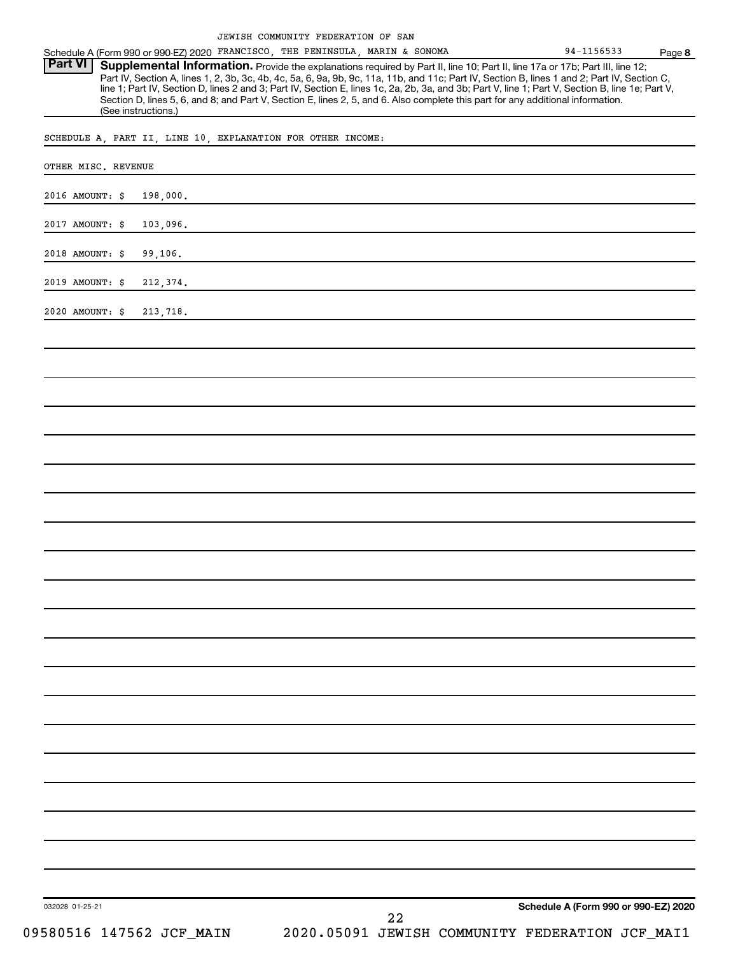|  | JEWISH COMMUNITY FEDERATION OF SAN |  |  |
|--|------------------------------------|--|--|
|  |                                    |  |  |

Schedule A (Form 990 or 990-EZ) 2020 FRANCISCO, THE PENINSULA, MARIN & SONOMA 94-1156533 Page

**8** Provide the explanations required by Part II, line 10; Part II, line 17a or 17b; Part III, line 12; Part IV, Section A, lines 1, 2, 3b, 3c, 4b, 4c, 5a, 6, 9a, 9b, 9c, 11a, 11b, and 11c; Part IV, Section B, lines 1 and 2; Part IV, Section C, line 1; Part IV, Section D, lines 2 and 3; Part IV, Section E, lines 1c, 2a, 2b, 3a, and 3b; Part V, line 1; Part V, Section B, line 1e; Part V, Section D, lines 5, 6, and 8; and Part V, Section E, lines 2, 5, and 6. Also complete this part for any additional information. (See instructions.) **Part VI Supplemental Information.** 

SCHEDULE A, PART II, LINE 10, EXPLANATION FOR OTHER INCOME:

| OTHER MISC. REVENUE |                          |    |                                                 |  |
|---------------------|--------------------------|----|-------------------------------------------------|--|
| 2016 AMOUNT: \$     | 198,000.                 |    |                                                 |  |
| 2017 AMOUNT: \$     | 103,096.                 |    |                                                 |  |
| 2018 AMOUNT: \$     | 99,106.                  |    |                                                 |  |
| 2019 AMOUNT: \$     | 212,374.                 |    |                                                 |  |
| 2020 AMOUNT: \$     | 213,718.                 |    |                                                 |  |
|                     |                          |    |                                                 |  |
|                     |                          |    |                                                 |  |
|                     |                          |    |                                                 |  |
|                     |                          |    |                                                 |  |
|                     |                          |    |                                                 |  |
|                     |                          |    |                                                 |  |
|                     |                          |    |                                                 |  |
|                     |                          |    |                                                 |  |
|                     |                          |    |                                                 |  |
|                     |                          |    |                                                 |  |
|                     |                          |    |                                                 |  |
|                     |                          |    |                                                 |  |
|                     |                          |    |                                                 |  |
|                     |                          |    |                                                 |  |
|                     |                          |    |                                                 |  |
|                     |                          |    |                                                 |  |
|                     |                          |    |                                                 |  |
|                     |                          |    |                                                 |  |
|                     |                          |    |                                                 |  |
|                     |                          |    |                                                 |  |
|                     |                          |    |                                                 |  |
| 032028 01-25-21     |                          | 22 | Schedule A (Form 990 or 990-EZ) 2020            |  |
|                     | 09580516 147562 JCF_MAIN |    | 2020.05091 JEWISH COMMUNITY FEDERATION JCF_MAI1 |  |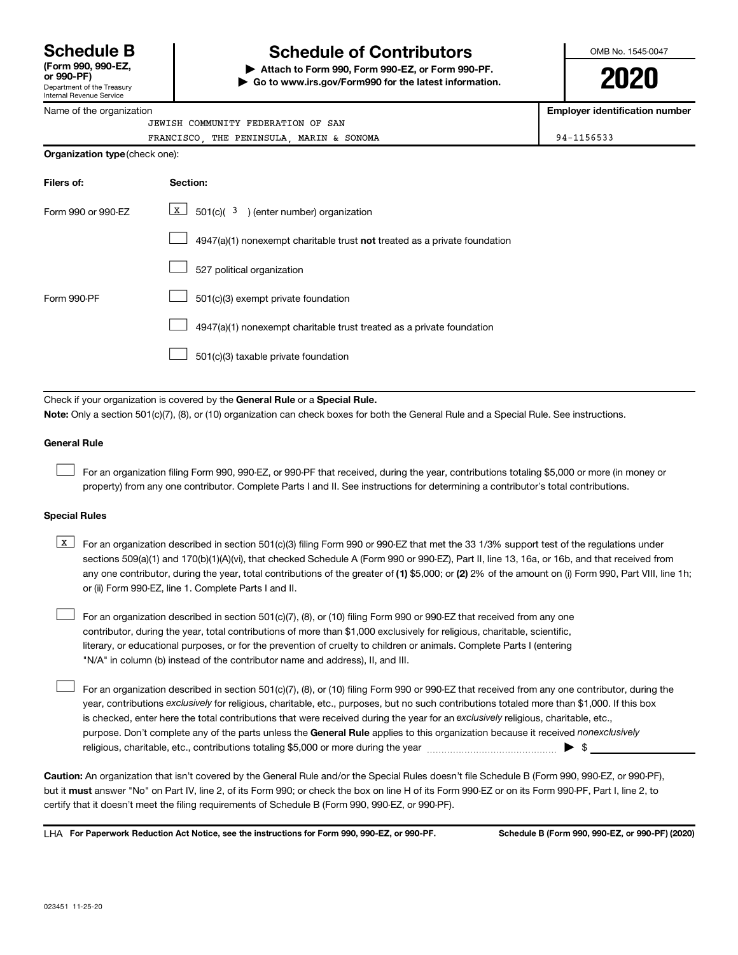# **(Form 990, 990-EZ,**

Department of the Treasury

# **Schedule B Schedule of Contributors**

**or 990-PF) | Attach to Form 990, Form 990-EZ, or Form 990-PF. | Go to www.irs.gov/Form990 for the latest information.**



**2020**

| Debarment or the Treasury<br>Internal Revenue Service |                                                                                                                                                                                                                                                                                                                                                                                                                                                                                                                                                                                                                                                                                          |                                       |
|-------------------------------------------------------|------------------------------------------------------------------------------------------------------------------------------------------------------------------------------------------------------------------------------------------------------------------------------------------------------------------------------------------------------------------------------------------------------------------------------------------------------------------------------------------------------------------------------------------------------------------------------------------------------------------------------------------------------------------------------------------|---------------------------------------|
| Name of the organization                              |                                                                                                                                                                                                                                                                                                                                                                                                                                                                                                                                                                                                                                                                                          | <b>Employer identification number</b> |
|                                                       | JEWISH COMMUNITY FEDERATION OF SAN                                                                                                                                                                                                                                                                                                                                                                                                                                                                                                                                                                                                                                                       |                                       |
| Organization type (check one):                        | FRANCISCO, THE PENINSULA, MARIN & SONOMA                                                                                                                                                                                                                                                                                                                                                                                                                                                                                                                                                                                                                                                 | 94-1156533                            |
|                                                       |                                                                                                                                                                                                                                                                                                                                                                                                                                                                                                                                                                                                                                                                                          |                                       |
| Filers of:                                            | Section:                                                                                                                                                                                                                                                                                                                                                                                                                                                                                                                                                                                                                                                                                 |                                       |
| Form 990 or 990-EZ                                    | $\sqrt{X}$<br>$501(c)$ ( $3$ ) (enter number) organization                                                                                                                                                                                                                                                                                                                                                                                                                                                                                                                                                                                                                               |                                       |
|                                                       | $4947(a)(1)$ nonexempt charitable trust not treated as a private foundation                                                                                                                                                                                                                                                                                                                                                                                                                                                                                                                                                                                                              |                                       |
|                                                       | 527 political organization                                                                                                                                                                                                                                                                                                                                                                                                                                                                                                                                                                                                                                                               |                                       |
| Form 990-PF                                           | 501(c)(3) exempt private foundation                                                                                                                                                                                                                                                                                                                                                                                                                                                                                                                                                                                                                                                      |                                       |
|                                                       | 4947(a)(1) nonexempt charitable trust treated as a private foundation                                                                                                                                                                                                                                                                                                                                                                                                                                                                                                                                                                                                                    |                                       |
|                                                       | 501(c)(3) taxable private foundation                                                                                                                                                                                                                                                                                                                                                                                                                                                                                                                                                                                                                                                     |                                       |
| <b>General Rule</b>                                   | Note: Only a section 501(c)(7), (8), or (10) organization can check boxes for both the General Rule and a Special Rule. See instructions.<br>For an organization filing Form 990, 990-EZ, or 990-PF that received, during the year, contributions totaling \$5,000 or more (in money or<br>property) from any one contributor. Complete Parts I and II. See instructions for determining a contributor's total contributions.                                                                                                                                                                                                                                                            |                                       |
| <b>Special Rules</b>                                  |                                                                                                                                                                                                                                                                                                                                                                                                                                                                                                                                                                                                                                                                                          |                                       |
| $\mathbf{x}$                                          | For an organization described in section 501(c)(3) filing Form 990 or 990-EZ that met the 33 1/3% support test of the regulations under<br>sections 509(a)(1) and 170(b)(1)(A)(vi), that checked Schedule A (Form 990 or 990-EZ), Part II, line 13, 16a, or 16b, and that received from<br>any one contributor, during the year, total contributions of the greater of (1) \$5,000; or (2) 2% of the amount on (i) Form 990, Part VIII, line 1h;<br>or (ii) Form 990-EZ, line 1. Complete Parts I and II.                                                                                                                                                                                |                                       |
|                                                       | For an organization described in section 501(c)(7), (8), or (10) filing Form 990 or 990-EZ that received from any one<br>contributor, during the year, total contributions of more than \$1,000 exclusively for religious, charitable, scientific,<br>literary, or educational purposes, or for the prevention of cruelty to children or animals. Complete Parts I (entering<br>"N/A" in column (b) instead of the contributor name and address), II, and III.                                                                                                                                                                                                                           |                                       |
|                                                       | For an organization described in section 501(c)(7), (8), or (10) filing Form 990 or 990-EZ that received from any one contributor, during the<br>year, contributions exclusively for religious, charitable, etc., purposes, but no such contributions totaled more than \$1,000. If this box<br>is checked, enter here the total contributions that were received during the year for an exclusively religious, charitable, etc.,<br>purpose. Don't complete any of the parts unless the General Rule applies to this organization because it received nonexclusively<br>religious, charitable, etc., contributions totaling \$5,000 or more during the year manufactured contributions. | $\blacktriangleright$ \$              |

**Caution:**  An organization that isn't covered by the General Rule and/or the Special Rules doesn't file Schedule B (Form 990, 990-EZ, or 990-PF),  **must** but it answer "No" on Part IV, line 2, of its Form 990; or check the box on line H of its Form 990-EZ or on its Form 990-PF, Part I, line 2, to certify that it doesn't meet the filing requirements of Schedule B (Form 990, 990-EZ, or 990-PF).

**For Paperwork Reduction Act Notice, see the instructions for Form 990, 990-EZ, or 990-PF. Schedule B (Form 990, 990-EZ, or 990-PF) (2020)** LHA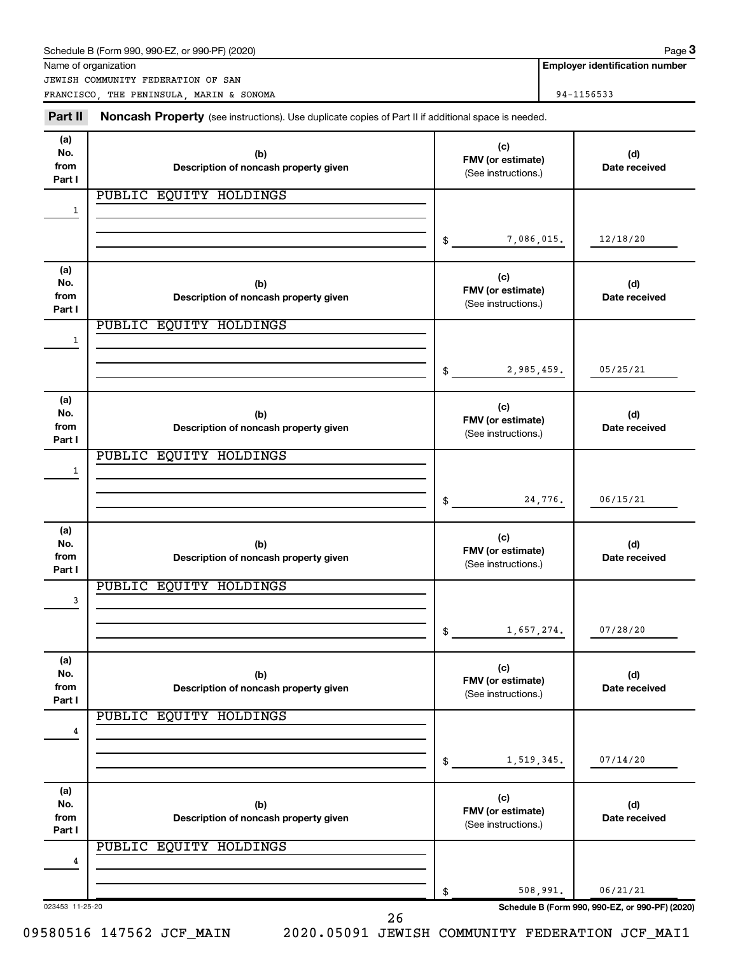|                              | Schedule B (Form 990, 990-EZ, or 990-PF) (2020)                                                     |                                                 |                                                                  | Page 3                                |
|------------------------------|-----------------------------------------------------------------------------------------------------|-------------------------------------------------|------------------------------------------------------------------|---------------------------------------|
|                              | Name of organization<br>JEWISH COMMUNITY FEDERATION OF SAN                                          |                                                 |                                                                  | <b>Employer identification number</b> |
|                              | FRANCISCO, THE PENINSULA, MARIN & SONOMA                                                            |                                                 |                                                                  | 94-1156533                            |
| Part II                      | Noncash Property (see instructions). Use duplicate copies of Part II if additional space is needed. |                                                 |                                                                  |                                       |
| (a)<br>No.<br>from<br>Part I | (b)<br>Description of noncash property given                                                        | (c)                                             | (d)<br>FMV (or estimate)<br>Date received<br>(See instructions.) |                                       |
|                              | PUBLIC EQUITY HOLDINGS                                                                              |                                                 |                                                                  |                                       |
| 1                            |                                                                                                     |                                                 |                                                                  |                                       |
|                              |                                                                                                     | \$                                              | 7,086,015.                                                       | 12/18/20                              |
| (a)<br>No.<br>from<br>Part I | (b)<br>Description of noncash property given                                                        | (c)<br>FMV (or estimate)<br>(See instructions.) |                                                                  | (d)<br>Date received                  |
|                              | PUBLIC EQUITY HOLDINGS                                                                              |                                                 |                                                                  |                                       |
| 1                            |                                                                                                     |                                                 |                                                                  |                                       |
|                              |                                                                                                     | \$                                              | 2,985,459.                                                       | 05/25/21                              |
| (a)<br>No.<br>from<br>Part I | (b)<br>Description of noncash property given                                                        | (c)<br>FMV (or estimate)<br>(See instructions.) |                                                                  | (d)<br>Date received                  |
|                              | PUBLIC EQUITY HOLDINGS                                                                              |                                                 |                                                                  |                                       |
| 1                            |                                                                                                     |                                                 |                                                                  |                                       |
|                              |                                                                                                     | \$                                              | 24,776.                                                          | 06/15/21                              |
| (a)<br>No.<br>from<br>Part I | (b)<br>Description of noncash property given                                                        | (c)<br>FMV (or estimate)<br>(See instructions.) |                                                                  | (d)<br>Date received                  |
|                              | PUBLIC EQUITY HOLDINGS                                                                              |                                                 |                                                                  |                                       |
| 3                            |                                                                                                     |                                                 |                                                                  |                                       |
|                              |                                                                                                     | \$                                              | 1,657,274.                                                       | 07/28/20                              |
| (a)<br>No.<br>from<br>Part I | (b)<br>Description of noncash property given                                                        | (c)<br>FMV (or estimate)<br>(See instructions.) |                                                                  | (d)<br>Date received                  |
|                              | PUBLIC EQUITY HOLDINGS                                                                              |                                                 |                                                                  |                                       |
| 4                            |                                                                                                     |                                                 |                                                                  |                                       |
|                              |                                                                                                     | \$                                              | 1,519,345.                                                       | 07/14/20                              |
| (a)<br>No.<br>from<br>Part I | (b)<br>Description of noncash property given                                                        | (c)<br>FMV (or estimate)<br>(See instructions.) |                                                                  | (d)<br>Date received                  |
|                              | PUBLIC EQUITY HOLDINGS                                                                              |                                                 |                                                                  |                                       |
| 4                            |                                                                                                     |                                                 |                                                                  |                                       |
|                              |                                                                                                     | \$                                              | 508,991.                                                         | 06/21/21                              |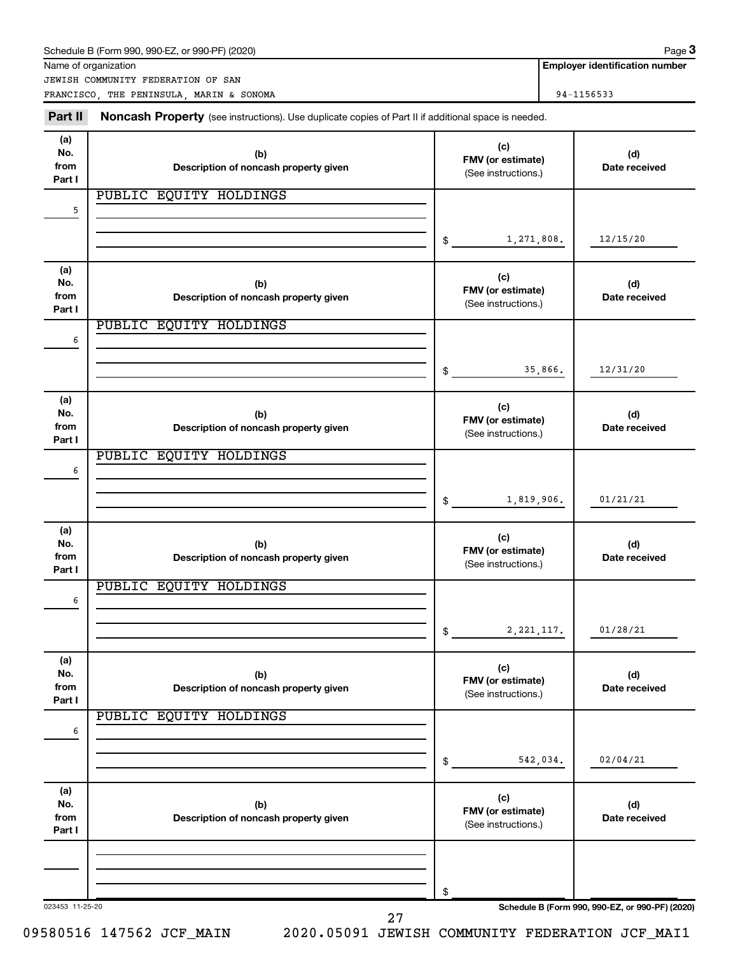|                              | Schedule B (Form 990, 990-EZ, or 990-PF) (2020)<br>Name of organization                             |                                                 |                                                                  | Page 3<br><b>Employer identification number</b> |  |
|------------------------------|-----------------------------------------------------------------------------------------------------|-------------------------------------------------|------------------------------------------------------------------|-------------------------------------------------|--|
|                              | JEWISH COMMUNITY FEDERATION OF SAN                                                                  |                                                 |                                                                  |                                                 |  |
|                              | FRANCISCO, THE PENINSULA, MARIN & SONOMA                                                            |                                                 | 94-1156533                                                       |                                                 |  |
| Part II                      | Noncash Property (see instructions). Use duplicate copies of Part II if additional space is needed. |                                                 |                                                                  |                                                 |  |
| (a)<br>No.<br>from<br>Part I | (b)<br>Description of noncash property given                                                        | (c)                                             | (d)<br>FMV (or estimate)<br>Date received<br>(See instructions.) |                                                 |  |
| 5                            | PUBLIC EQUITY HOLDINGS                                                                              |                                                 |                                                                  |                                                 |  |
|                              |                                                                                                     |                                                 |                                                                  |                                                 |  |
|                              |                                                                                                     | \$                                              | 1,271,808.                                                       | 12/15/20                                        |  |
| (a)<br>No.<br>from<br>Part I | (b)<br>Description of noncash property given                                                        | (c)<br>FMV (or estimate)<br>(See instructions.) |                                                                  | (d)<br>Date received                            |  |
|                              | PUBLIC EQUITY HOLDINGS                                                                              |                                                 |                                                                  |                                                 |  |
| 6                            |                                                                                                     |                                                 |                                                                  |                                                 |  |
|                              |                                                                                                     | \$                                              | 35,866.                                                          | 12/31/20                                        |  |
| (a)<br>No.<br>from<br>Part I | (b)<br>Description of noncash property given                                                        | (c)<br>FMV (or estimate)<br>(See instructions.) |                                                                  | (d)<br>Date received                            |  |
| 6                            | PUBLIC EQUITY HOLDINGS                                                                              |                                                 |                                                                  |                                                 |  |
|                              |                                                                                                     |                                                 |                                                                  |                                                 |  |
|                              |                                                                                                     | \$                                              | 1,819,906.                                                       | 01/21/21                                        |  |
| (a)<br>No.<br>from<br>Part I | (b)<br>Description of noncash property given                                                        | (c)<br>FMV (or estimate)<br>(See instructions.) |                                                                  | (d)<br>Date received                            |  |
|                              | PUBLIC EQUITY HOLDINGS                                                                              |                                                 |                                                                  |                                                 |  |
| 6                            |                                                                                                     | \$                                              | 2, 221, 117.                                                     | 01/28/21                                        |  |
| (a)<br>No.<br>from           | (b)<br>Description of noncash property given                                                        | (c)<br>FMV (or estimate)<br>(See instructions.) |                                                                  | (d)<br>Date received                            |  |
| Part I                       | PUBLIC EQUITY HOLDINGS                                                                              |                                                 |                                                                  |                                                 |  |
| 6                            |                                                                                                     |                                                 |                                                                  |                                                 |  |
|                              |                                                                                                     | \$                                              | 542,034.                                                         | 02/04/21                                        |  |
| (a)<br>No.<br>from<br>Part I | (b)<br>Description of noncash property given                                                        | (c)<br>FMV (or estimate)<br>(See instructions.) |                                                                  | (d)<br>Date received                            |  |
|                              |                                                                                                     |                                                 |                                                                  |                                                 |  |
|                              |                                                                                                     | \$                                              |                                                                  |                                                 |  |
| 023453 11-25-20              | 27                                                                                                  |                                                 |                                                                  | Schedule B (Form 990, 990-EZ, or 990-PF) (2020) |  |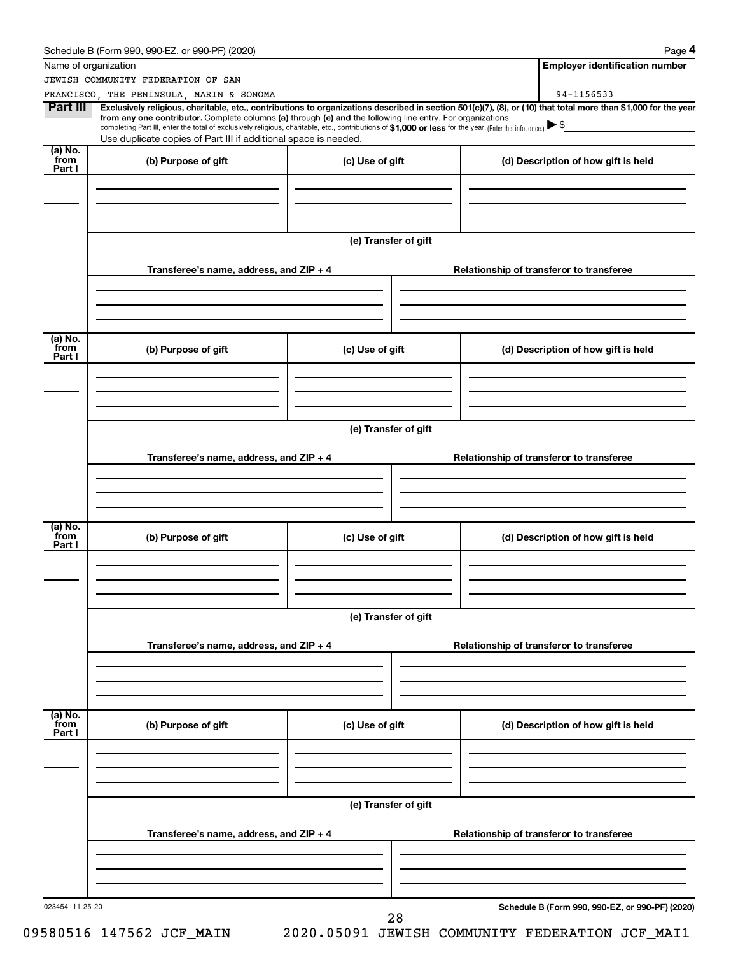|                           | Schedule B (Form 990, 990-EZ, or 990-PF) (2020)                                                                                                                                                                                                                                                                                                                                       |                      | Page 4                                                                                                                                                                       |
|---------------------------|---------------------------------------------------------------------------------------------------------------------------------------------------------------------------------------------------------------------------------------------------------------------------------------------------------------------------------------------------------------------------------------|----------------------|------------------------------------------------------------------------------------------------------------------------------------------------------------------------------|
|                           | Name of organization                                                                                                                                                                                                                                                                                                                                                                  |                      | <b>Employer identification number</b>                                                                                                                                        |
|                           | JEWISH COMMUNITY FEDERATION OF SAN                                                                                                                                                                                                                                                                                                                                                    |                      |                                                                                                                                                                              |
| Part III                  | FRANCISCO, THE PENINSULA, MARIN & SONOMA<br>from any one contributor. Complete columns (a) through (e) and the following line entry. For organizations<br>completing Part III, enter the total of exclusively religious, charitable, etc., contributions of \$1,000 or less for the year. (Enter this info. once.)<br>Use duplicate copies of Part III if additional space is needed. |                      | 94-1156533<br>Exclusively religious, charitable, etc., contributions to organizations described in section 501(c)(7), (8), or (10) that total more than \$1,000 for the year |
| (a) No.<br>from           |                                                                                                                                                                                                                                                                                                                                                                                       |                      |                                                                                                                                                                              |
| Part I                    | (b) Purpose of gift                                                                                                                                                                                                                                                                                                                                                                   | (c) Use of gift      | (d) Description of how gift is held                                                                                                                                          |
|                           |                                                                                                                                                                                                                                                                                                                                                                                       | (e) Transfer of gift |                                                                                                                                                                              |
|                           | Transferee's name, address, and ZIP + 4                                                                                                                                                                                                                                                                                                                                               |                      | Relationship of transferor to transferee                                                                                                                                     |
| (a) No.<br>from<br>Part I | (b) Purpose of gift                                                                                                                                                                                                                                                                                                                                                                   | (c) Use of gift      | (d) Description of how gift is held                                                                                                                                          |
|                           |                                                                                                                                                                                                                                                                                                                                                                                       | (e) Transfer of gift |                                                                                                                                                                              |
|                           | Transferee's name, address, and ZIP + 4                                                                                                                                                                                                                                                                                                                                               |                      | Relationship of transferor to transferee                                                                                                                                     |
| (a) No.<br>from           |                                                                                                                                                                                                                                                                                                                                                                                       |                      |                                                                                                                                                                              |
| Part I                    | (b) Purpose of gift                                                                                                                                                                                                                                                                                                                                                                   | (c) Use of gift      | (d) Description of how gift is held                                                                                                                                          |
|                           |                                                                                                                                                                                                                                                                                                                                                                                       | (e) Transfer of gift |                                                                                                                                                                              |
|                           | Transferee's name, address, and ZIP + 4                                                                                                                                                                                                                                                                                                                                               |                      | Relationship of transferor to transferee                                                                                                                                     |
| (a) No.<br>from<br>Part I | (b) Purpose of gift                                                                                                                                                                                                                                                                                                                                                                   | (c) Use of gift      | (d) Description of how gift is held                                                                                                                                          |
|                           |                                                                                                                                                                                                                                                                                                                                                                                       |                      |                                                                                                                                                                              |
|                           | Transferee's name, address, and ZIP + 4                                                                                                                                                                                                                                                                                                                                               | (e) Transfer of gift | Relationship of transferor to transferee                                                                                                                                     |
|                           |                                                                                                                                                                                                                                                                                                                                                                                       |                      |                                                                                                                                                                              |
| 023454 11-25-20           |                                                                                                                                                                                                                                                                                                                                                                                       | 28                   | Schedule B (Form 990, 990-EZ, or 990-PF) (2020)                                                                                                                              |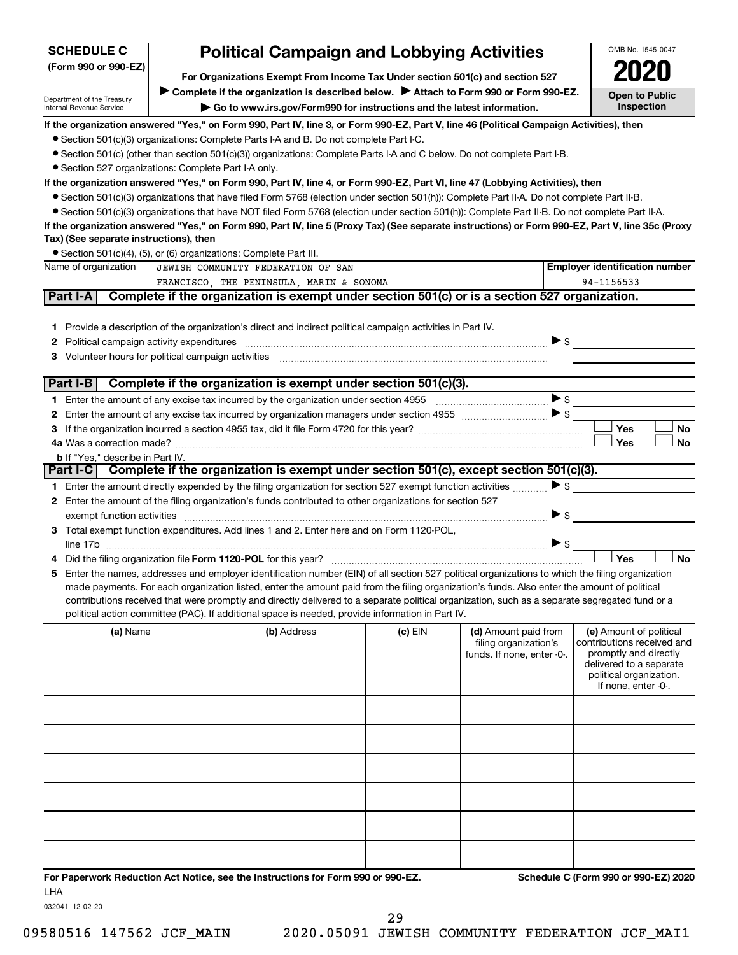| <b>SCHEDULE C</b>                                      | <b>Political Campaign and Lobbying Activities</b>                                                                                                                                                                                                                                              |         |                            |                          | OMB No. 1545-0047                                |
|--------------------------------------------------------|------------------------------------------------------------------------------------------------------------------------------------------------------------------------------------------------------------------------------------------------------------------------------------------------|---------|----------------------------|--------------------------|--------------------------------------------------|
| (Form 990 or 990-EZ)                                   | For Organizations Exempt From Income Tax Under section 501(c) and section 527                                                                                                                                                                                                                  |         |                            |                          | 2020                                             |
|                                                        | Complete if the organization is described below.<br>Attach to Form 990 or Form 990-EZ.                                                                                                                                                                                                         |         |                            |                          |                                                  |
| Department of the Treasury<br>Internal Revenue Service | Go to www.irs.gov/Form990 for instructions and the latest information.                                                                                                                                                                                                                         |         |                            |                          | <b>Open to Public</b><br>Inspection              |
|                                                        | If the organization answered "Yes," on Form 990, Part IV, line 3, or Form 990-EZ, Part V, line 46 (Political Campaign Activities), then                                                                                                                                                        |         |                            |                          |                                                  |
|                                                        | • Section 501(c)(3) organizations: Complete Parts I-A and B. Do not complete Part I-C.                                                                                                                                                                                                         |         |                            |                          |                                                  |
|                                                        | • Section 501(c) (other than section 501(c)(3)) organizations: Complete Parts I-A and C below. Do not complete Part I-B.                                                                                                                                                                       |         |                            |                          |                                                  |
| • Section 527 organizations: Complete Part I-A only.   |                                                                                                                                                                                                                                                                                                |         |                            |                          |                                                  |
|                                                        | If the organization answered "Yes," on Form 990, Part IV, line 4, or Form 990-EZ, Part VI, line 47 (Lobbying Activities), then                                                                                                                                                                 |         |                            |                          |                                                  |
|                                                        | • Section 501(c)(3) organizations that have filed Form 5768 (election under section 501(h)): Complete Part II-A. Do not complete Part II-B.                                                                                                                                                    |         |                            |                          |                                                  |
|                                                        | • Section 501(c)(3) organizations that have NOT filed Form 5768 (election under section 501(h)): Complete Part II-B. Do not complete Part II-A.                                                                                                                                                |         |                            |                          |                                                  |
|                                                        | If the organization answered "Yes," on Form 990, Part IV, line 5 (Proxy Tax) (See separate instructions) or Form 990-EZ, Part V, line 35c (Proxy                                                                                                                                               |         |                            |                          |                                                  |
| Tax) (See separate instructions), then                 | • Section 501(c)(4), (5), or (6) organizations: Complete Part III.                                                                                                                                                                                                                             |         |                            |                          |                                                  |
| Name of organization                                   | JEWISH COMMUNITY FEDERATION OF SAN                                                                                                                                                                                                                                                             |         |                            |                          | <b>Employer identification number</b>            |
|                                                        | FRANCISCO, THE PENINSULA, MARIN & SONOMA                                                                                                                                                                                                                                                       |         |                            |                          | 94-1156533                                       |
| Part I-A                                               | Complete if the organization is exempt under section 501(c) or is a section 527 organization.                                                                                                                                                                                                  |         |                            |                          |                                                  |
|                                                        |                                                                                                                                                                                                                                                                                                |         |                            |                          |                                                  |
|                                                        | 1 Provide a description of the organization's direct and indirect political campaign activities in Part IV.                                                                                                                                                                                    |         |                            |                          |                                                  |
| 2                                                      |                                                                                                                                                                                                                                                                                                |         |                            | $\triangleright$ \$      |                                                  |
| З                                                      |                                                                                                                                                                                                                                                                                                |         |                            |                          |                                                  |
|                                                        |                                                                                                                                                                                                                                                                                                |         |                            |                          |                                                  |
| Part I-B                                               | Complete if the organization is exempt under section 501(c)(3).                                                                                                                                                                                                                                |         |                            |                          |                                                  |
|                                                        |                                                                                                                                                                                                                                                                                                |         |                            | $\blacktriangleright$ \$ |                                                  |
| 2                                                      |                                                                                                                                                                                                                                                                                                |         |                            | >                        | Yes                                              |
| з                                                      |                                                                                                                                                                                                                                                                                                |         |                            |                          | No<br>Yes<br>No                                  |
| <b>b</b> If "Yes," describe in Part IV.                |                                                                                                                                                                                                                                                                                                |         |                            |                          |                                                  |
| Part I-C                                               | Complete if the organization is exempt under section 501(c), except section 501(c)(3).                                                                                                                                                                                                         |         |                            |                          |                                                  |
|                                                        | 1 Enter the amount directly expended by the filing organization for section 527 exempt function activities                                                                                                                                                                                     |         |                            | $\triangleright$ \$      |                                                  |
| 2                                                      | Enter the amount of the filing organization's funds contributed to other organizations for section 527                                                                                                                                                                                         |         |                            |                          |                                                  |
|                                                        | exempt function activities entertainment and activities and activities are activities and activities and activities                                                                                                                                                                            |         |                            | $\triangleright$ \$      |                                                  |
| З.                                                     | Total exempt function expenditures. Add lines 1 and 2. Enter here and on Form 1120-POL,                                                                                                                                                                                                        |         |                            |                          |                                                  |
|                                                        |                                                                                                                                                                                                                                                                                                |         |                            | $\blacktriangleright$ \$ |                                                  |
|                                                        |                                                                                                                                                                                                                                                                                                |         |                            |                          | <b>No</b><br>Yes                                 |
|                                                        | Enter the names, addresses and employer identification number (EIN) of all section 527 political organizations to which the filing organization<br>made payments. For each organization listed, enter the amount paid from the filing organization's funds. Also enter the amount of political |         |                            |                          |                                                  |
|                                                        | contributions received that were promptly and directly delivered to a separate political organization, such as a separate segregated fund or a                                                                                                                                                 |         |                            |                          |                                                  |
|                                                        | political action committee (PAC). If additional space is needed, provide information in Part IV.                                                                                                                                                                                               |         |                            |                          |                                                  |
| (a) Name                                               | (b) Address                                                                                                                                                                                                                                                                                    | (c) EIN | (d) Amount paid from       |                          | (e) Amount of political                          |
|                                                        |                                                                                                                                                                                                                                                                                                |         | filing organization's      |                          | contributions received and                       |
|                                                        |                                                                                                                                                                                                                                                                                                |         | funds. If none, enter -0-. |                          | promptly and directly<br>delivered to a separate |
|                                                        |                                                                                                                                                                                                                                                                                                |         |                            |                          | political organization.                          |
|                                                        |                                                                                                                                                                                                                                                                                                |         |                            |                          | If none, enter -0-.                              |
|                                                        |                                                                                                                                                                                                                                                                                                |         |                            |                          |                                                  |
|                                                        |                                                                                                                                                                                                                                                                                                |         |                            |                          |                                                  |
|                                                        |                                                                                                                                                                                                                                                                                                |         |                            |                          |                                                  |
|                                                        |                                                                                                                                                                                                                                                                                                |         |                            |                          |                                                  |
|                                                        |                                                                                                                                                                                                                                                                                                |         |                            |                          |                                                  |
|                                                        |                                                                                                                                                                                                                                                                                                |         |                            |                          |                                                  |
|                                                        |                                                                                                                                                                                                                                                                                                |         |                            |                          |                                                  |
|                                                        |                                                                                                                                                                                                                                                                                                |         |                            |                          |                                                  |
|                                                        |                                                                                                                                                                                                                                                                                                |         |                            |                          |                                                  |
|                                                        |                                                                                                                                                                                                                                                                                                |         |                            |                          |                                                  |
|                                                        |                                                                                                                                                                                                                                                                                                |         |                            |                          |                                                  |
|                                                        | For Paperwork Reduction Act Notice, see the Instructions for Form 990 or 990-EZ.                                                                                                                                                                                                               |         |                            |                          | Schedule C (Form 990 or 990-EZ) 2020             |

LHA

032041 12-02-20

29

**SCHEDULE C** |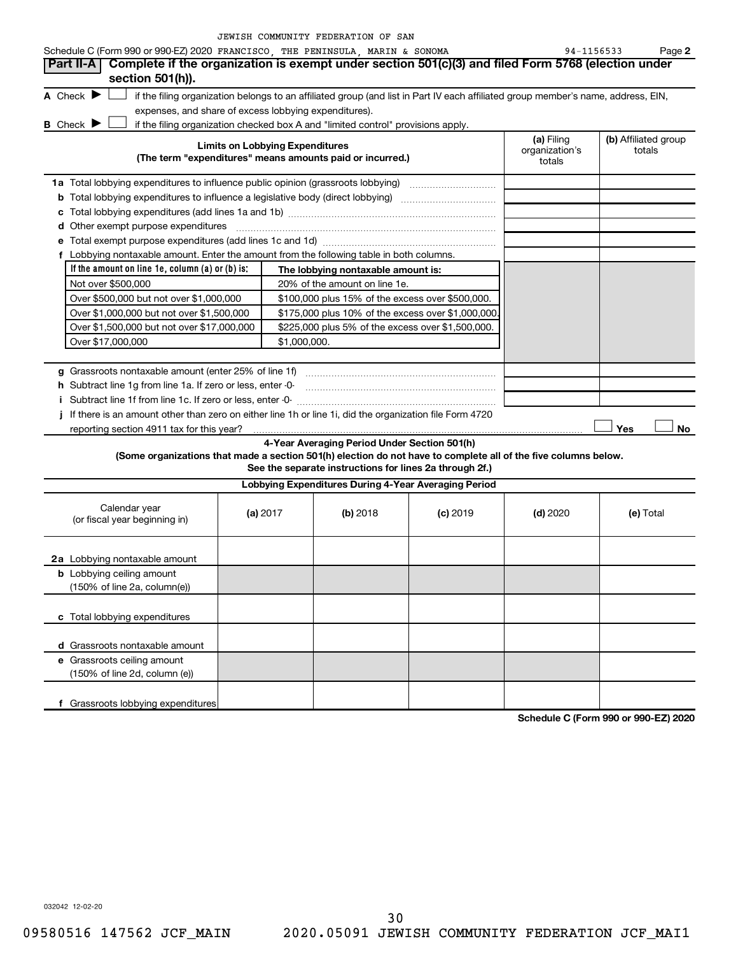|  | JEWISH COMMUNITY FEDERATION OF SAN |  |  |
|--|------------------------------------|--|--|
|  |                                    |  |  |

| Schedule C (Form 990 or 990-EZ) 2020 FRANCISCO, THE PENINSULA, MARIN & SONOMA<br>94-1156533<br>Complete if the organization is exempt under section 501(c)(3) and filed Form 5768 (election under<br><b>Part II-A</b><br>section 501(h)).<br>A Check $\blacktriangleright$<br>if the filing organization belongs to an affiliated group (and list in Part IV each affiliated group member's name, address, EIN,<br>expenses, and share of excess lobbying expenditures).<br><b>B</b> Check $\blacktriangleright$<br>if the filing organization checked box A and "limited control" provisions apply.<br>(a) Filing<br>(b) Affiliated group<br><b>Limits on Lobbying Expenditures</b><br>organization's<br>totals<br>(The term "expenditures" means amounts paid or incurred.)<br>totals<br>1a Total lobbying expenditures to influence public opinion (grassroots lobbying) [11] [12] Total lobbying expenditures to influence public opinion (grassroots lobbying)<br><b>d</b> Other exempt purpose expenditures<br>f Lobbying nontaxable amount. Enter the amount from the following table in both columns.<br>If the amount on line 1e, column $(a)$ or $(b)$ is:<br>The lobbying nontaxable amount is:<br>Not over \$500,000<br>20% of the amount on line 1e.<br>Over \$500,000 but not over \$1,000,000<br>\$100,000 plus 15% of the excess over \$500,000.<br>Over \$1,000,000 but not over \$1,500,000<br>\$175,000 plus 10% of the excess over \$1,000,000<br>Over \$1,500,000 but not over \$17,000,000<br>\$225,000 plus 5% of the excess over \$1,500,000.<br>Over \$17,000,000<br>\$1,000,000.<br>h Subtract line 1g from line 1a. If zero or less, enter -0-<br>If there is an amount other than zero on either line 1h or line 1i, did the organization file Form 4720<br>Yes<br>reporting section 4911 tax for this year?<br>4-Year Averaging Period Under Section 501(h) |  |
|------------------------------------------------------------------------------------------------------------------------------------------------------------------------------------------------------------------------------------------------------------------------------------------------------------------------------------------------------------------------------------------------------------------------------------------------------------------------------------------------------------------------------------------------------------------------------------------------------------------------------------------------------------------------------------------------------------------------------------------------------------------------------------------------------------------------------------------------------------------------------------------------------------------------------------------------------------------------------------------------------------------------------------------------------------------------------------------------------------------------------------------------------------------------------------------------------------------------------------------------------------------------------------------------------------------------------------------------------------------------------------------------------------------------------------------------------------------------------------------------------------------------------------------------------------------------------------------------------------------------------------------------------------------------------------------------------------------------------------------------------------------------------------------------------------------------------------------------------------------------------------------|--|
|                                                                                                                                                                                                                                                                                                                                                                                                                                                                                                                                                                                                                                                                                                                                                                                                                                                                                                                                                                                                                                                                                                                                                                                                                                                                                                                                                                                                                                                                                                                                                                                                                                                                                                                                                                                                                                                                                          |  |
|                                                                                                                                                                                                                                                                                                                                                                                                                                                                                                                                                                                                                                                                                                                                                                                                                                                                                                                                                                                                                                                                                                                                                                                                                                                                                                                                                                                                                                                                                                                                                                                                                                                                                                                                                                                                                                                                                          |  |
|                                                                                                                                                                                                                                                                                                                                                                                                                                                                                                                                                                                                                                                                                                                                                                                                                                                                                                                                                                                                                                                                                                                                                                                                                                                                                                                                                                                                                                                                                                                                                                                                                                                                                                                                                                                                                                                                                          |  |
|                                                                                                                                                                                                                                                                                                                                                                                                                                                                                                                                                                                                                                                                                                                                                                                                                                                                                                                                                                                                                                                                                                                                                                                                                                                                                                                                                                                                                                                                                                                                                                                                                                                                                                                                                                                                                                                                                          |  |
|                                                                                                                                                                                                                                                                                                                                                                                                                                                                                                                                                                                                                                                                                                                                                                                                                                                                                                                                                                                                                                                                                                                                                                                                                                                                                                                                                                                                                                                                                                                                                                                                                                                                                                                                                                                                                                                                                          |  |
|                                                                                                                                                                                                                                                                                                                                                                                                                                                                                                                                                                                                                                                                                                                                                                                                                                                                                                                                                                                                                                                                                                                                                                                                                                                                                                                                                                                                                                                                                                                                                                                                                                                                                                                                                                                                                                                                                          |  |
|                                                                                                                                                                                                                                                                                                                                                                                                                                                                                                                                                                                                                                                                                                                                                                                                                                                                                                                                                                                                                                                                                                                                                                                                                                                                                                                                                                                                                                                                                                                                                                                                                                                                                                                                                                                                                                                                                          |  |
|                                                                                                                                                                                                                                                                                                                                                                                                                                                                                                                                                                                                                                                                                                                                                                                                                                                                                                                                                                                                                                                                                                                                                                                                                                                                                                                                                                                                                                                                                                                                                                                                                                                                                                                                                                                                                                                                                          |  |
|                                                                                                                                                                                                                                                                                                                                                                                                                                                                                                                                                                                                                                                                                                                                                                                                                                                                                                                                                                                                                                                                                                                                                                                                                                                                                                                                                                                                                                                                                                                                                                                                                                                                                                                                                                                                                                                                                          |  |
|                                                                                                                                                                                                                                                                                                                                                                                                                                                                                                                                                                                                                                                                                                                                                                                                                                                                                                                                                                                                                                                                                                                                                                                                                                                                                                                                                                                                                                                                                                                                                                                                                                                                                                                                                                                                                                                                                          |  |
|                                                                                                                                                                                                                                                                                                                                                                                                                                                                                                                                                                                                                                                                                                                                                                                                                                                                                                                                                                                                                                                                                                                                                                                                                                                                                                                                                                                                                                                                                                                                                                                                                                                                                                                                                                                                                                                                                          |  |
|                                                                                                                                                                                                                                                                                                                                                                                                                                                                                                                                                                                                                                                                                                                                                                                                                                                                                                                                                                                                                                                                                                                                                                                                                                                                                                                                                                                                                                                                                                                                                                                                                                                                                                                                                                                                                                                                                          |  |
|                                                                                                                                                                                                                                                                                                                                                                                                                                                                                                                                                                                                                                                                                                                                                                                                                                                                                                                                                                                                                                                                                                                                                                                                                                                                                                                                                                                                                                                                                                                                                                                                                                                                                                                                                                                                                                                                                          |  |
|                                                                                                                                                                                                                                                                                                                                                                                                                                                                                                                                                                                                                                                                                                                                                                                                                                                                                                                                                                                                                                                                                                                                                                                                                                                                                                                                                                                                                                                                                                                                                                                                                                                                                                                                                                                                                                                                                          |  |
|                                                                                                                                                                                                                                                                                                                                                                                                                                                                                                                                                                                                                                                                                                                                                                                                                                                                                                                                                                                                                                                                                                                                                                                                                                                                                                                                                                                                                                                                                                                                                                                                                                                                                                                                                                                                                                                                                          |  |
|                                                                                                                                                                                                                                                                                                                                                                                                                                                                                                                                                                                                                                                                                                                                                                                                                                                                                                                                                                                                                                                                                                                                                                                                                                                                                                                                                                                                                                                                                                                                                                                                                                                                                                                                                                                                                                                                                          |  |
|                                                                                                                                                                                                                                                                                                                                                                                                                                                                                                                                                                                                                                                                                                                                                                                                                                                                                                                                                                                                                                                                                                                                                                                                                                                                                                                                                                                                                                                                                                                                                                                                                                                                                                                                                                                                                                                                                          |  |
|                                                                                                                                                                                                                                                                                                                                                                                                                                                                                                                                                                                                                                                                                                                                                                                                                                                                                                                                                                                                                                                                                                                                                                                                                                                                                                                                                                                                                                                                                                                                                                                                                                                                                                                                                                                                                                                                                          |  |
|                                                                                                                                                                                                                                                                                                                                                                                                                                                                                                                                                                                                                                                                                                                                                                                                                                                                                                                                                                                                                                                                                                                                                                                                                                                                                                                                                                                                                                                                                                                                                                                                                                                                                                                                                                                                                                                                                          |  |
|                                                                                                                                                                                                                                                                                                                                                                                                                                                                                                                                                                                                                                                                                                                                                                                                                                                                                                                                                                                                                                                                                                                                                                                                                                                                                                                                                                                                                                                                                                                                                                                                                                                                                                                                                                                                                                                                                          |  |
|                                                                                                                                                                                                                                                                                                                                                                                                                                                                                                                                                                                                                                                                                                                                                                                                                                                                                                                                                                                                                                                                                                                                                                                                                                                                                                                                                                                                                                                                                                                                                                                                                                                                                                                                                                                                                                                                                          |  |
|                                                                                                                                                                                                                                                                                                                                                                                                                                                                                                                                                                                                                                                                                                                                                                                                                                                                                                                                                                                                                                                                                                                                                                                                                                                                                                                                                                                                                                                                                                                                                                                                                                                                                                                                                                                                                                                                                          |  |
|                                                                                                                                                                                                                                                                                                                                                                                                                                                                                                                                                                                                                                                                                                                                                                                                                                                                                                                                                                                                                                                                                                                                                                                                                                                                                                                                                                                                                                                                                                                                                                                                                                                                                                                                                                                                                                                                                          |  |
|                                                                                                                                                                                                                                                                                                                                                                                                                                                                                                                                                                                                                                                                                                                                                                                                                                                                                                                                                                                                                                                                                                                                                                                                                                                                                                                                                                                                                                                                                                                                                                                                                                                                                                                                                                                                                                                                                          |  |
| (Some organizations that made a section 501(h) election do not have to complete all of the five columns below.<br>See the separate instructions for lines 2a through 2f.)                                                                                                                                                                                                                                                                                                                                                                                                                                                                                                                                                                                                                                                                                                                                                                                                                                                                                                                                                                                                                                                                                                                                                                                                                                                                                                                                                                                                                                                                                                                                                                                                                                                                                                                |  |
| Lobbying Expenditures During 4-Year Averaging Period                                                                                                                                                                                                                                                                                                                                                                                                                                                                                                                                                                                                                                                                                                                                                                                                                                                                                                                                                                                                                                                                                                                                                                                                                                                                                                                                                                                                                                                                                                                                                                                                                                                                                                                                                                                                                                     |  |
| Calendar year<br>(a) 2017<br>(b) 2018<br>$(c)$ 2019<br>$(d)$ 2020<br>(e) Total<br>(or fiscal year beginning in)                                                                                                                                                                                                                                                                                                                                                                                                                                                                                                                                                                                                                                                                                                                                                                                                                                                                                                                                                                                                                                                                                                                                                                                                                                                                                                                                                                                                                                                                                                                                                                                                                                                                                                                                                                          |  |
| 2a Lobbying nontaxable amount                                                                                                                                                                                                                                                                                                                                                                                                                                                                                                                                                                                                                                                                                                                                                                                                                                                                                                                                                                                                                                                                                                                                                                                                                                                                                                                                                                                                                                                                                                                                                                                                                                                                                                                                                                                                                                                            |  |
| <b>b</b> Lobbying ceiling amount                                                                                                                                                                                                                                                                                                                                                                                                                                                                                                                                                                                                                                                                                                                                                                                                                                                                                                                                                                                                                                                                                                                                                                                                                                                                                                                                                                                                                                                                                                                                                                                                                                                                                                                                                                                                                                                         |  |
| (150% of line 2a, column(e))                                                                                                                                                                                                                                                                                                                                                                                                                                                                                                                                                                                                                                                                                                                                                                                                                                                                                                                                                                                                                                                                                                                                                                                                                                                                                                                                                                                                                                                                                                                                                                                                                                                                                                                                                                                                                                                             |  |
| c Total lobbying expenditures                                                                                                                                                                                                                                                                                                                                                                                                                                                                                                                                                                                                                                                                                                                                                                                                                                                                                                                                                                                                                                                                                                                                                                                                                                                                                                                                                                                                                                                                                                                                                                                                                                                                                                                                                                                                                                                            |  |
| d Grassroots nontaxable amount                                                                                                                                                                                                                                                                                                                                                                                                                                                                                                                                                                                                                                                                                                                                                                                                                                                                                                                                                                                                                                                                                                                                                                                                                                                                                                                                                                                                                                                                                                                                                                                                                                                                                                                                                                                                                                                           |  |
| e Grassroots ceiling amount                                                                                                                                                                                                                                                                                                                                                                                                                                                                                                                                                                                                                                                                                                                                                                                                                                                                                                                                                                                                                                                                                                                                                                                                                                                                                                                                                                                                                                                                                                                                                                                                                                                                                                                                                                                                                                                              |  |
| (150% of line 2d, column (e))                                                                                                                                                                                                                                                                                                                                                                                                                                                                                                                                                                                                                                                                                                                                                                                                                                                                                                                                                                                                                                                                                                                                                                                                                                                                                                                                                                                                                                                                                                                                                                                                                                                                                                                                                                                                                                                            |  |

**Schedule C (Form 990 or 990-EZ) 2020**

032042 12-02-20

**f** Grassroots lobbying expenditures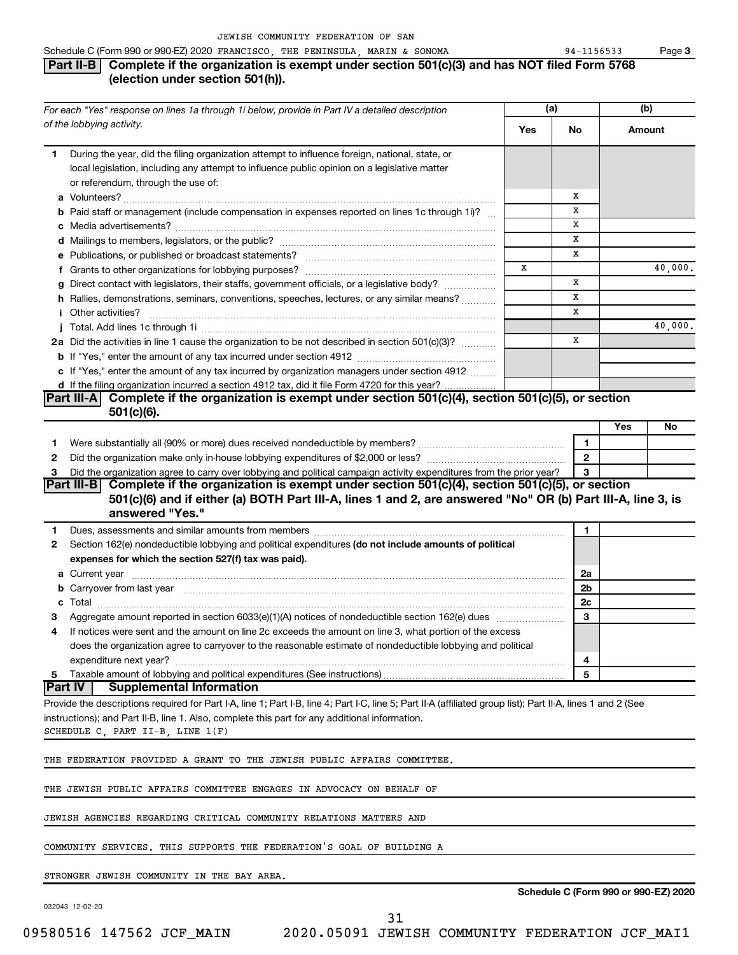### Schedule C (Form 990 or 990-EZ) 2020 FRANCISCO, THE PENINSULA, MARIN & SONOMA  $94-1156533$  Page **Part II-B Complete if the organization is exempt under section 501(c)(3) and has NOT filed Form 5768 (election under section 501(h)).**

|              | For each "Yes" response on lines 1a through 1i below, provide in Part IV a detailed description                                                                                                                               |     | (a)            |        | (b)     |  |
|--------------|-------------------------------------------------------------------------------------------------------------------------------------------------------------------------------------------------------------------------------|-----|----------------|--------|---------|--|
|              | of the lobbying activity.                                                                                                                                                                                                     | Yes | No             | Amount |         |  |
| 1.           | During the year, did the filing organization attempt to influence foreign, national, state, or                                                                                                                                |     |                |        |         |  |
|              | local legislation, including any attempt to influence public opinion on a legislative matter                                                                                                                                  |     |                |        |         |  |
|              | or referendum, through the use of:                                                                                                                                                                                            |     |                |        |         |  |
|              |                                                                                                                                                                                                                               |     | х              |        |         |  |
|              | <b>b</b> Paid staff or management (include compensation in expenses reported on lines 1c through 1i)?                                                                                                                         |     | x              |        |         |  |
|              |                                                                                                                                                                                                                               |     | X              |        |         |  |
|              |                                                                                                                                                                                                                               |     | х              |        |         |  |
|              |                                                                                                                                                                                                                               |     | х              |        |         |  |
|              |                                                                                                                                                                                                                               | x   |                |        | 40,000. |  |
|              | g Direct contact with legislators, their staffs, government officials, or a legislative body?                                                                                                                                 |     | X              |        |         |  |
|              | h Rallies, demonstrations, seminars, conventions, speeches, lectures, or any similar means?                                                                                                                                   |     | X<br>X         |        |         |  |
|              | Other activities?                                                                                                                                                                                                             |     |                |        |         |  |
|              |                                                                                                                                                                                                                               |     | X              |        | 40,000. |  |
|              | 2a Did the activities in line 1 cause the organization to be not described in section 501(c)(3)?                                                                                                                              |     |                |        |         |  |
|              |                                                                                                                                                                                                                               |     |                |        |         |  |
|              | c If "Yes," enter the amount of any tax incurred by organization managers under section 4912                                                                                                                                  |     |                |        |         |  |
|              | d If the filing organization incurred a section 4912 tax, did it file Form 4720 for this year?<br>Complete if the organization is exempt under section 501(c)(4), section 501(c)(5), or section<br><b>Part III-A</b>          |     |                |        |         |  |
|              | $501(c)(6)$ .                                                                                                                                                                                                                 |     |                |        |         |  |
|              |                                                                                                                                                                                                                               |     |                | Yes    | No      |  |
|              |                                                                                                                                                                                                                               |     | 1              |        |         |  |
| 1.<br>2      |                                                                                                                                                                                                                               |     | $\overline{2}$ |        |         |  |
| 3            | Did the organization agree to carry over lobbying and political campaign activity expenditures from the prior year?                                                                                                           |     | З              |        |         |  |
|              | Part III-B Complete if the organization is exempt under section 501(c)(4), section 501(c)(5), or section                                                                                                                      |     |                |        |         |  |
|              | 501(c)(6) and if either (a) BOTH Part III-A, lines 1 and 2, are answered "No" OR (b) Part III-A, line 3, is                                                                                                                   |     |                |        |         |  |
|              | answered "Yes."                                                                                                                                                                                                               |     |                |        |         |  |
| 1.           |                                                                                                                                                                                                                               |     | 1              |        |         |  |
| $\mathbf{2}$ | Section 162(e) nondeductible lobbying and political expenditures (do not include amounts of political                                                                                                                         |     |                |        |         |  |
|              | expenses for which the section 527(f) tax was paid).                                                                                                                                                                          |     |                |        |         |  |
|              |                                                                                                                                                                                                                               |     | 2a             |        |         |  |
|              | b Carryover from last year manufactured and continuum contract to contact the contract of the contract of the contract of the contract of the contract of the contract of the contract of the contract of the contract of the |     | 2b             |        |         |  |
|              |                                                                                                                                                                                                                               |     | 2c             |        |         |  |
| З            | Aggregate amount reported in section 6033(e)(1)(A) notices of nondeductible section 162(e) dues                                                                                                                               |     | 3              |        |         |  |
| 4            | If notices were sent and the amount on line 2c exceeds the amount on line 3, what portion of the excess                                                                                                                       |     |                |        |         |  |
|              | does the organization agree to carryover to the reasonable estimate of nondeductible lobbying and political                                                                                                                   |     |                |        |         |  |
|              | expenditure next year?                                                                                                                                                                                                        |     | 4              |        |         |  |
| 5            | Taxable amount of lobbying and political expenditures (See instructions)                                                                                                                                                      |     | 5              |        |         |  |
|              | <b>Part IV</b><br><b>Supplemental Information</b>                                                                                                                                                                             |     |                |        |         |  |
|              | Provide the descriptions required for Part I-A, line 1; Part I-B, line 4; Part I-C, line 5; Part II-A (affiliated group list); Part II-A, lines 1 and 2 (See                                                                  |     |                |        |         |  |
|              | instructions); and Part II-B, line 1. Also, complete this part for any additional information.                                                                                                                                |     |                |        |         |  |
|              | SCHEDULE C, PART II-B, LINE 1(F)                                                                                                                                                                                              |     |                |        |         |  |
|              |                                                                                                                                                                                                                               |     |                |        |         |  |
|              | THE FEDERATION PROVIDED A GRANT TO THE JEWISH PUBLIC AFFAIRS COMMITTEE.                                                                                                                                                       |     |                |        |         |  |
|              |                                                                                                                                                                                                                               |     |                |        |         |  |
|              | THE JEWISH PUBLIC AFFAIRS COMMITTEE ENGAGES IN ADVOCACY ON BEHALF OF                                                                                                                                                          |     |                |        |         |  |
|              |                                                                                                                                                                                                                               |     |                |        |         |  |
|              | JEWISH AGENCIES REGARDING CRITICAL COMMUNITY RELATIONS MATTERS AND                                                                                                                                                            |     |                |        |         |  |
|              | COMMUNITY SERVICES. THIS SUPPORTS THE FEDERATION'S GOAL OF BUILDING A                                                                                                                                                         |     |                |        |         |  |
|              |                                                                                                                                                                                                                               |     |                |        |         |  |
|              | STRONGER JEWISH COMMUNITY IN THE BAY AREA.                                                                                                                                                                                    |     |                |        |         |  |

032043 12-02-20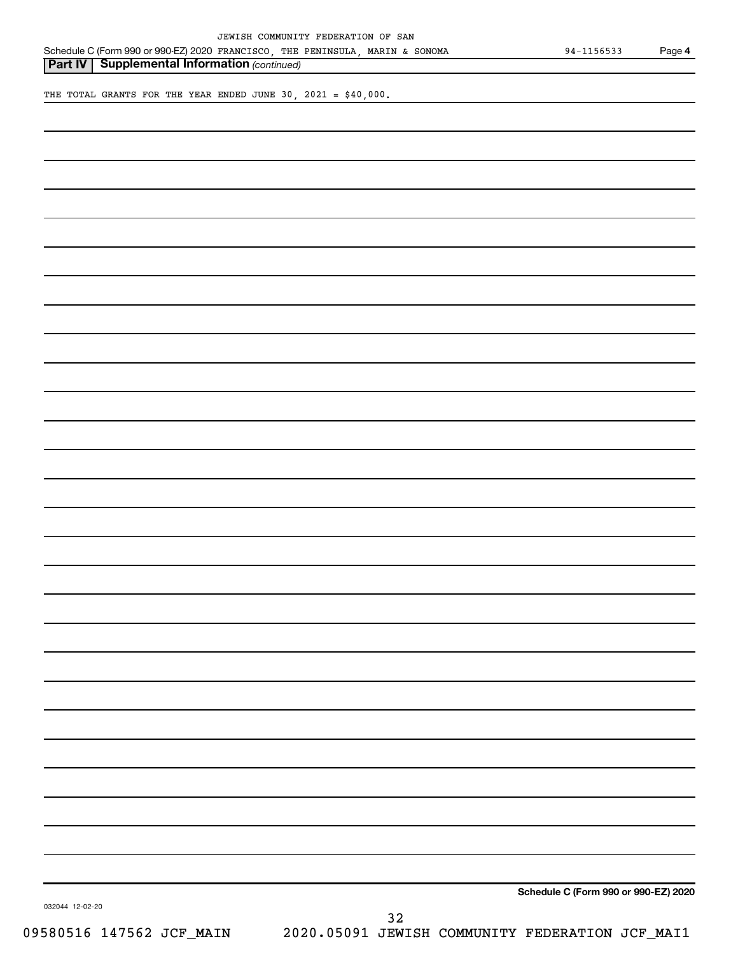|  | JEWISH COMMUNITY FEDERATION OF SAN |  |  |
|--|------------------------------------|--|--|
|  |                                    |  |  |

**Part IV** | Supplemental Information (continued)

THE TOTAL GRANTS FOR THE YEAR ENDED JUNE 30, 2021 = \$40,000.

**Schedule C (Form 990 or 990-EZ) 2020**

032044 12-02-20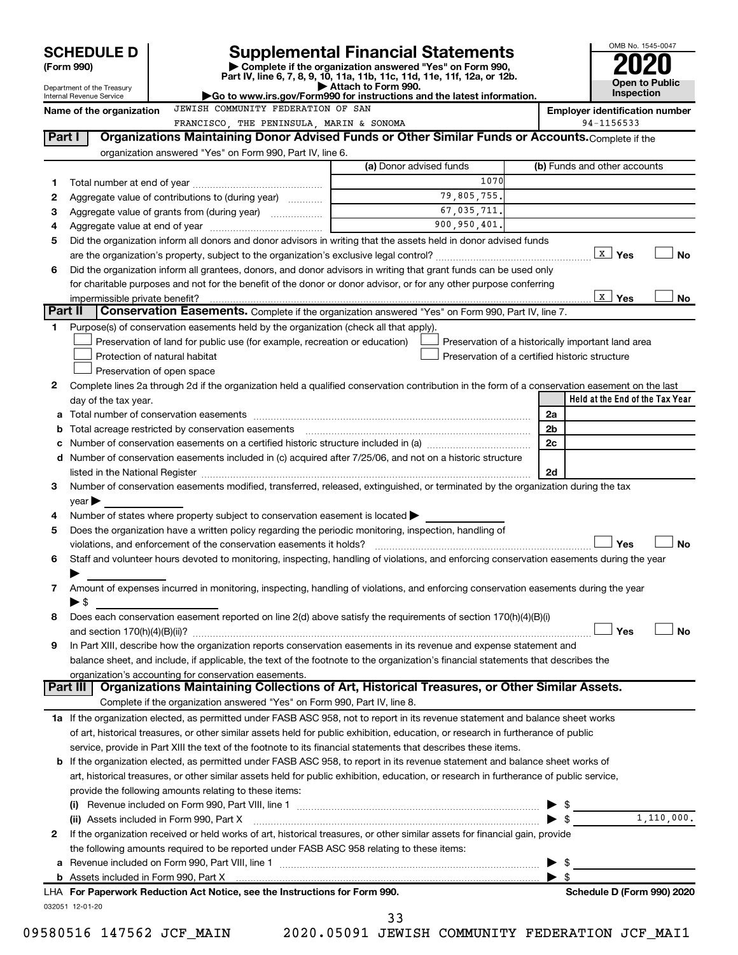|         | <b>SCHEDULE D</b>                                      |  |                                                                     | <b>Supplemental Financial Statements</b>                                                                                                                                                                                      |                                                                                                      |                          | OMB No. 1545-0047                     |                |            |
|---------|--------------------------------------------------------|--|---------------------------------------------------------------------|-------------------------------------------------------------------------------------------------------------------------------------------------------------------------------------------------------------------------------|------------------------------------------------------------------------------------------------------|--------------------------|---------------------------------------|----------------|------------|
|         | (Form 990)                                             |  |                                                                     | Complete if the organization answered "Yes" on Form 990,                                                                                                                                                                      |                                                                                                      |                          |                                       |                |            |
|         |                                                        |  |                                                                     | Part IV, line 6, 7, 8, 9, 10, 11a, 11b, 11c, 11d, 11e, 11f, 12a, or 12b.<br>Attach to Form 990.                                                                                                                               |                                                                                                      |                          |                                       | Open to Public |            |
|         | Department of the Treasury<br>Internal Revenue Service |  |                                                                     | Go to www.irs.gov/Form990 for instructions and the latest information.                                                                                                                                                        |                                                                                                      |                          | <b>Inspection</b>                     |                |            |
|         | Name of the organization                               |  | JEWISH COMMUNITY FEDERATION OF SAN                                  |                                                                                                                                                                                                                               |                                                                                                      |                          | <b>Employer identification number</b> |                |            |
|         |                                                        |  |                                                                     | FRANCISCO, THE PENINSULA, MARIN & SONOMA                                                                                                                                                                                      |                                                                                                      |                          | 94-1156533                            |                |            |
| Part I  |                                                        |  |                                                                     | Organizations Maintaining Donor Advised Funds or Other Similar Funds or Accounts. Complete if the                                                                                                                             |                                                                                                      |                          |                                       |                |            |
|         |                                                        |  | organization answered "Yes" on Form 990, Part IV, line 6.           |                                                                                                                                                                                                                               | (a) Donor advised funds                                                                              |                          | (b) Funds and other accounts          |                |            |
| 1       |                                                        |  |                                                                     |                                                                                                                                                                                                                               | 1070                                                                                                 |                          |                                       |                |            |
| 2       |                                                        |  | Aggregate value of contributions to (during year)                   |                                                                                                                                                                                                                               | 79,805,755.                                                                                          |                          |                                       |                |            |
| З       |                                                        |  |                                                                     |                                                                                                                                                                                                                               | 67,035,711.                                                                                          |                          |                                       |                |            |
| 4       |                                                        |  |                                                                     |                                                                                                                                                                                                                               | 900,950,401.                                                                                         |                          |                                       |                |            |
| 5       |                                                        |  |                                                                     | Did the organization inform all donors and donor advisors in writing that the assets held in donor advised funds                                                                                                              |                                                                                                      |                          |                                       |                |            |
|         |                                                        |  |                                                                     |                                                                                                                                                                                                                               |                                                                                                      |                          | <u>  x ∣</u> γes                      |                | <b>No</b>  |
| 6       |                                                        |  |                                                                     | Did the organization inform all grantees, donors, and donor advisors in writing that grant funds can be used only                                                                                                             |                                                                                                      |                          |                                       |                |            |
|         |                                                        |  |                                                                     | for charitable purposes and not for the benefit of the donor or donor advisor, or for any other purpose conferring                                                                                                            |                                                                                                      |                          |                                       |                |            |
|         | impermissible private benefit?                         |  |                                                                     |                                                                                                                                                                                                                               |                                                                                                      |                          | $\mathbf{x}$<br>Yes                   |                | No         |
| Part II |                                                        |  |                                                                     | Conservation Easements. Complete if the organization answered "Yes" on Form 990, Part IV, line 7.                                                                                                                             |                                                                                                      |                          |                                       |                |            |
| 1       |                                                        |  |                                                                     | Purpose(s) of conservation easements held by the organization (check all that apply).                                                                                                                                         |                                                                                                      |                          |                                       |                |            |
|         | Protection of natural habitat                          |  |                                                                     | Preservation of land for public use (for example, recreation or education)                                                                                                                                                    | Preservation of a historically important land area<br>Preservation of a certified historic structure |                          |                                       |                |            |
|         | Preservation of open space                             |  |                                                                     |                                                                                                                                                                                                                               |                                                                                                      |                          |                                       |                |            |
| 2       |                                                        |  |                                                                     | Complete lines 2a through 2d if the organization held a qualified conservation contribution in the form of a conservation easement on the last                                                                                |                                                                                                      |                          |                                       |                |            |
|         | day of the tax year.                                   |  |                                                                     |                                                                                                                                                                                                                               |                                                                                                      |                          | Held at the End of the Tax Year       |                |            |
|         |                                                        |  |                                                                     |                                                                                                                                                                                                                               |                                                                                                      | 2a                       |                                       |                |            |
| b       |                                                        |  |                                                                     |                                                                                                                                                                                                                               |                                                                                                      | 2 <sub>b</sub>           |                                       |                |            |
| c       |                                                        |  |                                                                     | Number of conservation easements on a certified historic structure included in (a) manufacture included in (a)                                                                                                                |                                                                                                      | 2c                       |                                       |                |            |
|         |                                                        |  |                                                                     | d Number of conservation easements included in (c) acquired after 7/25/06, and not on a historic structure                                                                                                                    |                                                                                                      |                          |                                       |                |            |
|         |                                                        |  |                                                                     | listed in the National Register [111] increases and the National Property of the National Register [11] increases and the National Register [11] increases and the National Register [11] increases and the National Register |                                                                                                      | 2d                       |                                       |                |            |
| 3       |                                                        |  |                                                                     | Number of conservation easements modified, transferred, released, extinguished, or terminated by the organization during the tax                                                                                              |                                                                                                      |                          |                                       |                |            |
|         | $\vee$ ear $\blacktriangleright$                       |  |                                                                     |                                                                                                                                                                                                                               |                                                                                                      |                          |                                       |                |            |
| 4       |                                                        |  |                                                                     | Number of states where property subject to conservation easement is located >                                                                                                                                                 |                                                                                                      |                          |                                       |                |            |
| 5       |                                                        |  |                                                                     | Does the organization have a written policy regarding the periodic monitoring, inspection, handling of                                                                                                                        |                                                                                                      |                          |                                       |                |            |
|         |                                                        |  | violations, and enforcement of the conservation easements it holds? |                                                                                                                                                                                                                               |                                                                                                      |                          | Yes                                   |                | <b>No</b>  |
| 6       |                                                        |  |                                                                     | Staff and volunteer hours devoted to monitoring, inspecting, handling of violations, and enforcing conservation easements during the year                                                                                     |                                                                                                      |                          |                                       |                |            |
|         |                                                        |  |                                                                     |                                                                                                                                                                                                                               |                                                                                                      |                          |                                       |                |            |
| 7       |                                                        |  |                                                                     | Amount of expenses incurred in monitoring, inspecting, handling of violations, and enforcing conservation easements during the year                                                                                           |                                                                                                      |                          |                                       |                |            |
|         | $\blacktriangleright$ \$                               |  |                                                                     | Does each conservation easement reported on line 2(d) above satisfy the requirements of section 170(h)(4)(B)(i)                                                                                                               |                                                                                                      |                          |                                       |                |            |
| 8       |                                                        |  |                                                                     |                                                                                                                                                                                                                               |                                                                                                      |                          | Yes                                   |                | No         |
| 9       |                                                        |  |                                                                     | In Part XIII, describe how the organization reports conservation easements in its revenue and expense statement and                                                                                                           |                                                                                                      |                          |                                       |                |            |
|         |                                                        |  |                                                                     | balance sheet, and include, if applicable, the text of the footnote to the organization's financial statements that describes the                                                                                             |                                                                                                      |                          |                                       |                |            |
|         | organization's accounting for conservation easements.  |  |                                                                     |                                                                                                                                                                                                                               |                                                                                                      |                          |                                       |                |            |
|         | Part III                                               |  |                                                                     | Organizations Maintaining Collections of Art, Historical Treasures, or Other Similar Assets.                                                                                                                                  |                                                                                                      |                          |                                       |                |            |
|         |                                                        |  |                                                                     | Complete if the organization answered "Yes" on Form 990, Part IV, line 8.                                                                                                                                                     |                                                                                                      |                          |                                       |                |            |
|         |                                                        |  |                                                                     | 1a If the organization elected, as permitted under FASB ASC 958, not to report in its revenue statement and balance sheet works                                                                                               |                                                                                                      |                          |                                       |                |            |
|         |                                                        |  |                                                                     | of art, historical treasures, or other similar assets held for public exhibition, education, or research in furtherance of public                                                                                             |                                                                                                      |                          |                                       |                |            |
|         |                                                        |  |                                                                     | service, provide in Part XIII the text of the footnote to its financial statements that describes these items.                                                                                                                |                                                                                                      |                          |                                       |                |            |
|         |                                                        |  |                                                                     | <b>b</b> If the organization elected, as permitted under FASB ASC 958, to report in its revenue statement and balance sheet works of                                                                                          |                                                                                                      |                          |                                       |                |            |
|         |                                                        |  |                                                                     | art, historical treasures, or other similar assets held for public exhibition, education, or research in furtherance of public service,                                                                                       |                                                                                                      |                          |                                       |                |            |
|         | provide the following amounts relating to these items: |  |                                                                     |                                                                                                                                                                                                                               |                                                                                                      |                          |                                       |                |            |
|         |                                                        |  |                                                                     |                                                                                                                                                                                                                               |                                                                                                      | \$                       |                                       |                |            |
|         | (ii) Assets included in Form 990, Part X               |  |                                                                     |                                                                                                                                                                                                                               |                                                                                                      | $\blacktriangleright$ \$ |                                       |                | 1,110,000. |
| 2       |                                                        |  |                                                                     | If the organization received or held works of art, historical treasures, or other similar assets for financial gain, provide                                                                                                  |                                                                                                      |                          |                                       |                |            |
|         |                                                        |  |                                                                     | the following amounts required to be reported under FASB ASC 958 relating to these items:                                                                                                                                     |                                                                                                      |                          |                                       |                |            |
|         |                                                        |  |                                                                     |                                                                                                                                                                                                                               |                                                                                                      | -\$<br>▶                 |                                       |                |            |
|         |                                                        |  |                                                                     | LHA For Paperwork Reduction Act Notice, see the Instructions for Form 990.                                                                                                                                                    |                                                                                                      | -\$                      |                                       |                |            |
|         | 032051 12-01-20                                        |  |                                                                     |                                                                                                                                                                                                                               |                                                                                                      |                          | Schedule D (Form 990) 2020            |                |            |
|         |                                                        |  |                                                                     | 33                                                                                                                                                                                                                            |                                                                                                      |                          |                                       |                |            |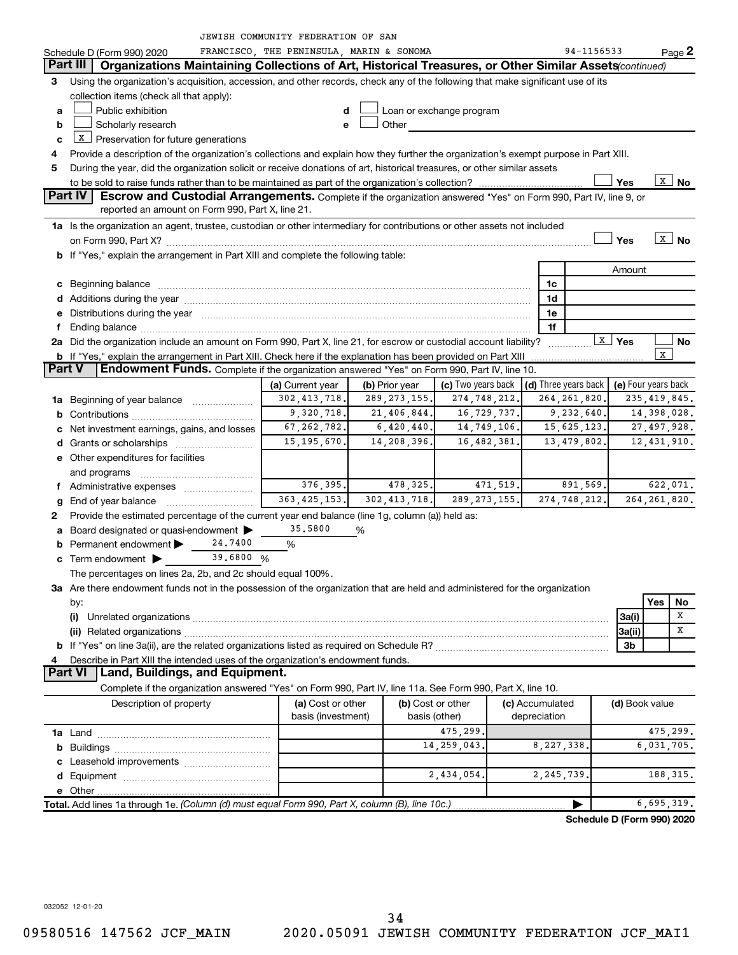|               |                                                                                                                                                                                                                                                                  | <b>JEWISH COMMUNITY FEDERATION OF SAN</b> |                |                                                                                                                                                                                                                                |          |                      |                         |                            |  |  |  |  |
|---------------|------------------------------------------------------------------------------------------------------------------------------------------------------------------------------------------------------------------------------------------------------------------|-------------------------------------------|----------------|--------------------------------------------------------------------------------------------------------------------------------------------------------------------------------------------------------------------------------|----------|----------------------|-------------------------|----------------------------|--|--|--|--|
|               | Schedule D (Form 990) 2020                                                                                                                                                                                                                                       | FRANCISCO, THE PENINSULA, MARIN & SONOMA  |                |                                                                                                                                                                                                                                |          | 94-1156533           |                         | Page 2                     |  |  |  |  |
|               | Part III  <br>Organizations Maintaining Collections of Art, Historical Treasures, or Other Similar Assets (continued)                                                                                                                                            |                                           |                |                                                                                                                                                                                                                                |          |                      |                         |                            |  |  |  |  |
| 3             | Using the organization's acquisition, accession, and other records, check any of the following that make significant use of its                                                                                                                                  |                                           |                |                                                                                                                                                                                                                                |          |                      |                         |                            |  |  |  |  |
|               | collection items (check all that apply):                                                                                                                                                                                                                         |                                           |                |                                                                                                                                                                                                                                |          |                      |                         |                            |  |  |  |  |
| a             | Public exhibition                                                                                                                                                                                                                                                | d                                         |                | Loan or exchange program                                                                                                                                                                                                       |          |                      |                         |                            |  |  |  |  |
| b             | Scholarly research                                                                                                                                                                                                                                               | е                                         |                | Other and the control of the control of the control of the control of the control of the control of the control of the control of the control of the control of the control of the control of the control of the control of th |          |                      |                         |                            |  |  |  |  |
| c             | $X$ Preservation for future generations                                                                                                                                                                                                                          |                                           |                |                                                                                                                                                                                                                                |          |                      |                         |                            |  |  |  |  |
|               |                                                                                                                                                                                                                                                                  |                                           |                |                                                                                                                                                                                                                                |          |                      |                         |                            |  |  |  |  |
| 5             | Provide a description of the organization's collections and explain how they further the organization's exempt purpose in Part XIII.<br>During the year, did the organization solicit or receive donations of art, historical treasures, or other similar assets |                                           |                |                                                                                                                                                                                                                                |          |                      |                         |                            |  |  |  |  |
|               | $\boxed{\texttt{x}}$ No<br>Yes                                                                                                                                                                                                                                   |                                           |                |                                                                                                                                                                                                                                |          |                      |                         |                            |  |  |  |  |
|               | Part IV<br><b>Escrow and Custodial Arrangements.</b> Complete if the organization answered "Yes" on Form 990, Part IV, line 9, or                                                                                                                                |                                           |                |                                                                                                                                                                                                                                |          |                      |                         |                            |  |  |  |  |
|               | reported an amount on Form 990, Part X, line 21.                                                                                                                                                                                                                 |                                           |                |                                                                                                                                                                                                                                |          |                      |                         |                            |  |  |  |  |
|               | 1a Is the organization an agent, trustee, custodian or other intermediary for contributions or other assets not included                                                                                                                                         |                                           |                |                                                                                                                                                                                                                                |          |                      |                         |                            |  |  |  |  |
|               |                                                                                                                                                                                                                                                                  |                                           |                |                                                                                                                                                                                                                                |          |                      | Yes                     | $\overline{x}$ No          |  |  |  |  |
|               | b If "Yes," explain the arrangement in Part XIII and complete the following table:                                                                                                                                                                               |                                           |                |                                                                                                                                                                                                                                |          |                      |                         |                            |  |  |  |  |
|               |                                                                                                                                                                                                                                                                  |                                           |                |                                                                                                                                                                                                                                |          |                      | Amount                  |                            |  |  |  |  |
|               |                                                                                                                                                                                                                                                                  |                                           |                |                                                                                                                                                                                                                                |          | 1c                   |                         |                            |  |  |  |  |
|               |                                                                                                                                                                                                                                                                  |                                           |                |                                                                                                                                                                                                                                |          | 1d                   |                         |                            |  |  |  |  |
|               |                                                                                                                                                                                                                                                                  |                                           |                |                                                                                                                                                                                                                                |          |                      |                         |                            |  |  |  |  |
|               | e Distributions during the year manufactured and continuum and contract the year manufactured and contract the                                                                                                                                                   |                                           |                |                                                                                                                                                                                                                                |          | 1e                   |                         |                            |  |  |  |  |
|               |                                                                                                                                                                                                                                                                  |                                           |                |                                                                                                                                                                                                                                |          | 1f                   | $\lfloor x \rfloor$ Yes |                            |  |  |  |  |
|               |                                                                                                                                                                                                                                                                  |                                           |                |                                                                                                                                                                                                                                |          |                      |                         | No<br>$\mathbf x$          |  |  |  |  |
| <b>Part V</b> | <b>b</b> If "Yes," explain the arrangement in Part XIII. Check here if the explanation has been provided on Part XIII<br><b>Endowment Funds.</b> Complete if the organization answered "Yes" on Form 990, Part IV, line 10.                                      |                                           |                |                                                                                                                                                                                                                                |          |                      |                         |                            |  |  |  |  |
|               |                                                                                                                                                                                                                                                                  |                                           |                |                                                                                                                                                                                                                                |          |                      |                         |                            |  |  |  |  |
|               |                                                                                                                                                                                                                                                                  | (a) Current year                          | (b) Prior year | (c) Two years back                                                                                                                                                                                                             |          | (d) Three years back |                         | (e) Four years back        |  |  |  |  |
|               | <b>1a</b> Beginning of year balance <i>manument</i>                                                                                                                                                                                                              | 302, 413, 718.                            | 289, 273, 155. | 274,748,212.                                                                                                                                                                                                                   |          | 264, 261, 820.       |                         | 235, 419, 845.             |  |  |  |  |
| b             |                                                                                                                                                                                                                                                                  | 9,320,718.                                | 21, 406, 844.  | 16,729,737.                                                                                                                                                                                                                    |          | 9,232,640.           |                         | 14,398,028.                |  |  |  |  |
|               | c Net investment earnings, gains, and losses                                                                                                                                                                                                                     | 67, 262, 782.                             | 6,420,440.     | 14,749,106.                                                                                                                                                                                                                    |          | 15,625,123.          |                         | 27, 497, 928.              |  |  |  |  |
|               |                                                                                                                                                                                                                                                                  | 15, 195, 670.                             | 14,208,396.    | 16,482,381.                                                                                                                                                                                                                    |          | 13,479,802.          |                         | 12, 431, 910.              |  |  |  |  |
|               | e Other expenditures for facilities                                                                                                                                                                                                                              |                                           |                |                                                                                                                                                                                                                                |          |                      |                         |                            |  |  |  |  |
|               | and programs                                                                                                                                                                                                                                                     |                                           |                |                                                                                                                                                                                                                                |          |                      |                         |                            |  |  |  |  |
|               |                                                                                                                                                                                                                                                                  | 376, 395.                                 | 478, 325.      |                                                                                                                                                                                                                                | 471,519. | 891,569.             |                         | 622,071.                   |  |  |  |  |
| g             |                                                                                                                                                                                                                                                                  | 363, 425, 153.                            | 302, 413, 718. | 289, 273, 155.                                                                                                                                                                                                                 |          | 274,748,212.         |                         | 264, 261, 820.             |  |  |  |  |
| 2             | Provide the estimated percentage of the current year end balance (line 1g, column (a)) held as:                                                                                                                                                                  |                                           |                |                                                                                                                                                                                                                                |          |                      |                         |                            |  |  |  |  |
| а             | Board designated or quasi-endowment                                                                                                                                                                                                                              | 35.5800                                   | %              |                                                                                                                                                                                                                                |          |                      |                         |                            |  |  |  |  |
|               | Permanent endowment $\blacktriangleright$<br>24,7400                                                                                                                                                                                                             | %                                         |                |                                                                                                                                                                                                                                |          |                      |                         |                            |  |  |  |  |
|               | 39.6800 %<br>$\mathbf c$ Term endowment $\blacktriangleright$                                                                                                                                                                                                    |                                           |                |                                                                                                                                                                                                                                |          |                      |                         |                            |  |  |  |  |
|               | The percentages on lines 2a, 2b, and 2c should equal 100%.                                                                                                                                                                                                       |                                           |                |                                                                                                                                                                                                                                |          |                      |                         |                            |  |  |  |  |
|               | 3a Are there endowment funds not in the possession of the organization that are held and administered for the organization                                                                                                                                       |                                           |                |                                                                                                                                                                                                                                |          |                      |                         |                            |  |  |  |  |
|               | by:                                                                                                                                                                                                                                                              |                                           |                |                                                                                                                                                                                                                                |          |                      |                         | Yes<br>No                  |  |  |  |  |
|               | (i)                                                                                                                                                                                                                                                              |                                           |                |                                                                                                                                                                                                                                |          |                      | 3a(i)                   | X                          |  |  |  |  |
|               |                                                                                                                                                                                                                                                                  |                                           |                |                                                                                                                                                                                                                                |          |                      | 3a(ii)                  | Χ                          |  |  |  |  |
|               |                                                                                                                                                                                                                                                                  |                                           |                |                                                                                                                                                                                                                                |          |                      | 3b                      |                            |  |  |  |  |
|               | Describe in Part XIII the intended uses of the organization's endowment funds.                                                                                                                                                                                   |                                           |                |                                                                                                                                                                                                                                |          |                      |                         |                            |  |  |  |  |
|               | Land, Buildings, and Equipment.<br><b>Part VI</b>                                                                                                                                                                                                                |                                           |                |                                                                                                                                                                                                                                |          |                      |                         |                            |  |  |  |  |
|               | Complete if the organization answered "Yes" on Form 990, Part IV, line 11a. See Form 990, Part X, line 10.                                                                                                                                                       |                                           |                |                                                                                                                                                                                                                                |          |                      |                         |                            |  |  |  |  |
|               | Description of property                                                                                                                                                                                                                                          | (a) Cost or other                         |                | (b) Cost or other                                                                                                                                                                                                              |          | (c) Accumulated      | (d) Book value          |                            |  |  |  |  |
|               |                                                                                                                                                                                                                                                                  | basis (investment)                        |                | basis (other)                                                                                                                                                                                                                  |          | depreciation         |                         |                            |  |  |  |  |
|               |                                                                                                                                                                                                                                                                  |                                           |                | 475,299                                                                                                                                                                                                                        |          |                      |                         | 475,299.                   |  |  |  |  |
|               |                                                                                                                                                                                                                                                                  |                                           |                | 14, 259, 043.                                                                                                                                                                                                                  |          | 8,227,338,           |                         | 6,031,705.                 |  |  |  |  |
|               |                                                                                                                                                                                                                                                                  |                                           |                |                                                                                                                                                                                                                                |          |                      |                         |                            |  |  |  |  |
|               |                                                                                                                                                                                                                                                                  |                                           |                | 2,434,054.                                                                                                                                                                                                                     |          | 2, 245, 739.         |                         | 188, 315.                  |  |  |  |  |
|               |                                                                                                                                                                                                                                                                  |                                           |                |                                                                                                                                                                                                                                |          |                      |                         |                            |  |  |  |  |
|               | Total. Add lines 1a through 1e. (Column (d) must equal Form 990, Part X, column (B), line 10c.)                                                                                                                                                                  |                                           |                |                                                                                                                                                                                                                                |          |                      |                         | 6,695,319.                 |  |  |  |  |
|               |                                                                                                                                                                                                                                                                  |                                           |                |                                                                                                                                                                                                                                |          |                      |                         |                            |  |  |  |  |
|               |                                                                                                                                                                                                                                                                  |                                           |                |                                                                                                                                                                                                                                |          |                      |                         | Schedule D (Form 990) 2020 |  |  |  |  |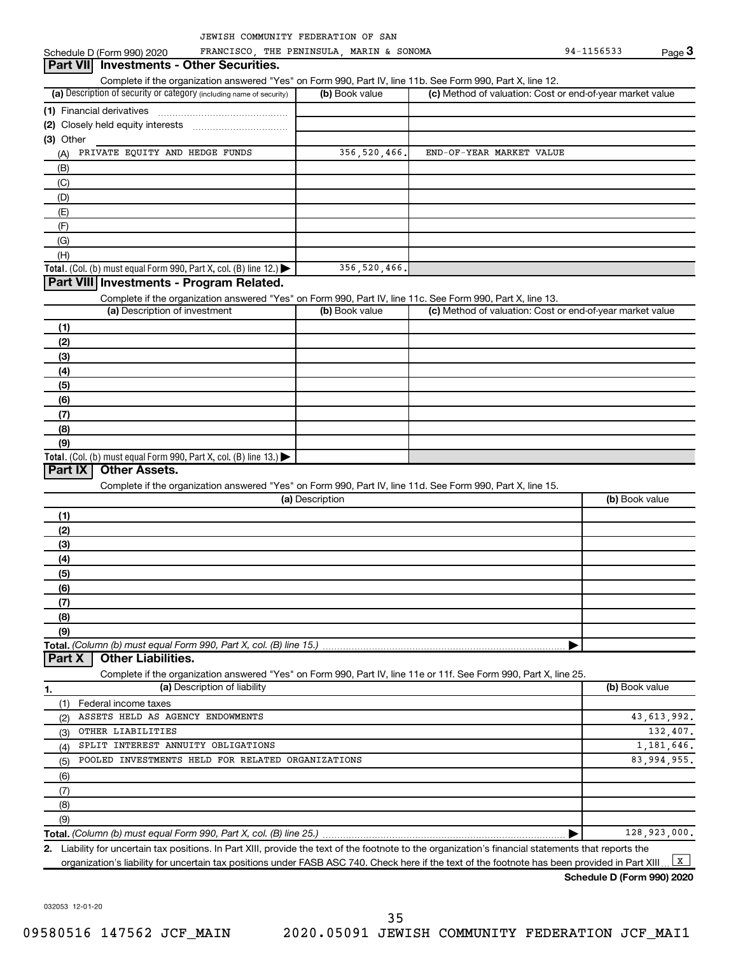(a) Description of security or category (including name of security)  $\vert$  (b) Book value  $\vert$  (c) **Total.** (Col. (b) must equal Form 990, Part X, col. (B) line 12.)  $\blacktriangleright$ **Total.** (Col. (b) must equal Form 990, Part X, col. (B) line  $13$ .) **(1)** Financial derivatives ~~~~~~~~~~~~~~~ **(2)** Closely held equity interests ~~~~~~~~~~~ **(3)** Other (a) Description of investment (b) Book value **(1) (2) (3) (4) (5) (6) (7) (8) (9)** (a) Description **(1) (2) (3) (4) (5) (6) (7) (8) (9) Total.**  *(Column (b) must equal Form 990, Part X, col. (B) line 15.)* **1. (a)** Description of liability **Book value** Book value **(b)** Book value Schedule D (Form 990) 2020 FRANCISCO, THE PENINSULA, MARIN & SONOMA 94-1156533 Page Complete if the organization answered "Yes" on Form 990, Part IV, line 11b. See Form 990, Part X, line 12.  $(b)$  Book value  $\vert$  (c) Method of valuation: Cost or end-of-year market value (A) (B) (C) (D) (E) (F) (G) (H) Complete if the organization answered "Yes" on Form 990, Part IV, line 11c. See Form 990, Part X, line 13. (c) Method of valuation: Cost or end-of-year market value Complete if the organization answered "Yes" on Form 990, Part IV, line 11d. See Form 990, Part X, line 15. (b) Book value | Complete if the organization answered "Yes" on Form 990, Part IV, line 11e or 11f. See Form 990, Part X, line 25. (1) Federal income taxes (2) (3) (4) (5) (6) (7) (8) **3 Part VII Investments - Other Securities. Part VIII Investments - Program Related. Part IX Other Assets. Part X Other Liabilities.** PRIVATE EQUITY AND HEDGE FUNDS 356,520,466. END-OF-YEAR MARKET VALUE 356,520,466. ASSETS HELD AS AGENCY ENDOWMENTS **ASSETS HELD** AS AGENCY ENDOWMENTS OTHER LIABILITIES 132,407. SPLIT INTEREST ANNUITY OBLIGATIONS 1,181,646. POOLED INVESTMENTS HELD FOR RELATED ORGANIZATIONS 83,994,955.

**Total.**  *(Column (b) must equal Form 990, Part X, col. (B) line 25.)* |

**2.** Liability for uncertain tax positions. In Part XIII, provide the text of the footnote to the organization's financial statements that reports the organization's liability for uncertain tax positions under FASB ASC 740. Check here if the text of the footnote has been provided in Part XIII.  $\boxed{\mathbf{x}}$ 

**Schedule D (Form 990) 2020**

128,923,000.

032053 12-01-20

(9)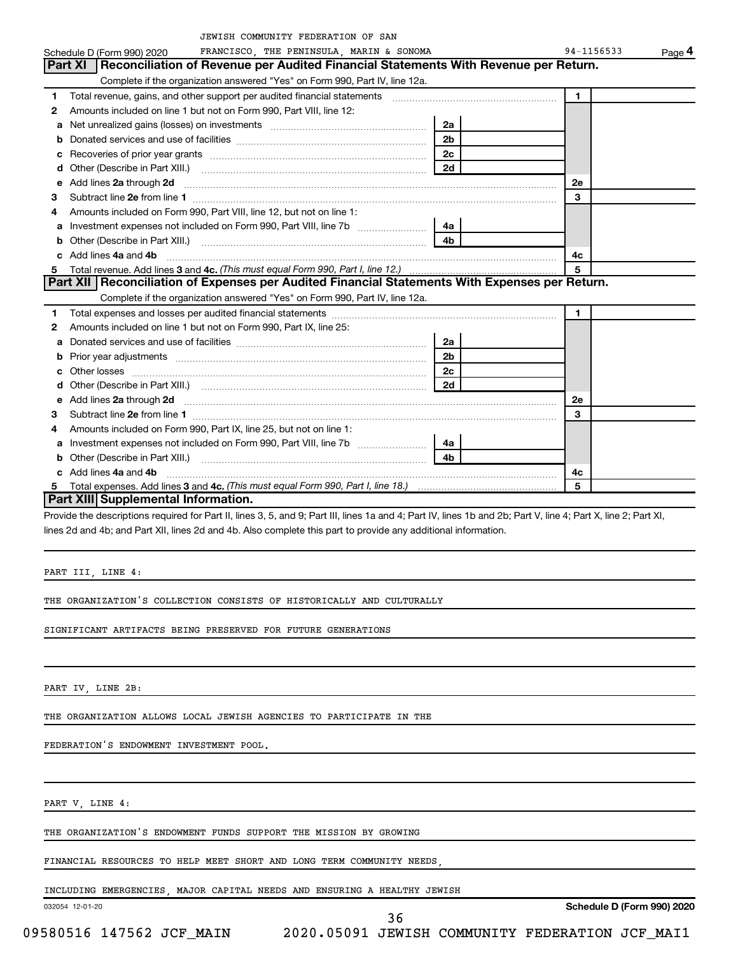|    | JEWISH COMMUNITY FEDERATION OF SAN                                                                                                                                                                                                  |                |              |        |
|----|-------------------------------------------------------------------------------------------------------------------------------------------------------------------------------------------------------------------------------------|----------------|--------------|--------|
|    | FRANCISCO, THE PENINSULA, MARIN & SONOMA<br>Schedule D (Form 990) 2020                                                                                                                                                              |                | 94-1156533   | Page 4 |
|    | Reconciliation of Revenue per Audited Financial Statements With Revenue per Return.<br><b>Part XI</b>                                                                                                                               |                |              |        |
|    | Complete if the organization answered "Yes" on Form 990, Part IV, line 12a.                                                                                                                                                         |                |              |        |
| 1  | Total revenue, gains, and other support per audited financial statements                                                                                                                                                            |                | 1            |        |
| 2  | Amounts included on line 1 but not on Form 990, Part VIII, line 12:                                                                                                                                                                 |                |              |        |
| a  |                                                                                                                                                                                                                                     | 2a             |              |        |
| b  |                                                                                                                                                                                                                                     | 2 <sub>b</sub> |              |        |
| с  |                                                                                                                                                                                                                                     | 2 <sub>c</sub> |              |        |
| d  |                                                                                                                                                                                                                                     | 2d             |              |        |
| е  | Add lines 2a through 2d                                                                                                                                                                                                             |                | <b>2e</b>    |        |
| 3  |                                                                                                                                                                                                                                     |                | 3            |        |
| 4  | Amounts included on Form 990, Part VIII, line 12, but not on line 1:                                                                                                                                                                |                |              |        |
| a  |                                                                                                                                                                                                                                     | 4a             |              |        |
| b  |                                                                                                                                                                                                                                     | 4b             |              |        |
|    | Add lines 4a and 4b                                                                                                                                                                                                                 |                | 4c           |        |
| 5. |                                                                                                                                                                                                                                     |                | 5            |        |
|    | Part XII   Reconciliation of Expenses per Audited Financial Statements With Expenses per Return.                                                                                                                                    |                |              |        |
|    | Complete if the organization answered "Yes" on Form 990, Part IV, line 12a.                                                                                                                                                         |                |              |        |
| 1  |                                                                                                                                                                                                                                     |                | $\mathbf{1}$ |        |
| 2  | Amounts included on line 1 but not on Form 990, Part IX, line 25:                                                                                                                                                                   |                |              |        |
| a  |                                                                                                                                                                                                                                     | 2a             |              |        |
|    |                                                                                                                                                                                                                                     | 2 <sub>b</sub> |              |        |
| c. |                                                                                                                                                                                                                                     | 2 <sub>c</sub> |              |        |
| d  |                                                                                                                                                                                                                                     | 2d             |              |        |
| е  | Add lines 2a through 2d <b>[10]</b> University of the state of the state of the state of the state of the state of the state of the state of the state of the state of the state of the state of the state of the state of the stat |                | <b>2e</b>    |        |
| 3  |                                                                                                                                                                                                                                     |                | 3            |        |
| 4  | Amounts included on Form 990, Part IX, line 25, but not on line 1:                                                                                                                                                                  |                |              |        |
|    | Investment expenses not included on Form 990, Part VIII, line 7b [11, 111, 111, 111]                                                                                                                                                | 4a             |              |        |
| b  |                                                                                                                                                                                                                                     | 4b             |              |        |
|    | Add lines 4a and 4b                                                                                                                                                                                                                 |                | 4c           |        |
| 5  |                                                                                                                                                                                                                                     |                | 5            |        |

## **Part XIII Supplemental Information.**

Provide the descriptions required for Part II, lines 3, 5, and 9; Part III, lines 1a and 4; Part IV, lines 1b and 2b; Part V, line 4; Part X, line 2; Part XI, lines 2d and 4b; and Part XII, lines 2d and 4b. Also complete this part to provide any additional information.

PART III, LINE 4:

THE ORGANIZATION'S COLLECTION CONSISTS OF HISTORICALLY AND CULTURALLY

SIGNIFICANT ARTIFACTS BEING PRESERVED FOR FUTURE GENERATIONS

PART IV, LINE 2B:

THE ORGANIZATION ALLOWS LOCAL JEWISH AGENCIES TO PARTICIPATE IN THE

FEDERATION'S ENDOWMENT INVESTMENT POOL.

PART V, LINE 4:

THE ORGANIZATION'S ENDOWMENT FUNDS SUPPORT THE MISSION BY GROWING

FINANCIAL RESOURCES TO HELP MEET SHORT AND LONG TERM COMMUNITY NEEDS,

INCLUDING EMERGENCIES, MAJOR CAPITAL NEEDS AND ENSURING A HEALTHY JEWISH

032054 12-01-20

**Schedule D (Form 990) 2020**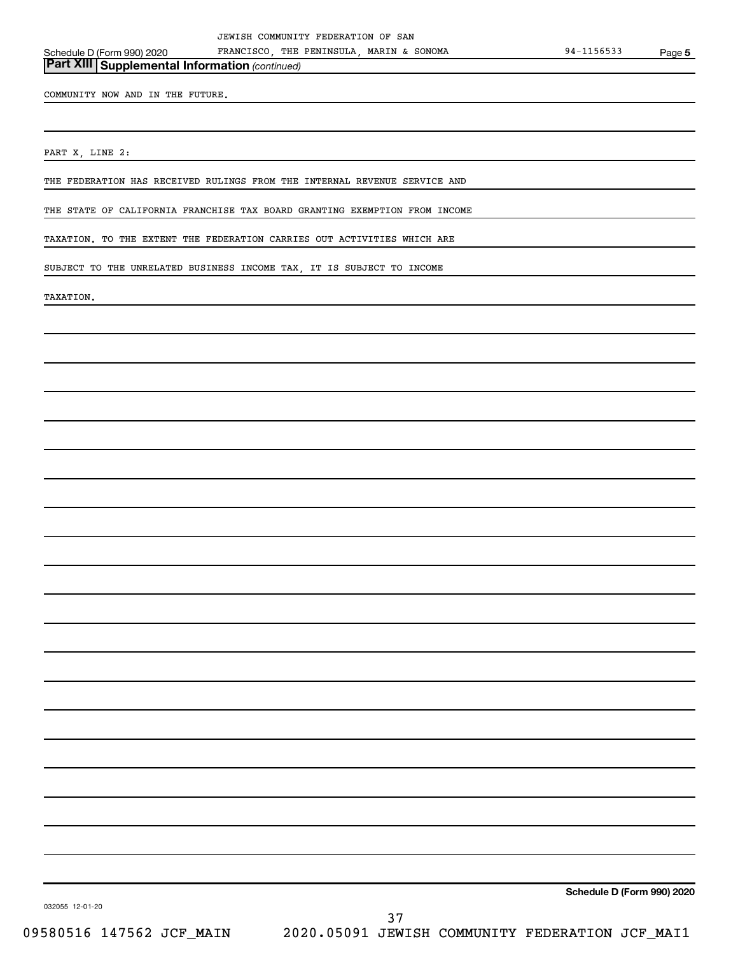*(continued)* **Part XIII Supplemental Information** 

COMMUNITY NOW AND IN THE FUTURE.

PART X, LINE 2:

THE FEDERATION HAS RECEIVED RULINGS FROM THE INTERNAL REVENUE SERVICE AND

THE STATE OF CALIFORNIA FRANCHISE TAX BOARD GRANTING EXEMPTION FROM INCOME

TAXATION. TO THE EXTENT THE FEDERATION CARRIES OUT ACTIVITIES WHICH ARE

SUBJECT TO THE UNRELATED BUSINESS INCOME TAX, IT IS SUBJECT TO INCOME

TAXATION.

**Schedule D (Form 990) 2020**

032055 12-01-20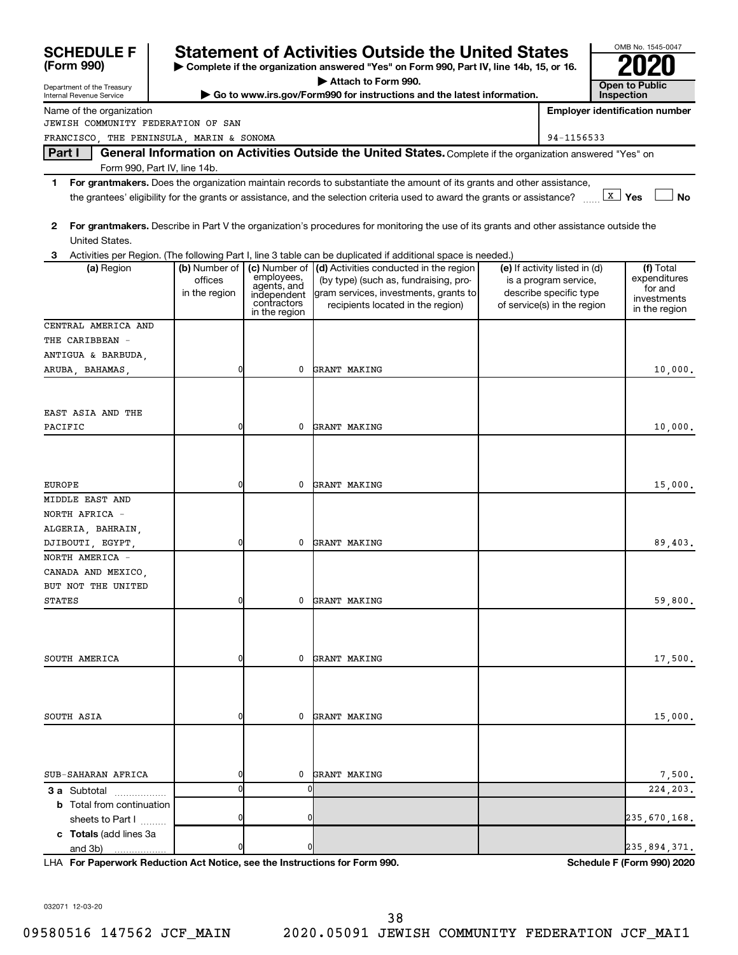| <b>SCHEDULE F</b>                                      |                                                                                                                                                    |                                          |                                                                                                                                                                                                                                                                        |  |                                                 |            | OMB No. 1545-0047                     |
|--------------------------------------------------------|----------------------------------------------------------------------------------------------------------------------------------------------------|------------------------------------------|------------------------------------------------------------------------------------------------------------------------------------------------------------------------------------------------------------------------------------------------------------------------|--|-------------------------------------------------|------------|---------------------------------------|
| (Form 990)                                             | <b>Statement of Activities Outside the United States</b><br>Complete if the organization answered "Yes" on Form 990, Part IV, line 14b, 15, or 16. |                                          |                                                                                                                                                                                                                                                                        |  |                                                 |            |                                       |
|                                                        |                                                                                                                                                    |                                          | Attach to Form 990.                                                                                                                                                                                                                                                    |  |                                                 |            | <b>Open to Public</b>                 |
| Department of the Treasury<br>Internal Revenue Service |                                                                                                                                                    |                                          | Go to www.irs.gov/Form990 for instructions and the latest information.                                                                                                                                                                                                 |  |                                                 | Inspection |                                       |
| Name of the organization                               |                                                                                                                                                    |                                          |                                                                                                                                                                                                                                                                        |  |                                                 |            | <b>Employer identification number</b> |
| JEWISH COMMUNITY FEDERATION OF SAN                     |                                                                                                                                                    |                                          |                                                                                                                                                                                                                                                                        |  |                                                 |            |                                       |
| FRANCISCO, THE PENINSULA, MARIN & SONOMA               |                                                                                                                                                    |                                          |                                                                                                                                                                                                                                                                        |  | 94-1156533                                      |            |                                       |
| Part I                                                 |                                                                                                                                                    |                                          | General Information on Activities Outside the United States. Complete if the organization answered "Yes" on                                                                                                                                                            |  |                                                 |            |                                       |
| Form 990, Part IV, line 14b.                           |                                                                                                                                                    |                                          |                                                                                                                                                                                                                                                                        |  |                                                 |            |                                       |
| 1                                                      |                                                                                                                                                    |                                          | For grantmakers. Does the organization maintain records to substantiate the amount of its grants and other assistance,<br>the grantees' eligibility for the grants or assistance, and the selection criteria used to award the grants or assistance? $\frac{X}{X}$ Yes |  |                                                 |            | <b>No</b>                             |
| 2<br>United States.                                    |                                                                                                                                                    |                                          | For grantmakers. Describe in Part V the organization's procedures for monitoring the use of its grants and other assistance outside the                                                                                                                                |  |                                                 |            |                                       |
| 3                                                      |                                                                                                                                                    |                                          | Activities per Region. (The following Part I, line 3 table can be duplicated if additional space is needed.)                                                                                                                                                           |  |                                                 |            |                                       |
| (a) Region                                             | (b) Number of                                                                                                                                      | (c) Number of                            | (d) Activities conducted in the region                                                                                                                                                                                                                                 |  | (e) If activity listed in (d)                   |            | (f) Total                             |
|                                                        | offices<br>in the region                                                                                                                           | employees,<br>agents, and<br>independent | (by type) (such as, fundraising, pro-<br>gram services, investments, grants to                                                                                                                                                                                         |  | is a program service,<br>describe specific type |            | expenditures<br>for and               |
|                                                        |                                                                                                                                                    | contractors<br>in the region             | recipients located in the region)                                                                                                                                                                                                                                      |  | of service(s) in the region                     |            | investments<br>in the region          |
| CENTRAL AMERICA AND                                    |                                                                                                                                                    |                                          |                                                                                                                                                                                                                                                                        |  |                                                 |            |                                       |
| THE CARIBBEAN -                                        |                                                                                                                                                    |                                          |                                                                                                                                                                                                                                                                        |  |                                                 |            |                                       |
| ANTIGUA & BARBUDA,                                     |                                                                                                                                                    |                                          |                                                                                                                                                                                                                                                                        |  |                                                 |            |                                       |
| ARUBA, BAHAMAS,                                        | 0                                                                                                                                                  | 0                                        | GRANT MAKING                                                                                                                                                                                                                                                           |  |                                                 |            | 10,000.                               |
|                                                        |                                                                                                                                                    |                                          |                                                                                                                                                                                                                                                                        |  |                                                 |            |                                       |
|                                                        |                                                                                                                                                    |                                          |                                                                                                                                                                                                                                                                        |  |                                                 |            |                                       |
| EAST ASIA AND THE                                      |                                                                                                                                                    |                                          |                                                                                                                                                                                                                                                                        |  |                                                 |            |                                       |
| PACIFIC                                                |                                                                                                                                                    | 0                                        | GRANT MAKING                                                                                                                                                                                                                                                           |  |                                                 |            | 10,000.                               |
|                                                        |                                                                                                                                                    |                                          |                                                                                                                                                                                                                                                                        |  |                                                 |            |                                       |
|                                                        |                                                                                                                                                    |                                          |                                                                                                                                                                                                                                                                        |  |                                                 |            |                                       |
|                                                        |                                                                                                                                                    |                                          |                                                                                                                                                                                                                                                                        |  |                                                 |            |                                       |
| <b>EUROPE</b>                                          |                                                                                                                                                    | 0                                        | GRANT MAKING                                                                                                                                                                                                                                                           |  |                                                 |            | 15,000.                               |
| MIDDLE EAST AND                                        |                                                                                                                                                    |                                          |                                                                                                                                                                                                                                                                        |  |                                                 |            |                                       |
| NORTH AFRICA -                                         |                                                                                                                                                    |                                          |                                                                                                                                                                                                                                                                        |  |                                                 |            |                                       |
| ALGERIA, BAHRAIN,                                      |                                                                                                                                                    |                                          |                                                                                                                                                                                                                                                                        |  |                                                 |            |                                       |
| DJIBOUTI, EGYPT,                                       | 0                                                                                                                                                  | 0                                        | GRANT MAKING                                                                                                                                                                                                                                                           |  |                                                 |            | 89,403.                               |
| NORTH AMERICA -                                        |                                                                                                                                                    |                                          |                                                                                                                                                                                                                                                                        |  |                                                 |            |                                       |
| CANADA AND MEXICO,                                     |                                                                                                                                                    |                                          |                                                                                                                                                                                                                                                                        |  |                                                 |            |                                       |
| BUT NOT THE UNITED                                     |                                                                                                                                                    |                                          |                                                                                                                                                                                                                                                                        |  |                                                 |            |                                       |
| <b>STATES</b>                                          | 0                                                                                                                                                  | 0                                        | GRANT MAKING                                                                                                                                                                                                                                                           |  |                                                 |            | 59,800.                               |
|                                                        |                                                                                                                                                    |                                          |                                                                                                                                                                                                                                                                        |  |                                                 |            |                                       |
|                                                        |                                                                                                                                                    |                                          |                                                                                                                                                                                                                                                                        |  |                                                 |            |                                       |
|                                                        |                                                                                                                                                    |                                          |                                                                                                                                                                                                                                                                        |  |                                                 |            |                                       |
| SOUTH AMERICA                                          |                                                                                                                                                    | 0                                        | GRANT MAKING                                                                                                                                                                                                                                                           |  |                                                 |            | 17,500.                               |
|                                                        |                                                                                                                                                    |                                          |                                                                                                                                                                                                                                                                        |  |                                                 |            |                                       |
|                                                        |                                                                                                                                                    |                                          |                                                                                                                                                                                                                                                                        |  |                                                 |            |                                       |
| SOUTH ASIA                                             |                                                                                                                                                    | 0                                        | GRANT MAKING                                                                                                                                                                                                                                                           |  |                                                 |            | 15,000.                               |
|                                                        |                                                                                                                                                    |                                          |                                                                                                                                                                                                                                                                        |  |                                                 |            |                                       |
|                                                        |                                                                                                                                                    |                                          |                                                                                                                                                                                                                                                                        |  |                                                 |            |                                       |
|                                                        |                                                                                                                                                    |                                          |                                                                                                                                                                                                                                                                        |  |                                                 |            |                                       |
| SUB-SAHARAN AFRICA                                     |                                                                                                                                                    | 0                                        | GRANT MAKING                                                                                                                                                                                                                                                           |  |                                                 |            | 7,500.                                |
| 3 a Subtotal                                           |                                                                                                                                                    |                                          |                                                                                                                                                                                                                                                                        |  |                                                 |            | 224,203.                              |
| <b>b</b> Total from continuation                       |                                                                                                                                                    |                                          |                                                                                                                                                                                                                                                                        |  |                                                 |            |                                       |
| sheets to Part I                                       |                                                                                                                                                    |                                          |                                                                                                                                                                                                                                                                        |  |                                                 |            | 235,670,168.                          |
| c Totals (add lines 3a                                 |                                                                                                                                                    |                                          |                                                                                                                                                                                                                                                                        |  |                                                 |            |                                       |
| and 3b)                                                |                                                                                                                                                    |                                          |                                                                                                                                                                                                                                                                        |  |                                                 |            | 235,894,371.                          |

**For Paperwork Reduction Act Notice, see the Instructions for Form 990. Schedule F (Form 990) 2020** LHA

032071 12-03-20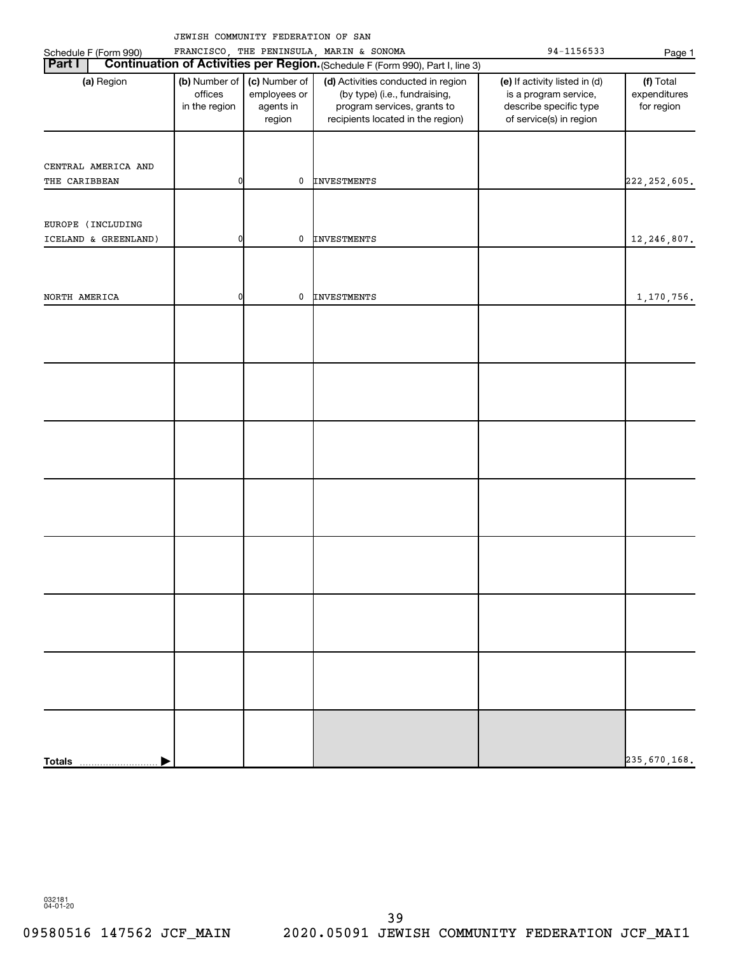|                       |                                           | JEWISH COMMUNITY FEDERATION OF SAN                   |                                                                                                                                         |                                                                                                             |                                         |
|-----------------------|-------------------------------------------|------------------------------------------------------|-----------------------------------------------------------------------------------------------------------------------------------------|-------------------------------------------------------------------------------------------------------------|-----------------------------------------|
| Schedule F (Form 990) |                                           |                                                      | FRANCISCO, THE PENINSULA, MARIN & SONOMA                                                                                                | 94-1156533                                                                                                  | Page 1                                  |
| <b>Part I</b>         |                                           |                                                      | Continuation of Activities per Region. (Schedule F (Form 990), Part I, line 3)                                                          |                                                                                                             |                                         |
| (a) Region            | (b) Number of<br>offices<br>in the region | (c) Number of<br>employees or<br>agents in<br>region | (d) Activities conducted in region<br>(by type) (i.e., fundraising,<br>program services, grants to<br>recipients located in the region) | (e) If activity listed in (d)<br>is a program service,<br>describe specific type<br>of service(s) in region | (f) Total<br>expenditures<br>for region |
| CENTRAL AMERICA AND   |                                           |                                                      |                                                                                                                                         |                                                                                                             |                                         |
| THE CARIBBEAN         | 0                                         | 0                                                    | <b>INVESTMENTS</b>                                                                                                                      |                                                                                                             | 222, 252, 605.                          |
|                       |                                           |                                                      |                                                                                                                                         |                                                                                                             |                                         |
| EUROPE (INCLUDING     |                                           |                                                      |                                                                                                                                         |                                                                                                             |                                         |
| ICELAND & GREENLAND)  | 01                                        | 0                                                    | <b>INVESTMENTS</b>                                                                                                                      |                                                                                                             | 12,246,807.                             |
|                       |                                           |                                                      |                                                                                                                                         |                                                                                                             |                                         |
| NORTH AMERICA         | 0                                         | 0                                                    | INVESTMENTS                                                                                                                             |                                                                                                             | 1,170,756.                              |
|                       |                                           |                                                      |                                                                                                                                         |                                                                                                             |                                         |
|                       |                                           |                                                      |                                                                                                                                         |                                                                                                             |                                         |
|                       |                                           |                                                      |                                                                                                                                         |                                                                                                             |                                         |
|                       |                                           |                                                      |                                                                                                                                         |                                                                                                             |                                         |
|                       |                                           |                                                      |                                                                                                                                         |                                                                                                             |                                         |
|                       |                                           |                                                      |                                                                                                                                         |                                                                                                             |                                         |
|                       |                                           |                                                      |                                                                                                                                         |                                                                                                             |                                         |
|                       |                                           |                                                      |                                                                                                                                         |                                                                                                             |                                         |
|                       |                                           |                                                      |                                                                                                                                         |                                                                                                             |                                         |
|                       |                                           |                                                      |                                                                                                                                         |                                                                                                             |                                         |
|                       |                                           |                                                      |                                                                                                                                         |                                                                                                             |                                         |
|                       |                                           |                                                      |                                                                                                                                         |                                                                                                             |                                         |
|                       |                                           |                                                      |                                                                                                                                         |                                                                                                             |                                         |
|                       |                                           |                                                      |                                                                                                                                         |                                                                                                             |                                         |
|                       |                                           |                                                      |                                                                                                                                         |                                                                                                             |                                         |
|                       |                                           |                                                      |                                                                                                                                         |                                                                                                             |                                         |
|                       |                                           |                                                      |                                                                                                                                         |                                                                                                             |                                         |
| <b>Totals</b>         |                                           |                                                      |                                                                                                                                         |                                                                                                             | 235,670,168.                            |

032181 04-01-20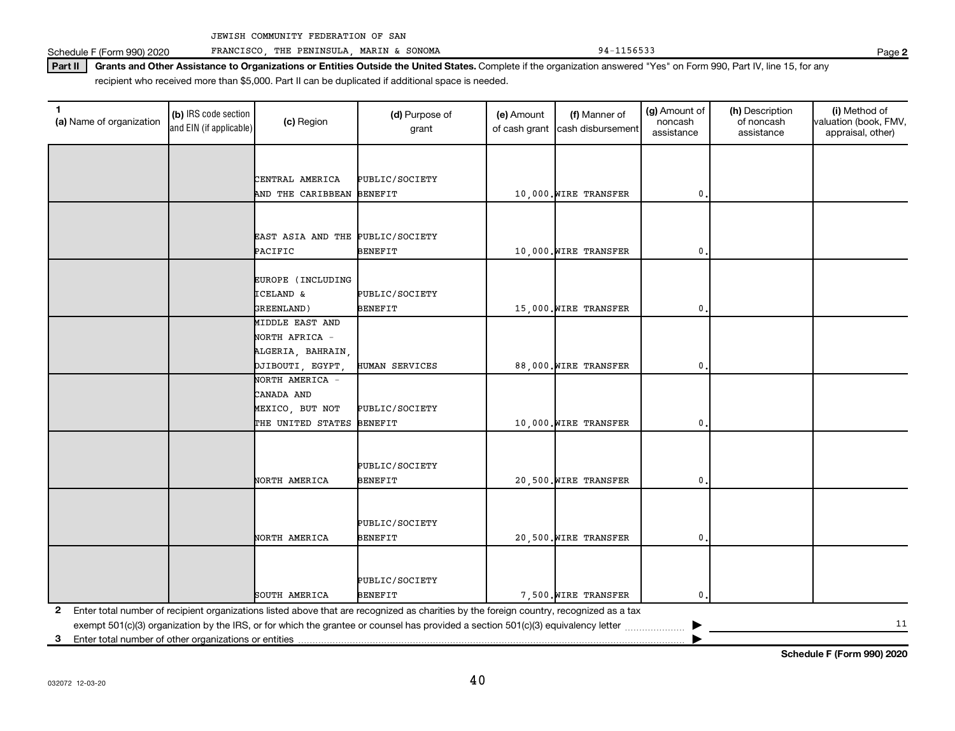Schedule F (Form 990) 2020 FRANCISCO, THE PENINSULA, MARIN & SONOMA 94-1156533 94-1156533

Part II | Grants and Other Assistance to Organizations or Entities Outside the United States. Complete if the organization answered "Yes" on Form 990, Part IV, line 15, for any recipient who received more than \$5,000. Part II can be duplicated if additional space is needed.

| 1<br>(a) Name of organization                              | (b) IRS code section<br>and EIN (if applicable) | (c) Region                           | (d) Purpose of<br>grant                                                                                                                 | (e) Amount | (f) Manner of<br>of cash grant cash disbursement | (g) Amount of<br>noncash<br>assistance | (h) Description<br>of noncash<br>assistance | (i) Method of<br>valuation (book, FMV,<br>appraisal, other) |
|------------------------------------------------------------|-------------------------------------------------|--------------------------------------|-----------------------------------------------------------------------------------------------------------------------------------------|------------|--------------------------------------------------|----------------------------------------|---------------------------------------------|-------------------------------------------------------------|
|                                                            |                                                 |                                      |                                                                                                                                         |            |                                                  |                                        |                                             |                                                             |
|                                                            |                                                 |                                      |                                                                                                                                         |            |                                                  |                                        |                                             |                                                             |
|                                                            |                                                 | CENTRAL AMERICA<br>AND THE CARIBBEAN | PUBLIC/SOCIETY<br><b>BENEFIT</b>                                                                                                        |            | 10,000. WIRE TRANSFER                            | 0.                                     |                                             |                                                             |
|                                                            |                                                 |                                      |                                                                                                                                         |            |                                                  |                                        |                                             |                                                             |
|                                                            |                                                 |                                      |                                                                                                                                         |            |                                                  |                                        |                                             |                                                             |
|                                                            |                                                 | EAST ASIA AND THE PUBLIC/SOCIETY     |                                                                                                                                         |            |                                                  |                                        |                                             |                                                             |
|                                                            |                                                 | PACIFIC                              | <b>BENEFIT</b>                                                                                                                          |            | 10,000. WIRE TRANSFER                            | 0                                      |                                             |                                                             |
|                                                            |                                                 |                                      |                                                                                                                                         |            |                                                  |                                        |                                             |                                                             |
|                                                            |                                                 | EUROPE (INCLUDING                    |                                                                                                                                         |            |                                                  |                                        |                                             |                                                             |
|                                                            |                                                 | <b>ICELAND &amp;</b>                 | PUBLIC/SOCIETY                                                                                                                          |            |                                                  |                                        |                                             |                                                             |
|                                                            |                                                 | GREENLAND)                           | <b>BENEFIT</b>                                                                                                                          |            | 15,000. WIRE TRANSFER                            | 0                                      |                                             |                                                             |
|                                                            |                                                 | MIDDLE EAST AND                      |                                                                                                                                         |            |                                                  |                                        |                                             |                                                             |
|                                                            |                                                 | NORTH AFRICA -                       |                                                                                                                                         |            |                                                  |                                        |                                             |                                                             |
|                                                            |                                                 | ALGERIA, BAHRAIN,                    |                                                                                                                                         |            |                                                  |                                        |                                             |                                                             |
|                                                            |                                                 | DJIBOUTI, EGYPT                      | HUMAN SERVICES                                                                                                                          |            | 88,000. WIRE TRANSFER                            | 0                                      |                                             |                                                             |
|                                                            |                                                 | NORTH AMERICA -                      |                                                                                                                                         |            |                                                  |                                        |                                             |                                                             |
|                                                            |                                                 | CANADA AND                           |                                                                                                                                         |            |                                                  |                                        |                                             |                                                             |
|                                                            |                                                 | MEXICO, BUT NOT                      | PUBLIC/SOCIETY                                                                                                                          |            |                                                  |                                        |                                             |                                                             |
|                                                            |                                                 | THE UNITED STATES                    | <b>BENEFIT</b>                                                                                                                          |            | 10,000. WIRE TRANSFER                            | $\mathbf{0}$                           |                                             |                                                             |
|                                                            |                                                 |                                      |                                                                                                                                         |            |                                                  |                                        |                                             |                                                             |
|                                                            |                                                 |                                      | PUBLIC/SOCIETY                                                                                                                          |            |                                                  |                                        |                                             |                                                             |
|                                                            |                                                 | NORTH AMERICA                        | <b>BENEFIT</b>                                                                                                                          |            | 20,500. WIRE TRANSFER                            | $\mathbf{0}$                           |                                             |                                                             |
|                                                            |                                                 |                                      |                                                                                                                                         |            |                                                  |                                        |                                             |                                                             |
|                                                            |                                                 |                                      |                                                                                                                                         |            |                                                  |                                        |                                             |                                                             |
|                                                            |                                                 |                                      | PUBLIC/SOCIETY                                                                                                                          |            |                                                  |                                        |                                             |                                                             |
|                                                            |                                                 | NORTH AMERICA                        | <b>BENEFIT</b>                                                                                                                          |            | 20,500. WIRE TRANSFER                            | 0                                      |                                             |                                                             |
|                                                            |                                                 |                                      |                                                                                                                                         |            |                                                  |                                        |                                             |                                                             |
|                                                            |                                                 |                                      |                                                                                                                                         |            |                                                  |                                        |                                             |                                                             |
|                                                            |                                                 |                                      | PUBLIC/SOCIETY                                                                                                                          |            |                                                  |                                        |                                             |                                                             |
|                                                            |                                                 | SOUTH AMERICA                        | <b>BENEFIT</b>                                                                                                                          |            | 7,500. WIRE TRANSFER                             | 0                                      |                                             |                                                             |
| 2                                                          |                                                 |                                      | Enter total number of recipient organizations listed above that are recognized as charities by the foreign country, recognized as a tax |            |                                                  |                                        |                                             |                                                             |
|                                                            |                                                 |                                      | exempt 501(c)(3) organization by the IRS, or for which the grantee or counsel has provided a section 501(c)(3) equivalency letter       |            |                                                  |                                        |                                             | 11                                                          |
| Enter total number of other organizations or entities<br>3 |                                                 |                                      |                                                                                                                                         |            |                                                  |                                        |                                             |                                                             |

**2**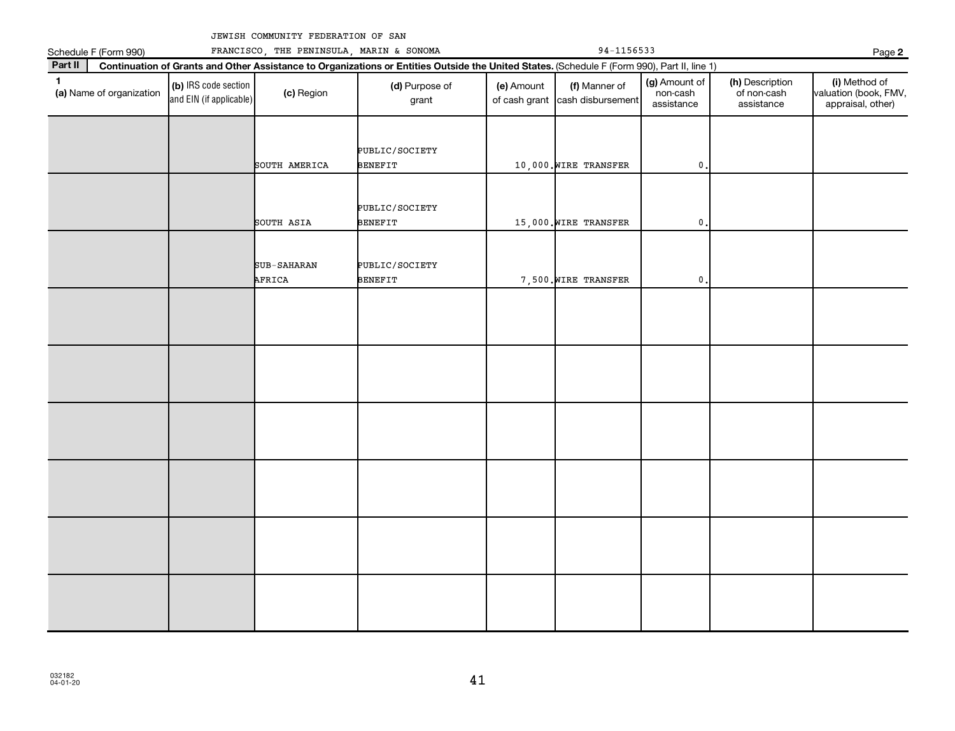| FRANCISCO<br>orm 990) | THE PENINSULA | MARIN & SONOMA |
|-----------------------|---------------|----------------|

| Schedule F (Form 990)                    | FRANCISCO, THE PENINSULA, MARIN & SONOMA        |                              | Page 2                                                                                                                                       |            |                                                  |                                         |                                              |                                                             |
|------------------------------------------|-------------------------------------------------|------------------------------|----------------------------------------------------------------------------------------------------------------------------------------------|------------|--------------------------------------------------|-----------------------------------------|----------------------------------------------|-------------------------------------------------------------|
| Part II                                  |                                                 |                              | Continuation of Grants and Other Assistance to Organizations or Entities Outside the United States. (Schedule F (Form 990), Part II, line 1) |            |                                                  |                                         |                                              |                                                             |
| $\mathbf{1}$<br>(a) Name of organization | (b) IRS code section<br>and EIN (if applicable) | (c) Region                   | (d) Purpose of<br>grant                                                                                                                      | (e) Amount | (f) Manner of<br>of cash grant cash disbursement | (g) Amount of<br>non-cash<br>assistance | (h) Description<br>of non-cash<br>assistance | (i) Method of<br>valuation (book, FMV,<br>appraisal, other) |
|                                          |                                                 | SOUTH AMERICA                | PUBLIC/SOCIETY<br><b>BENEFIT</b>                                                                                                             |            | 10,000. WIRE TRANSFER                            | $\mathbf{0}$                            |                                              |                                                             |
|                                          |                                                 | SOUTH ASIA                   | PUBLIC/SOCIETY<br><b>BENEFIT</b>                                                                                                             |            | 15,000. WIRE TRANSFER                            | $\pmb{0}$                               |                                              |                                                             |
|                                          |                                                 | <b>SUB-SAHARAN</b><br>AFRICA | PUBLIC/SOCIETY<br><b>BENEFIT</b>                                                                                                             |            | 7,500. WIRE TRANSFER                             | 0                                       |                                              |                                                             |
|                                          |                                                 |                              |                                                                                                                                              |            |                                                  |                                         |                                              |                                                             |
|                                          |                                                 |                              |                                                                                                                                              |            |                                                  |                                         |                                              |                                                             |
|                                          |                                                 |                              |                                                                                                                                              |            |                                                  |                                         |                                              |                                                             |
|                                          |                                                 |                              |                                                                                                                                              |            |                                                  |                                         |                                              |                                                             |
|                                          |                                                 |                              |                                                                                                                                              |            |                                                  |                                         |                                              |                                                             |
|                                          |                                                 |                              |                                                                                                                                              |            |                                                  |                                         |                                              |                                                             |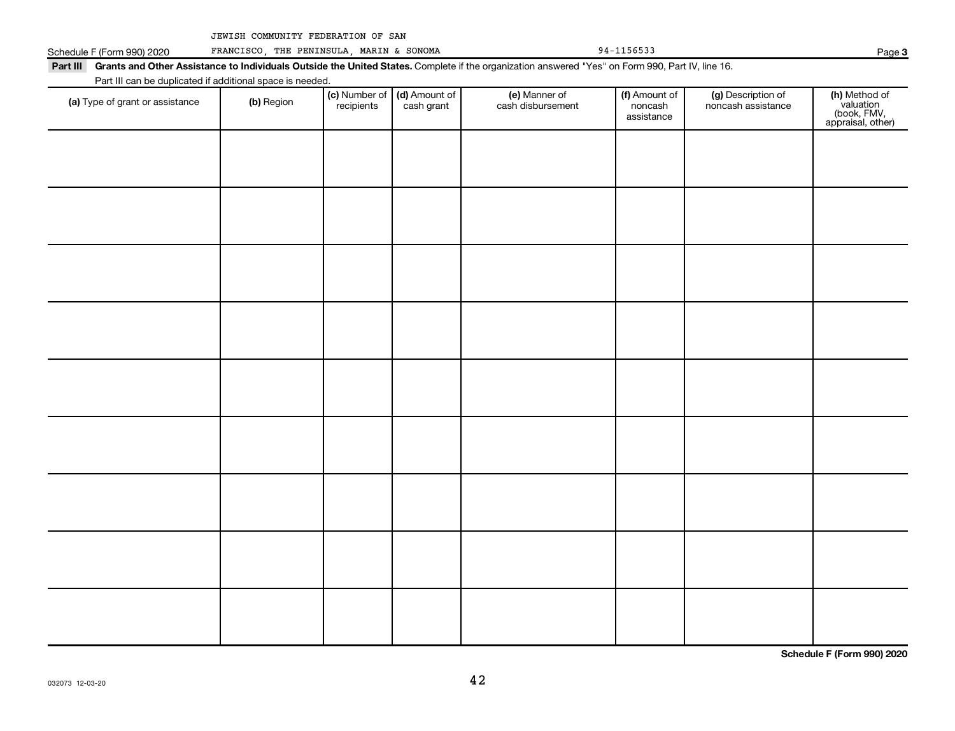**Page 3** 

|                            |                                 | JEWISH COMMUNITY FEDERATION OF SAN                        |                             |                             |                                                                                                                                                           |                                        |                                          |                                                                |
|----------------------------|---------------------------------|-----------------------------------------------------------|-----------------------------|-----------------------------|-----------------------------------------------------------------------------------------------------------------------------------------------------------|----------------------------------------|------------------------------------------|----------------------------------------------------------------|
| Schedule F (Form 990) 2020 |                                 | FRANCISCO, THE PENINSULA, MARIN & SONOMA                  |                             |                             |                                                                                                                                                           | 94-1156533                             |                                          | Page                                                           |
|                            |                                 |                                                           |                             |                             | Part III Grants and Other Assistance to Individuals Outside the United States. Complete if the organization answered "Yes" on Form 990, Part IV, line 16. |                                        |                                          |                                                                |
|                            |                                 | Part III can be duplicated if additional space is needed. |                             |                             |                                                                                                                                                           |                                        |                                          |                                                                |
|                            | (a) Type of grant or assistance | (b) Region                                                | (c) Number of<br>recipients | (d) Amount of<br>cash grant | (e) Manner of<br>cash disbursement                                                                                                                        | (f) Amount of<br>noncash<br>assistance | (g) Description of<br>noncash assistance | (h) Method of<br>valuation<br>(book, FMV,<br>appraisal, other) |
|                            |                                 |                                                           |                             |                             |                                                                                                                                                           |                                        |                                          |                                                                |
|                            |                                 |                                                           |                             |                             |                                                                                                                                                           |                                        |                                          |                                                                |
|                            |                                 |                                                           |                             |                             |                                                                                                                                                           |                                        |                                          |                                                                |
|                            |                                 |                                                           |                             |                             |                                                                                                                                                           |                                        |                                          |                                                                |
|                            |                                 |                                                           |                             |                             |                                                                                                                                                           |                                        |                                          |                                                                |
|                            |                                 |                                                           |                             |                             |                                                                                                                                                           |                                        |                                          |                                                                |
|                            |                                 |                                                           |                             |                             |                                                                                                                                                           |                                        |                                          |                                                                |
|                            |                                 |                                                           |                             |                             |                                                                                                                                                           |                                        |                                          |                                                                |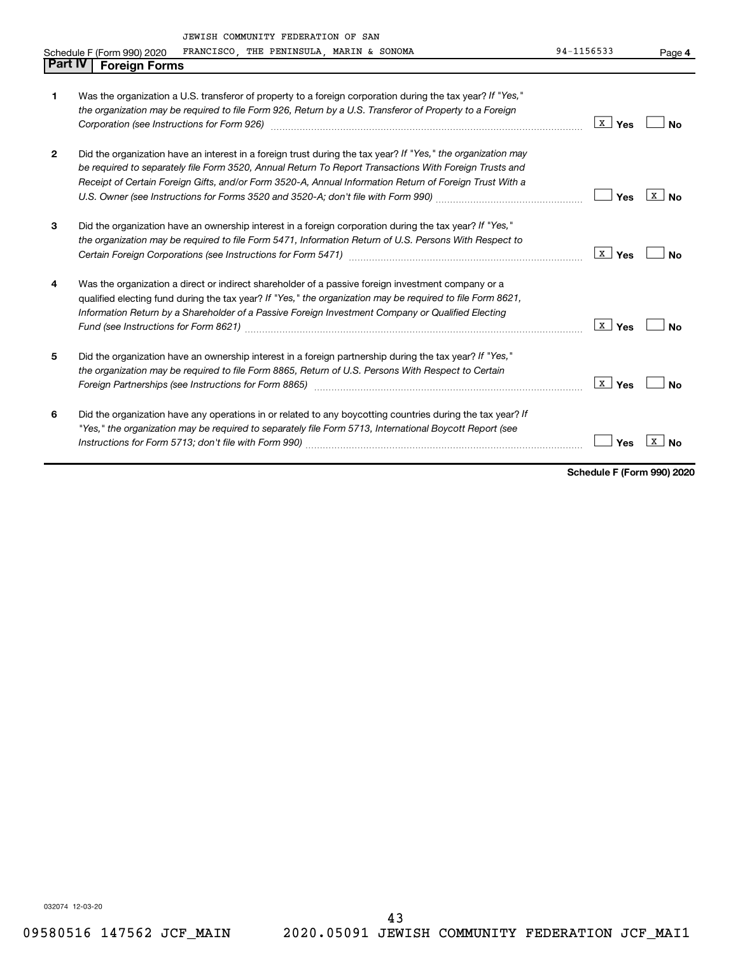|              | JEWISH COMMUNITY FEDERATION OF SAN                                                                                                                                                                                                                                                                                                                                                                                     |                         |                |
|--------------|------------------------------------------------------------------------------------------------------------------------------------------------------------------------------------------------------------------------------------------------------------------------------------------------------------------------------------------------------------------------------------------------------------------------|-------------------------|----------------|
|              | FRANCISCO, THE PENINSULA, MARIN & SONOMA<br>Schedule F (Form 990) 2020                                                                                                                                                                                                                                                                                                                                                 | 94-1156533              | Page 4         |
| Part IV      | <b>Foreign Forms</b>                                                                                                                                                                                                                                                                                                                                                                                                   |                         |                |
| 1            | Was the organization a U.S. transferor of property to a foreign corporation during the tax year? If "Yes,"<br>the organization may be required to file Form 926, Return by a U.S. Transferor of Property to a Foreign                                                                                                                                                                                                  | $\lfloor x \rfloor$ Yes | <b>No</b>      |
| $\mathbf{2}$ | Did the organization have an interest in a foreign trust during the tax year? If "Yes," the organization may<br>be required to separately file Form 3520, Annual Return To Report Transactions With Foreign Trusts and<br>Receipt of Certain Foreign Gifts, and/or Form 3520-A, Annual Information Return of Foreign Trust With a<br>U.S. Owner (see Instructions for Forms 3520 and 3520-A; don't file with Form 990) | Yes                     | $X \mid N_{0}$ |
| 3            | Did the organization have an ownership interest in a foreign corporation during the tax year? If "Yes,"<br>the organization may be required to file Form 5471, Information Return of U.S. Persons With Respect to                                                                                                                                                                                                      | x  <br>Yes              | No             |
| 4            | Was the organization a direct or indirect shareholder of a passive foreign investment company or a<br>qualified electing fund during the tax year? If "Yes," the organization may be required to file Form 8621,<br>Information Return by a Shareholder of a Passive Foreign Investment Company or Qualified Electing                                                                                                  | $\lfloor x \rfloor$ Yes | Nο             |
| 5            | Did the organization have an ownership interest in a foreign partnership during the tax year? If "Yes,"<br>the organization may be required to file Form 8865, Return of U.S. Persons With Respect to Certain<br>Foreign Partnerships (see Instructions for Form 8865) manufactured controller controller controller to the str                                                                                        | x  <br>Yes              | <b>No</b>      |
| 6            | Did the organization have any operations in or related to any boycotting countries during the tax year? If<br>"Yes," the organization may be required to separately file Form 5713, International Boycott Report (see<br>Instructions for Form 5713; don't file with Form 990)                                                                                                                                         | Yes                     | x<br>No        |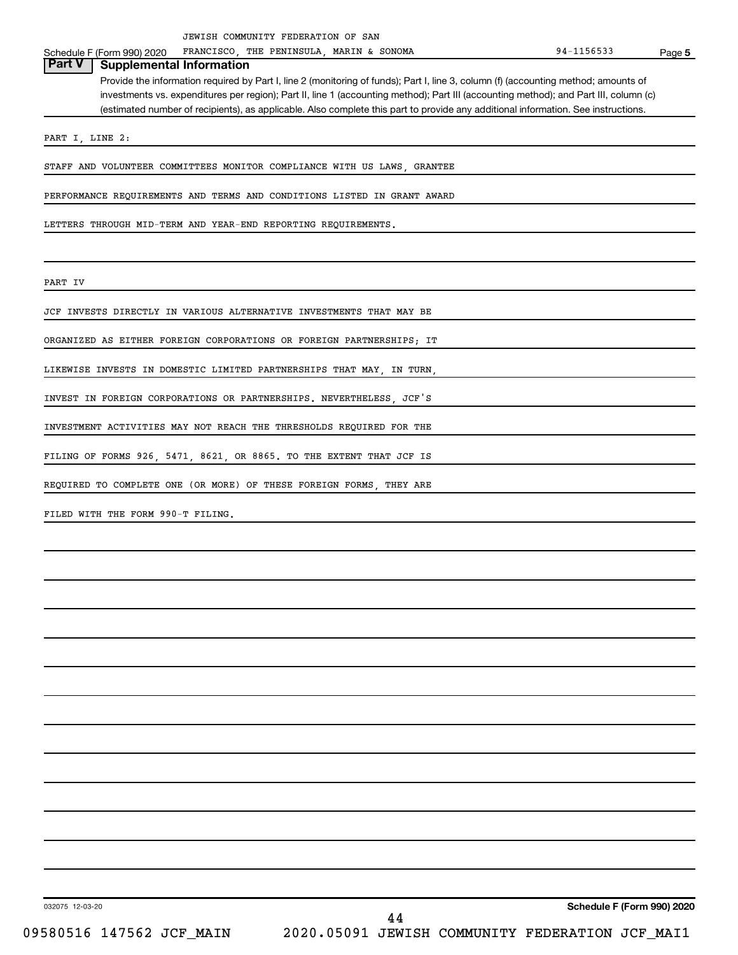Schedule F (Form 990) 2020 FRANCISCO, THE PENINSULA, MARIN & SONOMA 94-1156533 THE PENINSULA, MARIN & SONOMA

**5**

# **Part V Supplemental Information**

Provide the information required by Part I, line 2 (monitoring of funds); Part I, line 3, column (f) (accounting method; amounts of investments vs. expenditures per region); Part II, line 1 (accounting method); Part III (accounting method); and Part III, column (c) (estimated number of recipients), as applicable. Also complete this part to provide any additional information. See instructions.

PART I, LINE 2:

STAFF AND VOLUNTEER COMMITTEES MONITOR COMPLIANCE WITH US LAWS, GRANTEE

PERFORMANCE REQUIREMENTS AND TERMS AND CONDITIONS LISTED IN GRANT AWARD

LETTERS THROUGH MID-TERM AND YEAR-END REPORTING REQUIREMENTS.

PART IV

JCF INVESTS DIRECTLY IN VARIOUS ALTERNATIVE INVESTMENTS THAT MAY BE

ORGANIZED AS EITHER FOREIGN CORPORATIONS OR FOREIGN PARTNERSHIPS; IT

LIKEWISE INVESTS IN DOMESTIC LIMITED PARTNERSHIPS THAT MAY, IN TURN,

INVEST IN FOREIGN CORPORATIONS OR PARTNERSHIPS. NEVERTHELESS, JCF'S

INVESTMENT ACTIVITIES MAY NOT REACH THE THRESHOLDS REQUIRED FOR THE

FILING OF FORMS 926, 5471, 8621, OR 8865. TO THE EXTENT THAT JCF IS

REQUIRED TO COMPLETE ONE (OR MORE) OF THESE FOREIGN FORMS, THEY ARE

FILED WITH THE FORM 990-T FILING.

032075 12-03-20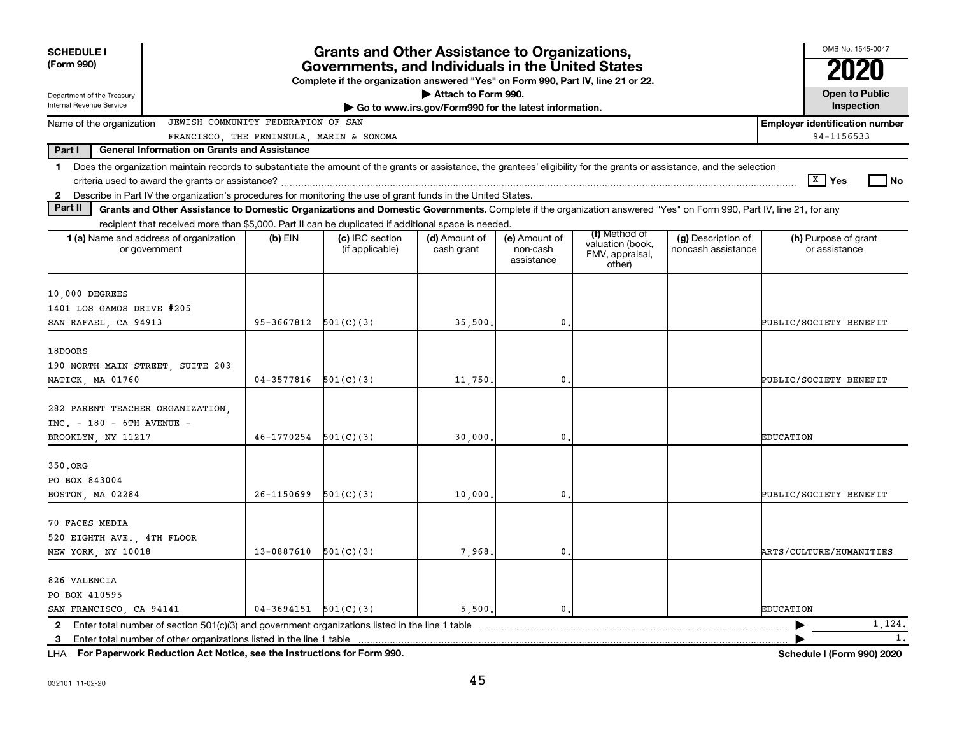| <b>SCHEDULE I</b><br>(Form 990)<br>Department of the Treasury                         |                                                                                                                                                                                                                                                                                           | <b>Grants and Other Assistance to Organizations,</b><br>Governments, and Individuals in the United States<br>Complete if the organization answered "Yes" on Form 990, Part IV, line 21 or 22.<br>Attach to Form 990.<br>Go to www.irs.gov/Form990 for the latest information. |                                        |                             |                                         |                                               |                                          |                                       |  |  |  |  |
|---------------------------------------------------------------------------------------|-------------------------------------------------------------------------------------------------------------------------------------------------------------------------------------------------------------------------------------------------------------------------------------------|-------------------------------------------------------------------------------------------------------------------------------------------------------------------------------------------------------------------------------------------------------------------------------|----------------------------------------|-----------------------------|-----------------------------------------|-----------------------------------------------|------------------------------------------|---------------------------------------|--|--|--|--|
| Internal Revenue Service                                                              |                                                                                                                                                                                                                                                                                           |                                                                                                                                                                                                                                                                               |                                        |                             |                                         |                                               |                                          | Inspection                            |  |  |  |  |
| Name of the organization                                                              | JEWISH COMMUNITY FEDERATION OF SAN                                                                                                                                                                                                                                                        |                                                                                                                                                                                                                                                                               |                                        |                             |                                         |                                               |                                          | <b>Employer identification number</b> |  |  |  |  |
| Part I                                                                                | General Information on Grants and Assistance                                                                                                                                                                                                                                              |                                                                                                                                                                                                                                                                               | FRANCISCO THE PENINSULA MARIN & SONOMA |                             |                                         |                                               |                                          | 94-1156533                            |  |  |  |  |
| $\mathbf{1}$<br>2                                                                     | Does the organization maintain records to substantiate the amount of the grants or assistance, the grantees' eligibility for the grants or assistance, and the selection<br>Describe in Part IV the organization's procedures for monitoring the use of grant funds in the United States. |                                                                                                                                                                                                                                                                               |                                        |                             |                                         |                                               |                                          | $\boxed{\text{X}}$ Yes<br>l No        |  |  |  |  |
| Part II                                                                               | Grants and Other Assistance to Domestic Organizations and Domestic Governments. Complete if the organization answered "Yes" on Form 990, Part IV, line 21, for any                                                                                                                        |                                                                                                                                                                                                                                                                               |                                        |                             |                                         |                                               |                                          |                                       |  |  |  |  |
|                                                                                       | recipient that received more than \$5,000. Part II can be duplicated if additional space is needed.                                                                                                                                                                                       |                                                                                                                                                                                                                                                                               |                                        |                             |                                         | (f) Method of                                 |                                          |                                       |  |  |  |  |
|                                                                                       | 1 (a) Name and address of organization<br>or government                                                                                                                                                                                                                                   | $(b)$ EIN                                                                                                                                                                                                                                                                     | (c) IRC section<br>(if applicable)     | (d) Amount of<br>cash grant | (e) Amount of<br>non-cash<br>assistance | valuation (book,<br>FMV, appraisal,<br>other) | (g) Description of<br>noncash assistance | (h) Purpose of grant<br>or assistance |  |  |  |  |
| 10,000 DEGREES<br>1401 LOS GAMOS DRIVE #205<br>SAN RAFAEL, CA 94913                   |                                                                                                                                                                                                                                                                                           | 95-3667812                                                                                                                                                                                                                                                                    | 501(C)(3)                              | 35,500                      | $\mathbf{0}$                            |                                               |                                          | PUBLIC/SOCIETY BENEFIT                |  |  |  |  |
| 18DOORS<br>190 NORTH MAIN STREET, SUITE 203<br>NATICK, MA 01760                       |                                                                                                                                                                                                                                                                                           | $04 - 3577816$                                                                                                                                                                                                                                                                | 501(C)(3)                              | 11,750                      | $\mathbf{0}$                            |                                               |                                          | PUBLIC/SOCIETY BENEFIT                |  |  |  |  |
| 282 PARENT TEACHER ORGANIZATION.<br>$INC. - 180 - 6TH AVENUE -$<br>BROOKLYN, NY 11217 |                                                                                                                                                                                                                                                                                           | 46-1770254                                                                                                                                                                                                                                                                    | 501(C)(3)                              | 30,000                      | 0                                       |                                               |                                          | <b>EDUCATION</b>                      |  |  |  |  |
| 350.ORG<br>PO BOX 843004<br>BOSTON, MA 02284                                          |                                                                                                                                                                                                                                                                                           | 26-1150699                                                                                                                                                                                                                                                                    | 501(C)(3)                              | 10,000                      | $\mathbf{0}$                            |                                               |                                          | PUBLIC/SOCIETY BENEFIT                |  |  |  |  |
| 70 FACES MEDIA<br>520 EIGHTH AVE., 4TH FLOOR<br>NEW YORK, NY 10018                    |                                                                                                                                                                                                                                                                                           | 13-0887610                                                                                                                                                                                                                                                                    | 501(C)(3)                              | 7.968                       | 0                                       |                                               |                                          | ARTS/CULTURE/HUMANITIES               |  |  |  |  |
| 826 VALENCIA<br>PO BOX 410595<br>SAN FRANCISCO, CA 94141                              |                                                                                                                                                                                                                                                                                           | $04-3694151$ $501(C)(3)$                                                                                                                                                                                                                                                      |                                        | 5,500,                      | $\mathbf{0}$                            |                                               |                                          | <b>EDUCATION</b>                      |  |  |  |  |
|                                                                                       |                                                                                                                                                                                                                                                                                           |                                                                                                                                                                                                                                                                               |                                        |                             |                                         |                                               |                                          | 1,124.<br>1.                          |  |  |  |  |
| 3                                                                                     | Enter total number of other organizations listed in the line 1 table                                                                                                                                                                                                                      |                                                                                                                                                                                                                                                                               |                                        |                             |                                         |                                               |                                          |                                       |  |  |  |  |

**For Paperwork Reduction Act Notice, see the Instructions for Form 990. Schedule I (Form 990) 2020** LHA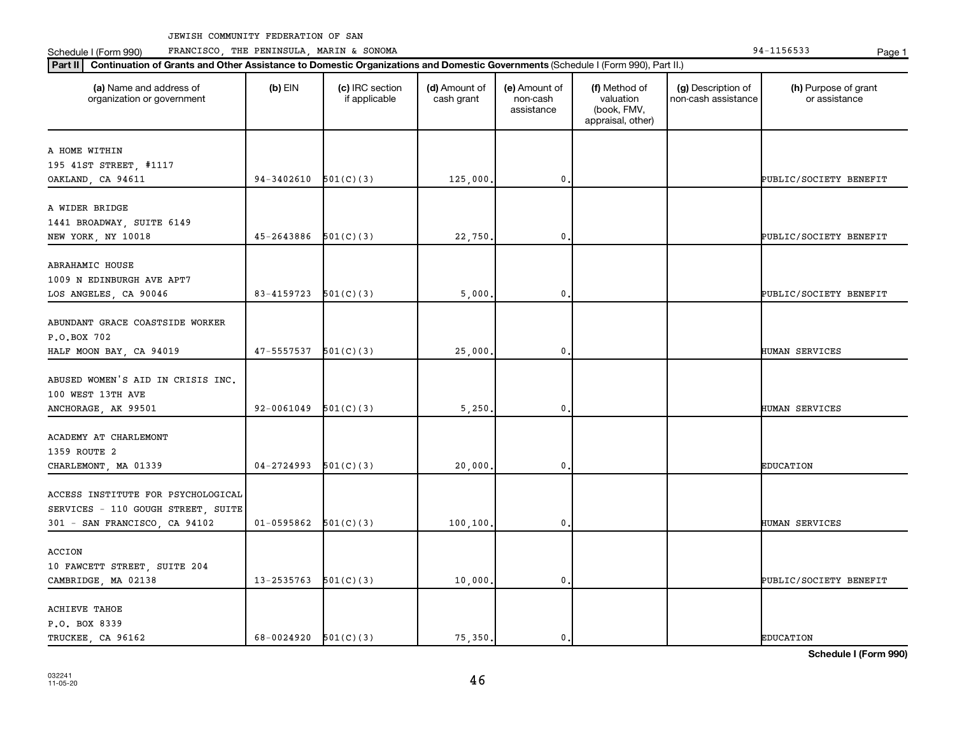Schedule I (Form 990) PRANCISCO, THE PENINSULA, MARIN & SONOMA Page 1 (Form 194-1156533 Page 1

| (a) Name and address of<br>organization or government | $(b)$ EIN  | (c) IRC section<br>if applicable | (d) Amount of<br>cash grant | (e) Amount of<br>non-cash<br>assistance | (f) Method of<br>valuation<br>(book, FMV,<br>appraisal, other) | (g) Description of<br>non-cash assistance | (h) Purpose of grant<br>or assistance |
|-------------------------------------------------------|------------|----------------------------------|-----------------------------|-----------------------------------------|----------------------------------------------------------------|-------------------------------------------|---------------------------------------|
| A HOME WITHIN                                         |            |                                  |                             |                                         |                                                                |                                           |                                       |
| 195 41ST STREET, #1117                                |            |                                  |                             |                                         |                                                                |                                           |                                       |
| OAKLAND, CA 94611                                     | 94-3402610 | 501(C)(3)                        | 125,000.                    | 0                                       |                                                                |                                           | PUBLIC/SOCIETY BENEFIT                |
|                                                       |            |                                  |                             |                                         |                                                                |                                           |                                       |
| A WIDER BRIDGE                                        |            |                                  |                             |                                         |                                                                |                                           |                                       |
| 1441 BROADWAY, SUITE 6149                             |            |                                  |                             |                                         |                                                                |                                           |                                       |
| NEW YORK, NY 10018                                    | 45-2643886 | 501(C)(3)                        | 22,750.                     | 0                                       |                                                                |                                           | PUBLIC/SOCIETY BENEFIT                |
|                                                       |            |                                  |                             |                                         |                                                                |                                           |                                       |
| ABRAHAMIC HOUSE                                       |            |                                  |                             |                                         |                                                                |                                           |                                       |
| 1009 N EDINBURGH AVE APT7                             |            |                                  |                             |                                         |                                                                |                                           |                                       |
| LOS ANGELES, CA 90046                                 | 83-4159723 | 501(C)(3)                        | 5,000,                      | 0                                       |                                                                |                                           | PUBLIC/SOCIETY BENEFIT                |
|                                                       |            |                                  |                             |                                         |                                                                |                                           |                                       |
| ABUNDANT GRACE COASTSIDE WORKER                       |            |                                  |                             |                                         |                                                                |                                           |                                       |
| P.O.BOX 702                                           |            |                                  |                             |                                         |                                                                |                                           |                                       |
| HALF MOON BAY, CA 94019                               | 47-5557537 | 501(C)(3)                        | 25,000.                     | 0                                       |                                                                |                                           | HUMAN SERVICES                        |
| ABUSED WOMEN'S AID IN CRISIS INC.                     |            |                                  |                             |                                         |                                                                |                                           |                                       |
| 100 WEST 13TH AVE                                     |            |                                  |                             |                                         |                                                                |                                           |                                       |
| ANCHORAGE, AK 99501                                   | 92-0061049 | 501(C)(3)                        | 5,250.                      | 0                                       |                                                                |                                           | HUMAN SERVICES                        |
|                                                       |            |                                  |                             |                                         |                                                                |                                           |                                       |
| ACADEMY AT CHARLEMONT                                 |            |                                  |                             |                                         |                                                                |                                           |                                       |
| 1359 ROUTE 2                                          |            |                                  |                             |                                         |                                                                |                                           |                                       |
| CHARLEMONT, MA 01339                                  | 04-2724993 | 501(C)(3)                        | 20,000.                     | 0                                       |                                                                |                                           | <b>EDUCATION</b>                      |
|                                                       |            |                                  |                             |                                         |                                                                |                                           |                                       |
| ACCESS INSTITUTE FOR PSYCHOLOGICAL                    |            |                                  |                             |                                         |                                                                |                                           |                                       |
| SERVICES - 110 GOUGH STREET, SUITE                    |            |                                  |                             |                                         |                                                                |                                           |                                       |
| 301 - SAN FRANCISCO, CA 94102                         | 01-0595862 | 501(C)(3)                        | 100, 100.                   | $\mathbf 0$ .                           |                                                                |                                           | HUMAN SERVICES                        |
|                                                       |            |                                  |                             |                                         |                                                                |                                           |                                       |
| ACCION                                                |            |                                  |                             |                                         |                                                                |                                           |                                       |
| 10 FAWCETT STREET, SUITE 204                          |            |                                  |                             |                                         |                                                                |                                           |                                       |
| CAMBRIDGE, MA 02138                                   | 13-2535763 | 501(C)(3)                        | 10,000.                     | 0                                       |                                                                |                                           | PUBLIC/SOCIETY BENEFIT                |
|                                                       |            |                                  |                             |                                         |                                                                |                                           |                                       |
| <b>ACHIEVE TAHOE</b>                                  |            |                                  |                             |                                         |                                                                |                                           |                                       |
| P.O. BOX 8339<br>TRUCKEE CA 96162                     | 68-0024920 | 501(C)(3)                        | 75.350.                     | 0.                                      |                                                                |                                           | <b>EDUCATION</b>                      |
|                                                       |            |                                  |                             |                                         |                                                                |                                           |                                       |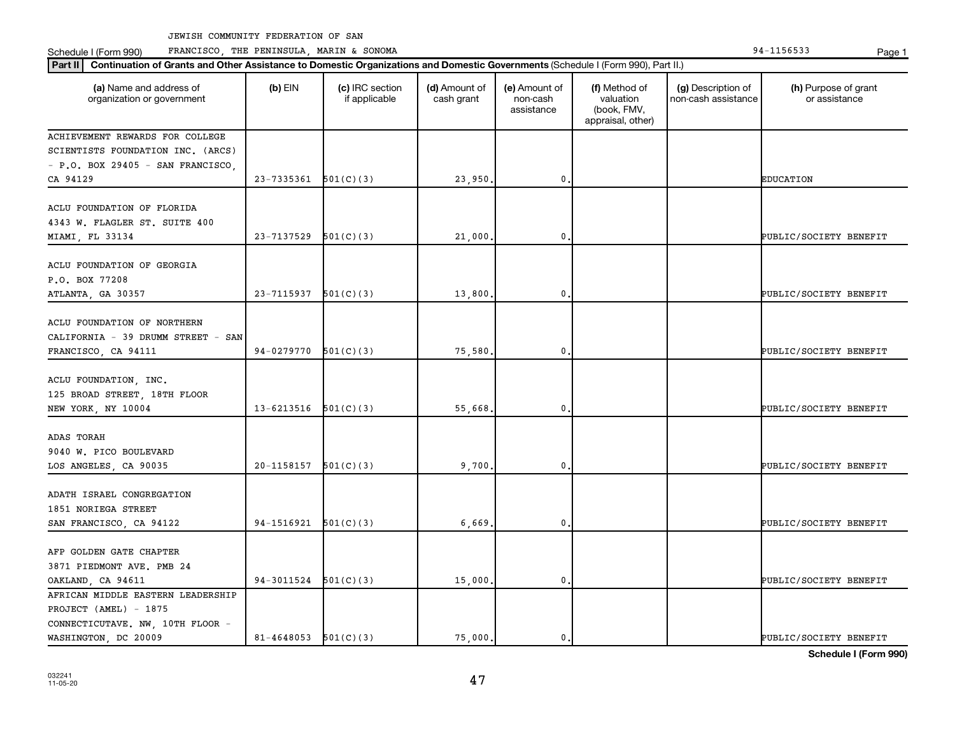Schedule I (Form 990) PRANCISCO, THE PENINSULA, MARIN & SONOMA Page 1 (Form 194-1156533 Page 1

| Part II   Continuation of Grants and Other Assistance to Domestic Organizations and Domestic Governments (Schedule I (Form 990), Part II.) |                            |                                  |                             |                                         |                                                                |                                           |                                       |  |  |  |
|--------------------------------------------------------------------------------------------------------------------------------------------|----------------------------|----------------------------------|-----------------------------|-----------------------------------------|----------------------------------------------------------------|-------------------------------------------|---------------------------------------|--|--|--|
| (a) Name and address of<br>organization or government                                                                                      | $(b)$ EIN                  | (c) IRC section<br>if applicable | (d) Amount of<br>cash grant | (e) Amount of<br>non-cash<br>assistance | (f) Method of<br>valuation<br>(book, FMV,<br>appraisal, other) | (g) Description of<br>non-cash assistance | (h) Purpose of grant<br>or assistance |  |  |  |
| ACHIEVEMENT REWARDS FOR COLLEGE                                                                                                            |                            |                                  |                             |                                         |                                                                |                                           |                                       |  |  |  |
| SCIENTISTS FOUNDATION INC. (ARCS)                                                                                                          |                            |                                  |                             |                                         |                                                                |                                           |                                       |  |  |  |
| - P.O. BOX 29405 - SAN FRANCISCO,                                                                                                          |                            |                                  |                             |                                         |                                                                |                                           |                                       |  |  |  |
| CA 94129                                                                                                                                   | 23-7335361                 | 501(C)(3)                        | 23,950                      | 0                                       |                                                                |                                           | <b>EDUCATION</b>                      |  |  |  |
| ACLU FOUNDATION OF FLORIDA<br>4343 W. FLAGLER ST. SUITE 400<br>MIAMI, FL 33134                                                             | 23-7137529                 | 501(C)(3)                        | 21,000                      | 0                                       |                                                                |                                           | PUBLIC/SOCIETY BENEFIT                |  |  |  |
|                                                                                                                                            |                            |                                  |                             |                                         |                                                                |                                           |                                       |  |  |  |
| ACLU FOUNDATION OF GEORGIA<br>P.O. BOX 77208                                                                                               |                            |                                  |                             |                                         |                                                                |                                           |                                       |  |  |  |
| ATLANTA, GA 30357                                                                                                                          | 23-7115937                 | 501(C)(3)                        | 13,800                      | 0                                       |                                                                |                                           | PUBLIC/SOCIETY BENEFIT                |  |  |  |
| ACLU FOUNDATION OF NORTHERN<br>CALIFORNIA - 39 DRUMM STREET - SAN<br>FRANCISCO, CA 94111                                                   | 94-0279770                 | 501(C)(3)                        | 75,580                      | 0                                       |                                                                |                                           | PUBLIC/SOCIETY BENEFIT                |  |  |  |
| ACLU FOUNDATION, INC.<br>125 BROAD STREET, 18TH FLOOR<br>NEW YORK, NY 10004                                                                | 13-6213516                 | 501(C)(3)                        | 55,668                      | 0                                       |                                                                |                                           | PUBLIC/SOCIETY BENEFIT                |  |  |  |
|                                                                                                                                            |                            |                                  |                             |                                         |                                                                |                                           |                                       |  |  |  |
| ADAS TORAH<br>9040 W. PICO BOULEVARD<br>LOS ANGELES, CA 90035                                                                              | 20-1158157                 | 501(C)(3)                        | 9,700                       | 0                                       |                                                                |                                           | PUBLIC/SOCIETY BENEFIT                |  |  |  |
| ADATH ISRAEL CONGREGATION<br>1851 NORIEGA STREET                                                                                           |                            |                                  |                             |                                         |                                                                |                                           |                                       |  |  |  |
| SAN FRANCISCO, CA 94122                                                                                                                    | 94-1516921                 | 501(C)(3)                        | 6,669                       | 0                                       |                                                                |                                           | PUBLIC/SOCIETY BENEFIT                |  |  |  |
| AFP GOLDEN GATE CHAPTER<br>3871 PIEDMONT AVE. PMB 24                                                                                       |                            |                                  |                             |                                         |                                                                |                                           |                                       |  |  |  |
| OAKLAND, CA 94611                                                                                                                          | 94-3011524                 | 501(C)(3)                        | 15,000                      | 0                                       |                                                                |                                           | PUBLIC/SOCIETY BENEFIT                |  |  |  |
| AFRICAN MIDDLE EASTERN LEADERSHIP                                                                                                          |                            |                                  |                             |                                         |                                                                |                                           |                                       |  |  |  |
| PROJECT (AMEL) - 1875                                                                                                                      |                            |                                  |                             |                                         |                                                                |                                           |                                       |  |  |  |
| CONNECTICUTAVE. NW, 10TH FLOOR -                                                                                                           |                            |                                  |                             |                                         |                                                                |                                           |                                       |  |  |  |
| WASHINGTON, DC 20009                                                                                                                       | $81 - 4648053$ $501(C)(3)$ |                                  | 75,000.                     | 0.                                      |                                                                |                                           | PUBLIC/SOCIETY BENEFIT                |  |  |  |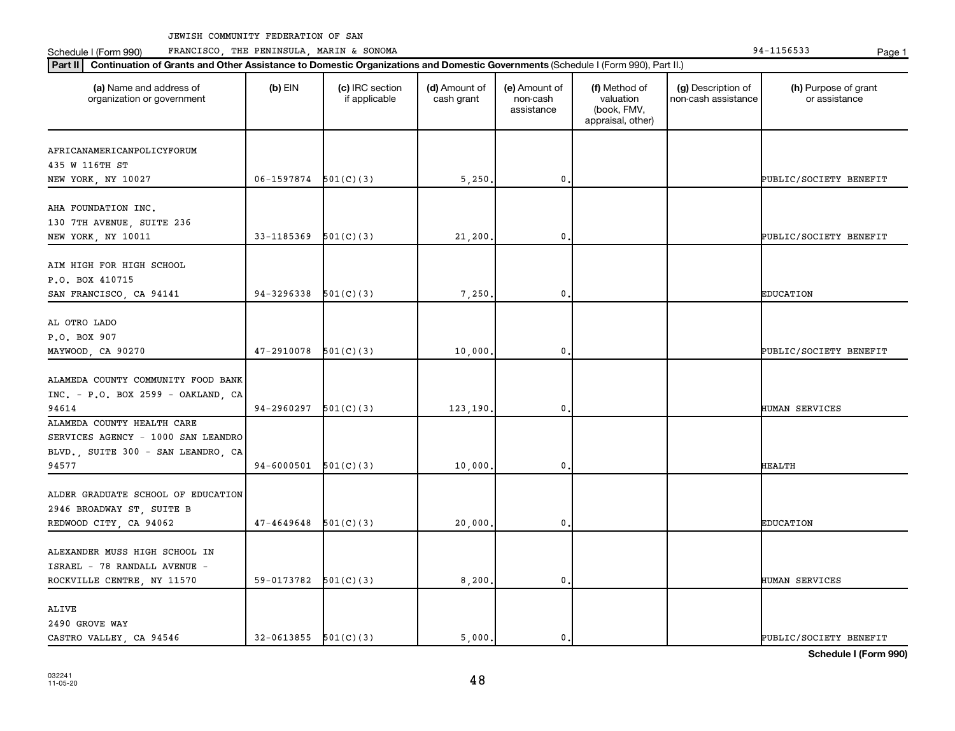Schedule I (Form 990) PRANCISCO, THE PENINSULA, MARIN & SONOMA Page 1 (Form 194-1156533 Page 1

| (a) Name and address of<br>organization or government | $(b)$ EIN  | (c) IRC section<br>if applicable | (d) Amount of<br>cash grant | (e) Amount of<br>non-cash<br>assistance | (f) Method of<br>valuation<br>(book, FMV,<br>appraisal, other) | (g) Description of<br>non-cash assistance | (h) Purpose of grant<br>or assistance |
|-------------------------------------------------------|------------|----------------------------------|-----------------------------|-----------------------------------------|----------------------------------------------------------------|-------------------------------------------|---------------------------------------|
| AFRICANAMERICANPOLICYFORUM                            |            |                                  |                             |                                         |                                                                |                                           |                                       |
| 435 W 116TH ST                                        |            |                                  |                             |                                         |                                                                |                                           |                                       |
| NEW YORK, NY 10027                                    | 06-1597874 | 501(C)(3)                        | 5,250                       | 0                                       |                                                                |                                           | PUBLIC/SOCIETY BENEFIT                |
| AHA FOUNDATION INC.                                   |            |                                  |                             |                                         |                                                                |                                           |                                       |
| 130 7TH AVENUE, SUITE 236                             |            |                                  |                             |                                         |                                                                |                                           |                                       |
| NEW YORK, NY 10011                                    | 33-1185369 | 501(C)(3)                        | 21,200                      | 0                                       |                                                                |                                           | PUBLIC/SOCIETY BENEFIT                |
|                                                       |            |                                  |                             |                                         |                                                                |                                           |                                       |
| AIM HIGH FOR HIGH SCHOOL                              |            |                                  |                             |                                         |                                                                |                                           |                                       |
| P.O. BOX 410715                                       |            |                                  |                             |                                         |                                                                |                                           |                                       |
| SAN FRANCISCO, CA 94141                               | 94-3296338 | 501(C)(3)                        | 7,250                       | 0                                       |                                                                |                                           | <b>EDUCATION</b>                      |
| AL OTRO LADO                                          |            |                                  |                             |                                         |                                                                |                                           |                                       |
| P.O. BOX 907                                          |            |                                  |                             |                                         |                                                                |                                           |                                       |
| MAYWOOD, CA 90270                                     | 47-2910078 | 501(C)(3)                        | 10,000                      | 0                                       |                                                                |                                           | PUBLIC/SOCIETY BENEFIT                |
|                                                       |            |                                  |                             |                                         |                                                                |                                           |                                       |
| ALAMEDA COUNTY COMMUNITY FOOD BANK                    |            |                                  |                             |                                         |                                                                |                                           |                                       |
| $INC. - P. O. BOX 2599 - OAKLAND. CA$                 |            |                                  |                             |                                         |                                                                |                                           |                                       |
| 94614                                                 | 94-2960297 | 501(C)(3)                        | 123,190                     | 0                                       |                                                                |                                           | HUMAN SERVICES                        |
| ALAMEDA COUNTY HEALTH CARE                            |            |                                  |                             |                                         |                                                                |                                           |                                       |
| SERVICES AGENCY - 1000 SAN LEANDRO                    |            |                                  |                             |                                         |                                                                |                                           |                                       |
| BLVD., SUITE 300 - SAN LEANDRO, CA                    |            |                                  |                             |                                         |                                                                |                                           |                                       |
| 94577                                                 | 94-6000501 | 501(C)(3)                        | 10,000                      | 0                                       |                                                                |                                           | <b>HEALTH</b>                         |
|                                                       |            |                                  |                             |                                         |                                                                |                                           |                                       |
| ALDER GRADUATE SCHOOL OF EDUCATION                    |            |                                  |                             |                                         |                                                                |                                           |                                       |
| 2946 BROADWAY ST, SUITE B                             |            |                                  |                             |                                         |                                                                |                                           |                                       |
| REDWOOD CITY, CA 94062                                | 47-4649648 | 501(C)(3)                        | 20,000                      | 0                                       |                                                                |                                           | <b>EDUCATION</b>                      |
| ALEXANDER MUSS HIGH SCHOOL IN                         |            |                                  |                             |                                         |                                                                |                                           |                                       |
| ISRAEL - 78 RANDALL AVENUE -                          |            |                                  |                             |                                         |                                                                |                                           |                                       |
| ROCKVILLE CENTRE, NY 11570                            | 59-0173782 | 501(C)(3)                        | 8,200                       | 0                                       |                                                                |                                           | HUMAN SERVICES                        |
|                                                       |            |                                  |                             |                                         |                                                                |                                           |                                       |
| ALIVE                                                 |            |                                  |                             |                                         |                                                                |                                           |                                       |
| 2490 GROVE WAY                                        |            |                                  |                             |                                         |                                                                |                                           |                                       |
| CASTRO VALLEY, CA 94546                               | 32-0613855 | 501(C)(3)                        | 5.000.                      | 0.                                      |                                                                |                                           | PUBLIC/SOCIETY BENEFIT                |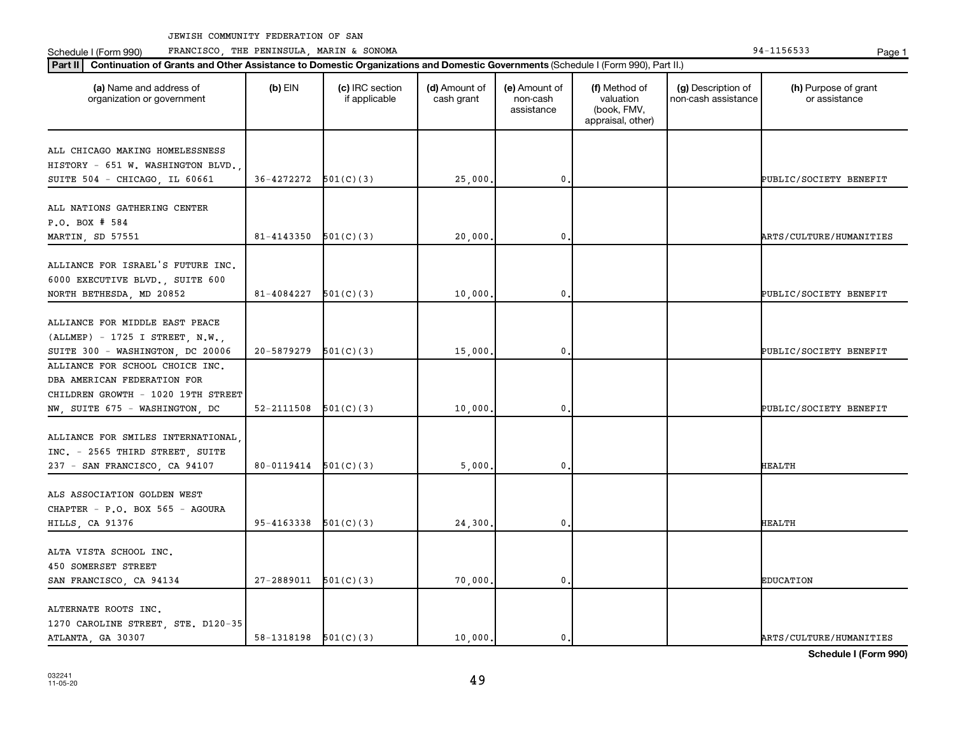Schedule I (Form 990) PRANCISCO, THE PENINSULA, MARIN & SONOMA Page 1 (Form 194-1156533 Page 1

| (a) Name and address of<br>organization or government                                                                                  | $(b)$ EIN                  | (c) IRC section<br>if applicable | (d) Amount of<br>cash grant | (e) Amount of<br>non-cash<br>assistance | (f) Method of<br>valuation<br>(book, FMV,<br>appraisal, other) | (g) Description of<br>non-cash assistance | (h) Purpose of grant<br>or assistance |
|----------------------------------------------------------------------------------------------------------------------------------------|----------------------------|----------------------------------|-----------------------------|-----------------------------------------|----------------------------------------------------------------|-------------------------------------------|---------------------------------------|
| ALL CHICAGO MAKING HOMELESSNESS<br>HISTORY - 651 W. WASHINGTON BLVD.                                                                   |                            |                                  |                             |                                         |                                                                |                                           |                                       |
| SUITE 504 - CHICAGO, IL 60661                                                                                                          | $36-4272272$ $501(C)(3)$   |                                  | 25,000                      | $\mathbf 0$ .                           |                                                                |                                           | PUBLIC/SOCIETY BENEFIT                |
| ALL NATIONS GATHERING CENTER<br>P.O. BOX # 584<br>MARTIN, SD 57551                                                                     | 81-4143350                 | 501(C)(3)                        | 20,000                      | 0                                       |                                                                |                                           | ARTS/CULTURE/HUMANITIES               |
| ALLIANCE FOR ISRAEL'S FUTURE INC.<br>6000 EXECUTIVE BLVD., SUITE 600<br>NORTH BETHESDA, MD 20852                                       | 81-4084227                 | 501(C)(3)                        | 10,000                      | $\mathbf{0}$                            |                                                                |                                           | PUBLIC/SOCIETY BENEFIT                |
| ALLIANCE FOR MIDDLE EAST PEACE<br>(ALLMEP) - 1725 I STREET, N.W.,<br>SUITE 300 - WASHINGTON, DC 20006                                  | 20-5879279                 | 501(C)(3)                        | 15,000.                     | $\mathbf{0}$                            |                                                                |                                           | PUBLIC/SOCIETY BENEFIT                |
| ALLIANCE FOR SCHOOL CHOICE INC.<br>DBA AMERICAN FEDERATION FOR<br>CHILDREN GROWTH - 1020 19TH STREET<br>NW, SUITE 675 - WASHINGTON, DC | 52-2111508                 | 501(C)(3)                        | 10,000                      | $\mathbf{0}$                            |                                                                |                                           | PUBLIC/SOCIETY BENEFIT                |
| ALLIANCE FOR SMILES INTERNATIONAL<br>INC. - 2565 THIRD STREET, SUITE<br>237 - SAN FRANCISCO, CA 94107                                  | $80-0119414$ $501(C)(3)$   |                                  | 5,000                       | 0                                       |                                                                |                                           | HEALTH                                |
| ALS ASSOCIATION GOLDEN WEST<br>CHAPTER - P.O. BOX 565 - AGOURA<br>HILLS, CA 91376                                                      | $95 - 4163338$ $501(C)(3)$ |                                  | 24,300                      | 0.                                      |                                                                |                                           | HEALTH                                |
| ALTA VISTA SCHOOL INC.<br>450 SOMERSET STREET<br>SAN FRANCISCO, CA 94134                                                               | $27-2889011$ $501(C)(3)$   |                                  | 70,000.                     | $\mathbf{0}$                            |                                                                |                                           | <b>EDUCATION</b>                      |
| ALTERNATE ROOTS INC.<br>1270 CAROLINE STREET, STE. D120-35<br>ATLANTA, GA 30307                                                        | $58-1318198$ $501(C)(3)$   |                                  | 10,000.                     | $\mathbf{0}$ .                          |                                                                |                                           | ARTS/CULTURE/HUMANITIES               |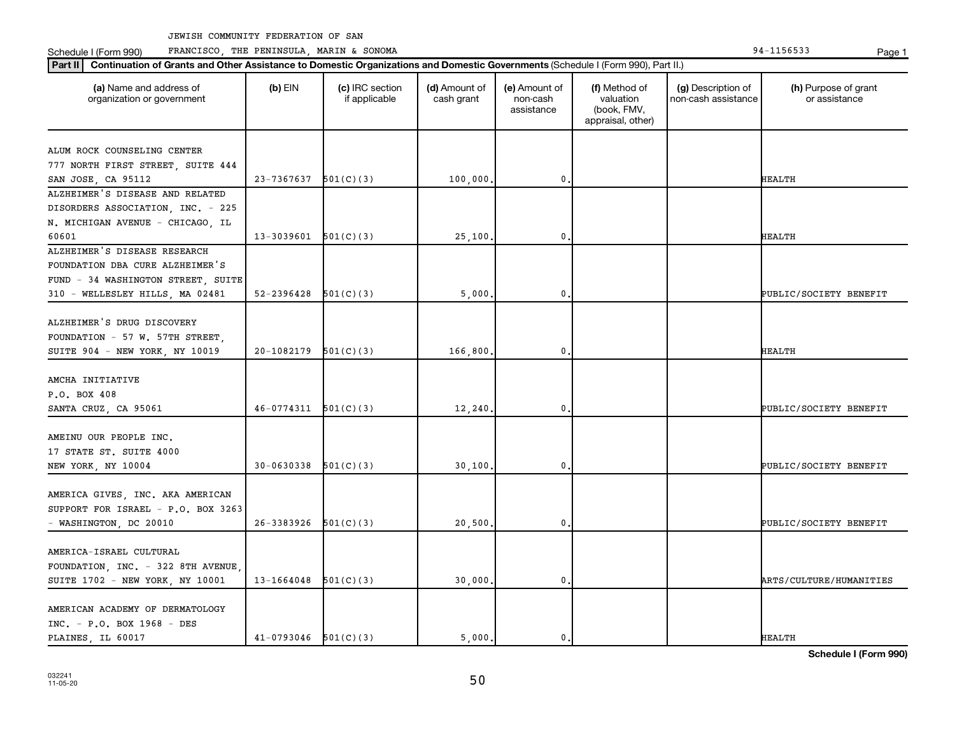Schedule I (Form 990) PRANCISCO, THE PENINSULA, MARIN & SONOMA Page 1 (Form 194-1156533 Page 1

|                                                         | Part II   Continuation of Grants and Other Assistance to Domestic Organizations and Domestic Governments (Schedule I (Form 990), Part II.) |                                  |                             |                                         |                                                                |                                           |                                       |  |  |  |
|---------------------------------------------------------|--------------------------------------------------------------------------------------------------------------------------------------------|----------------------------------|-----------------------------|-----------------------------------------|----------------------------------------------------------------|-------------------------------------------|---------------------------------------|--|--|--|
| (a) Name and address of<br>organization or government   | $(b)$ EIN                                                                                                                                  | (c) IRC section<br>if applicable | (d) Amount of<br>cash grant | (e) Amount of<br>non-cash<br>assistance | (f) Method of<br>valuation<br>(book, FMV,<br>appraisal, other) | (g) Description of<br>non-cash assistance | (h) Purpose of grant<br>or assistance |  |  |  |
|                                                         |                                                                                                                                            |                                  |                             |                                         |                                                                |                                           |                                       |  |  |  |
| ALUM ROCK COUNSELING CENTER                             |                                                                                                                                            |                                  |                             |                                         |                                                                |                                           |                                       |  |  |  |
| 777 NORTH FIRST STREET, SUITE 444<br>SAN JOSE, CA 95112 | 23-7367637                                                                                                                                 | 501(C)(3)                        | 100,000                     | $\mathbf 0$                             |                                                                |                                           | HEALTH                                |  |  |  |
| ALZHEIMER'S DISEASE AND RELATED                         |                                                                                                                                            |                                  |                             |                                         |                                                                |                                           |                                       |  |  |  |
| DISORDERS ASSOCIATION, INC. - 225                       |                                                                                                                                            |                                  |                             |                                         |                                                                |                                           |                                       |  |  |  |
| N. MICHIGAN AVENUE - CHICAGO, IL                        |                                                                                                                                            |                                  |                             |                                         |                                                                |                                           |                                       |  |  |  |
| 60601                                                   | 13-3039601                                                                                                                                 | 501(C)(3)                        | 25,100                      | $\mathbf{0}$                            |                                                                |                                           | <b>HEALTH</b>                         |  |  |  |
| ALZHEIMER'S DISEASE RESEARCH                            |                                                                                                                                            |                                  |                             |                                         |                                                                |                                           |                                       |  |  |  |
| FOUNDATION DBA CURE ALZHEIMER'S                         |                                                                                                                                            |                                  |                             |                                         |                                                                |                                           |                                       |  |  |  |
| FUND - 34 WASHINGTON STREET, SUITE                      |                                                                                                                                            |                                  |                             |                                         |                                                                |                                           |                                       |  |  |  |
| 310 - WELLESLEY HILLS, MA 02481                         | 52-2396428                                                                                                                                 | 501(C)(3)                        | 5,000                       | $\mathbf 0$ .                           |                                                                |                                           | PUBLIC/SOCIETY BENEFIT                |  |  |  |
|                                                         |                                                                                                                                            |                                  |                             |                                         |                                                                |                                           |                                       |  |  |  |
| ALZHEIMER'S DRUG DISCOVERY                              |                                                                                                                                            |                                  |                             |                                         |                                                                |                                           |                                       |  |  |  |
| FOUNDATION - 57 W. 57TH STREET,                         |                                                                                                                                            |                                  |                             |                                         |                                                                |                                           |                                       |  |  |  |
| SUITE 904 - NEW YORK, NY 10019                          | 20-1082179                                                                                                                                 | 501(C)(3)                        | 166,800                     | $\mathbf 0$                             |                                                                |                                           | HEALTH                                |  |  |  |
|                                                         |                                                                                                                                            |                                  |                             |                                         |                                                                |                                           |                                       |  |  |  |
| AMCHA INITIATIVE                                        |                                                                                                                                            |                                  |                             |                                         |                                                                |                                           |                                       |  |  |  |
| P.O. BOX 408                                            |                                                                                                                                            |                                  |                             |                                         |                                                                |                                           |                                       |  |  |  |
| SANTA CRUZ, CA 95061                                    | 46-0774311                                                                                                                                 | 501(C)(3)                        | 12,240                      | 0.                                      |                                                                |                                           | PUBLIC/SOCIETY BENEFIT                |  |  |  |
|                                                         |                                                                                                                                            |                                  |                             |                                         |                                                                |                                           |                                       |  |  |  |
| AMEINU OUR PEOPLE INC.                                  |                                                                                                                                            |                                  |                             |                                         |                                                                |                                           |                                       |  |  |  |
| 17 STATE ST. SUITE 4000                                 |                                                                                                                                            |                                  |                             |                                         |                                                                |                                           |                                       |  |  |  |
| NEW YORK, NY 10004                                      | 30-0630338                                                                                                                                 | 501(C)(3)                        | 30,100                      | 0.                                      |                                                                |                                           | PUBLIC/SOCIETY BENEFIT                |  |  |  |
|                                                         |                                                                                                                                            |                                  |                             |                                         |                                                                |                                           |                                       |  |  |  |
| AMERICA GIVES, INC. AKA AMERICAN                        |                                                                                                                                            |                                  |                             |                                         |                                                                |                                           |                                       |  |  |  |
| SUPPORT FOR ISRAEL - P.O. BOX 3263                      |                                                                                                                                            |                                  |                             |                                         |                                                                |                                           |                                       |  |  |  |
| - WASHINGTON, DC 20010                                  | 26-3383926                                                                                                                                 | 501(C)(3)                        | 20,500                      | $\mathbf 0$ .                           |                                                                |                                           | PUBLIC/SOCIETY BENEFIT                |  |  |  |
|                                                         |                                                                                                                                            |                                  |                             |                                         |                                                                |                                           |                                       |  |  |  |
| AMERICA-ISRAEL CULTURAL                                 |                                                                                                                                            |                                  |                             |                                         |                                                                |                                           |                                       |  |  |  |
| FOUNDATION, INC. - 322 8TH AVENUE,                      |                                                                                                                                            |                                  |                             |                                         |                                                                |                                           |                                       |  |  |  |
| SUITE 1702 - NEW YORK, NY 10001                         | 13-1664048                                                                                                                                 | 501(C)(3)                        | 30,000                      | 0,                                      |                                                                |                                           | ARTS/CULTURE/HUMANITIES               |  |  |  |
| AMERICAN ACADEMY OF DERMATOLOGY                         |                                                                                                                                            |                                  |                             |                                         |                                                                |                                           |                                       |  |  |  |
| $INC. - P.0. BOX 1968 - DES$                            |                                                                                                                                            |                                  |                             |                                         |                                                                |                                           |                                       |  |  |  |
| PLAINES, IL 60017                                       | $41-0793046$ $501(C)(3)$                                                                                                                   |                                  | 5,000.                      | $\mathbf{0}$ .                          |                                                                |                                           | <b>HEALTH</b>                         |  |  |  |
|                                                         |                                                                                                                                            |                                  |                             |                                         |                                                                |                                           |                                       |  |  |  |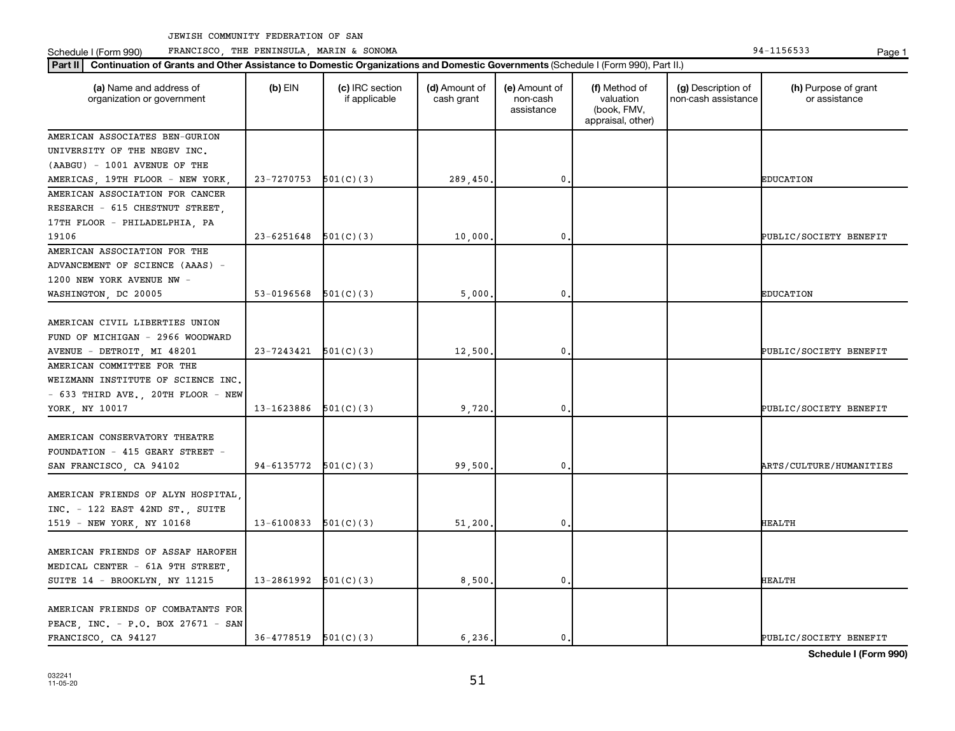Schedule I (Form 990) Page 1 FRANCISCO, THE PENINSULA, MARIN & SONOMA 94-1156533

| Part II   Continuation of Grants and Other Assistance to Domestic Organizations and Domestic Governments (Schedule I (Form 990), Part II.)<br>(a) Name and address of | $(b)$ EIN      | (c) IRC section | (d) Amount of | (e) Amount of          | (f) Method of                                 | (g) Description of  | (h) Purpose of grant    |
|-----------------------------------------------------------------------------------------------------------------------------------------------------------------------|----------------|-----------------|---------------|------------------------|-----------------------------------------------|---------------------|-------------------------|
| organization or government                                                                                                                                            |                | if applicable   | cash grant    | non-cash<br>assistance | valuation<br>(book, FMV,<br>appraisal, other) | non-cash assistance | or assistance           |
| AMERICAN ASSOCIATES BEN-GURION                                                                                                                                        |                |                 |               |                        |                                               |                     |                         |
| UNIVERSITY OF THE NEGEV INC.                                                                                                                                          |                |                 |               |                        |                                               |                     |                         |
| (AABGU) - 1001 AVENUE OF THE                                                                                                                                          |                |                 |               |                        |                                               |                     |                         |
| AMERICAS, 19TH FLOOR - NEW YORK                                                                                                                                       | 23-7270753     | 501(C)(3)       | 289,450       | 0                      |                                               |                     | <b>EDUCATION</b>        |
| AMERICAN ASSOCIATION FOR CANCER                                                                                                                                       |                |                 |               |                        |                                               |                     |                         |
| RESEARCH - 615 CHESTNUT STREET,                                                                                                                                       |                |                 |               |                        |                                               |                     |                         |
| 17TH FLOOR - PHILADELPHIA, PA                                                                                                                                         |                |                 |               |                        |                                               |                     |                         |
| 19106                                                                                                                                                                 | $23 - 6251648$ | 501(C)(3)       | 10,000        | 0                      |                                               |                     | PUBLIC/SOCIETY BENEFIT  |
| AMERICAN ASSOCIATION FOR THE                                                                                                                                          |                |                 |               |                        |                                               |                     |                         |
| ADVANCEMENT OF SCIENCE (AAAS) -                                                                                                                                       |                |                 |               |                        |                                               |                     |                         |
| 1200 NEW YORK AVENUE NW -                                                                                                                                             |                |                 |               |                        |                                               |                     |                         |
| WASHINGTON, DC 20005                                                                                                                                                  | 53-0196568     | 501(C)(3)       | 5,000         | 0                      |                                               |                     | <b>EDUCATION</b>        |
|                                                                                                                                                                       |                |                 |               |                        |                                               |                     |                         |
| AMERICAN CIVIL LIBERTIES UNION                                                                                                                                        |                |                 |               |                        |                                               |                     |                         |
| FUND OF MICHIGAN - 2966 WOODWARD                                                                                                                                      |                |                 |               |                        |                                               |                     |                         |
| AVENUE - DETROIT, MI 48201                                                                                                                                            | 23-7243421     | 501(C)(3)       | 12,500        | 0                      |                                               |                     | PUBLIC/SOCIETY BENEFIT  |
| AMERICAN COMMITTEE FOR THE                                                                                                                                            |                |                 |               |                        |                                               |                     |                         |
| WEIZMANN INSTITUTE OF SCIENCE INC.                                                                                                                                    |                |                 |               |                        |                                               |                     |                         |
| $-$ 633 THIRD AVE., 20TH FLOOR $-$ NEW                                                                                                                                |                |                 |               |                        |                                               |                     |                         |
| YORK, NY 10017                                                                                                                                                        | 13-1623886     | 501(C)(3)       | 9,720         | 0                      |                                               |                     | PUBLIC/SOCIETY BENEFIT  |
|                                                                                                                                                                       |                |                 |               |                        |                                               |                     |                         |
| AMERICAN CONSERVATORY THEATRE                                                                                                                                         |                |                 |               |                        |                                               |                     |                         |
| FOUNDATION - 415 GEARY STREET -                                                                                                                                       |                |                 |               |                        |                                               |                     |                         |
| SAN FRANCISCO, CA 94102                                                                                                                                               | 94-6135772     | 501(C)(3)       | 99,500        | 0                      |                                               |                     | ARTS/CULTURE/HUMANITIES |
|                                                                                                                                                                       |                |                 |               |                        |                                               |                     |                         |
| AMERICAN FRIENDS OF ALYN HOSPITAL                                                                                                                                     |                |                 |               |                        |                                               |                     |                         |
| INC. - 122 EAST 42ND ST., SUITE                                                                                                                                       |                |                 |               |                        |                                               |                     |                         |
|                                                                                                                                                                       | 13-6100833     | 501(C)(3)       | 51,200        | 0                      |                                               |                     | <b>HEALTH</b>           |
| 1519 - NEW YORK, NY 10168                                                                                                                                             |                |                 |               |                        |                                               |                     |                         |
| AMERICAN FRIENDS OF ASSAF HAROFEH                                                                                                                                     |                |                 |               |                        |                                               |                     |                         |
|                                                                                                                                                                       |                |                 |               |                        |                                               |                     |                         |
| MEDICAL CENTER - 61A 9TH STREET,                                                                                                                                      |                |                 |               |                        |                                               |                     |                         |
| SUITE 14 - BROOKLYN, NY 11215                                                                                                                                         | 13-2861992     | 501(C)(3)       | 8,500         | 0                      |                                               |                     | <b>HEALTH</b>           |
|                                                                                                                                                                       |                |                 |               |                        |                                               |                     |                         |
| AMERICAN FRIENDS OF COMBATANTS FOR                                                                                                                                    |                |                 |               |                        |                                               |                     |                         |
| PEACE, INC. - P.O. BOX 27671 - SAN                                                                                                                                    |                |                 |               |                        |                                               |                     |                         |
| FRANCISCO, CA 94127                                                                                                                                                   | 36-4778519     | 501(C)(3)       | 6.236.        | 0.                     |                                               |                     | PUBLIC/SOCIETY BENEFIT  |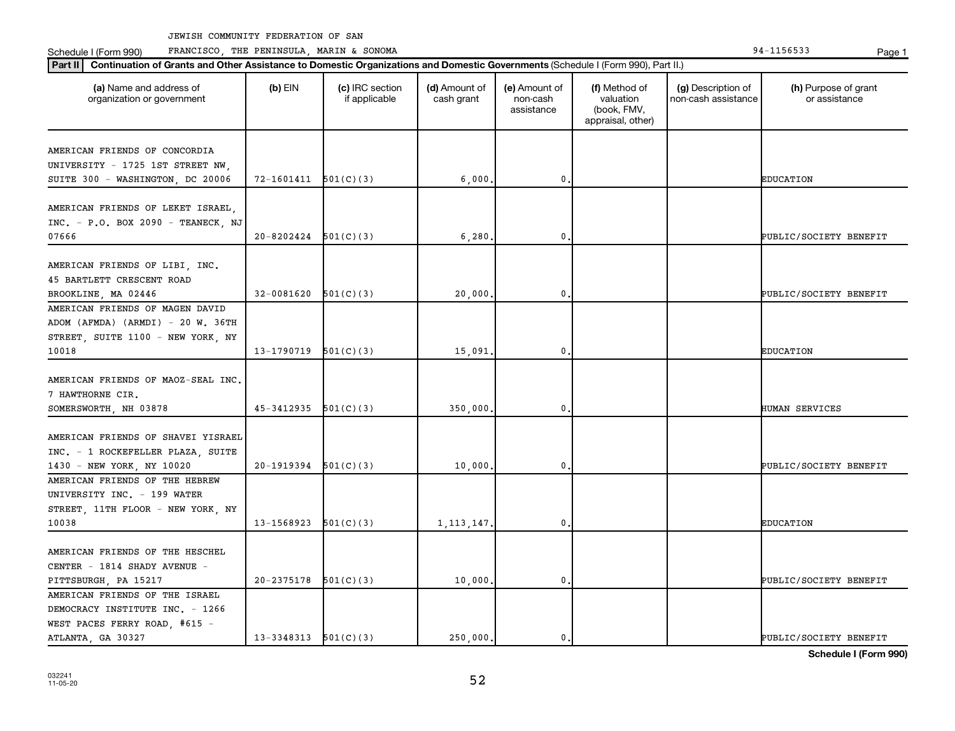Schedule I (Form 990) PRANCISCO, THE PENINSULA, MARIN & SONOMA Page 1 (Form 194-1156533 Page 1

| (a) Name and address of<br>organization or government                   | $(b)$ EIN                | (c) IRC section<br>if applicable | (d) Amount of<br>cash grant | (e) Amount of<br>non-cash<br>assistance | (f) Method of<br>valuation<br>(book, FMV,<br>appraisal, other) | (g) Description of<br>non-cash assistance | (h) Purpose of grant<br>or assistance |
|-------------------------------------------------------------------------|--------------------------|----------------------------------|-----------------------------|-----------------------------------------|----------------------------------------------------------------|-------------------------------------------|---------------------------------------|
| AMERICAN FRIENDS OF CONCORDIA                                           |                          |                                  |                             |                                         |                                                                |                                           |                                       |
| UNIVERSITY - 1725 1ST STREET NW,                                        |                          |                                  |                             |                                         |                                                                |                                           |                                       |
| SUITE 300 - WASHINGTON, DC 20006                                        | 72-1601411               | 501(C)(3)                        | 6,000                       | $\mathbf 0$                             |                                                                |                                           | <b>EDUCATION</b>                      |
|                                                                         |                          |                                  |                             |                                         |                                                                |                                           |                                       |
| AMERICAN FRIENDS OF LEKET ISRAEL,<br>INC. - P.O. BOX 2090 - TEANECK, NJ |                          |                                  |                             |                                         |                                                                |                                           |                                       |
| 07666                                                                   | 20-8202424               | 501(C)(3)                        | 6,280                       | 0                                       |                                                                |                                           | PUBLIC/SOCIETY BENEFIT                |
|                                                                         |                          |                                  |                             |                                         |                                                                |                                           |                                       |
| AMERICAN FRIENDS OF LIBI, INC.                                          |                          |                                  |                             |                                         |                                                                |                                           |                                       |
| 45 BARTLETT CRESCENT ROAD                                               |                          |                                  |                             |                                         |                                                                |                                           |                                       |
| BROOKLINE, MA 02446                                                     | 32-0081620               | 501(C)(3)                        | 20,000                      | 0                                       |                                                                |                                           | PUBLIC/SOCIETY BENEFIT                |
| AMERICAN FRIENDS OF MAGEN DAVID                                         |                          |                                  |                             |                                         |                                                                |                                           |                                       |
| ADOM (AFMDA) (ARMDI) - 20 W. 36TH                                       |                          |                                  |                             |                                         |                                                                |                                           |                                       |
| STREET, SUITE 1100 - NEW YORK, NY                                       |                          |                                  |                             |                                         |                                                                |                                           |                                       |
| 10018                                                                   | 13-1790719               | 501(C)(3)                        | 15,091                      | $\mathbf 0$                             |                                                                |                                           | <b>EDUCATION</b>                      |
|                                                                         |                          |                                  |                             |                                         |                                                                |                                           |                                       |
| AMERICAN FRIENDS OF MAOZ-SEAL INC.                                      |                          |                                  |                             |                                         |                                                                |                                           |                                       |
| 7 HAWTHORNE CIR.                                                        |                          |                                  |                             |                                         |                                                                |                                           |                                       |
| SOMERSWORTH, NH 03878                                                   | 45-3412935               | 501(C)(3)                        | 350,000                     | 0                                       |                                                                |                                           | HUMAN SERVICES                        |
| AMERICAN FRIENDS OF SHAVEI YISRAEL                                      |                          |                                  |                             |                                         |                                                                |                                           |                                       |
| INC. - 1 ROCKEFELLER PLAZA, SUITE                                       |                          |                                  |                             |                                         |                                                                |                                           |                                       |
|                                                                         | 20-1919394               | 501(C)(3)                        | 10,000                      | 0                                       |                                                                |                                           | PUBLIC/SOCIETY BENEFIT                |
| 1430 - NEW YORK, NY 10020<br>AMERICAN FRIENDS OF THE HEBREW             |                          |                                  |                             |                                         |                                                                |                                           |                                       |
| UNIVERSITY INC. - 199 WATER                                             |                          |                                  |                             |                                         |                                                                |                                           |                                       |
| STREET, 11TH FLOOR - NEW YORK, NY                                       |                          |                                  |                             |                                         |                                                                |                                           |                                       |
| 10038                                                                   | 13-1568923               |                                  |                             | $\mathbf 0$                             |                                                                |                                           |                                       |
|                                                                         |                          | 501(C)(3)                        | 1, 113, 147,                |                                         |                                                                |                                           | <b>EDUCATION</b>                      |
| AMERICAN FRIENDS OF THE HESCHEL                                         |                          |                                  |                             |                                         |                                                                |                                           |                                       |
| CENTER - 1814 SHADY AVENUE -                                            |                          |                                  |                             |                                         |                                                                |                                           |                                       |
|                                                                         | 20-2375178               | 501(C)(3)                        | 10,000                      | 0                                       |                                                                |                                           | PUBLIC/SOCIETY BENEFIT                |
| PITTSBURGH, PA 15217                                                    |                          |                                  |                             |                                         |                                                                |                                           |                                       |
| AMERICAN FRIENDS OF THE ISRAEL                                          |                          |                                  |                             |                                         |                                                                |                                           |                                       |
| DEMOCRACY INSTITUTE INC. - 1266                                         |                          |                                  |                             |                                         |                                                                |                                           |                                       |
| WEST PACES FERRY ROAD, #615 -                                           |                          |                                  |                             |                                         |                                                                |                                           |                                       |
| ATLANTA, GA 30327                                                       | $13-3348313$ $501(C)(3)$ |                                  | 250,000.                    | $\mathbf{0}$                            |                                                                |                                           | PUBLIC/SOCIETY BENEFIT                |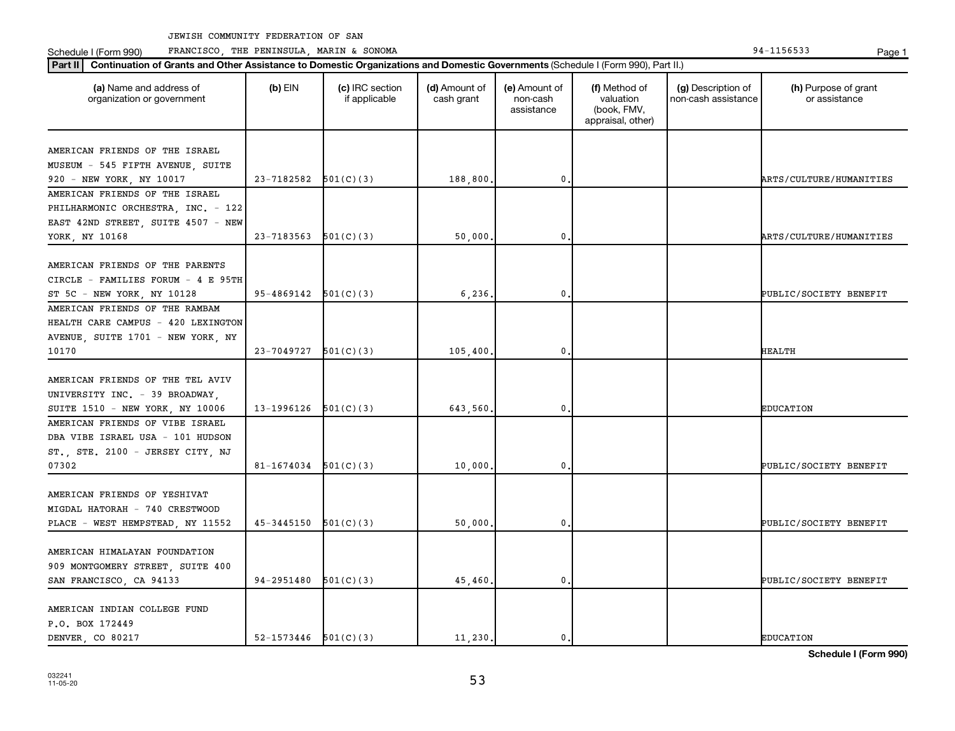Schedule I (Form 990) PRANCISCO, THE PENINSULA, MARIN & SONOMA Page 1 (Form 194-1156533 Page 1

| Part II   Continuation of Grants and Other Assistance to Domestic Organizations and Domestic Governments (Schedule I (Form 990), Part II.) |                            |                                  |                             |                                         |                                                                |                                           |                                       |
|--------------------------------------------------------------------------------------------------------------------------------------------|----------------------------|----------------------------------|-----------------------------|-----------------------------------------|----------------------------------------------------------------|-------------------------------------------|---------------------------------------|
| (a) Name and address of<br>organization or government                                                                                      | $(b)$ EIN                  | (c) IRC section<br>if applicable | (d) Amount of<br>cash grant | (e) Amount of<br>non-cash<br>assistance | (f) Method of<br>valuation<br>(book, FMV,<br>appraisal, other) | (g) Description of<br>non-cash assistance | (h) Purpose of grant<br>or assistance |
| AMERICAN FRIENDS OF THE ISRAEL                                                                                                             |                            |                                  |                             |                                         |                                                                |                                           |                                       |
| MUSEUM - 545 FIFTH AVENUE, SUITE                                                                                                           |                            |                                  |                             |                                         |                                                                |                                           |                                       |
| 920 - NEW YORK, NY 10017                                                                                                                   | $23 - 7182582$ $501(C)(3)$ |                                  | 188,800.                    | $\mathbf 0$                             |                                                                |                                           | ARTS/CULTURE/HUMANITIES               |
| AMERICAN FRIENDS OF THE ISRAEL                                                                                                             |                            |                                  |                             |                                         |                                                                |                                           |                                       |
| PHILHARMONIC ORCHESTRA, INC. - 122                                                                                                         |                            |                                  |                             |                                         |                                                                |                                           |                                       |
| EAST 42ND STREET, SUITE 4507 - NEW                                                                                                         |                            |                                  |                             |                                         |                                                                |                                           |                                       |
| YORK, NY 10168                                                                                                                             | 23-7183563                 | 501(C)(3)                        | 50,000                      | $\mathbf 0$                             |                                                                |                                           | ARTS/CULTURE/HUMANITIES               |
| AMERICAN FRIENDS OF THE PARENTS                                                                                                            |                            |                                  |                             |                                         |                                                                |                                           |                                       |
| CIRCLE - FAMILIES FORUM - 4 E 95TH                                                                                                         |                            |                                  |                             |                                         |                                                                |                                           |                                       |
| ST 5C - NEW YORK, NY 10128                                                                                                                 | $95-4869142$ $501(C)(3)$   |                                  | 6, 236,                     | $\mathbf 0$                             |                                                                |                                           | PUBLIC/SOCIETY BENEFIT                |
| AMERICAN FRIENDS OF THE RAMBAM                                                                                                             |                            |                                  |                             |                                         |                                                                |                                           |                                       |
| HEALTH CARE CAMPUS - 420 LEXINGTON                                                                                                         |                            |                                  |                             |                                         |                                                                |                                           |                                       |
|                                                                                                                                            |                            |                                  |                             |                                         |                                                                |                                           |                                       |
| AVENUE, SUITE 1701 - NEW YORK, NY<br>10170                                                                                                 | $23-7049727$ 501(C)(3)     |                                  |                             | $\mathbf 0$                             |                                                                |                                           | <b>HEALTH</b>                         |
|                                                                                                                                            |                            |                                  | 105,400.                    |                                         |                                                                |                                           |                                       |
| AMERICAN FRIENDS OF THE TEL AVIV                                                                                                           |                            |                                  |                             |                                         |                                                                |                                           |                                       |
|                                                                                                                                            |                            |                                  |                             |                                         |                                                                |                                           |                                       |
| UNIVERSITY INC. - 39 BROADWAY,                                                                                                             |                            |                                  |                             |                                         |                                                                |                                           |                                       |
| SUITE 1510 - NEW YORK, NY 10006                                                                                                            | $13-1996126$ $501(C)(3)$   |                                  | 643,560,                    | $\mathbf 0$                             |                                                                |                                           | <b>EDUCATION</b>                      |
| AMERICAN FRIENDS OF VIBE ISRAEL                                                                                                            |                            |                                  |                             |                                         |                                                                |                                           |                                       |
| DBA VIBE ISRAEL USA - 101 HUDSON                                                                                                           |                            |                                  |                             |                                         |                                                                |                                           |                                       |
| ST., STE. 2100 - JERSEY CITY, NJ                                                                                                           |                            |                                  |                             |                                         |                                                                |                                           |                                       |
| 07302                                                                                                                                      | 81-1674034                 | 501(C)(3)                        | 10,000.                     | $\mathbf 0$                             |                                                                |                                           | PUBLIC/SOCIETY BENEFIT                |
|                                                                                                                                            |                            |                                  |                             |                                         |                                                                |                                           |                                       |
| AMERICAN FRIENDS OF YESHIVAT                                                                                                               |                            |                                  |                             |                                         |                                                                |                                           |                                       |
| MIGDAL HATORAH - 740 CRESTWOOD                                                                                                             |                            |                                  |                             |                                         |                                                                |                                           |                                       |
| PLACE - WEST HEMPSTEAD, NY 11552                                                                                                           | $45-3445150$ $501(C)(3)$   |                                  | 50,000,                     | 0.                                      |                                                                |                                           | PUBLIC/SOCIETY BENEFIT                |
|                                                                                                                                            |                            |                                  |                             |                                         |                                                                |                                           |                                       |
| AMERICAN HIMALAYAN FOUNDATION                                                                                                              |                            |                                  |                             |                                         |                                                                |                                           |                                       |
| 909 MONTGOMERY STREET, SUITE 400                                                                                                           |                            |                                  |                             |                                         |                                                                |                                           |                                       |
| SAN FRANCISCO, CA 94133                                                                                                                    | $94-2951480$ $501(C)(3)$   |                                  | 45,460.                     | 0.                                      |                                                                |                                           | PUBLIC/SOCIETY BENEFIT                |
| AMERICAN INDIAN COLLEGE FUND                                                                                                               |                            |                                  |                             |                                         |                                                                |                                           |                                       |
| P.O. BOX 172449                                                                                                                            |                            |                                  |                             |                                         |                                                                |                                           |                                       |
| DENVER CO 80217                                                                                                                            | $52 - 1573446$ $501(C)(3)$ |                                  | 11, 230.                    | $\mathbf{0}$ .                          |                                                                |                                           | <b>EDUCATION</b>                      |
|                                                                                                                                            |                            |                                  |                             |                                         |                                                                |                                           |                                       |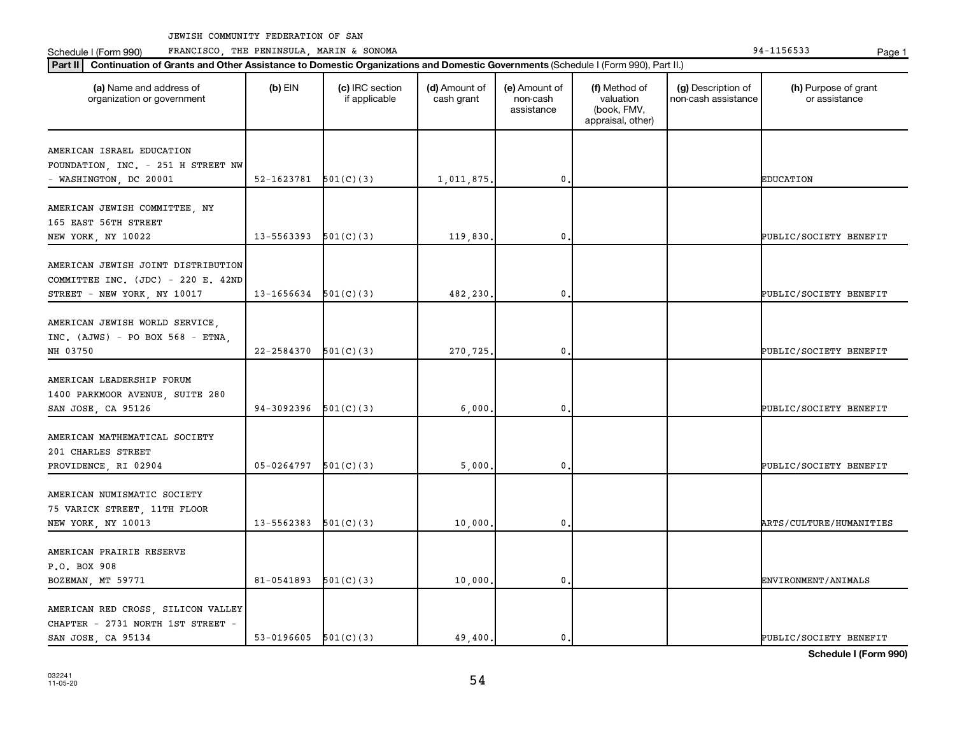Schedule I (Form 990) PRANCISCO, THE PENINSULA, MARIN & SONOMA Page 1 (Form 194-1156533 Page 1

| (a) Name and address of<br>organization or government                                                   | $(b)$ EIN  | (c) IRC section<br>if applicable | (d) Amount of<br>cash grant | (e) Amount of<br>non-cash<br>assistance | (f) Method of<br>valuation<br>(book, FMV,<br>appraisal, other) | (g) Description of<br>non-cash assistance | (h) Purpose of grant<br>or assistance |
|---------------------------------------------------------------------------------------------------------|------------|----------------------------------|-----------------------------|-----------------------------------------|----------------------------------------------------------------|-------------------------------------------|---------------------------------------|
| AMERICAN ISRAEL EDUCATION<br>FOUNDATION, INC. - 251 H STREET NW                                         |            |                                  |                             |                                         |                                                                |                                           |                                       |
| - WASHINGTON, DC 20001                                                                                  | 52-1623781 | 501(C)(3)                        | 1,011,875                   | 0                                       |                                                                |                                           | <b>EDUCATION</b>                      |
| AMERICAN JEWISH COMMITTEE, NY<br>165 EAST 56TH STREET<br>NEW YORK, NY 10022                             | 13-5563393 | 501(C)(3)                        | 119,830                     | 0                                       |                                                                |                                           | PUBLIC/SOCIETY BENEFIT                |
|                                                                                                         |            |                                  |                             |                                         |                                                                |                                           |                                       |
| AMERICAN JEWISH JOINT DISTRIBUTION<br>COMMITTEE INC. (JDC) - 220 E. 42ND<br>STREET - NEW YORK, NY 10017 | 13-1656634 | 501(C)(3)                        | 482,230,                    | $\mathbf 0$                             |                                                                |                                           | PUBLIC/SOCIETY BENEFIT                |
| AMERICAN JEWISH WORLD SERVICE,<br>INC. $(AJWS) - PO BOX 568 - ETNA,$<br>NH 03750                        | 22-2584370 | 501(C)(3)                        | 270,725                     | 0                                       |                                                                |                                           | PUBLIC/SOCIETY BENEFIT                |
| AMERICAN LEADERSHIP FORUM<br>1400 PARKMOOR AVENUE, SUITE 280<br>SAN JOSE, CA 95126                      | 94-3092396 | 501(C)(3)                        | 6,000                       | $\mathbf 0$                             |                                                                |                                           | PUBLIC/SOCIETY BENEFIT                |
| AMERICAN MATHEMATICAL SOCIETY<br>201 CHARLES STREET<br>PROVIDENCE, RI 02904                             | 05-0264797 | 501(C)(3)                        | 5,000                       | 0                                       |                                                                |                                           | PUBLIC/SOCIETY BENEFIT                |
| AMERICAN NUMISMATIC SOCIETY<br>75 VARICK STREET, 11TH FLOOR<br>NEW YORK, NY 10013                       | 13-5562383 | 501(C)(3)                        | 10,000                      | $\mathbf 0$                             |                                                                |                                           | ARTS/CULTURE/HUMANITIES               |
| AMERICAN PRAIRIE RESERVE<br>P.O. BOX 908<br>BOZEMAN, MT 59771                                           | 81-0541893 | 501(C)(3)                        | 10,000,                     | $\mathbf 0$                             |                                                                |                                           | ENVIRONMENT/ANIMALS                   |
| AMERICAN RED CROSS, SILICON VALLEY<br>CHAPTER - 2731 NORTH 1ST STREET -<br>SAN JOSE, CA 95134           | 53-0196605 | 501(C)(3)                        | 49,400.                     | 0.                                      |                                                                |                                           | PUBLIC/SOCIETY BENEFIT                |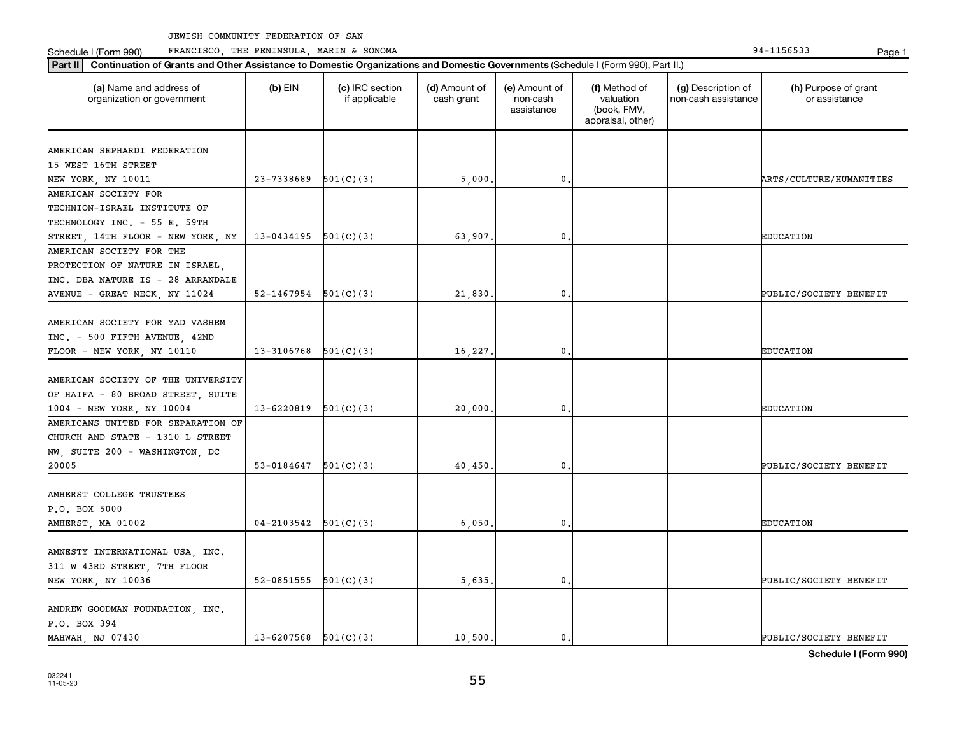Schedule I (Form 990) PRANCISCO, THE PENINSULA, MARIN & SONOMA Page 1 (Form 194-1156533 Page 1

| (a) Name and address of<br>organization or government | $(b)$ EIN  | (c) IRC section<br>if applicable | (d) Amount of<br>cash grant | (e) Amount of<br>non-cash<br>assistance | (f) Method of<br>valuation<br>(book, FMV,<br>appraisal, other) | (g) Description of<br>non-cash assistance | (h) Purpose of grant<br>or assistance |
|-------------------------------------------------------|------------|----------------------------------|-----------------------------|-----------------------------------------|----------------------------------------------------------------|-------------------------------------------|---------------------------------------|
| AMERICAN SEPHARDI FEDERATION                          |            |                                  |                             |                                         |                                                                |                                           |                                       |
| 15 WEST 16TH STREET                                   |            |                                  |                             |                                         |                                                                |                                           |                                       |
| NEW YORK, NY 10011                                    | 23-7338689 | 501(C)(3)                        | 5,000                       | 0                                       |                                                                |                                           | ARTS/CULTURE/HUMANITIES               |
| AMERICAN SOCIETY FOR                                  |            |                                  |                             |                                         |                                                                |                                           |                                       |
| TECHNION-ISRAEL INSTITUTE OF                          |            |                                  |                             |                                         |                                                                |                                           |                                       |
| TECHNOLOGY INC. - 55 E. 59TH                          |            |                                  |                             |                                         |                                                                |                                           |                                       |
| STREET, 14TH FLOOR - NEW YORK, NY                     | 13-0434195 | 501(C)(3)                        | 63,907                      | 0                                       |                                                                |                                           | <b>EDUCATION</b>                      |
| AMERICAN SOCIETY FOR THE                              |            |                                  |                             |                                         |                                                                |                                           |                                       |
| PROTECTION OF NATURE IN ISRAEL,                       |            |                                  |                             |                                         |                                                                |                                           |                                       |
| INC. DBA NATURE IS - 28 ARRANDALE                     |            |                                  |                             |                                         |                                                                |                                           |                                       |
| AVENUE - GREAT NECK, NY 11024                         | 52-1467954 | 501(C)(3)                        | 21,830                      | $\mathbf{0}$                            |                                                                |                                           | PUBLIC/SOCIETY BENEFIT                |
|                                                       |            |                                  |                             |                                         |                                                                |                                           |                                       |
| AMERICAN SOCIETY FOR YAD VASHEM                       |            |                                  |                             |                                         |                                                                |                                           |                                       |
| INC. - 500 FIFTH AVENUE, 42ND                         |            |                                  |                             |                                         |                                                                |                                           |                                       |
| FLOOR - NEW YORK, NY 10110                            | 13-3106768 | 501(C)(3)                        | 16,227.                     | 0                                       |                                                                |                                           | <b>EDUCATION</b>                      |
|                                                       |            |                                  |                             |                                         |                                                                |                                           |                                       |
| AMERICAN SOCIETY OF THE UNIVERSITY                    |            |                                  |                             |                                         |                                                                |                                           |                                       |
| OF HAIFA - 80 BROAD STREET, SUITE                     |            |                                  |                             |                                         |                                                                |                                           |                                       |
| 1004 - NEW YORK, NY 10004                             | 13-6220819 | 501(C)(3)                        | 20,000                      | 0                                       |                                                                |                                           | <b>EDUCATION</b>                      |
| AMERICANS UNITED FOR SEPARATION OF                    |            |                                  |                             |                                         |                                                                |                                           |                                       |
| CHURCH AND STATE - 1310 L STREET                      |            |                                  |                             |                                         |                                                                |                                           |                                       |
| NW, SUITE 200 - WASHINGTON, DC                        |            |                                  |                             |                                         |                                                                |                                           |                                       |
| 20005                                                 | 53-0184647 | 501(C)(3)                        | 40,450                      | 0                                       |                                                                |                                           | PUBLIC/SOCIETY BENEFIT                |
|                                                       |            |                                  |                             |                                         |                                                                |                                           |                                       |
| AMHERST COLLEGE TRUSTEES                              |            |                                  |                             |                                         |                                                                |                                           |                                       |
| P.O. BOX 5000                                         |            |                                  |                             |                                         |                                                                |                                           |                                       |
| AMHERST, MA 01002                                     | 04-2103542 | 501(C)(3)                        | 6,050                       | $\mathbf{0}$                            |                                                                |                                           | <b>EDUCATION</b>                      |
|                                                       |            |                                  |                             |                                         |                                                                |                                           |                                       |
| AMNESTY INTERNATIONAL USA, INC.                       |            |                                  |                             |                                         |                                                                |                                           |                                       |
| 311 W 43RD STREET, 7TH FLOOR                          |            |                                  |                             |                                         |                                                                |                                           |                                       |
| NEW YORK, NY 10036                                    | 52-0851555 | 501(C)(3)                        | 5,635                       | 0                                       |                                                                |                                           | PUBLIC/SOCIETY BENEFIT                |
|                                                       |            |                                  |                             |                                         |                                                                |                                           |                                       |
| ANDREW GOODMAN FOUNDATION, INC.                       |            |                                  |                             |                                         |                                                                |                                           |                                       |
| P.O. BOX 394                                          |            |                                  |                             |                                         |                                                                |                                           |                                       |
| MAHWAH NJ 07430                                       | 13-6207568 | 501(C)(3)                        | 10,500.                     | $\mathbf{0}$ .                          |                                                                |                                           | PUBLIC/SOCIETY BENEFIT                |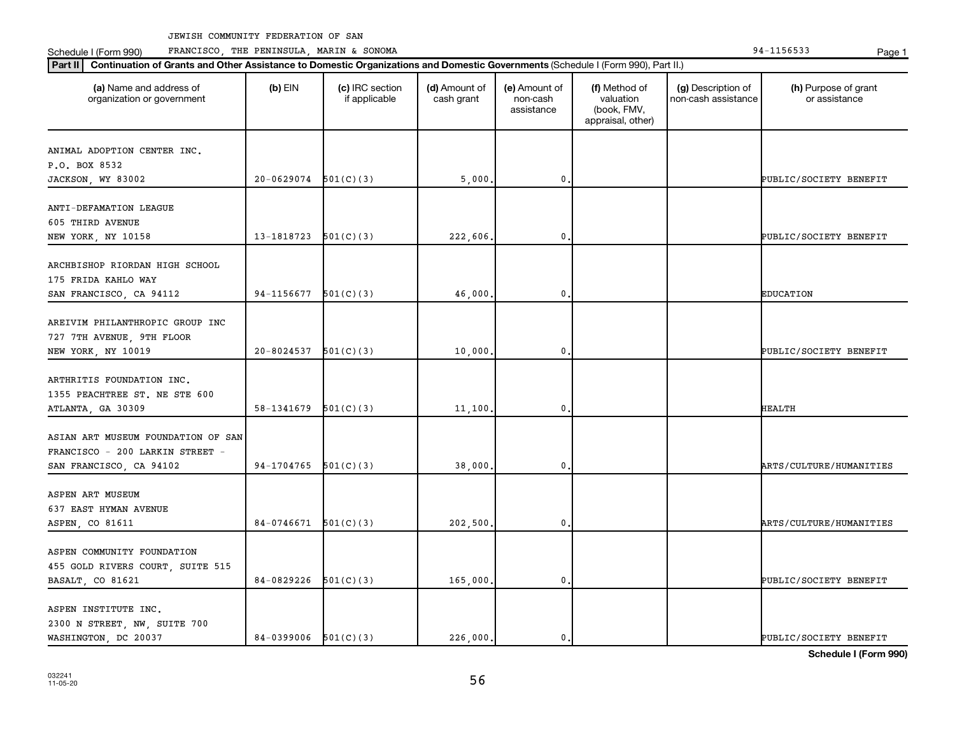Schedule I (Form 990) PRANCISCO, THE PENINSULA, MARIN & SONOMA Page 1 (Form 194-1156533 Page 1

| (a) Name and address of<br>organization or government                              | $(b)$ EIN                | (c) IRC section<br>if applicable | (d) Amount of<br>cash grant | (e) Amount of<br>non-cash<br>assistance | (f) Method of<br>valuation<br>(book, FMV,<br>appraisal, other) | (g) Description of<br>non-cash assistance | (h) Purpose of grant<br>or assistance |
|------------------------------------------------------------------------------------|--------------------------|----------------------------------|-----------------------------|-----------------------------------------|----------------------------------------------------------------|-------------------------------------------|---------------------------------------|
| ANIMAL ADOPTION CENTER INC.                                                        |                          |                                  |                             |                                         |                                                                |                                           |                                       |
| P.O. BOX 8532                                                                      |                          |                                  |                             |                                         |                                                                |                                           |                                       |
| JACKSON, WY 83002                                                                  | $20 - 0629074$           | 501(C)(3)                        | 5,000.                      | $\mathbf 0$ .                           |                                                                |                                           | PUBLIC/SOCIETY BENEFIT                |
| ANTI-DEFAMATION LEAGUE<br>605 THIRD AVENUE                                         |                          |                                  |                             |                                         |                                                                |                                           |                                       |
| NEW YORK, NY 10158                                                                 | 13-1818723               | 501(C)(3)                        | 222,606.                    | $\mathbf 0$                             |                                                                |                                           | PUBLIC/SOCIETY BENEFIT                |
| ARCHBISHOP RIORDAN HIGH SCHOOL<br>175 FRIDA KAHLO WAY                              |                          |                                  |                             |                                         |                                                                |                                           |                                       |
| SAN FRANCISCO, CA 94112                                                            | 94-1156677               | 501(C)(3)                        | 46,000.                     | 0.                                      |                                                                |                                           | <b>EDUCATION</b>                      |
| AREIVIM PHILANTHROPIC GROUP INC<br>727 7TH AVENUE, 9TH FLOOR<br>NEW YORK, NY 10019 | 20-8024537               | 501(C)(3)                        | 10,000.                     | $\mathbf 0$                             |                                                                |                                           | PUBLIC/SOCIETY BENEFIT                |
| ARTHRITIS FOUNDATION INC.<br>1355 PEACHTREE ST. NE STE 600<br>ATLANTA, GA 30309    | 58-1341679               | 501(C)(3)                        | 11,100.                     | 0.                                      |                                                                |                                           | <b>HEALTH</b>                         |
| ASIAN ART MUSEUM FOUNDATION OF SAN<br>FRANCISCO - 200 LARKIN STREET -              | 94-1704765               | 501(C)(3)                        | 38,000.                     | $\mathbf 0$                             |                                                                |                                           | ARTS/CULTURE/HUMANITIES               |
| SAN FRANCISCO, CA 94102                                                            |                          |                                  |                             |                                         |                                                                |                                           |                                       |
| ASPEN ART MUSEUM<br>637 EAST HYMAN AVENUE<br>ASPEN, CO 81611                       | $84-0746671$ $501(C)(3)$ |                                  | 202,500.                    | 0.                                      |                                                                |                                           | ARTS/CULTURE/HUMANITIES               |
| ASPEN COMMUNITY FOUNDATION<br>455 GOLD RIVERS COURT, SUITE 515                     |                          |                                  |                             |                                         |                                                                |                                           |                                       |
| BASALT, CO 81621                                                                   | 84-0829226               | 501(C)(3)                        | 165,000.                    | $\mathbf 0$                             |                                                                |                                           | PUBLIC/SOCIETY BENEFIT                |
| ASPEN INSTITUTE INC.<br>2300 N STREET, NW, SUITE 700<br>WASHINGTON, DC 20037       | 84-0399006 $501(C)(3)$   |                                  | 226,000.                    | $\mathbf{0}$ .                          |                                                                |                                           | PUBLIC/SOCIETY BENEFIT                |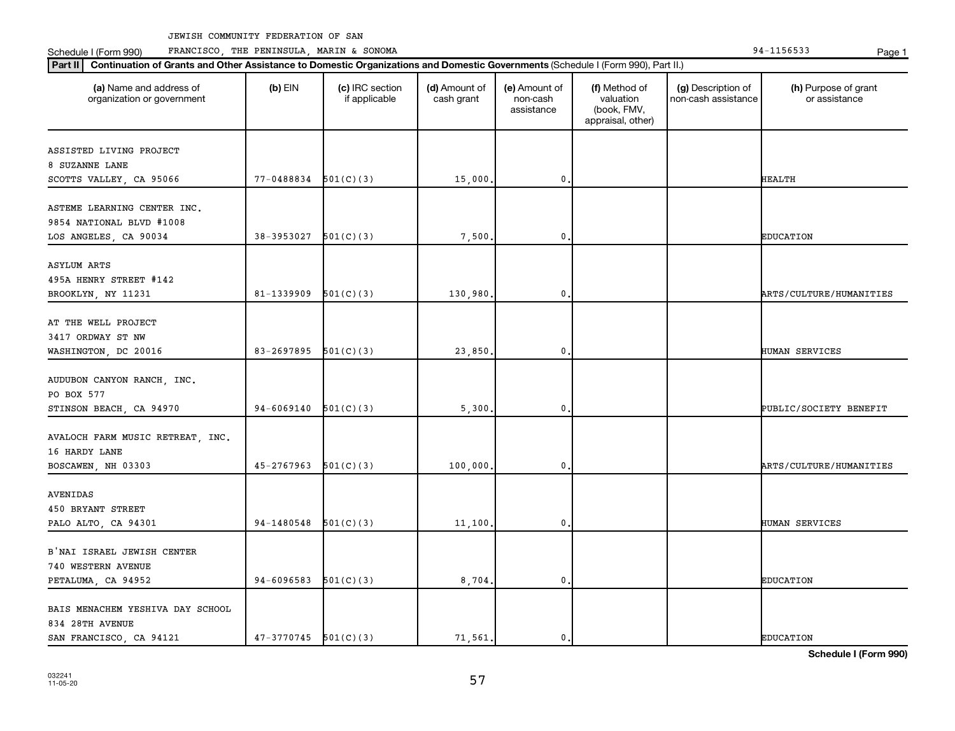Schedule I (Form 990) PRANCISCO, THE PENINSULA, MARIN & SONOMA Page 1 (Form 194-1156533 Page 1

| (a) Name and address of<br>organization or government                            | $(b)$ EIN                | (c) IRC section<br>if applicable | (d) Amount of<br>cash grant | (e) Amount of<br>non-cash<br>assistance | (f) Method of<br>valuation<br>(book, FMV,<br>appraisal, other) | (g) Description of<br>non-cash assistance | (h) Purpose of grant<br>or assistance |
|----------------------------------------------------------------------------------|--------------------------|----------------------------------|-----------------------------|-----------------------------------------|----------------------------------------------------------------|-------------------------------------------|---------------------------------------|
| ASSISTED LIVING PROJECT<br>8 SUZANNE LANE                                        |                          |                                  |                             |                                         |                                                                |                                           |                                       |
| SCOTTS VALLEY, CA 95066                                                          | 77-0488834               | 501(C)(3)                        | 15,000                      | 0                                       |                                                                |                                           | HEALTH                                |
| ASTEME LEARNING CENTER INC.<br>9854 NATIONAL BLVD #1008<br>LOS ANGELES, CA 90034 | 38-3953027               | 501(C)(3)                        | 7,500                       | 0                                       |                                                                |                                           | <b>EDUCATION</b>                      |
|                                                                                  |                          |                                  |                             |                                         |                                                                |                                           |                                       |
| <b>ASYLUM ARTS</b><br>495A HENRY STREET #142<br>BROOKLYN, NY 11231               | 81-1339909               | 501(C)(3)                        | 130,980,                    | 0                                       |                                                                |                                           | ARTS/CULTURE/HUMANITIES               |
| AT THE WELL PROJECT<br>3417 ORDWAY ST NW<br>WASHINGTON, DC 20016                 | 83-2697895               | 501(C)(3)                        | 23,850.                     | 0                                       |                                                                |                                           | HUMAN SERVICES                        |
| AUDUBON CANYON RANCH, INC.<br>PO BOX 577                                         |                          |                                  |                             |                                         |                                                                |                                           |                                       |
| STINSON BEACH, CA 94970                                                          | 94-6069140               | 501(C)(3)                        | 5,300                       | 0                                       |                                                                |                                           | PUBLIC/SOCIETY BENEFIT                |
| AVALOCH FARM MUSIC RETREAT, INC.<br>16 HARDY LANE                                |                          |                                  |                             |                                         |                                                                |                                           |                                       |
| BOSCAWEN, NH 03303                                                               | 45-2767963               | 501(C)(3)                        | 100,000                     | 0                                       |                                                                |                                           | ARTS/CULTURE/HUMANITIES               |
| AVENIDAS<br>450 BRYANT STREET<br>PALO ALTO, CA 94301                             | 94-1480548               | 501(C)(3)                        | 11,100,                     | 0                                       |                                                                |                                           | HUMAN SERVICES                        |
| B'NAI ISRAEL JEWISH CENTER                                                       |                          |                                  |                             |                                         |                                                                |                                           |                                       |
| 740 WESTERN AVENUE<br>PETALUMA, CA 94952                                         | 94-6096583               | 501(C)(3)                        | 8,704.                      | $\mathbf{0}$                            |                                                                |                                           | <b>EDUCATION</b>                      |
| BAIS MENACHEM YESHIVA DAY SCHOOL<br>834 28TH AVENUE                              |                          |                                  |                             |                                         |                                                                |                                           |                                       |
| SAN FRANCISCO, CA 94121                                                          | $47-3770745$ $501(C)(3)$ |                                  | 71,561.                     | 0.                                      |                                                                |                                           | <b>EDUCATION</b>                      |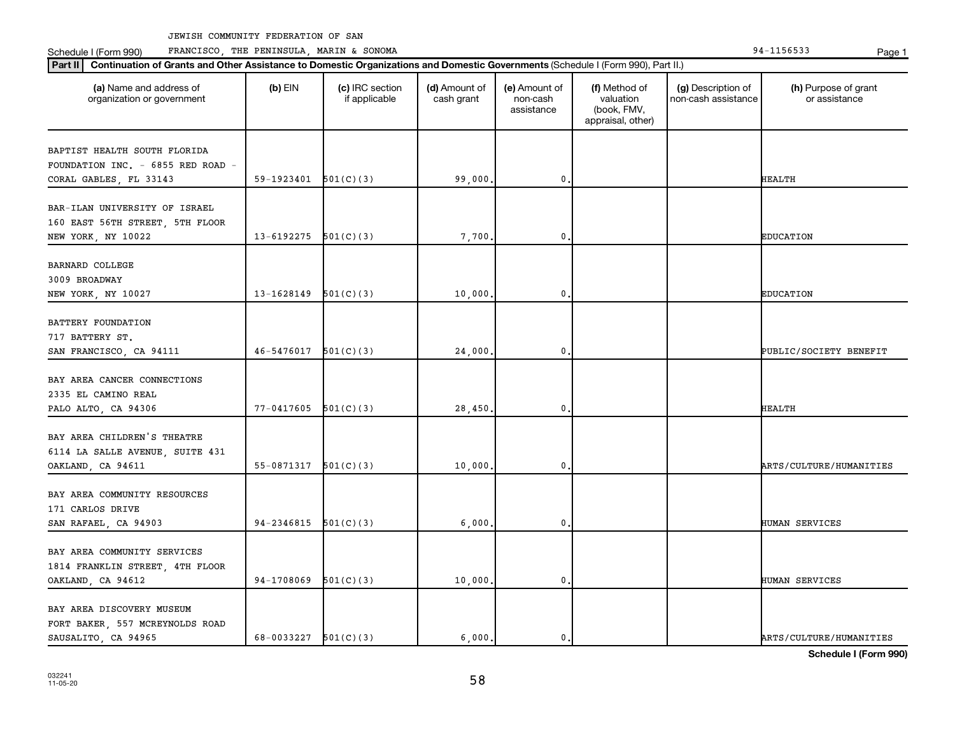Schedule I (Form 990) PRANCISCO, THE PENINSULA, MARIN & SONOMA Page 1 (Form 194-1156533 Page 1

| Part II   Continuation of Grants and Other Assistance to Domestic Organizations and Domestic Governments (Schedule I (Form 990), Part II.) |                |                                  |                             |                                         |                                                                |                                           |                                       |
|--------------------------------------------------------------------------------------------------------------------------------------------|----------------|----------------------------------|-----------------------------|-----------------------------------------|----------------------------------------------------------------|-------------------------------------------|---------------------------------------|
| (a) Name and address of<br>organization or government                                                                                      | $(b)$ EIN      | (c) IRC section<br>if applicable | (d) Amount of<br>cash grant | (e) Amount of<br>non-cash<br>assistance | (f) Method of<br>valuation<br>(book, FMV,<br>appraisal, other) | (g) Description of<br>non-cash assistance | (h) Purpose of grant<br>or assistance |
| BAPTIST HEALTH SOUTH FLORIDA<br>FOUNDATION INC. - 6855 RED ROAD -                                                                          |                |                                  |                             |                                         |                                                                |                                           |                                       |
| CORAL GABLES, FL 33143                                                                                                                     | 59-1923401     | 501(C)(3)                        | 99,000                      | $\mathbf 0$                             |                                                                |                                           | <b>HEALTH</b>                         |
| BAR-ILAN UNIVERSITY OF ISRAEL<br>160 EAST 56TH STREET, 5TH FLOOR<br>NEW YORK, NY 10022                                                     | 13-6192275     | 501(C)(3)                        | 7,700                       | $\mathbf{0}$                            |                                                                |                                           | <b>EDUCATION</b>                      |
| <b>BARNARD COLLEGE</b><br>3009 BROADWAY<br>NEW YORK, NY 10027                                                                              | 13-1628149     | 501(C)(3)                        | 10,000.                     | $\mathbf 0$                             |                                                                |                                           | <b>EDUCATION</b>                      |
| BATTERY FOUNDATION<br>717 BATTERY ST.<br>SAN FRANCISCO, CA 94111                                                                           | 46-5476017     | 501(C)(3)                        | 24,000                      | $\mathbf 0$                             |                                                                |                                           | PUBLIC/SOCIETY BENEFIT                |
| BAY AREA CANCER CONNECTIONS<br>2335 EL CAMINO REAL<br>PALO ALTO, CA 94306                                                                  | $77 - 0417605$ | 501(C)(3)                        | 28,450                      | $\mathbf 0$                             |                                                                |                                           | <b>HEALTH</b>                         |
| BAY AREA CHILDREN'S THEATRE<br>6114 LA SALLE AVENUE, SUITE 431<br>OAKLAND, CA 94611                                                        | 55-0871317     | 501(C)(3)                        | 10,000                      | $\mathbf{0}$                            |                                                                |                                           | ARTS/CULTURE/HUMANITIES               |
| BAY AREA COMMUNITY RESOURCES<br>171 CARLOS DRIVE<br>SAN RAFAEL, CA 94903                                                                   | 94-2346815     | 501(C)(3)                        | 6,000                       | $\mathbf 0$                             |                                                                |                                           | HUMAN SERVICES                        |
| BAY AREA COMMUNITY SERVICES<br>1814 FRANKLIN STREET, 4TH FLOOR<br>OAKLAND, CA 94612                                                        | 94-1708069     | 501(C)(3)                        | 10,000.                     | $\mathbf 0$                             |                                                                |                                           | HUMAN SERVICES                        |
| BAY AREA DISCOVERY MUSEUM<br>FORT BAKER, 557 MCREYNOLDS ROAD<br>SAUSALITO, CA 94965                                                        | 68-0033227     | 501(C)(3)                        | 6.000.                      | 0.                                      |                                                                |                                           | ARTS/CULTURE/HUMANITIES               |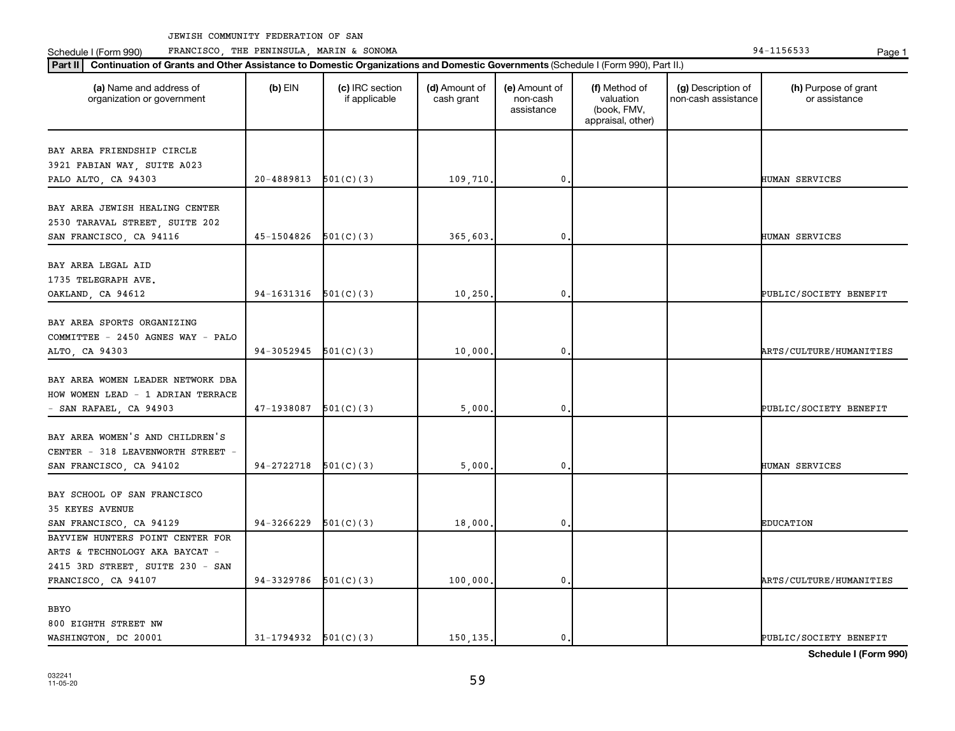Schedule I (Form 990) Page 1 FRANCISCO, THE PENINSULA, MARIN & SONOMA 94-1156533

| (a) Name and address of<br>organization or government                                       | $(b)$ EIN                | (c) IRC section<br>if applicable | (d) Amount of<br>cash grant | (e) Amount of<br>non-cash<br>assistance | (f) Method of<br>valuation<br>(book, FMV,<br>appraisal, other) | (g) Description of<br>non-cash assistance | (h) Purpose of grant<br>or assistance |
|---------------------------------------------------------------------------------------------|--------------------------|----------------------------------|-----------------------------|-----------------------------------------|----------------------------------------------------------------|-------------------------------------------|---------------------------------------|
| BAY AREA FRIENDSHIP CIRCLE                                                                  |                          |                                  |                             |                                         |                                                                |                                           |                                       |
| 3921 FABIAN WAY, SUITE A023                                                                 |                          |                                  |                             |                                         |                                                                |                                           |                                       |
| PALO ALTO, CA 94303                                                                         | 20-4889813               | 501(C)(3)                        | 109,710.                    | 0                                       |                                                                |                                           | HUMAN SERVICES                        |
| BAY AREA JEWISH HEALING CENTER<br>2530 TARAVAL STREET, SUITE 202<br>SAN FRANCISCO, CA 94116 | 45-1504826               | 501(C)(3)                        | 365,603.                    | 0                                       |                                                                |                                           | HUMAN SERVICES                        |
| BAY AREA LEGAL AID                                                                          |                          |                                  |                             |                                         |                                                                |                                           |                                       |
| 1735 TELEGRAPH AVE.                                                                         |                          |                                  |                             |                                         |                                                                |                                           |                                       |
| OAKLAND, CA 94612                                                                           | 94-1631316               | 501(C)(3)                        | 10,250                      | 0                                       |                                                                |                                           | PUBLIC/SOCIETY BENEFIT                |
| BAY AREA SPORTS ORGANIZING                                                                  |                          |                                  |                             |                                         |                                                                |                                           |                                       |
| COMMITTEE - 2450 AGNES WAY - PALO                                                           |                          |                                  |                             |                                         |                                                                |                                           |                                       |
| ALTO, CA 94303                                                                              | 94-3052945               | 501(C)(3)                        | 10,000                      | 0                                       |                                                                |                                           | <b>ARTS/CULTURE/HUMANITIES</b>        |
| BAY AREA WOMEN LEADER NETWORK DBA<br>HOW WOMEN LEAD - 1 ADRIAN TERRACE                      |                          |                                  |                             |                                         |                                                                |                                           |                                       |
| - SAN RAFAEL, CA 94903                                                                      | 47-1938087               | 501(C)(3)                        | 5,000                       | 0                                       |                                                                |                                           | PUBLIC/SOCIETY BENEFIT                |
| BAY AREA WOMEN'S AND CHILDREN'S<br>CENTER - 318 LEAVENWORTH STREET -                        | 94-2722718               | 501(C)(3)                        | 5,000                       | 0                                       |                                                                |                                           | HUMAN SERVICES                        |
| SAN FRANCISCO, CA 94102                                                                     |                          |                                  |                             |                                         |                                                                |                                           |                                       |
| BAY SCHOOL OF SAN FRANCISCO<br>35 KEYES AVENUE                                              |                          |                                  |                             |                                         |                                                                |                                           |                                       |
| SAN FRANCISCO, CA 94129                                                                     | 94-3266229               | 501(C)(3)                        | 18,000                      | 0                                       |                                                                |                                           | <b>EDUCATION</b>                      |
| BAYVIEW HUNTERS POINT CENTER FOR                                                            |                          |                                  |                             |                                         |                                                                |                                           |                                       |
| ARTS & TECHNOLOGY AKA BAYCAT -                                                              |                          |                                  |                             |                                         |                                                                |                                           |                                       |
| 2415 3RD STREET, SUITE 230 - SAN                                                            |                          |                                  |                             |                                         |                                                                |                                           |                                       |
| FRANCISCO, CA 94107                                                                         | 94-3329786               | 501(C)(3)                        | 100,000                     | 0                                       |                                                                |                                           | ARTS/CULTURE/HUMANITIES               |
| BBYO                                                                                        |                          |                                  |                             |                                         |                                                                |                                           |                                       |
| 800 EIGHTH STREET NW                                                                        |                          |                                  |                             |                                         |                                                                |                                           |                                       |
| WASHINGTON, DC 20001                                                                        | $31-1794932$ $501(C)(3)$ |                                  | 150, 135.                   | 0.                                      |                                                                |                                           | PUBLIC/SOCIETY BENEFIT                |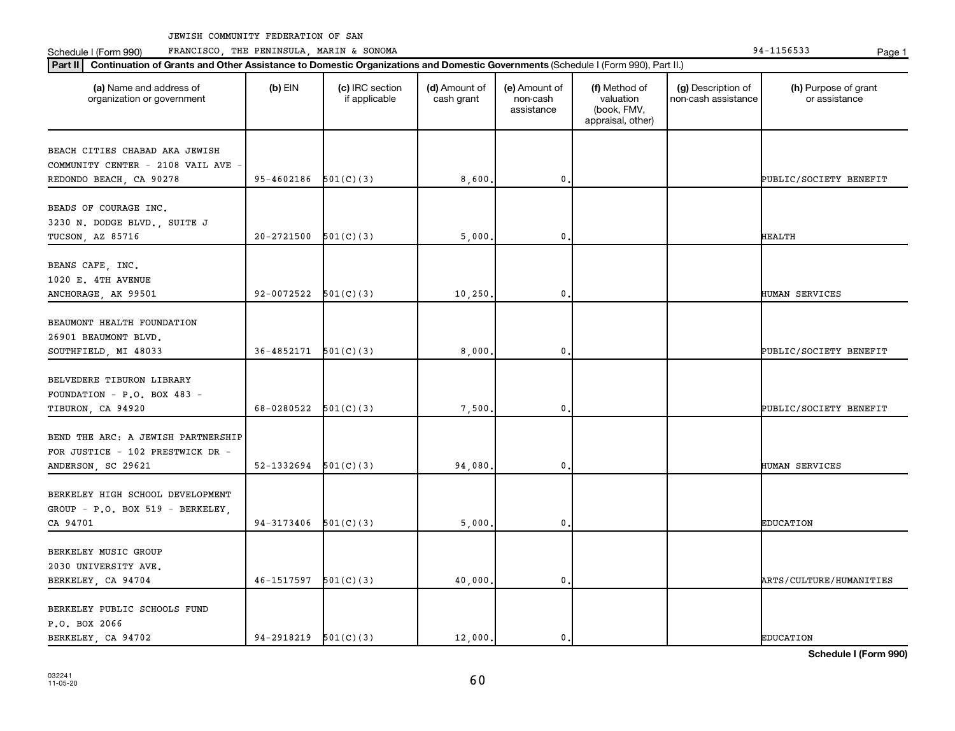**Part II Continuation of Grants and Other Assistance to Domestic Organizations and Domestic Governments**  (Schedule I (Form 990), Part II.)

Schedule I (Form 990) PRANCISCO, THE PENINSULA, MARIN & SONOMA Page 1 (Form 194-1156533 Page 1

P.O. BOX 2066

032241 11-05-20

| (a) Name and address of<br>organization or government                                         | $(b)$ EIN      | (c) IRC section<br>if applicable | (d) Amount of<br>cash grant | (e) Amount of<br>non-cash<br>assistance | (f) Method of<br>valuation<br>(book, FMV,<br>appraisal, other) | (g) Description of<br>non-cash assistance | (h) Purpose of grant<br>or assistance |
|-----------------------------------------------------------------------------------------------|----------------|----------------------------------|-----------------------------|-----------------------------------------|----------------------------------------------------------------|-------------------------------------------|---------------------------------------|
| BEACH CITIES CHABAD AKA JEWISH<br>COMMUNITY CENTER - 2108 VAIL AVE<br>REDONDO BEACH, CA 90278 | 95-4602186     | 501(C)(3)                        | 8,600.                      | $\mathbf{0}$                            |                                                                |                                           | PUBLIC/SOCIETY BENEFIT                |
| BEADS OF COURAGE INC.<br>3230 N. DODGE BLVD., SUITE J<br>TUCSON, AZ 85716                     | $20 - 2721500$ | 501(C)(3)                        | 5,000                       | $\mathbf{0}$                            |                                                                |                                           | <b>HEALTH</b>                         |
| BEANS CAFE, INC.<br>1020 E. 4TH AVENUE<br>ANCHORAGE, AK 99501                                 | 92-0072522     | 501(C)(3)                        | 10, 250.                    | $\mathbf{0}$                            |                                                                |                                           | HUMAN SERVICES                        |
| BEAUMONT HEALTH FOUNDATION<br>26901 BEAUMONT BLVD.<br>SOUTHFIELD, MI 48033                    | 36-4852171     | 501(C)(3)                        | 8,000                       | $\mathbf{0}$                            |                                                                |                                           | PUBLIC/SOCIETY BENEFIT                |
| BELVEDERE TIBURON LIBRARY<br>FOUNDATION - P.O. BOX 483 -<br>TIBURON, CA 94920                 | 68-0280522     | 501(C)(3)                        | 7,500.                      | $\mathbf 0$                             |                                                                |                                           | PUBLIC/SOCIETY BENEFIT                |
| BEND THE ARC: A JEWISH PARTNERSHIP<br>FOR JUSTICE - 102 PRESTWICK DR -<br>ANDERSON, SC 29621  | 52-1332694     | 501(C)(3)                        | 94,080.                     | 0                                       |                                                                |                                           | HUMAN SERVICES                        |
| BERKELEY HIGH SCHOOL DEVELOPMENT<br>GROUP - P.O. BOX 519 - BERKELEY,<br>CA 94701              | 94-3173406     | 501(C)(3)                        | 5,000.                      | $\mathbf{0}$                            |                                                                |                                           | <b>EDUCATION</b>                      |
| BERKELEY MUSIC GROUP<br>2030 UNIVERSITY AVE.<br>BERKELEY, CA 94704                            | 46-1517597     | 501(C)(3)                        | 40,000                      | $\mathbf{0}$                            |                                                                |                                           | ARTS/CULTURE/HUMANITIES               |
| BERKELEY PUBLIC SCHOOLS FUND                                                                  |                |                                  |                             |                                         |                                                                |                                           |                                       |

**Schedule I (Form 990)**

BERKELEY, CA 94702 94-2918219 501(C)(3) 12,000. 0. 0.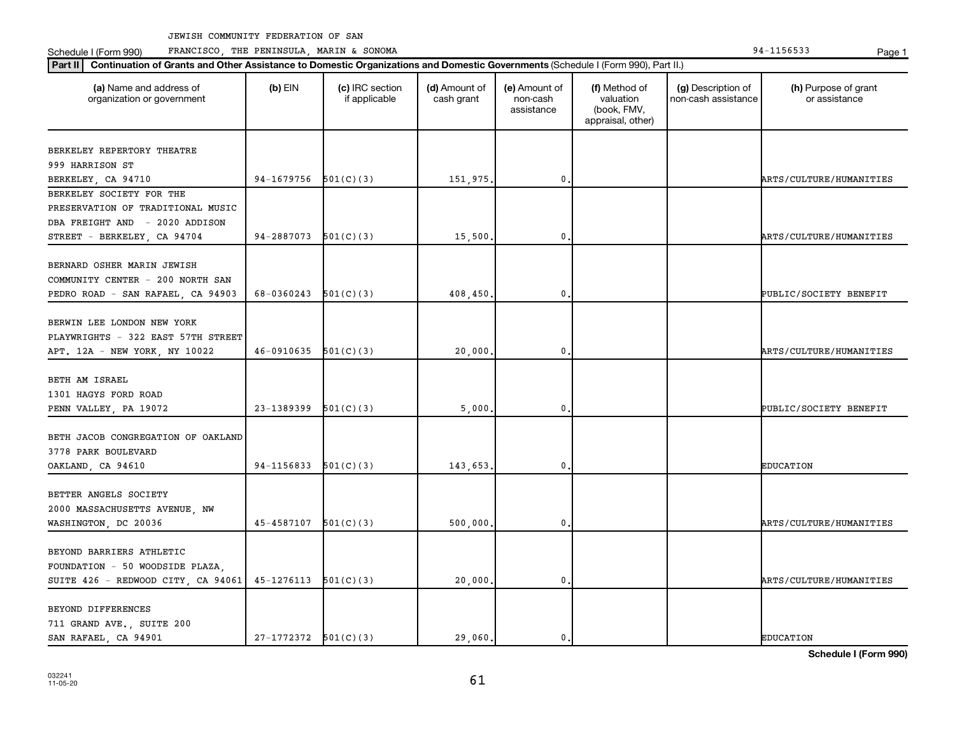Schedule I (Form 990) PRANCISCO, THE PENINSULA, MARIN & SONOMA Page 1 (Form 194-1156533 Page 1

| Part II   Continuation of Grants and Other Assistance to Domestic Organizations and Domestic Governments (Schedule I (Form 990), Part II.) |                            |                                  |                             |                                         |                                                                |                                           |                                                   |
|--------------------------------------------------------------------------------------------------------------------------------------------|----------------------------|----------------------------------|-----------------------------|-----------------------------------------|----------------------------------------------------------------|-------------------------------------------|---------------------------------------------------|
| (a) Name and address of<br>organization or government                                                                                      | $(b)$ EIN                  | (c) IRC section<br>if applicable | (d) Amount of<br>cash grant | (e) Amount of<br>non-cash<br>assistance | (f) Method of<br>valuation<br>(book, FMV,<br>appraisal, other) | (g) Description of<br>non-cash assistance | (h) Purpose of grant<br>or assistance             |
| BERKELEY REPERTORY THEATRE<br>999 HARRISON ST<br>BERKELEY, CA 94710                                                                        | 94-1679756 $501(C)(3)$     |                                  | 151,975.                    | $\mathbf{0}$                            |                                                                |                                           | ARTS/CULTURE/HUMANITIES                           |
| BERKELEY SOCIETY FOR THE<br>PRESERVATION OF TRADITIONAL MUSIC<br>DBA FREIGHT AND - 2020 ADDISON                                            |                            |                                  |                             |                                         |                                                                |                                           |                                                   |
| STREET - BERKELEY, CA 94704<br>BERNARD OSHER MARIN JEWISH<br>COMMUNITY CENTER - 200 NORTH SAN<br>PEDRO ROAD - SAN RAFAEL, CA 94903         | 94-2887073<br>68-0360243   | 501(C)(3)<br>501(C)(3)           | 15,500<br>408,450.          | $\mathbf{0}$<br>$\mathbf 0$             |                                                                |                                           | ARTS/CULTURE/HUMANITIES<br>PUBLIC/SOCIETY BENEFIT |
| BERWIN LEE LONDON NEW YORK<br>PLAYWRIGHTS - 322 EAST 57TH STREET<br>APT. 12A - NEW YORK, NY 10022                                          | $46-0910635$ $501(C)(3)$   |                                  | 20,000.                     | $\mathbf 0$ .                           |                                                                |                                           | ARTS/CULTURE/HUMANITIES                           |
| BETH AM ISRAEL<br>1301 HAGYS FORD ROAD<br>PENN VALLEY, PA 19072                                                                            | 23-1389399                 | 501(C)(3)                        | 5,000                       | $\mathbf 0$                             |                                                                |                                           | PUBLIC/SOCIETY BENEFIT                            |
| BETH JACOB CONGREGATION OF OAKLAND<br>3778 PARK BOULEVARD<br>OAKLAND, CA 94610                                                             | 94-1156833                 | 501(C)(3)                        | 143,653.                    | 0                                       |                                                                |                                           | <b>EDUCATION</b>                                  |
| BETTER ANGELS SOCIETY<br>2000 MASSACHUSETTS AVENUE, NW<br>WASHINGTON, DC 20036                                                             | $45 - 4587107$ $501(C)(3)$ |                                  | 500,000.                    | $\mathbf{0}$                            |                                                                |                                           | ARTS/CULTURE/HUMANITIES                           |
| BEYOND BARRIERS ATHLETIC<br>FOUNDATION - 50 WOODSIDE PLAZA,<br>SUITE 426 - REDWOOD CITY, CA 94061                                          | $45-1276113$ $501(C)(3)$   |                                  | 20,000.                     | $\mathbf 0$ .                           |                                                                |                                           | ARTS/CULTURE/HUMANITIES                           |
| BEYOND DIFFERENCES<br>711 GRAND AVE., SUITE 200<br>SAN RAFAEL, CA 94901                                                                    | $27-1772372$ $501(C)(3)$   |                                  | 29,060.                     | 0.                                      |                                                                |                                           | <b>EDUCATION</b>                                  |

61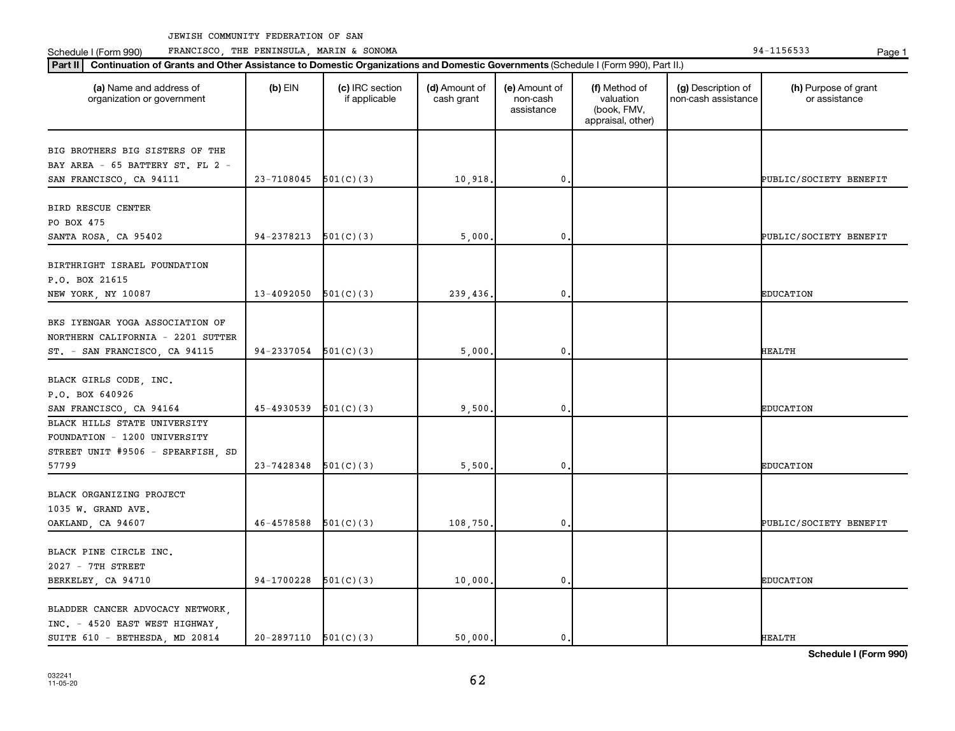Schedule I (Form 990) PRANCISCO, THE PENINSULA, MARIN & SONOMA Page 1 (Form 194-1156533 Page 1

| (a) Name and address of<br>organization or government | $(b)$ EIN                | (c) IRC section<br>if applicable | (d) Amount of<br>cash grant | (e) Amount of<br>non-cash<br>assistance | (f) Method of<br>valuation<br>(book, FMV,<br>appraisal, other) | (g) Description of<br>non-cash assistance | (h) Purpose of grant<br>or assistance |
|-------------------------------------------------------|--------------------------|----------------------------------|-----------------------------|-----------------------------------------|----------------------------------------------------------------|-------------------------------------------|---------------------------------------|
| BIG BROTHERS BIG SISTERS OF THE                       |                          |                                  |                             |                                         |                                                                |                                           |                                       |
| BAY AREA - 65 BATTERY ST. FL 2 -                      |                          |                                  |                             |                                         |                                                                |                                           |                                       |
| SAN FRANCISCO, CA 94111                               | 23-7108045               | 501(C)(3)                        | 10,918.                     | $\mathbf{0}$                            |                                                                |                                           | PUBLIC/SOCIETY BENEFIT                |
|                                                       |                          |                                  |                             |                                         |                                                                |                                           |                                       |
| BIRD RESCUE CENTER                                    |                          |                                  |                             |                                         |                                                                |                                           |                                       |
| PO BOX 475                                            |                          |                                  |                             |                                         |                                                                |                                           |                                       |
| SANTA ROSA, CA 95402                                  | 94-2378213               | 501(C)(3)                        | 5,000.                      | 0                                       |                                                                |                                           | PUBLIC/SOCIETY BENEFIT                |
|                                                       |                          |                                  |                             |                                         |                                                                |                                           |                                       |
| BIRTHRIGHT ISRAEL FOUNDATION                          |                          |                                  |                             |                                         |                                                                |                                           |                                       |
| P.O. BOX 21615                                        |                          |                                  |                             |                                         |                                                                |                                           |                                       |
| NEW YORK, NY 10087                                    | 13-4092050               | 501(C)(3)                        | 239,436.                    | $\mathbf{0}$                            |                                                                |                                           | <b>EDUCATION</b>                      |
|                                                       |                          |                                  |                             |                                         |                                                                |                                           |                                       |
| BKS IYENGAR YOGA ASSOCIATION OF                       |                          |                                  |                             |                                         |                                                                |                                           |                                       |
| NORTHERN CALIFORNIA - 2201 SUTTER                     |                          |                                  |                             |                                         |                                                                |                                           |                                       |
| ST. - SAN FRANCISCO, CA 94115                         | $94-2337054$ $501(C)(3)$ |                                  | 5,000.                      | $\mathbf{0}$                            |                                                                |                                           | <b>HEALTH</b>                         |
|                                                       |                          |                                  |                             |                                         |                                                                |                                           |                                       |
| BLACK GIRLS CODE, INC.                                |                          |                                  |                             |                                         |                                                                |                                           |                                       |
| P.O. BOX 640926                                       |                          |                                  |                             |                                         |                                                                |                                           |                                       |
| SAN FRANCISCO, CA 94164                               | 45-4930539               | 501(C)(3)                        | 9,500                       | $\mathbf{0}$                            |                                                                |                                           | <b>EDUCATION</b>                      |
| BLACK HILLS STATE UNIVERSITY                          |                          |                                  |                             |                                         |                                                                |                                           |                                       |
| FOUNDATION - 1200 UNIVERSITY                          |                          |                                  |                             |                                         |                                                                |                                           |                                       |
| STREET UNIT #9506 - SPEARFISH, SD                     |                          |                                  |                             |                                         |                                                                |                                           |                                       |
| 57799                                                 | 23-7428348               | 501(C)(3)                        | 5,500.                      | 0                                       |                                                                |                                           | <b>EDUCATION</b>                      |
|                                                       |                          |                                  |                             |                                         |                                                                |                                           |                                       |
| BLACK ORGANIZING PROJECT                              |                          |                                  |                             |                                         |                                                                |                                           |                                       |
| 1035 W. GRAND AVE.                                    |                          |                                  |                             |                                         |                                                                |                                           |                                       |
| OAKLAND, CA 94607                                     | 46-4578588               | 501(C)(3)                        | 108,750                     | $\mathbf{0}$                            |                                                                |                                           | PUBLIC/SOCIETY BENEFIT                |
| BLACK PINE CIRCLE INC.                                |                          |                                  |                             |                                         |                                                                |                                           |                                       |
| 2027 - 7TH STREET                                     |                          |                                  |                             |                                         |                                                                |                                           |                                       |
|                                                       | 94-1700228               | 501(C)(3)                        |                             | $\mathbf{0}$                            |                                                                |                                           | <b>EDUCATION</b>                      |
| BERKELEY, CA 94710                                    |                          |                                  | 10,000.                     |                                         |                                                                |                                           |                                       |
| BLADDER CANCER ADVOCACY NETWORK,                      |                          |                                  |                             |                                         |                                                                |                                           |                                       |
| INC. - 4520 EAST WEST HIGHWAY,                        |                          |                                  |                             |                                         |                                                                |                                           |                                       |
| SUITE 610 - BETHESDA, MD 20814                        | $20-2897110$ $501(C)(3)$ |                                  | 50,000.                     | $\mathbf{0}$ .                          |                                                                |                                           | <b>HEALTH</b>                         |
|                                                       |                          |                                  |                             |                                         |                                                                |                                           |                                       |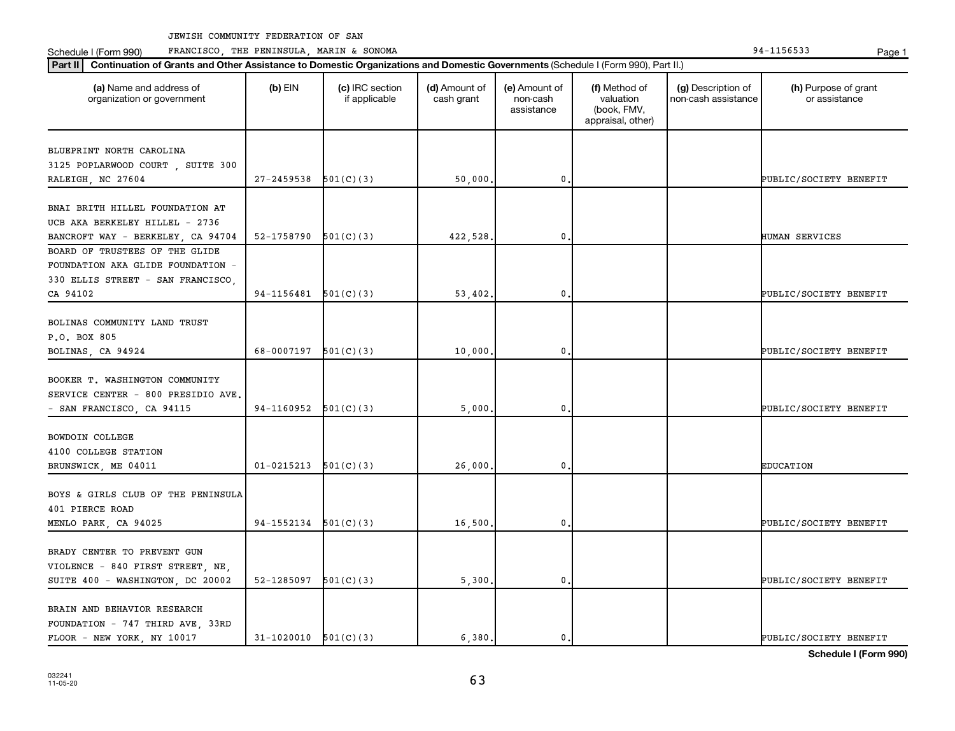Schedule I (Form 990) PRANCISCO, THE PENINSULA, MARIN & SONOMA Page 1 (Form 194-1156533 Page 1

| (a) Name and address of<br>organization or government                                                    | $(b)$ EIN      | (c) IRC section<br>if applicable | (d) Amount of<br>cash grant | (e) Amount of<br>non-cash<br>assistance | (f) Method of<br>valuation<br>(book, FMV,<br>appraisal, other) | (g) Description of<br>non-cash assistance | (h) Purpose of grant<br>or assistance |
|----------------------------------------------------------------------------------------------------------|----------------|----------------------------------|-----------------------------|-----------------------------------------|----------------------------------------------------------------|-------------------------------------------|---------------------------------------|
| BLUEPRINT NORTH CAROLINA                                                                                 |                |                                  |                             |                                         |                                                                |                                           |                                       |
| 3125 POPLARWOOD COURT, SUITE 300                                                                         |                |                                  |                             |                                         |                                                                |                                           |                                       |
| RALEIGH, NC 27604                                                                                        | 27-2459538     | 501(C)(3)                        | 50,000                      | $\mathbf{0}$                            |                                                                |                                           | PUBLIC/SOCIETY BENEFIT                |
| BNAI BRITH HILLEL FOUNDATION AT<br>UCB AKA BERKELEY HILLEL - 2736                                        |                |                                  |                             |                                         |                                                                |                                           |                                       |
| BANCROFT WAY - BERKELEY, CA 94704                                                                        | 52-1758790     | 501(C)(3)                        | 422,528                     | 0                                       |                                                                |                                           | HUMAN SERVICES                        |
| BOARD OF TRUSTEES OF THE GLIDE<br>FOUNDATION AKA GLIDE FOUNDATION -<br>330 ELLIS STREET - SAN FRANCISCO, |                |                                  |                             |                                         |                                                                |                                           |                                       |
| CA 94102                                                                                                 | 94-1156481     | 501(C)(3)                        | 53,402.                     | 0                                       |                                                                |                                           | PUBLIC/SOCIETY BENEFIT                |
| BOLINAS COMMUNITY LAND TRUST<br>P.O. BOX 805<br>BOLINAS, CA 94924                                        | 68-0007197     | 501(C)(3)                        | 10,000                      | $\mathbf 0$                             |                                                                |                                           | PUBLIC/SOCIETY BENEFIT                |
| BOOKER T. WASHINGTON COMMUNITY<br>SERVICE CENTER - 800 PRESIDIO AVE.<br>- SAN FRANCISCO, CA 94115        | 94-1160952     | 501(C)(3)                        | 5,000                       | 0                                       |                                                                |                                           | PUBLIC/SOCIETY BENEFIT                |
| BOWDOIN COLLEGE<br>4100 COLLEGE STATION<br>BRUNSWICK, ME 04011                                           | $01 - 0215213$ | 501(C)(3)                        | 26,000                      | 0                                       |                                                                |                                           | <b>EDUCATION</b>                      |
| BOYS & GIRLS CLUB OF THE PENINSULA<br>401 PIERCE ROAD                                                    | 94-1552134     |                                  |                             | $\mathbf 0$                             |                                                                |                                           |                                       |
| MENLO PARK, CA 94025                                                                                     |                | 501(C)(3)                        | 16,500                      |                                         |                                                                |                                           | PUBLIC/SOCIETY BENEFIT                |
| BRADY CENTER TO PREVENT GUN<br>VIOLENCE - 840 FIRST STREET, NE,<br>SUITE 400 - WASHINGTON, DC 20002      | 52-1285097     | 501(C)(3)                        | 5,300.                      | 0                                       |                                                                |                                           | PUBLIC/SOCIETY BENEFIT                |
| BRAIN AND BEHAVIOR RESEARCH<br>FOUNDATION - 747 THIRD AVE, 33RD<br>FLOOR - NEW YORK, NY 10017            | 31-1020010     | 501(C)(3)                        | 6,380.                      | 0.                                      |                                                                |                                           | PUBLIC/SOCIETY BENEFIT                |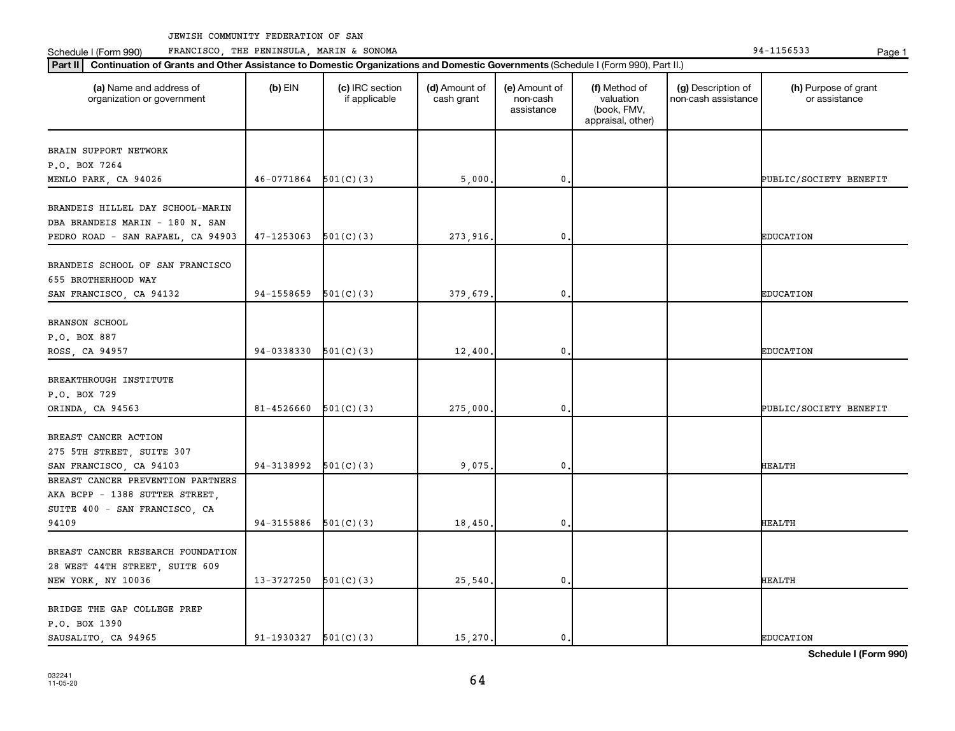Schedule I (Form 990) PRANCISCO, THE PENINSULA, MARIN & SONOMA Page 1 (Form 194-1156533 Page 1

| (a) Name and address of<br>organization or government                                                    | $(b)$ EIN                | (c) IRC section<br>if applicable | (d) Amount of<br>cash grant | (e) Amount of<br>non-cash<br>assistance | (f) Method of<br>valuation<br>(book, FMV,<br>appraisal, other) | (g) Description of<br>non-cash assistance | (h) Purpose of grant<br>or assistance |
|----------------------------------------------------------------------------------------------------------|--------------------------|----------------------------------|-----------------------------|-----------------------------------------|----------------------------------------------------------------|-------------------------------------------|---------------------------------------|
| BRAIN SUPPORT NETWORK                                                                                    |                          |                                  |                             |                                         |                                                                |                                           |                                       |
| P.O. BOX 7264                                                                                            |                          |                                  |                             |                                         |                                                                |                                           |                                       |
| MENLO PARK, CA 94026                                                                                     | $46-0771864$ $501(C)(3)$ |                                  | 5,000                       | $\mathbf 0$                             |                                                                |                                           | PUBLIC/SOCIETY BENEFIT                |
| BRANDEIS HILLEL DAY SCHOOL-MARIN<br>DBA BRANDEIS MARIN - 180 N. SAN<br>PEDRO ROAD - SAN RAFAEL, CA 94903 | 47-1253063               | 501(C)(3)                        | 273,916.                    | 0.                                      |                                                                |                                           | <b>EDUCATION</b>                      |
|                                                                                                          |                          |                                  |                             |                                         |                                                                |                                           |                                       |
| BRANDEIS SCHOOL OF SAN FRANCISCO<br>655 BROTHERHOOD WAY                                                  |                          |                                  |                             |                                         |                                                                |                                           |                                       |
| SAN FRANCISCO, CA 94132                                                                                  | 94-1558659               | 501(C)(3)                        | 379,679.                    | $\mathbf 0$                             |                                                                |                                           | <b>EDUCATION</b>                      |
| <b>BRANSON SCHOOL</b>                                                                                    |                          |                                  |                             |                                         |                                                                |                                           |                                       |
| P.O. BOX 887                                                                                             |                          |                                  |                             |                                         |                                                                |                                           |                                       |
| ROSS, CA 94957                                                                                           | 94-0338330               | 501(C)(3)                        | 12,400                      | 0.                                      |                                                                |                                           | <b>EDUCATION</b>                      |
|                                                                                                          |                          |                                  |                             |                                         |                                                                |                                           |                                       |
| BREAKTHROUGH INSTITUTE                                                                                   |                          |                                  |                             |                                         |                                                                |                                           |                                       |
| P.O. BOX 729<br>ORINDA, CA 94563                                                                         | 81-4526660               | 501(C)(3)                        | 275,000                     | 0                                       |                                                                |                                           | PUBLIC/SOCIETY BENEFIT                |
|                                                                                                          |                          |                                  |                             |                                         |                                                                |                                           |                                       |
| BREAST CANCER ACTION                                                                                     |                          |                                  |                             |                                         |                                                                |                                           |                                       |
| 275 5TH STREET, SUITE 307                                                                                |                          |                                  |                             |                                         |                                                                |                                           |                                       |
| SAN FRANCISCO, CA 94103                                                                                  | 94-3138992               | 501(C)(3)                        | 9,075                       | 0.                                      |                                                                |                                           | <b>HEALTH</b>                         |
| BREAST CANCER PREVENTION PARTNERS                                                                        |                          |                                  |                             |                                         |                                                                |                                           |                                       |
| AKA BCPP - 1388 SUTTER STREET,                                                                           |                          |                                  |                             |                                         |                                                                |                                           |                                       |
| SUITE 400 - SAN FRANCISCO, CA                                                                            |                          |                                  |                             |                                         |                                                                |                                           |                                       |
| 94109                                                                                                    | $94-3155886$ $501(C)(3)$ |                                  | 18,450                      | 0.                                      |                                                                |                                           | <b>HEALTH</b>                         |
|                                                                                                          |                          |                                  |                             |                                         |                                                                |                                           |                                       |
| BREAST CANCER RESEARCH FOUNDATION                                                                        |                          |                                  |                             |                                         |                                                                |                                           |                                       |
| 28 WEST 44TH STREET, SUITE 609                                                                           | 13-3727250               |                                  |                             | 0.                                      |                                                                |                                           | <b>HEALTH</b>                         |
| NEW YORK, NY 10036                                                                                       |                          | 501(C)(3)                        | 25,540                      |                                         |                                                                |                                           |                                       |
| BRIDGE THE GAP COLLEGE PREP                                                                              |                          |                                  |                             |                                         |                                                                |                                           |                                       |
| P.O. BOX 1390                                                                                            |                          |                                  |                             |                                         |                                                                |                                           |                                       |
| SAUSALITO, CA 94965                                                                                      | $91-1930327$ $501(C)(3)$ |                                  | 15,270.                     | 0.                                      |                                                                |                                           | <b>EDUCATION</b>                      |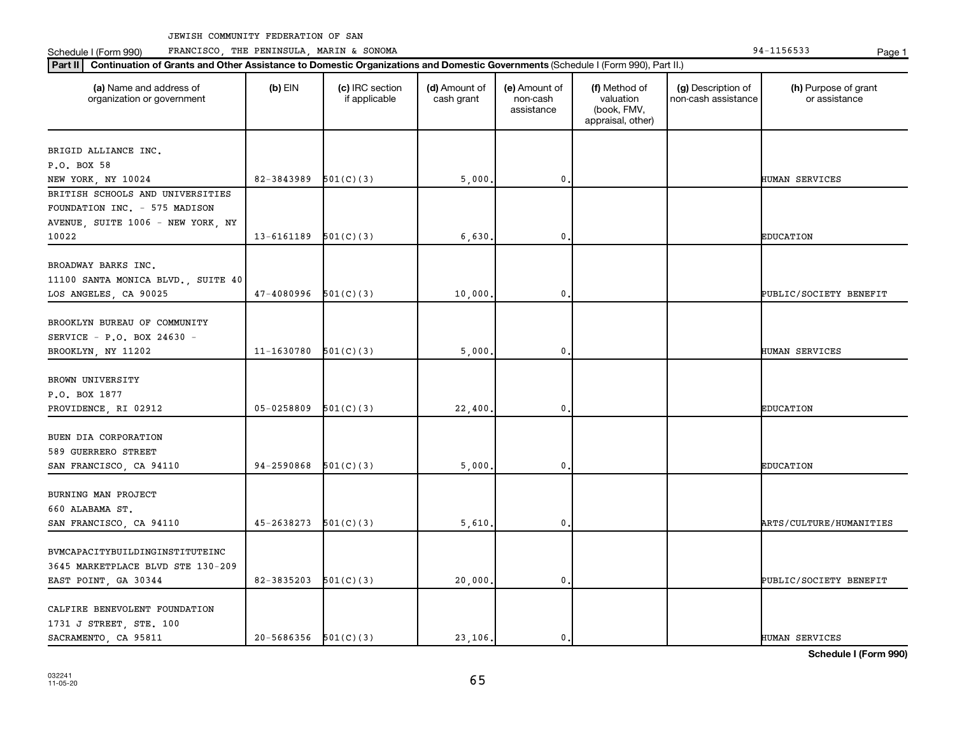Schedule I (Form 990) PRANCISCO, THE PENINSULA, MARIN & SONOMA Page 1 (Form 194-1156533 Page 1

| (a) Name and address of<br>organization or government | $(b)$ EIN                  | (c) IRC section<br>if applicable | (d) Amount of<br>cash grant | (e) Amount of<br>non-cash<br>assistance | (f) Method of<br>valuation<br>(book, FMV,<br>appraisal, other) | (g) Description of<br>non-cash assistance | (h) Purpose of grant<br>or assistance |
|-------------------------------------------------------|----------------------------|----------------------------------|-----------------------------|-----------------------------------------|----------------------------------------------------------------|-------------------------------------------|---------------------------------------|
| BRIGID ALLIANCE INC.                                  |                            |                                  |                             |                                         |                                                                |                                           |                                       |
| P.O. BOX 58                                           |                            |                                  |                             |                                         |                                                                |                                           |                                       |
| NEW YORK, NY 10024                                    | 82-3843989                 | 501(C)(3)                        | 5,000                       | $\mathbf{0}$                            |                                                                |                                           | HUMAN SERVICES                        |
| BRITISH SCHOOLS AND UNIVERSITIES                      |                            |                                  |                             |                                         |                                                                |                                           |                                       |
| FOUNDATION INC. - 575 MADISON                         |                            |                                  |                             |                                         |                                                                |                                           |                                       |
| AVENUE, SUITE 1006 - NEW YORK, NY                     |                            |                                  |                             |                                         |                                                                |                                           |                                       |
| 10022                                                 | 13-6161189                 | 501(C)(3)                        | 6,630                       | 0                                       |                                                                |                                           | <b>EDUCATION</b>                      |
|                                                       |                            |                                  |                             |                                         |                                                                |                                           |                                       |
| BROADWAY BARKS INC.                                   |                            |                                  |                             |                                         |                                                                |                                           |                                       |
| 11100 SANTA MONICA BLVD., SUITE 40                    |                            |                                  |                             |                                         |                                                                |                                           |                                       |
| LOS ANGELES, CA 90025                                 | 47-4080996                 | 501(C)(3)                        | 10,000                      | 0                                       |                                                                |                                           | PUBLIC/SOCIETY BENEFIT                |
| BROOKLYN BUREAU OF COMMUNITY                          |                            |                                  |                             |                                         |                                                                |                                           |                                       |
|                                                       |                            |                                  |                             |                                         |                                                                |                                           |                                       |
| SERVICE - P.O. BOX 24630 -                            | 11-1630780                 | 501(C)(3)                        |                             | $\mathbf 0$                             |                                                                |                                           | HUMAN SERVICES                        |
| BROOKLYN, NY 11202                                    |                            |                                  | 5,000                       |                                         |                                                                |                                           |                                       |
| BROWN UNIVERSITY                                      |                            |                                  |                             |                                         |                                                                |                                           |                                       |
| P.O. BOX 1877                                         |                            |                                  |                             |                                         |                                                                |                                           |                                       |
| PROVIDENCE, RI 02912                                  | 05-0258809                 | 501(C)(3)                        | 22,400                      | 0                                       |                                                                |                                           | <b>EDUCATION</b>                      |
|                                                       |                            |                                  |                             |                                         |                                                                |                                           |                                       |
| BUEN DIA CORPORATION                                  |                            |                                  |                             |                                         |                                                                |                                           |                                       |
| 589 GUERRERO STREET                                   |                            |                                  |                             |                                         |                                                                |                                           |                                       |
| SAN FRANCISCO, CA 94110                               | 94-2590868                 | 501(C)(3)                        | 5,000                       | 0                                       |                                                                |                                           | <b>EDUCATION</b>                      |
|                                                       |                            |                                  |                             |                                         |                                                                |                                           |                                       |
| BURNING MAN PROJECT                                   |                            |                                  |                             |                                         |                                                                |                                           |                                       |
| 660 ALABAMA ST.                                       |                            |                                  |                             |                                         |                                                                |                                           |                                       |
| SAN FRANCISCO, CA 94110                               | 45-2638273                 | 501(C)(3)                        | 5,610                       | $\mathbf 0$                             |                                                                |                                           | ARTS/CULTURE/HUMANITIES               |
|                                                       |                            |                                  |                             |                                         |                                                                |                                           |                                       |
| BVMCAPACITYBUILDINGINSTITUTEINC                       |                            |                                  |                             |                                         |                                                                |                                           |                                       |
| 3645 MARKETPLACE BLVD STE 130-209                     |                            |                                  |                             |                                         |                                                                |                                           |                                       |
| EAST POINT, GA 30344                                  | 82-3835203                 | 501(C)(3)                        | 20,000                      | 0                                       |                                                                |                                           | PUBLIC/SOCIETY BENEFIT                |
|                                                       |                            |                                  |                             |                                         |                                                                |                                           |                                       |
| CALFIRE BENEVOLENT FOUNDATION                         |                            |                                  |                             |                                         |                                                                |                                           |                                       |
| 1731 J STREET, STE. 100                               |                            |                                  |                             |                                         |                                                                |                                           |                                       |
| SACRAMENTO, CA 95811                                  | $20 - 5686356$ $501(C)(3)$ |                                  | 23,106.                     | 0.                                      |                                                                |                                           | HUMAN SERVICES                        |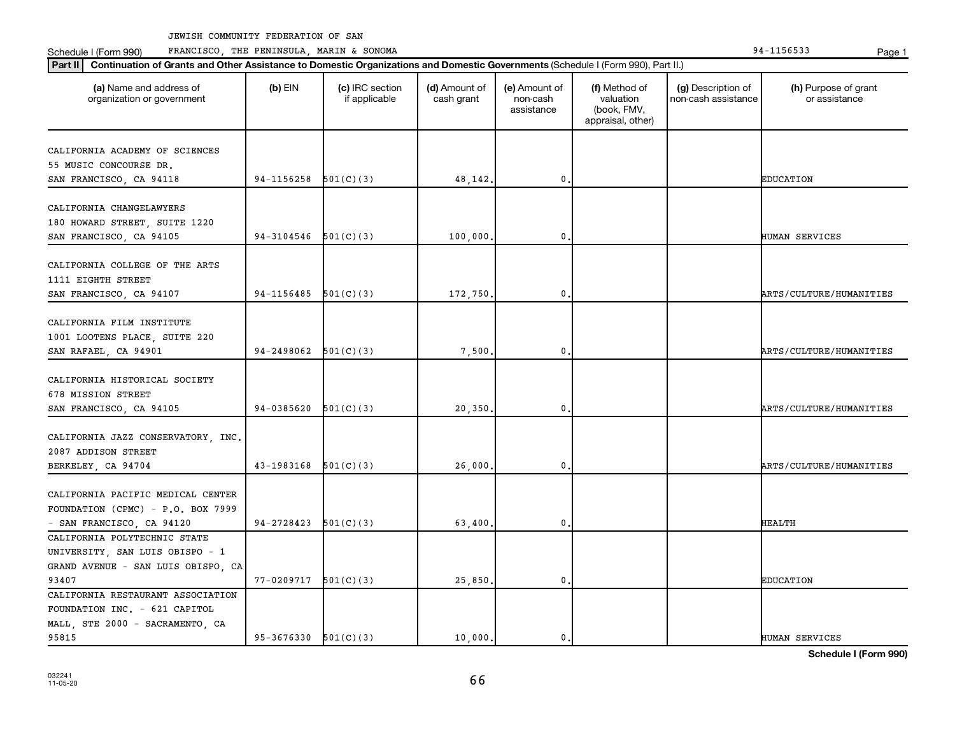Schedule I (Form 990) PRANCISCO, THE PENINSULA, MARIN & SONOMA Page 1 (Form 194-1156533 Page 1

| Part II   Continuation of Grants and Other Assistance to Domestic Organizations and Domestic Governments (Schedule I (Form 990), Part II.) |                          |                                  |                             |                                         |                                                                |                                           |                                       |
|--------------------------------------------------------------------------------------------------------------------------------------------|--------------------------|----------------------------------|-----------------------------|-----------------------------------------|----------------------------------------------------------------|-------------------------------------------|---------------------------------------|
| (a) Name and address of<br>organization or government                                                                                      | $(b)$ EIN                | (c) IRC section<br>if applicable | (d) Amount of<br>cash grant | (e) Amount of<br>non-cash<br>assistance | (f) Method of<br>valuation<br>(book, FMV,<br>appraisal, other) | (g) Description of<br>non-cash assistance | (h) Purpose of grant<br>or assistance |
| CALIFORNIA ACADEMY OF SCIENCES                                                                                                             |                          |                                  |                             |                                         |                                                                |                                           |                                       |
| 55 MUSIC CONCOURSE DR.                                                                                                                     |                          |                                  |                             |                                         |                                                                |                                           |                                       |
| SAN FRANCISCO, CA 94118                                                                                                                    | 94-1156258               | 501(C)(3)                        | 48,142                      | $\mathbf{0}$                            |                                                                |                                           | <b>EDUCATION</b>                      |
|                                                                                                                                            |                          |                                  |                             |                                         |                                                                |                                           |                                       |
| CALIFORNIA CHANGELAWYERS<br>180 HOWARD STREET, SUITE 1220<br>SAN FRANCISCO, CA 94105                                                       | 94-3104546               | 501(C)(3)                        | 100,000                     | 0                                       |                                                                |                                           | <b>HUMAN SERVICES</b>                 |
|                                                                                                                                            |                          |                                  |                             |                                         |                                                                |                                           |                                       |
| CALIFORNIA COLLEGE OF THE ARTS<br>1111 EIGHTH STREET<br>SAN FRANCISCO, CA 94107                                                            | 94-1156485               | 501(C)(3)                        | 172,750                     | $\mathbf 0$                             |                                                                |                                           | ARTS/CULTURE/HUMANITIES               |
|                                                                                                                                            |                          |                                  |                             |                                         |                                                                |                                           |                                       |
| CALIFORNIA FILM INSTITUTE<br>1001 LOOTENS PLACE, SUITE 220<br>SAN RAFAEL, CA 94901                                                         | 94-2498062               | 501(C)(3)                        | 7,500                       | 0                                       |                                                                |                                           | ARTS/CULTURE/HUMANITIES               |
| CALIFORNIA HISTORICAL SOCIETY<br>678 MISSION STREET                                                                                        |                          |                                  |                             |                                         |                                                                |                                           |                                       |
| SAN FRANCISCO, CA 94105                                                                                                                    | 94-0385620               | 501(C)(3)                        | 20,350                      | $\mathbf 0$                             |                                                                |                                           | ARTS/CULTURE/HUMANITIES               |
| CALIFORNIA JAZZ CONSERVATORY, INC.<br>2087 ADDISON STREET<br>BERKELEY, CA 94704                                                            | 43-1983168               | 501(C)(3)                        | 26,000                      | $\mathbf 0$                             |                                                                |                                           | ARTS/CULTURE/HUMANITIES               |
|                                                                                                                                            |                          |                                  |                             |                                         |                                                                |                                           |                                       |
| CALIFORNIA PACIFIC MEDICAL CENTER<br>FOUNDATION (CPMC) - P.O. BOX 7999<br>- SAN FRANCISCO, CA 94120                                        | 94-2728423               | 501(C)(3)                        | 63,400                      | $\mathbf{0}$                            |                                                                |                                           | <b>HEALTH</b>                         |
| CALIFORNIA POLYTECHNIC STATE                                                                                                               |                          |                                  |                             |                                         |                                                                |                                           |                                       |
|                                                                                                                                            |                          |                                  |                             |                                         |                                                                |                                           |                                       |
| UNIVERSITY, SAN LUIS OBISPO - 1                                                                                                            |                          |                                  |                             |                                         |                                                                |                                           |                                       |
| GRAND AVENUE - SAN LUIS OBISPO, CA<br>93407                                                                                                | $77-0209717$ $501(C)(3)$ |                                  |                             | $\mathbf 0$                             |                                                                |                                           | <b>EDUCATION</b>                      |
|                                                                                                                                            |                          |                                  | 25,850,                     |                                         |                                                                |                                           |                                       |
| CALIFORNIA RESTAURANT ASSOCIATION                                                                                                          |                          |                                  |                             |                                         |                                                                |                                           |                                       |
| FOUNDATION INC. - 621 CAPITOL                                                                                                              |                          |                                  |                             |                                         |                                                                |                                           |                                       |
| MALL, STE 2000 - SACRAMENTO, CA<br>95815                                                                                                   | $95-3676330$ $501(C)(3)$ |                                  | 10,000.                     | $\mathbf{0}$ .                          |                                                                |                                           |                                       |
|                                                                                                                                            |                          |                                  |                             |                                         |                                                                |                                           | HUMAN SERVICES                        |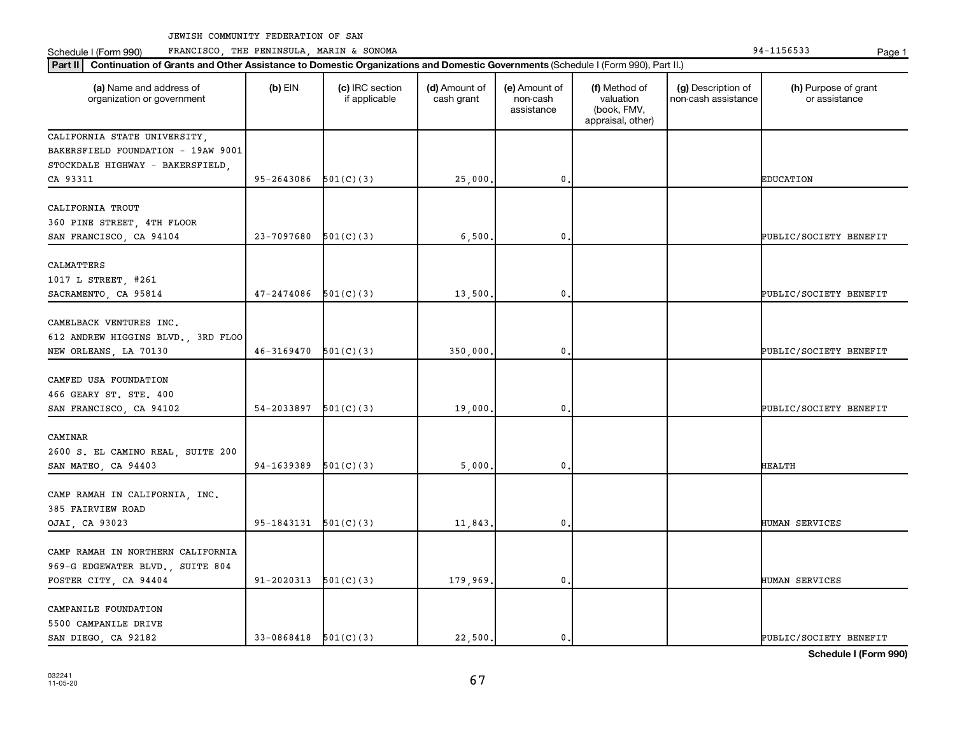**Part II Continuation of Grants and Other Assistance to Domestic Organizations and Domestic Governments**  (Schedule I (Form 990), Part II.)

 $(b)$  EIN  $(c)$  IRC section

**(a) (b) (c) (d) (e) (f) (g) (h)** Name and address of

(d) Amount of

(e) Amount of

(f) Method of

(g) Description of

(h) Purpose of grant

Schedule I (Form 990) PRANCISCO, THE PENINSULA, MARIN & SONOMA Page 1 (Form 194-1156533 Page 1

organization or government if applicable cash grant non-cash assistance valuation (book, FMV, appraisal, other) non-cash assistance or assistance CALIFORNIA STATE UNIVERSITY, BAKERSFIELD FOUNDATION - 19AW 9001 STOCKDALE HIGHWAY - BAKERSFIELD, CA 93311 95-2643086 501(C)(3) 25,000. 0. EDUCATION CALIFORNIA TROUT 360 PINE STREET, 4TH FLOOR SAN FRANCISCO, CA 94104 23-7097680 501(C)(3) 6,500. 0. 0. PUBLIC/SOCIETY BENEFIT CALMATTERS 1017 L STREET #261 SACRAMENTO, CA 95814  $\begin{vmatrix} 47-2474086 & 501(C)(3) \end{vmatrix}$  13,500. 0. 0. CAMELBACK VENTURES INC. 612 ANDREW HIGGINS BLVD., 3RD FLOO NEW ORLEANS, LA 70130  $46-3169470 \quad 501(C)(3)$  350,000. 0. 0. PUBLIC/SOCIETY BENEFIT CAMFED USA FOUNDATION 466 GEARY ST. STE. 400 SAN FRANCISCO, CA 94102  $54-2033897$   $501(C)(3)$  19,000. 0. 0. CAMINAR 2600 S. EL CAMINO REAL, SUITE 200 SAN MATEO, CA 94403 | 94-1639389 501(C)(3) | 5,000. 0. | | HEALTH CAMP RAMAH IN CALIFORNIA, INC. 385 FAIRVIEW ROAD OJAI, CA 93023 95-1843131 501(C)(3) 11,843. 0. HUMAN SERVICES CAMP RAMAH IN NORTHERN CALIFORNIA 969-G EDGEWATER BLVD., SUITE 804 FOSTER CITY CA 94404 91-2020313 501(C)(3) 179 969. 0. 0. THUMAN SERVICES CAMPANILE FOUNDATION

5500 CAMPANILE DRIVE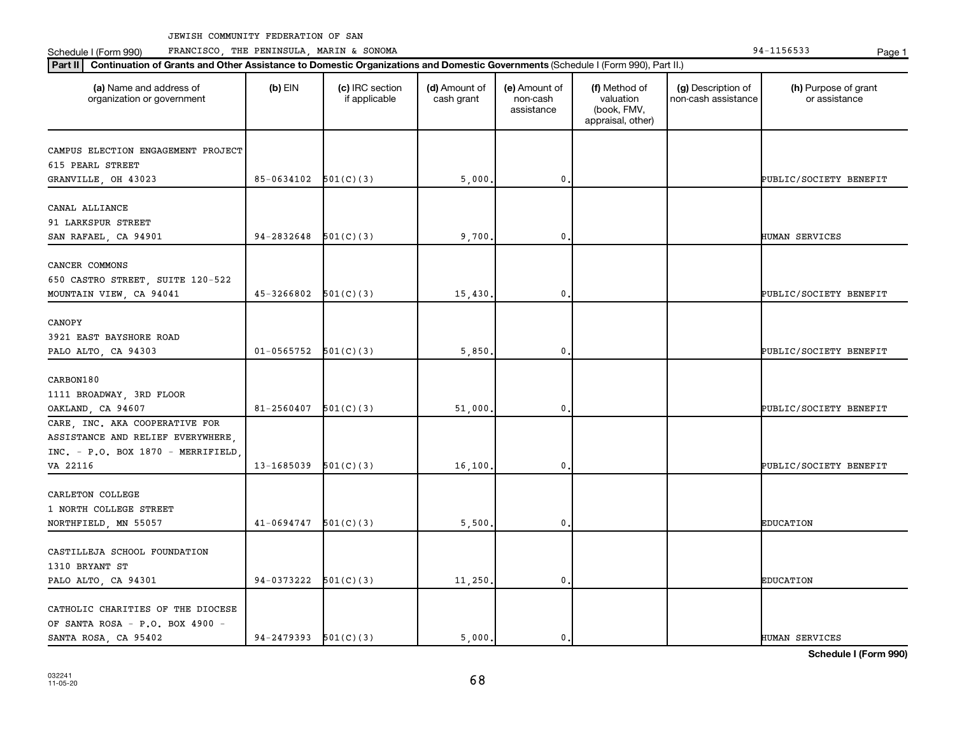Schedule I (Form 990) PRANCISCO, THE PENINSULA, MARIN & SONOMA Page 1 (Form 194-1156533 Page 1

| (a) Name and address of<br>organization or government | $(b)$ EIN                | (c) IRC section<br>if applicable | (d) Amount of<br>cash grant | (e) Amount of<br>non-cash<br>assistance | (f) Method of<br>valuation<br>(book, FMV,<br>appraisal, other) | (g) Description of<br>non-cash assistance | (h) Purpose of grant<br>or assistance |
|-------------------------------------------------------|--------------------------|----------------------------------|-----------------------------|-----------------------------------------|----------------------------------------------------------------|-------------------------------------------|---------------------------------------|
| CAMPUS ELECTION ENGAGEMENT PROJECT                    |                          |                                  |                             |                                         |                                                                |                                           |                                       |
| 615 PEARL STREET                                      |                          |                                  |                             |                                         |                                                                |                                           |                                       |
| GRANVILLE, OH 43023                                   | $85-0634102$ $501(C)(3)$ |                                  | 5,000.                      | $\mathbf 0$                             |                                                                |                                           | PUBLIC/SOCIETY BENEFIT                |
|                                                       |                          |                                  |                             |                                         |                                                                |                                           |                                       |
| CANAL ALLIANCE                                        |                          |                                  |                             |                                         |                                                                |                                           |                                       |
| 91 LARKSPUR STREET                                    |                          |                                  |                             |                                         |                                                                |                                           |                                       |
| SAN RAFAEL, CA 94901                                  | 94-2832648               | 501(C)(3)                        | 9,700                       | $\mathbf 0$                             |                                                                |                                           | HUMAN SERVICES                        |
| CANCER COMMONS                                        |                          |                                  |                             |                                         |                                                                |                                           |                                       |
| 650 CASTRO STREET, SUITE 120-522                      |                          |                                  |                             |                                         |                                                                |                                           |                                       |
| MOUNTAIN VIEW, CA 94041                               | 45-3266802               | 501(C)(3)                        | 15,430.                     | $\mathbf 0$                             |                                                                |                                           | PUBLIC/SOCIETY BENEFIT                |
|                                                       |                          |                                  |                             |                                         |                                                                |                                           |                                       |
| CANOPY                                                |                          |                                  |                             |                                         |                                                                |                                           |                                       |
| 3921 EAST BAYSHORE ROAD                               |                          |                                  |                             |                                         |                                                                |                                           |                                       |
| PALO ALTO, CA 94303                                   | $01 - 0565752$           | 501(C)(3)                        | 5,850.                      | $\mathbf 0$                             |                                                                |                                           | PUBLIC/SOCIETY BENEFIT                |
|                                                       |                          |                                  |                             |                                         |                                                                |                                           |                                       |
| CARBON180                                             |                          |                                  |                             |                                         |                                                                |                                           |                                       |
| 1111 BROADWAY, 3RD FLOOR                              |                          |                                  |                             |                                         |                                                                |                                           |                                       |
| OAKLAND, CA 94607                                     | 81-2560407               | 501(C)(3)                        | 51,000.                     | $\mathbf 0$                             |                                                                |                                           | PUBLIC/SOCIETY BENEFIT                |
| CARE, INC. AKA COOPERATIVE FOR                        |                          |                                  |                             |                                         |                                                                |                                           |                                       |
| ASSISTANCE AND RELIEF EVERYWHERE,                     |                          |                                  |                             |                                         |                                                                |                                           |                                       |
| INC. - P.O. BOX 1870 - MERRIFIELD                     |                          |                                  |                             |                                         |                                                                |                                           |                                       |
| VA 22116                                              | 13-1685039               | 501(C)(3)                        | 16,100.                     | $\mathbf 0$                             |                                                                |                                           | PUBLIC/SOCIETY BENEFIT                |
|                                                       |                          |                                  |                             |                                         |                                                                |                                           |                                       |
| CARLETON COLLEGE                                      |                          |                                  |                             |                                         |                                                                |                                           |                                       |
| 1 NORTH COLLEGE STREET                                |                          |                                  |                             |                                         |                                                                |                                           |                                       |
| NORTHFIELD, MN 55057                                  | $41-0694747$ $501(C)(3)$ |                                  | 5,500.                      | 0.                                      |                                                                |                                           | <b>EDUCATION</b>                      |
| CASTILLEJA SCHOOL FOUNDATION                          |                          |                                  |                             |                                         |                                                                |                                           |                                       |
| 1310 BRYANT ST                                        |                          |                                  |                             |                                         |                                                                |                                           |                                       |
| PALO ALTO, CA 94301                                   | $94-0373222$ $501(C)(3)$ |                                  | 11, 250.                    | 0.                                      |                                                                |                                           | <b>EDUCATION</b>                      |
|                                                       |                          |                                  |                             |                                         |                                                                |                                           |                                       |
| CATHOLIC CHARITIES OF THE DIOCESE                     |                          |                                  |                             |                                         |                                                                |                                           |                                       |
| OF SANTA ROSA - P.O. BOX 4900 -                       |                          |                                  |                             |                                         |                                                                |                                           |                                       |
| SANTA ROSA, CA 95402                                  | $94-2479393$ $501(C)(3)$ |                                  | 5.000.                      | 0.                                      |                                                                |                                           | HUMAN SERVICES                        |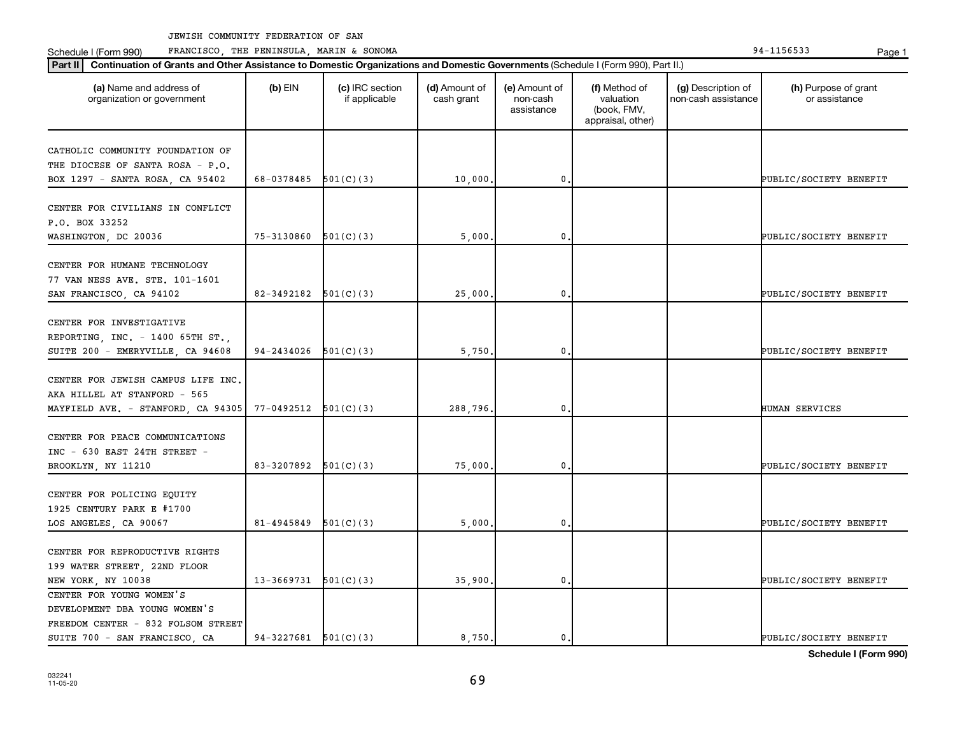Schedule I (Form 990) PRANCISCO, THE PENINSULA, MARIN & SONOMA Page 1 (Form 194-1156533 Page 1

| (a) Name and address of<br>organization or government                                            | $(b)$ EIN                  | (c) IRC section<br>if applicable | (d) Amount of<br>cash grant | (e) Amount of<br>non-cash<br>assistance | (f) Method of<br>valuation<br>(book, FMV,<br>appraisal, other) | (g) Description of<br>non-cash assistance | (h) Purpose of grant<br>or assistance |
|--------------------------------------------------------------------------------------------------|----------------------------|----------------------------------|-----------------------------|-----------------------------------------|----------------------------------------------------------------|-------------------------------------------|---------------------------------------|
| CATHOLIC COMMUNITY FOUNDATION OF<br>THE DIOCESE OF SANTA ROSA - P.O.                             |                            |                                  |                             |                                         |                                                                |                                           |                                       |
| BOX 1297 - SANTA ROSA, CA 95402                                                                  | 68-0378485 $501(C)(3)$     |                                  | 10,000                      | 0.                                      |                                                                |                                           | PUBLIC/SOCIETY BENEFIT                |
| CENTER FOR CIVILIANS IN CONFLICT<br>P.O. BOX 33252                                               |                            |                                  |                             |                                         |                                                                |                                           |                                       |
| WASHINGTON, DC 20036                                                                             | 75-3130860                 | 501(C)(3)                        | 5,000                       | 0                                       |                                                                |                                           | PUBLIC/SOCIETY BENEFIT                |
| CENTER FOR HUMANE TECHNOLOGY<br>77 VAN NESS AVE. STE. 101-1601<br>SAN FRANCISCO, CA 94102        | $82 - 3492182$ $501(C)(3)$ |                                  | 25,000                      | 0.                                      |                                                                |                                           | PUBLIC/SOCIETY BENEFIT                |
|                                                                                                  |                            |                                  |                             |                                         |                                                                |                                           |                                       |
| CENTER FOR INVESTIGATIVE<br>REPORTING, INC. - 1400 65TH ST.,<br>SUITE 200 - EMERYVILLE, CA 94608 | $94-2434026$ $501(C)(3)$   |                                  | 5,750                       | $\mathbf 0$                             |                                                                |                                           | PUBLIC/SOCIETY BENEFIT                |
| CENTER FOR JEWISH CAMPUS LIFE INC,<br>AKA HILLEL AT STANFORD - 565                               |                            |                                  |                             |                                         |                                                                |                                           |                                       |
| MAYFIELD AVE. - STANFORD, CA 94305                                                               | 77-0492512                 | 501(C)(3)                        | 288,796.                    | $\mathbf 0$ .                           |                                                                |                                           | HUMAN SERVICES                        |
| CENTER FOR PEACE COMMUNICATIONS<br>$INC - 630$ EAST 24TH STREET -                                | 83-3207892 $501(C)(3)$     |                                  | 75,000                      | $\mathbf 0$                             |                                                                |                                           | PUBLIC/SOCIETY BENEFIT                |
| BROOKLYN, NY 11210<br>CENTER FOR POLICING EQUITY<br>1925 CENTURY PARK E #1700                    |                            |                                  |                             |                                         |                                                                |                                           |                                       |
| LOS ANGELES, CA 90067                                                                            | 81-4945849                 | 501(C)(3)                        | 5,000                       | 0.                                      |                                                                |                                           | PUBLIC/SOCIETY BENEFIT                |
| CENTER FOR REPRODUCTIVE RIGHTS                                                                   |                            |                                  |                             |                                         |                                                                |                                           |                                       |
| 199 WATER STREET, 22ND FLOOR<br>NEW YORK, NY 10038                                               | $13-3669731$ $501(C)(3)$   |                                  | 35,900                      | $\mathbf 0$                             |                                                                |                                           | PUBLIC/SOCIETY BENEFIT                |
| CENTER FOR YOUNG WOMEN'S                                                                         |                            |                                  |                             |                                         |                                                                |                                           |                                       |
| DEVELOPMENT DBA YOUNG WOMEN'S                                                                    |                            |                                  |                             |                                         |                                                                |                                           |                                       |
| FREEDOM CENTER - 832 FOLSOM STREET<br>SUITE 700 - SAN FRANCISCO, CA                              | $94-3227681$ $501(C)(3)$   |                                  | 8,750.                      | $\mathbf{0}$ .                          |                                                                |                                           | PUBLIC/SOCIETY BENEFIT                |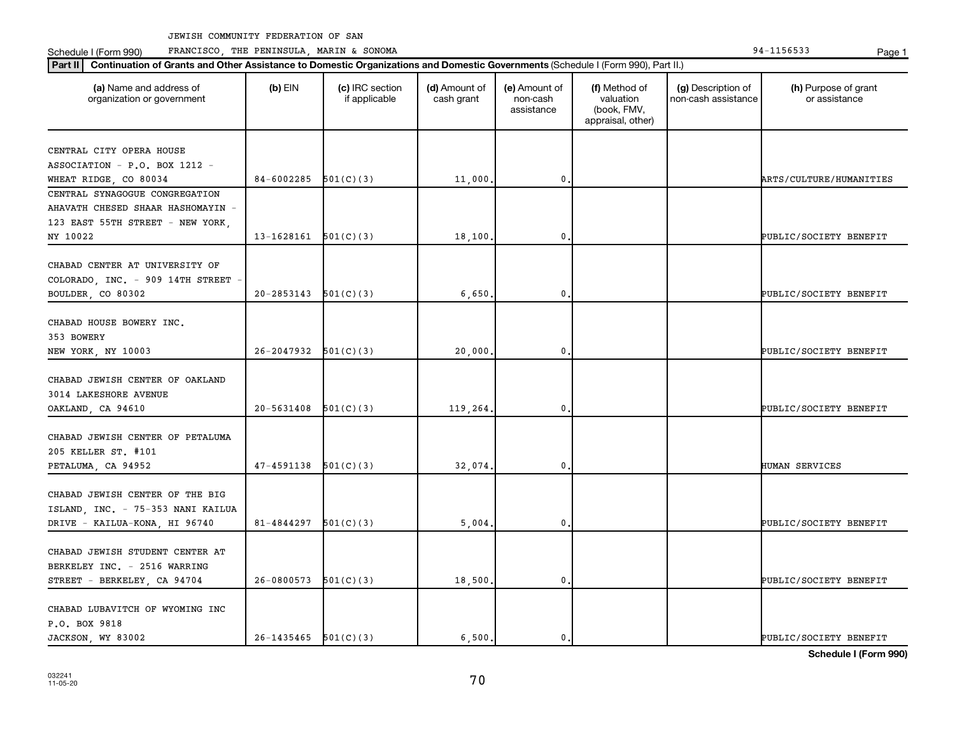Schedule I (Form 990) PRANCISCO, THE PENINSULA, MARIN & SONOMA Page 1 (Form 194-1156533 Page 1

| (a) Name and address of<br>organization or government                                                 | $(b)$ EIN                | (c) IRC section<br>if applicable | (d) Amount of<br>cash grant | (e) Amount of<br>non-cash<br>assistance | (f) Method of<br>valuation<br>(book, FMV,<br>appraisal, other) | (g) Description of<br>non-cash assistance | (h) Purpose of grant<br>or assistance |
|-------------------------------------------------------------------------------------------------------|--------------------------|----------------------------------|-----------------------------|-----------------------------------------|----------------------------------------------------------------|-------------------------------------------|---------------------------------------|
| CENTRAL CITY OPERA HOUSE                                                                              |                          |                                  |                             |                                         |                                                                |                                           |                                       |
| ASSOCIATION - P.O. BOX 1212 -                                                                         |                          |                                  |                             |                                         |                                                                |                                           |                                       |
| WHEAT RIDGE, CO 80034                                                                                 | 84-6002285               | 501(C)(3)                        | 11,000                      | 0                                       |                                                                |                                           | ARTS/CULTURE/HUMANITIES               |
| CENTRAL SYNAGOGUE CONGREGATION<br>AHAVATH CHESED SHAAR HASHOMAYIN -                                   |                          |                                  |                             |                                         |                                                                |                                           |                                       |
| 123 EAST 55TH STREET - NEW YORK,                                                                      |                          |                                  |                             |                                         |                                                                |                                           |                                       |
| NY 10022                                                                                              | 13-1628161               | 501(C)(3)                        | 18,100                      | 0                                       |                                                                |                                           | PUBLIC/SOCIETY BENEFIT                |
| CHABAD CENTER AT UNIVERSITY OF<br>COLORADO, INC. - 909 14TH STREET                                    |                          |                                  |                             |                                         |                                                                |                                           |                                       |
| BOULDER, CO 80302                                                                                     | 20-2853143               | 501(C)(3)                        | 6,650                       | 0                                       |                                                                |                                           | PUBLIC/SOCIETY BENEFIT                |
| CHABAD HOUSE BOWERY INC.<br>353 BOWERY<br>NEW YORK, NY 10003                                          | 26-2047932               | 501(C)(3)                        | 20,000                      | 0                                       |                                                                |                                           | PUBLIC/SOCIETY BENEFIT                |
| CHABAD JEWISH CENTER OF OAKLAND<br>3014 LAKESHORE AVENUE<br>OAKLAND, CA 94610                         | 20-5631408               | 501(C)(3)                        | 119,264.                    | 0                                       |                                                                |                                           | PUBLIC/SOCIETY BENEFIT                |
| CHABAD JEWISH CENTER OF PETALUMA<br>205 KELLER ST. #101<br>PETALUMA, CA 94952                         | 47-4591138               | 501(C)(3)                        | 32,074                      | 0                                       |                                                                |                                           | <b>HUMAN SERVICES</b>                 |
| CHABAD JEWISH CENTER OF THE BIG<br>ISLAND, INC. - 75-353 NANI KAILUA<br>DRIVE - KAILUA-KONA, HI 96740 | 81-4844297               | 501(C)(3)                        | 5,004                       | 0                                       |                                                                |                                           | PUBLIC/SOCIETY BENEFIT                |
| CHABAD JEWISH STUDENT CENTER AT<br>BERKELEY INC. - 2516 WARRING<br>STREET - BERKELEY, CA 94704        | 26-0800573               | 501(C)(3)                        | 18,500                      | 0                                       |                                                                |                                           | PUBLIC/SOCIETY BENEFIT                |
| CHABAD LUBAVITCH OF WYOMING INC<br>P.O. BOX 9818<br>JACKSON, WY 83002                                 | $26-1435465$ $501(C)(3)$ |                                  | 6.500.                      | 0.                                      |                                                                |                                           | PUBLIC/SOCIETY BENEFIT                |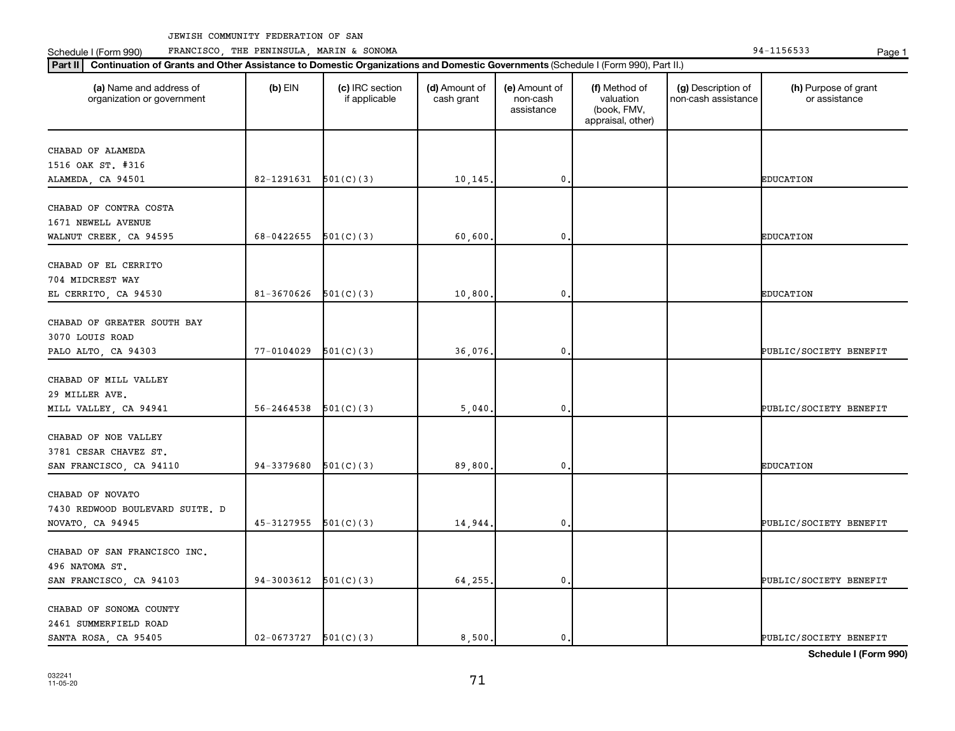Schedule I (Form 990) PRANCISCO, THE PENINSULA, MARIN & SONOMA Page 1 (Form 194-1156533 Page 1

| (a) Name and address of<br>organization or government | $(b)$ EIN                  | (c) IRC section<br>if applicable | (d) Amount of<br>cash grant | (e) Amount of<br>non-cash<br>assistance | (f) Method of<br>valuation<br>(book, FMV,<br>appraisal, other) | (g) Description of<br>non-cash assistance | (h) Purpose of grant<br>or assistance |
|-------------------------------------------------------|----------------------------|----------------------------------|-----------------------------|-----------------------------------------|----------------------------------------------------------------|-------------------------------------------|---------------------------------------|
| CHABAD OF ALAMEDA                                     |                            |                                  |                             |                                         |                                                                |                                           |                                       |
| 1516 OAK ST. #316                                     |                            |                                  |                             |                                         |                                                                |                                           |                                       |
| ALAMEDA, CA 94501                                     | 82-1291631                 | 501(C)(3)                        | 10, 145.                    | $\mathfrak o$ .                         |                                                                |                                           | <b>EDUCATION</b>                      |
| CHABAD OF CONTRA COSTA                                |                            |                                  |                             |                                         |                                                                |                                           |                                       |
| 1671 NEWELL AVENUE                                    |                            |                                  |                             |                                         |                                                                |                                           |                                       |
| WALNUT CREEK, CA 94595                                | 68-0422655                 | 501(C)(3)                        | 60,600                      | 0                                       |                                                                |                                           | <b>EDUCATION</b>                      |
| CHABAD OF EL CERRITO                                  |                            |                                  |                             |                                         |                                                                |                                           |                                       |
| 704 MIDCREST WAY                                      |                            |                                  |                             |                                         |                                                                |                                           |                                       |
| EL CERRITO, CA 94530                                  | $81-3670626$ $501(C)(3)$   |                                  | 10,800                      | $\mathbf 0$ .                           |                                                                |                                           | <b>EDUCATION</b>                      |
| CHABAD OF GREATER SOUTH BAY                           |                            |                                  |                             |                                         |                                                                |                                           |                                       |
| 3070 LOUIS ROAD                                       |                            |                                  |                             |                                         |                                                                |                                           |                                       |
| PALO ALTO, CA 94303                                   | 77-0104029                 | 501(C)(3)                        | 36,076.                     | 0.                                      |                                                                |                                           | PUBLIC/SOCIETY BENEFIT                |
|                                                       |                            |                                  |                             |                                         |                                                                |                                           |                                       |
| CHABAD OF MILL VALLEY                                 |                            |                                  |                             |                                         |                                                                |                                           |                                       |
| 29 MILLER AVE.                                        |                            |                                  |                             |                                         |                                                                |                                           |                                       |
| MILL VALLEY, CA 94941                                 | 56-2464538                 | 501(C)(3)                        | 5,040.                      | $\mathbf 0$ .                           |                                                                |                                           | PUBLIC/SOCIETY BENEFIT                |
| CHABAD OF NOE VALLEY                                  |                            |                                  |                             |                                         |                                                                |                                           |                                       |
| 3781 CESAR CHAVEZ ST.                                 |                            |                                  |                             |                                         |                                                                |                                           |                                       |
| SAN FRANCISCO, CA 94110                               | 94-3379680                 | 501(C)(3)                        | 89,800                      | 0.                                      |                                                                |                                           | <b>EDUCATION</b>                      |
|                                                       |                            |                                  |                             |                                         |                                                                |                                           |                                       |
| CHABAD OF NOVATO                                      |                            |                                  |                             |                                         |                                                                |                                           |                                       |
| 7430 REDWOOD BOULEVARD SUITE. D                       |                            |                                  |                             |                                         |                                                                |                                           |                                       |
| NOVATO, CA 94945                                      | 45-3127955                 | 501(C)(3)                        | 14,944.                     | 0.                                      |                                                                |                                           | PUBLIC/SOCIETY BENEFIT                |
| CHABAD OF SAN FRANCISCO INC.                          |                            |                                  |                             |                                         |                                                                |                                           |                                       |
| 496 NATOMA ST.                                        |                            |                                  |                             |                                         |                                                                |                                           |                                       |
| SAN FRANCISCO, CA 94103                               | 94-3003612                 | 501(C)(3)                        | 64,255,                     | $\mathbf{0}$ .                          |                                                                |                                           | PUBLIC/SOCIETY BENEFIT                |
|                                                       |                            |                                  |                             |                                         |                                                                |                                           |                                       |
| CHABAD OF SONOMA COUNTY                               |                            |                                  |                             |                                         |                                                                |                                           |                                       |
| 2461 SUMMERFIELD ROAD<br>SANTA ROSA, CA 95405         | $02 - 0673727$ $501(C)(3)$ |                                  | 8,500.                      | $\mathbf{0}$ .                          |                                                                |                                           | PUBLIC/SOCIETY BENEFIT                |
|                                                       |                            |                                  |                             |                                         |                                                                |                                           |                                       |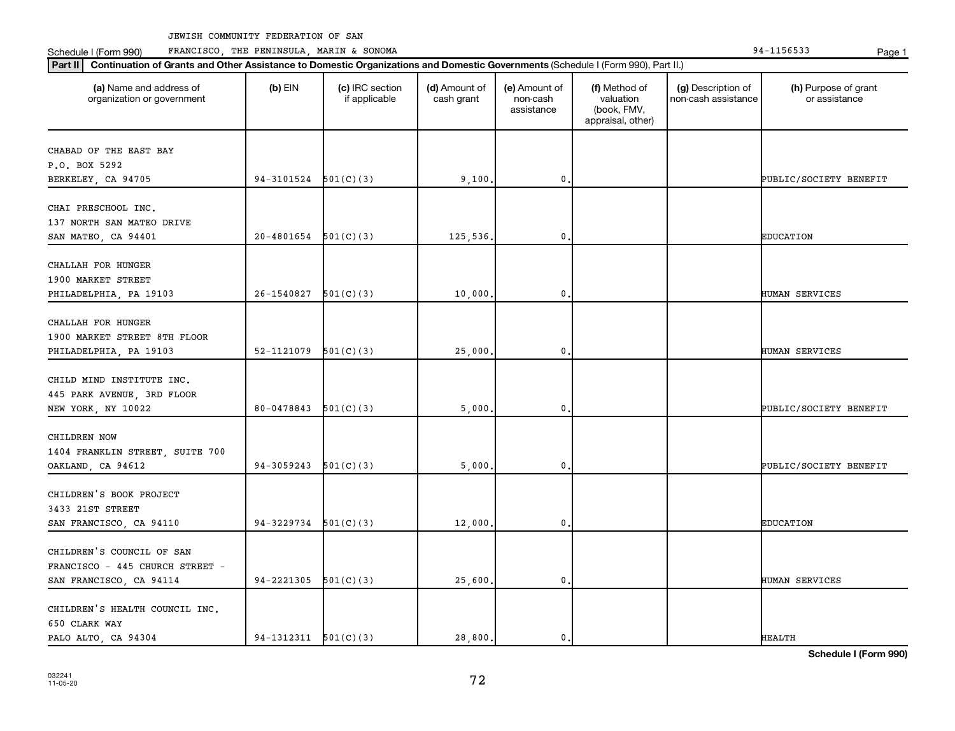Schedule I (Form 990) PRANCISCO, THE PENINSULA, MARIN & SONOMA Page 1 (Form 194-1156533 Page 1

| (a) Name and address of<br>organization or government | $(b)$ EIN                | (c) IRC section<br>if applicable | (d) Amount of<br>cash grant | (e) Amount of<br>non-cash<br>assistance | (f) Method of<br>valuation<br>(book, FMV,<br>appraisal, other) | (g) Description of<br>non-cash assistance | (h) Purpose of grant<br>or assistance |
|-------------------------------------------------------|--------------------------|----------------------------------|-----------------------------|-----------------------------------------|----------------------------------------------------------------|-------------------------------------------|---------------------------------------|
| CHABAD OF THE EAST BAY                                |                          |                                  |                             |                                         |                                                                |                                           |                                       |
| P.O. BOX 5292                                         |                          |                                  |                             |                                         |                                                                |                                           |                                       |
| BERKELEY, CA 94705                                    | 94-3101524               | 501(C)(3)                        | 9,100                       | 0                                       |                                                                |                                           | PUBLIC/SOCIETY BENEFIT                |
|                                                       |                          |                                  |                             |                                         |                                                                |                                           |                                       |
| CHAI PRESCHOOL INC.                                   |                          |                                  |                             |                                         |                                                                |                                           |                                       |
| 137 NORTH SAN MATEO DRIVE                             |                          |                                  |                             |                                         |                                                                |                                           |                                       |
| SAN MATEO, CA 94401                                   | 20-4801654               | 501(C)(3)                        | 125,536.                    | 0                                       |                                                                |                                           | <b>EDUCATION</b>                      |
| CHALLAH FOR HUNGER                                    |                          |                                  |                             |                                         |                                                                |                                           |                                       |
| 1900 MARKET STREET                                    |                          |                                  |                             |                                         |                                                                |                                           |                                       |
| PHILADELPHIA, PA 19103                                | 26-1540827               | 501(C)(3)                        | 10,000                      | 0                                       |                                                                |                                           | HUMAN SERVICES                        |
|                                                       |                          |                                  |                             |                                         |                                                                |                                           |                                       |
| CHALLAH FOR HUNGER                                    |                          |                                  |                             |                                         |                                                                |                                           |                                       |
| 1900 MARKET STREET 8TH FLOOR                          |                          |                                  |                             |                                         |                                                                |                                           |                                       |
| PHILADELPHIA, PA 19103                                | 52-1121079               | 501(C)(3)                        | 25,000                      | 0                                       |                                                                |                                           | <b>HUMAN SERVICES</b>                 |
|                                                       |                          |                                  |                             |                                         |                                                                |                                           |                                       |
| CHILD MIND INSTITUTE INC.                             |                          |                                  |                             |                                         |                                                                |                                           |                                       |
| 445 PARK AVENUE, 3RD FLOOR                            |                          |                                  |                             |                                         |                                                                |                                           |                                       |
| NEW YORK, NY 10022                                    | 80-0478843               | 501(C)(3)                        | 5,000                       | 0                                       |                                                                |                                           | PUBLIC/SOCIETY BENEFIT                |
|                                                       |                          |                                  |                             |                                         |                                                                |                                           |                                       |
| CHILDREN NOW                                          |                          |                                  |                             |                                         |                                                                |                                           |                                       |
| 1404 FRANKLIN STREET, SUITE 700                       |                          |                                  |                             |                                         |                                                                |                                           |                                       |
| OAKLAND, CA 94612                                     | 94-3059243               | 501(C)(3)                        | 5,000                       | 0                                       |                                                                |                                           | PUBLIC/SOCIETY BENEFIT                |
|                                                       |                          |                                  |                             |                                         |                                                                |                                           |                                       |
| CHILDREN'S BOOK PROJECT                               |                          |                                  |                             |                                         |                                                                |                                           |                                       |
| 3433 21ST STREET                                      |                          |                                  |                             |                                         |                                                                |                                           |                                       |
| SAN FRANCISCO, CA 94110                               | 94-3229734               | 501(C)(3)                        | 12,000                      | $\mathbf 0$                             |                                                                |                                           | <b>EDUCATION</b>                      |
| CHILDREN'S COUNCIL OF SAN                             |                          |                                  |                             |                                         |                                                                |                                           |                                       |
| FRANCISCO - 445 CHURCH STREET -                       |                          |                                  |                             |                                         |                                                                |                                           |                                       |
|                                                       | 94-2221305               | 501(C)(3)                        | 25,600.                     | 0                                       |                                                                |                                           | HUMAN SERVICES                        |
| SAN FRANCISCO, CA 94114                               |                          |                                  |                             |                                         |                                                                |                                           |                                       |
| CHILDREN'S HEALTH COUNCIL INC.                        |                          |                                  |                             |                                         |                                                                |                                           |                                       |
| 650 CLARK WAY                                         |                          |                                  |                             |                                         |                                                                |                                           |                                       |
| PALO ALTO, CA 94304                                   | $94-1312311$ $501(C)(3)$ |                                  | 28,800.                     | 0.                                      |                                                                |                                           | <b>HEALTH</b>                         |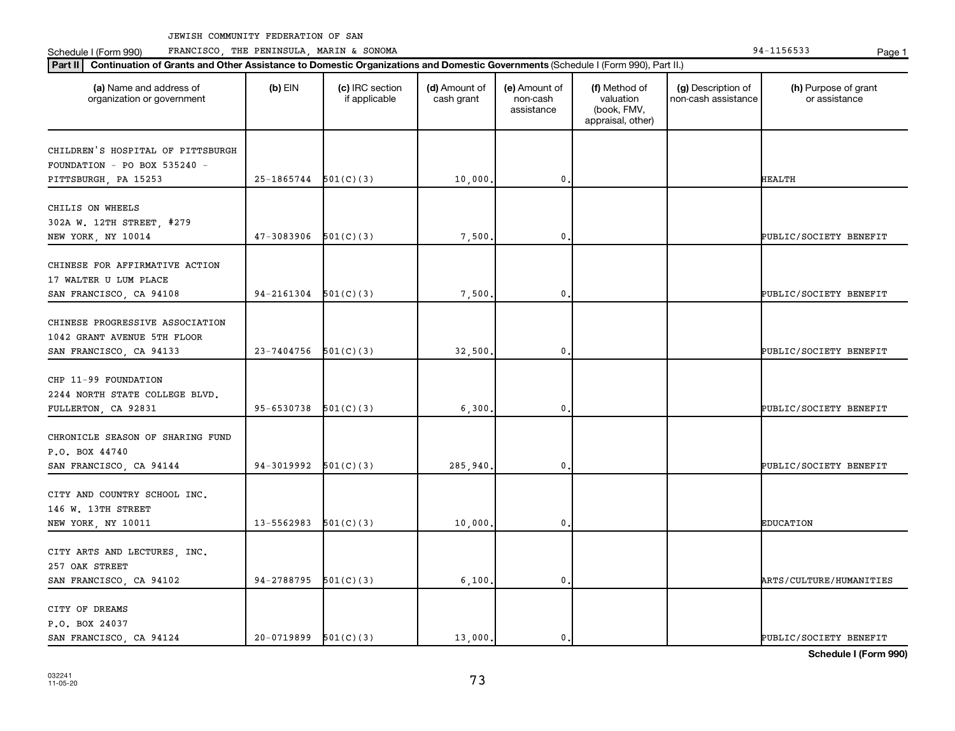Schedule I (Form 990) PRANCISCO, THE PENINSULA, MARIN & SONOMA Page 1 (Form 194-1156533 Page 1

| (a) Name and address of<br>organization or government                                     | $(b)$ EIN  | (c) IRC section<br>if applicable | (d) Amount of<br>cash grant | (e) Amount of<br>non-cash<br>assistance | (f) Method of<br>valuation<br>(book, FMV,<br>appraisal, other) | (g) Description of<br>non-cash assistance | (h) Purpose of grant<br>or assistance |
|-------------------------------------------------------------------------------------------|------------|----------------------------------|-----------------------------|-----------------------------------------|----------------------------------------------------------------|-------------------------------------------|---------------------------------------|
| CHILDREN'S HOSPITAL OF PITTSBURGH<br>FOUNDATION - PO BOX 535240 -                         |            |                                  |                             |                                         |                                                                |                                           |                                       |
| PITTSBURGH, PA 15253                                                                      | 25-1865744 | 501(C)(3)                        | 10,000                      | $\mathbf{0}$                            |                                                                |                                           | <b>HEALTH</b>                         |
| CHILIS ON WHEELS<br>302A W. 12TH STREET, #279<br>NEW YORK, NY 10014                       | 47-3083906 | 501(C)(3)                        | 7,500                       | 0                                       |                                                                |                                           | PUBLIC/SOCIETY BENEFIT                |
| CHINESE FOR AFFIRMATIVE ACTION<br>17 WALTER U LUM PLACE<br>SAN FRANCISCO, CA 94108        | 94-2161304 | 501(C)(3)                        | 7,500                       | $\mathbf 0$                             |                                                                |                                           | PUBLIC/SOCIETY BENEFIT                |
| CHINESE PROGRESSIVE ASSOCIATION<br>1042 GRANT AVENUE 5TH FLOOR<br>SAN FRANCISCO, CA 94133 | 23-7404756 | 501(C)(3)                        | 32,500                      | 0                                       |                                                                |                                           | PUBLIC/SOCIETY BENEFIT                |
| CHP 11-99 FOUNDATION<br>2244 NORTH STATE COLLEGE BLVD.<br>FULLERTON, CA 92831             | 95-6530738 | 501(C)(3)                        | 6,300                       | $\mathbf 0$                             |                                                                |                                           | PUBLIC/SOCIETY BENEFIT                |
| CHRONICLE SEASON OF SHARING FUND<br>P.O. BOX 44740<br>SAN FRANCISCO, CA 94144             | 94-3019992 | 501(C)(3)                        | 285,940                     | 0                                       |                                                                |                                           | PUBLIC/SOCIETY BENEFIT                |
| CITY AND COUNTRY SCHOOL INC.<br>146 W. 13TH STREET<br>NEW YORK, NY 10011                  | 13-5562983 | 501(C)(3)                        | 10,000                      | $\mathbf 0$                             |                                                                |                                           | <b>EDUCATION</b>                      |
| CITY ARTS AND LECTURES, INC.<br>257 OAK STREET<br>SAN FRANCISCO, CA 94102                 | 94-2788795 | 501(C)(3)                        | 6,100,                      | $\mathbf 0$                             |                                                                |                                           | ARTS/CULTURE/HUMANITIES               |
| CITY OF DREAMS<br>P.O. BOX 24037<br>SAN FRANCISCO, CA 94124                               | 20-0719899 | 501(C)(3)                        | 13,000.                     | 0.                                      |                                                                |                                           | PUBLIC/SOCIETY BENEFIT                |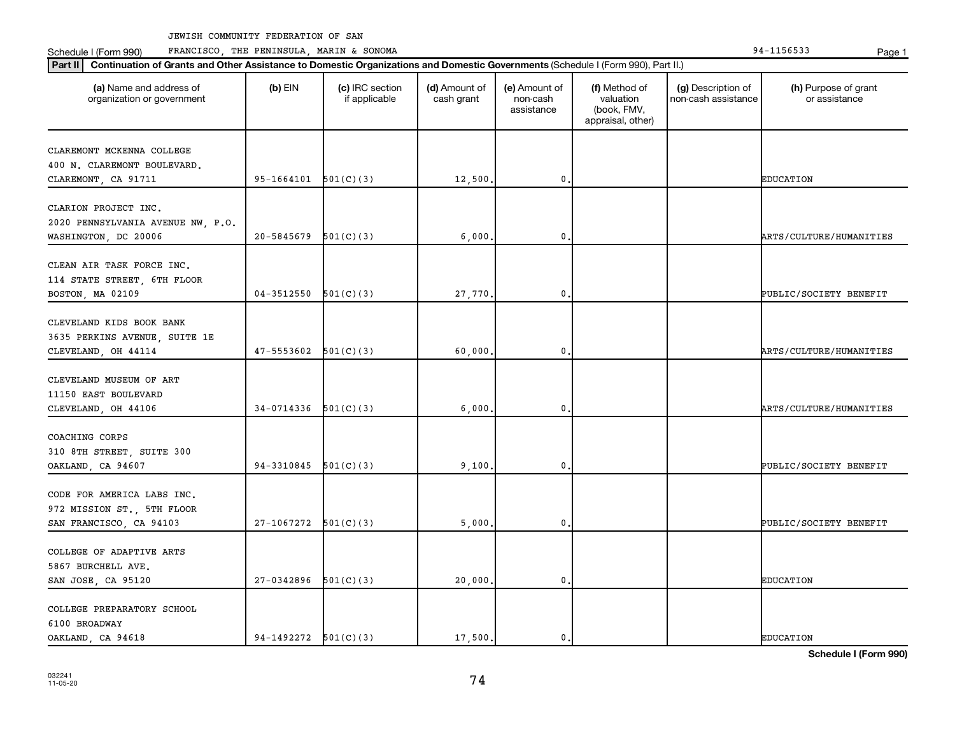Schedule I (Form 990) PRANCISCO, THE PENINSULA, MARIN & SONOMA Page 1 (Form 194-1156533 Page 1

| (a) Name and address of<br>organization or government | $(b)$ EIN                | (c) IRC section<br>if applicable | (d) Amount of<br>cash grant | (e) Amount of<br>non-cash<br>assistance | (f) Method of<br>valuation<br>(book, FMV,<br>appraisal, other) | (g) Description of<br>non-cash assistance | (h) Purpose of grant<br>or assistance |
|-------------------------------------------------------|--------------------------|----------------------------------|-----------------------------|-----------------------------------------|----------------------------------------------------------------|-------------------------------------------|---------------------------------------|
| CLAREMONT MCKENNA COLLEGE                             |                          |                                  |                             |                                         |                                                                |                                           |                                       |
| 400 N. CLAREMONT BOULEVARD.                           |                          |                                  |                             |                                         |                                                                |                                           |                                       |
| CLAREMONT, CA 91711                                   | 95-1664101               | 501(C)(3)                        | 12,500.                     | 0                                       |                                                                |                                           | <b>EDUCATION</b>                      |
|                                                       |                          |                                  |                             |                                         |                                                                |                                           |                                       |
| CLARION PROJECT INC.                                  |                          |                                  |                             |                                         |                                                                |                                           |                                       |
| 2020 PENNSYLVANIA AVENUE NW, P.O.                     |                          |                                  |                             |                                         |                                                                |                                           |                                       |
| WASHINGTON, DC 20006                                  | 20-5845679               | 501(C)(3)                        | 6,000                       | 0                                       |                                                                |                                           | ARTS/CULTURE/HUMANITIES               |
|                                                       |                          |                                  |                             |                                         |                                                                |                                           |                                       |
| CLEAN AIR TASK FORCE INC.                             |                          |                                  |                             |                                         |                                                                |                                           |                                       |
| 114 STATE STREET, 6TH FLOOR                           |                          |                                  |                             |                                         |                                                                |                                           |                                       |
| BOSTON, MA 02109                                      | 04-3512550               | 501(C)(3)                        | 27,770.                     | 0                                       |                                                                |                                           | PUBLIC/SOCIETY BENEFIT                |
|                                                       |                          |                                  |                             |                                         |                                                                |                                           |                                       |
| CLEVELAND KIDS BOOK BANK                              |                          |                                  |                             |                                         |                                                                |                                           |                                       |
| 3635 PERKINS AVENUE, SUITE 1E                         |                          |                                  |                             |                                         |                                                                |                                           |                                       |
| CLEVELAND, OH 44114                                   | 47-5553602               | 501(C)(3)                        | 60,000.                     | 0                                       |                                                                |                                           | ARTS/CULTURE/HUMANITIES               |
| CLEVELAND MUSEUM OF ART                               |                          |                                  |                             |                                         |                                                                |                                           |                                       |
| 11150 EAST BOULEVARD                                  |                          |                                  |                             |                                         |                                                                |                                           |                                       |
|                                                       | 34-0714336               | 501(C)(3)                        | 6,000                       | 0                                       |                                                                |                                           | ARTS/CULTURE/HUMANITIES               |
| CLEVELAND, OH 44106                                   |                          |                                  |                             |                                         |                                                                |                                           |                                       |
| COACHING CORPS                                        |                          |                                  |                             |                                         |                                                                |                                           |                                       |
| 310 8TH STREET, SUITE 300                             |                          |                                  |                             |                                         |                                                                |                                           |                                       |
| OAKLAND, CA 94607                                     | 94-3310845               | 501(C)(3)                        | 9,100.                      | 0                                       |                                                                |                                           | PUBLIC/SOCIETY BENEFIT                |
|                                                       |                          |                                  |                             |                                         |                                                                |                                           |                                       |
| CODE FOR AMERICA LABS INC.                            |                          |                                  |                             |                                         |                                                                |                                           |                                       |
| 972 MISSION ST., 5TH FLOOR                            |                          |                                  |                             |                                         |                                                                |                                           |                                       |
| SAN FRANCISCO, CA 94103                               | $27-1067272$ $501(C)(3)$ |                                  | 5,000.                      | $\mathbf 0$ .                           |                                                                |                                           | PUBLIC/SOCIETY BENEFIT                |
|                                                       |                          |                                  |                             |                                         |                                                                |                                           |                                       |
| COLLEGE OF ADAPTIVE ARTS                              |                          |                                  |                             |                                         |                                                                |                                           |                                       |
| 5867 BURCHELL AVE.                                    |                          |                                  |                             |                                         |                                                                |                                           |                                       |
| SAN JOSE, CA 95120                                    | 27-0342896               | 501(C)(3)                        | 20,000.                     | 0                                       |                                                                |                                           | <b>EDUCATION</b>                      |
|                                                       |                          |                                  |                             |                                         |                                                                |                                           |                                       |
| COLLEGE PREPARATORY SCHOOL                            |                          |                                  |                             |                                         |                                                                |                                           |                                       |
| 6100 BROADWAY                                         |                          |                                  |                             |                                         |                                                                |                                           |                                       |
| OAKLAND, CA 94618                                     | $94-1492272$ $501(C)(3)$ |                                  | 17,500.                     | 0.                                      |                                                                |                                           | <b>EDUCATION</b>                      |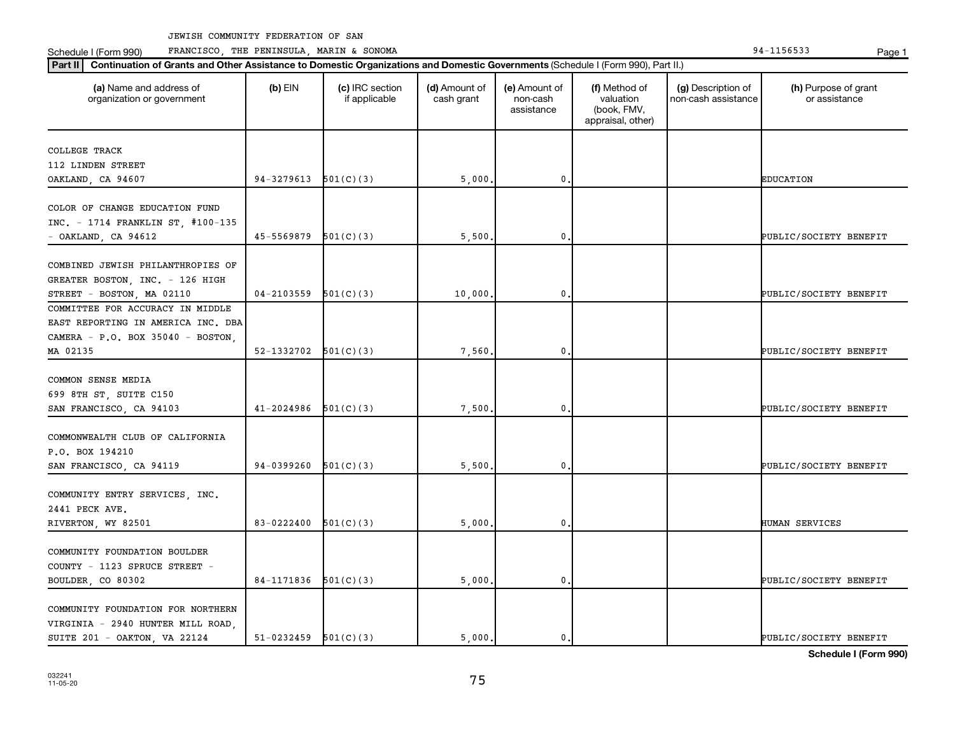Schedule I (Form 990) PRANCISCO, THE PENINSULA, MARIN & SONOMA Page 1 (Form 194-1156533 Page 1

| (a) Name and address of<br>organization or government | $(b)$ EIN                | (c) IRC section<br>if applicable | (d) Amount of<br>cash grant | (e) Amount of<br>non-cash<br>assistance | (f) Method of<br>valuation<br>(book, FMV,<br>appraisal, other) | (g) Description of<br>non-cash assistance | (h) Purpose of grant<br>or assistance |
|-------------------------------------------------------|--------------------------|----------------------------------|-----------------------------|-----------------------------------------|----------------------------------------------------------------|-------------------------------------------|---------------------------------------|
| COLLEGE TRACK                                         |                          |                                  |                             |                                         |                                                                |                                           |                                       |
| 112 LINDEN STREET                                     |                          |                                  |                             |                                         |                                                                |                                           |                                       |
| OAKLAND, CA 94607                                     | 94-3279613               | 501(C)(3)                        | 5,000                       | 0,                                      |                                                                |                                           | <b>EDUCATION</b>                      |
|                                                       |                          |                                  |                             |                                         |                                                                |                                           |                                       |
| COLOR OF CHANGE EDUCATION FUND                        |                          |                                  |                             |                                         |                                                                |                                           |                                       |
| INC. - 1714 FRANKLIN ST, #100-135                     |                          |                                  |                             |                                         |                                                                |                                           |                                       |
| - OAKLAND, CA 94612                                   | 45-5569879               | 501(C)(3)                        | 5,500                       | 0                                       |                                                                |                                           | PUBLIC/SOCIETY BENEFIT                |
| COMBINED JEWISH PHILANTHROPIES OF                     |                          |                                  |                             |                                         |                                                                |                                           |                                       |
| GREATER BOSTON, INC. - 126 HIGH                       |                          |                                  |                             |                                         |                                                                |                                           |                                       |
| STREET - BOSTON, MA 02110                             | 04-2103559               | 501(C)(3)                        | 10,000                      | 0.                                      |                                                                |                                           | PUBLIC/SOCIETY BENEFIT                |
| COMMITTEE FOR ACCURACY IN MIDDLE                      |                          |                                  |                             |                                         |                                                                |                                           |                                       |
| EAST REPORTING IN AMERICA INC. DBA                    |                          |                                  |                             |                                         |                                                                |                                           |                                       |
| CAMERA - P.O. BOX 35040 - BOSTON,                     |                          |                                  |                             |                                         |                                                                |                                           |                                       |
| MA 02135                                              | $52-1332702$ $501(C)(3)$ |                                  | 7,560                       | $\mathbf 0$                             |                                                                |                                           | PUBLIC/SOCIETY BENEFIT                |
|                                                       |                          |                                  |                             |                                         |                                                                |                                           |                                       |
| COMMON SENSE MEDIA                                    |                          |                                  |                             |                                         |                                                                |                                           |                                       |
| 699 8TH ST, SUITE C150                                |                          |                                  |                             |                                         |                                                                |                                           |                                       |
| SAN FRANCISCO, CA 94103                               | 41-2024986               | 501(C)(3)                        | 7,500                       | $\mathbf 0$                             |                                                                |                                           | PUBLIC/SOCIETY BENEFIT                |
|                                                       |                          |                                  |                             |                                         |                                                                |                                           |                                       |
| COMMONWEALTH CLUB OF CALIFORNIA                       |                          |                                  |                             |                                         |                                                                |                                           |                                       |
| P.O. BOX 194210                                       |                          |                                  |                             |                                         |                                                                |                                           |                                       |
| SAN FRANCISCO, CA 94119                               | 94-0399260               | 501(C)(3)                        | 5,500                       | $\mathbf 0$                             |                                                                |                                           | PUBLIC/SOCIETY BENEFIT                |
|                                                       |                          |                                  |                             |                                         |                                                                |                                           |                                       |
| COMMUNITY ENTRY SERVICES, INC.                        |                          |                                  |                             |                                         |                                                                |                                           |                                       |
| 2441 PECK AVE.                                        |                          |                                  |                             |                                         |                                                                |                                           |                                       |
| RIVERTON, WY 82501                                    | 83-0222400               | 501(C)(3)                        | 5,000                       | 0.                                      |                                                                |                                           | HUMAN SERVICES                        |
| COMMUNITY FOUNDATION BOULDER                          |                          |                                  |                             |                                         |                                                                |                                           |                                       |
| COUNTY - 1123 SPRUCE STREET -                         |                          |                                  |                             |                                         |                                                                |                                           |                                       |
| BOULDER, CO 80302                                     | $84-1171836$ $501(C)(3)$ |                                  | 5,000                       | $\mathbf 0$                             |                                                                |                                           | PUBLIC/SOCIETY BENEFIT                |
|                                                       |                          |                                  |                             |                                         |                                                                |                                           |                                       |
| COMMUNITY FOUNDATION FOR NORTHERN                     |                          |                                  |                             |                                         |                                                                |                                           |                                       |
| VIRGINIA - 2940 HUNTER MILL ROAD,                     |                          |                                  |                             |                                         |                                                                |                                           |                                       |
| SUITE 201 - OAKTON, VA 22124                          | $51-0232459$ $501(C)(3)$ |                                  | 5.000.                      | $\mathbf{0}$ .                          |                                                                |                                           | PUBLIC/SOCIETY BENEFIT                |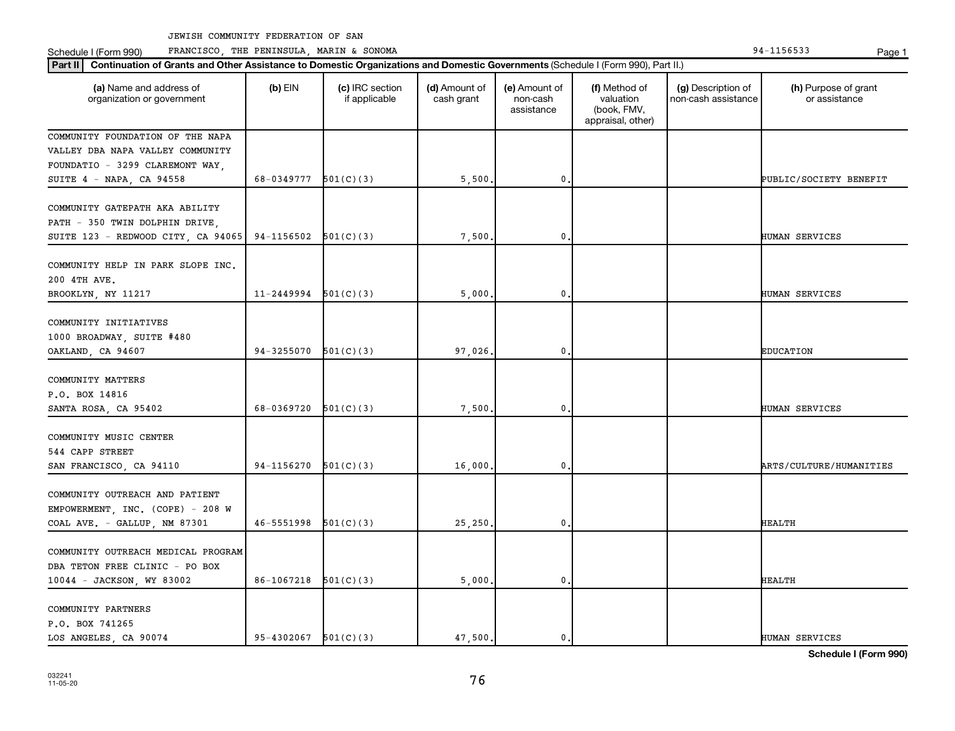Schedule I (Form 990) PRANCISCO, THE PENINSULA, MARIN & SONOMA Page 1 (Form 194-1156533 Page 1

| Part II   Continuation of Grants and Other Assistance to Domestic Organizations and Domestic Governments (Schedule I (Form 990), Part II.) |                            |                                  |                             |                                         |                                                                |                                           |                                       |  |  |
|--------------------------------------------------------------------------------------------------------------------------------------------|----------------------------|----------------------------------|-----------------------------|-----------------------------------------|----------------------------------------------------------------|-------------------------------------------|---------------------------------------|--|--|
| (a) Name and address of<br>organization or government                                                                                      | $(b)$ EIN                  | (c) IRC section<br>if applicable | (d) Amount of<br>cash grant | (e) Amount of<br>non-cash<br>assistance | (f) Method of<br>valuation<br>(book, FMV,<br>appraisal, other) | (g) Description of<br>non-cash assistance | (h) Purpose of grant<br>or assistance |  |  |
| COMMUNITY FOUNDATION OF THE NAPA                                                                                                           |                            |                                  |                             |                                         |                                                                |                                           |                                       |  |  |
| VALLEY DBA NAPA VALLEY COMMUNITY                                                                                                           |                            |                                  |                             |                                         |                                                                |                                           |                                       |  |  |
| FOUNDATIO - 3299 CLAREMONT WAY,                                                                                                            |                            |                                  |                             |                                         |                                                                |                                           |                                       |  |  |
| SUITE 4 - NAPA, CA 94558                                                                                                                   | 68-0349777                 | 501(C)(3)                        | 5,500                       | $\mathbf 0$                             |                                                                |                                           | PUBLIC/SOCIETY BENEFIT                |  |  |
| COMMUNITY GATEPATH AKA ABILITY<br>PATH - 350 TWIN DOLPHIN DRIVE,<br>SUITE 123 - REDWOOD CITY, CA 94065                                     | 94-1156502                 | 501(C)(3)                        | 7,500                       | 0                                       |                                                                |                                           | HUMAN SERVICES                        |  |  |
|                                                                                                                                            |                            |                                  |                             |                                         |                                                                |                                           |                                       |  |  |
| COMMUNITY HELP IN PARK SLOPE INC.<br>200 4TH AVE.                                                                                          |                            |                                  |                             |                                         |                                                                |                                           |                                       |  |  |
| BROOKLYN, NY 11217                                                                                                                         | $11-2449994$ $501(C)(3)$   |                                  | 5,000                       | $\mathbf{0}$                            |                                                                |                                           | HUMAN SERVICES                        |  |  |
| COMMUNITY INITIATIVES<br>1000 BROADWAY, SUITE #480<br>OAKLAND, CA 94607                                                                    | 94-3255070                 | 501(C)(3)                        | 97,026.                     | $\boldsymbol{0}$ .                      |                                                                |                                           | <b>EDUCATION</b>                      |  |  |
| COMMUNITY MATTERS<br>P.O. BOX 14816<br>SANTA ROSA, CA 95402                                                                                | 68-0369720                 | 501(C)(3)                        | 7,500                       | $\mathbf{0}$                            |                                                                |                                           | HUMAN SERVICES                        |  |  |
| COMMUNITY MUSIC CENTER<br>544 CAPP STREET<br>SAN FRANCISCO, CA 94110                                                                       | 94-1156270                 | 501(C)(3)                        | 16,000.                     | 0                                       |                                                                |                                           | ARTS/CULTURE/HUMANITIES               |  |  |
|                                                                                                                                            |                            |                                  |                             |                                         |                                                                |                                           |                                       |  |  |
| COMMUNITY OUTREACH AND PATIENT<br>EMPOWERMENT, INC. (COPE) - 208 W<br>COAL AVE. - GALLUP, NM 87301                                         | $46-5551998$ $501(C)(3)$   |                                  | 25,250                      | $\mathbf{0}$                            |                                                                |                                           | HEALTH                                |  |  |
| COMMUNITY OUTREACH MEDICAL PROGRAM<br>DBA TETON FREE CLINIC - PO BOX<br>10044 - JACKSON, WY 83002                                          | 86-1067218                 | 501(C)(3)                        | 5,000.                      | $\mathbf{0}$                            |                                                                |                                           | <b>HEALTH</b>                         |  |  |
| COMMUNITY PARTNERS<br>P.O. BOX 741265<br>LOS ANGELES, CA 90074                                                                             | $95 - 4302067$ $501(C)(3)$ |                                  | 47.500.                     | $\mathbf{0}$ .                          |                                                                |                                           | HUMAN SERVICES                        |  |  |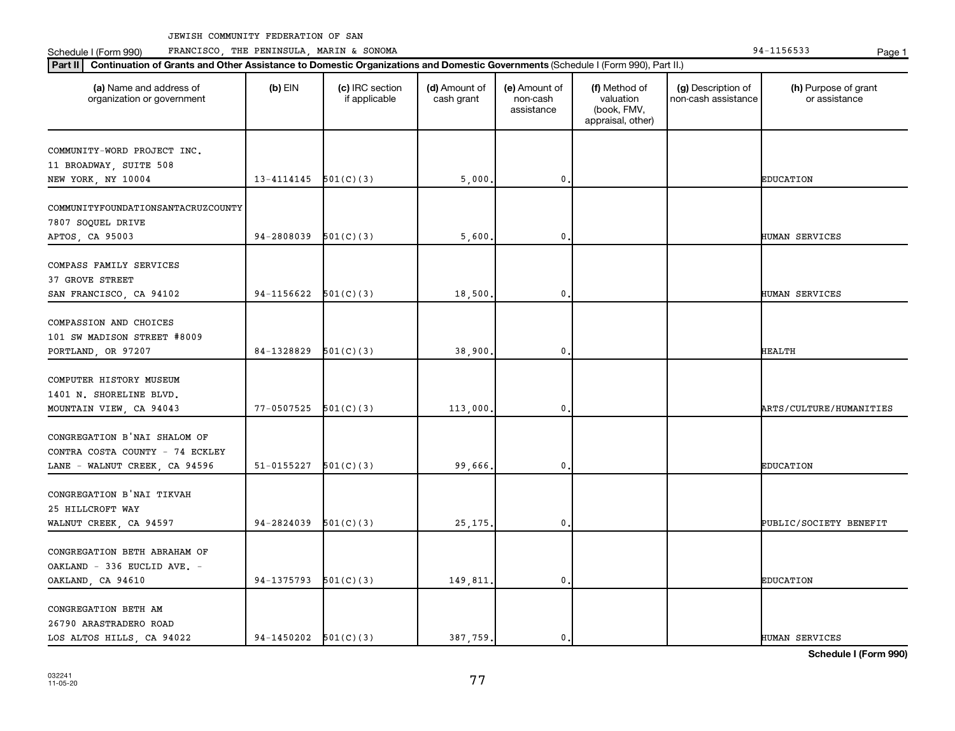Schedule I (Form 990) PRANCISCO, THE PENINSULA, MARIN & SONOMA Page 1 (Form 194-1156533 Page 1

| Part II <br>Continuation of Grants and Other Assistance to Domestic Organizations and Domestic Governments (Schedule I (Form 990), Part II.) |                            |                                  |                             |                                         |                                                                |                                           |                                       |
|----------------------------------------------------------------------------------------------------------------------------------------------|----------------------------|----------------------------------|-----------------------------|-----------------------------------------|----------------------------------------------------------------|-------------------------------------------|---------------------------------------|
| (a) Name and address of<br>organization or government                                                                                        | $(b)$ EIN                  | (c) IRC section<br>if applicable | (d) Amount of<br>cash grant | (e) Amount of<br>non-cash<br>assistance | (f) Method of<br>valuation<br>(book, FMV,<br>appraisal, other) | (g) Description of<br>non-cash assistance | (h) Purpose of grant<br>or assistance |
| COMMUNITY-WORD PROJECT INC.                                                                                                                  |                            |                                  |                             |                                         |                                                                |                                           |                                       |
| 11 BROADWAY, SUITE 508                                                                                                                       |                            |                                  |                             |                                         |                                                                |                                           |                                       |
| NEW YORK, NY 10004                                                                                                                           | $13 - 4114145$ $501(C)(3)$ |                                  | 5,000                       | $\mathbf 0$                             |                                                                |                                           | <b>EDUCATION</b>                      |
| COMMUNITYFOUNDATIONSANTACRUZCOUNTY<br>7807 SOQUEL DRIVE<br>APTOS, CA 95003                                                                   | 94-2808039                 | 501(C)(3)                        | 5,600                       | $\mathbf 0$                             |                                                                |                                           | HUMAN SERVICES                        |
|                                                                                                                                              |                            |                                  |                             |                                         |                                                                |                                           |                                       |
| COMPASS FAMILY SERVICES<br>37 GROVE STREET<br>SAN FRANCISCO, CA 94102                                                                        | 94-1156622                 | 501(C)(3)                        | 18,500                      | $\mathbf 0$                             |                                                                |                                           | HUMAN SERVICES                        |
|                                                                                                                                              |                            |                                  |                             |                                         |                                                                |                                           |                                       |
| COMPASSION AND CHOICES<br>101 SW MADISON STREET #8009                                                                                        |                            |                                  |                             |                                         |                                                                |                                           |                                       |
| PORTLAND, OR 97207                                                                                                                           | 84-1328829                 | 501(C)(3)                        | 38,900.                     | $\mathbf{0}$                            |                                                                |                                           | <b>HEALTH</b>                         |
| COMPUTER HISTORY MUSEUM<br>1401 N. SHORELINE BLVD.<br>MOUNTAIN VIEW, CA 94043                                                                | 77-0507525                 | 501(C)(3)                        | 113,000.                    | $\mathbf 0$                             |                                                                |                                           | ARTS/CULTURE/HUMANITIES               |
|                                                                                                                                              |                            |                                  |                             |                                         |                                                                |                                           |                                       |
| CONGREGATION B'NAI SHALOM OF<br>CONTRA COSTA COUNTY - 74 ECKLEY<br>LANE - WALNUT CREEK, CA 94596                                             | 51-0155227                 | 501(C)(3)                        | 99,666.                     | $\mathbf 0$ .                           |                                                                |                                           | <b>EDUCATION</b>                      |
| CONGREGATION B'NAI TIKVAH<br>25 HILLCROFT WAY                                                                                                |                            |                                  |                             |                                         |                                                                |                                           |                                       |
| WALNUT CREEK, CA 94597                                                                                                                       | 94-2824039                 | 501(C)(3)                        | 25, 175.                    | $\mathbf 0$                             |                                                                |                                           | PUBLIC/SOCIETY BENEFIT                |
| CONGREGATION BETH ABRAHAM OF<br>OAKLAND - 336 EUCLID AVE. -<br>OAKLAND, CA 94610                                                             | 94-1375793                 | 501(C)(3)                        | 149,811                     | $\mathbf 0$                             |                                                                |                                           | <b>EDUCATION</b>                      |
| CONGREGATION BETH AM<br>26790 ARASTRADERO ROAD<br>LOS ALTOS HILLS, CA 94022                                                                  | $94-1450202$ $501(C)(3)$   |                                  | 387,759.                    | 0.                                      |                                                                |                                           | HUMAN SERVICES                        |
|                                                                                                                                              |                            |                                  |                             |                                         |                                                                |                                           |                                       |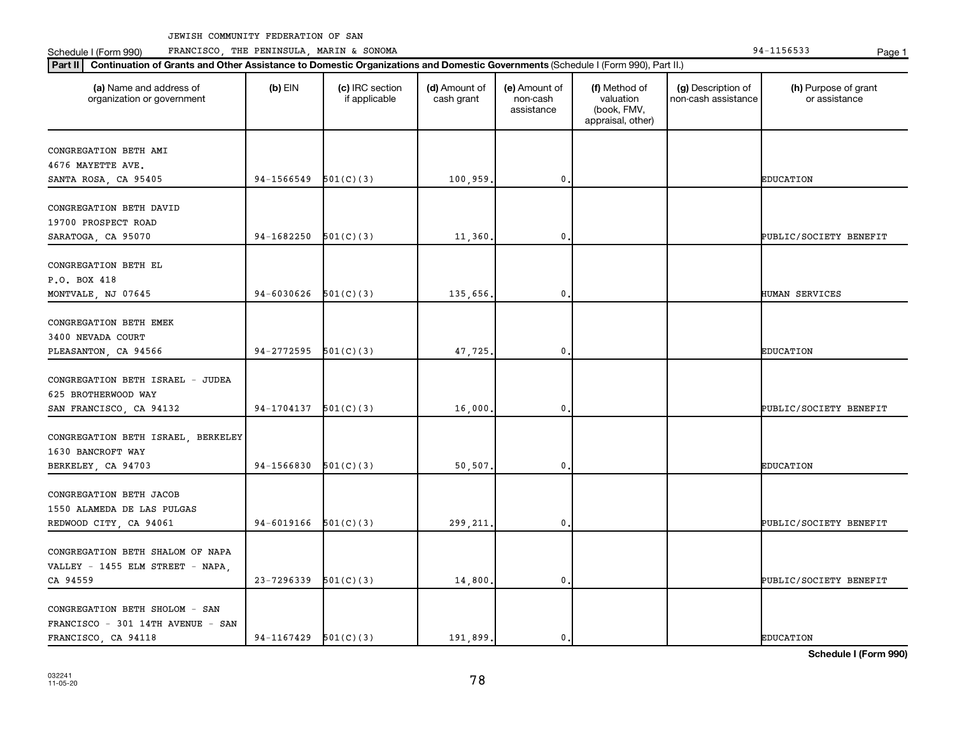Schedule I (Form 990) PRANCISCO, THE PENINSULA, MARIN & SONOMA Page 1 (Form 194-1156533 Page 1

| (a) Name and address of<br>organization or government               | $(b)$ EIN  | (c) IRC section<br>if applicable | (d) Amount of<br>cash grant | (e) Amount of<br>non-cash<br>assistance | (f) Method of<br>valuation<br>(book, FMV,<br>appraisal, other) | (g) Description of<br>non-cash assistance | (h) Purpose of grant<br>or assistance |
|---------------------------------------------------------------------|------------|----------------------------------|-----------------------------|-----------------------------------------|----------------------------------------------------------------|-------------------------------------------|---------------------------------------|
| CONGREGATION BETH AMI                                               |            |                                  |                             |                                         |                                                                |                                           |                                       |
| 4676 MAYETTE AVE.                                                   |            |                                  |                             |                                         |                                                                |                                           |                                       |
| SANTA ROSA, CA 95405                                                | 94-1566549 | 501(C)(3)                        | 100, 959.                   | 0                                       |                                                                |                                           | <b>EDUCATION</b>                      |
| CONGREGATION BETH DAVID                                             |            |                                  |                             |                                         |                                                                |                                           |                                       |
| 19700 PROSPECT ROAD                                                 |            |                                  |                             |                                         |                                                                |                                           |                                       |
| SARATOGA, CA 95070                                                  | 94-1682250 | 501(C)(3)                        | 11,360                      | 0                                       |                                                                |                                           | PUBLIC/SOCIETY BENEFIT                |
|                                                                     |            |                                  |                             |                                         |                                                                |                                           |                                       |
| CONGREGATION BETH EL<br>P.O. BOX 418                                |            |                                  |                             |                                         |                                                                |                                           |                                       |
| MONTVALE, NJ 07645                                                  | 94-6030626 | 501(C)(3)                        | 135,656,                    | $\mathbf{0}$                            |                                                                |                                           | HUMAN SERVICES                        |
|                                                                     |            |                                  |                             |                                         |                                                                |                                           |                                       |
| CONGREGATION BETH EMEK                                              |            |                                  |                             |                                         |                                                                |                                           |                                       |
| 3400 NEVADA COURT                                                   |            |                                  |                             |                                         |                                                                |                                           |                                       |
| PLEASANTON, CA 94566                                                | 94-2772595 | 501(C)(3)                        | 47,725                      | 0                                       |                                                                |                                           | <b>EDUCATION</b>                      |
|                                                                     |            |                                  |                             |                                         |                                                                |                                           |                                       |
| CONGREGATION BETH ISRAEL - JUDEA                                    |            |                                  |                             |                                         |                                                                |                                           |                                       |
| 625 BROTHERWOOD WAY                                                 |            |                                  |                             |                                         |                                                                |                                           |                                       |
| SAN FRANCISCO, CA 94132                                             | 94-1704137 | 501(C)(3)                        | 16,000                      | 0                                       |                                                                |                                           | PUBLIC/SOCIETY BENEFIT                |
|                                                                     |            |                                  |                             |                                         |                                                                |                                           |                                       |
| CONGREGATION BETH ISRAEL, BERKELEY<br>1630 BANCROFT WAY             |            |                                  |                             |                                         |                                                                |                                           |                                       |
| BERKELEY, CA 94703                                                  | 94-1566830 | 501(C)(3)                        | 50,507.                     | $\mathbf{0}$                            |                                                                |                                           | <b>EDUCATION</b>                      |
|                                                                     |            |                                  |                             |                                         |                                                                |                                           |                                       |
| CONGREGATION BETH JACOB                                             |            |                                  |                             |                                         |                                                                |                                           |                                       |
| 1550 ALAMEDA DE LAS PULGAS                                          |            |                                  |                             |                                         |                                                                |                                           |                                       |
| REDWOOD CITY, CA 94061                                              | 94-6019166 | 501(C)(3)                        | 299, 211.                   | 0                                       |                                                                |                                           | PUBLIC/SOCIETY BENEFIT                |
|                                                                     |            |                                  |                             |                                         |                                                                |                                           |                                       |
| CONGREGATION BETH SHALOM OF NAPA                                    |            |                                  |                             |                                         |                                                                |                                           |                                       |
| VALLEY - 1455 ELM STREET - NAPA,                                    |            |                                  |                             |                                         |                                                                |                                           |                                       |
| CA 94559                                                            | 23-7296339 | 501(C)(3)                        | 14,800                      | $\mathbf{0}$                            |                                                                |                                           | PUBLIC/SOCIETY BENEFIT                |
|                                                                     |            |                                  |                             |                                         |                                                                |                                           |                                       |
| CONGREGATION BETH SHOLOM - SAN<br>FRANCISCO - 301 14TH AVENUE - SAN |            |                                  |                             |                                         |                                                                |                                           |                                       |
| FRANCISCO, CA 94118                                                 | 94-1167429 | 501(C)(3)                        | 191,899.                    | $\mathbf{0}$ .                          |                                                                |                                           | <b>EDUCATION</b>                      |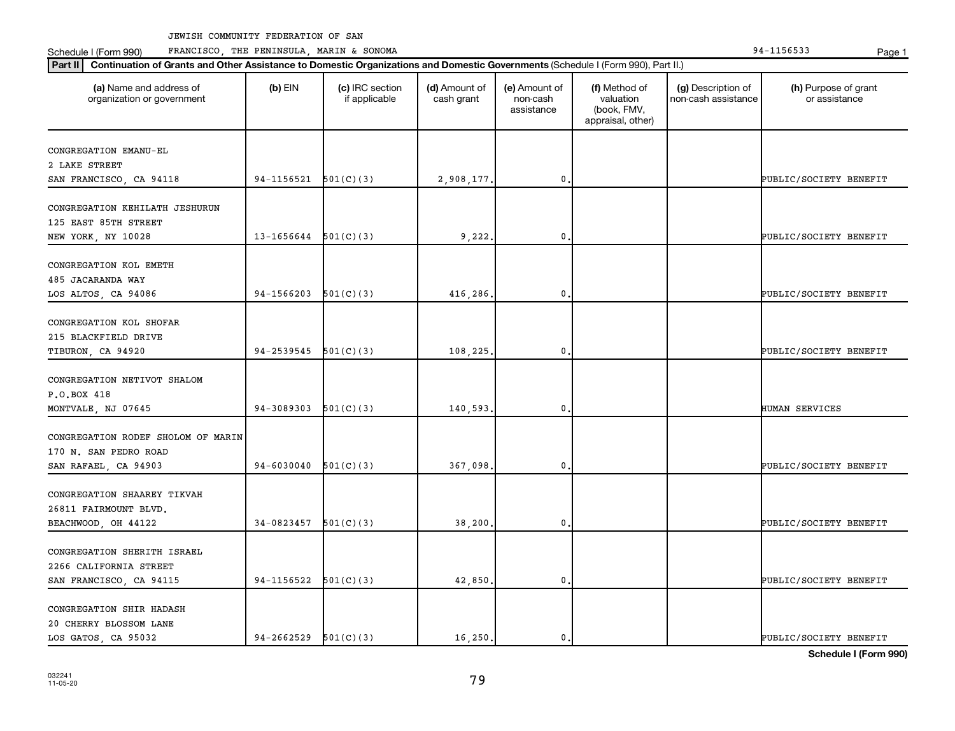Schedule I (Form 990) PRANCISCO, THE PENINSULA, MARIN & SONOMA Page 1 (Form 194-1156533 Page 1

| Part II   Continuation of Grants and Other Assistance to Domestic Organizations and Domestic Governments (Schedule I (Form 990), Part II.) |                |                                  |                             |                                         |                                                                |                                           |                                       |
|--------------------------------------------------------------------------------------------------------------------------------------------|----------------|----------------------------------|-----------------------------|-----------------------------------------|----------------------------------------------------------------|-------------------------------------------|---------------------------------------|
| (a) Name and address of<br>organization or government                                                                                      | $(b)$ EIN      | (c) IRC section<br>if applicable | (d) Amount of<br>cash grant | (e) Amount of<br>non-cash<br>assistance | (f) Method of<br>valuation<br>(book, FMV,<br>appraisal, other) | (g) Description of<br>non-cash assistance | (h) Purpose of grant<br>or assistance |
| CONGREGATION EMANU-EL                                                                                                                      |                |                                  |                             |                                         |                                                                |                                           |                                       |
| 2 LAKE STREET                                                                                                                              |                |                                  |                             |                                         |                                                                |                                           |                                       |
| SAN FRANCISCO, CA 94118                                                                                                                    | 94-1156521     | 501(C)(3)                        | 2,908,177.                  | $\mathbf 0$                             |                                                                |                                           | PUBLIC/SOCIETY BENEFIT                |
|                                                                                                                                            |                |                                  |                             |                                         |                                                                |                                           |                                       |
| CONGREGATION KEHILATH JESHURUN                                                                                                             |                |                                  |                             |                                         |                                                                |                                           |                                       |
| 125 EAST 85TH STREET                                                                                                                       |                |                                  |                             |                                         |                                                                |                                           |                                       |
| NEW YORK, NY 10028                                                                                                                         | 13-1656644     | 501(C)(3)                        | 9,222                       | 0                                       |                                                                |                                           | PUBLIC/SOCIETY BENEFIT                |
|                                                                                                                                            |                |                                  |                             |                                         |                                                                |                                           |                                       |
| CONGREGATION KOL EMETH                                                                                                                     |                |                                  |                             |                                         |                                                                |                                           |                                       |
| 485 JACARANDA WAY                                                                                                                          |                |                                  |                             |                                         |                                                                |                                           |                                       |
| LOS ALTOS, CA 94086                                                                                                                        | 94-1566203     | 501(C)(3)                        | 416,286.                    | 0                                       |                                                                |                                           | PUBLIC/SOCIETY BENEFIT                |
| CONGREGATION KOL SHOFAR                                                                                                                    |                |                                  |                             |                                         |                                                                |                                           |                                       |
| 215 BLACKFIELD DRIVE                                                                                                                       |                |                                  |                             |                                         |                                                                |                                           |                                       |
| TIBURON, CA 94920                                                                                                                          | 94-2539545     | 501(C)(3)                        | 108,225                     | $\mathbf{0}$                            |                                                                |                                           | PUBLIC/SOCIETY BENEFIT                |
|                                                                                                                                            |                |                                  |                             |                                         |                                                                |                                           |                                       |
| CONGREGATION NETIVOT SHALOM                                                                                                                |                |                                  |                             |                                         |                                                                |                                           |                                       |
| P.O.BOX 418                                                                                                                                |                |                                  |                             |                                         |                                                                |                                           |                                       |
| MONTVALE, NJ 07645                                                                                                                         | 94-3089303     | 501(C)(3)                        | 140,593.                    | 0                                       |                                                                |                                           | HUMAN SERVICES                        |
|                                                                                                                                            |                |                                  |                             |                                         |                                                                |                                           |                                       |
| CONGREGATION RODEF SHOLOM OF MARIN                                                                                                         |                |                                  |                             |                                         |                                                                |                                           |                                       |
| 170 N. SAN PEDRO ROAD                                                                                                                      |                |                                  |                             |                                         |                                                                |                                           |                                       |
| SAN RAFAEL, CA 94903                                                                                                                       | $94 - 6030040$ | 501(C)(3)                        | 367,098                     | $\pmb{0}$                               |                                                                |                                           | PUBLIC/SOCIETY BENEFIT                |
|                                                                                                                                            |                |                                  |                             |                                         |                                                                |                                           |                                       |
| CONGREGATION SHAAREY TIKVAH                                                                                                                |                |                                  |                             |                                         |                                                                |                                           |                                       |
| 26811 FAIRMOUNT BLVD.                                                                                                                      |                |                                  |                             |                                         |                                                                |                                           |                                       |
| BEACHWOOD, OH 44122                                                                                                                        | 34-0823457     | 501(C)(3)                        | 38,200                      | $\mathbf 0$                             |                                                                |                                           | PUBLIC/SOCIETY BENEFIT                |
| CONGREGATION SHERITH ISRAEL                                                                                                                |                |                                  |                             |                                         |                                                                |                                           |                                       |
| 2266 CALIFORNIA STREET                                                                                                                     |                |                                  |                             |                                         |                                                                |                                           |                                       |
| SAN FRANCISCO, CA 94115                                                                                                                    | 94-1156522     | 501(C)(3)                        | 42,850                      | $\mathbf{0}$                            |                                                                |                                           | PUBLIC/SOCIETY BENEFIT                |
|                                                                                                                                            |                |                                  |                             |                                         |                                                                |                                           |                                       |
| CONGREGATION SHIR HADASH                                                                                                                   |                |                                  |                             |                                         |                                                                |                                           |                                       |
| 20 CHERRY BLOSSOM LANE                                                                                                                     |                |                                  |                             |                                         |                                                                |                                           |                                       |
| LOS GATOS, CA 95032                                                                                                                        | 94-2662529     | 501(C)(3)                        | 16,250.                     | $\mathbf 0$ .                           |                                                                |                                           | PUBLIC/SOCIETY BENEFIT                |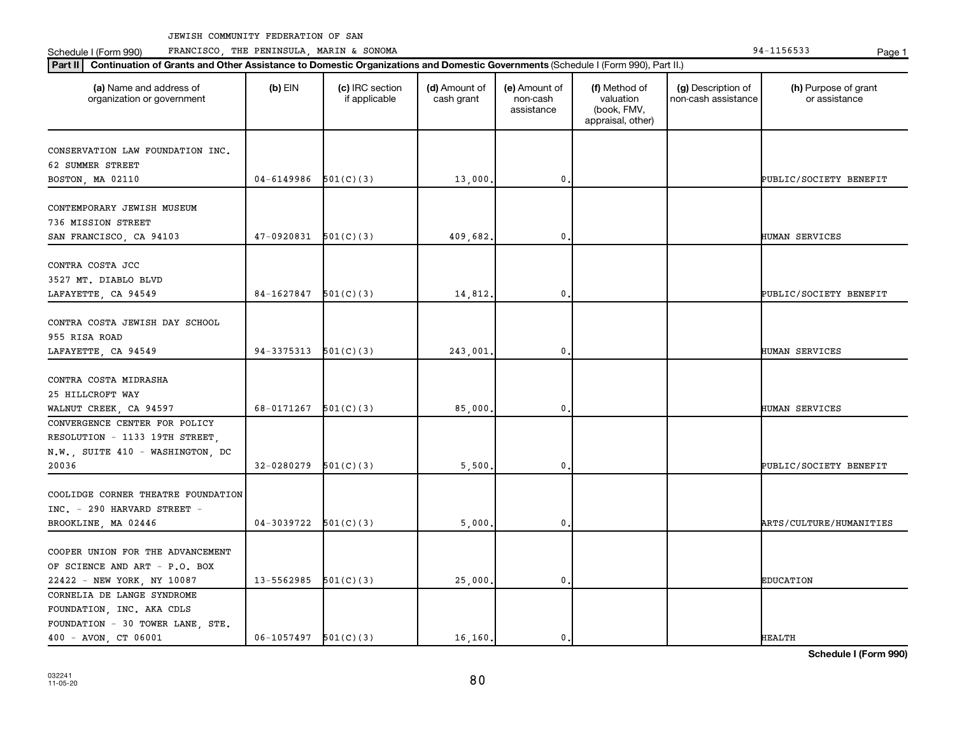Schedule I (Form 990) PRANCISCO, THE PENINSULA, MARIN & SONOMA Page 1 (Form 194-1156533 Page 1

organization or government

CONSERVATION LAW FOUNDATION INC.

CONTEMPORARY JEWISH MUSEUM

62 SUMMER STREET

736 MISSION STREET

CONTRA COSTA JCC 3527 MT. DIABLO BLVD

COOPER UNION FOR THE ADVANCEMENT OF SCIENCE AND ART - P.O. BOX

CORNELIA DE LANGE SYNDROME FOUNDATION, INC. AKA CDLS FOUNDATION - 30 TOWER LANE, STE.

032241  $11-05-20$  **Schedule I (Form 990)**

| LAFAYETTE, CA 94549                | 84-1627847 | 501(C)(3) | 14,812.  | 0. |  | PUBLIC/SOCIETY BENEFIT  |
|------------------------------------|------------|-----------|----------|----|--|-------------------------|
|                                    |            |           |          |    |  |                         |
| CONTRA COSTA JEWISH DAY SCHOOL     |            |           |          |    |  |                         |
| 955 RISA ROAD                      |            |           |          |    |  |                         |
| LAFAYETTE, CA 94549                | 94-3375313 | 501(C)(3) | 243,001. | 0. |  | HUMAN SERVICES          |
|                                    |            |           |          |    |  |                         |
| CONTRA COSTA MIDRASHA              |            |           |          |    |  |                         |
| 25 HILLCROFT WAY                   |            |           |          |    |  |                         |
| WALNUT CREEK, CA 94597             | 68-0171267 | 501(C)(3) | 85,000.  | 0. |  | HUMAN SERVICES          |
| CONVERGENCE CENTER FOR POLICY      |            |           |          |    |  |                         |
| RESOLUTION - 1133 19TH STREET,     |            |           |          |    |  |                         |
| N.W., SUITE 410 - WASHINGTON, DC   |            |           |          |    |  |                         |
| 20036                              | 32-0280279 | 501(C)(3) | 5,500.   | 0. |  | PUBLIC/SOCIETY BENEFIT  |
|                                    |            |           |          |    |  |                         |
| COOLIDGE CORNER THEATRE FOUNDATION |            |           |          |    |  |                         |
| $INC. - 290$ HARVARD STREET -      |            |           |          |    |  |                         |
| BROOKLINE, MA 02446                | 04-3039722 | 501(C)(3) | 5,000.   | 0. |  | ARTS/CULTURE/HUMANITIES |

22422 - NEW YORK, NY 10087 | 13-5562985 501(C)(3) | 25,000. 0. 0. | EDUCATION

400 - AVON, CT 06001 | 06-1057497 501(C)(3) | 16,160. 0. 0. | | | | HEALTH

80

**Part II Continuation of Grants and Other Assistance to Domestic Organizations and Domestic Governments**  (Schedule I (Form 990), Part II.)

if applicable

 $(b)$  EIN  $(c)$  IRC section

**(a) (b) (c) (d) (e) (f) (g) (h)** Name and address of

SAN FRANCISCO, CA 94103 47-0920831 501(C)(3) 409,682. 0. 680.

(d) Amount of cash grant

BOSTON, MA 02110  $04-6149986$   $501(C)(3)$  13,000. 0. 0.

(e) Amount of non-cash assistance

(f) Method of valuation (book, FMV, appraisal, other)

(h) Purpose of grant or assistance

(g) Description of non-cash assistance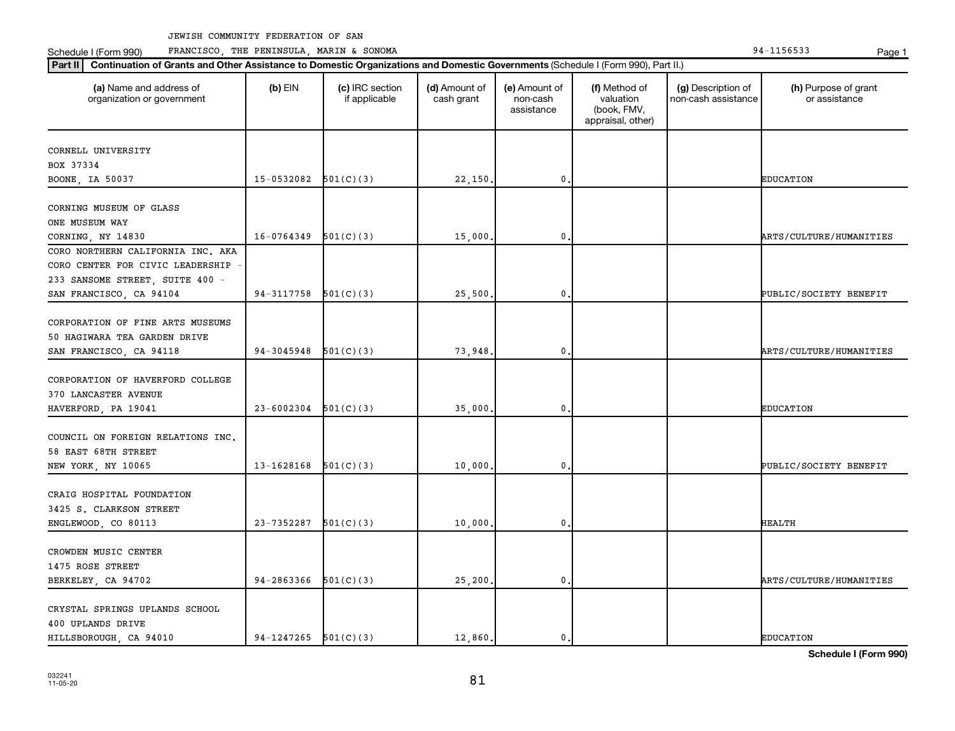Schedule I (Form 990) PRANCISCO, THE PENINSULA, MARIN & SONOMA Page 1 (Form 194-1156533 Page 1

| (a) Name and address of<br>organization or government | $(b)$ EIN                | (c) IRC section<br>if applicable | (d) Amount of<br>cash grant | (e) Amount of<br>non-cash<br>assistance | (f) Method of<br>valuation<br>(book, FMV,<br>appraisal, other) | (g) Description of<br>non-cash assistance | (h) Purpose of grant<br>or assistance |
|-------------------------------------------------------|--------------------------|----------------------------------|-----------------------------|-----------------------------------------|----------------------------------------------------------------|-------------------------------------------|---------------------------------------|
| CORNELL UNIVERSITY                                    |                          |                                  |                             |                                         |                                                                |                                           |                                       |
| BOX 37334                                             |                          |                                  |                             |                                         |                                                                |                                           |                                       |
| BOONE, IA 50037                                       | 15-0532082               | 501(C)(3)                        | 22,150.                     | $\mathbf 0$ .                           |                                                                |                                           | <b>EDUCATION</b>                      |
| CORNING MUSEUM OF GLASS                               |                          |                                  |                             |                                         |                                                                |                                           |                                       |
| ONE MUSEUM WAY                                        |                          |                                  |                             |                                         |                                                                |                                           |                                       |
| CORNING, NY 14830                                     | 16-0764349               | 501(C)(3)                        | 15,000.                     | 0                                       |                                                                |                                           | ARTS/CULTURE/HUMANITIES               |
| CORO NORTHERN CALIFORNIA INC. AKA                     |                          |                                  |                             |                                         |                                                                |                                           |                                       |
| CORO CENTER FOR CIVIC LEADERSHIP                      |                          |                                  |                             |                                         |                                                                |                                           |                                       |
| 233 SANSOME STREET, SUITE 400 -                       |                          |                                  |                             |                                         |                                                                |                                           |                                       |
| SAN FRANCISCO, CA 94104                               | 94-3117758               | 501(C)(3)                        | 25,500                      | 0.                                      |                                                                |                                           | PUBLIC/SOCIETY BENEFIT                |
|                                                       |                          |                                  |                             |                                         |                                                                |                                           |                                       |
| CORPORATION OF FINE ARTS MUSEUMS                      |                          |                                  |                             |                                         |                                                                |                                           |                                       |
| 50 HAGIWARA TEA GARDEN DRIVE                          |                          |                                  |                             |                                         |                                                                |                                           |                                       |
| SAN FRANCISCO, CA 94118                               | 94-3045948               | 501(C)(3)                        | 73,948                      | $\mathbf 0$                             |                                                                |                                           | <b>ARTS/CULTURE/HUMANITIES</b>        |
| CORPORATION OF HAVERFORD COLLEGE                      |                          |                                  |                             |                                         |                                                                |                                           |                                       |
| 370 LANCASTER AVENUE                                  |                          |                                  |                             |                                         |                                                                |                                           |                                       |
| HAVERFORD, PA 19041                                   | 23-6002304               | 501(C)(3)                        | 35,000                      | 0.                                      |                                                                |                                           | <b>EDUCATION</b>                      |
|                                                       |                          |                                  |                             |                                         |                                                                |                                           |                                       |
| COUNCIL ON FOREIGN RELATIONS INC.                     |                          |                                  |                             |                                         |                                                                |                                           |                                       |
| 58 EAST 68TH STREET                                   |                          |                                  |                             |                                         |                                                                |                                           |                                       |
| NEW YORK, NY 10065                                    | 13-1628168               | 501(C)(3)                        | 10,000                      | 0                                       |                                                                |                                           | PUBLIC/SOCIETY BENEFIT                |
|                                                       |                          |                                  |                             |                                         |                                                                |                                           |                                       |
| CRAIG HOSPITAL FOUNDATION                             |                          |                                  |                             |                                         |                                                                |                                           |                                       |
| 3425 S. CLARKSON STREET                               |                          |                                  |                             |                                         |                                                                |                                           |                                       |
| ENGLEWOOD, CO 80113                                   | 23-7352287               | 501(C)(3)                        | 10,000                      | 0.                                      |                                                                |                                           | HEALTH                                |
|                                                       |                          |                                  |                             |                                         |                                                                |                                           |                                       |
| CROWDEN MUSIC CENTER                                  |                          |                                  |                             |                                         |                                                                |                                           |                                       |
| 1475 ROSE STREET                                      |                          |                                  |                             |                                         |                                                                |                                           |                                       |
| BERKELEY, CA 94702                                    | 94-2863366               | 501(C)(3)                        | 25, 200.                    | 0.                                      |                                                                |                                           | ARTS/CULTURE/HUMANITIES               |
| CRYSTAL SPRINGS UPLANDS SCHOOL                        |                          |                                  |                             |                                         |                                                                |                                           |                                       |
| 400 UPLANDS DRIVE                                     |                          |                                  |                             |                                         |                                                                |                                           |                                       |
| HILLSBOROUGH, CA 94010                                | $94-1247265$ $501(C)(3)$ |                                  | 12,860.                     | $\mathbf{0}$ .                          |                                                                |                                           | <b>EDUCATION</b>                      |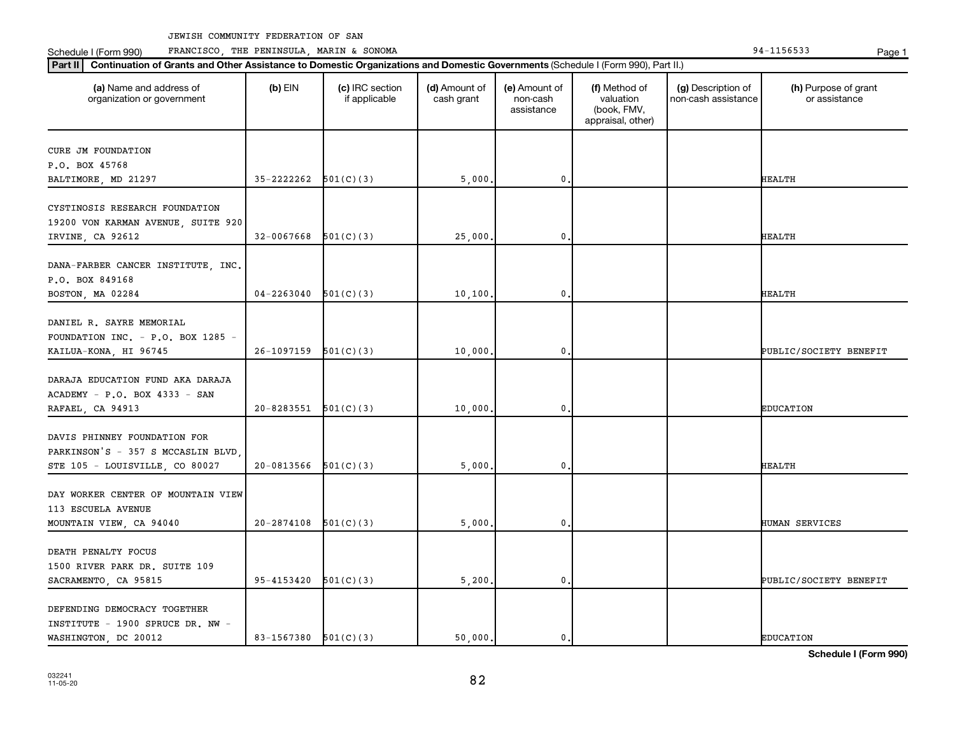Schedule I (Form 990) PRANCISCO, THE PENINSULA, MARIN & SONOMA Page 1 (Form 194-1156533 Page 1

| (a) Name and address of<br>organization or government                                               | $(b)$ EIN      | (c) IRC section<br>if applicable | (d) Amount of<br>cash grant | (e) Amount of<br>non-cash<br>assistance | (f) Method of<br>valuation<br>(book, FMV,<br>appraisal, other) | (g) Description of<br>non-cash assistance | (h) Purpose of grant<br>or assistance |
|-----------------------------------------------------------------------------------------------------|----------------|----------------------------------|-----------------------------|-----------------------------------------|----------------------------------------------------------------|-------------------------------------------|---------------------------------------|
| CURE JM FOUNDATION                                                                                  |                |                                  |                             |                                         |                                                                |                                           |                                       |
| P.O. BOX 45768                                                                                      |                |                                  |                             |                                         |                                                                |                                           |                                       |
| BALTIMORE, MD 21297                                                                                 | 35-2222262     | 501(C)(3)                        | 5,000                       | 0                                       |                                                                |                                           | <b>HEALTH</b>                         |
| CYSTINOSIS RESEARCH FOUNDATION<br>19200 VON KARMAN AVENUE, SUITE 920<br>IRVINE, CA 92612            | 32-0067668     | 501(C)(3)                        | 25,000                      | 0                                       |                                                                |                                           | <b>HEALTH</b>                         |
| DANA-FARBER CANCER INSTITUTE, INC.<br>P.O. BOX 849168<br>BOSTON, MA 02284                           | $04 - 2263040$ | 501(C)(3)                        | 10, 100                     | 0                                       |                                                                |                                           | HEALTH                                |
| DANIEL R. SAYRE MEMORIAL<br>FOUNDATION INC. - P.O. BOX 1285 -<br>KAILUA-KONA, HI 96745              | 26-1097159     | 501(C)(3)                        | 10,000                      | 0                                       |                                                                |                                           | PUBLIC/SOCIETY BENEFIT                |
| DARAJA EDUCATION FUND AKA DARAJA<br>ACADEMY - P.O. BOX 4333 - SAN<br>RAFAEL, CA 94913               | 20-8283551     | 501(C)(3)                        | 10,000                      | 0                                       |                                                                |                                           | <b>EDUCATION</b>                      |
| DAVIS PHINNEY FOUNDATION FOR<br>PARKINSON'S - 357 S MCCASLIN BLVD<br>STE 105 - LOUISVILLE, CO 80027 | 20-0813566     | 501(C)(3)                        | 5,000                       | 0                                       |                                                                |                                           | <b>HEALTH</b>                         |
| DAY WORKER CENTER OF MOUNTAIN VIEW<br>113 ESCUELA AVENUE<br>MOUNTAIN VIEW, CA 94040                 | 20-2874108     | 501(C)(3)                        | 5,000                       | $\mathbf 0$                             |                                                                |                                           | HUMAN SERVICES                        |
| DEATH PENALTY FOCUS<br>1500 RIVER PARK DR. SUITE 109<br>SACRAMENTO, CA 95815                        | 95-4153420     | 501(C)(3)                        | 5,200.                      | 0                                       |                                                                |                                           | PUBLIC/SOCIETY BENEFIT                |
| DEFENDING DEMOCRACY TOGETHER<br>INSTITUTE - 1900 SPRUCE DR. NW -<br>WASHINGTON, DC 20012            | 83-1567380     | 501(C)(3)                        | 50,000.                     | 0.                                      |                                                                |                                           | <b>EDUCATION</b>                      |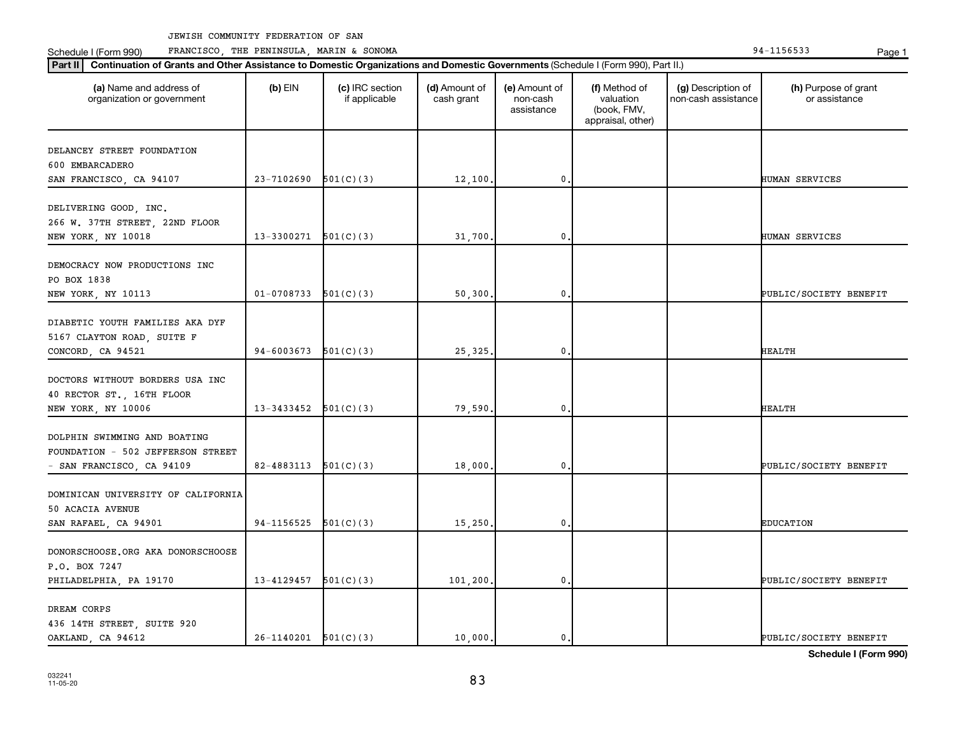Schedule I (Form 990) PRANCISCO, THE PENINSULA, MARIN & SONOMA Page 1 (Form 194-1156533 Page 1

| (a) Name and address of<br>organization or government | $(b)$ EIN                  | (c) IRC section<br>if applicable | (d) Amount of<br>cash grant | (e) Amount of<br>non-cash<br>assistance | (f) Method of<br>valuation<br>(book, FMV,<br>appraisal, other) | (g) Description of<br>non-cash assistance | (h) Purpose of grant<br>or assistance |
|-------------------------------------------------------|----------------------------|----------------------------------|-----------------------------|-----------------------------------------|----------------------------------------------------------------|-------------------------------------------|---------------------------------------|
| DELANCEY STREET FOUNDATION                            |                            |                                  |                             |                                         |                                                                |                                           |                                       |
| 600 EMBARCADERO                                       |                            |                                  |                             |                                         |                                                                |                                           |                                       |
| SAN FRANCISCO, CA 94107                               | 23-7102690                 | 501(C)(3)                        | 12,100.                     | $\mathbf 0$                             |                                                                |                                           | HUMAN SERVICES                        |
|                                                       |                            |                                  |                             |                                         |                                                                |                                           |                                       |
| DELIVERING GOOD, INC.                                 |                            |                                  |                             |                                         |                                                                |                                           |                                       |
| 266 W. 37TH STREET, 22ND FLOOR                        |                            |                                  |                             |                                         |                                                                |                                           |                                       |
| NEW YORK, NY 10018                                    | 13-3300271                 | 501(C)(3)                        | 31,700                      | 0                                       |                                                                |                                           | <b>HUMAN SERVICES</b>                 |
| DEMOCRACY NOW PRODUCTIONS INC                         |                            |                                  |                             |                                         |                                                                |                                           |                                       |
| PO BOX 1838                                           |                            |                                  |                             |                                         |                                                                |                                           |                                       |
| NEW YORK, NY 10113                                    | $01-0708733$ $501(C)(3)$   |                                  | 50, 300.                    | $\mathbf{0}$                            |                                                                |                                           | PUBLIC/SOCIETY BENEFIT                |
|                                                       |                            |                                  |                             |                                         |                                                                |                                           |                                       |
| DIABETIC YOUTH FAMILIES AKA DYF                       |                            |                                  |                             |                                         |                                                                |                                           |                                       |
| 5167 CLAYTON ROAD, SUITE F                            |                            |                                  |                             |                                         |                                                                |                                           |                                       |
| CONCORD, CA 94521                                     | 94-6003673                 | 501(C)(3)                        | 25,325,                     | $\mathbf 0$                             |                                                                |                                           | <b>HEALTH</b>                         |
|                                                       |                            |                                  |                             |                                         |                                                                |                                           |                                       |
| DOCTORS WITHOUT BORDERS USA INC                       |                            |                                  |                             |                                         |                                                                |                                           |                                       |
| 40 RECTOR ST., 16TH FLOOR                             |                            |                                  |                             |                                         |                                                                |                                           |                                       |
| NEW YORK, NY 10006                                    | 13-3433452                 | 501(C)(3)                        | 79,590.                     | $\mathbf{0}$                            |                                                                |                                           | <b>HEALTH</b>                         |
|                                                       |                            |                                  |                             |                                         |                                                                |                                           |                                       |
| DOLPHIN SWIMMING AND BOATING                          |                            |                                  |                             |                                         |                                                                |                                           |                                       |
| FOUNDATION - 502 JEFFERSON STREET                     |                            |                                  |                             |                                         |                                                                |                                           |                                       |
| - SAN FRANCISCO, CA 94109                             | 82-4883113                 | 501(C)(3)                        | 18,000                      | 0                                       |                                                                |                                           | PUBLIC/SOCIETY BENEFIT                |
| DOMINICAN UNIVERSITY OF CALIFORNIA                    |                            |                                  |                             |                                         |                                                                |                                           |                                       |
| 50 ACACIA AVENUE                                      |                            |                                  |                             |                                         |                                                                |                                           |                                       |
| SAN RAFAEL, CA 94901                                  | 94-1156525                 | 501(C)(3)                        | 15,250                      | 0.                                      |                                                                |                                           | <b>EDUCATION</b>                      |
|                                                       |                            |                                  |                             |                                         |                                                                |                                           |                                       |
| DONORSCHOOSE.ORG AKA DONORSCHOOSE                     |                            |                                  |                             |                                         |                                                                |                                           |                                       |
| P.O. BOX 7247                                         |                            |                                  |                             |                                         |                                                                |                                           |                                       |
| PHILADELPHIA, PA 19170                                | $13 - 4129457$ $501(C)(3)$ |                                  | 101,200.                    | 0.                                      |                                                                |                                           | PUBLIC/SOCIETY BENEFIT                |
|                                                       |                            |                                  |                             |                                         |                                                                |                                           |                                       |
| DREAM CORPS                                           |                            |                                  |                             |                                         |                                                                |                                           |                                       |
| 436 14TH STREET, SUITE 920                            |                            |                                  |                             |                                         |                                                                |                                           |                                       |
| OAKLAND, CA 94612                                     | $26-1140201$ $501(C)(3)$   |                                  | 10,000.                     | $\mathbf{0}$ .                          |                                                                |                                           | PUBLIC/SOCIETY BENEFIT                |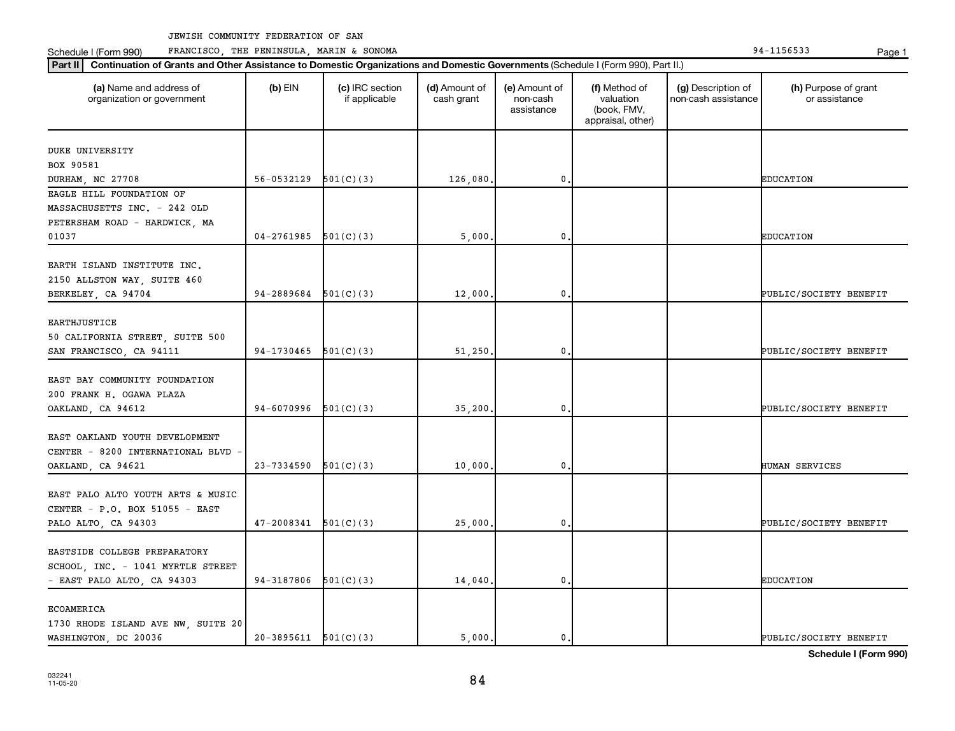Schedule I (Form 990) PRANCISCO, THE PENINSULA, MARIN & SONOMA Page 1 (Form 194-1156533 Page 1

| (a) Name and address of<br>organization or government                                   | $(b)$ EIN                  | (c) IRC section<br>if applicable | (d) Amount of<br>cash grant | (e) Amount of<br>non-cash<br>assistance | (f) Method of<br>valuation<br>(book, FMV,<br>appraisal, other) | (g) Description of<br>non-cash assistance | (h) Purpose of grant<br>or assistance |
|-----------------------------------------------------------------------------------------|----------------------------|----------------------------------|-----------------------------|-----------------------------------------|----------------------------------------------------------------|-------------------------------------------|---------------------------------------|
| DUKE UNIVERSITY                                                                         |                            |                                  |                             |                                         |                                                                |                                           |                                       |
| BOX 90581                                                                               |                            |                                  |                             |                                         |                                                                |                                           |                                       |
| DURHAM, NC 27708                                                                        | 56-0532129                 | 501(C)(3)                        | 126,080.                    | $\mathbf 0$ .                           |                                                                |                                           | <b>EDUCATION</b>                      |
| EAGLE HILL FOUNDATION OF                                                                |                            |                                  |                             |                                         |                                                                |                                           |                                       |
| MASSACHUSETTS INC. - 242 OLD                                                            |                            |                                  |                             |                                         |                                                                |                                           |                                       |
| PETERSHAM ROAD - HARDWICK, MA                                                           |                            |                                  |                             |                                         |                                                                |                                           |                                       |
| 01037                                                                                   | 04-2761985                 | 501(C)(3)                        | 5,000                       | 0                                       |                                                                |                                           | <b>EDUCATION</b>                      |
| EARTH ISLAND INSTITUTE INC.<br>2150 ALLSTON WAY, SUITE 460<br>BERKELEY, CA 94704        | $94-2889684$ $501(C)(3)$   |                                  | 12,000.                     | $\mathbf{0}$                            |                                                                |                                           | PUBLIC/SOCIETY BENEFIT                |
|                                                                                         |                            |                                  |                             |                                         |                                                                |                                           |                                       |
| EARTHJUSTICE                                                                            |                            |                                  |                             |                                         |                                                                |                                           |                                       |
| 50 CALIFORNIA STREET, SUITE 500                                                         |                            |                                  |                             |                                         |                                                                |                                           |                                       |
| SAN FRANCISCO, CA 94111                                                                 | $94-1730465$ $501(C)(3)$   |                                  | 51,250.                     | $\mathbf 0$                             |                                                                |                                           | PUBLIC/SOCIETY BENEFIT                |
| EAST BAY COMMUNITY FOUNDATION<br>200 FRANK H. OGAWA PLAZA<br>OAKLAND, CA 94612          | 94-6070996                 | 501(C)(3)                        | 35,200.                     | $\mathfrak o$ .                         |                                                                |                                           | PUBLIC/SOCIETY BENEFIT                |
|                                                                                         |                            |                                  |                             |                                         |                                                                |                                           |                                       |
| EAST OAKLAND YOUTH DEVELOPMENT<br>CENTER - 8200 INTERNATIONAL BLVD<br>OAKLAND, CA 94621 | 23-7334590                 | 501(C)(3)                        | 10,000.                     | 0                                       |                                                                |                                           | HUMAN SERVICES                        |
|                                                                                         |                            |                                  |                             |                                         |                                                                |                                           |                                       |
| EAST PALO ALTO YOUTH ARTS & MUSIC                                                       |                            |                                  |                             |                                         |                                                                |                                           |                                       |
| CENTER - P.O. BOX 51055 - EAST                                                          |                            |                                  |                             |                                         |                                                                |                                           |                                       |
| PALO ALTO, CA 94303                                                                     | $47 - 2008341$ $501(C)(3)$ |                                  | 25,000.                     | $\mathbf{0}$                            |                                                                |                                           | PUBLIC/SOCIETY BENEFIT                |
|                                                                                         |                            |                                  |                             |                                         |                                                                |                                           |                                       |
| EASTSIDE COLLEGE PREPARATORY                                                            |                            |                                  |                             |                                         |                                                                |                                           |                                       |
| SCHOOL, INC. - 1041 MYRTLE STREET                                                       | 94-3187806                 | 501(C)(3)                        |                             | $\mathbf 0$                             |                                                                |                                           | <b>EDUCATION</b>                      |
| - EAST PALO ALTO, CA 94303                                                              |                            |                                  | 14,040.                     |                                         |                                                                |                                           |                                       |
| ECOAMERICA                                                                              |                            |                                  |                             |                                         |                                                                |                                           |                                       |
| 1730 RHODE ISLAND AVE NW, SUITE 20                                                      |                            |                                  |                             |                                         |                                                                |                                           |                                       |
| WASHINGTON, DC 20036                                                                    | $20-3895611$ $501(C)(3)$   |                                  | 5.000.                      | $\mathbf{0}$ .                          |                                                                |                                           | PUBLIC/SOCIETY BENEFIT                |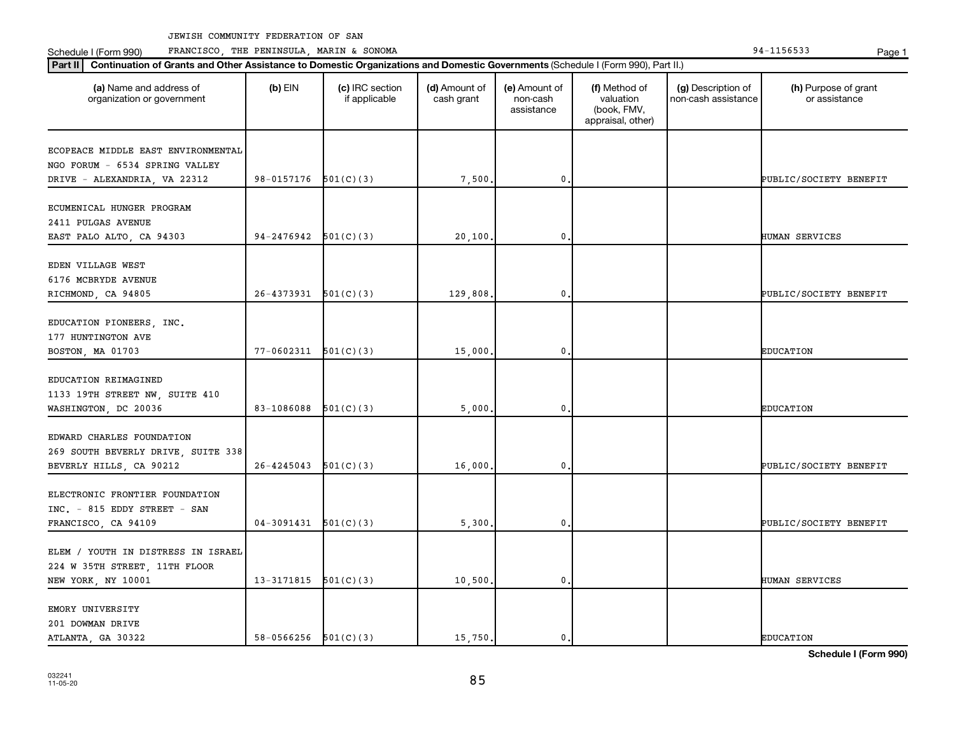Schedule I (Form 990) PRANCISCO, THE PENINSULA, MARIN & SONOMA Page 1 (Form 194-1156533 Page 1

| (a) Name and address of<br>organization or government  | $(b)$ EIN                  | (c) IRC section<br>if applicable | (d) Amount of<br>cash grant | (e) Amount of<br>non-cash<br>assistance | (f) Method of<br>valuation<br>(book, FMV,<br>appraisal, other) | (g) Description of<br>non-cash assistance | (h) Purpose of grant<br>or assistance |
|--------------------------------------------------------|----------------------------|----------------------------------|-----------------------------|-----------------------------------------|----------------------------------------------------------------|-------------------------------------------|---------------------------------------|
| ECOPEACE MIDDLE EAST ENVIRONMENTAL                     |                            |                                  |                             |                                         |                                                                |                                           |                                       |
| NGO FORUM - 6534 SPRING VALLEY                         |                            |                                  |                             |                                         |                                                                |                                           |                                       |
| DRIVE - ALEXANDRIA, VA 22312                           | $98-0157176$ $501(C)(3)$   |                                  | 7,500                       | 0,                                      |                                                                |                                           | PUBLIC/SOCIETY BENEFIT                |
| ECUMENICAL HUNGER PROGRAM                              |                            |                                  |                             |                                         |                                                                |                                           |                                       |
| 2411 PULGAS AVENUE                                     |                            |                                  |                             |                                         |                                                                |                                           |                                       |
| EAST PALO ALTO, CA 94303                               | 94-2476942                 | 501(C)(3)                        | 20,100                      | $\mathbf 0$                             |                                                                |                                           | HUMAN SERVICES                        |
|                                                        |                            |                                  |                             |                                         |                                                                |                                           |                                       |
| EDEN VILLAGE WEST                                      |                            |                                  |                             |                                         |                                                                |                                           |                                       |
| 6176 MCBRYDE AVENUE                                    |                            |                                  |                             | 0.                                      |                                                                |                                           |                                       |
| RICHMOND, CA 94805                                     | $26-4373931$ $501(C)(3)$   |                                  | 129,808                     |                                         |                                                                |                                           | PUBLIC/SOCIETY BENEFIT                |
| EDUCATION PIONEERS, INC.                               |                            |                                  |                             |                                         |                                                                |                                           |                                       |
| 177 HUNTINGTON AVE                                     |                            |                                  |                             |                                         |                                                                |                                           |                                       |
| BOSTON, MA 01703                                       | $77 - 0602311$ $501(C)(3)$ |                                  | 15,000                      | $\mathbf 0$                             |                                                                |                                           | <b>EDUCATION</b>                      |
|                                                        |                            |                                  |                             |                                         |                                                                |                                           |                                       |
| EDUCATION REIMAGINED                                   |                            |                                  |                             |                                         |                                                                |                                           |                                       |
| 1133 19TH STREET NW, SUITE 410<br>WASHINGTON, DC 20036 | 83-1086088                 | 501(C)(3)                        | 5,000                       | $\mathbf 0$                             |                                                                |                                           | <b>EDUCATION</b>                      |
|                                                        |                            |                                  |                             |                                         |                                                                |                                           |                                       |
| EDWARD CHARLES FOUNDATION                              |                            |                                  |                             |                                         |                                                                |                                           |                                       |
| 269 SOUTH BEVERLY DRIVE, SUITE 338                     |                            |                                  |                             |                                         |                                                                |                                           |                                       |
| BEVERLY HILLS, CA 90212                                | 26-4245043                 | 501(C)(3)                        | 16,000                      | $\mathbf 0$                             |                                                                |                                           | PUBLIC/SOCIETY BENEFIT                |
|                                                        |                            |                                  |                             |                                         |                                                                |                                           |                                       |
| ELECTRONIC FRONTIER FOUNDATION                         |                            |                                  |                             |                                         |                                                                |                                           |                                       |
| INC. - 815 EDDY STREET - SAN                           | $04-3091431$ $501(C)(3)$   |                                  | 5,300                       | 0.                                      |                                                                |                                           | PUBLIC/SOCIETY BENEFIT                |
| FRANCISCO, CA 94109                                    |                            |                                  |                             |                                         |                                                                |                                           |                                       |
| ELEM / YOUTH IN DISTRESS IN ISRAEL                     |                            |                                  |                             |                                         |                                                                |                                           |                                       |
| 224 W 35TH STREET, 11TH FLOOR                          |                            |                                  |                             |                                         |                                                                |                                           |                                       |
| NEW YORK, NY 10001                                     | $13-3171815$ $501(C)(3)$   |                                  | 10,500.                     | $\mathbf 0$                             |                                                                |                                           | HUMAN SERVICES                        |
|                                                        |                            |                                  |                             |                                         |                                                                |                                           |                                       |
| EMORY UNIVERSITY                                       |                            |                                  |                             |                                         |                                                                |                                           |                                       |
| 201 DOWMAN DRIVE                                       |                            |                                  |                             |                                         |                                                                |                                           |                                       |
| ATLANTA, GA 30322                                      | $58-0566256$ $501(C)(3)$   |                                  | 15,750.                     | $\mathbf{0}$ .                          |                                                                |                                           | <b>EDUCATION</b>                      |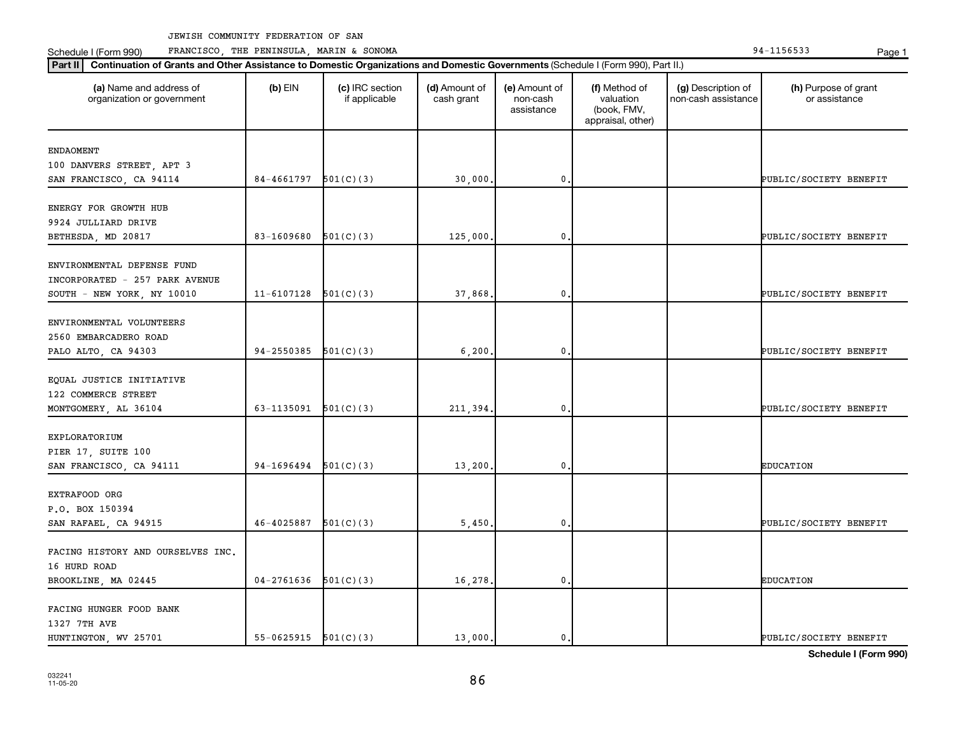Schedule I (Form 990) PRANCISCO, THE PENINSULA, MARIN & SONOMA Page 1 (Form 194-1156533 Page 1

| (a) Name and address of<br>organization or government | $(b)$ EIN                | (c) IRC section<br>if applicable | (d) Amount of<br>cash grant | (e) Amount of<br>non-cash<br>assistance | (f) Method of<br>valuation<br>(book, FMV,<br>appraisal, other) | (g) Description of<br>non-cash assistance | (h) Purpose of grant<br>or assistance |
|-------------------------------------------------------|--------------------------|----------------------------------|-----------------------------|-----------------------------------------|----------------------------------------------------------------|-------------------------------------------|---------------------------------------|
| <b>ENDAOMENT</b>                                      |                          |                                  |                             |                                         |                                                                |                                           |                                       |
| 100 DANVERS STREET, APT 3                             |                          |                                  |                             |                                         |                                                                |                                           |                                       |
| SAN FRANCISCO, CA 94114                               | 84-4661797               | 501(C)(3)                        | 30,000                      | $\mathbf{0}$                            |                                                                |                                           | PUBLIC/SOCIETY BENEFIT                |
|                                                       |                          |                                  |                             |                                         |                                                                |                                           |                                       |
| ENERGY FOR GROWTH HUB                                 |                          |                                  |                             |                                         |                                                                |                                           |                                       |
| 9924 JULLIARD DRIVE                                   |                          |                                  |                             |                                         |                                                                |                                           |                                       |
| BETHESDA, MD 20817                                    | 83-1609680               | 501(C)(3)                        | 125,000.                    | 0                                       |                                                                |                                           | PUBLIC/SOCIETY BENEFIT                |
|                                                       |                          |                                  |                             |                                         |                                                                |                                           |                                       |
| ENVIRONMENTAL DEFENSE FUND                            |                          |                                  |                             |                                         |                                                                |                                           |                                       |
| INCORPORATED - 257 PARK AVENUE                        |                          |                                  |                             |                                         |                                                                |                                           |                                       |
| SOUTH - NEW YORK, NY 10010                            | $11-6107128$ $501(C)(3)$ |                                  | 37,868.                     | $\mathbf{0}$                            |                                                                |                                           | PUBLIC/SOCIETY BENEFIT                |
|                                                       |                          |                                  |                             |                                         |                                                                |                                           |                                       |
| ENVIRONMENTAL VOLUNTEERS                              |                          |                                  |                             |                                         |                                                                |                                           |                                       |
| 2560 EMBARCADERO ROAD                                 |                          |                                  |                             |                                         |                                                                |                                           |                                       |
| PALO ALTO, CA 94303                                   | 94-2550385               | 501(C)(3)                        | 6,200.                      | $\mathbf{0}$                            |                                                                |                                           | PUBLIC/SOCIETY BENEFIT                |
| EQUAL JUSTICE INITIATIVE                              |                          |                                  |                             |                                         |                                                                |                                           |                                       |
| 122 COMMERCE STREET                                   |                          |                                  |                             |                                         |                                                                |                                           |                                       |
| MONTGOMERY, AL 36104                                  | 63-1135091               | 501(C)(3)                        | 211,394.                    | $\mathbf{0}$                            |                                                                |                                           | PUBLIC/SOCIETY BENEFIT                |
|                                                       |                          |                                  |                             |                                         |                                                                |                                           |                                       |
| EXPLORATORIUM                                         |                          |                                  |                             |                                         |                                                                |                                           |                                       |
| PIER 17, SUITE 100                                    |                          |                                  |                             |                                         |                                                                |                                           |                                       |
| SAN FRANCISCO, CA 94111                               | 94-1696494               | 501(C)(3)                        | 13,200.                     | 0                                       |                                                                |                                           | <b>EDUCATION</b>                      |
|                                                       |                          |                                  |                             |                                         |                                                                |                                           |                                       |
| EXTRAFOOD ORG                                         |                          |                                  |                             |                                         |                                                                |                                           |                                       |
| P.O. BOX 150394                                       |                          |                                  |                             |                                         |                                                                |                                           |                                       |
| SAN RAFAEL, CA 94915                                  | $46-4025887$ $501(C)(3)$ |                                  | 5,450                       | $\mathbf{0}$                            |                                                                |                                           | PUBLIC/SOCIETY BENEFIT                |
|                                                       |                          |                                  |                             |                                         |                                                                |                                           |                                       |
| FACING HISTORY AND OURSELVES INC.                     |                          |                                  |                             |                                         |                                                                |                                           |                                       |
| 16 HURD ROAD                                          |                          |                                  |                             |                                         |                                                                |                                           |                                       |
| BROOKLINE, MA 02445                                   | $04-2761636$ $501(C)(3)$ |                                  | 16,278.                     | $\mathbf{0}$                            |                                                                |                                           | <b>EDUCATION</b>                      |
|                                                       |                          |                                  |                             |                                         |                                                                |                                           |                                       |
| FACING HUNGER FOOD BANK                               |                          |                                  |                             |                                         |                                                                |                                           |                                       |
| 1327 7TH AVE                                          |                          |                                  |                             |                                         |                                                                |                                           |                                       |
| HUNTINGTON, WV 25701                                  | $55-0625915$ $501(C)(3)$ |                                  | 13,000.                     | $\mathbf{0}$ .                          |                                                                |                                           | PUBLIC/SOCIETY BENEFIT                |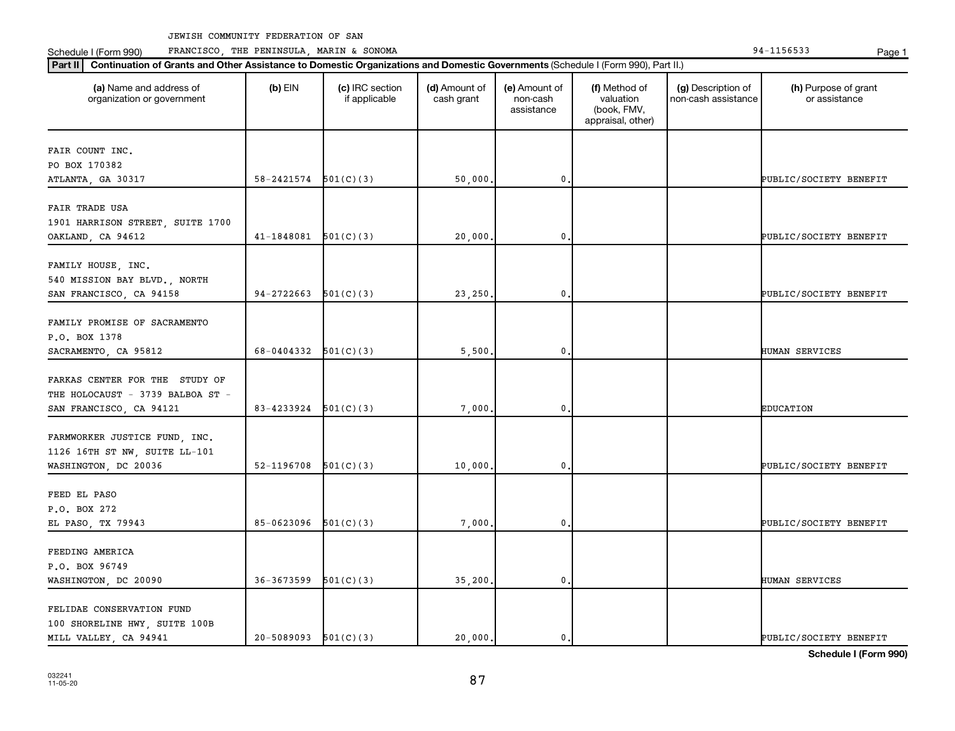Schedule I (Form 990) PRANCISCO, THE PENINSULA, MARIN & SONOMA Page 1 (Form 194-1156533 Page 1

| (a) Name and address of<br>organization or government              | $(b)$ EIN                  | (c) IRC section<br>if applicable | (d) Amount of<br>cash grant | (e) Amount of<br>non-cash<br>assistance | (f) Method of<br>valuation<br>(book, FMV,<br>appraisal, other) | (g) Description of<br>non-cash assistance | (h) Purpose of grant<br>or assistance |
|--------------------------------------------------------------------|----------------------------|----------------------------------|-----------------------------|-----------------------------------------|----------------------------------------------------------------|-------------------------------------------|---------------------------------------|
| FAIR COUNT INC.                                                    |                            |                                  |                             |                                         |                                                                |                                           |                                       |
| PO BOX 170382                                                      |                            |                                  |                             |                                         |                                                                |                                           |                                       |
| ATLANTA, GA 30317                                                  | $58 - 2421574$ $501(C)(3)$ |                                  | 50,000.                     | $\mathbf{0}$                            |                                                                |                                           | PUBLIC/SOCIETY BENEFIT                |
| FAIR TRADE USA                                                     |                            |                                  |                             |                                         |                                                                |                                           |                                       |
| 1901 HARRISON STREET, SUITE 1700                                   |                            |                                  |                             |                                         |                                                                |                                           |                                       |
| OAKLAND, CA 94612                                                  | 41-1848081                 | 501(C)(3)                        | 20,000                      | 0                                       |                                                                |                                           | PUBLIC/SOCIETY BENEFIT                |
| FAMILY HOUSE, INC.                                                 |                            |                                  |                             |                                         |                                                                |                                           |                                       |
| 540 MISSION BAY BLVD., NORTH                                       |                            |                                  |                             |                                         |                                                                |                                           |                                       |
| SAN FRANCISCO, CA 94158                                            | 94-2722663                 | 501(C)(3)                        | 23,250.                     | $\mathbf{0}$                            |                                                                |                                           | PUBLIC/SOCIETY BENEFIT                |
|                                                                    |                            |                                  |                             |                                         |                                                                |                                           |                                       |
| FAMILY PROMISE OF SACRAMENTO                                       |                            |                                  |                             |                                         |                                                                |                                           |                                       |
| P.O. BOX 1378                                                      |                            |                                  |                             |                                         |                                                                |                                           |                                       |
| SACRAMENTO, CA 95812                                               | 68-0404332                 | 501(C)(3)                        | 5,500                       | $\mathbf{0}$                            |                                                                |                                           | <b>HUMAN SERVICES</b>                 |
|                                                                    |                            |                                  |                             |                                         |                                                                |                                           |                                       |
| FARKAS CENTER FOR THE STUDY OF<br>THE HOLOCAUST - 3739 BALBOA ST - |                            |                                  |                             |                                         |                                                                |                                           |                                       |
| SAN FRANCISCO, CA 94121                                            | 83-4233924                 | 501(C)(3)                        | 7,000                       | $\mathbf 0$                             |                                                                |                                           | <b>EDUCATION</b>                      |
|                                                                    |                            |                                  |                             |                                         |                                                                |                                           |                                       |
| FARMWORKER JUSTICE FUND, INC.                                      |                            |                                  |                             |                                         |                                                                |                                           |                                       |
| 1126 16TH ST NW, SUITE LL-101                                      |                            |                                  |                             |                                         |                                                                |                                           |                                       |
| WASHINGTON, DC 20036                                               | $52-1196708$ $501(C)(3)$   |                                  | 10,000                      | $\mathbf{0}$                            |                                                                |                                           | PUBLIC/SOCIETY BENEFIT                |
|                                                                    |                            |                                  |                             |                                         |                                                                |                                           |                                       |
| FEED EL PASO                                                       |                            |                                  |                             |                                         |                                                                |                                           |                                       |
| P.O. BOX 272                                                       |                            |                                  |                             |                                         |                                                                |                                           |                                       |
| EL PASO, TX 79943                                                  | 85-0623096                 | 501(C)(3)                        | 7,000                       | $\mathbf{0}$                            |                                                                |                                           | PUBLIC/SOCIETY BENEFIT                |
| FEEDING AMERICA                                                    |                            |                                  |                             |                                         |                                                                |                                           |                                       |
| P.O. BOX 96749                                                     |                            |                                  |                             |                                         |                                                                |                                           |                                       |
| WASHINGTON, DC 20090                                               | 36-3673599                 | 501(C)(3)                        | 35,200.                     | $\mathfrak o$ .                         |                                                                |                                           | HUMAN SERVICES                        |
|                                                                    |                            |                                  |                             |                                         |                                                                |                                           |                                       |
| FELIDAE CONSERVATION FUND                                          |                            |                                  |                             |                                         |                                                                |                                           |                                       |
| 100 SHORELINE HWY, SUITE 100B                                      |                            |                                  |                             |                                         |                                                                |                                           |                                       |
| MILL VALLEY, CA 94941                                              | $20-5089093$ $501(C)(3)$   |                                  | 20,000.                     | $\mathfrak{o}$ .                        |                                                                |                                           | PUBLIC/SOCIETY BENEFIT                |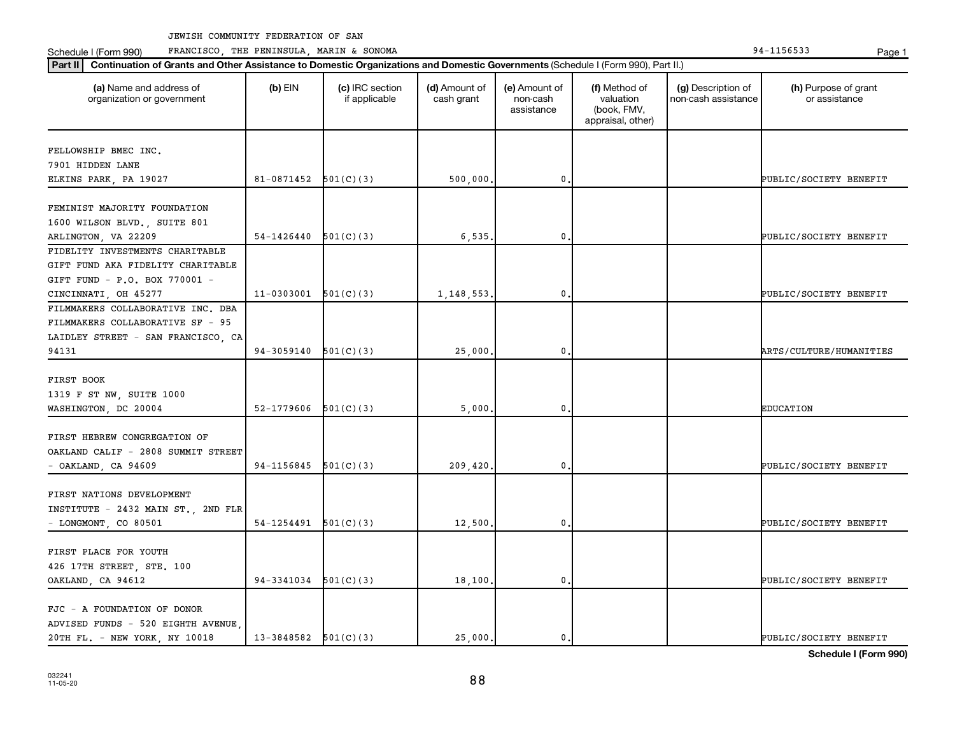Schedule I (Form 990) PRANCISCO, THE PENINSULA, MARIN & SONOMA Page 1 (Form 194-1156533 Page 1

| (a) Name and address of<br>organization or government | $(b)$ EIN                | (c) IRC section<br>if applicable | (d) Amount of<br>cash grant | (e) Amount of<br>non-cash<br>assistance | (f) Method of<br>valuation<br>(book, FMV,<br>appraisal, other) | (g) Description of<br>non-cash assistance | (h) Purpose of grant<br>or assistance |
|-------------------------------------------------------|--------------------------|----------------------------------|-----------------------------|-----------------------------------------|----------------------------------------------------------------|-------------------------------------------|---------------------------------------|
| FELLOWSHIP BMEC INC.                                  |                          |                                  |                             |                                         |                                                                |                                           |                                       |
| 7901 HIDDEN LANE                                      |                          |                                  |                             |                                         |                                                                |                                           |                                       |
| ELKINS PARK, PA 19027                                 | $81-0871452$ $501(C)(3)$ |                                  | 500,000.                    | $\mathbf 0$                             |                                                                |                                           | PUBLIC/SOCIETY BENEFIT                |
|                                                       |                          |                                  |                             |                                         |                                                                |                                           |                                       |
| FEMINIST MAJORITY FOUNDATION                          |                          |                                  |                             |                                         |                                                                |                                           |                                       |
| 1600 WILSON BLVD., SUITE 801                          |                          |                                  |                             |                                         |                                                                |                                           |                                       |
| ARLINGTON, VA 22209                                   | 54-1426440               | 501(C)(3)                        | 6,535.                      | 0                                       |                                                                |                                           | PUBLIC/SOCIETY BENEFIT                |
| FIDELITY INVESTMENTS CHARITABLE                       |                          |                                  |                             |                                         |                                                                |                                           |                                       |
| GIFT FUND AKA FIDELITY CHARITABLE                     |                          |                                  |                             |                                         |                                                                |                                           |                                       |
| GIFT FUND - P.O. BOX 770001 -                         |                          |                                  |                             |                                         |                                                                |                                           |                                       |
| CINCINNATI, OH 45277                                  | 11-0303001               | 501(C)(3)                        | 1, 148, 553.                | $\mathbf{0}$                            |                                                                |                                           | PUBLIC/SOCIETY BENEFIT                |
| FILMMAKERS COLLABORATIVE INC. DBA                     |                          |                                  |                             |                                         |                                                                |                                           |                                       |
| FILMMAKERS COLLABORATIVE SF - 95                      |                          |                                  |                             |                                         |                                                                |                                           |                                       |
| LAIDLEY STREET - SAN FRANCISCO, CA                    |                          |                                  |                             |                                         |                                                                |                                           |                                       |
| 94131                                                 | 94-3059140               | 501(C)(3)                        | 25,000                      | 0                                       |                                                                |                                           | ARTS/CULTURE/HUMANITIES               |
|                                                       |                          |                                  |                             |                                         |                                                                |                                           |                                       |
| FIRST BOOK                                            |                          |                                  |                             |                                         |                                                                |                                           |                                       |
| 1319 F ST NW, SUITE 1000                              | 52-1779606               |                                  |                             |                                         |                                                                |                                           |                                       |
| WASHINGTON, DC 20004                                  |                          | 501(C)(3)                        | 5,000                       | $\mathbf 0$                             |                                                                |                                           | <b>EDUCATION</b>                      |
| FIRST HEBREW CONGREGATION OF                          |                          |                                  |                             |                                         |                                                                |                                           |                                       |
| OAKLAND CALIF - 2808 SUMMIT STREET                    |                          |                                  |                             |                                         |                                                                |                                           |                                       |
| $-$ OAKLAND, CA 94609                                 | 94-1156845               | 501(C)(3)                        | 209,420.                    | $\mathbf 0$                             |                                                                |                                           | PUBLIC/SOCIETY BENEFIT                |
|                                                       |                          |                                  |                             |                                         |                                                                |                                           |                                       |
| FIRST NATIONS DEVELOPMENT                             |                          |                                  |                             |                                         |                                                                |                                           |                                       |
| INSTITUTE - 2432 MAIN ST., 2ND FLR                    |                          |                                  |                             |                                         |                                                                |                                           |                                       |
| - LONGMONT, CO 80501                                  | 54-1254491               | 501(C)(3)                        | 12,500                      | $\mathbf 0$                             |                                                                |                                           | PUBLIC/SOCIETY BENEFIT                |
|                                                       |                          |                                  |                             |                                         |                                                                |                                           |                                       |
| FIRST PLACE FOR YOUTH                                 |                          |                                  |                             |                                         |                                                                |                                           |                                       |
| 426 17TH STREET, STE. 100                             |                          |                                  |                             |                                         |                                                                |                                           |                                       |
| OAKLAND, CA 94612                                     | 94-3341034               | 501(C)(3)                        | 18,100.                     | $\mathbf 0$                             |                                                                |                                           | PUBLIC/SOCIETY BENEFIT                |
|                                                       |                          |                                  |                             |                                         |                                                                |                                           |                                       |
| FJC - A FOUNDATION OF DONOR                           |                          |                                  |                             |                                         |                                                                |                                           |                                       |
| ADVISED FUNDS - 520 EIGHTH AVENUE                     |                          |                                  |                             |                                         |                                                                |                                           |                                       |
| 20TH FL. - NEW YORK, NY 10018                         | $13-3848582$ $501(C)(3)$ |                                  | 25,000.                     | 0.                                      |                                                                |                                           | PUBLIC/SOCIETY BENEFIT                |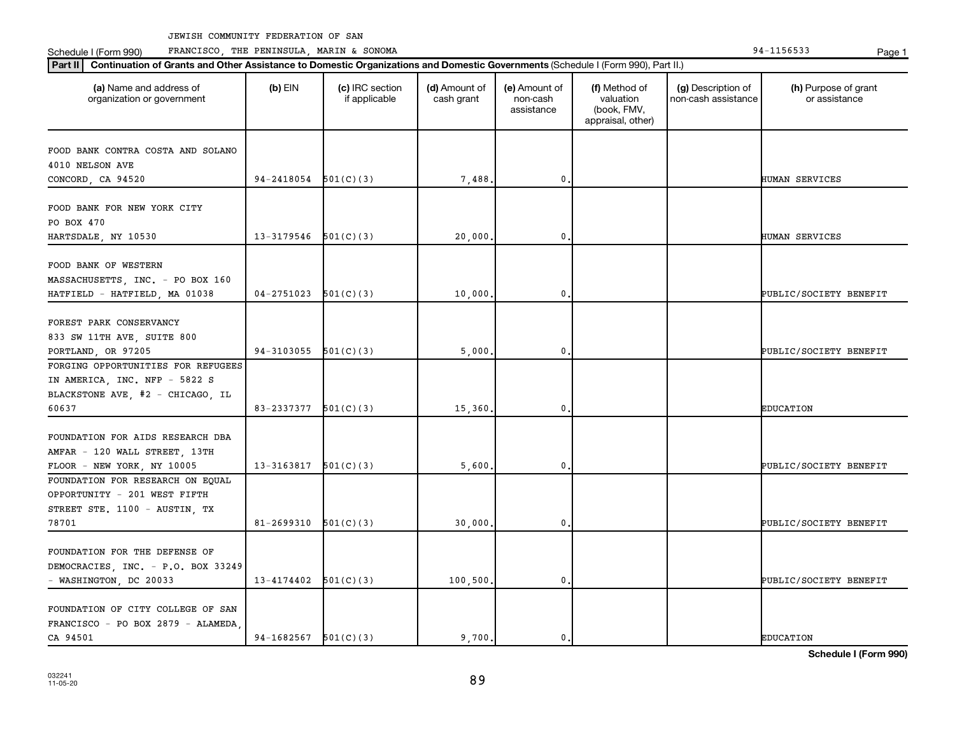Schedule I (Form 990) PRANCISCO, THE PENINSULA, MARIN & SONOMA Page 1 (Form 194-1156533 Page 1

| (a) Name and address of<br>organization or government | $(b)$ EIN                  | (c) IRC section<br>if applicable | (d) Amount of<br>cash grant | (e) Amount of<br>non-cash<br>assistance | (f) Method of<br>valuation<br>(book, FMV,<br>appraisal, other) | (g) Description of<br>non-cash assistance | (h) Purpose of grant<br>or assistance |
|-------------------------------------------------------|----------------------------|----------------------------------|-----------------------------|-----------------------------------------|----------------------------------------------------------------|-------------------------------------------|---------------------------------------|
| FOOD BANK CONTRA COSTA AND SOLANO                     |                            |                                  |                             |                                         |                                                                |                                           |                                       |
| 4010 NELSON AVE                                       |                            |                                  |                             |                                         |                                                                |                                           |                                       |
| CONCORD, CA 94520                                     | 94-2418054                 | 501(C)(3)                        | 7,488                       | 0,                                      |                                                                |                                           | HUMAN SERVICES                        |
| FOOD BANK FOR NEW YORK CITY                           |                            |                                  |                             |                                         |                                                                |                                           |                                       |
| PO BOX 470                                            |                            |                                  |                             |                                         |                                                                |                                           |                                       |
| HARTSDALE, NY 10530                                   | 13-3179546                 | 501(C)(3)                        | 20,000                      | 0                                       |                                                                |                                           | HUMAN SERVICES                        |
|                                                       |                            |                                  |                             |                                         |                                                                |                                           |                                       |
| FOOD BANK OF WESTERN                                  |                            |                                  |                             |                                         |                                                                |                                           |                                       |
| MASSACHUSETTS, INC. - PO BOX 160                      |                            |                                  |                             | 0.                                      |                                                                |                                           |                                       |
| HATFIELD - HATFIELD, MA 01038                         | 04-2751023                 | 501(C)(3)                        | 10,000                      |                                         |                                                                |                                           | PUBLIC/SOCIETY BENEFIT                |
| FOREST PARK CONSERVANCY                               |                            |                                  |                             |                                         |                                                                |                                           |                                       |
| 833 SW 11TH AVE, SUITE 800                            |                            |                                  |                             |                                         |                                                                |                                           |                                       |
| PORTLAND, OR 97205                                    | $94-3103055$ $501(C)(3)$   |                                  | 5,000                       | $\mathbf 0$                             |                                                                |                                           | PUBLIC/SOCIETY BENEFIT                |
| FORGING OPPORTUNITIES FOR REFUGEES                    |                            |                                  |                             |                                         |                                                                |                                           |                                       |
| IN AMERICA, INC. NFP - 5822 S                         |                            |                                  |                             |                                         |                                                                |                                           |                                       |
| BLACKSTONE AVE, #2 - CHICAGO, IL                      |                            |                                  |                             |                                         |                                                                |                                           |                                       |
| 60637                                                 | 83-2337377                 | 501(C)(3)                        | 15,360                      | $\mathbf 0$                             |                                                                |                                           | <b>EDUCATION</b>                      |
|                                                       |                            |                                  |                             |                                         |                                                                |                                           |                                       |
| FOUNDATION FOR AIDS RESEARCH DBA                      |                            |                                  |                             |                                         |                                                                |                                           |                                       |
| AMFAR - 120 WALL STREET, 13TH                         |                            |                                  |                             |                                         |                                                                |                                           |                                       |
| FLOOR - NEW YORK, NY 10005                            | 13-3163817                 | 501(C)(3)                        | 5,600                       | $\mathbf 0$                             |                                                                |                                           | PUBLIC/SOCIETY BENEFIT                |
| FOUNDATION FOR RESEARCH ON EQUAL                      |                            |                                  |                             |                                         |                                                                |                                           |                                       |
| OPPORTUNITY - 201 WEST FIFTH                          |                            |                                  |                             |                                         |                                                                |                                           |                                       |
| STREET STE. 1100 - AUSTIN, TX                         |                            |                                  |                             |                                         |                                                                |                                           |                                       |
| 78701                                                 | 81-2699310                 | 501(C)(3)                        | 30,000.                     | 0.                                      |                                                                |                                           | PUBLIC/SOCIETY BENEFIT                |
|                                                       |                            |                                  |                             |                                         |                                                                |                                           |                                       |
| FOUNDATION FOR THE DEFENSE OF                         |                            |                                  |                             |                                         |                                                                |                                           |                                       |
| DEMOCRACIES, INC. - P.O. BOX 33249                    |                            |                                  |                             |                                         |                                                                |                                           |                                       |
| - WASHINGTON, DC 20033                                | $13 - 4174402$ $501(C)(3)$ |                                  | 100, 500.                   | $\mathbf 0$                             |                                                                |                                           | PUBLIC/SOCIETY BENEFIT                |
|                                                       |                            |                                  |                             |                                         |                                                                |                                           |                                       |
| FOUNDATION OF CITY COLLEGE OF SAN                     |                            |                                  |                             |                                         |                                                                |                                           |                                       |
| FRANCISCO - PO BOX 2879 - ALAMEDA                     |                            |                                  |                             |                                         |                                                                |                                           |                                       |
| CA 94501                                              | $94-1682567$ $501(C)(3)$   |                                  | 9,700.                      | $\mathbf{0}$ .                          |                                                                |                                           | <b>EDUCATION</b>                      |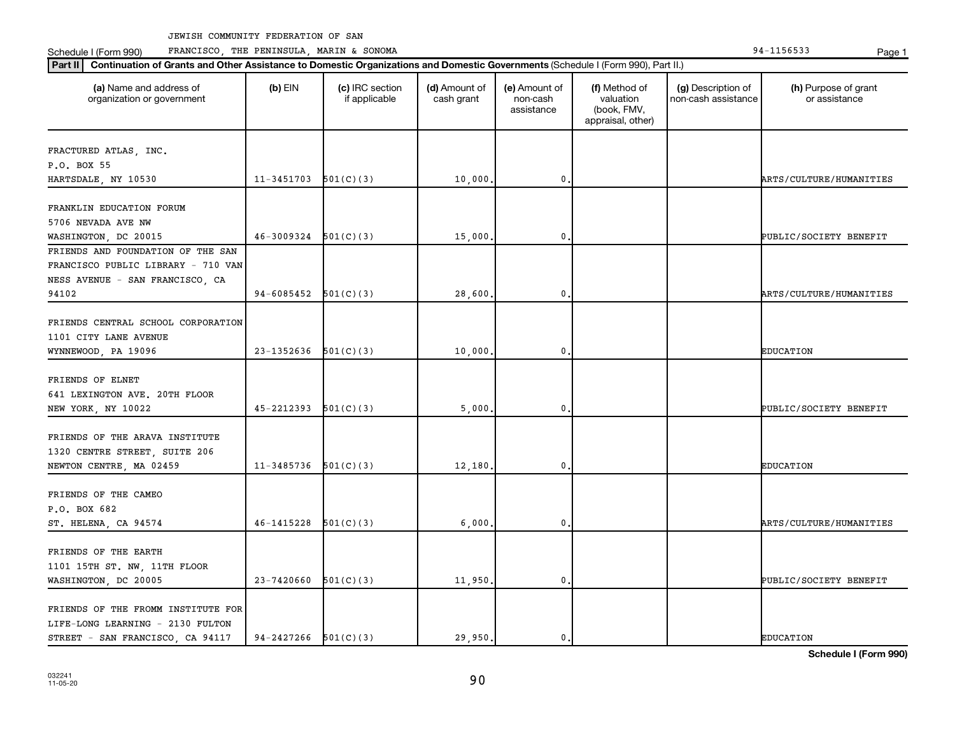Schedule I (Form 990) PRANCISCO, THE PENINSULA, MARIN & SONOMA Page 1 (Form 194-1156533 Page 1

| organization or government         |                            | (c) IRC section<br>if applicable | (d) Amount of<br>cash grant | (e) Amount of<br>non-cash<br>assistance | (f) Method of<br>valuation<br>(book, FMV,<br>appraisal, other) | (g) Description of<br>non-cash assistance | (h) Purpose of grant<br>or assistance |
|------------------------------------|----------------------------|----------------------------------|-----------------------------|-----------------------------------------|----------------------------------------------------------------|-------------------------------------------|---------------------------------------|
| FRACTURED ATLAS, INC.              |                            |                                  |                             |                                         |                                                                |                                           |                                       |
| P.O. BOX 55                        |                            |                                  |                             |                                         |                                                                |                                           |                                       |
| HARTSDALE, NY 10530                | $11-3451703$ $501(C)(3)$   |                                  | 10,000.                     | $\mathbf 0$ .                           |                                                                |                                           | ARTS/CULTURE/HUMANITIES               |
|                                    |                            |                                  |                             |                                         |                                                                |                                           |                                       |
| FRANKLIN EDUCATION FORUM           |                            |                                  |                             |                                         |                                                                |                                           |                                       |
| 5706 NEVADA AVE NW                 |                            |                                  |                             |                                         |                                                                |                                           |                                       |
| WASHINGTON, DC 20015               | 46-3009324                 | 501(C)(3)                        | 15,000.                     | 0                                       |                                                                |                                           | PUBLIC/SOCIETY BENEFIT                |
| FRIENDS AND FOUNDATION OF THE SAN  |                            |                                  |                             |                                         |                                                                |                                           |                                       |
| FRANCISCO PUBLIC LIBRARY - 710 VAN |                            |                                  |                             |                                         |                                                                |                                           |                                       |
| NESS AVENUE - SAN FRANCISCO, CA    |                            |                                  |                             |                                         |                                                                |                                           |                                       |
| 94102                              | $94-6085452$ $501(C)(3)$   |                                  | 28,600.                     | 0.                                      |                                                                |                                           | <b>ARTS/CULTURE/HUMANITIES</b>        |
|                                    |                            |                                  |                             |                                         |                                                                |                                           |                                       |
| FRIENDS CENTRAL SCHOOL CORPORATION |                            |                                  |                             |                                         |                                                                |                                           |                                       |
| 1101 CITY LANE AVENUE              |                            |                                  |                             |                                         |                                                                |                                           |                                       |
| WYNNEWOOD, PA 19096                | 23-1352636                 | 501(C)(3)                        | 10,000.                     | $\mathbf{0}$                            |                                                                |                                           | <b>EDUCATION</b>                      |
|                                    |                            |                                  |                             |                                         |                                                                |                                           |                                       |
| FRIENDS OF ELNET                   |                            |                                  |                             |                                         |                                                                |                                           |                                       |
| 641 LEXINGTON AVE. 20TH FLOOR      |                            |                                  |                             |                                         |                                                                |                                           |                                       |
| NEW YORK, NY 10022                 | 45-2212393                 | 501(C)(3)                        | 5,000.                      | $\mathbf 0$ .                           |                                                                |                                           | PUBLIC/SOCIETY BENEFIT                |
| FRIENDS OF THE ARAVA INSTITUTE     |                            |                                  |                             |                                         |                                                                |                                           |                                       |
|                                    |                            |                                  |                             |                                         |                                                                |                                           |                                       |
| 1320 CENTRE STREET, SUITE 206      |                            |                                  |                             | $\mathbf{0}$                            |                                                                |                                           |                                       |
| NEWTON CENTRE, MA 02459            | 11-3485736                 | 501(C)(3)                        | 12,180.                     |                                         |                                                                |                                           | <b>EDUCATION</b>                      |
| FRIENDS OF THE CAMEO               |                            |                                  |                             |                                         |                                                                |                                           |                                       |
| P.O. BOX 682                       |                            |                                  |                             |                                         |                                                                |                                           |                                       |
|                                    | 46-1415228                 | 501(C)(3)                        |                             | $\mathfrak o$ .                         |                                                                |                                           | <b>ARTS/CULTURE/HUMANITIES</b>        |
| ST. HELENA, CA 94574               |                            |                                  | 6,000,                      |                                         |                                                                |                                           |                                       |
| FRIENDS OF THE EARTH               |                            |                                  |                             |                                         |                                                                |                                           |                                       |
| 1101 15TH ST. NW, 11TH FLOOR       |                            |                                  |                             |                                         |                                                                |                                           |                                       |
| WASHINGTON, DC 20005               | 23-7420660                 | 501(C)(3)                        | 11,950.                     | $\mathbf 0$                             |                                                                |                                           | PUBLIC/SOCIETY BENEFIT                |
|                                    |                            |                                  |                             |                                         |                                                                |                                           |                                       |
| FRIENDS OF THE FROMM INSTITUTE FOR |                            |                                  |                             |                                         |                                                                |                                           |                                       |
| LIFE-LONG LEARNING - 2130 FULTON   |                            |                                  |                             |                                         |                                                                |                                           |                                       |
| STREET - SAN FRANCISCO, CA 94117   | $94 - 2427266$ $501(C)(3)$ |                                  | 29,950.                     | $\mathbf{0}$ .                          |                                                                |                                           | <b>EDUCATION</b>                      |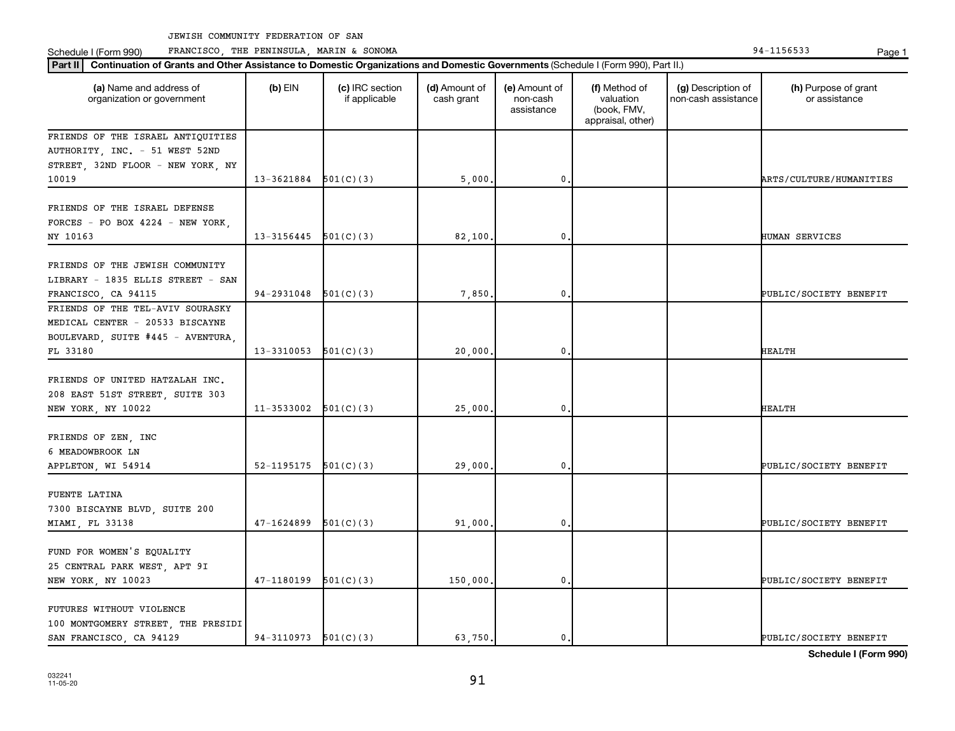**Part III Continuation of Grants and Other Assistance to Domestic Organizations and Domestic Government of Grants and Other Assistance to Domestic Continuation of Grants and Other Assistance to Domestic Croanizations and** Schedule I (Form 990) PRANCISCO, THE PENINSULA, MARIN & SONOMA Page 1 (Form 194-1156533 Page 1

| Part II                                                                                                              | Continuation of Grants and Other Assistance to Domestic Organizations and Domestic Governments (Schedule I (Form 990), Part II.) |                                  |                             |                                         |                                                                |                                           |                                       |  |  |  |
|----------------------------------------------------------------------------------------------------------------------|----------------------------------------------------------------------------------------------------------------------------------|----------------------------------|-----------------------------|-----------------------------------------|----------------------------------------------------------------|-------------------------------------------|---------------------------------------|--|--|--|
| (a) Name and address of<br>organization or government                                                                | $(b)$ EIN                                                                                                                        | (c) IRC section<br>if applicable | (d) Amount of<br>cash grant | (e) Amount of<br>non-cash<br>assistance | (f) Method of<br>valuation<br>(book, FMV,<br>appraisal, other) | (g) Description of<br>non-cash assistance | (h) Purpose of grant<br>or assistance |  |  |  |
| FRIENDS OF THE ISRAEL ANTIQUITIES<br>AUTHORITY, INC. - 51 WEST 52ND<br>STREET, 32ND FLOOR - NEW YORK, NY<br>10019    | 13-3621884                                                                                                                       | 501(C)(3)                        | 5,000                       | 0.                                      |                                                                |                                           | ARTS/CULTURE/HUMANITIES               |  |  |  |
| FRIENDS OF THE ISRAEL DEFENSE<br>FORCES - PO BOX $4224$ - NEW YORK,<br>NY 10163                                      | $13-3156445$ $501(C)(3)$                                                                                                         |                                  | 82,100.                     | $\mathbf 0$                             |                                                                |                                           | HUMAN SERVICES                        |  |  |  |
| FRIENDS OF THE JEWISH COMMUNITY<br>LIBRARY - 1835 ELLIS STREET - SAN<br>FRANCISCO, CA 94115                          | 94-2931048                                                                                                                       | 501(C)(3)                        | 7,850                       | $\mathbf{0}$                            |                                                                |                                           | PUBLIC/SOCIETY BENEFIT                |  |  |  |
| FRIENDS OF THE TEL-AVIV SOURASKY<br>MEDICAL CENTER - 20533 BISCAYNE<br>BOULEVARD, SUITE #445 - AVENTURA,<br>FL 33180 | 13-3310053                                                                                                                       | 501(C)(3)                        | 20,000                      | $\mathbf{0}$                            |                                                                |                                           | HEALTH                                |  |  |  |
| FRIENDS OF UNITED HATZALAH INC.<br>208 EAST 51ST STREET, SUITE 303<br>NEW YORK, NY 10022                             | $11-3533002$ $501(C)(3)$                                                                                                         |                                  | 25,000                      | 0                                       |                                                                |                                           | <b>HEALTH</b>                         |  |  |  |
| FRIENDS OF ZEN, INC<br>6 MEADOWBROOK LN<br>APPLETON, WI 54914                                                        | 52-1195175                                                                                                                       | 501(C)(3)                        | 29,000                      | $\mathbf 0$                             |                                                                |                                           | PUBLIC/SOCIETY BENEFIT                |  |  |  |
| FUENTE LATINA<br>7300 BISCAYNE BLVD, SUITE 200<br>MIAMI, FL 33138                                                    | 47-1624899                                                                                                                       | 501(C)(3)                        | 91,000                      | 0.                                      |                                                                |                                           | PUBLIC/SOCIETY BENEFIT                |  |  |  |
| FUND FOR WOMEN'S EQUALITY<br>25 CENTRAL PARK WEST, APT 9I<br>NEW YORK, NY 10023                                      | 47-1180199                                                                                                                       | 501(C)(3)                        | 150,000.                    | $\mathbf 0$                             |                                                                |                                           | PUBLIC/SOCIETY BENEFIT                |  |  |  |
| FUTURES WITHOUT VIOLENCE<br>100 MONTGOMERY STREET, THE PRESIDI<br>SAN FRANCISCO, CA 94129                            | 94-3110973                                                                                                                       | 501(C)(3)                        | 63.750.                     | $\mathbf{0}$ .                          |                                                                |                                           | PUBLIC/SOCIETY BENEFIT                |  |  |  |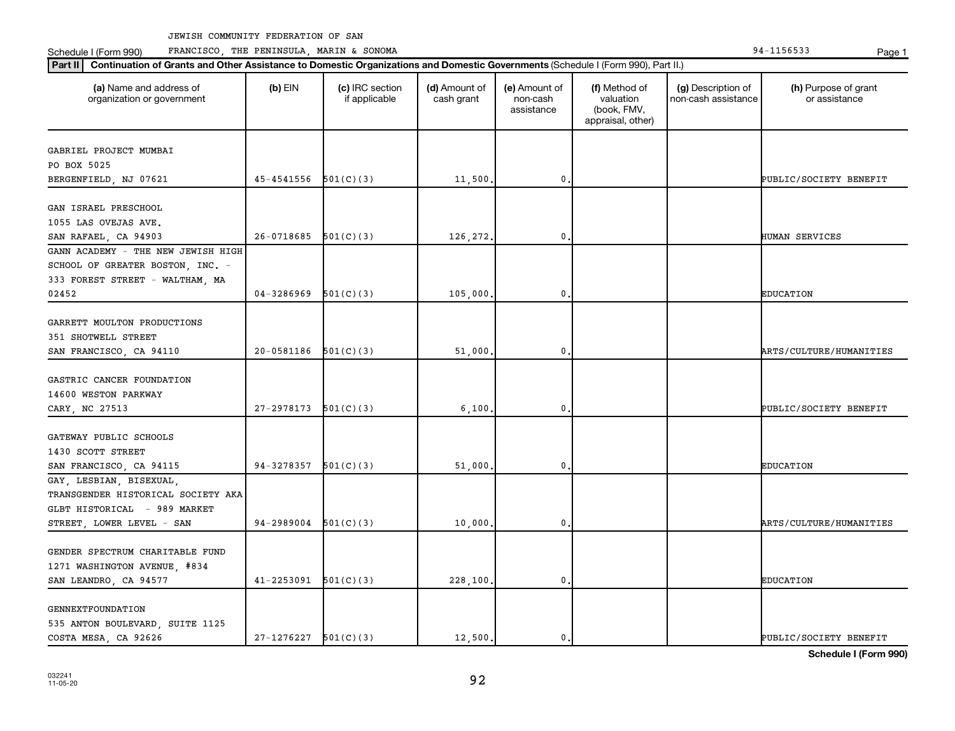Schedule I (Form 990) PRANCISCO, THE PENINSULA, MARIN & SONOMA Page 1 (Form 194-1156533 Page 1

| (a) Name and address of<br>organization or government      | $(b)$ EIN                  | (c) IRC section<br>if applicable | (d) Amount of<br>cash grant | (e) Amount of<br>non-cash<br>assistance | (f) Method of<br>valuation<br>(book, FMV,<br>appraisal, other) | (g) Description of<br>non-cash assistance | (h) Purpose of grant<br>or assistance |
|------------------------------------------------------------|----------------------------|----------------------------------|-----------------------------|-----------------------------------------|----------------------------------------------------------------|-------------------------------------------|---------------------------------------|
| GABRIEL PROJECT MUMBAI                                     |                            |                                  |                             |                                         |                                                                |                                           |                                       |
| PO BOX 5025                                                |                            |                                  |                             |                                         |                                                                |                                           |                                       |
| BERGENFIELD, NJ 07621                                      | $45 - 4541556$ $501(C)(3)$ |                                  | 11,500.                     | $\mathbf 0$ .                           |                                                                |                                           | PUBLIC/SOCIETY BENEFIT                |
|                                                            |                            |                                  |                             |                                         |                                                                |                                           |                                       |
| GAN ISRAEL PRESCHOOL                                       |                            |                                  |                             |                                         |                                                                |                                           |                                       |
| 1055 LAS OVEJAS AVE.                                       | 26-0718685                 |                                  |                             | 0                                       |                                                                |                                           | HUMAN SERVICES                        |
| SAN RAFAEL, CA 94903<br>GANN ACADEMY - THE NEW JEWISH HIGH |                            | 501(C)(3)                        | 126,272.                    |                                         |                                                                |                                           |                                       |
|                                                            |                            |                                  |                             |                                         |                                                                |                                           |                                       |
| SCHOOL OF GREATER BOSTON, INC. -                           |                            |                                  |                             |                                         |                                                                |                                           |                                       |
| 333 FOREST STREET - WALTHAM, MA<br>02452                   | 04-3286969                 | 501(C)(3)                        | 105,000.                    | $\mathbf 0$ .                           |                                                                |                                           | <b>EDUCATION</b>                      |
|                                                            |                            |                                  |                             |                                         |                                                                |                                           |                                       |
| GARRETT MOULTON PRODUCTIONS                                |                            |                                  |                             |                                         |                                                                |                                           |                                       |
| 351 SHOTWELL STREET                                        |                            |                                  |                             |                                         |                                                                |                                           |                                       |
| SAN FRANCISCO, CA 94110                                    | $20-0581186$ $501(C)(3)$   |                                  | 51,000.                     | $\mathbf 0$                             |                                                                |                                           | ARTS/CULTURE/HUMANITIES               |
|                                                            |                            |                                  |                             |                                         |                                                                |                                           |                                       |
| GASTRIC CANCER FOUNDATION                                  |                            |                                  |                             |                                         |                                                                |                                           |                                       |
| 14600 WESTON PARKWAY                                       |                            |                                  |                             |                                         |                                                                |                                           |                                       |
| CARY, NC 27513                                             | 27-2978173                 | 501(C)(3)                        | 6,100.                      | $\mathbf 0$ .                           |                                                                |                                           | PUBLIC/SOCIETY BENEFIT                |
|                                                            |                            |                                  |                             |                                         |                                                                |                                           |                                       |
| GATEWAY PUBLIC SCHOOLS                                     |                            |                                  |                             |                                         |                                                                |                                           |                                       |
| 1430 SCOTT STREET                                          |                            |                                  |                             |                                         |                                                                |                                           |                                       |
| SAN FRANCISCO, CA 94115                                    | 94-3278357                 | 501(C)(3)                        | 51,000.                     | 0                                       |                                                                |                                           | <b>EDUCATION</b>                      |
| GAY, LESBIAN, BISEXUAL,                                    |                            |                                  |                             |                                         |                                                                |                                           |                                       |
| TRANSGENDER HISTORICAL SOCIETY AKA                         |                            |                                  |                             |                                         |                                                                |                                           |                                       |
| GLBT HISTORICAL - 989 MARKET                               |                            |                                  |                             |                                         |                                                                |                                           |                                       |
| STREET, LOWER LEVEL - SAN                                  | $94-2989004$ $501(C)(3)$   |                                  | 10,000.                     | 0.                                      |                                                                |                                           | <b>ARTS/CULTURE/HUMANITIES</b>        |
|                                                            |                            |                                  |                             |                                         |                                                                |                                           |                                       |
| GENDER SPECTRUM CHARITABLE FUND                            |                            |                                  |                             |                                         |                                                                |                                           |                                       |
| 1271 WASHINGTON AVENUE, #834                               |                            |                                  |                             |                                         |                                                                |                                           |                                       |
| SAN LEANDRO, CA 94577                                      | $41 - 2253091$ $501(C)(3)$ |                                  | 228,100.                    | $\mathbf 0$                             |                                                                |                                           | <b>EDUCATION</b>                      |
|                                                            |                            |                                  |                             |                                         |                                                                |                                           |                                       |
| <b>GENNEXTFOUNDATION</b>                                   |                            |                                  |                             |                                         |                                                                |                                           |                                       |
| 535 ANTON BOULEVARD, SUITE 1125                            |                            |                                  |                             |                                         |                                                                |                                           |                                       |
| COSTA MESA, CA 92626                                       | $27-1276227$ 501(C)(3)     |                                  | 12,500.                     | $\mathbf{0}$ .                          |                                                                |                                           | PUBLIC/SOCIETY BENEFIT                |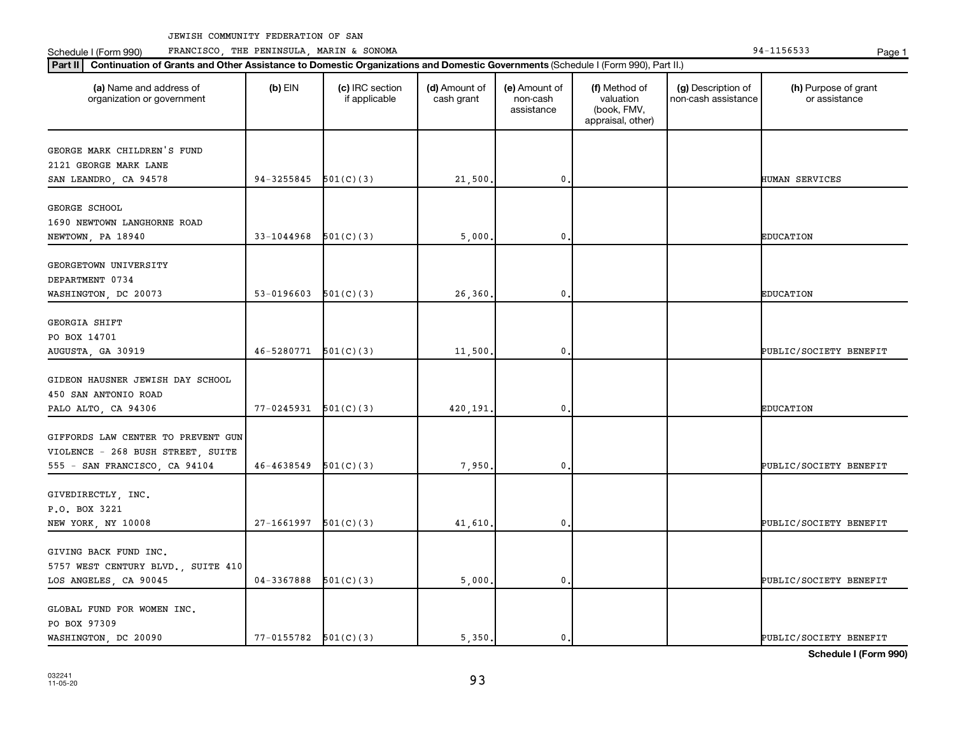Schedule I (Form 990) PRANCISCO, THE PENINSULA, MARIN & SONOMA Page 1 (Form 194-1156533 Page 1

| (a) Name and address of<br>organization or government | $(b)$ EIN                  | (c) IRC section<br>if applicable | (d) Amount of<br>cash grant | (e) Amount of<br>non-cash<br>assistance | (f) Method of<br>valuation<br>(book, FMV,<br>appraisal, other) | (g) Description of<br>non-cash assistance | (h) Purpose of grant<br>or assistance |
|-------------------------------------------------------|----------------------------|----------------------------------|-----------------------------|-----------------------------------------|----------------------------------------------------------------|-------------------------------------------|---------------------------------------|
| GEORGE MARK CHILDREN'S FUND                           |                            |                                  |                             |                                         |                                                                |                                           |                                       |
| 2121 GEORGE MARK LANE                                 |                            |                                  |                             |                                         |                                                                |                                           |                                       |
| SAN LEANDRO, CA 94578                                 | $94-3255845$ $501(C)(3)$   |                                  | 21,500.                     | $\mathbf 0$ .                           |                                                                |                                           | HUMAN SERVICES                        |
|                                                       |                            |                                  |                             |                                         |                                                                |                                           |                                       |
| GEORGE SCHOOL<br>1690 NEWTOWN LANGHORNE ROAD          |                            |                                  |                             |                                         |                                                                |                                           |                                       |
| NEWTOWN, PA 18940                                     | 33-1044968                 | 501(C)(3)                        | 5,000                       | 0                                       |                                                                |                                           | <b>EDUCATION</b>                      |
|                                                       |                            |                                  |                             |                                         |                                                                |                                           |                                       |
| GEORGETOWN UNIVERSITY                                 |                            |                                  |                             |                                         |                                                                |                                           |                                       |
| DEPARTMENT 0734                                       |                            |                                  |                             |                                         |                                                                |                                           |                                       |
| WASHINGTON, DC 20073                                  | 53-0196603 $501(C)(3)$     |                                  | 26,360.                     | $\mathbf 0$ .                           |                                                                |                                           | <b>EDUCATION</b>                      |
|                                                       |                            |                                  |                             |                                         |                                                                |                                           |                                       |
| GEORGIA SHIFT                                         |                            |                                  |                             |                                         |                                                                |                                           |                                       |
| PO BOX 14701                                          |                            |                                  |                             |                                         |                                                                |                                           |                                       |
| AUGUSTA, GA 30919                                     | $46 - 5280771$ $501(C)(3)$ |                                  | 11,500.                     | $\mathbf{0}$                            |                                                                |                                           | PUBLIC/SOCIETY BENEFIT                |
|                                                       |                            |                                  |                             |                                         |                                                                |                                           |                                       |
| GIDEON HAUSNER JEWISH DAY SCHOOL                      |                            |                                  |                             |                                         |                                                                |                                           |                                       |
| 450 SAN ANTONIO ROAD                                  |                            |                                  |                             |                                         |                                                                |                                           |                                       |
| PALO ALTO, CA 94306                                   | $77-0245931$ $501(C)(3)$   |                                  | 420,191.                    | $\mathbf 0$ .                           |                                                                |                                           | <b>EDUCATION</b>                      |
| GIFFORDS LAW CENTER TO PREVENT GUN                    |                            |                                  |                             |                                         |                                                                |                                           |                                       |
| VIOLENCE - 268 BUSH STREET, SUITE                     |                            |                                  |                             |                                         |                                                                |                                           |                                       |
| 555 - SAN FRANCISCO, CA 94104                         | 46-4638549                 | 501(C)(3)                        | 7,950,                      | 0                                       |                                                                |                                           | PUBLIC/SOCIETY BENEFIT                |
|                                                       |                            |                                  |                             |                                         |                                                                |                                           |                                       |
| GIVEDIRECTLY, INC.                                    |                            |                                  |                             |                                         |                                                                |                                           |                                       |
| P.O. BOX 3221                                         |                            |                                  |                             |                                         |                                                                |                                           |                                       |
| NEW YORK, NY 10008                                    | $27-1661997$ $501(C)(3)$   |                                  | 41,610,                     | $\mathbf 0$ .                           |                                                                |                                           | PUBLIC/SOCIETY BENEFIT                |
|                                                       |                            |                                  |                             |                                         |                                                                |                                           |                                       |
| GIVING BACK FUND INC.                                 |                            |                                  |                             |                                         |                                                                |                                           |                                       |
| 5757 WEST CENTURY BLVD., SUITE 410                    |                            |                                  |                             |                                         |                                                                |                                           |                                       |
| LOS ANGELES, CA 90045                                 | 04-3367888                 | 501(C)(3)                        | 5,000.                      | $\mathbf 0$                             |                                                                |                                           | PUBLIC/SOCIETY BENEFIT                |
|                                                       |                            |                                  |                             |                                         |                                                                |                                           |                                       |
| GLOBAL FUND FOR WOMEN INC.                            |                            |                                  |                             |                                         |                                                                |                                           |                                       |
| PO BOX 97309                                          |                            |                                  |                             |                                         |                                                                |                                           |                                       |
| WASHINGTON, DC 20090                                  | $77-0155782$ $501(C)(3)$   |                                  | 5,350.                      | $\mathbf{0}$ .                          |                                                                |                                           | PUBLIC/SOCIETY BENEFIT                |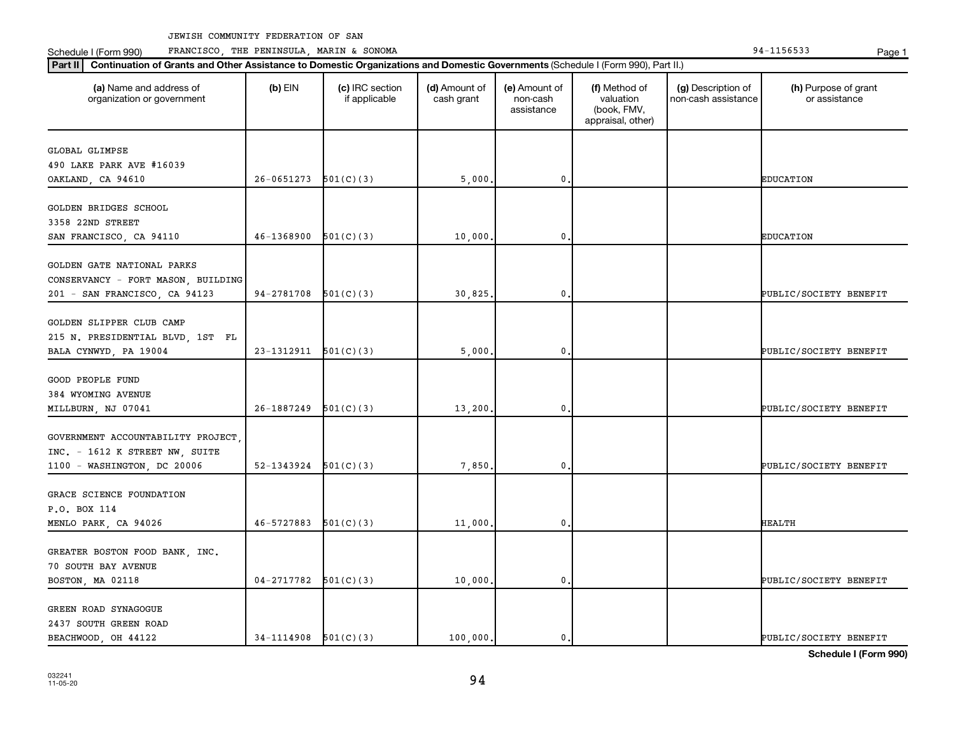Schedule I (Form 990) PRANCISCO, THE PENINSULA, MARIN & SONOMA Page 1 (Form 194-1156533 Page 1

| (a) Name and address of<br>organization or government | $(b)$ EIN                | (c) IRC section<br>if applicable | (d) Amount of<br>cash grant | (e) Amount of<br>non-cash<br>assistance | (f) Method of<br>valuation<br>(book, FMV,<br>appraisal, other) | (g) Description of<br>non-cash assistance | (h) Purpose of grant<br>or assistance |
|-------------------------------------------------------|--------------------------|----------------------------------|-----------------------------|-----------------------------------------|----------------------------------------------------------------|-------------------------------------------|---------------------------------------|
| <b>GLOBAL GLIMPSE</b>                                 |                          |                                  |                             |                                         |                                                                |                                           |                                       |
| 490 LAKE PARK AVE #16039                              |                          |                                  |                             |                                         |                                                                |                                           |                                       |
| OAKLAND, CA 94610                                     | 26-0651273               | 501(C)(3)                        | 5,000                       | $\mathbf{0}$                            |                                                                |                                           | <b>EDUCATION</b>                      |
| <b>GOLDEN BRIDGES SCHOOL</b>                          |                          |                                  |                             |                                         |                                                                |                                           |                                       |
| 3358 22ND STREET                                      |                          |                                  |                             |                                         |                                                                |                                           |                                       |
| SAN FRANCISCO, CA 94110                               | 46-1368900               | 501(C)(3)                        | 10,000                      | 0                                       |                                                                |                                           | <b>EDUCATION</b>                      |
|                                                       |                          |                                  |                             |                                         |                                                                |                                           |                                       |
| GOLDEN GATE NATIONAL PARKS                            |                          |                                  |                             |                                         |                                                                |                                           |                                       |
| CONSERVANCY - FORT MASON, BUILDING                    |                          |                                  |                             |                                         |                                                                |                                           |                                       |
| 201 - SAN FRANCISCO, CA 94123                         | $94-2781708$ $501(C)(3)$ |                                  | 30,825                      | $\mathbf 0$                             |                                                                |                                           | PUBLIC/SOCIETY BENEFIT                |
|                                                       |                          |                                  |                             |                                         |                                                                |                                           |                                       |
| GOLDEN SLIPPER CLUB CAMP                              |                          |                                  |                             |                                         |                                                                |                                           |                                       |
| 215 N. PRESIDENTIAL BLVD, 1ST FL                      |                          |                                  |                             |                                         |                                                                |                                           |                                       |
| BALA CYNWYD, PA 19004                                 | $23-1312911$ $501(C)(3)$ |                                  | 5,000                       | $\mathbf 0$                             |                                                                |                                           | PUBLIC/SOCIETY BENEFIT                |
| <b>GOOD PEOPLE FUND</b>                               |                          |                                  |                             |                                         |                                                                |                                           |                                       |
| 384 WYOMING AVENUE                                    |                          |                                  |                             |                                         |                                                                |                                           |                                       |
| MILLBURN, NJ 07041                                    | 26-1887249               | 501(C)(3)                        | 13,200                      | $\mathbf{0}$                            |                                                                |                                           | PUBLIC/SOCIETY BENEFIT                |
|                                                       |                          |                                  |                             |                                         |                                                                |                                           |                                       |
| GOVERNMENT ACCOUNTABILITY PROJECT,                    |                          |                                  |                             |                                         |                                                                |                                           |                                       |
| INC. - 1612 K STREET NW, SUITE                        |                          |                                  |                             |                                         |                                                                |                                           |                                       |
| 1100 - WASHINGTON, DC 20006                           | 52-1343924               | 501(C)(3)                        | 7,850                       | $\mathbf 0$                             |                                                                |                                           | PUBLIC/SOCIETY BENEFIT                |
|                                                       |                          |                                  |                             |                                         |                                                                |                                           |                                       |
| GRACE SCIENCE FOUNDATION                              |                          |                                  |                             |                                         |                                                                |                                           |                                       |
| P.O. BOX 114                                          |                          |                                  |                             |                                         |                                                                |                                           |                                       |
| MENLO PARK, CA 94026                                  | 46-5727883               | 501(C)(3)                        | 11,000                      | $\mathbf{0}$                            |                                                                |                                           | <b>HEALTH</b>                         |
| GREATER BOSTON FOOD BANK, INC.                        |                          |                                  |                             |                                         |                                                                |                                           |                                       |
| 70 SOUTH BAY AVENUE                                   |                          |                                  |                             |                                         |                                                                |                                           |                                       |
| BOSTON, MA 02118                                      | $04-2717782$ 501(C)(3)   |                                  | 10,000.                     | $\mathbf 0$                             |                                                                |                                           | PUBLIC/SOCIETY BENEFIT                |
|                                                       |                          |                                  |                             |                                         |                                                                |                                           |                                       |
| GREEN ROAD SYNAGOGUE                                  |                          |                                  |                             |                                         |                                                                |                                           |                                       |
| 2437 SOUTH GREEN ROAD                                 |                          |                                  |                             |                                         |                                                                |                                           |                                       |
| BEACHWOOD, OH 44122                                   | $34-1114908$ $501(C)(3)$ |                                  | 100,000.                    | 0.                                      |                                                                |                                           | PUBLIC/SOCIETY BENEFIT                |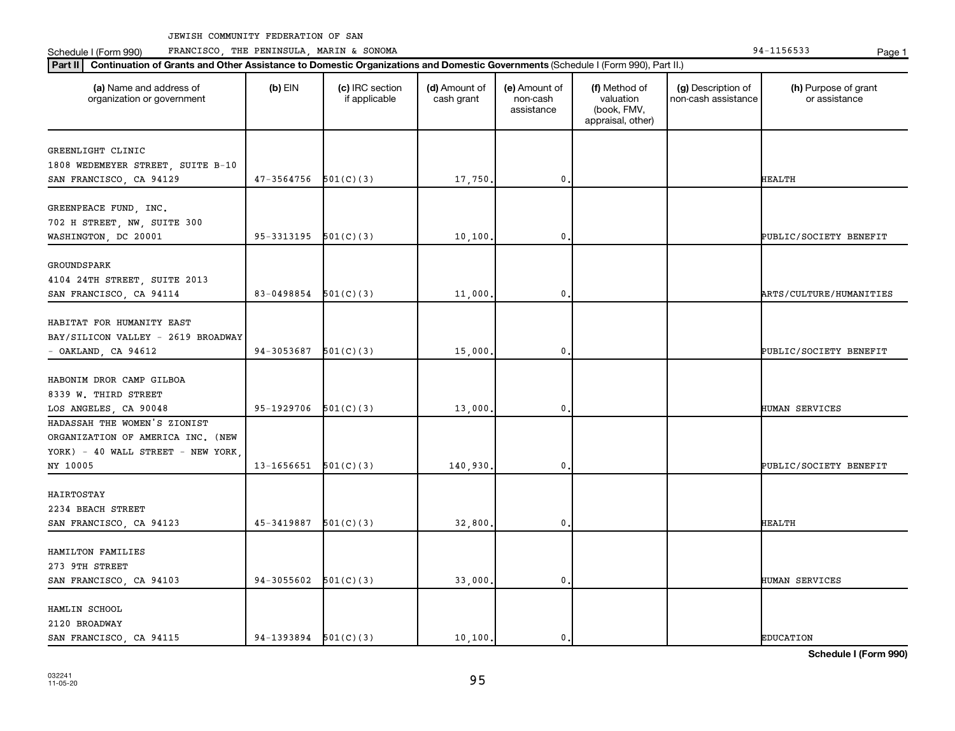Schedule I (Form 990) PRANCISCO, THE PENINSULA, MARIN & SONOMA Page 1 (Form 194-1156533 Page 1

| (a) Name and address of<br>organization or government | $(b)$ EIN                | (c) IRC section<br>if applicable | (d) Amount of<br>cash grant | (e) Amount of<br>non-cash<br>assistance | (f) Method of<br>valuation<br>(book, FMV,<br>appraisal, other) | (g) Description of<br>non-cash assistance | (h) Purpose of grant<br>or assistance |
|-------------------------------------------------------|--------------------------|----------------------------------|-----------------------------|-----------------------------------------|----------------------------------------------------------------|-------------------------------------------|---------------------------------------|
| GREENLIGHT CLINIC                                     |                          |                                  |                             |                                         |                                                                |                                           |                                       |
| 1808 WEDEMEYER STREET, SUITE B-10                     |                          |                                  |                             |                                         |                                                                |                                           |                                       |
| SAN FRANCISCO, CA 94129                               | 47-3564756               | 501(C)(3)                        | 17,750                      | 0,                                      |                                                                |                                           | <b>HEALTH</b>                         |
|                                                       |                          |                                  |                             |                                         |                                                                |                                           |                                       |
| GREENPEACE FUND, INC.                                 |                          |                                  |                             |                                         |                                                                |                                           |                                       |
| 702 H STREET, NW, SUITE 300                           |                          |                                  |                             |                                         |                                                                |                                           |                                       |
| WASHINGTON, DC 20001                                  | 95-3313195               | 501(C)(3)                        | 10,100                      | 0.                                      |                                                                |                                           | PUBLIC/SOCIETY BENEFIT                |
|                                                       |                          |                                  |                             |                                         |                                                                |                                           |                                       |
| GROUNDSPARK                                           |                          |                                  |                             |                                         |                                                                |                                           |                                       |
| 4104 24TH STREET, SUITE 2013                          |                          |                                  |                             |                                         |                                                                |                                           |                                       |
| SAN FRANCISCO, CA 94114                               | 83-0498854               | 501(C)(3)                        | 11,000                      | 0.                                      |                                                                |                                           | ARTS/CULTURE/HUMANITIES               |
|                                                       |                          |                                  |                             |                                         |                                                                |                                           |                                       |
| HABITAT FOR HUMANITY EAST                             |                          |                                  |                             |                                         |                                                                |                                           |                                       |
| BAY/SILICON VALLEY - 2619 BROADWAY                    |                          |                                  |                             |                                         |                                                                |                                           |                                       |
| - OAKLAND, CA 94612                                   | 94-3053687               | 501(C)(3)                        | 15,000                      | 0,                                      |                                                                |                                           | PUBLIC/SOCIETY BENEFIT                |
|                                                       |                          |                                  |                             |                                         |                                                                |                                           |                                       |
| HABONIM DROR CAMP GILBOA                              |                          |                                  |                             |                                         |                                                                |                                           |                                       |
| 8339 W. THIRD STREET                                  |                          |                                  |                             |                                         |                                                                |                                           |                                       |
| LOS ANGELES, CA 90048                                 | 95-1929706               | 501(C)(3)                        | 13,000                      | 0.                                      |                                                                |                                           | HUMAN SERVICES                        |
| HADASSAH THE WOMEN'S ZIONIST                          |                          |                                  |                             |                                         |                                                                |                                           |                                       |
| ORGANIZATION OF AMERICA INC. (NEW                     |                          |                                  |                             |                                         |                                                                |                                           |                                       |
| YORK) - 40 WALL STREET - NEW YORK,                    |                          |                                  |                             |                                         |                                                                |                                           |                                       |
| NY 10005                                              | 13-1656651               | 501(C)(3)                        | 140,930                     | 0.                                      |                                                                |                                           | PUBLIC/SOCIETY BENEFIT                |
|                                                       |                          |                                  |                             |                                         |                                                                |                                           |                                       |
| HAIRTOSTAY                                            |                          |                                  |                             |                                         |                                                                |                                           |                                       |
| 2234 BEACH STREET                                     |                          |                                  |                             |                                         |                                                                |                                           |                                       |
| SAN FRANCISCO, CA 94123                               | 45-3419887               | 501(C)(3)                        | 32,800                      | 0.                                      |                                                                |                                           | <b>HEALTH</b>                         |
|                                                       |                          |                                  |                             |                                         |                                                                |                                           |                                       |
| HAMILTON FAMILIES                                     |                          |                                  |                             |                                         |                                                                |                                           |                                       |
| 273 9TH STREET                                        |                          |                                  |                             |                                         |                                                                |                                           |                                       |
| SAN FRANCISCO, CA 94103                               | 94-3055602               | 501(C)(3)                        | 33,000,                     | 0.                                      |                                                                |                                           | HUMAN SERVICES                        |
|                                                       |                          |                                  |                             |                                         |                                                                |                                           |                                       |
| HAMLIN SCHOOL                                         |                          |                                  |                             |                                         |                                                                |                                           |                                       |
| 2120 BROADWAY                                         |                          |                                  |                             |                                         |                                                                |                                           |                                       |
| SAN FRANCISCO, CA 94115                               | $94-1393894$ $501(C)(3)$ |                                  | 10,100.                     | $\mathbf{0}$ .                          |                                                                |                                           | <b>EDUCATION</b>                      |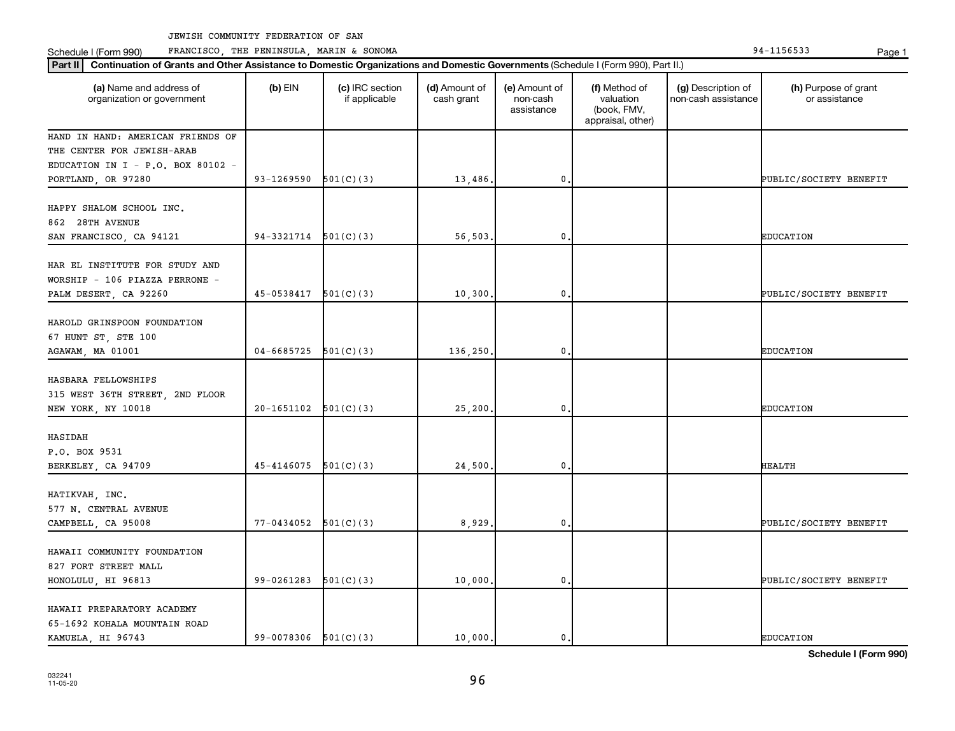Schedule I (Form 990) PRANCISCO, THE PENINSULA, MARIN & SONOMA Page 1 (Form 194-1156533 Page 1

| Part II   Continuation of Grants and Other Assistance to Domestic Organizations and Domestic Governments (Schedule I (Form 990), Part II.) |                        |                                  |                             |                                         |                                                                |                                           |                                       |
|--------------------------------------------------------------------------------------------------------------------------------------------|------------------------|----------------------------------|-----------------------------|-----------------------------------------|----------------------------------------------------------------|-------------------------------------------|---------------------------------------|
| (a) Name and address of<br>organization or government                                                                                      | $(b)$ EIN              | (c) IRC section<br>if applicable | (d) Amount of<br>cash grant | (e) Amount of<br>non-cash<br>assistance | (f) Method of<br>valuation<br>(book, FMV,<br>appraisal, other) | (g) Description of<br>non-cash assistance | (h) Purpose of grant<br>or assistance |
| HAND IN HAND: AMERICAN FRIENDS OF                                                                                                          |                        |                                  |                             |                                         |                                                                |                                           |                                       |
| THE CENTER FOR JEWISH-ARAB                                                                                                                 |                        |                                  |                             |                                         |                                                                |                                           |                                       |
| EDUCATION IN I - P.O. BOX 80102 -                                                                                                          |                        |                                  |                             |                                         |                                                                |                                           |                                       |
| PORTLAND, OR 97280                                                                                                                         | 93-1269590             | 501(C)(3)                        | 13,486.                     | $\mathbf{0}$                            |                                                                |                                           | PUBLIC/SOCIETY BENEFIT                |
| HAPPY SHALOM SCHOOL INC.<br>862 28TH AVENUE                                                                                                | 94-3321714             | 501(C)(3)                        | 56,503                      | 0                                       |                                                                |                                           | <b>EDUCATION</b>                      |
| SAN FRANCISCO, CA 94121                                                                                                                    |                        |                                  |                             |                                         |                                                                |                                           |                                       |
| HAR EL INSTITUTE FOR STUDY AND<br>WORSHIP - 106 PIAZZA PERRONE -<br>PALM DESERT, CA 92260                                                  | 45-0538417             | 501(C)(3)                        | 10, 300.                    | 0                                       |                                                                |                                           | PUBLIC/SOCIETY BENEFIT                |
| HAROLD GRINSPOON FOUNDATION<br>67 HUNT ST, STE 100<br>AGAWAM, MA 01001                                                                     | 04-6685725             | 501(C)(3)                        | 136,250.                    | $\mathbf 0$                             |                                                                |                                           | <b>EDUCATION</b>                      |
| HASBARA FELLOWSHIPS<br>315 WEST 36TH STREET, 2ND FLOOR<br>NEW YORK, NY 10018                                                               | 20-1651102             | 501(C)(3)                        | 25,200                      | 0                                       |                                                                |                                           | <b>EDUCATION</b>                      |
|                                                                                                                                            |                        |                                  |                             |                                         |                                                                |                                           |                                       |
| HASIDAH<br>P.O. BOX 9531<br>BERKELEY, CA 94709                                                                                             | 45-4146075             | 501(C)(3)                        | 24,500                      | 0                                       |                                                                |                                           | HEALTH                                |
| HATIKVAH, INC.<br>577 N. CENTRAL AVENUE<br>CAMPBELL, CA 95008                                                                              | 77-0434052             | 501(C)(3)                        | 8,929                       | $\mathbf 0$                             |                                                                |                                           | PUBLIC/SOCIETY BENEFIT                |
|                                                                                                                                            |                        |                                  |                             |                                         |                                                                |                                           |                                       |
| HAWAII COMMUNITY FOUNDATION<br>827 FORT STREET MALL<br>HONOLULU, HI 96813                                                                  | 99-0261283             | 501(C)(3)                        | 10,000                      | 0                                       |                                                                |                                           | PUBLIC/SOCIETY BENEFIT                |
| HAWAII PREPARATORY ACADEMY<br>65-1692 KOHALA MOUNTAIN ROAD<br>KAMUELA, HI 96743                                                            | 99-0078306 $501(C)(3)$ |                                  | 10,000.                     | 0.                                      |                                                                |                                           | <b>EDUCATION</b>                      |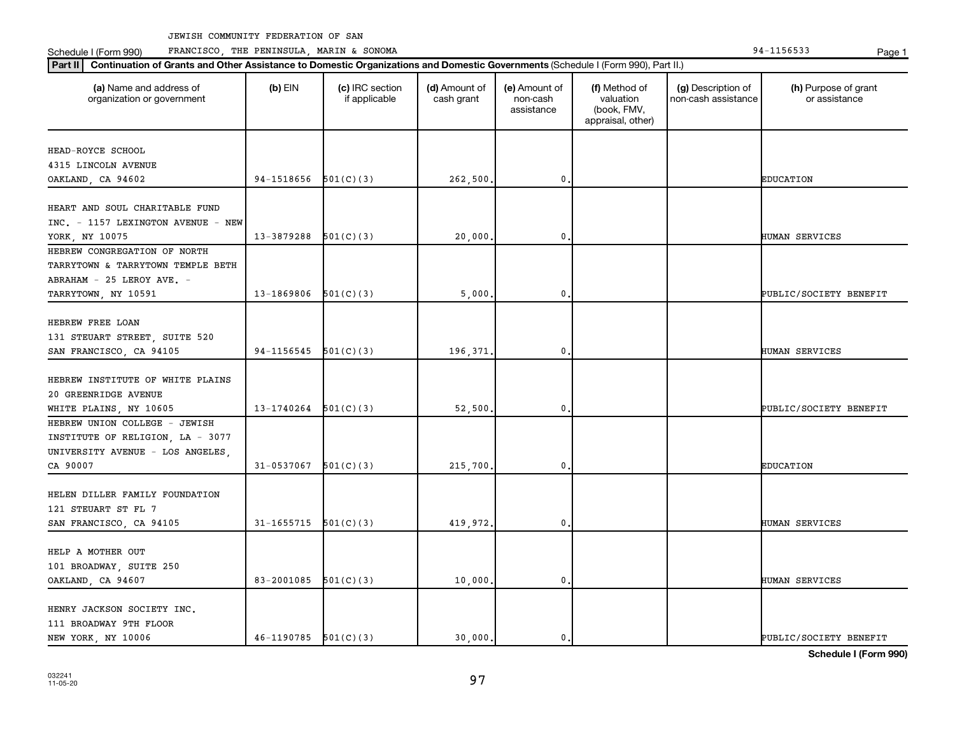Schedule I (Form 990) PRANCISCO, THE PENINSULA, MARIN & SONOMA Page 1 (Form 194-1156533 Page 1

| (a) Name and address of<br>organization or government    | $(b)$ EIN                | (c) IRC section<br>if applicable | (d) Amount of<br>cash grant | (e) Amount of<br>non-cash<br>assistance | (f) Method of<br>valuation<br>(book, FMV,<br>appraisal, other) | (g) Description of<br>non-cash assistance | (h) Purpose of grant<br>or assistance |
|----------------------------------------------------------|--------------------------|----------------------------------|-----------------------------|-----------------------------------------|----------------------------------------------------------------|-------------------------------------------|---------------------------------------|
| HEAD-ROYCE SCHOOL                                        |                          |                                  |                             |                                         |                                                                |                                           |                                       |
| 4315 LINCOLN AVENUE                                      |                          |                                  |                             |                                         |                                                                |                                           |                                       |
| OAKLAND, CA 94602                                        | 94-1518656               | 501(C)(3)                        | 262,500                     | $\mathbf 0$                             |                                                                |                                           | <b>EDUCATION</b>                      |
|                                                          |                          |                                  |                             |                                         |                                                                |                                           |                                       |
| HEART AND SOUL CHARITABLE FUND                           |                          |                                  |                             |                                         |                                                                |                                           |                                       |
| INC. - 1157 LEXINGTON AVENUE - NEW                       |                          |                                  |                             |                                         |                                                                |                                           |                                       |
| YORK, NY 10075                                           | 13-3879288               | 501(C)(3)                        | 20,000                      | $\mathbf 0$                             |                                                                |                                           | <b>HUMAN SERVICES</b>                 |
| HEBREW CONGREGATION OF NORTH                             |                          |                                  |                             |                                         |                                                                |                                           |                                       |
| TARRYTOWN & TARRYTOWN TEMPLE BETH                        |                          |                                  |                             |                                         |                                                                |                                           |                                       |
| ABRAHAM - 25 LEROY AVE. -                                |                          |                                  |                             |                                         |                                                                |                                           |                                       |
| TARRYTOWN, NY 10591                                      | 13-1869806               | 501(C)(3)                        | 5,000                       | 0.                                      |                                                                |                                           | PUBLIC/SOCIETY BENEFIT                |
|                                                          |                          |                                  |                             |                                         |                                                                |                                           |                                       |
| HEBREW FREE LOAN                                         |                          |                                  |                             |                                         |                                                                |                                           |                                       |
| 131 STEUART STREET, SUITE 520                            |                          |                                  |                             |                                         |                                                                |                                           |                                       |
| SAN FRANCISCO, CA 94105                                  | $94-1156545$ $501(C)(3)$ |                                  | 196,371                     | 0.                                      |                                                                |                                           | HUMAN SERVICES                        |
|                                                          |                          |                                  |                             |                                         |                                                                |                                           |                                       |
| HEBREW INSTITUTE OF WHITE PLAINS<br>20 GREENRIDGE AVENUE |                          |                                  |                             |                                         |                                                                |                                           |                                       |
| WHITE PLAINS, NY 10605                                   | 13-1740264               | 501(C)(3)                        | 52,500                      | 0.                                      |                                                                |                                           | PUBLIC/SOCIETY BENEFIT                |
| HEBREW UNION COLLEGE - JEWISH                            |                          |                                  |                             |                                         |                                                                |                                           |                                       |
| INSTITUTE OF RELIGION, LA - 3077                         |                          |                                  |                             |                                         |                                                                |                                           |                                       |
| UNIVERSITY AVENUE - LOS ANGELES,                         |                          |                                  |                             |                                         |                                                                |                                           |                                       |
| CA 90007                                                 | 31-0537067               | 501(C)(3)                        | 215,700                     | $\mathbf 0$                             |                                                                |                                           | <b>EDUCATION</b>                      |
|                                                          |                          |                                  |                             |                                         |                                                                |                                           |                                       |
| HELEN DILLER FAMILY FOUNDATION                           |                          |                                  |                             |                                         |                                                                |                                           |                                       |
| 121 STEUART ST FL 7                                      |                          |                                  |                             |                                         |                                                                |                                           |                                       |
| SAN FRANCISCO, CA 94105                                  | $31-1655715$ $501(C)(3)$ |                                  | 419,972.                    | 0.                                      |                                                                |                                           | HUMAN SERVICES                        |
|                                                          |                          |                                  |                             |                                         |                                                                |                                           |                                       |
| HELP A MOTHER OUT                                        |                          |                                  |                             |                                         |                                                                |                                           |                                       |
| 101 BROADWAY, SUITE 250                                  |                          |                                  |                             |                                         |                                                                |                                           |                                       |
| OAKLAND, CA 94607                                        | 83-2001085               | 501(C)(3)                        | 10,000                      | 0.                                      |                                                                |                                           | <b>HUMAN SERVICES</b>                 |
|                                                          |                          |                                  |                             |                                         |                                                                |                                           |                                       |
| HENRY JACKSON SOCIETY INC.                               |                          |                                  |                             |                                         |                                                                |                                           |                                       |
| 111 BROADWAY 9TH FLOOR                                   |                          |                                  |                             |                                         |                                                                |                                           |                                       |
| NEW YORK, NY 10006                                       | $46-1190785$ $501(C)(3)$ |                                  | 30.000.                     | $\mathbf{0}$ .                          |                                                                |                                           | PUBLIC/SOCIETY BENEFIT                |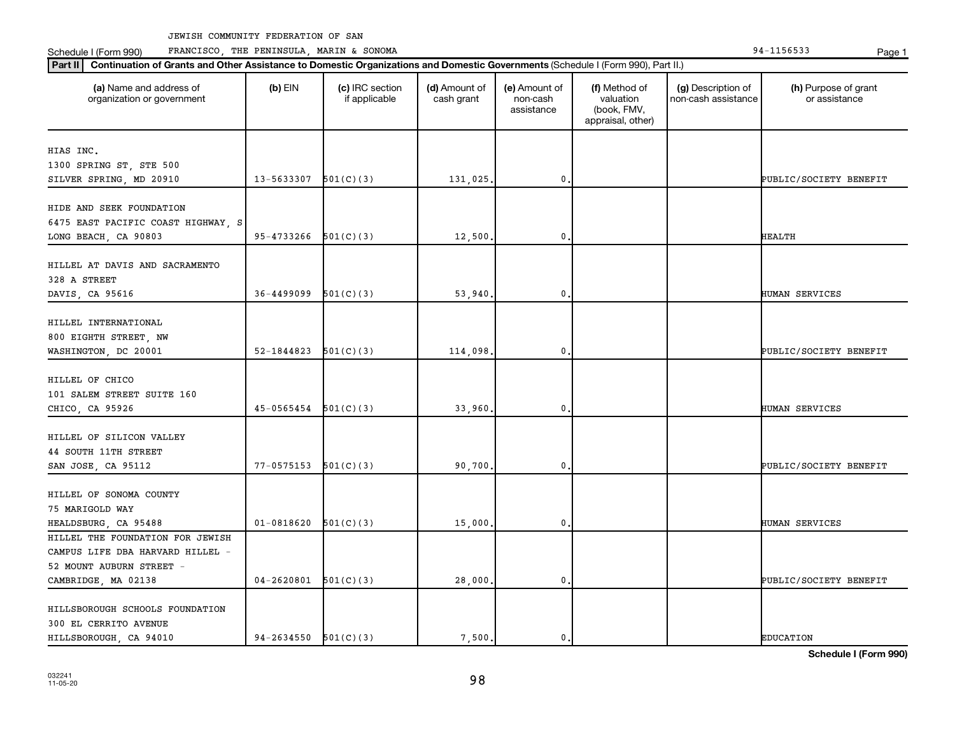**Part II Continuation of Grants and Other Assistance to Domestic Organizations and Domestic Governments**  (Schedule I (Form 990), Part II.)

 $\mathbf{I}$ 

Schedule I (Form 990) PRANCISCO, THE PENINSULA, MARIN & SONOMA Page 1 (Form 194-1156533 Page 1

| Schedule I (Form 990) |  |
|-----------------------|--|
|                       |  |

| (a) Name and address of<br>organization or government | $(b)$ EIN                  | (c) IRC section<br>if applicable | (d) Amount of<br>cash grant | (e) Amount of<br>non-cash<br>assistance | (f) Method of<br>valuation<br>(book, FMV,<br>appraisal, other) | (g) Description of<br>non-cash assistance | (h) Purpose of grant<br>or assistance |
|-------------------------------------------------------|----------------------------|----------------------------------|-----------------------------|-----------------------------------------|----------------------------------------------------------------|-------------------------------------------|---------------------------------------|
| HIAS INC.                                             |                            |                                  |                             |                                         |                                                                |                                           |                                       |
| 1300 SPRING ST, STE 500                               |                            |                                  |                             |                                         |                                                                |                                           |                                       |
| SILVER SPRING, MD 20910                               | $13 - 5633307$ $501(C)(3)$ |                                  | 131,025.                    | $\mathbf{0}$ .                          |                                                                |                                           | PUBLIC/SOCIETY BENEFIT                |
|                                                       |                            |                                  |                             |                                         |                                                                |                                           |                                       |
| HIDE AND SEEK FOUNDATION                              |                            |                                  |                             |                                         |                                                                |                                           |                                       |
| 6475 EAST PACIFIC COAST HIGHWAY, S                    |                            |                                  |                             |                                         |                                                                |                                           |                                       |
| LONG BEACH, CA 90803                                  | 95-4733266                 | 501(C)(3)                        | 12,500                      | 0                                       |                                                                |                                           | <b>HEALTH</b>                         |
|                                                       |                            |                                  |                             |                                         |                                                                |                                           |                                       |
| HILLEL AT DAVIS AND SACRAMENTO                        |                            |                                  |                             |                                         |                                                                |                                           |                                       |
| 328 A STREET                                          |                            |                                  |                             |                                         |                                                                |                                           |                                       |
| DAVIS, CA 95616                                       | $36 - 4499099$             | 501(C)(3)                        | 53,940                      | 0                                       |                                                                |                                           | HUMAN SERVICES                        |
|                                                       |                            |                                  |                             |                                         |                                                                |                                           |                                       |
| HILLEL INTERNATIONAL                                  |                            |                                  |                             |                                         |                                                                |                                           |                                       |
| 800 EIGHTH STREET, NW                                 |                            |                                  |                             |                                         |                                                                |                                           |                                       |
| WASHINGTON, DC 20001                                  | 52-1844823                 | 501(C)(3)                        | 114,098                     | 0.                                      |                                                                |                                           | PUBLIC/SOCIETY BENEFIT                |
|                                                       |                            |                                  |                             |                                         |                                                                |                                           |                                       |
| HILLEL OF CHICO                                       |                            |                                  |                             |                                         |                                                                |                                           |                                       |
| 101 SALEM STREET SUITE 160                            |                            |                                  |                             |                                         |                                                                |                                           |                                       |
| CHICO, CA 95926                                       | $45-0565454$ $501(C)(3)$   |                                  | 33,960                      | $\mathbf{0}$ .                          |                                                                |                                           | HUMAN SERVICES                        |
|                                                       |                            |                                  |                             |                                         |                                                                |                                           |                                       |
| HILLEL OF SILICON VALLEY                              |                            |                                  |                             |                                         |                                                                |                                           |                                       |
| 44 SOUTH 11TH STREET                                  |                            |                                  |                             |                                         |                                                                |                                           |                                       |
| SAN JOSE, CA 95112                                    | $77 - 0575153$ $501(C)(3)$ |                                  | 90,700                      | 0                                       |                                                                |                                           | PUBLIC/SOCIETY BENEFIT                |
| HILLEL OF SONOMA COUNTY                               |                            |                                  |                             |                                         |                                                                |                                           |                                       |
| 75 MARIGOLD WAY                                       |                            |                                  |                             |                                         |                                                                |                                           |                                       |
| HEALDSBURG, CA 95488                                  | $01 - 0818620$             | 501(C)(3)                        | 15,000,                     | 0.                                      |                                                                |                                           | HUMAN SERVICES                        |
| HILLEL THE FOUNDATION FOR JEWISH                      |                            |                                  |                             |                                         |                                                                |                                           |                                       |
| CAMPUS LIFE DBA HARVARD HILLEL -                      |                            |                                  |                             |                                         |                                                                |                                           |                                       |
| 52 MOUNT AUBURN STREET -                              |                            |                                  |                             |                                         |                                                                |                                           |                                       |
| CAMBRIDGE, MA 02138                                   | $04-2620801$ $501(C)(3)$   |                                  | 28,000                      | $\mathbf{0}$ .                          |                                                                |                                           | PUBLIC/SOCIETY BENEFIT                |
|                                                       |                            |                                  |                             |                                         |                                                                |                                           |                                       |
| HILLSBOROUGH SCHOOLS FOUNDATION                       |                            |                                  |                             |                                         |                                                                |                                           |                                       |
| 300 EL CERRITO AVENUE                                 |                            |                                  |                             |                                         |                                                                |                                           |                                       |
| HILLSBOROUGH, CA 94010                                | $94-2634550$ $501(C)(3)$   |                                  | 7,500.                      | 0.                                      |                                                                |                                           | <b>EDUCATION</b>                      |
|                                                       |                            |                                  |                             |                                         |                                                                |                                           |                                       |

Τ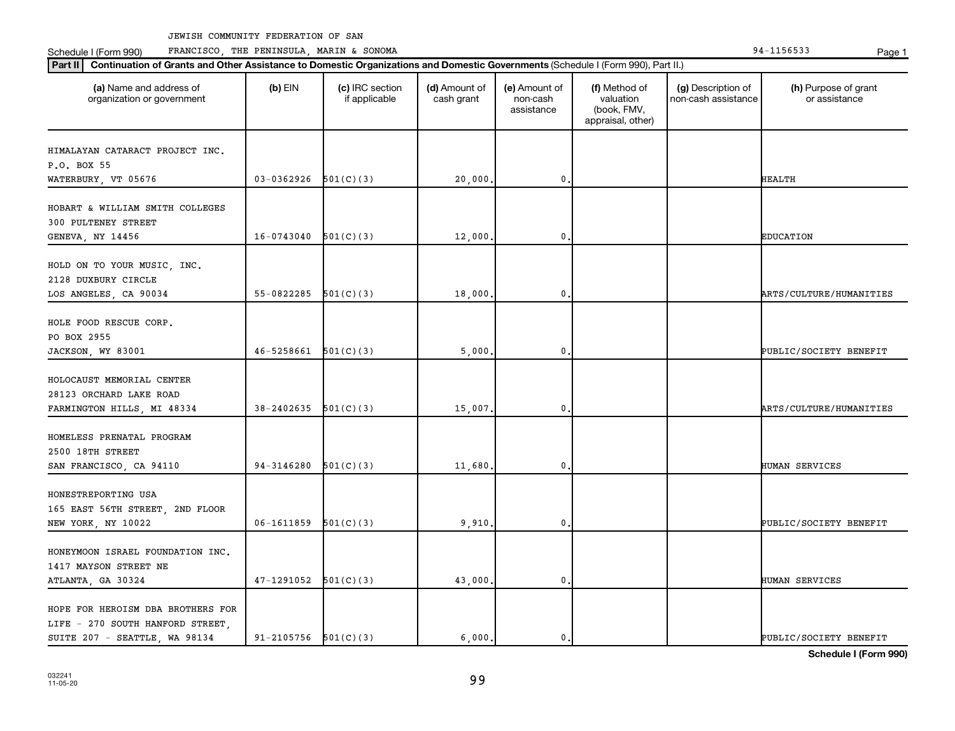Schedule I (Form 990) PRANCISCO, THE PENINSULA, MARIN & SONOMA Page 1 (Form 194-1156533 Page 1

| (a) Name and address of<br>organization or government                       | $(b)$ EIN                  | (c) IRC section<br>if applicable | (d) Amount of<br>cash grant | (e) Amount of<br>non-cash<br>assistance | (f) Method of<br>valuation<br>(book, FMV,<br>appraisal, other) | (g) Description of<br>non-cash assistance | (h) Purpose of grant<br>or assistance |
|-----------------------------------------------------------------------------|----------------------------|----------------------------------|-----------------------------|-----------------------------------------|----------------------------------------------------------------|-------------------------------------------|---------------------------------------|
| HIMALAYAN CATARACT PROJECT INC.                                             |                            |                                  |                             |                                         |                                                                |                                           |                                       |
| P.O. BOX 55                                                                 |                            |                                  |                             |                                         |                                                                |                                           |                                       |
| WATERBURY, VT 05676                                                         | 03-0362926                 | 501(C)(3)                        | 20,000                      | 0                                       |                                                                |                                           | HEALTH                                |
| HOBART & WILLIAM SMITH COLLEGES<br>300 PULTENEY STREET                      |                            |                                  |                             |                                         |                                                                |                                           |                                       |
| GENEVA, NY 14456                                                            | 16-0743040                 | 501(C)(3)                        | 12,000                      | 0                                       |                                                                |                                           | <b>EDUCATION</b>                      |
| HOLD ON TO YOUR MUSIC, INC.<br>2128 DUXBURY CIRCLE<br>LOS ANGELES, CA 90034 | 55-0822285                 | 501(C)(3)                        | 18,000                      | 0                                       |                                                                |                                           | ARTS/CULTURE/HUMANITIES               |
|                                                                             |                            |                                  |                             |                                         |                                                                |                                           |                                       |
| HOLE FOOD RESCUE CORP.                                                      |                            |                                  |                             |                                         |                                                                |                                           |                                       |
| PO BOX 2955                                                                 |                            |                                  |                             |                                         |                                                                |                                           |                                       |
| JACKSON, WY 83001                                                           | 46-5258661                 | 501(C)(3)                        | 5,000                       | 0                                       |                                                                |                                           | PUBLIC/SOCIETY BENEFIT                |
| HOLOCAUST MEMORIAL CENTER                                                   |                            |                                  |                             |                                         |                                                                |                                           |                                       |
| 28123 ORCHARD LAKE ROAD                                                     |                            |                                  |                             |                                         |                                                                |                                           |                                       |
| FARMINGTON HILLS, MI 48334                                                  | 38-2402635                 | 501(C)(3)                        | 15,007                      | 0                                       |                                                                |                                           | ARTS/CULTURE/HUMANITIES               |
| HOMELESS PRENATAL PROGRAM                                                   |                            |                                  |                             |                                         |                                                                |                                           |                                       |
| 2500 18TH STREET                                                            |                            |                                  |                             |                                         |                                                                |                                           |                                       |
| SAN FRANCISCO, CA 94110                                                     | 94-3146280                 | 501(C)(3)                        | 11,680                      | 0                                       |                                                                |                                           | HUMAN SERVICES                        |
|                                                                             |                            |                                  |                             |                                         |                                                                |                                           |                                       |
| HONESTREPORTING USA<br>165 EAST 56TH STREET, 2ND FLOOR                      |                            |                                  |                             |                                         |                                                                |                                           |                                       |
| NEW YORK, NY 10022                                                          | 06-1611859                 | 501(C)(3)                        | 9,910                       | 0                                       |                                                                |                                           | PUBLIC/SOCIETY BENEFIT                |
|                                                                             |                            |                                  |                             |                                         |                                                                |                                           |                                       |
| HONEYMOON ISRAEL FOUNDATION INC.                                            |                            |                                  |                             |                                         |                                                                |                                           |                                       |
| 1417 MAYSON STREET NE                                                       |                            |                                  |                             |                                         |                                                                |                                           |                                       |
| ATLANTA, GA 30324                                                           | 47-1291052                 | 501(C)(3)                        | 43,000                      | 0                                       |                                                                |                                           | HUMAN SERVICES                        |
| HOPE FOR HEROISM DBA BROTHERS FOR                                           |                            |                                  |                             |                                         |                                                                |                                           |                                       |
| LIFE - 270 SOUTH HANFORD STREET,                                            |                            |                                  |                             |                                         |                                                                |                                           |                                       |
| SUITE 207 - SEATTLE, WA 98134                                               | $91 - 2105756$ $501(C)(3)$ |                                  | 6.000.                      | 0.                                      |                                                                |                                           | PUBLIC/SOCIETY BENEFIT                |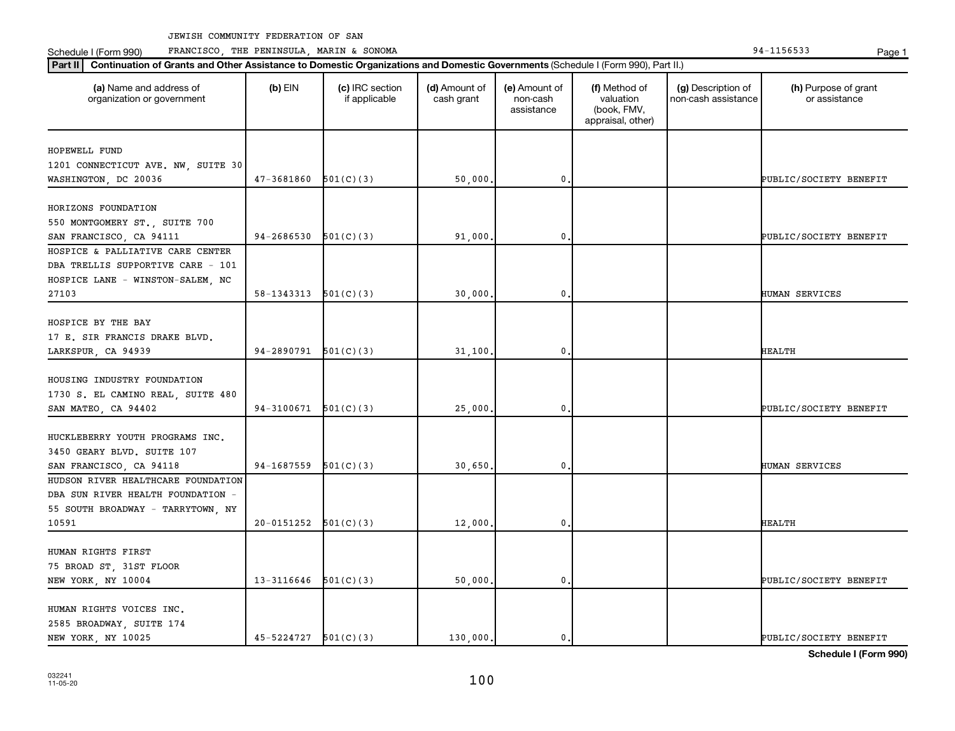Schedule I (Form 990) PRANCISCO, THE PENINSULA, MARIN & SONOMA Page 1 (Form 194-1156533 Page 1

| (a) Name and address of<br>organization or government            | $(b)$ EIN                  | (c) IRC section<br>if applicable | (d) Amount of<br>cash grant | (e) Amount of<br>non-cash<br>assistance | (f) Method of<br>valuation<br>(book, FMV,<br>appraisal, other) | (g) Description of<br>non-cash assistance | (h) Purpose of grant<br>or assistance |
|------------------------------------------------------------------|----------------------------|----------------------------------|-----------------------------|-----------------------------------------|----------------------------------------------------------------|-------------------------------------------|---------------------------------------|
| HOPEWELL FUND                                                    |                            |                                  |                             |                                         |                                                                |                                           |                                       |
| 1201 CONNECTICUT AVE. NW, SUITE 30                               |                            |                                  |                             |                                         |                                                                |                                           |                                       |
| WASHINGTON, DC 20036                                             | 47-3681860                 | 501(C)(3)                        | 50,000                      | $\mathbf 0$                             |                                                                |                                           | PUBLIC/SOCIETY BENEFIT                |
|                                                                  |                            |                                  |                             |                                         |                                                                |                                           |                                       |
| HORIZONS FOUNDATION                                              |                            |                                  |                             |                                         |                                                                |                                           |                                       |
| 550 MONTGOMERY ST., SUITE 700                                    |                            |                                  |                             |                                         |                                                                |                                           |                                       |
| SAN FRANCISCO, CA 94111                                          | 94-2686530                 | 501(C)(3)                        | 91,000                      | 0                                       |                                                                |                                           | PUBLIC/SOCIETY BENEFIT                |
| HOSPICE & PALLIATIVE CARE CENTER                                 |                            |                                  |                             |                                         |                                                                |                                           |                                       |
| DBA TRELLIS SUPPORTIVE CARE - 101                                |                            |                                  |                             |                                         |                                                                |                                           |                                       |
| HOSPICE LANE - WINSTON-SALEM, NC                                 |                            |                                  |                             |                                         |                                                                |                                           |                                       |
| 27103                                                            | $58-1343313$ $501(C)(3)$   |                                  | 30,000                      | 0.                                      |                                                                |                                           | HUMAN SERVICES                        |
|                                                                  |                            |                                  |                             |                                         |                                                                |                                           |                                       |
| HOSPICE BY THE BAY                                               |                            |                                  |                             |                                         |                                                                |                                           |                                       |
| 17 E. SIR FRANCIS DRAKE BLVD.                                    |                            |                                  |                             |                                         |                                                                |                                           |                                       |
| LARKSPUR, CA 94939                                               | $94-2890791$ $501(C)(3)$   |                                  | 31,100                      | $\mathbf 0$                             |                                                                |                                           | HEALTH                                |
|                                                                  |                            |                                  |                             |                                         |                                                                |                                           |                                       |
| HOUSING INDUSTRY FOUNDATION<br>1730 S. EL CAMINO REAL, SUITE 480 |                            |                                  |                             |                                         |                                                                |                                           |                                       |
| SAN MATEO, CA 94402                                              | 94-3100671                 | 501(C)(3)                        | 25,000                      | $\mathbf 0$                             |                                                                |                                           | PUBLIC/SOCIETY BENEFIT                |
|                                                                  |                            |                                  |                             |                                         |                                                                |                                           |                                       |
| HUCKLEBERRY YOUTH PROGRAMS INC.                                  |                            |                                  |                             |                                         |                                                                |                                           |                                       |
| 3450 GEARY BLVD. SUITE 107                                       |                            |                                  |                             |                                         |                                                                |                                           |                                       |
| SAN FRANCISCO, CA 94118                                          | 94-1687559                 | 501(C)(3)                        | 30,650                      | $\mathbf 0$                             |                                                                |                                           | HUMAN SERVICES                        |
| HUDSON RIVER HEALTHCARE FOUNDATION                               |                            |                                  |                             |                                         |                                                                |                                           |                                       |
| DBA SUN RIVER HEALTH FOUNDATION -                                |                            |                                  |                             |                                         |                                                                |                                           |                                       |
| 55 SOUTH BROADWAY - TARRYTOWN, NY                                |                            |                                  |                             |                                         |                                                                |                                           |                                       |
| 10591                                                            | 20-0151252                 | 501(C)(3)                        | 12,000                      | 0.                                      |                                                                |                                           | HEALTH                                |
|                                                                  |                            |                                  |                             |                                         |                                                                |                                           |                                       |
| HUMAN RIGHTS FIRST                                               |                            |                                  |                             |                                         |                                                                |                                           |                                       |
| 75 BROAD ST, 31ST FLOOR                                          |                            |                                  |                             |                                         |                                                                |                                           |                                       |
| NEW YORK, NY 10004                                               | $13-3116646$ $501(C)(3)$   |                                  | 50,000                      | $\mathbf 0$                             |                                                                |                                           | PUBLIC/SOCIETY BENEFIT                |
|                                                                  |                            |                                  |                             |                                         |                                                                |                                           |                                       |
| HUMAN RIGHTS VOICES INC.                                         |                            |                                  |                             |                                         |                                                                |                                           |                                       |
| 2585 BROADWAY, SUITE 174                                         |                            |                                  |                             |                                         |                                                                |                                           |                                       |
| NEW YORK, NY 10025                                               | $45 - 5224727$ $501(C)(3)$ |                                  | 130,000.                    | $\mathbf{0}$ .                          |                                                                |                                           | PUBLIC/SOCIETY BENEFIT                |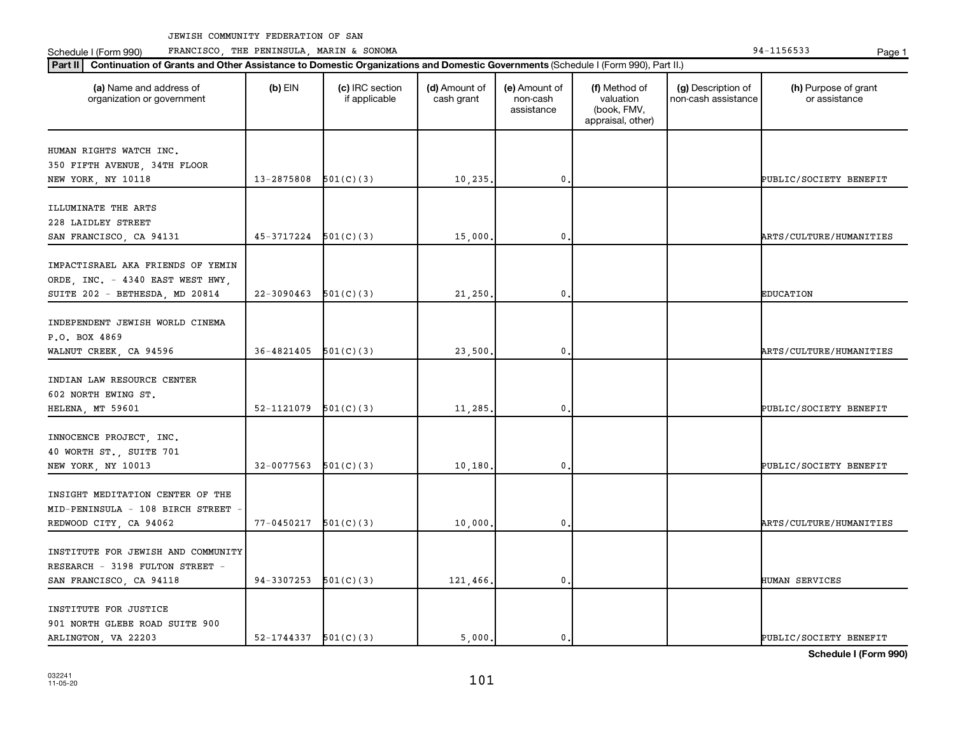Schedule I (Form 990) PRANCISCO, THE PENINSULA, MARIN & SONOMA Page 1 (Form 194-1156533 Page 1

| (a) Name and address of<br>organization or government | $(b)$ EIN                | (c) IRC section<br>if applicable | (d) Amount of<br>cash grant | (e) Amount of<br>non-cash<br>assistance | (f) Method of<br>valuation<br>(book, FMV,<br>appraisal, other) | (g) Description of<br>non-cash assistance | (h) Purpose of grant<br>or assistance |
|-------------------------------------------------------|--------------------------|----------------------------------|-----------------------------|-----------------------------------------|----------------------------------------------------------------|-------------------------------------------|---------------------------------------|
| HUMAN RIGHTS WATCH INC.                               |                          |                                  |                             |                                         |                                                                |                                           |                                       |
| 350 FIFTH AVENUE, 34TH FLOOR                          |                          |                                  |                             |                                         |                                                                |                                           |                                       |
| NEW YORK, NY 10118                                    | 13-2875808               | 501(C)(3)                        | 10,235.                     | $\mathbf 0$                             |                                                                |                                           | PUBLIC/SOCIETY BENEFIT                |
|                                                       |                          |                                  |                             |                                         |                                                                |                                           |                                       |
| ILLUMINATE THE ARTS                                   |                          |                                  |                             |                                         |                                                                |                                           |                                       |
| 228 LAIDLEY STREET                                    |                          |                                  |                             |                                         |                                                                |                                           |                                       |
| SAN FRANCISCO, CA 94131                               | 45-3717224               | 501(C)(3)                        | 15,000                      | $\mathbf 0$                             |                                                                |                                           | ARTS/CULTURE/HUMANITIES               |
|                                                       |                          |                                  |                             |                                         |                                                                |                                           |                                       |
| IMPACTISRAEL AKA FRIENDS OF YEMIN                     |                          |                                  |                             |                                         |                                                                |                                           |                                       |
| ORDE, INC. - 4340 EAST WEST HWY,                      |                          |                                  |                             |                                         |                                                                |                                           |                                       |
| SUITE 202 - BETHESDA, MD 20814                        | 22-3090463               | 501(C)(3)                        | 21,250                      | $\mathbf 0$                             |                                                                |                                           | <b>EDUCATION</b>                      |
|                                                       |                          |                                  |                             |                                         |                                                                |                                           |                                       |
| INDEPENDENT JEWISH WORLD CINEMA                       |                          |                                  |                             |                                         |                                                                |                                           |                                       |
| P.O. BOX 4869                                         |                          |                                  |                             |                                         |                                                                |                                           |                                       |
| WALNUT CREEK, CA 94596                                | 36-4821405               | 501(C)(3)                        | 23,500                      | 0                                       |                                                                |                                           | ARTS/CULTURE/HUMANITIES               |
| INDIAN LAW RESOURCE CENTER                            |                          |                                  |                             |                                         |                                                                |                                           |                                       |
| 602 NORTH EWING ST.                                   |                          |                                  |                             |                                         |                                                                |                                           |                                       |
| HELENA, MT 59601                                      | 52-1121079               | 501(C)(3)                        | 11,285                      | $\mathbf 0$                             |                                                                |                                           | PUBLIC/SOCIETY BENEFIT                |
|                                                       |                          |                                  |                             |                                         |                                                                |                                           |                                       |
| INNOCENCE PROJECT, INC.                               |                          |                                  |                             |                                         |                                                                |                                           |                                       |
| 40 WORTH ST., SUITE 701                               |                          |                                  |                             |                                         |                                                                |                                           |                                       |
| NEW YORK, NY 10013                                    | 32-0077563               | 501(C)(3)                        | 10,180                      | 0                                       |                                                                |                                           | PUBLIC/SOCIETY BENEFIT                |
|                                                       |                          |                                  |                             |                                         |                                                                |                                           |                                       |
| INSIGHT MEDITATION CENTER OF THE                      |                          |                                  |                             |                                         |                                                                |                                           |                                       |
| MID-PENINSULA - 108 BIRCH STREET                      |                          |                                  |                             |                                         |                                                                |                                           |                                       |
| REDWOOD CITY, CA 94062                                | 77-0450217               | 501(C)(3)                        | 10,000                      | $\mathbf 0$                             |                                                                |                                           | ARTS/CULTURE/HUMANITIES               |
|                                                       |                          |                                  |                             |                                         |                                                                |                                           |                                       |
| INSTITUTE FOR JEWISH AND COMMUNITY                    |                          |                                  |                             |                                         |                                                                |                                           |                                       |
| RESEARCH - 3198 FULTON STREET -                       |                          |                                  |                             |                                         |                                                                |                                           |                                       |
| SAN FRANCISCO, CA 94118                               | $94-3307253$ $501(C)(3)$ |                                  | 121,466.                    | $\mathbf 0$                             |                                                                |                                           | HUMAN SERVICES                        |
|                                                       |                          |                                  |                             |                                         |                                                                |                                           |                                       |
| INSTITUTE FOR JUSTICE                                 |                          |                                  |                             |                                         |                                                                |                                           |                                       |
| 901 NORTH GLEBE ROAD SUITE 900                        |                          |                                  |                             |                                         |                                                                |                                           |                                       |
| ARLINGTON, VA 22203                                   | $52-1744337$ $501(C)(3)$ |                                  | 5.000.                      | 0.                                      |                                                                |                                           | PUBLIC/SOCIETY BENEFIT                |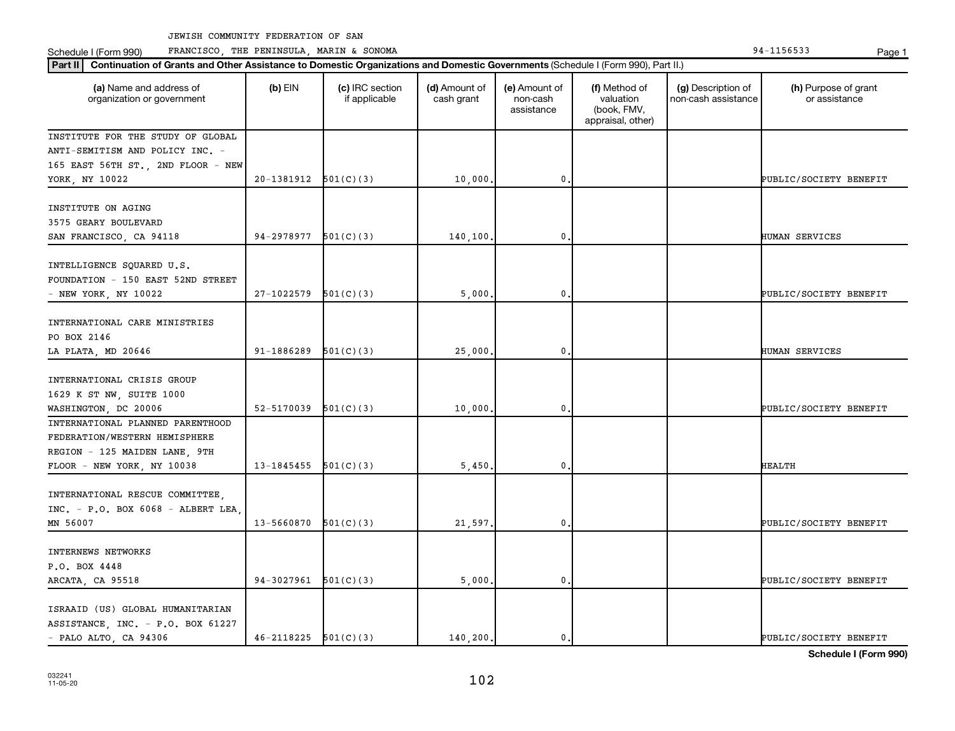Schedule I (Form 990) PRANCISCO, THE PENINSULA, MARIN & SONOMA Page 1 (Form 194-1156533 Page 1

| (a) Name and address of<br>organization or government | $(b)$ EIN                  | (c) IRC section<br>if applicable | (d) Amount of<br>cash grant | (e) Amount of<br>non-cash<br>assistance | (f) Method of<br>valuation<br>(book, FMV,<br>appraisal, other) | (g) Description of<br>non-cash assistance | (h) Purpose of grant<br>or assistance |
|-------------------------------------------------------|----------------------------|----------------------------------|-----------------------------|-----------------------------------------|----------------------------------------------------------------|-------------------------------------------|---------------------------------------|
| INSTITUTE FOR THE STUDY OF GLOBAL                     |                            |                                  |                             |                                         |                                                                |                                           |                                       |
| ANTI-SEMITISM AND POLICY INC. -                       |                            |                                  |                             |                                         |                                                                |                                           |                                       |
| 165 EAST 56TH ST., 2ND FLOOR - NEW                    |                            |                                  |                             |                                         |                                                                |                                           |                                       |
| YORK, NY 10022                                        | $20-1381912$ $501(C)(3)$   |                                  | 10,000.                     | $\mathbf 0$ .                           |                                                                |                                           | PUBLIC/SOCIETY BENEFIT                |
| INSTITUTE ON AGING                                    |                            |                                  |                             |                                         |                                                                |                                           |                                       |
| 3575 GEARY BOULEVARD                                  |                            |                                  |                             |                                         |                                                                |                                           |                                       |
| SAN FRANCISCO, CA 94118                               | 94-2978977                 | 501(C)(3)                        | 140,100.                    | $\mathbf 0$                             |                                                                |                                           | HUMAN SERVICES                        |
|                                                       |                            |                                  |                             |                                         |                                                                |                                           |                                       |
| INTELLIGENCE SQUARED U.S.                             |                            |                                  |                             |                                         |                                                                |                                           |                                       |
| FOUNDATION - 150 EAST 52ND STREET                     |                            |                                  |                             |                                         |                                                                |                                           |                                       |
| - NEW YORK, NY 10022                                  | 27-1022579                 | 501(C)(3)                        | 5,000,                      | 0.                                      |                                                                |                                           | PUBLIC/SOCIETY BENEFIT                |
|                                                       |                            |                                  |                             |                                         |                                                                |                                           |                                       |
| INTERNATIONAL CARE MINISTRIES                         |                            |                                  |                             |                                         |                                                                |                                           |                                       |
| PO BOX 2146                                           |                            |                                  |                             |                                         |                                                                |                                           |                                       |
| LA PLATA, MD 20646                                    | 91-1886289                 | 501(C)(3)                        | 25,000.                     | $\mathbf{0}$                            |                                                                |                                           | HUMAN SERVICES                        |
|                                                       |                            |                                  |                             |                                         |                                                                |                                           |                                       |
| INTERNATIONAL CRISIS GROUP                            |                            |                                  |                             |                                         |                                                                |                                           |                                       |
| 1629 K ST NW, SUITE 1000                              |                            |                                  |                             |                                         |                                                                |                                           |                                       |
| WASHINGTON, DC 20006                                  | 52-5170039                 | 501(C)(3)                        | 10,000,                     | $\mathbf 0$ .                           |                                                                |                                           | PUBLIC/SOCIETY BENEFIT                |
| INTERNATIONAL PLANNED PARENTHOOD                      |                            |                                  |                             |                                         |                                                                |                                           |                                       |
| FEDERATION/WESTERN HEMISPHERE                         |                            |                                  |                             |                                         |                                                                |                                           |                                       |
| REGION - 125 MAIDEN LANE, 9TH                         |                            |                                  |                             |                                         |                                                                |                                           |                                       |
| FLOOR - NEW YORK, NY 10038                            | 13-1845455                 | 501(C)(3)                        | 5,450                       | $\mathbf{0}$                            |                                                                |                                           | <b>HEALTH</b>                         |
| INTERNATIONAL RESCUE COMMITTEE,                       |                            |                                  |                             |                                         |                                                                |                                           |                                       |
| $INC. - P. O. BOX 6068 - ALBERT LEA$                  |                            |                                  |                             |                                         |                                                                |                                           |                                       |
| MN 56007                                              | $13 - 5660870$ $501(C)(3)$ |                                  | 21,597.                     | $\mathfrak o$ .                         |                                                                |                                           | PUBLIC/SOCIETY BENEFIT                |
|                                                       |                            |                                  |                             |                                         |                                                                |                                           |                                       |
| INTERNEWS NETWORKS                                    |                            |                                  |                             |                                         |                                                                |                                           |                                       |
| P.O. BOX 4448                                         |                            |                                  |                             |                                         |                                                                |                                           |                                       |
| ARCATA, CA 95518                                      | 94-3027961                 | 501(C)(3)                        | 5,000.                      | $\mathbf 0$                             |                                                                |                                           | PUBLIC/SOCIETY BENEFIT                |
|                                                       |                            |                                  |                             |                                         |                                                                |                                           |                                       |
| ISRAAID (US) GLOBAL HUMANITARIAN                      |                            |                                  |                             |                                         |                                                                |                                           |                                       |
| ASSISTANCE, INC. - P.O. BOX 61227                     |                            |                                  |                             |                                         |                                                                |                                           |                                       |
| $-$ PALO ALTO, CA 94306                               | $46 - 2118225$ $501(C)(3)$ |                                  | 140,200.                    | $\mathbf{0}$ .                          |                                                                |                                           | PUBLIC/SOCIETY BENEFIT                |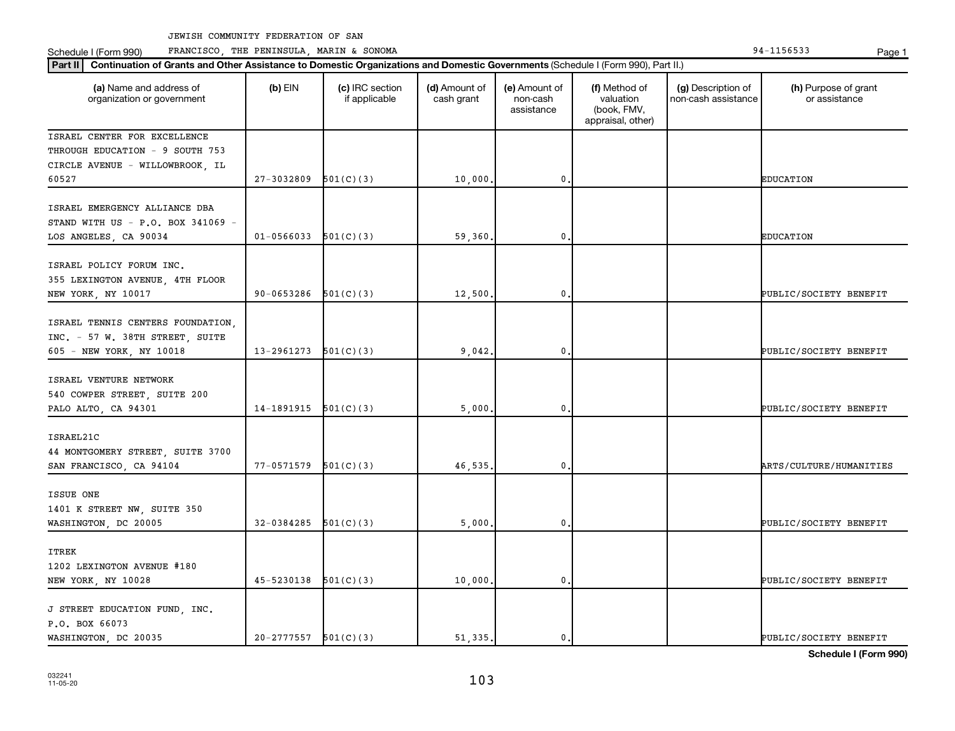Schedule I (Form 990) PRANCISCO, THE PENINSULA, MARIN & SONOMA Page 1 (Form 194-1156533 Page 1

| Part II   Continuation of Grants and Other Assistance to Domestic Organizations and Domestic Governments (Schedule I (Form 990), Part II.) |                          |                                  |                             |                                         |                                                                |                                           |                                       |
|--------------------------------------------------------------------------------------------------------------------------------------------|--------------------------|----------------------------------|-----------------------------|-----------------------------------------|----------------------------------------------------------------|-------------------------------------------|---------------------------------------|
| (a) Name and address of<br>organization or government                                                                                      | $(b)$ EIN                | (c) IRC section<br>if applicable | (d) Amount of<br>cash grant | (e) Amount of<br>non-cash<br>assistance | (f) Method of<br>valuation<br>(book, FMV,<br>appraisal, other) | (g) Description of<br>non-cash assistance | (h) Purpose of grant<br>or assistance |
| ISRAEL CENTER FOR EXCELLENCE                                                                                                               |                          |                                  |                             |                                         |                                                                |                                           |                                       |
| THROUGH EDUCATION - 9 SOUTH 753                                                                                                            |                          |                                  |                             |                                         |                                                                |                                           |                                       |
| CIRCLE AVENUE - WILLOWBROOK, IL                                                                                                            |                          |                                  |                             |                                         |                                                                |                                           |                                       |
| 60527                                                                                                                                      | 27-3032809               | 501(C)(3)                        | 10,000                      | 0                                       |                                                                |                                           | <b>EDUCATION</b>                      |
| ISRAEL EMERGENCY ALLIANCE DBA<br>STAND WITH US - P.O. BOX 341069 -<br>LOS ANGELES, CA 90034                                                | $01 - 0566033$           | 501(C)(3)                        | 59,360                      | 0                                       |                                                                |                                           | <b>EDUCATION</b>                      |
|                                                                                                                                            |                          |                                  |                             |                                         |                                                                |                                           |                                       |
| ISRAEL POLICY FORUM INC.                                                                                                                   |                          |                                  |                             |                                         |                                                                |                                           |                                       |
| 355 LEXINGTON AVENUE, 4TH FLOOR                                                                                                            |                          |                                  |                             |                                         |                                                                |                                           |                                       |
| NEW YORK, NY 10017                                                                                                                         | 90-0653286               | 501(C)(3)                        | 12,500                      | 0                                       |                                                                |                                           | PUBLIC/SOCIETY BENEFIT                |
| ISRAEL TENNIS CENTERS FOUNDATION,<br>INC. - 57 W. 38TH STREET, SUITE<br>605 - NEW YORK, NY 10018                                           | 13-2961273               | 501(C)(3)                        | 9,042                       | 0                                       |                                                                |                                           | PUBLIC/SOCIETY BENEFIT                |
|                                                                                                                                            |                          |                                  |                             |                                         |                                                                |                                           |                                       |
| ISRAEL VENTURE NETWORK                                                                                                                     |                          |                                  |                             |                                         |                                                                |                                           |                                       |
| 540 COWPER STREET, SUITE 200                                                                                                               |                          |                                  |                             |                                         |                                                                |                                           |                                       |
| PALO ALTO, CA 94301                                                                                                                        | 14-1891915               | 501(C)(3)                        | 5,000                       | 0                                       |                                                                |                                           | PUBLIC/SOCIETY BENEFIT                |
| ISRAEL21C<br>44 MONTGOMERY STREET, SUITE 3700<br>SAN FRANCISCO, CA 94104                                                                   | 77-0571579               | 501(C)(3)                        | 46,535                      | 0                                       |                                                                |                                           | ARTS/CULTURE/HUMANITIES               |
|                                                                                                                                            |                          |                                  |                             |                                         |                                                                |                                           |                                       |
| ISSUE ONE                                                                                                                                  |                          |                                  |                             |                                         |                                                                |                                           |                                       |
| 1401 K STREET NW, SUITE 350                                                                                                                |                          |                                  |                             |                                         |                                                                |                                           |                                       |
| WASHINGTON, DC 20005                                                                                                                       | 32-0384285               | 501(C)(3)                        | 5,000                       | 0                                       |                                                                |                                           | PUBLIC/SOCIETY BENEFIT                |
| <b>ITREK</b>                                                                                                                               |                          |                                  |                             |                                         |                                                                |                                           |                                       |
| 1202 LEXINGTON AVENUE #180                                                                                                                 |                          |                                  |                             |                                         |                                                                |                                           |                                       |
| NEW YORK, NY 10028                                                                                                                         | 45-5230138               | 501(C)(3)                        | 10,000                      | 0                                       |                                                                |                                           | PUBLIC/SOCIETY BENEFIT                |
| J STREET EDUCATION FUND, INC.<br>P.O. BOX 66073                                                                                            |                          |                                  |                             |                                         |                                                                |                                           |                                       |
| WASHINGTON, DC 20035                                                                                                                       | $20-2777557$ $501(C)(3)$ |                                  | 51,335.                     | 0.                                      |                                                                |                                           | PUBLIC/SOCIETY BENEFIT                |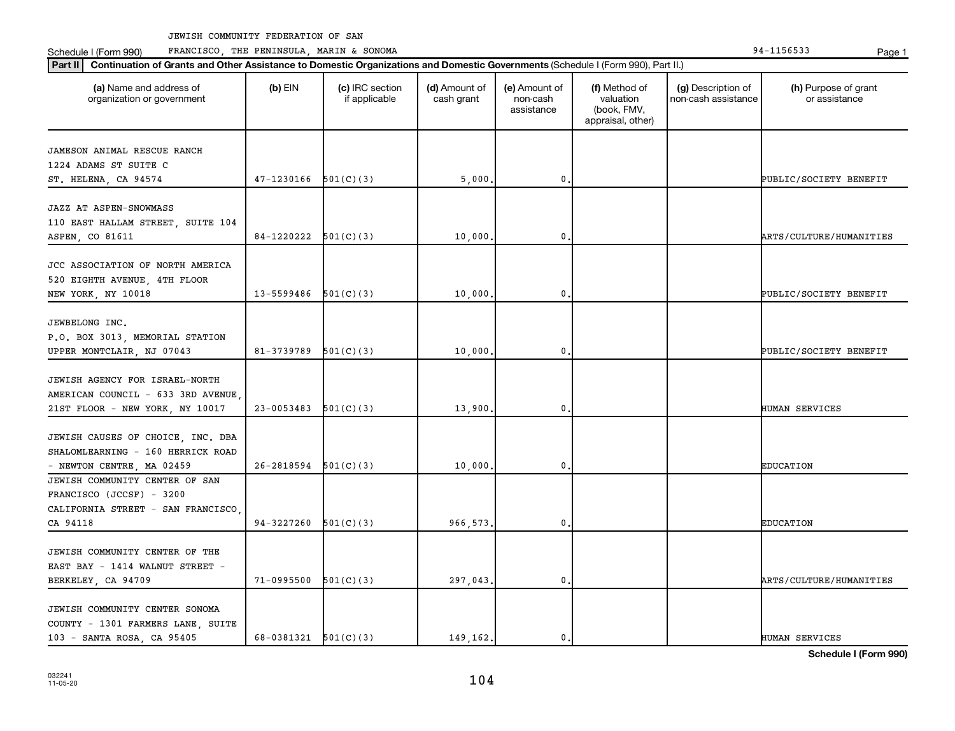Schedule I (Form 990) PRANCISCO, THE PENINSULA, MARIN & SONOMA Page 1 (Form 194-1156533 Page 1

| (a) Name and address of<br>organization or government      | $(b)$ EIN                  | (c) IRC section<br>if applicable | (d) Amount of<br>cash grant | (e) Amount of<br>non-cash<br>assistance | (f) Method of<br>valuation<br>(book, FMV,<br>appraisal, other) | (g) Description of<br>non-cash assistance | (h) Purpose of grant<br>or assistance |
|------------------------------------------------------------|----------------------------|----------------------------------|-----------------------------|-----------------------------------------|----------------------------------------------------------------|-------------------------------------------|---------------------------------------|
| JAMESON ANIMAL RESCUE RANCH                                |                            |                                  |                             |                                         |                                                                |                                           |                                       |
| 1224 ADAMS ST SUITE C                                      |                            |                                  |                             |                                         |                                                                |                                           |                                       |
| ST. HELENA, CA 94574                                       | 47-1230166                 | 501(C)(3)                        | 5,000                       | $\mathbf{0}$                            |                                                                |                                           | PUBLIC/SOCIETY BENEFIT                |
| JAZZ AT ASPEN-SNOWMASS                                     |                            |                                  |                             |                                         |                                                                |                                           |                                       |
| 110 EAST HALLAM STREET, SUITE 104                          |                            |                                  |                             |                                         |                                                                |                                           |                                       |
| ASPEN, CO 81611                                            | 84-1220222                 | 501(C)(3)                        | 10,000                      | 0                                       |                                                                |                                           | ARTS/CULTURE/HUMANITIES               |
|                                                            |                            |                                  |                             |                                         |                                                                |                                           |                                       |
| JCC ASSOCIATION OF NORTH AMERICA                           |                            |                                  |                             |                                         |                                                                |                                           |                                       |
| 520 EIGHTH AVENUE, 4TH FLOOR                               |                            |                                  |                             |                                         |                                                                |                                           |                                       |
| NEW YORK, NY 10018                                         | $13 - 5599486$ $501(C)(3)$ |                                  | 10,000,                     | $\mathbf 0$ .                           |                                                                |                                           | PUBLIC/SOCIETY BENEFIT                |
| JEWBELONG INC.                                             |                            |                                  |                             |                                         |                                                                |                                           |                                       |
| P.O. BOX 3013, MEMORIAL STATION                            |                            |                                  |                             |                                         |                                                                |                                           |                                       |
| UPPER MONTCLAIR, NJ 07043                                  | 81-3739789                 | 501(C)(3)                        | 10,000.                     | $\mathbf 0$                             |                                                                |                                           | PUBLIC/SOCIETY BENEFIT                |
|                                                            |                            |                                  |                             |                                         |                                                                |                                           |                                       |
| JEWISH AGENCY FOR ISRAEL-NORTH                             |                            |                                  |                             |                                         |                                                                |                                           |                                       |
| AMERICAN COUNCIL - 633 3RD AVENUE                          |                            |                                  |                             |                                         |                                                                |                                           |                                       |
| 21ST FLOOR - NEW YORK, NY 10017                            | 23-0053483                 | 501(C)(3)                        | 13,900                      | $\mathbf{0}$                            |                                                                |                                           | HUMAN SERVICES                        |
|                                                            |                            |                                  |                             |                                         |                                                                |                                           |                                       |
| JEWISH CAUSES OF CHOICE, INC. DBA                          |                            |                                  |                             |                                         |                                                                |                                           |                                       |
| SHALOMLEARNING - 160 HERRICK ROAD                          |                            |                                  |                             |                                         |                                                                |                                           |                                       |
| - NEWTON CENTRE, MA 02459                                  | 26-2818594                 | 501(C)(3)                        | 10,000                      | 0                                       |                                                                |                                           | <b>EDUCATION</b>                      |
| JEWISH COMMUNITY CENTER OF SAN<br>FRANCISCO (JCCSF) - 3200 |                            |                                  |                             |                                         |                                                                |                                           |                                       |
| CALIFORNIA STREET - SAN FRANCISCO.                         |                            |                                  |                             |                                         |                                                                |                                           |                                       |
| CA 94118                                                   | 94-3227260                 | 501(C)(3)                        | 966,573,                    | $\mathbf 0$ .                           |                                                                |                                           | <b>EDUCATION</b>                      |
|                                                            |                            |                                  |                             |                                         |                                                                |                                           |                                       |
| JEWISH COMMUNITY CENTER OF THE                             |                            |                                  |                             |                                         |                                                                |                                           |                                       |
| EAST BAY - 1414 WALNUT STREET -                            |                            |                                  |                             |                                         |                                                                |                                           |                                       |
| BERKELEY, CA 94709                                         | 71-0995500                 | 501(C)(3)                        | 297,043.                    | $\mathbf{0}$                            |                                                                |                                           | ARTS/CULTURE/HUMANITIES               |
|                                                            |                            |                                  |                             |                                         |                                                                |                                           |                                       |
| JEWISH COMMUNITY CENTER SONOMA                             |                            |                                  |                             |                                         |                                                                |                                           |                                       |
| COUNTY - 1301 FARMERS LANE, SUITE                          |                            |                                  |                             |                                         |                                                                |                                           |                                       |
| 103 - SANTA ROSA, CA 95405                                 | $68-0381321$ $501(C)(3)$   |                                  | 149.162.                    | $\mathbf{0}$ .                          |                                                                |                                           | <b>HUMAN SERVICES</b>                 |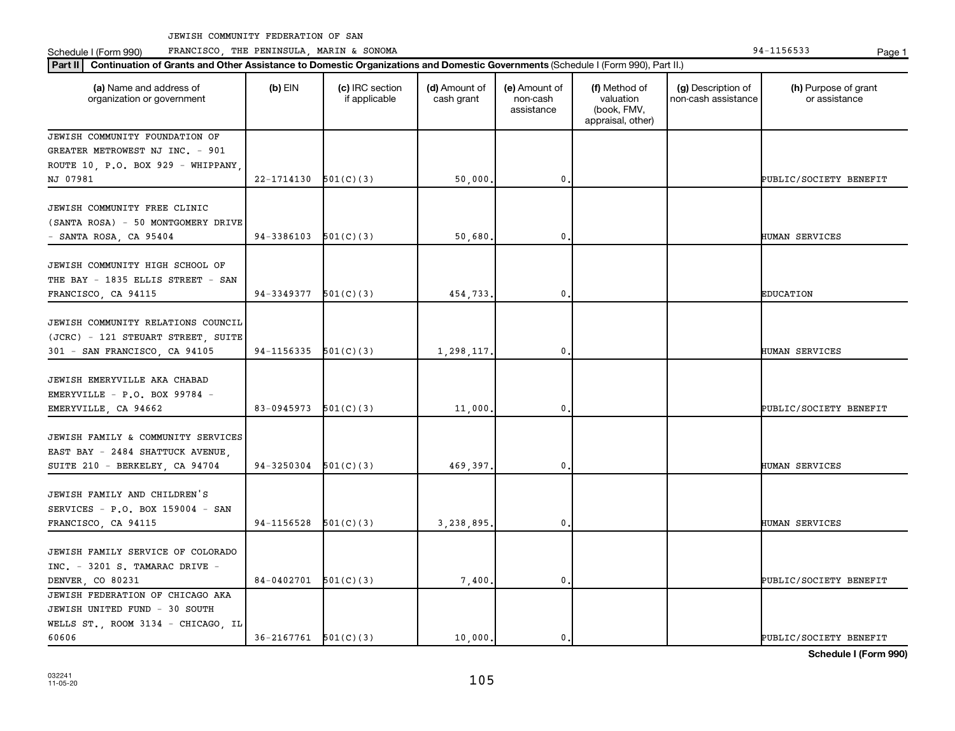**Part III Continuation of Grants and Other Assistance to Domestic Organizations and Domestic Government of Grants and Other Assistance to Domestic Continuation of Grants and Other Assistance to Domestic Croanizations and** Schedule I (Form 990) PRANCISCO, THE PENINSULA, MARIN & SONOMA Page 1 (Form 194-1156533 Page 1

| Continuation of Grants and Other Assistance to Domestic Organizations and Domestic Governments (Schedule I (Form 990), Part II.)<br><b>Part II</b> |                          |                                  |                             |                                         |                                                                |                                           |                                       |  |
|----------------------------------------------------------------------------------------------------------------------------------------------------|--------------------------|----------------------------------|-----------------------------|-----------------------------------------|----------------------------------------------------------------|-------------------------------------------|---------------------------------------|--|
| (a) Name and address of<br>organization or government                                                                                              | $(b)$ EIN                | (c) IRC section<br>if applicable | (d) Amount of<br>cash grant | (e) Amount of<br>non-cash<br>assistance | (f) Method of<br>valuation<br>(book, FMV,<br>appraisal, other) | (g) Description of<br>non-cash assistance | (h) Purpose of grant<br>or assistance |  |
| JEWISH COMMUNITY FOUNDATION OF<br>GREATER METROWEST NJ INC. - 901<br>ROUTE 10, P.O. BOX 929 - WHIPPANY,<br>NJ 07981                                | $22-1714130$ $501(C)(3)$ |                                  | 50,000.                     | 0.                                      |                                                                |                                           | PUBLIC/SOCIETY BENEFIT                |  |
| JEWISH COMMUNITY FREE CLINIC<br>(SANTA ROSA) - 50 MONTGOMERY DRIVE<br>- SANTA ROSA, CA 95404                                                       | $94-3386103$ $501(C)(3)$ |                                  | 50,680.                     | $\mathbf 0$                             |                                                                |                                           | HUMAN SERVICES                        |  |
| JEWISH COMMUNITY HIGH SCHOOL OF<br>THE BAY - 1835 ELLIS STREET - SAN<br>FRANCISCO, CA 94115                                                        | 94-3349377               | 501(C)(3)                        | 454,733.                    | $\mathbf{0}$                            |                                                                |                                           | <b>EDUCATION</b>                      |  |
| JEWISH COMMUNITY RELATIONS COUNCIL<br>(JCRC) - 121 STEUART STREET, SUITE<br>301 - SAN FRANCISCO, CA 94105                                          | $94-1156335$ $501(C)(3)$ |                                  | 1,298,117.                  | $\mathbf 0$                             |                                                                |                                           | HUMAN SERVICES                        |  |
| JEWISH EMERYVILLE AKA CHABAD<br>EMERYVILLE - P.O. BOX 99784 -<br>EMERYVILLE, CA 94662                                                              | $83-0945973$ $501(C)(3)$ |                                  | 11,000.                     | 0                                       |                                                                |                                           | PUBLIC/SOCIETY BENEFIT                |  |
| JEWISH FAMILY & COMMUNITY SERVICES<br>EAST BAY - 2484 SHATTUCK AVENUE,<br>SUITE 210 - BERKELEY, CA 94704                                           | 94-3250304               | 501(C)(3)                        | 469,397.                    | $\mathbf{0}$                            |                                                                |                                           | HUMAN SERVICES                        |  |
| JEWISH FAMILY AND CHILDREN'S<br>SERVICES - P.O. BOX 159004 - SAN<br>FRANCISCO, CA 94115                                                            | $94-1156528$ $501(C)(3)$ |                                  | 3.238.895,                  | 0.                                      |                                                                |                                           | HUMAN SERVICES                        |  |
| JEWISH FAMILY SERVICE OF COLORADO<br>INC. - 3201 S. TAMARAC DRIVE -<br>DENVER, CO 80231                                                            | $84-0402701$ 501(C)(3)   |                                  | 7,400.                      | $\mathbf 0$                             |                                                                |                                           | PUBLIC/SOCIETY BENEFIT                |  |
| JEWISH FEDERATION OF CHICAGO AKA<br>JEWISH UNITED FUND - 30 SOUTH<br>WELLS ST., ROOM 3134 - CHICAGO, IL<br>60606                                   | $36-2167761$ $501(C)(3)$ |                                  | 10,000.                     | $\mathbf{0}$ .                          |                                                                |                                           | PUBLIC/SOCIETY BENEFIT                |  |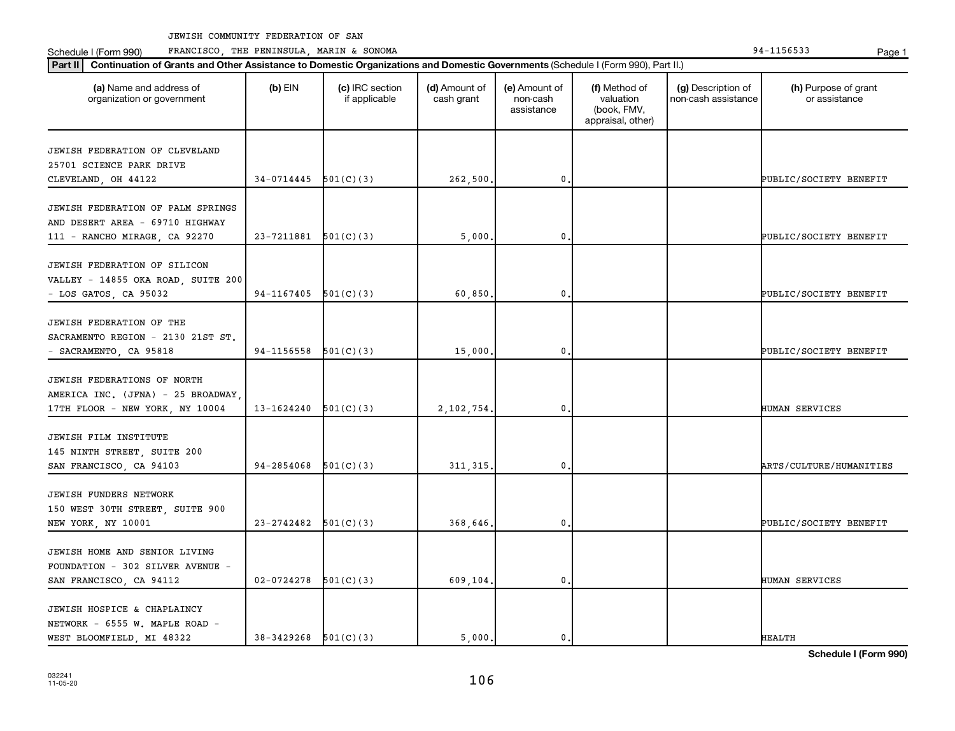Schedule I (Form 990) PRANCISCO, THE PENINSULA, MARIN & SONOMA Page 1 (Form 194-1156533 Page 1

| (a) Name and address of<br>organization or government                                                 | $(b)$ EIN      | (c) IRC section<br>if applicable | (d) Amount of<br>cash grant | (e) Amount of<br>non-cash<br>assistance | (f) Method of<br>valuation<br>(book, FMV,<br>appraisal, other) | (g) Description of<br>non-cash assistance | (h) Purpose of grant<br>or assistance |
|-------------------------------------------------------------------------------------------------------|----------------|----------------------------------|-----------------------------|-----------------------------------------|----------------------------------------------------------------|-------------------------------------------|---------------------------------------|
| JEWISH FEDERATION OF CLEVELAND<br>25701 SCIENCE PARK DRIVE<br>CLEVELAND, OH 44122                     | 34-0714445     | 501(C)(3)                        | 262,500                     | 0.                                      |                                                                |                                           | PUBLIC/SOCIETY BENEFIT                |
| JEWISH FEDERATION OF PALM SPRINGS<br>AND DESERT AREA - 69710 HIGHWAY<br>111 - RANCHO MIRAGE, CA 92270 | 23-7211881     | 501(C)(3)                        | 5,000                       | $\mathbf{0}$ .                          |                                                                |                                           | PUBLIC/SOCIETY BENEFIT                |
| JEWISH FEDERATION OF SILICON<br>VALLEY - 14855 OKA ROAD, SUITE 200<br>- LOS GATOS, CA 95032           | 94-1167405     | 501(C)(3)                        | 60,850                      | $\mathbf{0}$ .                          |                                                                |                                           | PUBLIC/SOCIETY BENEFIT                |
| JEWISH FEDERATION OF THE<br>SACRAMENTO REGION - 2130 21ST ST.<br>- SACRAMENTO, CA 95818               | 94-1156558     | 501(C)(3)                        | 15,000                      | $\mathbf{0}$ .                          |                                                                |                                           | PUBLIC/SOCIETY BENEFIT                |
| JEWISH FEDERATIONS OF NORTH<br>AMERICA INC. (JFNA) - 25 BROADWAY,<br>17TH FLOOR - NEW YORK, NY 10004  | 13-1624240     | 501(C)(3)                        | 2,102,754.                  | 0.                                      |                                                                |                                           | HUMAN SERVICES                        |
| JEWISH FILM INSTITUTE<br>145 NINTH STREET, SUITE 200<br>SAN FRANCISCO, CA 94103                       | 94-2854068     | 501(C)(3)                        | 311, 315,                   | $\mathbf{0}$ .                          |                                                                |                                           | ARTS/CULTURE/HUMANITIES               |
| JEWISH FUNDERS NETWORK<br>150 WEST 30TH STREET, SUITE 900<br>NEW YORK, NY 10001                       | 23-2742482     | 501(C)(3)                        | 368,646.                    | $\mathbf{0}$ .                          |                                                                |                                           | PUBLIC/SOCIETY BENEFIT                |
| JEWISH HOME AND SENIOR LIVING<br>FOUNDATION - 302 SILVER AVENUE -<br>SAN FRANCISCO, CA 94112          | $02 - 0724278$ | 501(C)(3)                        | 609,104.                    | $\mathbf{0}$ .                          |                                                                |                                           | HUMAN SERVICES                        |
| JEWISH HOSPICE & CHAPLAINCY<br>NETWORK - 6555 W. MAPLE ROAD -<br>WEST BLOOMFIELD, MI 48322            | 38-3429268     | 501(C)(3)                        | 5,000.                      | $\mathbf{0}$ .                          |                                                                |                                           | <b>HEALTH</b>                         |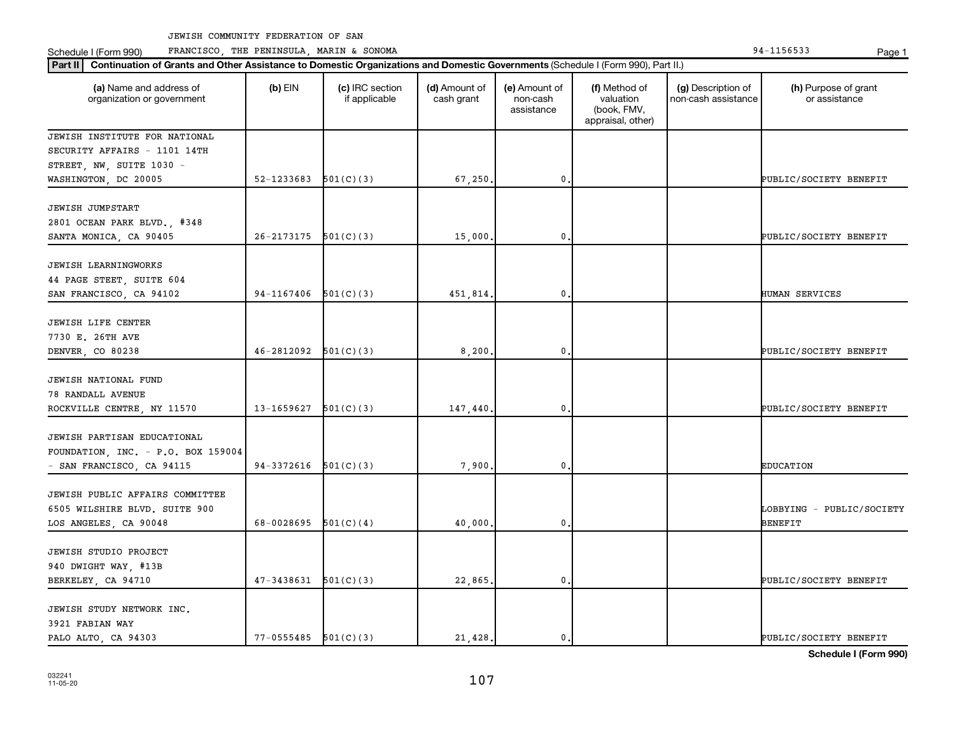Schedule I (Form 990) PRANCISCO, THE PENINSULA, MARIN & SONOMA Page 1 (Form 194-1156533 Page 1

| Part II   Continuation of Grants and Other Assistance to Domestic Organizations and Domestic Governments (Schedule I (Form 990), Part II.) |            |                                  |                             |                                         |                                                                |                                           |                                       |
|--------------------------------------------------------------------------------------------------------------------------------------------|------------|----------------------------------|-----------------------------|-----------------------------------------|----------------------------------------------------------------|-------------------------------------------|---------------------------------------|
| (a) Name and address of<br>organization or government                                                                                      | $(b)$ EIN  | (c) IRC section<br>if applicable | (d) Amount of<br>cash grant | (e) Amount of<br>non-cash<br>assistance | (f) Method of<br>valuation<br>(book, FMV,<br>appraisal, other) | (g) Description of<br>non-cash assistance | (h) Purpose of grant<br>or assistance |
| JEWISH INSTITUTE FOR NATIONAL                                                                                                              |            |                                  |                             |                                         |                                                                |                                           |                                       |
| SECURITY AFFAIRS - 1101 14TH                                                                                                               |            |                                  |                             |                                         |                                                                |                                           |                                       |
| STREET, NW, SUITE 1030 -                                                                                                                   |            |                                  |                             |                                         |                                                                |                                           |                                       |
| WASHINGTON, DC 20005                                                                                                                       | 52-1233683 | 501(C)(3)                        | 67,250                      | $\mathbf{0}$                            |                                                                |                                           | PUBLIC/SOCIETY BENEFIT                |
| <b>JEWISH JUMPSTART</b><br>2801 OCEAN PARK BLVD., #348<br>SANTA MONICA, CA 90405                                                           | 26-2173175 | 501(C)(3)                        | 15,000                      | 0                                       |                                                                |                                           | PUBLIC/SOCIETY BENEFIT                |
|                                                                                                                                            |            |                                  |                             |                                         |                                                                |                                           |                                       |
| <b>JEWISH LEARNINGWORKS</b><br>44 PAGE STEET, SUITE 604<br>SAN FRANCISCO, CA 94102                                                         | 94-1167406 | 501(C)(3)                        | 451,814                     | 0                                       |                                                                |                                           | HUMAN SERVICES                        |
|                                                                                                                                            |            |                                  |                             |                                         |                                                                |                                           |                                       |
| JEWISH LIFE CENTER                                                                                                                         |            |                                  |                             |                                         |                                                                |                                           |                                       |
| 7730 E. 26TH AVE                                                                                                                           |            |                                  |                             |                                         |                                                                |                                           |                                       |
| DENVER, CO 80238                                                                                                                           | 46-2812092 | 501(C)(3)                        | 8,200                       | $\mathbf 0$                             |                                                                |                                           | PUBLIC/SOCIETY BENEFIT                |
| JEWISH NATIONAL FUND<br><b>78 RANDALL AVENUE</b><br>ROCKVILLE CENTRE, NY 11570                                                             | 13-1659627 | 501(C)(3)                        | 147,440                     | 0                                       |                                                                |                                           | PUBLIC/SOCIETY BENEFIT                |
|                                                                                                                                            |            |                                  |                             |                                         |                                                                |                                           |                                       |
| JEWISH PARTISAN EDUCATIONAL<br>FOUNDATION, INC. - P.O. BOX 159004                                                                          |            |                                  |                             |                                         |                                                                |                                           |                                       |
| - SAN FRANCISCO, CA 94115                                                                                                                  | 94-3372616 | 501(C)(3)                        | 7,900                       | 0                                       |                                                                |                                           | <b>EDUCATION</b>                      |
| JEWISH PUBLIC AFFAIRS COMMITTEE<br>6505 WILSHIRE BLVD. SUITE 900<br>LOS ANGELES, CA 90048                                                  | 68-0028695 | 501(C)(4)                        | 40,000                      | $\mathbf 0$                             |                                                                |                                           | LOBBYING - PUBLIC/SOCIETY<br>BENEFIT  |
| JEWISH STUDIO PROJECT                                                                                                                      |            |                                  |                             |                                         |                                                                |                                           |                                       |
| 940 DWIGHT WAY, #13B<br>BERKELEY, CA 94710                                                                                                 | 47-3438631 | 501(C)(3)                        | 22,865                      | 0                                       |                                                                |                                           | PUBLIC/SOCIETY BENEFIT                |
| JEWISH STUDY NETWORK INC.<br>3921 FABIAN WAY<br>PALO ALTO, CA 94303                                                                        | 77-0555485 | 501(C)(3)                        | 21,428.                     | 0.                                      |                                                                |                                           | PUBLIC/SOCIETY BENEFIT                |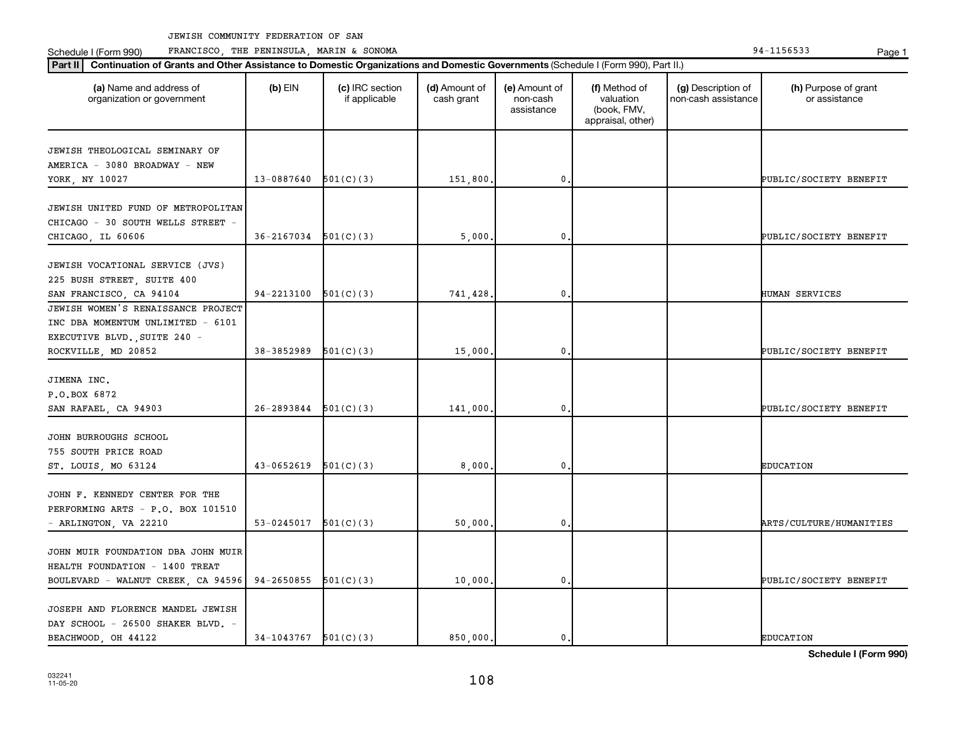Schedule I (Form 990) PRANCISCO, THE PENINSULA, MARIN & SONOMA Page 1 (Form 194-1156533 Page 1

| Part II   Continuation of Grants and Other Assistance to Domestic Organizations and Domestic Governments (Schedule I (Form 990), Part II.) |                          |                                  |                             |                                         |                                                                |                                           |                                       |
|--------------------------------------------------------------------------------------------------------------------------------------------|--------------------------|----------------------------------|-----------------------------|-----------------------------------------|----------------------------------------------------------------|-------------------------------------------|---------------------------------------|
| (a) Name and address of<br>organization or government                                                                                      | $(b)$ EIN                | (c) IRC section<br>if applicable | (d) Amount of<br>cash grant | (e) Amount of<br>non-cash<br>assistance | (f) Method of<br>valuation<br>(book, FMV,<br>appraisal, other) | (g) Description of<br>non-cash assistance | (h) Purpose of grant<br>or assistance |
|                                                                                                                                            |                          |                                  |                             |                                         |                                                                |                                           |                                       |
| JEWISH THEOLOGICAL SEMINARY OF<br>AMERICA - 3080 BROADWAY - NEW                                                                            |                          |                                  |                             |                                         |                                                                |                                           |                                       |
| YORK, NY 10027                                                                                                                             | 13-0887640               | 501(C)(3)                        | 151,800                     | 0                                       |                                                                |                                           | PUBLIC/SOCIETY BENEFIT                |
|                                                                                                                                            |                          |                                  |                             |                                         |                                                                |                                           |                                       |
| JEWISH UNITED FUND OF METROPOLITAN                                                                                                         |                          |                                  |                             |                                         |                                                                |                                           |                                       |
| CHICAGO - 30 SOUTH WELLS STREET -                                                                                                          |                          |                                  |                             |                                         |                                                                |                                           |                                       |
| CHICAGO, IL 60606                                                                                                                          | 36-2167034               | 501(C)(3)                        | 5,000                       | 0                                       |                                                                |                                           | PUBLIC/SOCIETY BENEFIT                |
|                                                                                                                                            |                          |                                  |                             |                                         |                                                                |                                           |                                       |
| JEWISH VOCATIONAL SERVICE (JVS)                                                                                                            |                          |                                  |                             |                                         |                                                                |                                           |                                       |
| 225 BUSH STREET, SUITE 400                                                                                                                 |                          |                                  |                             |                                         |                                                                |                                           |                                       |
| SAN FRANCISCO, CA 94104                                                                                                                    | 94-2213100               | 501(C)(3)                        | 741,428.                    | $\mathbf 0$                             |                                                                |                                           | HUMAN SERVICES                        |
| JEWISH WOMEN'S RENAISSANCE PROJECT                                                                                                         |                          |                                  |                             |                                         |                                                                |                                           |                                       |
| INC DBA MOMENTUM UNLIMITED - 6101                                                                                                          |                          |                                  |                             |                                         |                                                                |                                           |                                       |
| EXECUTIVE BLVD., SUITE 240 -                                                                                                               |                          |                                  |                             |                                         |                                                                |                                           |                                       |
| ROCKVILLE, MD 20852                                                                                                                        | 38-3852989               | 501(C)(3)                        | 15,000                      | 0                                       |                                                                |                                           | PUBLIC/SOCIETY BENEFIT                |
|                                                                                                                                            |                          |                                  |                             |                                         |                                                                |                                           |                                       |
| JIMENA INC.                                                                                                                                |                          |                                  |                             |                                         |                                                                |                                           |                                       |
| P.O.BOX 6872                                                                                                                               |                          |                                  |                             |                                         |                                                                |                                           |                                       |
| SAN RAFAEL, CA 94903                                                                                                                       | 26-2893844               | 501(C)(3)                        | 141,000                     | $\mathbf 0$                             |                                                                |                                           | PUBLIC/SOCIETY BENEFIT                |
| JOHN BURROUGHS SCHOOL                                                                                                                      |                          |                                  |                             |                                         |                                                                |                                           |                                       |
| 755 SOUTH PRICE ROAD                                                                                                                       |                          |                                  |                             |                                         |                                                                |                                           |                                       |
| ST. LOUIS, MO 63124                                                                                                                        | 43-0652619               | 501(C)(3)                        | 8,000                       | 0                                       |                                                                |                                           | <b>EDUCATION</b>                      |
|                                                                                                                                            |                          |                                  |                             |                                         |                                                                |                                           |                                       |
| JOHN F. KENNEDY CENTER FOR THE                                                                                                             |                          |                                  |                             |                                         |                                                                |                                           |                                       |
| PERFORMING ARTS - P.O. BOX 101510                                                                                                          |                          |                                  |                             |                                         |                                                                |                                           |                                       |
| - ARLINGTON, VA 22210                                                                                                                      | 53-0245017               | 501(C)(3)                        | 50,000                      | $\mathbf 0$                             |                                                                |                                           | ARTS/CULTURE/HUMANITIES               |
|                                                                                                                                            |                          |                                  |                             |                                         |                                                                |                                           |                                       |
| JOHN MUIR FOUNDATION DBA JOHN MUIR                                                                                                         |                          |                                  |                             |                                         |                                                                |                                           |                                       |
| HEALTH FOUNDATION - 1400 TREAT                                                                                                             |                          |                                  |                             |                                         |                                                                |                                           |                                       |
| BOULEVARD - WALNUT CREEK, CA 94596                                                                                                         | 94-2650855               | 501(C)(3)                        | 10,000,                     | 0                                       |                                                                |                                           | PUBLIC/SOCIETY BENEFIT                |
|                                                                                                                                            |                          |                                  |                             |                                         |                                                                |                                           |                                       |
| JOSEPH AND FLORENCE MANDEL JEWISH                                                                                                          |                          |                                  |                             |                                         |                                                                |                                           |                                       |
| DAY SCHOOL - 26500 SHAKER BLVD. -                                                                                                          |                          |                                  |                             |                                         |                                                                |                                           |                                       |
| BEACHWOOD, OH 44122                                                                                                                        | $34-1043767$ $501(C)(3)$ |                                  | 850,000.                    | 0.                                      |                                                                |                                           | <b>EDUCATION</b>                      |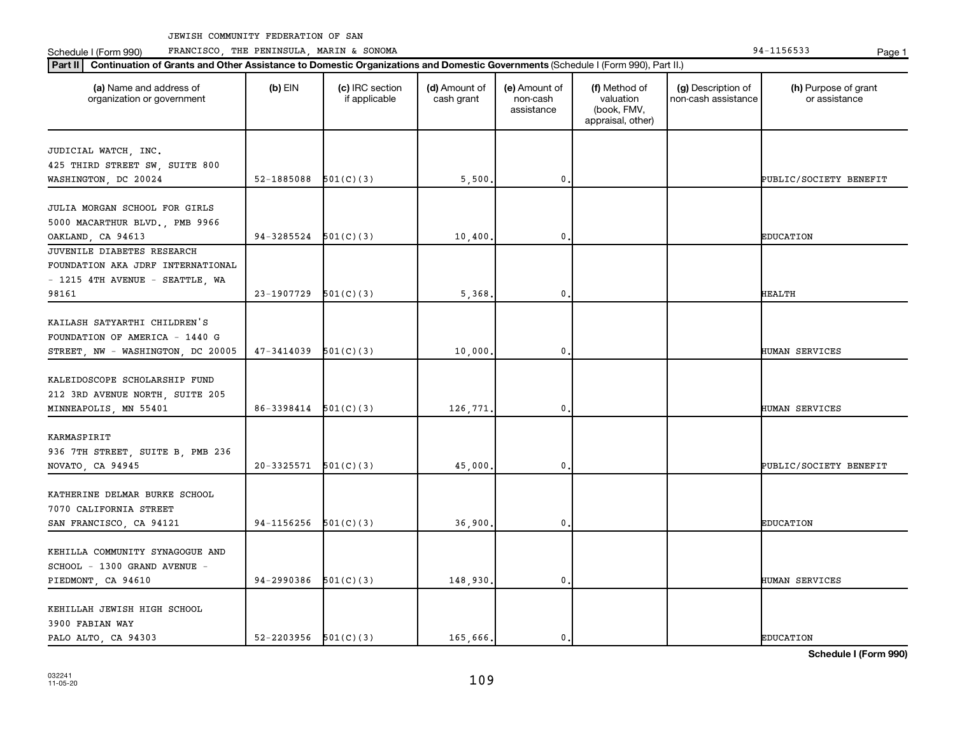Schedule I (Form 990) PRANCISCO, THE PENINSULA, MARIN & SONOMA Page 1 (Form 194-1156533 Page 1

| (a) Name and address of<br>organization or government | $(b)$ EIN                  | (c) IRC section<br>if applicable | (d) Amount of<br>cash grant | (e) Amount of<br>non-cash<br>assistance | (f) Method of<br>valuation<br>(book, FMV,<br>appraisal, other) | (g) Description of<br>non-cash assistance | (h) Purpose of grant<br>or assistance |
|-------------------------------------------------------|----------------------------|----------------------------------|-----------------------------|-----------------------------------------|----------------------------------------------------------------|-------------------------------------------|---------------------------------------|
| JUDICIAL WATCH, INC.                                  |                            |                                  |                             |                                         |                                                                |                                           |                                       |
| 425 THIRD STREET SW, SUITE 800                        |                            |                                  |                             |                                         |                                                                |                                           |                                       |
| WASHINGTON, DC 20024                                  | 52-1885088                 | 501(C)(3)                        | 5,500.                      | $\mathbf{0}$                            |                                                                |                                           | PUBLIC/SOCIETY BENEFIT                |
|                                                       |                            |                                  |                             |                                         |                                                                |                                           |                                       |
| JULIA MORGAN SCHOOL FOR GIRLS                         |                            |                                  |                             |                                         |                                                                |                                           |                                       |
| 5000 MACARTHUR BLVD., PMB 9966                        |                            |                                  |                             |                                         |                                                                |                                           |                                       |
| OAKLAND, CA 94613                                     | 94-3285524                 | 501(C)(3)                        | 10,400.                     | $\mathbf 0$                             |                                                                |                                           | <b>EDUCATION</b>                      |
| JUVENILE DIABETES RESEARCH                            |                            |                                  |                             |                                         |                                                                |                                           |                                       |
| FOUNDATION AKA JDRF INTERNATIONAL                     |                            |                                  |                             |                                         |                                                                |                                           |                                       |
| - 1215 4TH AVENUE - SEATTLE, WA                       |                            |                                  |                             |                                         |                                                                |                                           |                                       |
| 98161                                                 | 23-1907729                 | 501(C)(3)                        | 5,368.                      | $\mathbf{0}$                            |                                                                |                                           | <b>HEALTH</b>                         |
|                                                       |                            |                                  |                             |                                         |                                                                |                                           |                                       |
| KAILASH SATYARTHI CHILDREN'S                          |                            |                                  |                             |                                         |                                                                |                                           |                                       |
| FOUNDATION OF AMERICA - 1440 G                        |                            |                                  |                             |                                         |                                                                |                                           |                                       |
| STREET, NW - WASHINGTON, DC 20005                     | 47-3414039                 | 501(C)(3)                        | 10,000.                     | $\mathbf 0$                             |                                                                |                                           | <b>HUMAN SERVICES</b>                 |
|                                                       |                            |                                  |                             |                                         |                                                                |                                           |                                       |
| KALEIDOSCOPE SCHOLARSHIP FUND                         |                            |                                  |                             |                                         |                                                                |                                           |                                       |
| 212 3RD AVENUE NORTH, SUITE 205                       |                            |                                  |                             |                                         |                                                                |                                           |                                       |
| MINNEAPOLIS, MN 55401                                 | 86-3398414                 | 501(C)(3)                        | 126,771.                    | $\mathbf{0}$                            |                                                                |                                           | HUMAN SERVICES                        |
|                                                       |                            |                                  |                             |                                         |                                                                |                                           |                                       |
| KARMASPIRIT                                           |                            |                                  |                             |                                         |                                                                |                                           |                                       |
| 936 7TH STREET, SUITE B, PMB 236                      |                            |                                  |                             |                                         |                                                                |                                           |                                       |
| NOVATO, CA 94945                                      | 20-3325571                 | 501(C)(3)                        | 45,000,                     | $\mathbf 0$                             |                                                                |                                           | PUBLIC/SOCIETY BENEFIT                |
|                                                       |                            |                                  |                             |                                         |                                                                |                                           |                                       |
| KATHERINE DELMAR BURKE SCHOOL                         |                            |                                  |                             |                                         |                                                                |                                           |                                       |
| 7070 CALIFORNIA STREET                                |                            |                                  |                             |                                         |                                                                |                                           |                                       |
| SAN FRANCISCO, CA 94121                               | 94-1156256                 | 501(C)(3)                        | 36,900.                     | 0.                                      |                                                                |                                           | <b>EDUCATION</b>                      |
|                                                       |                            |                                  |                             |                                         |                                                                |                                           |                                       |
| KEHILLA COMMUNITY SYNAGOGUE AND                       |                            |                                  |                             |                                         |                                                                |                                           |                                       |
| SCHOOL - 1300 GRAND AVENUE -                          |                            |                                  |                             |                                         |                                                                |                                           |                                       |
| PIEDMONT, CA 94610                                    | 94-2990386                 | 501(C)(3)                        | 148,930.                    | $\mathbf{0}$                            |                                                                |                                           | HUMAN SERVICES                        |
|                                                       |                            |                                  |                             |                                         |                                                                |                                           |                                       |
| KEHILLAH JEWISH HIGH SCHOOL                           |                            |                                  |                             |                                         |                                                                |                                           |                                       |
| 3900 FABIAN WAY                                       |                            |                                  |                             |                                         |                                                                |                                           |                                       |
| PALO ALTO, CA 94303                                   | $52 - 2203956$ $501(C)(3)$ |                                  | 165,666.                    | $\mathbf{0}$ .                          |                                                                |                                           | <b>EDUCATION</b>                      |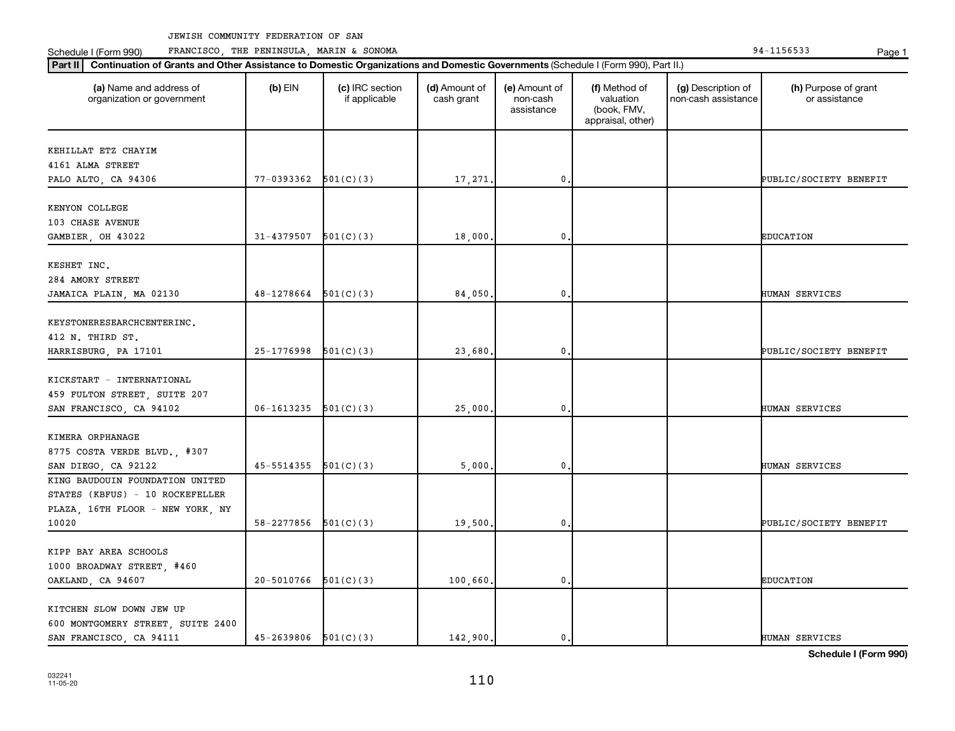Schedule I (Form 990) PRANCISCO, THE PENINSULA, MARIN & SONOMA Page 1 (Form 194-1156533 Page 1

| (a) Name and address of<br>organization or government | $(b)$ EIN                  | (c) IRC section<br>if applicable | (d) Amount of<br>cash grant | (e) Amount of<br>non-cash<br>assistance | (f) Method of<br>valuation<br>(book, FMV,<br>appraisal, other) | (g) Description of<br>non-cash assistance | (h) Purpose of grant<br>or assistance |
|-------------------------------------------------------|----------------------------|----------------------------------|-----------------------------|-----------------------------------------|----------------------------------------------------------------|-------------------------------------------|---------------------------------------|
| KEHILLAT ETZ CHAYIM                                   |                            |                                  |                             |                                         |                                                                |                                           |                                       |
| 4161 ALMA STREET                                      |                            |                                  |                             |                                         |                                                                |                                           |                                       |
| PALO ALTO, CA 94306                                   | $77-0393362$ $501(C)(3)$   |                                  | 17,271.                     | $\mathbf 0$ .                           |                                                                |                                           | PUBLIC/SOCIETY BENEFIT                |
| KENYON COLLEGE                                        |                            |                                  |                             |                                         |                                                                |                                           |                                       |
| 103 CHASE AVENUE                                      |                            |                                  |                             |                                         |                                                                |                                           |                                       |
| GAMBIER, OH 43022                                     | 31-4379507                 | 501(C)(3)                        | 18,000.                     | $\mathbf{0}$                            |                                                                |                                           | <b>EDUCATION</b>                      |
|                                                       |                            |                                  |                             |                                         |                                                                |                                           |                                       |
| KESHET INC.<br>284 AMORY STREET                       |                            |                                  |                             |                                         |                                                                |                                           |                                       |
| JAMAICA PLAIN, MA 02130                               | 48-1278664                 | 501(C)(3)                        | 84,050.                     | $\mathbf 0$ .                           |                                                                |                                           | HUMAN SERVICES                        |
|                                                       |                            |                                  |                             |                                         |                                                                |                                           |                                       |
| KEYSTONERESEARCHCENTERINC.                            |                            |                                  |                             |                                         |                                                                |                                           |                                       |
| 412 N. THIRD ST.                                      |                            |                                  |                             |                                         |                                                                |                                           |                                       |
| HARRISBURG, PA 17101                                  | 25-1776998                 | 501(C)(3)                        | 23,680.                     | $\mathbf 0$                             |                                                                |                                           | PUBLIC/SOCIETY BENEFIT                |
|                                                       |                            |                                  |                             |                                         |                                                                |                                           |                                       |
| KICKSTART - INTERNATIONAL                             |                            |                                  |                             |                                         |                                                                |                                           |                                       |
| 459 FULTON STREET, SUITE 207                          |                            |                                  |                             |                                         |                                                                |                                           |                                       |
| SAN FRANCISCO, CA 94102                               | 06-1613235                 | 501(C)(3)                        | 25,000.                     | $\mathbf 0$                             |                                                                |                                           | HUMAN SERVICES                        |
|                                                       |                            |                                  |                             |                                         |                                                                |                                           |                                       |
| KIMERA ORPHANAGE                                      |                            |                                  |                             |                                         |                                                                |                                           |                                       |
| 8775 COSTA VERDE BLVD., #307                          |                            |                                  |                             |                                         |                                                                |                                           |                                       |
| SAN DIEGO, CA 92122                                   | 45-5514355                 | 501(C)(3)                        | 5,000,                      | $\mathbf 0$                             |                                                                |                                           | HUMAN SERVICES                        |
| KING BAUDOUIN FOUNDATION UNITED                       |                            |                                  |                             |                                         |                                                                |                                           |                                       |
| STATES (KBFUS) - 10 ROCKEFELLER                       |                            |                                  |                             |                                         |                                                                |                                           |                                       |
| PLAZA, 16TH FLOOR - NEW YORK, NY                      |                            |                                  |                             |                                         |                                                                |                                           |                                       |
| 10020                                                 | 58-2277856                 | 501(C)(3)                        | 19,500.                     | $\mathbf{0}$                            |                                                                |                                           | PUBLIC/SOCIETY BENEFIT                |
|                                                       |                            |                                  |                             |                                         |                                                                |                                           |                                       |
| KIPP BAY AREA SCHOOLS                                 |                            |                                  |                             |                                         |                                                                |                                           |                                       |
| 1000 BROADWAY STREET, #460                            |                            |                                  |                             |                                         |                                                                |                                           |                                       |
| OAKLAND, CA 94607                                     | 20-5010766                 | 501(C)(3)                        | 100,660.                    | $\mathbf 0$ .                           |                                                                |                                           | <b>EDUCATION</b>                      |
|                                                       |                            |                                  |                             |                                         |                                                                |                                           |                                       |
| KITCHEN SLOW DOWN JEW UP                              |                            |                                  |                             |                                         |                                                                |                                           |                                       |
| 600 MONTGOMERY STREET, SUITE 2400                     |                            |                                  |                             |                                         |                                                                |                                           |                                       |
| SAN FRANCISCO, CA 94111                               | $45 - 2639806$ $501(C)(3)$ |                                  | 142,900.                    | 0.                                      |                                                                |                                           | HUMAN SERVICES                        |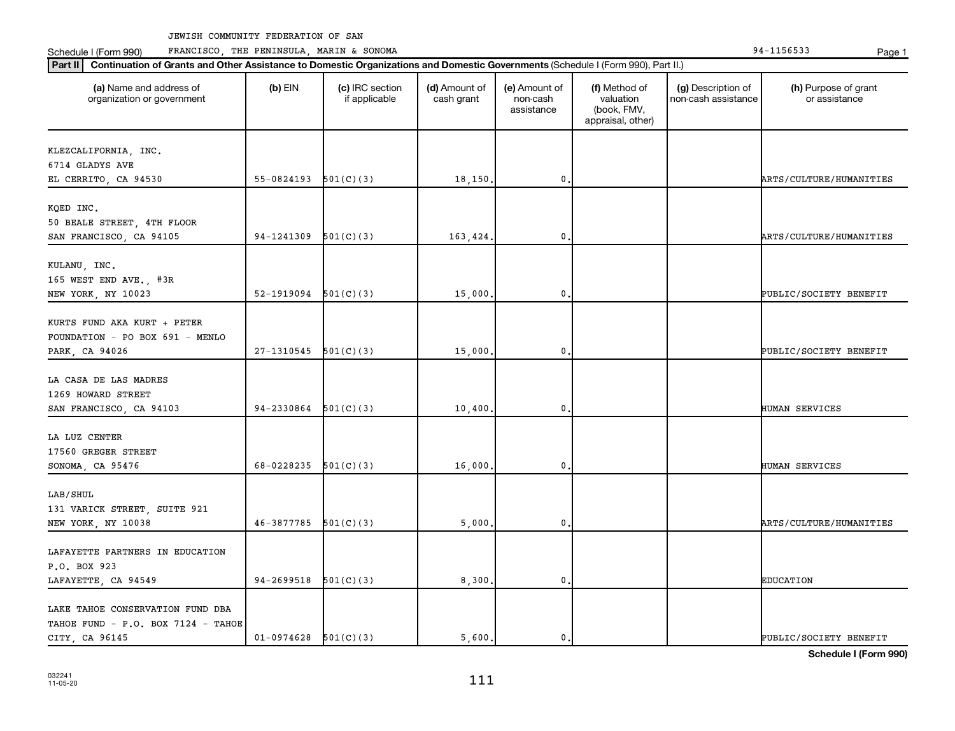Schedule I (Form 990) PRANCISCO, THE PENINSULA, MARIN & SONOMA Page 1 (Form 194-1156533 Page 1

| (a) Name and address of<br>organization or government | $(b)$ EIN  | (c) IRC section<br>if applicable | (d) Amount of<br>cash grant | (e) Amount of<br>non-cash<br>assistance | (f) Method of<br>valuation<br>(book, FMV,<br>appraisal, other) | (g) Description of<br>non-cash assistance | (h) Purpose of grant<br>or assistance |
|-------------------------------------------------------|------------|----------------------------------|-----------------------------|-----------------------------------------|----------------------------------------------------------------|-------------------------------------------|---------------------------------------|
| KLEZCALIFORNIA, INC.                                  |            |                                  |                             |                                         |                                                                |                                           |                                       |
| 6714 GLADYS AVE                                       |            |                                  |                             |                                         |                                                                |                                           |                                       |
| EL CERRITO, CA 94530                                  | 55-0824193 | 501(C)(3)                        | 18,150.                     | $\mathbf{0}$                            |                                                                |                                           | ARTS/CULTURE/HUMANITIES               |
|                                                       |            |                                  |                             |                                         |                                                                |                                           |                                       |
| KQED INC.                                             |            |                                  |                             |                                         |                                                                |                                           |                                       |
| 50 BEALE STREET, 4TH FLOOR                            |            |                                  |                             |                                         |                                                                |                                           |                                       |
| SAN FRANCISCO, CA 94105                               | 94-1241309 | 501(C)(3)                        | 163,424.                    | $\mathbf{0}$                            |                                                                |                                           | ARTS/CULTURE/HUMANITIES               |
| KULANU, INC.                                          |            |                                  |                             |                                         |                                                                |                                           |                                       |
| 165 WEST END AVE., #3R                                |            |                                  |                             |                                         |                                                                |                                           |                                       |
| NEW YORK, NY 10023                                    | 52-1919094 | 501(C)(3)                        | 15,000                      | $\mathbf{0}$                            |                                                                |                                           | PUBLIC/SOCIETY BENEFIT                |
|                                                       |            |                                  |                             |                                         |                                                                |                                           |                                       |
| KURTS FUND AKA KURT + PETER                           |            |                                  |                             |                                         |                                                                |                                           |                                       |
| FOUNDATION - PO BOX 691 - MENLO                       |            |                                  |                             |                                         |                                                                |                                           |                                       |
| PARK, CA 94026                                        | 27-1310545 | 501(C)(3)                        | 15,000.                     | $\mathbf{0}$                            |                                                                |                                           | PUBLIC/SOCIETY BENEFIT                |
|                                                       |            |                                  |                             |                                         |                                                                |                                           |                                       |
| LA CASA DE LAS MADRES                                 |            |                                  |                             |                                         |                                                                |                                           |                                       |
| 1269 HOWARD STREET                                    |            |                                  |                             |                                         |                                                                |                                           |                                       |
| SAN FRANCISCO, CA 94103                               | 94-2330864 | 501(C)(3)                        | 10,400                      | $\mathbf{0}$                            |                                                                |                                           | HUMAN SERVICES                        |
| LA LUZ CENTER                                         |            |                                  |                             |                                         |                                                                |                                           |                                       |
| 17560 GREGER STREET                                   |            |                                  |                             |                                         |                                                                |                                           |                                       |
| SONOMA, CA 95476                                      | 68-0228235 | 501(C)(3)                        | 16,000.                     | 0                                       |                                                                |                                           | HUMAN SERVICES                        |
|                                                       |            |                                  |                             |                                         |                                                                |                                           |                                       |
| LAB/SHUL                                              |            |                                  |                             |                                         |                                                                |                                           |                                       |
| 131 VARICK STREET, SUITE 921                          |            |                                  |                             |                                         |                                                                |                                           |                                       |
| NEW YORK, NY 10038                                    | 46-3877785 | 501(C)(3)                        | 5,000.                      | $\mathbf{0}$                            |                                                                |                                           | ARTS/CULTURE/HUMANITIES               |
|                                                       |            |                                  |                             |                                         |                                                                |                                           |                                       |
| LAFAYETTE PARTNERS IN EDUCATION                       |            |                                  |                             |                                         |                                                                |                                           |                                       |
| P.O. BOX 923                                          |            |                                  |                             |                                         |                                                                |                                           |                                       |
| LAFAYETTE, CA 94549                                   | 94-2699518 | 501(C)(3)                        | 8,300.                      | $\mathbf{0}$                            |                                                                |                                           | <b>EDUCATION</b>                      |
|                                                       |            |                                  |                             |                                         |                                                                |                                           |                                       |
| LAKE TAHOE CONSERVATION FUND DBA                      |            |                                  |                             |                                         |                                                                |                                           |                                       |
| TAHOE FUND - P.O. BOX 7124 - TAHOE                    |            |                                  |                             |                                         |                                                                |                                           |                                       |
| CITY CA 96145                                         | 01-0974628 | 501(C)(3)                        | 5.600.                      | $\mathbf{0}$ .                          |                                                                |                                           | PUBLIC/SOCIETY BENEFIT                |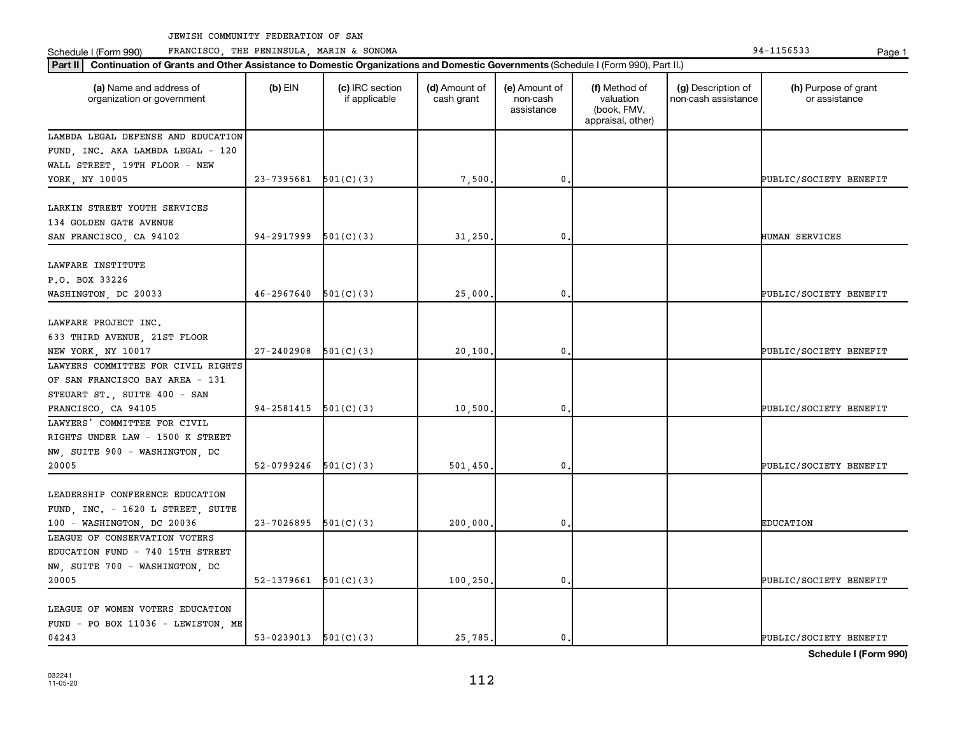Schedule I (Form 990) PRANCISCO, THE PENINSULA, MARIN & SONOMA Page 1 (Form 194-1156533 Page 1

| (a) Name and address of<br>organization or government                                              | $(b)$ EIN                | (c) IRC section<br>if applicable | (d) Amount of<br>cash grant | (e) Amount of<br>non-cash<br>assistance | (f) Method of<br>valuation<br>(book, FMV,<br>appraisal, other) | (g) Description of<br>non-cash assistance | (h) Purpose of grant<br>or assistance |
|----------------------------------------------------------------------------------------------------|--------------------------|----------------------------------|-----------------------------|-----------------------------------------|----------------------------------------------------------------|-------------------------------------------|---------------------------------------|
| LAMBDA LEGAL DEFENSE AND EDUCATION                                                                 |                          |                                  |                             |                                         |                                                                |                                           |                                       |
| FUND, INC. AKA LAMBDA LEGAL - 120                                                                  |                          |                                  |                             |                                         |                                                                |                                           |                                       |
| WALL STREET, 19TH FLOOR - NEW                                                                      |                          |                                  |                             |                                         |                                                                |                                           |                                       |
| YORK, NY 10005                                                                                     | $23 - 7395681$           | 501(C)(3)                        | 7,500                       | $\mathbf 0$                             |                                                                |                                           | PUBLIC/SOCIETY BENEFIT                |
| LARKIN STREET YOUTH SERVICES<br>134 GOLDEN GATE AVENUE<br>SAN FRANCISCO, CA 94102                  | 94-2917999               | 501(C)(3)                        | 31,250                      | 0                                       |                                                                |                                           | HUMAN SERVICES                        |
|                                                                                                    |                          |                                  |                             |                                         |                                                                |                                           |                                       |
| LAWFARE INSTITUTE<br>P.O. BOX 33226<br>WASHINGTON, DC 20033                                        | 46-2967640               | 501(C)(3)                        | 25,000                      | 0.                                      |                                                                |                                           | PUBLIC/SOCIETY BENEFIT                |
|                                                                                                    |                          |                                  |                             |                                         |                                                                |                                           |                                       |
| LAWFARE PROJECT INC.<br>633 THIRD AVENUE, 21ST FLOOR<br>NEW YORK, NY 10017                         | $27 - 2402908$           | 501(C)(3)                        | 20,100.                     | $\mathbf 0$                             |                                                                |                                           | PUBLIC/SOCIETY BENEFIT                |
| LAWYERS COMMITTEE FOR CIVIL RIGHTS                                                                 |                          |                                  |                             |                                         |                                                                |                                           |                                       |
| OF SAN FRANCISCO BAY AREA - 131                                                                    |                          |                                  |                             |                                         |                                                                |                                           |                                       |
| STEUART ST., SUITE 400 - SAN                                                                       |                          |                                  |                             |                                         |                                                                |                                           |                                       |
| FRANCISCO, CA 94105                                                                                | 94-2581415               | 501(C)(3)                        | 10,500                      | $\mathbf 0$                             |                                                                |                                           | PUBLIC/SOCIETY BENEFIT                |
| LAWYERS' COMMITTEE FOR CIVIL<br>RIGHTS UNDER LAW - 1500 K STREET<br>NW, SUITE 900 - WASHINGTON, DC |                          |                                  |                             |                                         |                                                                |                                           |                                       |
| 20005                                                                                              | 52-0799246               | 501(C)(3)                        | 501, 450.                   | $\mathbf 0$                             |                                                                |                                           | PUBLIC/SOCIETY BENEFIT                |
| LEADERSHIP CONFERENCE EDUCATION<br>FUND, INC. - 1620 L STREET, SUITE<br>100 - WASHINGTON, DC 20036 | 23-7026895               | 501(C)(3)                        | 200,000,                    | 0.                                      |                                                                |                                           | <b>EDUCATION</b>                      |
| LEAGUE OF CONSERVATION VOTERS                                                                      |                          |                                  |                             |                                         |                                                                |                                           |                                       |
| EDUCATION FUND - 740 15TH STREET                                                                   |                          |                                  |                             |                                         |                                                                |                                           |                                       |
| NW, SUITE 700 - WASHINGTON, DC                                                                     |                          |                                  |                             |                                         |                                                                |                                           |                                       |
| 20005                                                                                              | $52-1379661$ $501(C)(3)$ |                                  | 100, 250.                   | 0.                                      |                                                                |                                           | PUBLIC/SOCIETY BENEFIT                |
| LEAGUE OF WOMEN VOTERS EDUCATION<br>FUND - PO BOX 11036 - LEWISTON, ME                             |                          |                                  |                             |                                         |                                                                |                                           |                                       |
| 04243                                                                                              | $53-0239013$ $501(C)(3)$ |                                  | 25,785.                     | $\mathbf{0}$ .                          |                                                                |                                           | PUBLIC/SOCIETY BENEFIT                |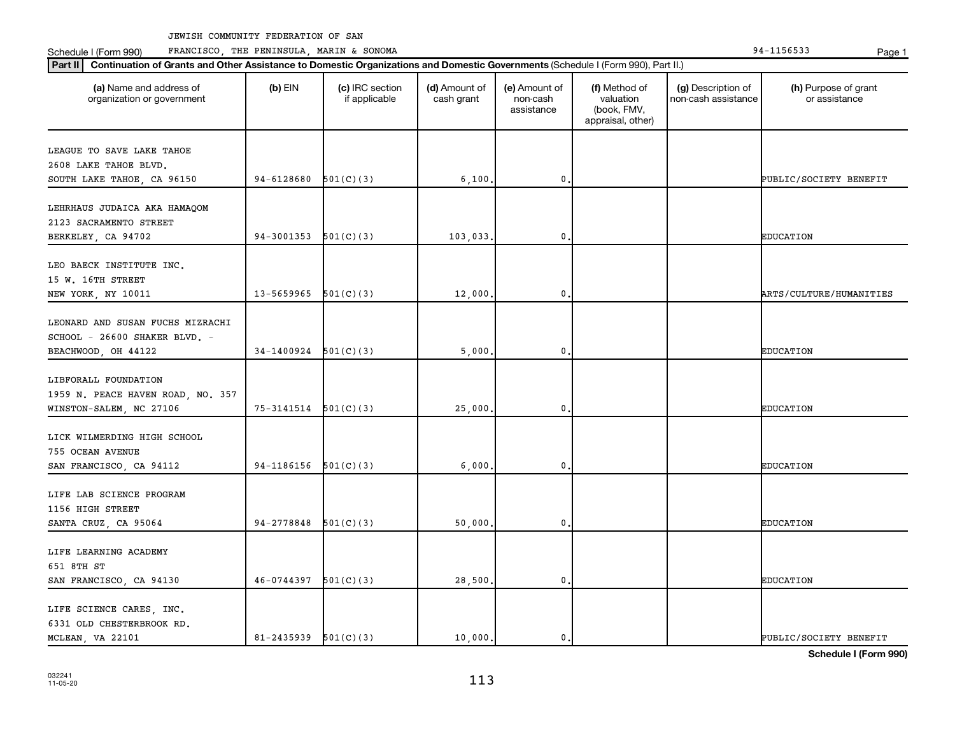**Part II Continuation of Grants and Other Assistance to Domestic Organizations and Domestic Governments**  (Schedule I (Form 990), Part II.)

Schedule I (Form 990) PRANCISCO, THE PENINSULA, MARIN & SONOMA Page 1 (Form 194-1156533 Page 1

| (a) Name and address of<br>organization or government                                    | $(b)$ EIN                | (c) IRC section<br>if applicable | (d) Amount of<br>cash grant | (e) Amount of<br>non-cash<br>assistance | (f) Method of<br>valuation<br>(book, FMV,<br>appraisal, other) | (g) Description of<br>non-cash assistance | (h) Purpose of grant<br>or assistance |
|------------------------------------------------------------------------------------------|--------------------------|----------------------------------|-----------------------------|-----------------------------------------|----------------------------------------------------------------|-------------------------------------------|---------------------------------------|
| LEAGUE TO SAVE LAKE TAHOE<br>2608 LAKE TAHOE BLVD.<br>SOUTH LAKE TAHOE, CA 96150         | 94-6128680               | 501(C)(3)                        | 6,100.                      | $\mathbf{0}$                            |                                                                |                                           | PUBLIC/SOCIETY BENEFIT                |
| LEHRHAUS JUDAICA AKA HAMAQOM<br>2123 SACRAMENTO STREET<br>BERKELEY, CA 94702             | 94-3001353               | 501(C)(3)                        | 103,033.                    | $\mathbf{0}$                            |                                                                |                                           | <b>EDUCATION</b>                      |
| LEO BAECK INSTITUTE INC.<br>15 W. 16TH STREET<br>NEW YORK, NY 10011                      | 13-5659965               | 501(C)(3)                        | 12,000.                     | $\pmb{0}$ .                             |                                                                |                                           | ARTS/CULTURE/HUMANITIES               |
| LEONARD AND SUSAN FUCHS MIZRACHI<br>SCHOOL - 26600 SHAKER BLVD. -<br>BEACHWOOD, OH 44122 | $34-1400924$ $501(C)(3)$ |                                  | 5,000.                      | 0                                       |                                                                |                                           | <b>EDUCATION</b>                      |
| LIBFORALL FOUNDATION<br>1959 N. PEACE HAVEN ROAD, NO. 357<br>WINSTON-SALEM, NC 27106     | $75-3141514$ $501(C)(3)$ |                                  | 25,000.                     | 0                                       |                                                                |                                           | <b>EDUCATION</b>                      |
| LICK WILMERDING HIGH SCHOOL<br>755 OCEAN AVENUE<br>SAN FRANCISCO, CA 94112               | 94-1186156               | 501(C)(3)                        | 6,000.                      | $\mathbf{0}$                            |                                                                |                                           | <b>EDUCATION</b>                      |
| LIFE LAB SCIENCE PROGRAM<br>1156 HIGH STREET<br>SANTA CRUZ, CA 95064                     | 94-2778848               | 501(C)(3)                        | 50,000.                     | $\mathbf 0$ .                           |                                                                |                                           | <b>EDUCATION</b>                      |
| LIFE LEARNING ACADEMY<br>651 8TH ST<br>SAN FRANCISCO, CA 94130                           | 46-0744397               | 501(C)(3)                        | 28,500.                     | 0                                       |                                                                |                                           | <b>EDUCATION</b>                      |
| LIFE SCIENCE CARES, INC.<br>6331 OLD CHESTERBROOK RD.                                    |                          |                                  |                             |                                         |                                                                |                                           |                                       |

**Schedule I (Form 990)**

MCLEAN, VA 22101  $81-2435939 \big| 501(C)(3) \big| 10,000. \big| 0. \big| 0.$  PUBLIC/SOCIETY BENEFIT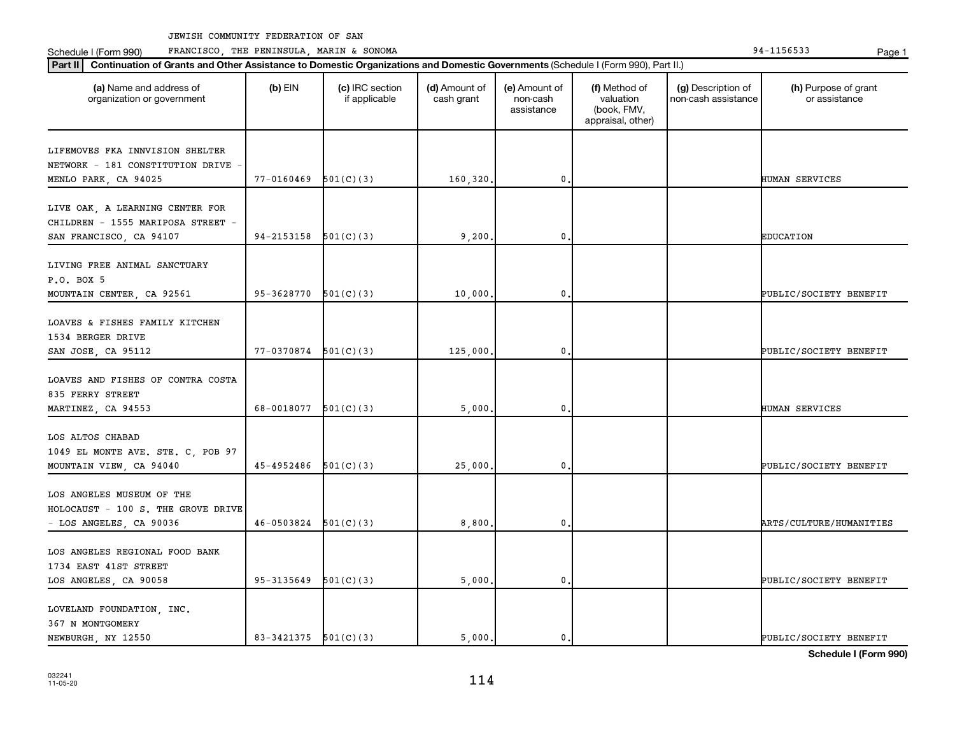**Part III Continuation of Grants and Other Assistance to Domestic Organizations and Domestic Government of Grants and Other Assistance to Domestic Continuation of Grants and Other Assistance to Domestic Croanizations and** Schedule I (Form 990) PRANCISCO, THE PENINSULA, MARIN & SONOMA Page 1 (Form 194-1156533 Page 1

| Continuation of Grants and Other Assistance to Domestic Organizations and Domestic Governments (Schedule I (Form 990), Part II.)<br>Part II |                          |                                  |                             |                                         |                                                                |                                           |                                       |
|---------------------------------------------------------------------------------------------------------------------------------------------|--------------------------|----------------------------------|-----------------------------|-----------------------------------------|----------------------------------------------------------------|-------------------------------------------|---------------------------------------|
| (a) Name and address of<br>organization or government                                                                                       | $(b)$ EIN                | (c) IRC section<br>if applicable | (d) Amount of<br>cash grant | (e) Amount of<br>non-cash<br>assistance | (f) Method of<br>valuation<br>(book, FMV,<br>appraisal, other) | (g) Description of<br>non-cash assistance | (h) Purpose of grant<br>or assistance |
| LIFEMOVES FKA INNVISION SHELTER<br>NETWORK - 181 CONSTITUTION DRIVE<br>MENLO PARK, CA 94025                                                 | 77-0160469               | 501(C)(3)                        | 160,320.                    | 0                                       |                                                                |                                           | HUMAN SERVICES                        |
| LIVE OAK, A LEARNING CENTER FOR<br>CHILDREN - 1555 MARIPOSA STREET -<br>SAN FRANCISCO, CA 94107                                             | 94-2153158               | 501(C)(3)                        | 9,200                       | 0                                       |                                                                |                                           | <b>EDUCATION</b>                      |
| LIVING FREE ANIMAL SANCTUARY<br>P.O. BOX 5<br>MOUNTAIN CENTER, CA 92561                                                                     | 95-3628770               | 501(C)(3)                        | 10,000                      | 0                                       |                                                                |                                           | PUBLIC/SOCIETY BENEFIT                |
| LOAVES & FISHES FAMILY KITCHEN<br>1534 BERGER DRIVE<br>SAN JOSE, CA 95112                                                                   | 77-0370874               | 501(C)(3)                        | 125,000                     | 0                                       |                                                                |                                           | PUBLIC/SOCIETY BENEFIT                |
| LOAVES AND FISHES OF CONTRA COSTA<br>835 FERRY STREET<br>MARTINEZ, CA 94553                                                                 | 68-0018077               | 501(C)(3)                        | 5,000                       | 0                                       |                                                                |                                           | <b>HUMAN SERVICES</b>                 |
| LOS ALTOS CHABAD<br>1049 EL MONTE AVE. STE. C, POB 97<br>MOUNTAIN VIEW, CA 94040                                                            | 45-4952486               | 501(C)(3)                        | 25,000                      | 0                                       |                                                                |                                           | PUBLIC/SOCIETY BENEFIT                |
| LOS ANGELES MUSEUM OF THE<br>HOLOCAUST - 100 S. THE GROVE DRIVE<br>- LOS ANGELES, CA 90036                                                  | 46-0503824               | 501(C)(3)                        | 8,800                       | 0                                       |                                                                |                                           | ARTS/CULTURE/HUMANITIES               |
| LOS ANGELES REGIONAL FOOD BANK<br>1734 EAST 41ST STREET<br>LOS ANGELES, CA 90058                                                            | 95-3135649               | 501(C)(3)                        | 5,000                       | 0                                       |                                                                |                                           | PUBLIC/SOCIETY BENEFIT                |
| LOVELAND FOUNDATION, INC.<br>367 N MONTGOMERY<br>NEWBURGH, NY 12550                                                                         | $83-3421375$ $501(C)(3)$ |                                  | 5.000.                      | $\mathbf{0}$                            |                                                                |                                           | PUBLIC/SOCIETY BENEFIT                |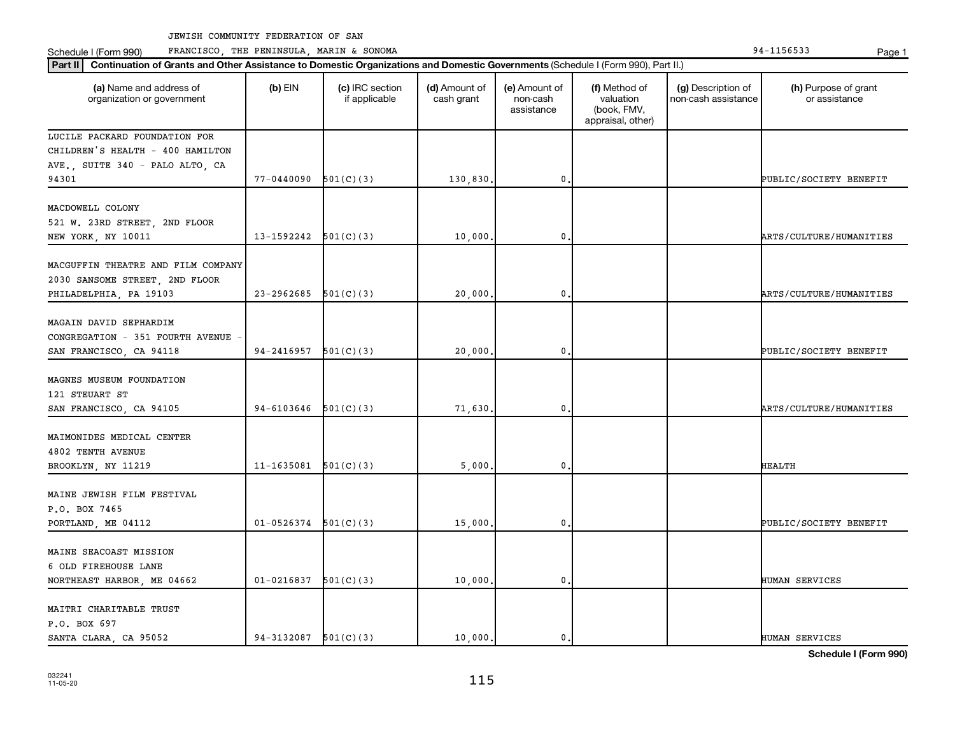Schedule I (Form 990) PRANCISCO, THE PENINSULA, MARIN & SONOMA Page 1 (Form 194-1156533 Page 1

| Part II   Continuation of Grants and Other Assistance to Domestic Organizations and Domestic Governments (Schedule I (Form 990), Part II.) |                |                                  |                             |                                         |                                                                |                                           |                                       |
|--------------------------------------------------------------------------------------------------------------------------------------------|----------------|----------------------------------|-----------------------------|-----------------------------------------|----------------------------------------------------------------|-------------------------------------------|---------------------------------------|
| (a) Name and address of<br>organization or government                                                                                      | $(b)$ EIN      | (c) IRC section<br>if applicable | (d) Amount of<br>cash grant | (e) Amount of<br>non-cash<br>assistance | (f) Method of<br>valuation<br>(book, FMV,<br>appraisal, other) | (g) Description of<br>non-cash assistance | (h) Purpose of grant<br>or assistance |
| LUCILE PACKARD FOUNDATION FOR                                                                                                              |                |                                  |                             |                                         |                                                                |                                           |                                       |
| CHILDREN'S HEALTH - 400 HAMILTON                                                                                                           |                |                                  |                             |                                         |                                                                |                                           |                                       |
| AVE., SUITE 340 - PALO ALTO, CA                                                                                                            |                |                                  |                             |                                         |                                                                |                                           |                                       |
| 94301                                                                                                                                      | 77-0440090     | 501(C)(3)                        | 130,830                     | $\mathbf{0}$                            |                                                                |                                           | PUBLIC/SOCIETY BENEFIT                |
| MACDOWELL COLONY<br>521 W. 23RD STREET, 2ND FLOOR                                                                                          |                |                                  |                             |                                         |                                                                |                                           |                                       |
| NEW YORK, NY 10011                                                                                                                         | 13-1592242     | 501(C)(3)                        | 10,000                      | 0                                       |                                                                |                                           | ARTS/CULTURE/HUMANITIES               |
| MACGUFFIN THEATRE AND FILM COMPANY<br>2030 SANSOME STREET, 2ND FLOOR<br>PHILADELPHIA, PA 19103                                             | 23-2962685     | 501(C)(3)                        | 20,000                      | $\mathbf{0}$                            |                                                                |                                           | ARTS/CULTURE/HUMANITIES               |
|                                                                                                                                            |                |                                  |                             |                                         |                                                                |                                           |                                       |
| MAGAIN DAVID SEPHARDIM<br>CONGREGATION - 351 FOURTH AVENUE<br>SAN FRANCISCO, CA 94118                                                      | 94-2416957     | 501(C)(3)                        | 20,000                      | $\mathbf 0$                             |                                                                |                                           | PUBLIC/SOCIETY BENEFIT                |
| MAGNES MUSEUM FOUNDATION<br>121 STEUART ST<br>SAN FRANCISCO, CA 94105                                                                      | 94-6103646     | 501(C)(3)                        | 71,630                      | $\mathbf 0$                             |                                                                |                                           | ARTS/CULTURE/HUMANITIES               |
| MAIMONIDES MEDICAL CENTER<br>4802 TENTH AVENUE<br>BROOKLYN, NY 11219                                                                       | 11-1635081     | 501(C)(3)                        | 5,000                       | $\mathbf 0$                             |                                                                |                                           | <b>HEALTH</b>                         |
| MAINE JEWISH FILM FESTIVAL<br>P.O. BOX 7465<br>PORTLAND, ME 04112                                                                          | $01 - 0526374$ | 501(C)(3)                        | 15,000                      | $\mathbf{0}$                            |                                                                |                                           | PUBLIC/SOCIETY BENEFIT                |
| MAINE SEACOAST MISSION<br>6 OLD FIREHOUSE LANE<br>NORTHEAST HARBOR, ME 04662                                                               | $01 - 0216837$ | 501(C)(3)                        | 10,000                      | $\mathbf 0$                             |                                                                |                                           | HUMAN SERVICES                        |
| MAITRI CHARITABLE TRUST<br>P.O. BOX 697<br>SANTA CLARA, CA 95052                                                                           | 94-3132087     | 501(C)(3)                        | 10,000.                     | $\mathbf{0}$ .                          |                                                                |                                           | HUMAN SERVICES                        |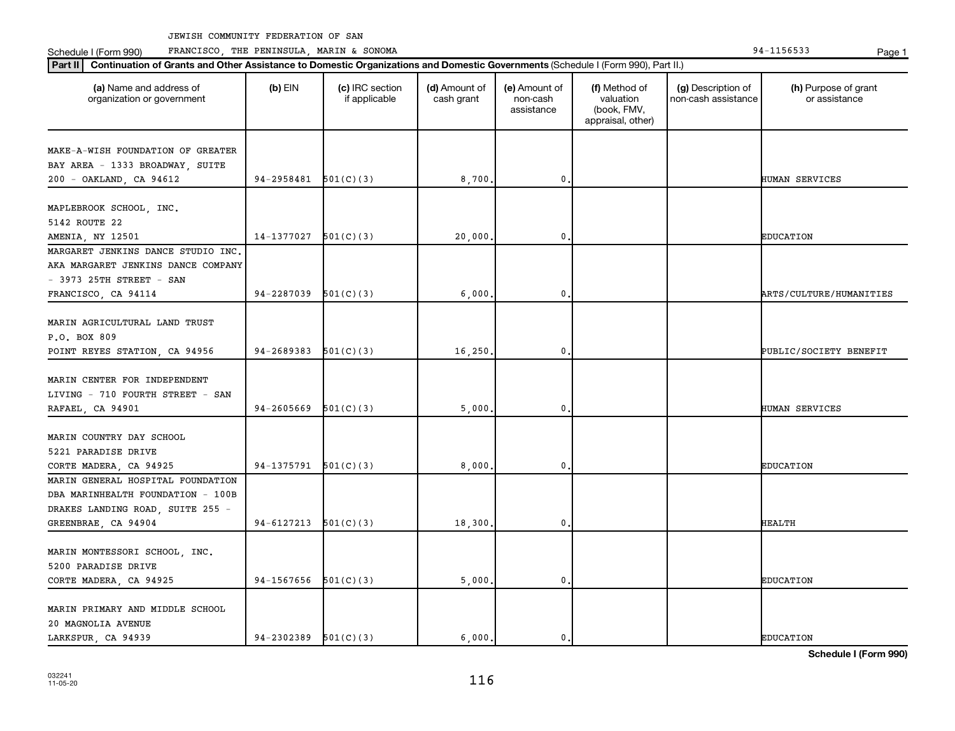Schedule I (Form 990) PRANCISCO, THE PENINSULA, MARIN & SONOMA Page 1 (Form 194-1156533 Page 1

| (a) Name and address of<br>organization or government       | $(b)$ EIN  | (c) IRC section<br>if applicable | (d) Amount of<br>cash grant | (e) Amount of<br>non-cash<br>assistance | (f) Method of<br>valuation<br>(book, FMV,<br>appraisal, other) | (g) Description of<br>non-cash assistance | (h) Purpose of grant<br>or assistance |
|-------------------------------------------------------------|------------|----------------------------------|-----------------------------|-----------------------------------------|----------------------------------------------------------------|-------------------------------------------|---------------------------------------|
| MAKE-A-WISH FOUNDATION OF GREATER                           |            |                                  |                             |                                         |                                                                |                                           |                                       |
| BAY AREA - 1333 BROADWAY, SUITE                             |            |                                  |                             |                                         |                                                                |                                           |                                       |
| 200 - OAKLAND, CA 94612                                     | 94-2958481 | 501(C)(3)                        | 8,700                       | 0                                       |                                                                |                                           | HUMAN SERVICES                        |
|                                                             |            |                                  |                             |                                         |                                                                |                                           |                                       |
| MAPLEBROOK SCHOOL, INC.                                     |            |                                  |                             |                                         |                                                                |                                           |                                       |
| 5142 ROUTE 22                                               |            |                                  |                             |                                         |                                                                |                                           |                                       |
| AMENIA, NY 12501                                            | 14-1377027 | 501(C)(3)                        | 20,000                      | 0                                       |                                                                |                                           | <b>EDUCATION</b>                      |
| MARGARET JENKINS DANCE STUDIO INC.                          |            |                                  |                             |                                         |                                                                |                                           |                                       |
| AKA MARGARET JENKINS DANCE COMPANY                          |            |                                  |                             |                                         |                                                                |                                           |                                       |
| $-$ 3973 25TH STREET $-$ SAN                                |            |                                  |                             |                                         |                                                                |                                           |                                       |
| FRANCISCO, CA 94114                                         | 94-2287039 | 501(C)(3)                        | 6,000                       | 0                                       |                                                                |                                           | ARTS/CULTURE/HUMANITIES               |
|                                                             |            |                                  |                             |                                         |                                                                |                                           |                                       |
| MARIN AGRICULTURAL LAND TRUST                               |            |                                  |                             |                                         |                                                                |                                           |                                       |
| P.O. BOX 809                                                |            |                                  |                             |                                         |                                                                |                                           |                                       |
| POINT REYES STATION, CA 94956                               | 94-2689383 | 501(C)(3)                        | 16,250                      | 0                                       |                                                                |                                           | PUBLIC/SOCIETY BENEFIT                |
|                                                             |            |                                  |                             |                                         |                                                                |                                           |                                       |
| MARIN CENTER FOR INDEPENDENT                                |            |                                  |                             |                                         |                                                                |                                           |                                       |
| LIVING - 710 FOURTH STREET - SAN                            |            |                                  |                             |                                         |                                                                |                                           |                                       |
| RAFAEL, CA 94901                                            | 94-2605669 | 501(C)(3)                        | 5,000                       | 0                                       |                                                                |                                           | HUMAN SERVICES                        |
|                                                             |            |                                  |                             |                                         |                                                                |                                           |                                       |
| MARIN COUNTRY DAY SCHOOL                                    |            |                                  |                             |                                         |                                                                |                                           |                                       |
| 5221 PARADISE DRIVE                                         | 94-1375791 | 501(C)(3)                        | 8,000                       | 0                                       |                                                                |                                           | <b>EDUCATION</b>                      |
| CORTE MADERA, CA 94925<br>MARIN GENERAL HOSPITAL FOUNDATION |            |                                  |                             |                                         |                                                                |                                           |                                       |
| DBA MARINHEALTH FOUNDATION - 100B                           |            |                                  |                             |                                         |                                                                |                                           |                                       |
| DRAKES LANDING ROAD, SUITE 255 -                            |            |                                  |                             |                                         |                                                                |                                           |                                       |
| GREENBRAE, CA 94904                                         | 94-6127213 | 501(C)(3)                        | 18,300                      | $\mathbf 0$                             |                                                                |                                           | <b>HEALTH</b>                         |
|                                                             |            |                                  |                             |                                         |                                                                |                                           |                                       |
| MARIN MONTESSORI SCHOOL, INC.                               |            |                                  |                             |                                         |                                                                |                                           |                                       |
| 5200 PARADISE DRIVE                                         |            |                                  |                             |                                         |                                                                |                                           |                                       |
| CORTE MADERA, CA 94925                                      | 94-1567656 | 501(C)(3)                        | 5,000                       | 0                                       |                                                                |                                           | <b>EDUCATION</b>                      |
|                                                             |            |                                  |                             |                                         |                                                                |                                           |                                       |
| MARIN PRIMARY AND MIDDLE SCHOOL                             |            |                                  |                             |                                         |                                                                |                                           |                                       |
| 20 MAGNOLIA AVENUE                                          |            |                                  |                             |                                         |                                                                |                                           |                                       |
| LARKSPUR, CA 94939                                          | 94-2302389 | 501(C)(3)                        | 6.000.                      | 0.                                      |                                                                |                                           | <b>EDUCATION</b>                      |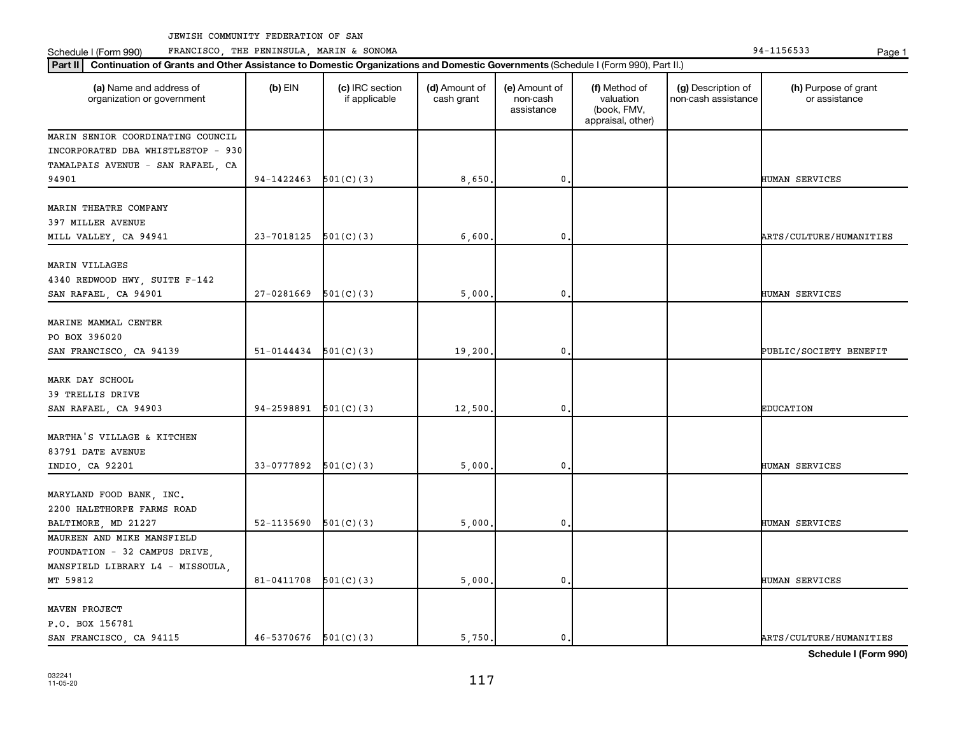Schedule I (Form 990) PRANCISCO, THE PENINSULA, MARIN & SONOMA Page 1 (Form 194-1156533 Page 1

| (a) Name and address of<br>organization or government | $(b)$ EIN                | (c) IRC section<br>if applicable | (d) Amount of<br>cash grant | (e) Amount of<br>non-cash<br>assistance | (f) Method of<br>valuation<br>(book, FMV,<br>appraisal, other) | (g) Description of<br>non-cash assistance | (h) Purpose of grant<br>or assistance |
|-------------------------------------------------------|--------------------------|----------------------------------|-----------------------------|-----------------------------------------|----------------------------------------------------------------|-------------------------------------------|---------------------------------------|
| MARIN SENIOR COORDINATING COUNCIL                     |                          |                                  |                             |                                         |                                                                |                                           |                                       |
| INCORPORATED DBA WHISTLESTOP - 930                    |                          |                                  |                             |                                         |                                                                |                                           |                                       |
| TAMALPAIS AVENUE - SAN RAFAEL, CA                     |                          |                                  |                             |                                         |                                                                |                                           |                                       |
| 94901                                                 | 94-1422463               | 501(C)(3)                        | 8,650                       | $\mathbf{0}$                            |                                                                |                                           | HUMAN SERVICES                        |
| MARIN THEATRE COMPANY                                 |                          |                                  |                             |                                         |                                                                |                                           |                                       |
| 397 MILLER AVENUE                                     |                          |                                  |                             |                                         |                                                                |                                           |                                       |
| MILL VALLEY, CA 94941                                 | 23-7018125               | 501(C)(3)                        | 6,600                       | 0                                       |                                                                |                                           | ARTS/CULTURE/HUMANITIES               |
| MARIN VILLAGES                                        |                          |                                  |                             |                                         |                                                                |                                           |                                       |
| 4340 REDWOOD HWY, SUITE F-142                         |                          |                                  |                             |                                         |                                                                |                                           |                                       |
| SAN RAFAEL, CA 94901                                  | 27-0281669               | 501(C)(3)                        | 5,000                       | $\mathbf 0$                             |                                                                |                                           | HUMAN SERVICES                        |
|                                                       |                          |                                  |                             |                                         |                                                                |                                           |                                       |
| MARINE MAMMAL CENTER                                  |                          |                                  |                             |                                         |                                                                |                                           |                                       |
| PO BOX 396020                                         |                          |                                  |                             |                                         |                                                                |                                           |                                       |
| SAN FRANCISCO, CA 94139                               | $51-0144434$ $501(C)(3)$ |                                  | 19,200                      | 0                                       |                                                                |                                           | PUBLIC/SOCIETY BENEFIT                |
|                                                       |                          |                                  |                             |                                         |                                                                |                                           |                                       |
| MARK DAY SCHOOL                                       |                          |                                  |                             |                                         |                                                                |                                           |                                       |
| 39 TRELLIS DRIVE                                      |                          |                                  |                             |                                         |                                                                |                                           |                                       |
| SAN RAFAEL, CA 94903                                  | 94-2598891               | 501(C)(3)                        | 12,500                      | $\mathbf 0$                             |                                                                |                                           | <b>EDUCATION</b>                      |
| MARTHA'S VILLAGE & KITCHEN                            |                          |                                  |                             |                                         |                                                                |                                           |                                       |
| 83791 DATE AVENUE                                     |                          |                                  |                             |                                         |                                                                |                                           |                                       |
| INDIO, CA 92201                                       | 33-0777892               | 501(C)(3)                        | 5,000                       | 0                                       |                                                                |                                           | HUMAN SERVICES                        |
|                                                       |                          |                                  |                             |                                         |                                                                |                                           |                                       |
| MARYLAND FOOD BANK, INC.                              |                          |                                  |                             |                                         |                                                                |                                           |                                       |
| 2200 HALETHORPE FARMS ROAD                            |                          |                                  |                             |                                         |                                                                |                                           |                                       |
| BALTIMORE, MD 21227                                   | 52-1135690               | 501(C)(3)                        | 5,000                       | $\mathbf 0$                             |                                                                |                                           | HUMAN SERVICES                        |
| MAUREEN AND MIKE MANSFIELD                            |                          |                                  |                             |                                         |                                                                |                                           |                                       |
| FOUNDATION - 32 CAMPUS DRIVE,                         |                          |                                  |                             |                                         |                                                                |                                           |                                       |
| MANSFIELD LIBRARY L4 - MISSOULA.                      |                          |                                  |                             |                                         |                                                                |                                           |                                       |
| MT 59812                                              | $81 - 0411708$ 501(C)(3) |                                  | 5,000                       | $\mathbf 0$                             |                                                                |                                           | HUMAN SERVICES                        |
|                                                       |                          |                                  |                             |                                         |                                                                |                                           |                                       |
| MAVEN PROJECT                                         |                          |                                  |                             |                                         |                                                                |                                           |                                       |
| P.O. BOX 156781                                       |                          |                                  |                             |                                         |                                                                |                                           |                                       |
| SAN FRANCISCO, CA 94115                               | 46-5370676               | 501(C)(3)                        | 5,750.                      | 0.                                      |                                                                |                                           | ARTS/CULTURE/HUMANITIES               |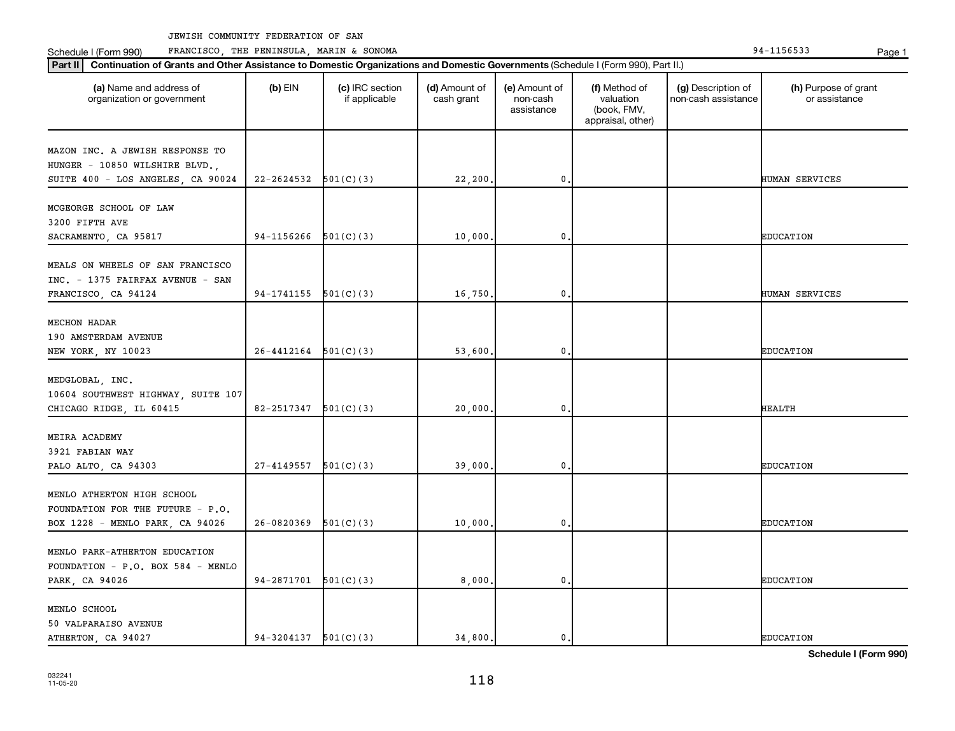Schedule I (Form 990) PRANCISCO, THE PENINSULA, MARIN & SONOMA Page 1 (Form 194-1156533 Page 1

| (a) Name and address of<br>organization or government                | $(b)$ EIN                  | (c) IRC section<br>if applicable | (d) Amount of<br>cash grant | (e) Amount of<br>non-cash<br>assistance | (f) Method of<br>valuation<br>(book, FMV,<br>appraisal, other) | (g) Description of<br>non-cash assistance | (h) Purpose of grant<br>or assistance |
|----------------------------------------------------------------------|----------------------------|----------------------------------|-----------------------------|-----------------------------------------|----------------------------------------------------------------|-------------------------------------------|---------------------------------------|
| MAZON INC. A JEWISH RESPONSE TO                                      |                            |                                  |                             |                                         |                                                                |                                           |                                       |
| HUNGER - 10850 WILSHIRE BLVD.,                                       |                            |                                  |                             |                                         |                                                                |                                           |                                       |
| SUITE 400 - LOS ANGELES, CA 90024                                    | $22 - 2624532$ $501(C)(3)$ |                                  | 22,200                      | 0                                       |                                                                |                                           | HUMAN SERVICES                        |
|                                                                      |                            |                                  |                             |                                         |                                                                |                                           |                                       |
| MCGEORGE SCHOOL OF LAW                                               |                            |                                  |                             |                                         |                                                                |                                           |                                       |
| 3200 FIFTH AVE                                                       |                            |                                  |                             |                                         |                                                                |                                           |                                       |
| SACRAMENTO, CA 95817                                                 | 94-1156266                 | 501(C)(3)                        | 10,000                      | $\mathbf 0$                             |                                                                |                                           | <b>EDUCATION</b>                      |
|                                                                      |                            |                                  |                             |                                         |                                                                |                                           |                                       |
| MEALS ON WHEELS OF SAN FRANCISCO<br>INC. - 1375 FAIRFAX AVENUE - SAN |                            |                                  |                             |                                         |                                                                |                                           |                                       |
|                                                                      | $94-1741155$ $501(C)(3)$   |                                  | 16,750                      | $\mathbf{0}$ .                          |                                                                |                                           | HUMAN SERVICES                        |
| FRANCISCO, CA 94124                                                  |                            |                                  |                             |                                         |                                                                |                                           |                                       |
| <b>MECHON HADAR</b>                                                  |                            |                                  |                             |                                         |                                                                |                                           |                                       |
| 190 AMSTERDAM AVENUE                                                 |                            |                                  |                             |                                         |                                                                |                                           |                                       |
| NEW YORK, NY 10023                                                   | $26-4412164$ $501(C)(3)$   |                                  | 53,600                      | 0                                       |                                                                |                                           | <b>EDUCATION</b>                      |
|                                                                      |                            |                                  |                             |                                         |                                                                |                                           |                                       |
| MEDGLOBAL, INC.                                                      |                            |                                  |                             |                                         |                                                                |                                           |                                       |
| 10604 SOUTHWEST HIGHWAY, SUITE 107                                   |                            |                                  |                             |                                         |                                                                |                                           |                                       |
| CHICAGO RIDGE, IL 60415                                              | 82-2517347                 | 501(C)(3)                        | 20,000                      | $\mathbf 0$                             |                                                                |                                           | HEALTH                                |
|                                                                      |                            |                                  |                             |                                         |                                                                |                                           |                                       |
| MEIRA ACADEMY                                                        |                            |                                  |                             |                                         |                                                                |                                           |                                       |
| 3921 FABIAN WAY                                                      |                            |                                  |                             |                                         |                                                                |                                           |                                       |
| PALO ALTO, CA 94303                                                  | 27-4149557                 | 501(C)(3)                        | 39,000                      | 0                                       |                                                                |                                           | <b>EDUCATION</b>                      |
|                                                                      |                            |                                  |                             |                                         |                                                                |                                           |                                       |
| MENLO ATHERTON HIGH SCHOOL                                           |                            |                                  |                             |                                         |                                                                |                                           |                                       |
| FOUNDATION FOR THE FUTURE - P.O.                                     |                            |                                  |                             |                                         |                                                                |                                           |                                       |
| BOX 1228 - MENLO PARK, CA 94026                                      | 26-0820369                 | 501(C)(3)                        | 10,000                      | $\mathbf{0}$ .                          |                                                                |                                           | <b>EDUCATION</b>                      |
|                                                                      |                            |                                  |                             |                                         |                                                                |                                           |                                       |
| MENLO PARK-ATHERTON EDUCATION                                        |                            |                                  |                             |                                         |                                                                |                                           |                                       |
| FOUNDATION - P.O. BOX 584 - MENLO                                    |                            |                                  |                             |                                         |                                                                |                                           |                                       |
| PARK, CA 94026                                                       | $94-2871701$ $501(C)(3)$   |                                  | 8,000                       | 0.                                      |                                                                |                                           | <b>EDUCATION</b>                      |
| MENLO SCHOOL                                                         |                            |                                  |                             |                                         |                                                                |                                           |                                       |
| 50 VALPARAISO AVENUE                                                 |                            |                                  |                             |                                         |                                                                |                                           |                                       |
| ATHERTON, CA 94027                                                   | $94-3204137$ $501(C)(3)$   |                                  | 34,800.                     | 0.                                      |                                                                |                                           | <b>EDUCATION</b>                      |
|                                                                      |                            |                                  |                             |                                         |                                                                |                                           |                                       |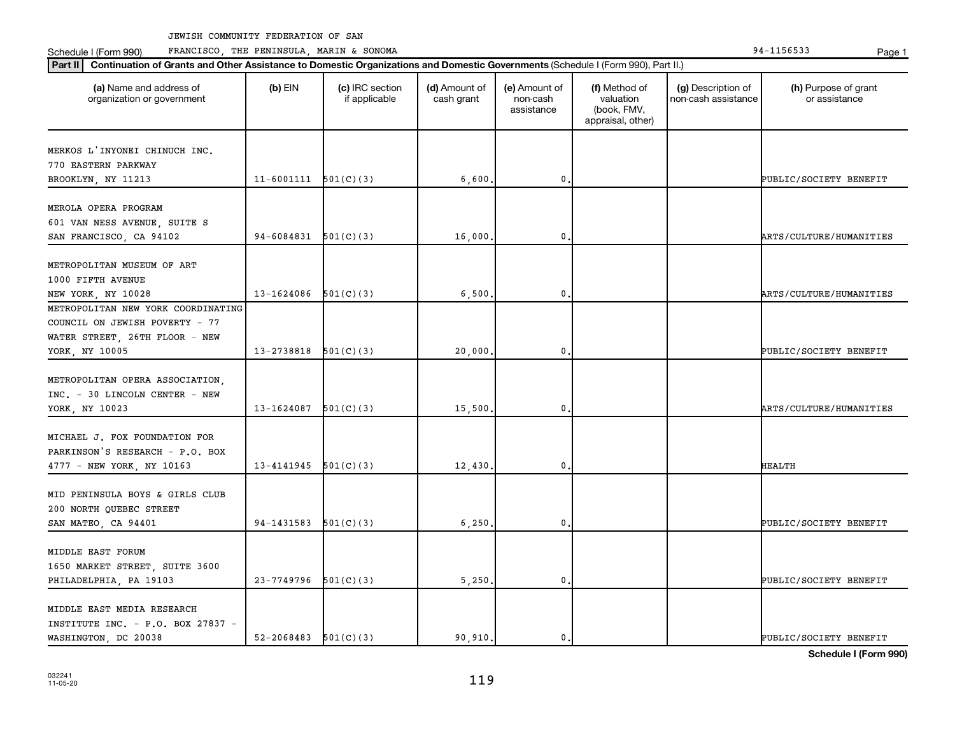Schedule I (Form 990) PRANCISCO, THE PENINSULA, MARIN & SONOMA Page 1 (Form 194-1156533 Page 1

| (a) Name and address of<br>organization or government | $(b)$ EIN                  | (c) IRC section<br>if applicable | (d) Amount of<br>cash grant | (e) Amount of<br>non-cash<br>assistance | (f) Method of<br>valuation<br>(book, FMV,<br>appraisal, other) | (g) Description of<br>non-cash assistance | (h) Purpose of grant<br>or assistance |
|-------------------------------------------------------|----------------------------|----------------------------------|-----------------------------|-----------------------------------------|----------------------------------------------------------------|-------------------------------------------|---------------------------------------|
| MERKOS L'INYONEI CHINUCH INC.                         |                            |                                  |                             |                                         |                                                                |                                           |                                       |
| 770 EASTERN PARKWAY                                   |                            |                                  |                             |                                         |                                                                |                                           |                                       |
| BROOKLYN, NY 11213                                    | $11-6001111$ $501(C)(3)$   |                                  | 6,600                       | 0.                                      |                                                                |                                           | PUBLIC/SOCIETY BENEFIT                |
|                                                       |                            |                                  |                             |                                         |                                                                |                                           |                                       |
| MEROLA OPERA PROGRAM                                  |                            |                                  |                             |                                         |                                                                |                                           |                                       |
| 601 VAN NESS AVENUE, SUITE S                          |                            |                                  |                             |                                         |                                                                |                                           |                                       |
| SAN FRANCISCO, CA 94102                               | 94-6084831                 | 501(C)(3)                        | 16,000.                     | 0                                       |                                                                |                                           | ARTS/CULTURE/HUMANITIES               |
| METROPOLITAN MUSEUM OF ART                            |                            |                                  |                             |                                         |                                                                |                                           |                                       |
|                                                       |                            |                                  |                             |                                         |                                                                |                                           |                                       |
| 1000 FIFTH AVENUE                                     |                            |                                  |                             |                                         |                                                                |                                           |                                       |
| NEW YORK, NY 10028                                    | 13-1624086                 | 501(C)(3)                        | 6,500                       | 0.                                      |                                                                |                                           | <b>ARTS/CULTURE/HUMANITIES</b>        |
| METROPOLITAN NEW YORK COORDINATING                    |                            |                                  |                             |                                         |                                                                |                                           |                                       |
| COUNCIL ON JEWISH POVERTY - 77                        |                            |                                  |                             |                                         |                                                                |                                           |                                       |
| WATER STREET, 26TH FLOOR - NEW                        |                            |                                  |                             |                                         |                                                                |                                           |                                       |
| YORK, NY 10005                                        | $13 - 2738818$ $501(C)(3)$ |                                  | 20,000.                     | $\mathbf{0}$                            |                                                                |                                           | PUBLIC/SOCIETY BENEFIT                |
| METROPOLITAN OPERA ASSOCIATION,                       |                            |                                  |                             |                                         |                                                                |                                           |                                       |
| INC. - 30 LINCOLN CENTER - NEW                        |                            |                                  |                             |                                         |                                                                |                                           |                                       |
|                                                       |                            |                                  |                             |                                         |                                                                |                                           |                                       |
| YORK, NY 10023                                        | 13-1624087                 | 501(C)(3)                        | 15,500                      | 0.                                      |                                                                |                                           | ARTS/CULTURE/HUMANITIES               |
| MICHAEL J. FOX FOUNDATION FOR                         |                            |                                  |                             |                                         |                                                                |                                           |                                       |
| PARKINSON'S RESEARCH - P.O. BOX                       |                            |                                  |                             |                                         |                                                                |                                           |                                       |
| 4777 - NEW YORK, NY 10163                             | 13-4141945                 | 501(C)(3)                        | 12,430.                     | 0                                       |                                                                |                                           | <b>HEALTH</b>                         |
|                                                       |                            |                                  |                             |                                         |                                                                |                                           |                                       |
| MID PENINSULA BOYS & GIRLS CLUB                       |                            |                                  |                             |                                         |                                                                |                                           |                                       |
| 200 NORTH QUEBEC STREET                               |                            |                                  |                             |                                         |                                                                |                                           |                                       |
| SAN MATEO, CA 94401                                   | 94-1431583                 | 501(C)(3)                        | 6,250                       | 0.                                      |                                                                |                                           | PUBLIC/SOCIETY BENEFIT                |
|                                                       |                            |                                  |                             |                                         |                                                                |                                           |                                       |
| MIDDLE EAST FORUM                                     |                            |                                  |                             |                                         |                                                                |                                           |                                       |
| 1650 MARKET STREET, SUITE 3600                        |                            |                                  |                             |                                         |                                                                |                                           |                                       |
| PHILADELPHIA, PA 19103                                | $23-7749796$ 501(C)(3)     |                                  | 5,250,                      | 0.                                      |                                                                |                                           | PUBLIC/SOCIETY BENEFIT                |
|                                                       |                            |                                  |                             |                                         |                                                                |                                           |                                       |
| MIDDLE EAST MEDIA RESEARCH                            |                            |                                  |                             |                                         |                                                                |                                           |                                       |
| INSTITUTE INC. - P.O. BOX 27837 -                     |                            |                                  |                             |                                         |                                                                |                                           |                                       |
| WASHINGTON, DC 20038                                  | $52 - 2068483$ $501(C)(3)$ |                                  | 90.910.                     | $\mathbf{0}$ .                          |                                                                |                                           | PUBLIC/SOCIETY BENEFIT                |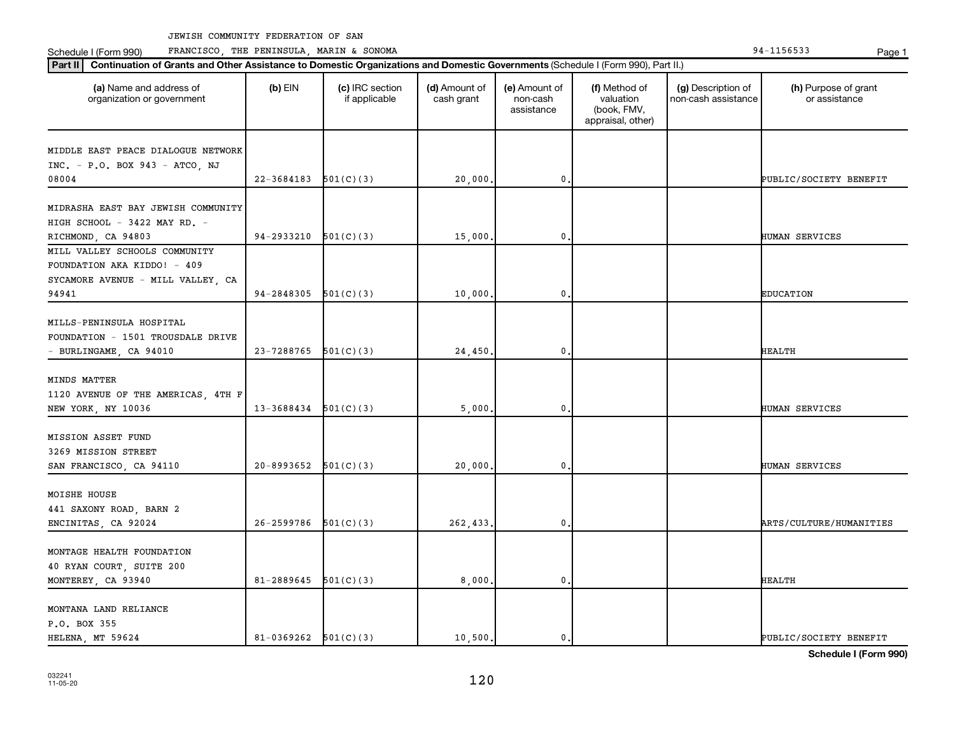Schedule I (Form 990) PRANCISCO, THE PENINSULA, MARIN & SONOMA Page 1 (Form 194-1156533 Page 1

| (a) Name and address of<br>organization or government | $(b)$ EIN                  | (c) IRC section<br>if applicable | (d) Amount of<br>cash grant | (e) Amount of<br>non-cash<br>assistance | (f) Method of<br>valuation<br>(book, FMV,<br>appraisal, other) | (g) Description of<br>non-cash assistance | (h) Purpose of grant<br>or assistance |
|-------------------------------------------------------|----------------------------|----------------------------------|-----------------------------|-----------------------------------------|----------------------------------------------------------------|-------------------------------------------|---------------------------------------|
| MIDDLE EAST PEACE DIALOGUE NETWORK                    |                            |                                  |                             |                                         |                                                                |                                           |                                       |
| INC. - P.O. BOX 943 - ATCO, NJ                        |                            |                                  |                             |                                         |                                                                |                                           |                                       |
| 08004                                                 | 22-3684183                 | 501(C)(3)                        | 20,000                      | $\mathbf 0$ .                           |                                                                |                                           | PUBLIC/SOCIETY BENEFIT                |
| MIDRASHA EAST BAY JEWISH COMMUNITY                    |                            |                                  |                             |                                         |                                                                |                                           |                                       |
|                                                       |                            |                                  |                             |                                         |                                                                |                                           |                                       |
| HIGH SCHOOL - 3422 MAY RD. -<br>RICHMOND, CA 94803    | 94-2933210                 | 501(C)(3)                        | 15,000.                     | 0                                       |                                                                |                                           | HUMAN SERVICES                        |
| MILL VALLEY SCHOOLS COMMUNITY                         |                            |                                  |                             |                                         |                                                                |                                           |                                       |
| FOUNDATION AKA KIDDO! - 409                           |                            |                                  |                             |                                         |                                                                |                                           |                                       |
| SYCAMORE AVENUE - MILL VALLEY, CA                     |                            |                                  |                             |                                         |                                                                |                                           |                                       |
| 94941                                                 | $94-2848305$ $501(C)(3)$   |                                  | 10,000                      | 0.                                      |                                                                |                                           | <b>EDUCATION</b>                      |
|                                                       |                            |                                  |                             |                                         |                                                                |                                           |                                       |
| MILLS-PENINSULA HOSPITAL                              |                            |                                  |                             |                                         |                                                                |                                           |                                       |
| FOUNDATION - 1501 TROUSDALE DRIVE                     |                            |                                  |                             |                                         |                                                                |                                           |                                       |
| - BURLINGAME, CA 94010                                | $23 - 7288765$ $501(C)(3)$ |                                  | 24,450.                     | $\mathbf{0}$                            |                                                                |                                           | HEALTH                                |
|                                                       |                            |                                  |                             |                                         |                                                                |                                           |                                       |
| MINDS MATTER                                          |                            |                                  |                             |                                         |                                                                |                                           |                                       |
| 1120 AVENUE OF THE AMERICAS, 4TH F                    |                            |                                  |                             |                                         |                                                                |                                           |                                       |
| NEW YORK, NY 10036                                    | $13-3688434$ $501(C)(3)$   |                                  | 5,000                       | 0.                                      |                                                                |                                           | HUMAN SERVICES                        |
| MISSION ASSET FUND                                    |                            |                                  |                             |                                         |                                                                |                                           |                                       |
| 3269 MISSION STREET                                   |                            |                                  |                             |                                         |                                                                |                                           |                                       |
| SAN FRANCISCO, CA 94110                               | 20-8993652                 | 501(C)(3)                        | 20,000,                     | 0                                       |                                                                |                                           | HUMAN SERVICES                        |
|                                                       |                            |                                  |                             |                                         |                                                                |                                           |                                       |
| MOISHE HOUSE                                          |                            |                                  |                             |                                         |                                                                |                                           |                                       |
| 441 SAXONY ROAD, BARN 2                               |                            |                                  |                             |                                         |                                                                |                                           |                                       |
| ENCINITAS, CA 92024                                   | $26 - 2599786$ $501(C)(3)$ |                                  | 262,433.                    | 0.                                      |                                                                |                                           | <b>ARTS/CULTURE/HUMANITIES</b>        |
|                                                       |                            |                                  |                             |                                         |                                                                |                                           |                                       |
| MONTAGE HEALTH FOUNDATION                             |                            |                                  |                             |                                         |                                                                |                                           |                                       |
| 40 RYAN COURT, SUITE 200                              |                            |                                  |                             |                                         |                                                                |                                           |                                       |
| MONTEREY, CA 93940                                    | 81-2889645                 | 501(C)(3)                        | 8,000,                      | 0.                                      |                                                                |                                           | <b>HEALTH</b>                         |
|                                                       |                            |                                  |                             |                                         |                                                                |                                           |                                       |
| MONTANA LAND RELIANCE                                 |                            |                                  |                             |                                         |                                                                |                                           |                                       |
| P.O. BOX 355                                          |                            |                                  |                             |                                         |                                                                |                                           |                                       |
| HELENA, MT 59624                                      | $81-0369262$ $501(C)(3)$   |                                  | 10,500.                     | $\mathbf{0}$ .                          |                                                                |                                           | PUBLIC/SOCIETY BENEFIT                |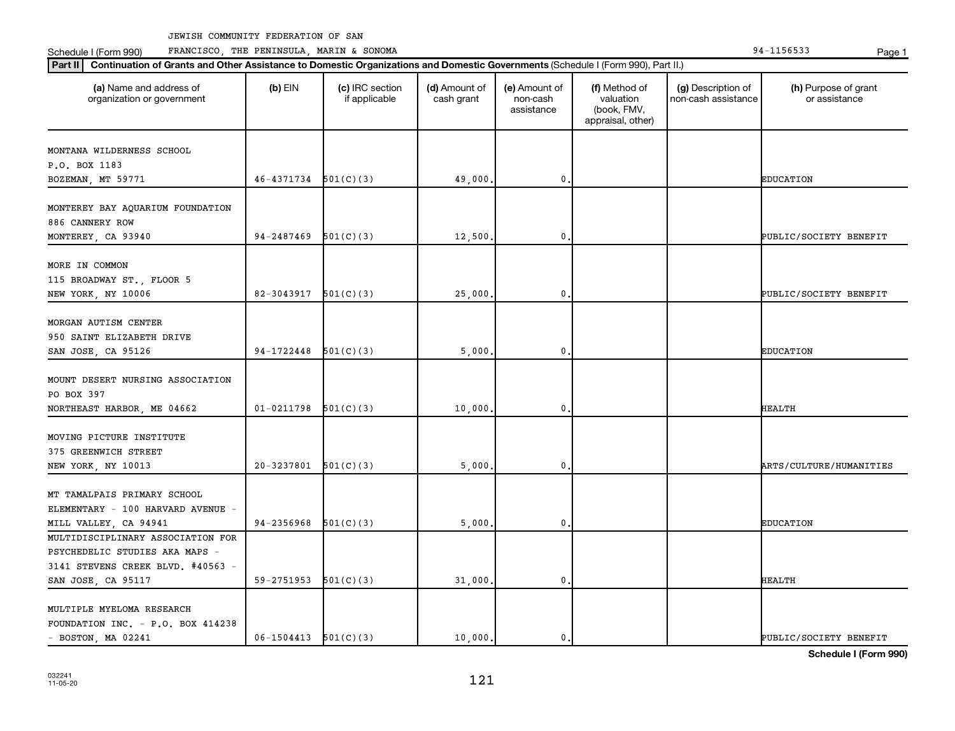**Part II Continuation of Grants and Other Assistance to Domestic Organizations and Domestic Governments**  (Schedule I (Form 990), Part II.)

Schedule I (Form 990) PRANCISCO, THE PENINSULA, MARIN & SONOMA Page 1 (Form 194-1156533 Page 1

| (a) Name and address of<br>organization or government                                                                          | $(b)$ EIN                | (c) IRC section<br>if applicable | (d) Amount of<br>cash grant | (e) Amount of<br>non-cash<br>assistance | (f) Method of<br>valuation<br>(book, FMV,<br>appraisal, other) | (g) Description of<br>non-cash assistance | (h) Purpose of grant<br>or assistance |
|--------------------------------------------------------------------------------------------------------------------------------|--------------------------|----------------------------------|-----------------------------|-----------------------------------------|----------------------------------------------------------------|-------------------------------------------|---------------------------------------|
| MONTANA WILDERNESS SCHOOL<br>P.O. BOX 1183<br>BOZEMAN, MT 59771                                                                | 46-4371734               | 501(C)(3)                        | 49,000                      | 0                                       |                                                                |                                           | <b>EDUCATION</b>                      |
| MONTEREY BAY AQUARIUM FOUNDATION<br>886 CANNERY ROW<br>MONTEREY, CA 93940                                                      | $94-2487469$ $501(C)(3)$ |                                  | 12,500                      | 0                                       |                                                                |                                           | PUBLIC/SOCIETY BENEFIT                |
| MORE IN COMMON<br>115 BROADWAY ST., FLOOR 5<br>NEW YORK, NY 10006                                                              | 82-3043917               | 501(C)(3)                        | 25,000                      | 0                                       |                                                                |                                           | PUBLIC/SOCIETY BENEFIT                |
| MORGAN AUTISM CENTER<br>950 SAINT ELIZABETH DRIVE<br>SAN JOSE, CA 95126                                                        | 94-1722448               | 501(C)(3)                        | 5,000                       | 0                                       |                                                                |                                           | <b>EDUCATION</b>                      |
| MOUNT DESERT NURSING ASSOCIATION<br>PO BOX 397<br>NORTHEAST HARBOR, ME 04662                                                   | $01 - 0211798$           | 501(C)(3)                        | 10,000                      | 0                                       |                                                                |                                           | <b>HEALTH</b>                         |
| MOVING PICTURE INSTITUTE<br>375 GREENWICH STREET<br>NEW YORK, NY 10013                                                         | $20-3237801$ 501(C)(3)   |                                  | 5,000                       | 0                                       |                                                                |                                           | ARTS/CULTURE/HUMANITIES               |
| MT TAMALPAIS PRIMARY SCHOOL<br>ELEMENTARY - 100 HARVARD AVENUE -<br>MILL VALLEY, CA 94941                                      | 94-2356968               | 501(C)(3)                        | 5,000                       | 0                                       |                                                                |                                           | <b>EDUCATION</b>                      |
| MULTIDISCIPLINARY ASSOCIATION FOR<br>PSYCHEDELIC STUDIES AKA MAPS -<br>3141 STEVENS CREEK BLVD. #40563 -<br>SAN JOSE, CA 95117 | $59-2751953$ $501(C)(3)$ |                                  | 31,000                      | 0                                       |                                                                |                                           | <b>HEALTH</b>                         |
| MULTIPLE MYELOMA RESEARCH<br>FOUNDATION INC. - P.O. BOX 414238<br>$-$ BOSTON, MA 02241                                         | $06-1504413$ $501(C)(3)$ |                                  | 10,000.                     | $\mathbf{0}$ .                          |                                                                |                                           | PUBLIC/SOCIETY BENEFIT                |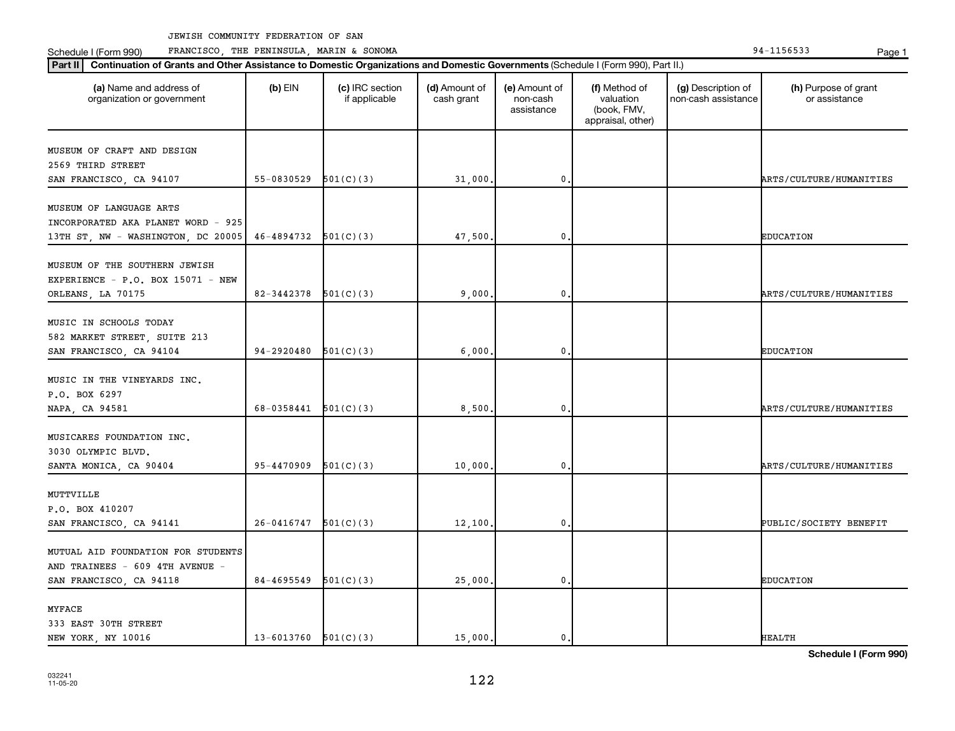Schedule I (Form 990) PRANCISCO, THE PENINSULA, MARIN & SONOMA Page 1 (Form 194-1156533 Page 1

| (a) Name and address of<br>organization or government | $(b)$ EIN                  | (c) IRC section<br>if applicable | (d) Amount of<br>cash grant | (e) Amount of<br>non-cash<br>assistance | (f) Method of<br>valuation<br>(book, FMV,<br>appraisal, other) | (g) Description of<br>non-cash assistance | (h) Purpose of grant<br>or assistance |
|-------------------------------------------------------|----------------------------|----------------------------------|-----------------------------|-----------------------------------------|----------------------------------------------------------------|-------------------------------------------|---------------------------------------|
| MUSEUM OF CRAFT AND DESIGN                            |                            |                                  |                             |                                         |                                                                |                                           |                                       |
| 2569 THIRD STREET                                     |                            |                                  |                             |                                         |                                                                |                                           |                                       |
| SAN FRANCISCO, CA 94107                               | 55-0830529                 | 501(C)(3)                        | 31,000                      | 0,                                      |                                                                |                                           | ARTS/CULTURE/HUMANITIES               |
|                                                       |                            |                                  |                             |                                         |                                                                |                                           |                                       |
| MUSEUM OF LANGUAGE ARTS                               |                            |                                  |                             |                                         |                                                                |                                           |                                       |
| INCORPORATED AKA PLANET WORD - 925                    |                            |                                  |                             |                                         |                                                                |                                           |                                       |
| 13TH ST, NW - WASHINGTON, DC 20005                    | 46-4894732                 | 501(C)(3)                        | 47,500                      | $\mathbf 0$                             |                                                                |                                           | <b>EDUCATION</b>                      |
| MUSEUM OF THE SOUTHERN JEWISH                         |                            |                                  |                             |                                         |                                                                |                                           |                                       |
| EXPERIENCE - $P.O.$ BOX 15071 - NEW                   |                            |                                  |                             |                                         |                                                                |                                           |                                       |
| ORLEANS, LA 70175                                     | 82-3442378                 | 501(C)(3)                        | 9,000                       | 0.                                      |                                                                |                                           | <b>ARTS/CULTURE/HUMANITIES</b>        |
|                                                       |                            |                                  |                             |                                         |                                                                |                                           |                                       |
| MUSIC IN SCHOOLS TODAY                                |                            |                                  |                             |                                         |                                                                |                                           |                                       |
| 582 MARKET STREET, SUITE 213                          |                            |                                  |                             |                                         |                                                                |                                           |                                       |
| SAN FRANCISCO, CA 94104                               | 94-2920480                 | 501(C)(3)                        | 6,000                       | $\mathbf 0$                             |                                                                |                                           | <b>EDUCATION</b>                      |
|                                                       |                            |                                  |                             |                                         |                                                                |                                           |                                       |
| MUSIC IN THE VINEYARDS INC.                           |                            |                                  |                             |                                         |                                                                |                                           |                                       |
| P.O. BOX 6297                                         |                            |                                  |                             |                                         |                                                                |                                           |                                       |
| NAPA, CA 94581                                        | 68-0358441                 | 501(C)(3)                        | 8,500                       | $\mathbf 0$                             |                                                                |                                           | ARTS/CULTURE/HUMANITIES               |
| MUSICARES FOUNDATION INC.                             |                            |                                  |                             |                                         |                                                                |                                           |                                       |
| 3030 OLYMPIC BLVD.                                    |                            |                                  |                             |                                         |                                                                |                                           |                                       |
| SANTA MONICA, CA 90404                                | 95-4470909                 | 501(C)(3)                        | 10,000                      | $\mathbf 0$                             |                                                                |                                           | <b>ARTS/CULTURE/HUMANITIES</b>        |
|                                                       |                            |                                  |                             |                                         |                                                                |                                           |                                       |
| MUTTVILLE                                             |                            |                                  |                             |                                         |                                                                |                                           |                                       |
| P.O. BOX 410207                                       |                            |                                  |                             |                                         |                                                                |                                           |                                       |
| SAN FRANCISCO, CA 94141                               | $26-0416747$ $501(C)(3)$   |                                  | 12,100                      | 0.                                      |                                                                |                                           | PUBLIC/SOCIETY BENEFIT                |
|                                                       |                            |                                  |                             |                                         |                                                                |                                           |                                       |
| MUTUAL AID FOUNDATION FOR STUDENTS                    |                            |                                  |                             |                                         |                                                                |                                           |                                       |
| AND TRAINEES - 609 4TH AVENUE -                       |                            |                                  |                             |                                         |                                                                |                                           |                                       |
| SAN FRANCISCO, CA 94118                               | 84-4695549                 | 501(C)(3)                        | 25,000,                     | 0.                                      |                                                                |                                           | <b>EDUCATION</b>                      |
| <b>MYFACE</b>                                         |                            |                                  |                             |                                         |                                                                |                                           |                                       |
| 333 EAST 30TH STREET                                  |                            |                                  |                             |                                         |                                                                |                                           |                                       |
| NEW YORK, NY 10016                                    | $13 - 6013760$ $501(C)(3)$ |                                  | 15,000.                     | $\mathbf{0}$ .                          |                                                                |                                           | <b>HEALTH</b>                         |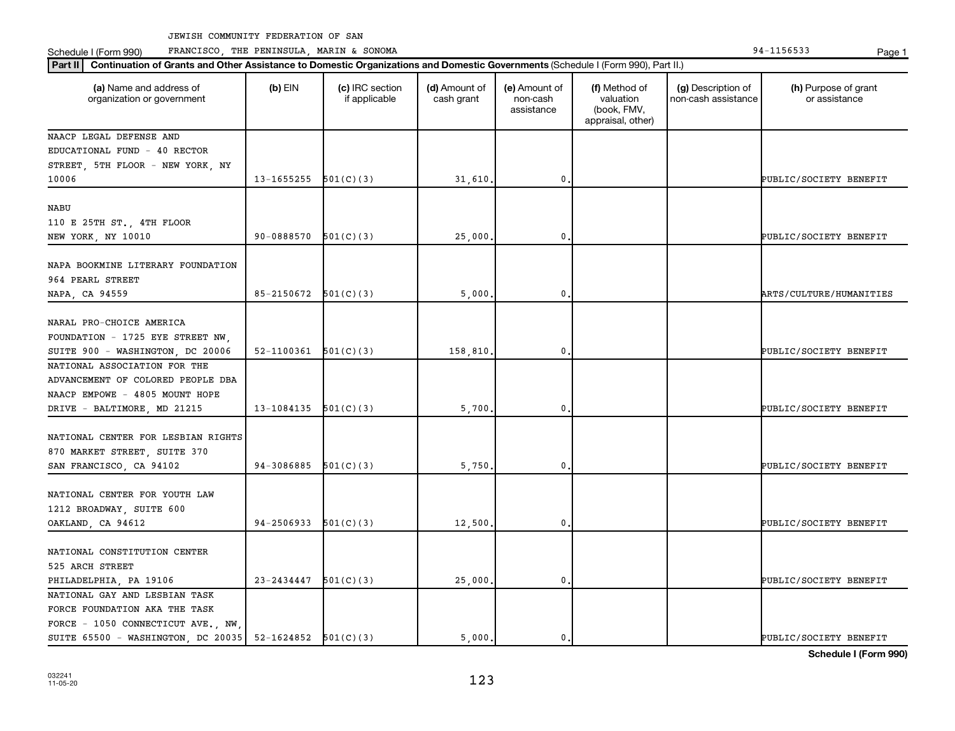Schedule I (Form 990) PRANCISCO, THE PENINSULA, MARIN & SONOMA Page 1 (Form 194-1156533 Page 1

| (a) Name and address of<br>organization or government       | $(b)$ EIN                  | (c) IRC section<br>if applicable | (d) Amount of<br>cash grant | (e) Amount of<br>non-cash<br>assistance | (f) Method of<br>valuation<br>(book, FMV,<br>appraisal, other) | (g) Description of<br>non-cash assistance | (h) Purpose of grant<br>or assistance |
|-------------------------------------------------------------|----------------------------|----------------------------------|-----------------------------|-----------------------------------------|----------------------------------------------------------------|-------------------------------------------|---------------------------------------|
| NAACP LEGAL DEFENSE AND                                     |                            |                                  |                             |                                         |                                                                |                                           |                                       |
| EDUCATIONAL FUND - 40 RECTOR                                |                            |                                  |                             |                                         |                                                                |                                           |                                       |
| STREET, 5TH FLOOR - NEW YORK, NY                            |                            |                                  |                             |                                         |                                                                |                                           |                                       |
| 10006                                                       | 13-1655255                 | 501(C)(3)                        | 31,610.                     | 0                                       |                                                                |                                           | PUBLIC/SOCIETY BENEFIT                |
| NABU                                                        |                            |                                  |                             |                                         |                                                                |                                           |                                       |
| 110 E 25TH ST., 4TH FLOOR                                   |                            |                                  |                             |                                         |                                                                |                                           |                                       |
| NEW YORK, NY 10010                                          | 90-0888570                 | 501(C)(3)                        | 25,000,                     | 0                                       |                                                                |                                           | PUBLIC/SOCIETY BENEFIT                |
|                                                             |                            |                                  |                             |                                         |                                                                |                                           |                                       |
| NAPA BOOKMINE LITERARY FOUNDATION                           |                            |                                  |                             |                                         |                                                                |                                           |                                       |
| 964 PEARL STREET                                            |                            |                                  |                             |                                         |                                                                |                                           |                                       |
| NAPA, CA 94559                                              | $85 - 2150672$ $501(C)(3)$ |                                  | 5,000                       | $\mathbf 0$                             |                                                                |                                           | ARTS/CULTURE/HUMANITIES               |
|                                                             |                            |                                  |                             |                                         |                                                                |                                           |                                       |
| NARAL PRO-CHOICE AMERICA                                    |                            |                                  |                             |                                         |                                                                |                                           |                                       |
| FOUNDATION - 1725 EYE STREET NW,                            |                            |                                  |                             |                                         |                                                                |                                           |                                       |
| SUITE 900 - WASHINGTON, DC 20006                            | 52-1100361                 | 501(C)(3)                        | 158,810.                    | 0                                       |                                                                |                                           | PUBLIC/SOCIETY BENEFIT                |
| NATIONAL ASSOCIATION FOR THE                                |                            |                                  |                             |                                         |                                                                |                                           |                                       |
| ADVANCEMENT OF COLORED PEOPLE DBA                           |                            |                                  |                             |                                         |                                                                |                                           |                                       |
| NAACP EMPOWE - 4805 MOUNT HOPE                              |                            |                                  |                             |                                         |                                                                |                                           |                                       |
| DRIVE - BALTIMORE, MD 21215                                 | 13-1084135                 | 501(C)(3)                        | 5,700.                      | 0                                       |                                                                |                                           | PUBLIC/SOCIETY BENEFIT                |
| NATIONAL CENTER FOR LESBIAN RIGHTS                          |                            |                                  |                             |                                         |                                                                |                                           |                                       |
|                                                             |                            |                                  |                             |                                         |                                                                |                                           |                                       |
| 870 MARKET STREET, SUITE 370                                | 94-3086885                 |                                  |                             | 0                                       |                                                                |                                           |                                       |
| SAN FRANCISCO, CA 94102                                     |                            | 501(C)(3)                        | 5,750                       |                                         |                                                                |                                           | PUBLIC/SOCIETY BENEFIT                |
| NATIONAL CENTER FOR YOUTH LAW                               |                            |                                  |                             |                                         |                                                                |                                           |                                       |
| 1212 BROADWAY, SUITE 600                                    |                            |                                  |                             |                                         |                                                                |                                           |                                       |
| OAKLAND, CA 94612                                           | $94-2506933$ $501(C)(3)$   |                                  | 12,500.                     | $\mathbf 0$                             |                                                                |                                           | PUBLIC/SOCIETY BENEFIT                |
|                                                             |                            |                                  |                             |                                         |                                                                |                                           |                                       |
| NATIONAL CONSTITUTION CENTER                                |                            |                                  |                             |                                         |                                                                |                                           |                                       |
| 525 ARCH STREET                                             |                            |                                  |                             |                                         |                                                                |                                           |                                       |
| PHILADELPHIA, PA 19106                                      | 23-2434447                 | 501(C)(3)                        | 25,000.                     | $\mathbf 0$                             |                                                                |                                           | PUBLIC/SOCIETY BENEFIT                |
| NATIONAL GAY AND LESBIAN TASK                               |                            |                                  |                             |                                         |                                                                |                                           |                                       |
| FORCE FOUNDATION AKA THE TASK                               |                            |                                  |                             |                                         |                                                                |                                           |                                       |
| FORCE - 1050 CONNECTICUT AVE., NW,                          |                            |                                  |                             |                                         |                                                                |                                           |                                       |
| SUITE 65500 - WASHINGTON, DC 20035   52-1624852   501(C)(3) |                            |                                  | 5.000.                      | 0.                                      |                                                                |                                           | PUBLIC/SOCIETY BENEFIT                |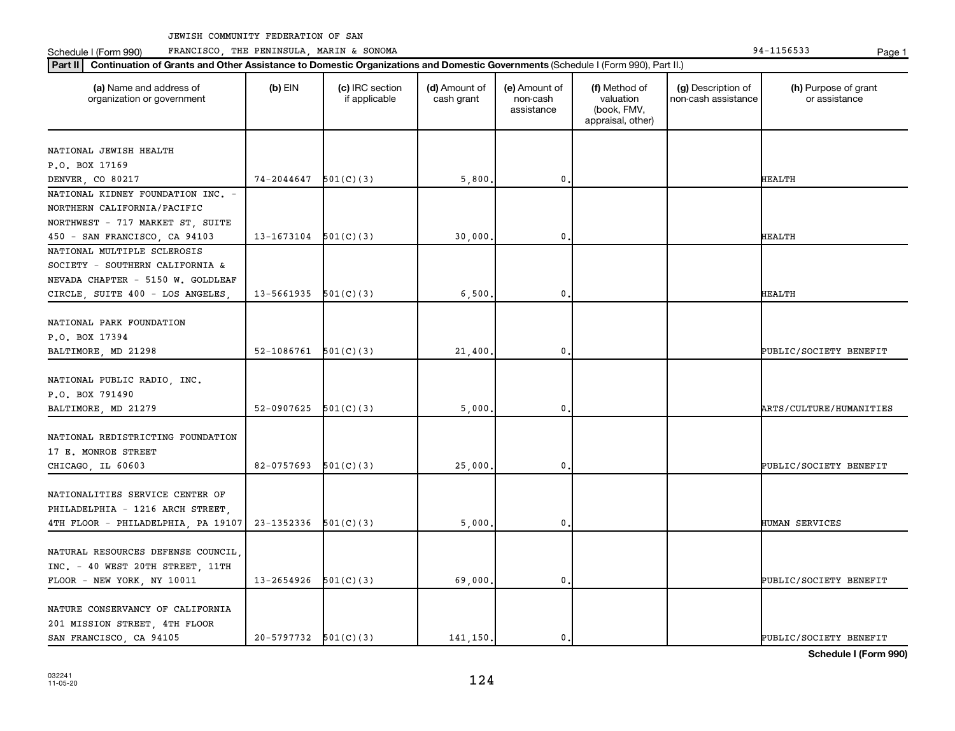**Part III Continuation of Grants and Other Assistance to Domestic Organizations and Domestic Government of Grants and Other Assistance to Domestic Continuation of Grants and Other Assistance to Domestic Croanizations and** Schedule I (Form 990) PRANCISCO, THE PENINSULA, MARIN & SONOMA Page 1 (Form 194-1156533 Page 1

| Part II<br>Continuation of Grants and Other Assistance to Domestic Organizations and Domestic Governments (Schedule I (Form 990), Part II.) |                          |                                  |                             |                                         |                                                                |                                           |                                       |  |
|---------------------------------------------------------------------------------------------------------------------------------------------|--------------------------|----------------------------------|-----------------------------|-----------------------------------------|----------------------------------------------------------------|-------------------------------------------|---------------------------------------|--|
| (a) Name and address of<br>organization or government                                                                                       | $(b)$ EIN                | (c) IRC section<br>if applicable | (d) Amount of<br>cash grant | (e) Amount of<br>non-cash<br>assistance | (f) Method of<br>valuation<br>(book, FMV,<br>appraisal, other) | (g) Description of<br>non-cash assistance | (h) Purpose of grant<br>or assistance |  |
|                                                                                                                                             |                          |                                  |                             |                                         |                                                                |                                           |                                       |  |
| NATIONAL JEWISH HEALTH                                                                                                                      |                          |                                  |                             |                                         |                                                                |                                           |                                       |  |
| P.O. BOX 17169                                                                                                                              |                          |                                  |                             |                                         |                                                                |                                           |                                       |  |
| DENVER, CO 80217                                                                                                                            | 74-2044647               | 501(C)(3)                        | 5,800                       | $\mathbf 0$                             |                                                                |                                           | <b>HEALTH</b>                         |  |
| NATIONAL KIDNEY FOUNDATION INC. -                                                                                                           |                          |                                  |                             |                                         |                                                                |                                           |                                       |  |
| NORTHERN CALIFORNIA/PACIFIC                                                                                                                 |                          |                                  |                             |                                         |                                                                |                                           |                                       |  |
| NORTHWEST - 717 MARKET ST, SUITE                                                                                                            |                          |                                  |                             |                                         |                                                                |                                           |                                       |  |
| 450 - SAN FRANCISCO, CA 94103                                                                                                               | $13-1673104$ $501(C)(3)$ |                                  | 30,000                      | $\mathbf{0}$                            |                                                                |                                           | <b>HEALTH</b>                         |  |
| NATIONAL MULTIPLE SCLEROSIS                                                                                                                 |                          |                                  |                             |                                         |                                                                |                                           |                                       |  |
| SOCIETY - SOUTHERN CALIFORNIA &                                                                                                             |                          |                                  |                             |                                         |                                                                |                                           |                                       |  |
| NEVADA CHAPTER - 5150 W. GOLDLEAF                                                                                                           |                          |                                  |                             |                                         |                                                                |                                           |                                       |  |
| CIRCLE, SUITE 400 - LOS ANGELES                                                                                                             | 13-5661935               | 501(C)(3)                        | 6,500                       | 0                                       |                                                                |                                           | <b>HEALTH</b>                         |  |
|                                                                                                                                             |                          |                                  |                             |                                         |                                                                |                                           |                                       |  |
| NATIONAL PARK FOUNDATION                                                                                                                    |                          |                                  |                             |                                         |                                                                |                                           |                                       |  |
| P.O. BOX 17394                                                                                                                              |                          |                                  |                             |                                         |                                                                |                                           |                                       |  |
| BALTIMORE, MD 21298                                                                                                                         | $52-1086761$ $501(C)(3)$ |                                  | 21,400                      | $\mathbf 0$                             |                                                                |                                           | PUBLIC/SOCIETY BENEFIT                |  |
|                                                                                                                                             |                          |                                  |                             |                                         |                                                                |                                           |                                       |  |
| NATIONAL PUBLIC RADIO, INC.                                                                                                                 |                          |                                  |                             |                                         |                                                                |                                           |                                       |  |
| P.O. BOX 791490                                                                                                                             | 52-0907625               |                                  |                             | $\mathbf 0$                             |                                                                |                                           | ARTS/CULTURE/HUMANITIES               |  |
| BALTIMORE, MD 21279                                                                                                                         |                          | 501(C)(3)                        | 5,000                       |                                         |                                                                |                                           |                                       |  |
| NATIONAL REDISTRICTING FOUNDATION                                                                                                           |                          |                                  |                             |                                         |                                                                |                                           |                                       |  |
| 17 E. MONROE STREET                                                                                                                         |                          |                                  |                             |                                         |                                                                |                                           |                                       |  |
|                                                                                                                                             |                          |                                  |                             |                                         |                                                                |                                           |                                       |  |
| CHICAGO, IL 60603                                                                                                                           | 82-0757693               | 501(C)(3)                        | 25,000                      | 0                                       |                                                                |                                           | PUBLIC/SOCIETY BENEFIT                |  |
| NATIONALITIES SERVICE CENTER OF                                                                                                             |                          |                                  |                             |                                         |                                                                |                                           |                                       |  |
|                                                                                                                                             |                          |                                  |                             |                                         |                                                                |                                           |                                       |  |
| PHILADELPHIA - 1216 ARCH STREET,                                                                                                            |                          |                                  |                             | $\mathbf 0$                             |                                                                |                                           |                                       |  |
| 4TH FLOOR - PHILADELPHIA, PA 19107                                                                                                          | 23-1352336               | 501(C)(3)                        | 5,000                       |                                         |                                                                |                                           | HUMAN SERVICES                        |  |
| NATURAL RESOURCES DEFENSE COUNCIL,                                                                                                          |                          |                                  |                             |                                         |                                                                |                                           |                                       |  |
|                                                                                                                                             |                          |                                  |                             |                                         |                                                                |                                           |                                       |  |
| INC. - 40 WEST 20TH STREET, 11TH                                                                                                            |                          |                                  |                             | $\mathbf{0}$                            |                                                                |                                           | PUBLIC/SOCIETY BENEFIT                |  |
| FLOOR - NEW YORK, NY 10011                                                                                                                  | $13-2654926$ $501(C)(3)$ |                                  | 69,000                      |                                         |                                                                |                                           |                                       |  |
| NATURE CONSERVANCY OF CALIFORNIA                                                                                                            |                          |                                  |                             |                                         |                                                                |                                           |                                       |  |
|                                                                                                                                             |                          |                                  |                             |                                         |                                                                |                                           |                                       |  |
| 201 MISSION STREET, 4TH FLOOR                                                                                                               | $20-5797732$ $501(C)(3)$ |                                  | 141.150.                    | $\mathbf{0}$                            |                                                                |                                           | PUBLIC/SOCIETY BENEFIT                |  |
| SAN FRANCISCO, CA 94105                                                                                                                     |                          |                                  |                             |                                         |                                                                |                                           |                                       |  |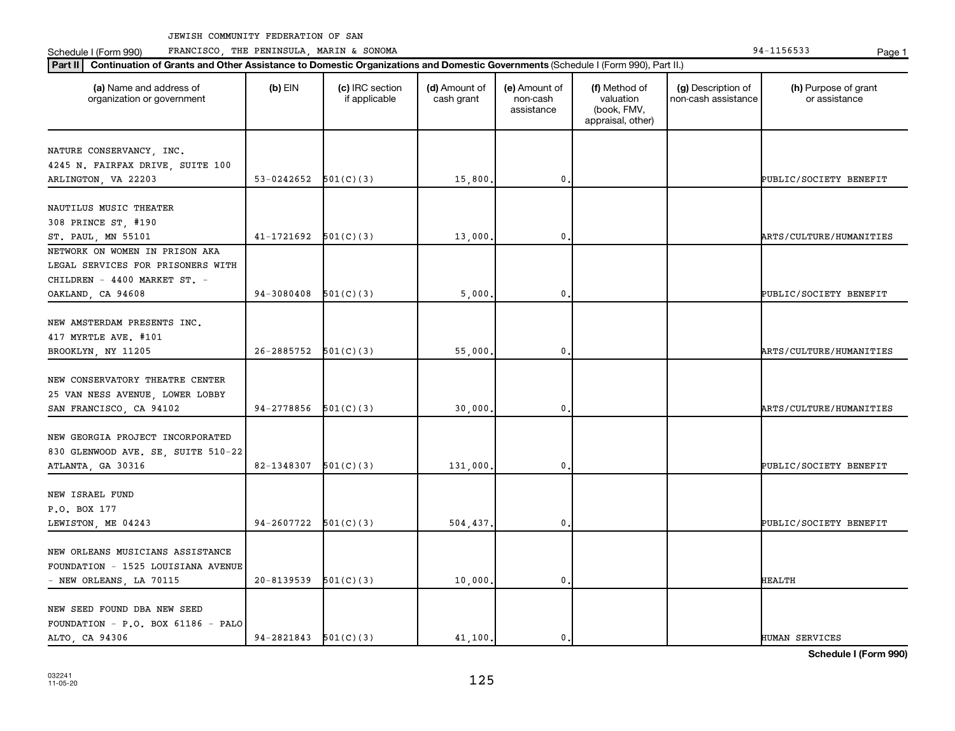Schedule I (Form 990) PRANCISCO, THE PENINSULA, MARIN & SONOMA Page 1 (Form 194-1156533 Page 1

| (a) Name and address of<br>organization or government                                             | $(b)$ EIN                | (c) IRC section<br>if applicable | (d) Amount of<br>cash grant | (e) Amount of<br>non-cash<br>assistance | (f) Method of<br>valuation<br>(book, FMV,<br>appraisal, other) | (g) Description of<br>non-cash assistance | (h) Purpose of grant<br>or assistance |
|---------------------------------------------------------------------------------------------------|--------------------------|----------------------------------|-----------------------------|-----------------------------------------|----------------------------------------------------------------|-------------------------------------------|---------------------------------------|
| NATURE CONSERVANCY, INC.                                                                          |                          |                                  |                             |                                         |                                                                |                                           |                                       |
| 4245 N. FAIRFAX DRIVE, SUITE 100                                                                  |                          |                                  |                             |                                         |                                                                |                                           |                                       |
| ARLINGTON, VA 22203                                                                               | 53-0242652               | 501(C)(3)                        | 15,800                      | 0.                                      |                                                                |                                           | PUBLIC/SOCIETY BENEFIT                |
| NAUTILUS MUSIC THEATER                                                                            |                          |                                  |                             |                                         |                                                                |                                           |                                       |
| 308 PRINCE ST, #190                                                                               |                          |                                  |                             |                                         |                                                                |                                           |                                       |
| ST. PAUL, MN 55101                                                                                | 41-1721692               | 501(C)(3)                        | 13,000                      | 0                                       |                                                                |                                           | ARTS/CULTURE/HUMANITIES               |
| NETWORK ON WOMEN IN PRISON AKA                                                                    |                          |                                  |                             |                                         |                                                                |                                           |                                       |
| LEGAL SERVICES FOR PRISONERS WITH                                                                 |                          |                                  |                             |                                         |                                                                |                                           |                                       |
| CHILDREN - 4400 MARKET ST. -                                                                      |                          |                                  |                             |                                         |                                                                |                                           |                                       |
| OAKLAND, CA 94608                                                                                 | 94-3080408               | 501(C)(3)                        | 5,000                       | $\mathbf{0}$                            |                                                                |                                           | PUBLIC/SOCIETY BENEFIT                |
| NEW AMSTERDAM PRESENTS INC.<br>417 MYRTLE AVE. #101                                               |                          |                                  |                             |                                         |                                                                |                                           |                                       |
| BROOKLYN, NY 11205                                                                                | 26-2885752               | 501(C)(3)                        | 55,000                      | $\mathbf 0$                             |                                                                |                                           | <b>ARTS/CULTURE/HUMANITIES</b>        |
| NEW CONSERVATORY THEATRE CENTER<br>25 VAN NESS AVENUE, LOWER LOBBY<br>SAN FRANCISCO, CA 94102     | 94-2778856               | 501(C)(3)                        | 30,000                      | $\mathbf 0$                             |                                                                |                                           | <b>ARTS/CULTURE/HUMANITIES</b>        |
|                                                                                                   |                          |                                  |                             |                                         |                                                                |                                           |                                       |
| NEW GEORGIA PROJECT INCORPORATED<br>830 GLENWOOD AVE. SE, SUITE 510-22                            | 82-1348307               |                                  |                             | $\mathbf 0$                             |                                                                |                                           |                                       |
| ATLANTA, GA 30316                                                                                 |                          | 501(C)(3)                        | 131,000                     |                                         |                                                                |                                           | PUBLIC/SOCIETY BENEFIT                |
| NEW ISRAEL FUND<br>P.O. BOX 177                                                                   |                          |                                  |                             |                                         |                                                                |                                           |                                       |
| LEWISTON, ME 04243                                                                                | 94-2607722               | 501(C)(3)                        | 504,437.                    | $\mathbf 0$                             |                                                                |                                           | PUBLIC/SOCIETY BENEFIT                |
| NEW ORLEANS MUSICIANS ASSISTANCE<br>FOUNDATION - 1525 LOUISIANA AVENUE<br>- NEW ORLEANS, LA 70115 | 20-8139539               | 501(C)(3)                        | 10,000                      | $\mathbf{0}$                            |                                                                |                                           | <b>HEALTH</b>                         |
|                                                                                                   |                          |                                  |                             |                                         |                                                                |                                           |                                       |
| NEW SEED FOUND DBA NEW SEED<br>FOUNDATION - P.O. BOX 61186 - PALO<br>ALTO, CA 94306               | $94-2821843$ $501(C)(3)$ |                                  | 41,100.                     | $\mathbf{0}$ .                          |                                                                |                                           | HUMAN SERVICES                        |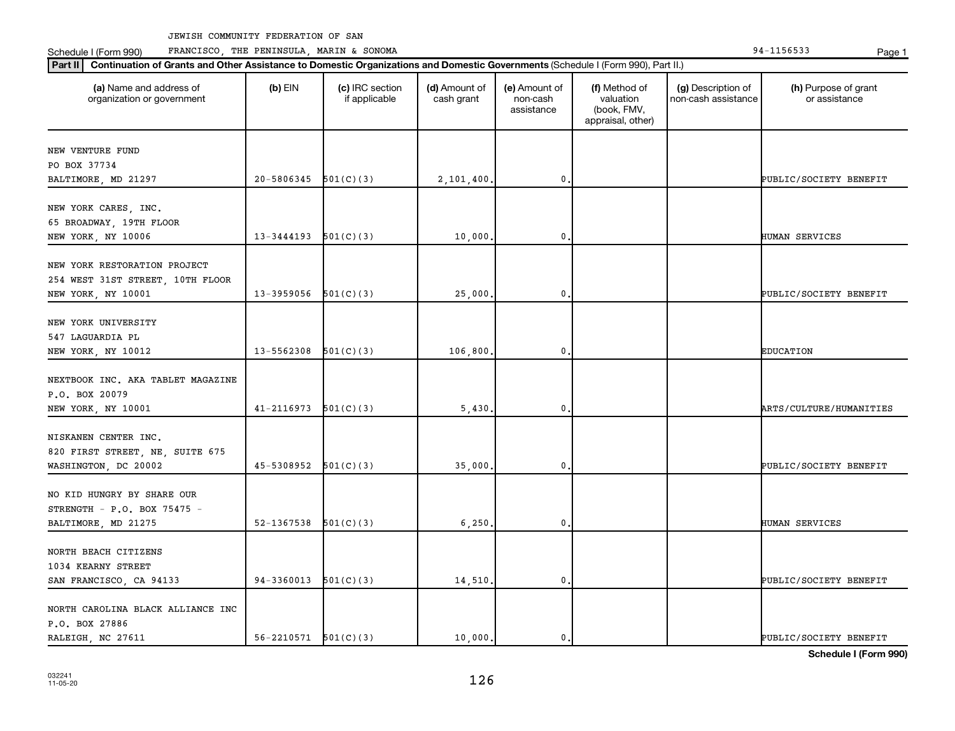Schedule I (Form 990) PRANCISCO, THE PENINSULA, MARIN & SONOMA Page 1 (Form 194-1156533 Page 1

| Part II   Continuation of Grants and Other Assistance to Domestic Organizations and Domestic Governments (Schedule I (Form 990), Part II.) |            |                                  |                             |                                         |                                                                |                                           |                                       |
|--------------------------------------------------------------------------------------------------------------------------------------------|------------|----------------------------------|-----------------------------|-----------------------------------------|----------------------------------------------------------------|-------------------------------------------|---------------------------------------|
| (a) Name and address of<br>organization or government                                                                                      | $(b)$ EIN  | (c) IRC section<br>if applicable | (d) Amount of<br>cash grant | (e) Amount of<br>non-cash<br>assistance | (f) Method of<br>valuation<br>(book, FMV,<br>appraisal, other) | (g) Description of<br>non-cash assistance | (h) Purpose of grant<br>or assistance |
|                                                                                                                                            |            |                                  |                             |                                         |                                                                |                                           |                                       |
| NEW VENTURE FUND<br>PO BOX 37734                                                                                                           |            |                                  |                             |                                         |                                                                |                                           |                                       |
| BALTIMORE, MD 21297                                                                                                                        | 20-5806345 | 501(C)(3)                        | 2,101,400.                  | 0                                       |                                                                |                                           | PUBLIC/SOCIETY BENEFIT                |
|                                                                                                                                            |            |                                  |                             |                                         |                                                                |                                           |                                       |
| NEW YORK CARES, INC.                                                                                                                       |            |                                  |                             |                                         |                                                                |                                           |                                       |
| 65 BROADWAY, 19TH FLOOR                                                                                                                    |            |                                  |                             |                                         |                                                                |                                           |                                       |
| NEW YORK, NY 10006                                                                                                                         | 13-3444193 | 501(C)(3)                        | 10,000                      | 0                                       |                                                                |                                           | HUMAN SERVICES                        |
|                                                                                                                                            |            |                                  |                             |                                         |                                                                |                                           |                                       |
| NEW YORK RESTORATION PROJECT                                                                                                               |            |                                  |                             |                                         |                                                                |                                           |                                       |
| 254 WEST 31ST STREET, 10TH FLOOR                                                                                                           |            |                                  |                             |                                         |                                                                |                                           |                                       |
| NEW YORK, NY 10001                                                                                                                         | 13-3959056 | 501(C)(3)                        | 25,000                      | 0                                       |                                                                |                                           | PUBLIC/SOCIETY BENEFIT                |
|                                                                                                                                            |            |                                  |                             |                                         |                                                                |                                           |                                       |
| NEW YORK UNIVERSITY                                                                                                                        |            |                                  |                             |                                         |                                                                |                                           |                                       |
| 547 LAGUARDIA PL                                                                                                                           |            |                                  |                             |                                         |                                                                |                                           |                                       |
| NEW YORK, NY 10012                                                                                                                         | 13-5562308 | 501(C)(3)                        | 106,800                     | 0                                       |                                                                |                                           | <b>EDUCATION</b>                      |
|                                                                                                                                            |            |                                  |                             |                                         |                                                                |                                           |                                       |
| NEXTBOOK INC. AKA TABLET MAGAZINE                                                                                                          |            |                                  |                             |                                         |                                                                |                                           |                                       |
| P.O. BOX 20079                                                                                                                             |            |                                  |                             |                                         |                                                                |                                           |                                       |
| NEW YORK, NY 10001                                                                                                                         | 41-2116973 | 501(C)(3)                        | 5,430                       | 0                                       |                                                                |                                           | ARTS/CULTURE/HUMANITIES               |
|                                                                                                                                            |            |                                  |                             |                                         |                                                                |                                           |                                       |
| NISKANEN CENTER INC.                                                                                                                       |            |                                  |                             |                                         |                                                                |                                           |                                       |
| 820 FIRST STREET, NE, SUITE 675                                                                                                            | 45-5308952 | 501(C)(3)                        | 35,000                      | 0                                       |                                                                |                                           |                                       |
| WASHINGTON, DC 20002                                                                                                                       |            |                                  |                             |                                         |                                                                |                                           | PUBLIC/SOCIETY BENEFIT                |
| NO KID HUNGRY BY SHARE OUR                                                                                                                 |            |                                  |                             |                                         |                                                                |                                           |                                       |
| STRENGTH - P.O. BOX 75475 -                                                                                                                |            |                                  |                             |                                         |                                                                |                                           |                                       |
| BALTIMORE, MD 21275                                                                                                                        | 52-1367538 | 501(C)(3)                        | 6,250                       | 0                                       |                                                                |                                           | HUMAN SERVICES                        |
|                                                                                                                                            |            |                                  |                             |                                         |                                                                |                                           |                                       |
| NORTH BEACH CITIZENS                                                                                                                       |            |                                  |                             |                                         |                                                                |                                           |                                       |
| 1034 KEARNY STREET                                                                                                                         |            |                                  |                             |                                         |                                                                |                                           |                                       |
| SAN FRANCISCO, CA 94133                                                                                                                    | 94-3360013 | 501(C)(3)                        | 14,510                      | 0                                       |                                                                |                                           | PUBLIC/SOCIETY BENEFIT                |
|                                                                                                                                            |            |                                  |                             |                                         |                                                                |                                           |                                       |
| NORTH CAROLINA BLACK ALLIANCE INC                                                                                                          |            |                                  |                             |                                         |                                                                |                                           |                                       |
| P.O. BOX 27886                                                                                                                             |            |                                  |                             |                                         |                                                                |                                           |                                       |
| RALEIGH, NC 27611                                                                                                                          | 56-2210571 | 501(C)(3)                        | 10,000.                     | 0.                                      |                                                                |                                           | PUBLIC/SOCIETY BENEFIT                |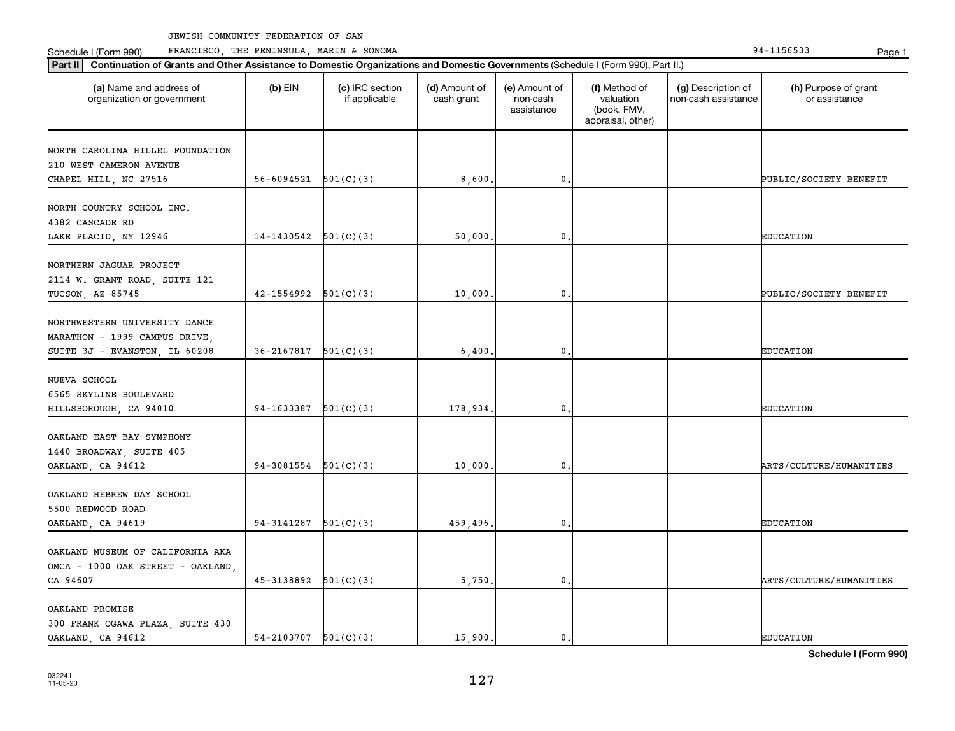Schedule I (Form 990) PRANCISCO, THE PENINSULA, MARIN & SONOMA Page 1 (Form 194-1156533 Page 1

| Part II   Continuation of Grants and Other Assistance to Domestic Organizations and Domestic Governments (Schedule I (Form 990), Part II.) |                          |                                  |                             |                                         |                                                                |                                           |                                       |
|--------------------------------------------------------------------------------------------------------------------------------------------|--------------------------|----------------------------------|-----------------------------|-----------------------------------------|----------------------------------------------------------------|-------------------------------------------|---------------------------------------|
| (a) Name and address of<br>organization or government                                                                                      | $(b)$ EIN                | (c) IRC section<br>if applicable | (d) Amount of<br>cash grant | (e) Amount of<br>non-cash<br>assistance | (f) Method of<br>valuation<br>(book, FMV,<br>appraisal, other) | (g) Description of<br>non-cash assistance | (h) Purpose of grant<br>or assistance |
| NORTH CAROLINA HILLEL FOUNDATION                                                                                                           |                          |                                  |                             |                                         |                                                                |                                           |                                       |
| 210 WEST CAMERON AVENUE                                                                                                                    |                          |                                  |                             |                                         |                                                                |                                           |                                       |
| CHAPEL HILL, NC 27516                                                                                                                      | 56-6094521               | 501(C)(3)                        | 8,600                       | $\mathbf{0}$                            |                                                                |                                           | PUBLIC/SOCIETY BENEFIT                |
|                                                                                                                                            |                          |                                  |                             |                                         |                                                                |                                           |                                       |
| NORTH COUNTRY SCHOOL INC.                                                                                                                  |                          |                                  |                             |                                         |                                                                |                                           |                                       |
| 4382 CASCADE RD                                                                                                                            |                          |                                  |                             |                                         |                                                                |                                           |                                       |
| LAKE PLACID, NY 12946                                                                                                                      | 14-1430542               | 501(C)(3)                        | 50,000                      | 0                                       |                                                                |                                           | <b>EDUCATION</b>                      |
|                                                                                                                                            |                          |                                  |                             |                                         |                                                                |                                           |                                       |
| NORTHERN JAGUAR PROJECT                                                                                                                    |                          |                                  |                             |                                         |                                                                |                                           |                                       |
| 2114 W. GRANT ROAD, SUITE 121<br>TUCSON, AZ 85745                                                                                          | 42-1554992               | 501(C)(3)                        | 10,000                      | $\mathbf{0}$                            |                                                                |                                           | PUBLIC/SOCIETY BENEFIT                |
|                                                                                                                                            |                          |                                  |                             |                                         |                                                                |                                           |                                       |
| NORTHWESTERN UNIVERSITY DANCE                                                                                                              |                          |                                  |                             |                                         |                                                                |                                           |                                       |
| MARATHON - 1999 CAMPUS DRIVE,                                                                                                              |                          |                                  |                             |                                         |                                                                |                                           |                                       |
| SUITE 3J - EVANSTON, IL 60208                                                                                                              | 36-2167817               | 501(C)(3)                        | 6,400                       | 0                                       |                                                                |                                           | <b>EDUCATION</b>                      |
|                                                                                                                                            |                          |                                  |                             |                                         |                                                                |                                           |                                       |
| NUEVA SCHOOL                                                                                                                               |                          |                                  |                             |                                         |                                                                |                                           |                                       |
| 6565 SKYLINE BOULEVARD                                                                                                                     |                          |                                  |                             |                                         |                                                                |                                           |                                       |
| HILLSBOROUGH, CA 94010                                                                                                                     | 94-1633387               | 501(C)(3)                        | 178,934.                    | 0                                       |                                                                |                                           | <b>EDUCATION</b>                      |
|                                                                                                                                            |                          |                                  |                             |                                         |                                                                |                                           |                                       |
| OAKLAND EAST BAY SYMPHONY                                                                                                                  |                          |                                  |                             |                                         |                                                                |                                           |                                       |
| 1440 BROADWAY, SUITE 405<br>OAKLAND, CA 94612                                                                                              | 94-3081554               | 501(C)(3)                        | 10,000                      | $\mathbf{0}$                            |                                                                |                                           | ARTS/CULTURE/HUMANITIES               |
|                                                                                                                                            |                          |                                  |                             |                                         |                                                                |                                           |                                       |
| OAKLAND HEBREW DAY SCHOOL                                                                                                                  |                          |                                  |                             |                                         |                                                                |                                           |                                       |
| 5500 REDWOOD ROAD                                                                                                                          |                          |                                  |                             |                                         |                                                                |                                           |                                       |
| OAKLAND, CA 94619                                                                                                                          | 94-3141287               | 501(C)(3)                        | 459,496.                    | 0                                       |                                                                |                                           | <b>EDUCATION</b>                      |
|                                                                                                                                            |                          |                                  |                             |                                         |                                                                |                                           |                                       |
| OAKLAND MUSEUM OF CALIFORNIA AKA                                                                                                           |                          |                                  |                             |                                         |                                                                |                                           |                                       |
| OMCA - 1000 OAK STREET - OAKLAND,                                                                                                          |                          |                                  |                             |                                         |                                                                |                                           |                                       |
| CA 94607                                                                                                                                   | 45-3138892               | 501(C)(3)                        | 5,750                       | 0                                       |                                                                |                                           | ARTS/CULTURE/HUMANITIES               |
|                                                                                                                                            |                          |                                  |                             |                                         |                                                                |                                           |                                       |
| OAKLAND PROMISE<br>300 FRANK OGAWA PLAZA, SUITE 430                                                                                        |                          |                                  |                             |                                         |                                                                |                                           |                                       |
| OAKLAND, CA 94612                                                                                                                          | $54-2103707$ $501(C)(3)$ |                                  | 15,900.                     | 0.                                      |                                                                |                                           | <b>EDUCATION</b>                      |
|                                                                                                                                            |                          |                                  |                             |                                         |                                                                |                                           |                                       |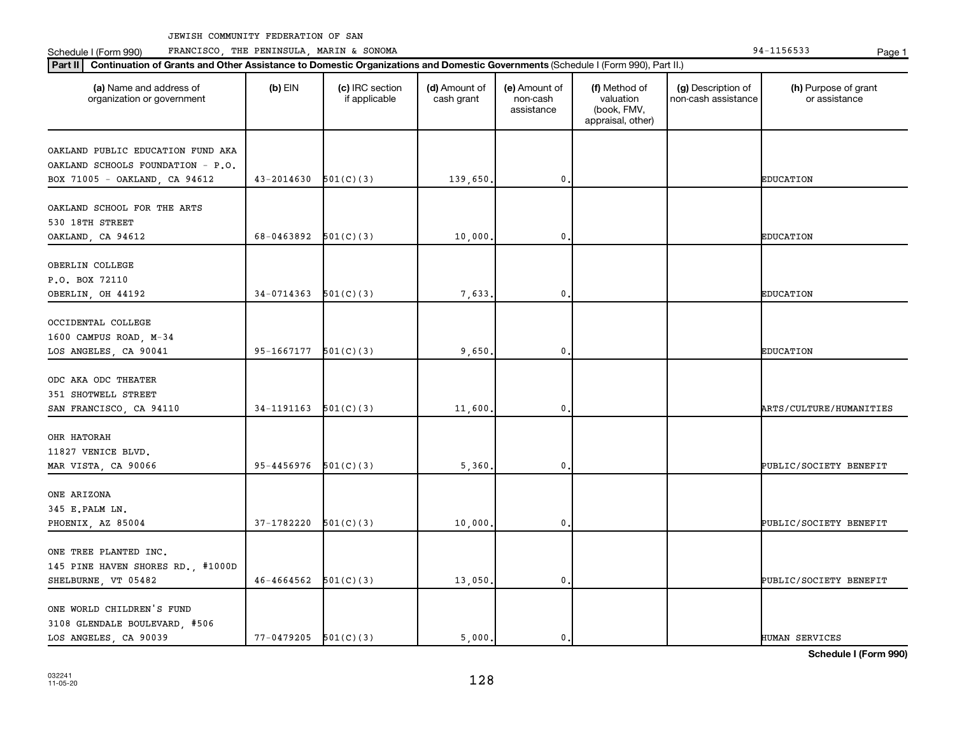**Part II Continuation of Grants and Other Assistance to Domestic Organizations and Domestic Governments**  (Schedule I (Form 990), Part II.)

Schedule I (Form 990) PRANCISCO, THE PENINSULA, MARIN & SONOMA Page 1 (Form 194-1156533 Page 1

032241 11-05-20

| (a) Name and address of<br>organization or government                                                   | $(b)$ EIN              | (c) IRC section<br>if applicable | (d) Amount of<br>cash grant | (e) Amount of<br>non-cash<br>assistance | (f) Method of<br>valuation<br>(book, FMV,<br>appraisal, other) | (g) Description of<br>non-cash assistance | (h) Purpose of grant<br>or assistance |
|---------------------------------------------------------------------------------------------------------|------------------------|----------------------------------|-----------------------------|-----------------------------------------|----------------------------------------------------------------|-------------------------------------------|---------------------------------------|
| OAKLAND PUBLIC EDUCATION FUND AKA<br>OAKLAND SCHOOLS FOUNDATION - P.O.<br>BOX 71005 - OAKLAND, CA 94612 | 43-2014630             | 501(C)(3)                        | 139,650                     | $\mathbf{0}$                            |                                                                |                                           | <b>EDUCATION</b>                      |
| OAKLAND SCHOOL FOR THE ARTS<br>530 18TH STREET<br>OAKLAND, CA 94612                                     | 68-0463892             | 501(C)(3)                        | 10,000                      | $\mathbf{0}$                            |                                                                |                                           | <b>EDUCATION</b>                      |
| OBERLIN COLLEGE<br>P.O. BOX 72110<br>OBERLIN, OH 44192                                                  | 34-0714363             | 501(C)(3)                        | 7,633                       | $\mathbf{0}$                            |                                                                |                                           | <b>EDUCATION</b>                      |
| OCCIDENTAL COLLEGE<br>1600 CAMPUS ROAD, M-34<br>LOS ANGELES, CA 90041                                   | 95-1667177             | 501(C)(3)                        | 9,650                       | 0                                       |                                                                |                                           | <b>EDUCATION</b>                      |
| ODC AKA ODC THEATER<br>351 SHOTWELL STREET<br>SAN FRANCISCO, CA 94110                                   | 34-1191163             | 501(C)(3)                        | 11,600                      | $\pmb{0}$                               |                                                                |                                           | ARTS/CULTURE/HUMANITIES               |
| OHR HATORAH<br>11827 VENICE BLVD.<br>MAR VISTA, CA 90066                                                | 95-4456976             | 501(C)(3)                        | 5,360                       | 0                                       |                                                                |                                           | PUBLIC/SOCIETY BENEFIT                |
| ONE ARIZONA<br>345 E.PALM LN.<br>PHOENIX, AZ 85004                                                      | 37-1782220             | 501(C)(3)                        | 10,000                      | $\mathbf 0$                             |                                                                |                                           | PUBLIC/SOCIETY BENEFIT                |
| ONE TREE PLANTED INC.<br>145 PINE HAVEN SHORES RD., #1000D<br>SHELBURNE, VT 05482                       | 46-4664562             | 501(C)(3)                        | 13,050                      | $\mathbf 0$ .                           |                                                                |                                           | PUBLIC/SOCIETY BENEFIT                |
| ONE WORLD CHILDREN'S FUND<br>3108 GLENDALE BOULEVARD, #506<br>LOS ANGELES, CA 90039                     | $77-0479205$ 501(C)(3) |                                  | 5,000                       | $\mathbf{0}$ .                          |                                                                |                                           | HUMAN SERVICES                        |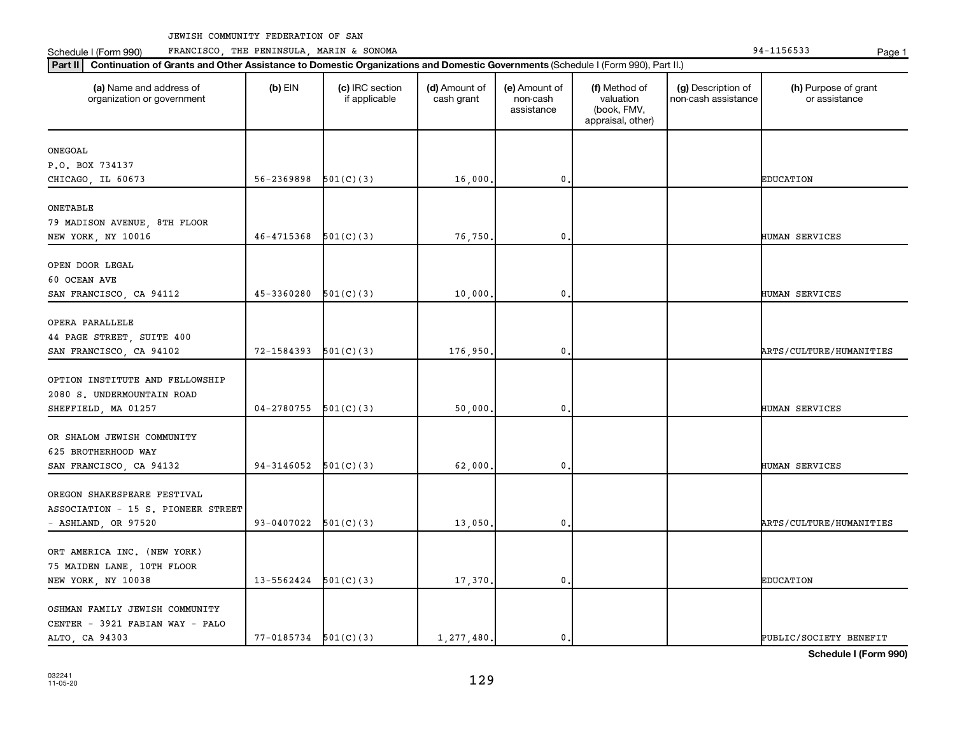Schedule I (Form 990) PRANCISCO, THE PENINSULA, MARIN & SONOMA Page 1 (Form 194-1156533 Page 1

| (a) Name and address of<br>organization or government | $(b)$ EIN      | (c) IRC section<br>if applicable | (d) Amount of<br>cash grant | (e) Amount of<br>non-cash<br>assistance | (f) Method of<br>valuation<br>(book, FMV,<br>appraisal, other) | (g) Description of<br>non-cash assistance | (h) Purpose of grant<br>or assistance |
|-------------------------------------------------------|----------------|----------------------------------|-----------------------------|-----------------------------------------|----------------------------------------------------------------|-------------------------------------------|---------------------------------------|
| ONEGOAL                                               |                |                                  |                             |                                         |                                                                |                                           |                                       |
| P.O. BOX 734137                                       |                |                                  |                             |                                         |                                                                |                                           |                                       |
| CHICAGO, IL 60673                                     | 56-2369898     | 501(C)(3)                        | 16,000.                     | 0                                       |                                                                |                                           | <b>EDUCATION</b>                      |
| ONETABLE                                              |                |                                  |                             |                                         |                                                                |                                           |                                       |
|                                                       |                |                                  |                             |                                         |                                                                |                                           |                                       |
| 79 MADISON AVENUE, 8TH FLOOR<br>NEW YORK, NY 10016    | 46-4715368     | 501(C)(3)                        | 76,750                      | 0                                       |                                                                |                                           | HUMAN SERVICES                        |
|                                                       |                |                                  |                             |                                         |                                                                |                                           |                                       |
| OPEN DOOR LEGAL                                       |                |                                  |                             |                                         |                                                                |                                           |                                       |
| 60 OCEAN AVE                                          |                |                                  |                             |                                         |                                                                |                                           |                                       |
| SAN FRANCISCO, CA 94112                               | 45-3360280     | 501(C)(3)                        | 10,000.                     | 0                                       |                                                                |                                           | HUMAN SERVICES                        |
|                                                       |                |                                  |                             |                                         |                                                                |                                           |                                       |
| OPERA PARALLELE                                       |                |                                  |                             |                                         |                                                                |                                           |                                       |
| 44 PAGE STREET, SUITE 400                             |                |                                  |                             |                                         |                                                                |                                           |                                       |
| SAN FRANCISCO, CA 94102                               | 72-1584393     | 501(C)(3)                        | 176,950.                    | 0                                       |                                                                |                                           | ARTS/CULTURE/HUMANITIES               |
| OPTION INSTITUTE AND FELLOWSHIP                       |                |                                  |                             |                                         |                                                                |                                           |                                       |
| 2080 S. UNDERMOUNTAIN ROAD                            |                |                                  |                             |                                         |                                                                |                                           |                                       |
| SHEFFIELD, MA 01257                                   | $04 - 2780755$ | 501(C)(3)                        | 50,000                      | 0                                       |                                                                |                                           | HUMAN SERVICES                        |
|                                                       |                |                                  |                             |                                         |                                                                |                                           |                                       |
| OR SHALOM JEWISH COMMUNITY                            |                |                                  |                             |                                         |                                                                |                                           |                                       |
| 625 BROTHERHOOD WAY                                   |                |                                  |                             |                                         |                                                                |                                           |                                       |
| SAN FRANCISCO, CA 94132                               | 94-3146052     | 501(C)(3)                        | 62,000                      | 0                                       |                                                                |                                           | HUMAN SERVICES                        |
|                                                       |                |                                  |                             |                                         |                                                                |                                           |                                       |
| OREGON SHAKESPEARE FESTIVAL                           |                |                                  |                             |                                         |                                                                |                                           |                                       |
| ASSOCIATION - 15 S. PIONEER STREET                    |                |                                  |                             |                                         |                                                                |                                           |                                       |
| $-$ ASHLAND, OR 97520                                 | 93-0407022     | 501(C)(3)                        | 13,050                      | 0                                       |                                                                |                                           | ARTS/CULTURE/HUMANITIES               |
|                                                       |                |                                  |                             |                                         |                                                                |                                           |                                       |
| ORT AMERICA INC. (NEW YORK)                           |                |                                  |                             |                                         |                                                                |                                           |                                       |
| 75 MAIDEN LANE, 10TH FLOOR                            |                |                                  |                             |                                         |                                                                |                                           |                                       |
| NEW YORK, NY 10038                                    | 13-5562424     | 501(C)(3)                        | 17,370.                     | 0                                       |                                                                |                                           | <b>EDUCATION</b>                      |
| OSHMAN FAMILY JEWISH COMMUNITY                        |                |                                  |                             |                                         |                                                                |                                           |                                       |
| CENTER - 3921 FABIAN WAY - PALO                       |                |                                  |                             |                                         |                                                                |                                           |                                       |
| ALTO, CA 94303                                        | 77-0185734     | 501(C)(3)                        | 1,277,480.                  | 0.                                      |                                                                |                                           | PUBLIC/SOCIETY BENEFIT                |
|                                                       |                |                                  |                             |                                         |                                                                |                                           |                                       |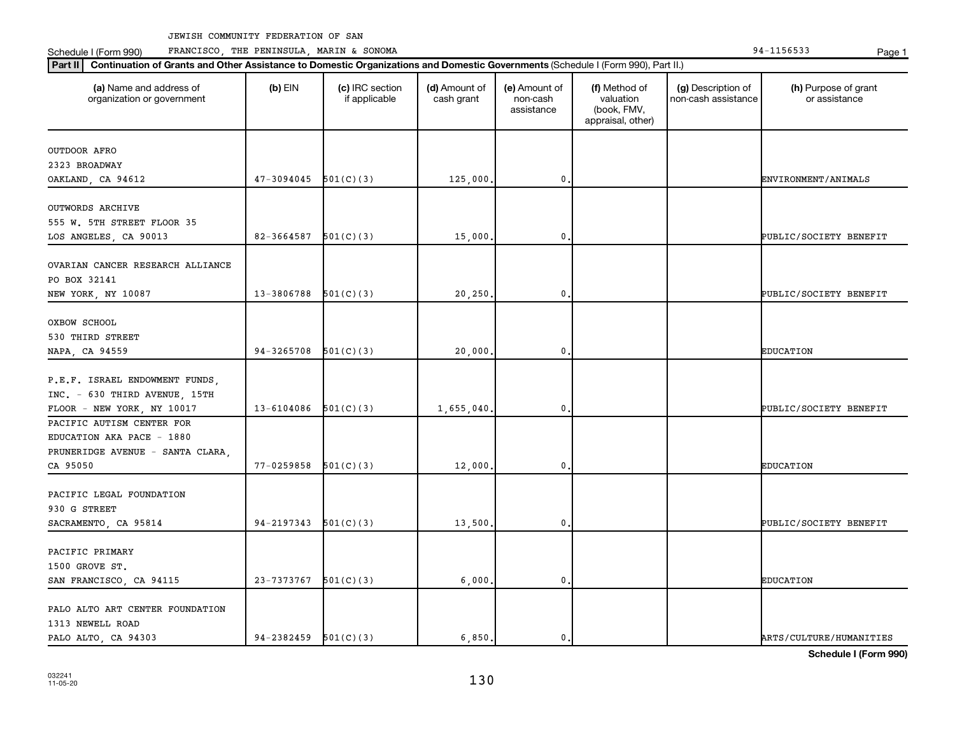Schedule I (Form 990) PRANCISCO, THE PENINSULA, MARIN & SONOMA Page 1 (Form 194-1156533 Page 1

| (a) Name and address of<br>organization or government | $(b)$ EIN                | (c) IRC section<br>if applicable | (d) Amount of<br>cash grant | (e) Amount of<br>non-cash<br>assistance | (f) Method of<br>valuation<br>(book, FMV,<br>appraisal, other) | (g) Description of<br>non-cash assistance | (h) Purpose of grant<br>or assistance |
|-------------------------------------------------------|--------------------------|----------------------------------|-----------------------------|-----------------------------------------|----------------------------------------------------------------|-------------------------------------------|---------------------------------------|
| OUTDOOR AFRO                                          |                          |                                  |                             |                                         |                                                                |                                           |                                       |
| 2323 BROADWAY                                         |                          |                                  |                             |                                         |                                                                |                                           |                                       |
| OAKLAND, CA 94612                                     | 47-3094045               | 501(C)(3)                        | 125,000.                    | $\mathbf{0}$                            |                                                                |                                           | ENVIRONMENT/ANIMALS                   |
| OUTWORDS ARCHIVE                                      |                          |                                  |                             |                                         |                                                                |                                           |                                       |
| 555 W. 5TH STREET FLOOR 35                            |                          |                                  |                             |                                         |                                                                |                                           |                                       |
| LOS ANGELES, CA 90013                                 | 82-3664587               | 501(C)(3)                        | 15,000.                     | $\mathbf{0}$                            |                                                                |                                           | PUBLIC/SOCIETY BENEFIT                |
|                                                       |                          |                                  |                             |                                         |                                                                |                                           |                                       |
| OVARIAN CANCER RESEARCH ALLIANCE                      |                          |                                  |                             |                                         |                                                                |                                           |                                       |
| PO BOX 32141                                          |                          |                                  |                             |                                         |                                                                |                                           |                                       |
| NEW YORK, NY 10087                                    | 13-3806788               | 501(C)(3)                        | 20,250.                     | $\mathbf 0$                             |                                                                |                                           | PUBLIC/SOCIETY BENEFIT                |
| OXBOW SCHOOL                                          |                          |                                  |                             |                                         |                                                                |                                           |                                       |
| 530 THIRD STREET                                      |                          |                                  |                             |                                         |                                                                |                                           |                                       |
| NAPA, CA 94559                                        | 94-3265708               | 501(C)(3)                        | 20,000.                     | $\mathbf{0}$                            |                                                                |                                           | <b>EDUCATION</b>                      |
|                                                       |                          |                                  |                             |                                         |                                                                |                                           |                                       |
| P.E.F. ISRAEL ENDOWMENT FUNDS,                        |                          |                                  |                             |                                         |                                                                |                                           |                                       |
| INC. - 630 THIRD AVENUE, 15TH                         |                          |                                  |                             |                                         |                                                                |                                           |                                       |
| FLOOR - NEW YORK, NY 10017                            | 13-6104086               | 501(C)(3)                        | 1,655,040.                  | $\mathbf{0}$                            |                                                                |                                           | PUBLIC/SOCIETY BENEFIT                |
| PACIFIC AUTISM CENTER FOR                             |                          |                                  |                             |                                         |                                                                |                                           |                                       |
| EDUCATION AKA PACE - 1880                             |                          |                                  |                             |                                         |                                                                |                                           |                                       |
| PRUNERIDGE AVENUE - SANTA CLARA,                      |                          |                                  |                             |                                         |                                                                |                                           |                                       |
| CA 95050                                              | 77-0259858               | 501(C)(3)                        | 12,000.                     | $\mathbf{0}$                            |                                                                |                                           | <b>EDUCATION</b>                      |
|                                                       |                          |                                  |                             |                                         |                                                                |                                           |                                       |
| PACIFIC LEGAL FOUNDATION                              |                          |                                  |                             |                                         |                                                                |                                           |                                       |
| 930 G STREET                                          |                          |                                  |                             |                                         |                                                                |                                           |                                       |
| SACRAMENTO, CA 95814                                  | 94-2197343               | 501(C)(3)                        | 13,500.                     | $\mathbf 0$                             |                                                                |                                           | PUBLIC/SOCIETY BENEFIT                |
| PACIFIC PRIMARY                                       |                          |                                  |                             |                                         |                                                                |                                           |                                       |
| 1500 GROVE ST.                                        |                          |                                  |                             |                                         |                                                                |                                           |                                       |
| SAN FRANCISCO, CA 94115                               | 23-7373767               | 501(C)(3)                        | 6,000,                      | $\mathbf{0}$                            |                                                                |                                           | <b>EDUCATION</b>                      |
|                                                       |                          |                                  |                             |                                         |                                                                |                                           |                                       |
| PALO ALTO ART CENTER FOUNDATION                       |                          |                                  |                             |                                         |                                                                |                                           |                                       |
| 1313 NEWELL ROAD                                      |                          |                                  |                             |                                         |                                                                |                                           |                                       |
| PALO ALTO, CA 94303                                   | $94-2382459$ $501(C)(3)$ |                                  | 6,850.                      | $\mathbf{0}$ .                          |                                                                |                                           | ARTS/CULTURE/HUMANITIES               |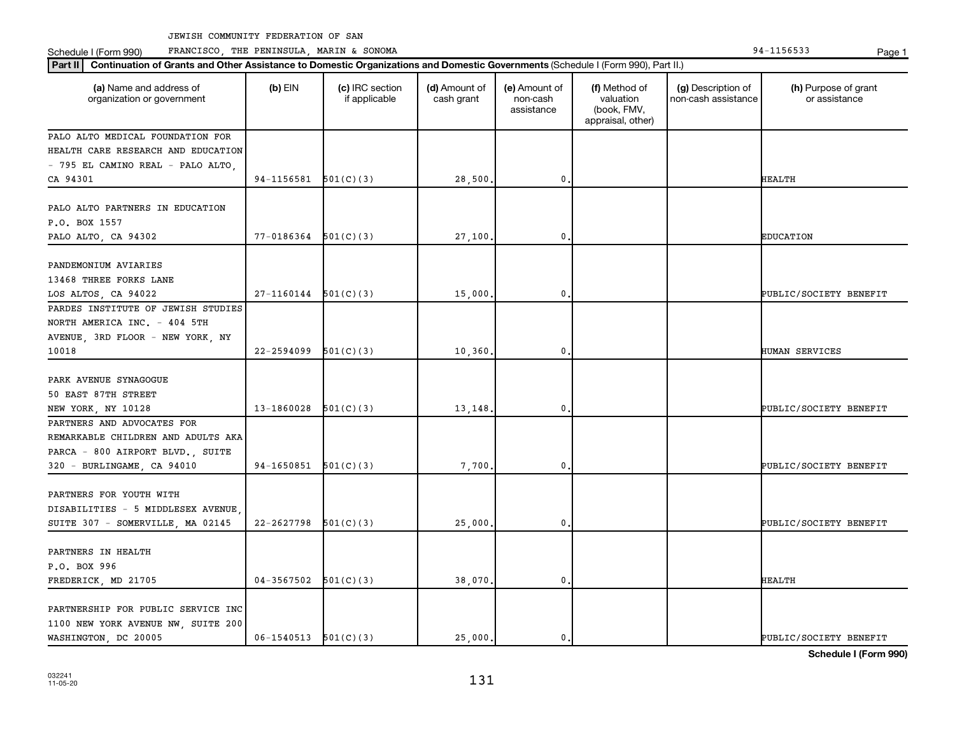Schedule I (Form 990) PRANCISCO, THE PENINSULA, MARIN & SONOMA Page 1 (Form 194-1156533 Page 1

| Part II   Continuation of Grants and Other Assistance to Domestic Organizations and Domestic Governments (Schedule I (Form 990), Part II.) |                          |                                  |                             |                                         |                                                                |                                           |                                       |
|--------------------------------------------------------------------------------------------------------------------------------------------|--------------------------|----------------------------------|-----------------------------|-----------------------------------------|----------------------------------------------------------------|-------------------------------------------|---------------------------------------|
| (a) Name and address of<br>organization or government                                                                                      | $(b)$ EIN                | (c) IRC section<br>if applicable | (d) Amount of<br>cash grant | (e) Amount of<br>non-cash<br>assistance | (f) Method of<br>valuation<br>(book, FMV,<br>appraisal, other) | (g) Description of<br>non-cash assistance | (h) Purpose of grant<br>or assistance |
| PALO ALTO MEDICAL FOUNDATION FOR                                                                                                           |                          |                                  |                             |                                         |                                                                |                                           |                                       |
| HEALTH CARE RESEARCH AND EDUCATION                                                                                                         |                          |                                  |                             |                                         |                                                                |                                           |                                       |
| - 795 EL CAMINO REAL - PALO ALTO,                                                                                                          |                          |                                  |                             |                                         |                                                                |                                           |                                       |
| CA 94301                                                                                                                                   | $94-1156581$ $501(C)(3)$ |                                  | 28,500.                     | $\mathbf 0$ .                           |                                                                |                                           | <b>HEALTH</b>                         |
| PALO ALTO PARTNERS IN EDUCATION<br>P.O. BOX 1557<br>PALO ALTO, CA 94302                                                                    | 77-0186364               | 501(C)(3)                        | 27,100.                     | $\mathbf 0$                             |                                                                |                                           | <b>EDUCATION</b>                      |
|                                                                                                                                            |                          |                                  |                             |                                         |                                                                |                                           |                                       |
| PANDEMONIUM AVIARIES<br>13468 THREE FORKS LANE                                                                                             |                          |                                  |                             |                                         |                                                                |                                           |                                       |
| LOS ALTOS, CA 94022                                                                                                                        | 27-1160144               | 501(C)(3)                        | 15,000.                     | $\mathbf{0}$                            |                                                                |                                           | PUBLIC/SOCIETY BENEFIT                |
| PARDES INSTITUTE OF JEWISH STUDIES<br>NORTH AMERICA INC. - 404 5TH<br>AVENUE, 3RD FLOOR - NEW YORK, NY<br>10018                            | 22-2594099               | 501(C)(3)                        | 10,360.                     | $\mathbf 0$ .                           |                                                                |                                           | HUMAN SERVICES                        |
|                                                                                                                                            |                          |                                  |                             |                                         |                                                                |                                           |                                       |
| PARK AVENUE SYNAGOGUE<br>50 EAST 87TH STREET<br>NEW YORK, NY 10128                                                                         | 13-1860028               | 501(C)(3)                        | 13,148.                     | 0                                       |                                                                |                                           | PUBLIC/SOCIETY BENEFIT                |
| PARTNERS AND ADVOCATES FOR                                                                                                                 |                          |                                  |                             |                                         |                                                                |                                           |                                       |
| REMARKABLE CHILDREN AND ADULTS AKA<br>PARCA - 800 AIRPORT BLVD., SUITE<br>320 - BURLINGAME, CA 94010                                       | 94-1650851               | 501(C)(3)                        | 7,700.                      | $\mathbf 0$ .                           |                                                                |                                           | PUBLIC/SOCIETY BENEFIT                |
|                                                                                                                                            |                          |                                  |                             |                                         |                                                                |                                           |                                       |
| PARTNERS FOR YOUTH WITH<br>DISABILITIES - 5 MIDDLESEX AVENUE<br>SUITE 307 - SOMERVILLE, MA 02145                                           | 22-2627798               | 501(C)(3)                        | 25,000,                     | $\mathbf 0$                             |                                                                |                                           | PUBLIC/SOCIETY BENEFIT                |
|                                                                                                                                            |                          |                                  |                             |                                         |                                                                |                                           |                                       |
| PARTNERS IN HEALTH<br>P.O. BOX 996                                                                                                         |                          |                                  |                             |                                         |                                                                |                                           |                                       |
| FREDERICK, MD 21705                                                                                                                        | 04-3567502               | 501(C)(3)                        | 38,070.                     | $\mathbf{0}$                            |                                                                |                                           | <b>HEALTH</b>                         |
| PARTNERSHIP FOR PUBLIC SERVICE INC<br>1100 NEW YORK AVENUE NW, SUITE 200<br>WASHINGTON, DC 20005                                           | $06-1540513$ $501(C)(3)$ |                                  | 25,000.                     | $\mathbf 0$ .                           |                                                                |                                           | PUBLIC/SOCIETY BENEFIT                |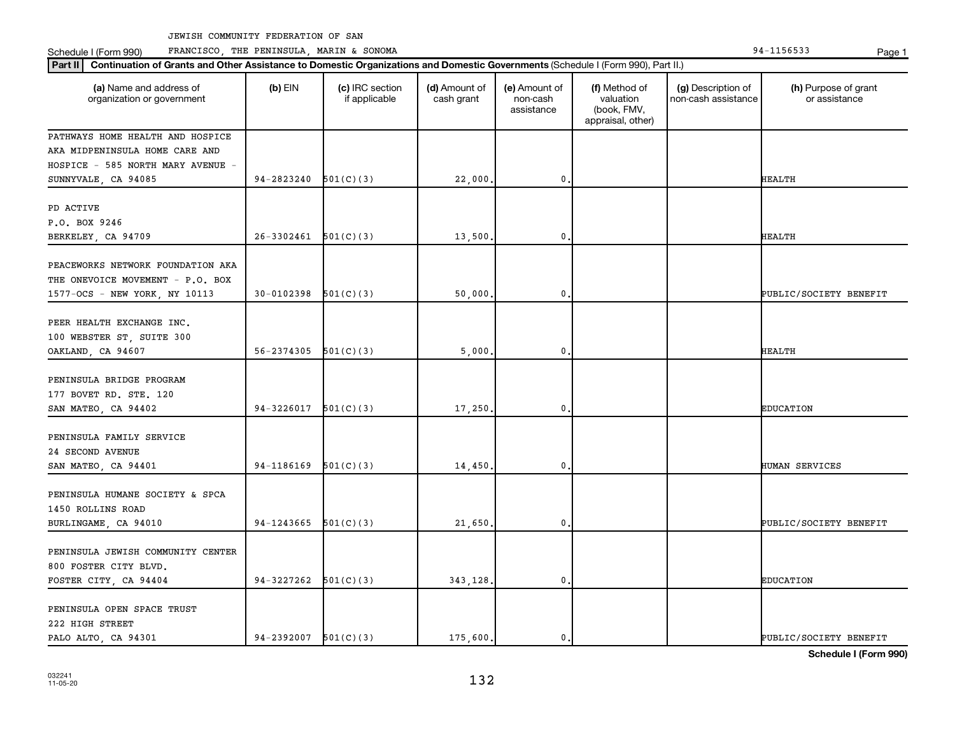Schedule I (Form 990) PRANCISCO, THE PENINSULA, MARIN & SONOMA Page 1 (Form 194-1156533 Page 1

| (a) Name and address of<br>organization or government | $(b)$ EIN                  | (c) IRC section<br>if applicable | (d) Amount of<br>cash grant | (e) Amount of<br>non-cash<br>assistance | (f) Method of<br>valuation<br>(book, FMV,<br>appraisal, other) | (g) Description of<br>non-cash assistance | (h) Purpose of grant<br>or assistance |
|-------------------------------------------------------|----------------------------|----------------------------------|-----------------------------|-----------------------------------------|----------------------------------------------------------------|-------------------------------------------|---------------------------------------|
| PATHWAYS HOME HEALTH AND HOSPICE                      |                            |                                  |                             |                                         |                                                                |                                           |                                       |
| AKA MIDPENINSULA HOME CARE AND                        |                            |                                  |                             |                                         |                                                                |                                           |                                       |
| HOSPICE - 585 NORTH MARY AVENUE -                     |                            |                                  |                             |                                         |                                                                |                                           |                                       |
| SUNNYVALE, CA 94085                                   | 94-2823240                 | 501(C)(3)                        | 22,000                      | $\mathbf 0$                             |                                                                |                                           | HEALTH                                |
| PD ACTIVE                                             |                            |                                  |                             |                                         |                                                                |                                           |                                       |
| P.O. BOX 9246                                         |                            |                                  |                             |                                         |                                                                |                                           |                                       |
| BERKELEY, CA 94709                                    | 26-3302461                 | 501(C)(3)                        | 13,500.                     | 0                                       |                                                                |                                           | <b>HEALTH</b>                         |
|                                                       |                            |                                  |                             |                                         |                                                                |                                           |                                       |
| PEACEWORKS NETWORK FOUNDATION AKA                     |                            |                                  |                             |                                         |                                                                |                                           |                                       |
| THE ONEVOICE MOVEMENT - P.O. BOX                      |                            |                                  |                             |                                         |                                                                |                                           |                                       |
| 1577-OCS - NEW YORK, NY 10113                         | 30-0102398                 | 501(C)(3)                        | 50,000                      | $\mathbf{0}$                            |                                                                |                                           | PUBLIC/SOCIETY BENEFIT                |
|                                                       |                            |                                  |                             |                                         |                                                                |                                           |                                       |
| PEER HEALTH EXCHANGE INC.                             |                            |                                  |                             |                                         |                                                                |                                           |                                       |
| 100 WEBSTER ST, SUITE 300                             |                            |                                  |                             |                                         |                                                                |                                           |                                       |
| OAKLAND, CA 94607                                     | $56 - 2374305$ $501(C)(3)$ |                                  | 5,000                       | $\mathbf 0$                             |                                                                |                                           | HEALTH                                |
| PENINSULA BRIDGE PROGRAM                              |                            |                                  |                             |                                         |                                                                |                                           |                                       |
| 177 BOVET RD. STE. 120                                |                            |                                  |                             |                                         |                                                                |                                           |                                       |
| SAN MATEO, CA 94402                                   | 94-3226017                 | 501(C)(3)                        | 17,250                      | $\mathbf{0}$                            |                                                                |                                           | <b>EDUCATION</b>                      |
|                                                       |                            |                                  |                             |                                         |                                                                |                                           |                                       |
| PENINSULA FAMILY SERVICE                              |                            |                                  |                             |                                         |                                                                |                                           |                                       |
| 24 SECOND AVENUE                                      |                            |                                  |                             |                                         |                                                                |                                           |                                       |
| SAN MATEO, CA 94401                                   | 94-1186169                 | 501(C)(3)                        | 14,450.                     | 0                                       |                                                                |                                           | HUMAN SERVICES                        |
|                                                       |                            |                                  |                             |                                         |                                                                |                                           |                                       |
| PENINSULA HUMANE SOCIETY & SPCA                       |                            |                                  |                             |                                         |                                                                |                                           |                                       |
| 1450 ROLLINS ROAD                                     |                            |                                  |                             |                                         |                                                                |                                           |                                       |
| BURLINGAME, CA 94010                                  | $94-1243665$ $501(C)(3)$   |                                  | 21,650                      | 0.                                      |                                                                |                                           | PUBLIC/SOCIETY BENEFIT                |
|                                                       |                            |                                  |                             |                                         |                                                                |                                           |                                       |
| PENINSULA JEWISH COMMUNITY CENTER                     |                            |                                  |                             |                                         |                                                                |                                           |                                       |
| 800 FOSTER CITY BLVD.                                 | 94-3227262                 | 501(C)(3)                        |                             | 0.                                      |                                                                |                                           | <b>EDUCATION</b>                      |
| FOSTER CITY, CA 94404                                 |                            |                                  | 343,128.                    |                                         |                                                                |                                           |                                       |
| PENINSULA OPEN SPACE TRUST                            |                            |                                  |                             |                                         |                                                                |                                           |                                       |
| 222 HIGH STREET                                       |                            |                                  |                             |                                         |                                                                |                                           |                                       |
| PALO ALTO, CA 94301                                   | $94-2392007$ $501(C)(3)$   |                                  | 175,600.                    | $\mathbf{0}$ .                          |                                                                |                                           | PUBLIC/SOCIETY BENEFIT                |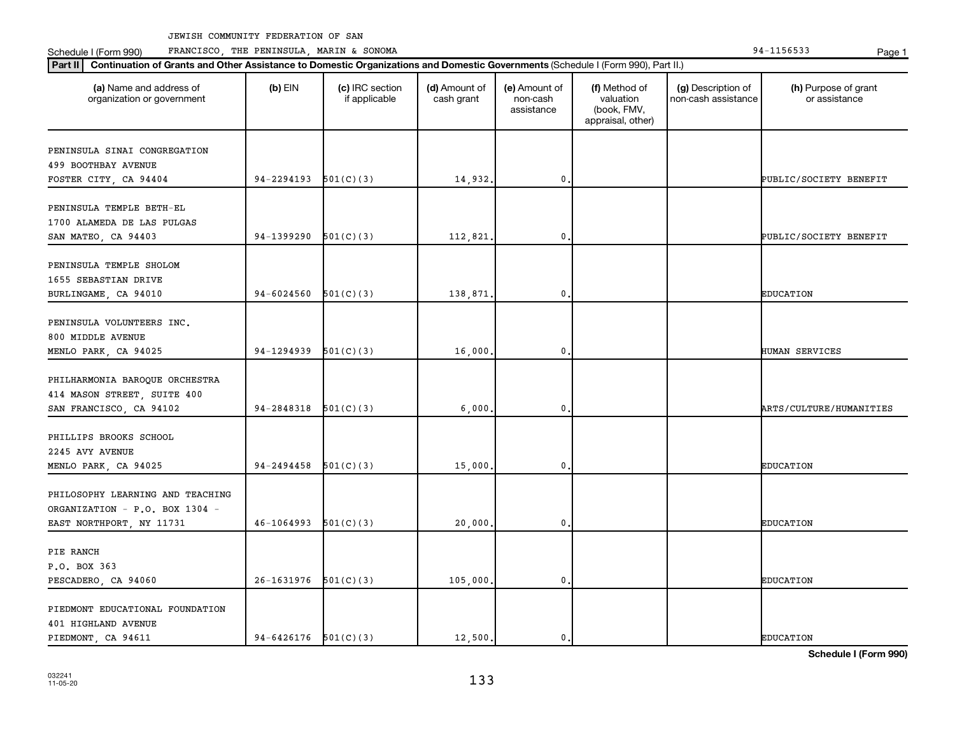Schedule I (Form 990) PRANCISCO, THE PENINSULA, MARIN & SONOMA Page 1 (Form 194-1156533 Page 1

| (a) Name and address of<br>organization or government | $(b)$ EIN                | (c) IRC section<br>if applicable | (d) Amount of<br>cash grant | (e) Amount of<br>non-cash<br>assistance | (f) Method of<br>valuation<br>(book, FMV,<br>appraisal, other) | (g) Description of<br>non-cash assistance | (h) Purpose of grant<br>or assistance |
|-------------------------------------------------------|--------------------------|----------------------------------|-----------------------------|-----------------------------------------|----------------------------------------------------------------|-------------------------------------------|---------------------------------------|
| PENINSULA SINAI CONGREGATION                          |                          |                                  |                             |                                         |                                                                |                                           |                                       |
| 499 BOOTHBAY AVENUE                                   |                          |                                  |                             |                                         |                                                                |                                           |                                       |
| FOSTER CITY, CA 94404                                 | $94-2294193$ $501(C)(3)$ |                                  | 14,932.                     | 0                                       |                                                                |                                           | PUBLIC/SOCIETY BENEFIT                |
| PENINSULA TEMPLE BETH-EL                              |                          |                                  |                             |                                         |                                                                |                                           |                                       |
| 1700 ALAMEDA DE LAS PULGAS                            |                          |                                  |                             |                                         |                                                                |                                           |                                       |
| SAN MATEO, CA 94403                                   | 94-1399290               | 501(C)(3)                        | 112,821.                    | 0                                       |                                                                |                                           | PUBLIC/SOCIETY BENEFIT                |
| PENINSULA TEMPLE SHOLOM                               |                          |                                  |                             |                                         |                                                                |                                           |                                       |
| 1655 SEBASTIAN DRIVE                                  |                          |                                  |                             |                                         |                                                                |                                           |                                       |
| BURLINGAME, CA 94010                                  | 94-6024560               | 501(C)(3)                        | 138,871.                    | 0                                       |                                                                |                                           | <b>EDUCATION</b>                      |
| PENINSULA VOLUNTEERS INC.                             |                          |                                  |                             |                                         |                                                                |                                           |                                       |
| 800 MIDDLE AVENUE                                     |                          |                                  |                             |                                         |                                                                |                                           |                                       |
| MENLO PARK, CA 94025                                  | $94-1294939$ $501(C)(3)$ |                                  | 16,000.                     | $\mathbf{0}$                            |                                                                |                                           | HUMAN SERVICES                        |
| PHILHARMONIA BAROQUE ORCHESTRA                        |                          |                                  |                             |                                         |                                                                |                                           |                                       |
| 414 MASON STREET, SUITE 400                           |                          |                                  |                             |                                         |                                                                |                                           |                                       |
| SAN FRANCISCO, CA 94102                               | $94-2848318$ $501(C)(3)$ |                                  | 6,000                       | 0                                       |                                                                |                                           | ARTS/CULTURE/HUMANITIES               |
| PHILLIPS BROOKS SCHOOL                                |                          |                                  |                             |                                         |                                                                |                                           |                                       |
| 2245 AVY AVENUE                                       |                          |                                  |                             |                                         |                                                                |                                           |                                       |
| MENLO PARK, CA 94025                                  | 94-2494458               | 501(C)(3)                        | 15,000                      | 0                                       |                                                                |                                           | <b>EDUCATION</b>                      |
| PHILOSOPHY LEARNING AND TEACHING                      |                          |                                  |                             |                                         |                                                                |                                           |                                       |
| ORGANIZATION - P.O. BOX 1304 -                        |                          |                                  |                             |                                         |                                                                |                                           |                                       |
| EAST NORTHPORT, NY 11731                              | $46-1064993$ $501(C)(3)$ |                                  | 20,000.                     | 0                                       |                                                                |                                           | <b>EDUCATION</b>                      |
|                                                       |                          |                                  |                             |                                         |                                                                |                                           |                                       |
| PIE RANCH                                             |                          |                                  |                             |                                         |                                                                |                                           |                                       |
| P.O. BOX 363                                          | $26-1631976$ 501(C)(3)   |                                  |                             | $\mathbf{0}$                            |                                                                |                                           | <b>EDUCATION</b>                      |
| PESCADERO, CA 94060                                   |                          |                                  | 105,000.                    |                                         |                                                                |                                           |                                       |
| PIEDMONT EDUCATIONAL FOUNDATION                       |                          |                                  |                             |                                         |                                                                |                                           |                                       |
| 401 HIGHLAND AVENUE                                   |                          |                                  |                             |                                         |                                                                |                                           |                                       |
| PIEDMONT, CA 94611                                    | $94-6426176$ $501(C)(3)$ |                                  | 12,500.                     | 0                                       |                                                                |                                           | <b>EDUCATION</b>                      |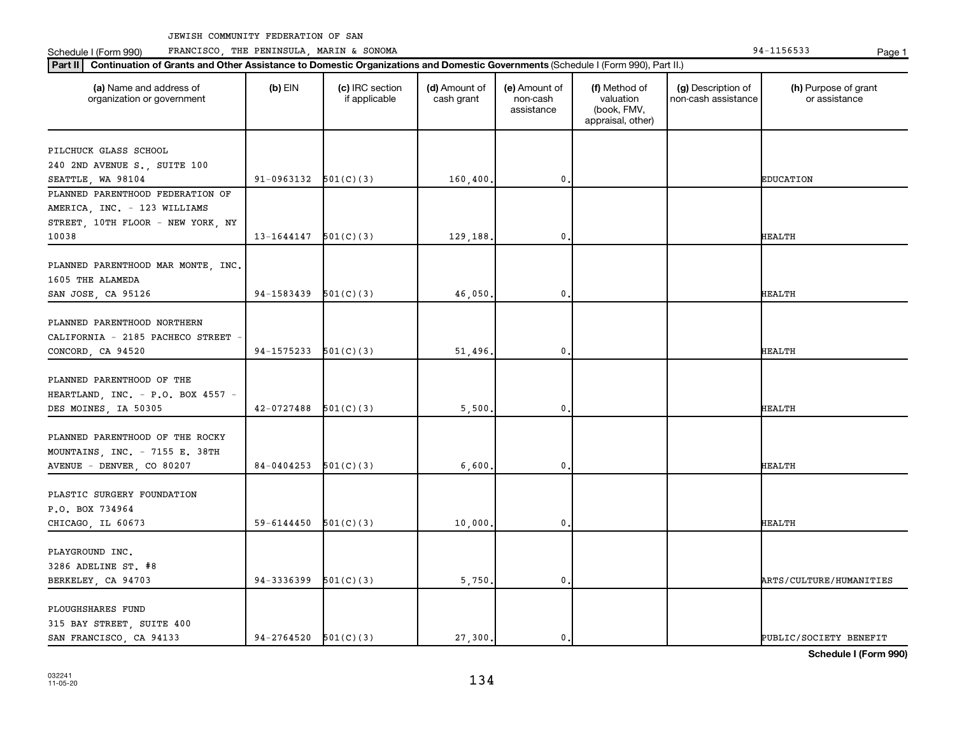**Part II Continuation of Grants and Other Assistance to Domestic Organizations and Domestic Governments**  (Schedule I (Form 990), Part II.)

 $\mathbf{I}$ 

 $\mathbf{I}$ 

Schedule I (Form 990) PRANCISCO, THE PENINSULA, MARIN & SONOMA Page 1 (Form 194-1156533 Page 1

 $\mathbf{I}$ 

032241 11-05-20

| (a) Name and address of<br>organization or government                                          | $(b)$ EIN  | (c) IRC section<br>if applicable | (d) Amount of<br>cash grant | (e) Amount of<br>non-cash<br>assistance | (f) Method of<br>valuation<br>(book, FMV,<br>appraisal, other) | (g) Description of<br>non-cash assistance | (h) Purpose of grant<br>or assistance |
|------------------------------------------------------------------------------------------------|------------|----------------------------------|-----------------------------|-----------------------------------------|----------------------------------------------------------------|-------------------------------------------|---------------------------------------|
| PILCHUCK GLASS SCHOOL                                                                          |            |                                  |                             |                                         |                                                                |                                           |                                       |
| 240 2ND AVENUE S., SUITE 100                                                                   |            |                                  |                             |                                         |                                                                |                                           |                                       |
| SEATTLE, WA 98104                                                                              | 91-0963132 | 501(C)(3)                        | 160,400                     | 0.                                      |                                                                |                                           | <b>EDUCATION</b>                      |
| PLANNED PARENTHOOD FEDERATION OF                                                               |            |                                  |                             |                                         |                                                                |                                           |                                       |
| AMERICA, INC. - 123 WILLIAMS                                                                   |            |                                  |                             |                                         |                                                                |                                           |                                       |
| STREET, 10TH FLOOR - NEW YORK, NY                                                              |            |                                  |                             |                                         |                                                                |                                           |                                       |
| 10038                                                                                          | 13-1644147 | 501(C)(3)                        | 129,188                     | 0.                                      |                                                                |                                           | HEALTH                                |
|                                                                                                |            |                                  |                             |                                         |                                                                |                                           |                                       |
| PLANNED PARENTHOOD MAR MONTE, INC.                                                             |            |                                  |                             |                                         |                                                                |                                           |                                       |
| 1605 THE ALAMEDA                                                                               |            |                                  |                             |                                         |                                                                |                                           |                                       |
| SAN JOSE, CA 95126                                                                             | 94-1583439 | 501(C)(3)                        | 46,050                      | 0.                                      |                                                                |                                           | <b>HEALTH</b>                         |
| PLANNED PARENTHOOD NORTHERN<br>CALIFORNIA - 2185 PACHECO STREET                                |            |                                  |                             |                                         |                                                                |                                           |                                       |
| CONCORD, CA 94520                                                                              | 94-1575233 | 501(C)(3)                        | 51,496                      | 0.                                      |                                                                |                                           | HEALTH                                |
| PLANNED PARENTHOOD OF THE<br>HEARTLAND, INC. - P.O. BOX 4557 -<br>DES MOINES, IA 50305         | 42-0727488 | 501(C)(3)                        | 5,500                       | 0                                       |                                                                |                                           | <b>HEALTH</b>                         |
|                                                                                                |            |                                  |                             |                                         |                                                                |                                           |                                       |
| PLANNED PARENTHOOD OF THE ROCKY<br>MOUNTAINS, INC. - 7155 E. 38TH<br>AVENUE - DENVER, CO 80207 | 84-0404253 | 501(C)(3)                        | 6,600                       | $\mathbf 0$ .                           |                                                                |                                           | <b>HEALTH</b>                         |
|                                                                                                |            |                                  |                             |                                         |                                                                |                                           |                                       |
| PLASTIC SURGERY FOUNDATION<br>P.O. BOX 734964<br>CHICAGO, IL 60673                             | 59-6144450 | 501(C)(3)                        | 10,000                      | $\mathbf{0}$ .                          |                                                                |                                           | <b>HEALTH</b>                         |
|                                                                                                |            |                                  |                             |                                         |                                                                |                                           |                                       |
| PLAYGROUND INC.<br>3286 ADELINE ST. #8                                                         |            |                                  |                             |                                         |                                                                |                                           |                                       |
| BERKELEY, CA 94703                                                                             | 94-3336399 | 501(C)(3)                        | 5,750                       | $\mathbf{0}$                            |                                                                |                                           | ARTS/CULTURE/HUMANITIES               |
| PLOUGHSHARES FUND<br>315 BAY STREET, SUITE 400                                                 |            |                                  |                             |                                         |                                                                |                                           |                                       |

**Schedule I (Form 990)**

Τ

134

SAN FRANCISCO, CA 94133  $94-2764520 \big| 501(C)(3)$  27,300. 0. 0. PUBLIC/SOCIETY BENEFIT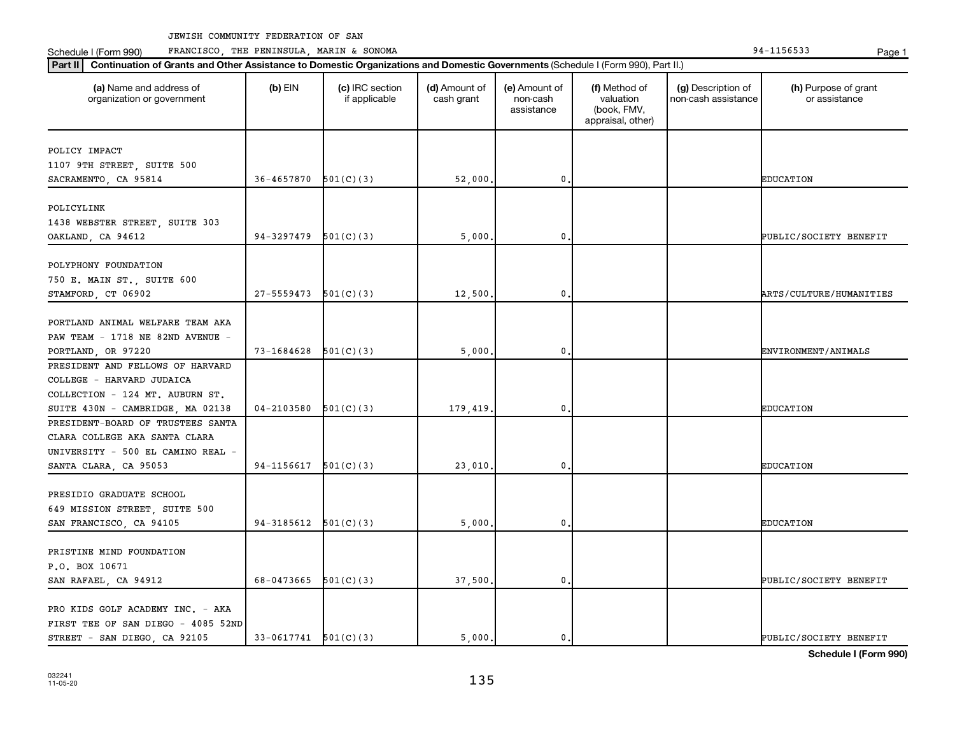Schedule I (Form 990) PRANCISCO, THE PENINSULA, MARIN & SONOMA Page 1 (Form 194-1156533 Page 1

| (a) Name and address of<br>organization or government | $(b)$ EIN                | (c) IRC section<br>if applicable | (d) Amount of<br>cash grant | (e) Amount of<br>non-cash<br>assistance | (f) Method of<br>valuation<br>(book, FMV,<br>appraisal, other) | (g) Description of<br>non-cash assistance | (h) Purpose of grant<br>or assistance |
|-------------------------------------------------------|--------------------------|----------------------------------|-----------------------------|-----------------------------------------|----------------------------------------------------------------|-------------------------------------------|---------------------------------------|
| POLICY IMPACT                                         |                          |                                  |                             |                                         |                                                                |                                           |                                       |
| 1107 9TH STREET, SUITE 500                            |                          |                                  |                             |                                         |                                                                |                                           |                                       |
| SACRAMENTO, CA 95814                                  | 36-4657870               | 501(C)(3)                        | 52,000                      | 0,                                      |                                                                |                                           | <b>EDUCATION</b>                      |
|                                                       |                          |                                  |                             |                                         |                                                                |                                           |                                       |
| POLICYLINK                                            |                          |                                  |                             |                                         |                                                                |                                           |                                       |
| 1438 WEBSTER STREET, SUITE 303                        |                          |                                  |                             |                                         |                                                                |                                           |                                       |
| OAKLAND, CA 94612                                     | 94-3297479               | 501(C)(3)                        | 5,000                       | 0                                       |                                                                |                                           | PUBLIC/SOCIETY BENEFIT                |
|                                                       |                          |                                  |                             |                                         |                                                                |                                           |                                       |
| POLYPHONY FOUNDATION                                  |                          |                                  |                             |                                         |                                                                |                                           |                                       |
| 750 E. MAIN ST., SUITE 600                            |                          |                                  |                             |                                         |                                                                |                                           |                                       |
| STAMFORD, CT 06902                                    | $27-5559473$ $501(C)(3)$ |                                  | 12,500                      | 0.                                      |                                                                |                                           | <b>ARTS/CULTURE/HUMANITIES</b>        |
|                                                       |                          |                                  |                             |                                         |                                                                |                                           |                                       |
| PORTLAND ANIMAL WELFARE TEAM AKA                      |                          |                                  |                             |                                         |                                                                |                                           |                                       |
| PAW TEAM - 1718 NE 82ND AVENUE -                      |                          |                                  |                             |                                         |                                                                |                                           |                                       |
| PORTLAND, OR 97220                                    | 73-1684628               | 501(C)(3)                        | 5,000                       | $\mathbf 0$                             |                                                                |                                           | ENVIRONMENT/ANIMALS                   |
| PRESIDENT AND FELLOWS OF HARVARD                      |                          |                                  |                             |                                         |                                                                |                                           |                                       |
| COLLEGE - HARVARD JUDAICA                             |                          |                                  |                             |                                         |                                                                |                                           |                                       |
| COLLECTION - 124 MT. AUBURN ST.                       |                          |                                  |                             |                                         |                                                                |                                           |                                       |
| SUITE 430N - CAMBRIDGE, MA 02138                      | 04-2103580               | 501(C)(3)                        | 179,419                     | $\mathbf 0$                             |                                                                |                                           | <b>EDUCATION</b>                      |
| PRESIDENT-BOARD OF TRUSTEES SANTA                     |                          |                                  |                             |                                         |                                                                |                                           |                                       |
| CLARA COLLEGE AKA SANTA CLARA                         |                          |                                  |                             |                                         |                                                                |                                           |                                       |
| UNIVERSITY - 500 EL CAMINO REAL -                     |                          |                                  |                             |                                         |                                                                |                                           |                                       |
| SANTA CLARA, CA 95053                                 | 94-1156617               | 501(C)(3)                        | 23,010                      | $\mathbf 0$                             |                                                                |                                           | <b>EDUCATION</b>                      |
|                                                       |                          |                                  |                             |                                         |                                                                |                                           |                                       |
| PRESIDIO GRADUATE SCHOOL                              |                          |                                  |                             |                                         |                                                                |                                           |                                       |
| 649 MISSION STREET, SUITE 500                         |                          |                                  |                             |                                         |                                                                |                                           |                                       |
| SAN FRANCISCO, CA 94105                               | $94-3185612$ $501(C)(3)$ |                                  | 5,000                       | 0.                                      |                                                                |                                           | <b>EDUCATION</b>                      |
|                                                       |                          |                                  |                             |                                         |                                                                |                                           |                                       |
| PRISTINE MIND FOUNDATION                              |                          |                                  |                             |                                         |                                                                |                                           |                                       |
| P.O. BOX 10671                                        |                          |                                  |                             |                                         |                                                                |                                           |                                       |
| SAN RAFAEL, CA 94912                                  | 68-0473665               | 501(C)(3)                        | 37,500.                     | $\mathbf 0$                             |                                                                |                                           | PUBLIC/SOCIETY BENEFIT                |
|                                                       |                          |                                  |                             |                                         |                                                                |                                           |                                       |
| PRO KIDS GOLF ACADEMY INC. - AKA                      |                          |                                  |                             |                                         |                                                                |                                           |                                       |
| FIRST TEE OF SAN DIEGO - 4085 52ND                    |                          |                                  |                             |                                         |                                                                |                                           |                                       |
| STREET - SAN DIEGO, CA 92105                          | $33-0617741$ $501(C)(3)$ |                                  | 5.000.                      | $\mathbf{0}$ .                          |                                                                |                                           | PUBLIC/SOCIETY BENEFIT                |
|                                                       |                          |                                  |                             |                                         |                                                                |                                           |                                       |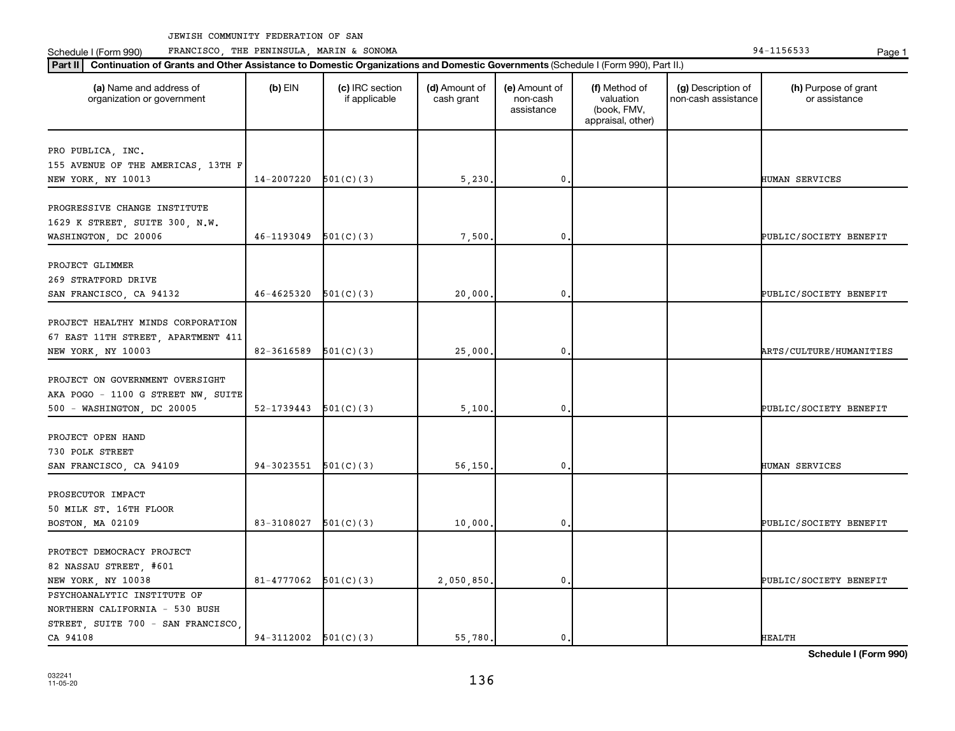**Part II Continuation of Grants and Other Assistance to Domestic Organizations and Domestic Governments**  (Schedule I (Form 990), Part II.)

Schedule I (Form 990) PRANCISCO, THE PENINSULA, MARIN & SONOMA Page 1 (Form 194-1156533 Page 1

| (a) Name and address of<br>organization or government                                                           | $(b)$ EIN                | (c) IRC section<br>if applicable | (d) Amount of<br>cash grant | (e) Amount of<br>non-cash<br>assistance | (f) Method of<br>valuation<br>(book, FMV,<br>appraisal, other) | (g) Description of<br>non-cash assistance | (h) Purpose of grant<br>or assistance |
|-----------------------------------------------------------------------------------------------------------------|--------------------------|----------------------------------|-----------------------------|-----------------------------------------|----------------------------------------------------------------|-------------------------------------------|---------------------------------------|
| PRO PUBLICA, INC.<br>155 AVENUE OF THE AMERICAS, 13TH F<br>NEW YORK, NY 10013                                   | 14-2007220               | 501(C)(3)                        | 5,230.                      | $\mathbf 0$                             |                                                                |                                           | HUMAN SERVICES                        |
| PROGRESSIVE CHANGE INSTITUTE<br>1629 K STREET, SUITE 300, N.W.<br>WASHINGTON, DC 20006                          | 46-1193049               | 501(C)(3)                        | 7,500.                      | $\mathbf{0}$                            |                                                                |                                           | PUBLIC/SOCIETY BENEFIT                |
| PROJECT GLIMMER<br>269 STRATFORD DRIVE<br>SAN FRANCISCO, CA 94132                                               | 46-4625320               | 501(C)(3)                        | 20,000.                     | 0                                       |                                                                |                                           | PUBLIC/SOCIETY BENEFIT                |
| PROJECT HEALTHY MINDS CORPORATION<br>67 EAST 11TH STREET, APARTMENT 411<br>NEW YORK, NY 10003                   | 82-3616589               | 501(C)(3)                        | 25,000                      | 0                                       |                                                                |                                           | ARTS/CULTURE/HUMANITIES               |
| PROJECT ON GOVERNMENT OVERSIGHT<br>AKA POGO - 1100 G STREET NW, SUITE<br>500 - WASHINGTON, DC 20005             | 52-1739443               | 501(C)(3)                        | 5,100                       | $\mathbf 0$                             |                                                                |                                           | PUBLIC/SOCIETY BENEFIT                |
| PROJECT OPEN HAND<br>730 POLK STREET<br>SAN FRANCISCO, CA 94109                                                 | 94-3023551               | 501(C)(3)                        | 56,150                      | $\mathbf{0}$                            |                                                                |                                           | <b>HUMAN SERVICES</b>                 |
| PROSECUTOR IMPACT<br>50 MILK ST. 16TH FLOOR<br>BOSTON, MA 02109                                                 | 83-3108027               | 501(C)(3)                        | 10,000                      | 0                                       |                                                                |                                           | PUBLIC/SOCIETY BENEFIT                |
| PROTECT DEMOCRACY PROJECT<br>82 NASSAU STREET, #601<br>NEW YORK, NY 10038                                       | 81-4777062               | 501(C)(3)                        | 2,050,850.                  | $\mathbf{0}$                            |                                                                |                                           | PUBLIC/SOCIETY BENEFIT                |
| PSYCHOANALYTIC INSTITUTE OF<br>NORTHERN CALIFORNIA - 530 BUSH<br>STREET, SUITE 700 - SAN FRANCISCO,<br>CA 94108 | $94-3112002$ $501(C)(3)$ |                                  | 55,780.                     | $\mathfrak o$ .                         |                                                                |                                           | <b>HEALTH</b>                         |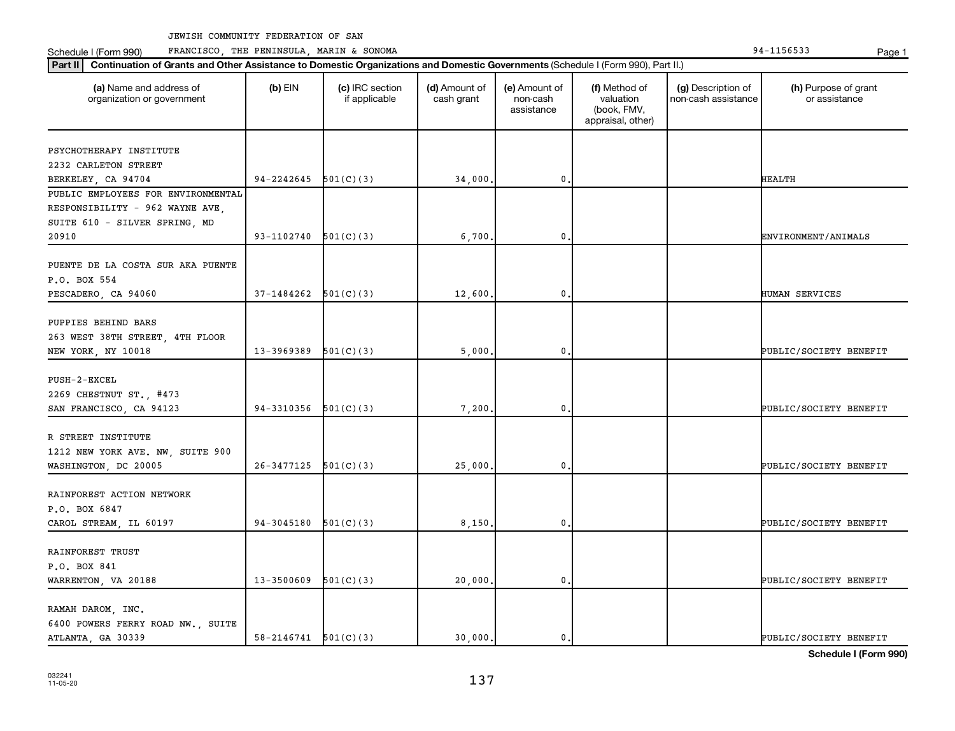Schedule I (Form 990) PRANCISCO, THE PENINSULA, MARIN & SONOMA Page 1 (Form 194-1156533 Page 1

| (a) Name and address of<br>organization or government | $(b)$ EIN                | (c) IRC section<br>if applicable | (d) Amount of<br>cash grant | (e) Amount of<br>non-cash<br>assistance | (f) Method of<br>valuation<br>(book, FMV,<br>appraisal, other) | (g) Description of<br>non-cash assistance | (h) Purpose of grant<br>or assistance |
|-------------------------------------------------------|--------------------------|----------------------------------|-----------------------------|-----------------------------------------|----------------------------------------------------------------|-------------------------------------------|---------------------------------------|
| PSYCHOTHERAPY INSTITUTE                               |                          |                                  |                             |                                         |                                                                |                                           |                                       |
| 2232 CARLETON STREET                                  |                          |                                  |                             |                                         |                                                                |                                           |                                       |
| BERKELEY, CA 94704                                    | 94-2242645               | 501(C)(3)                        | 34,000                      | 0                                       |                                                                |                                           | HEALTH                                |
| PUBLIC EMPLOYEES FOR ENVIRONMENTAL                    |                          |                                  |                             |                                         |                                                                |                                           |                                       |
| RESPONSIBILITY - 962 WAYNE AVE,                       |                          |                                  |                             |                                         |                                                                |                                           |                                       |
| SUITE 610 - SILVER SPRING, MD                         |                          |                                  |                             |                                         |                                                                |                                           |                                       |
| 20910                                                 | 93-1102740               | 501(C)(3)                        | 6,700                       | 0                                       |                                                                |                                           | ENVIRONMENT/ANIMALS                   |
|                                                       |                          |                                  |                             |                                         |                                                                |                                           |                                       |
| PUENTE DE LA COSTA SUR AKA PUENTE                     |                          |                                  |                             |                                         |                                                                |                                           |                                       |
| P.O. BOX 554                                          |                          |                                  |                             |                                         |                                                                |                                           |                                       |
| PESCADERO, CA 94060                                   | 37-1484262               | 501(C)(3)                        | 12,600                      | 0                                       |                                                                |                                           | HUMAN SERVICES                        |
| PUPPIES BEHIND BARS                                   |                          |                                  |                             |                                         |                                                                |                                           |                                       |
| 263 WEST 38TH STREET, 4TH FLOOR                       |                          |                                  |                             |                                         |                                                                |                                           |                                       |
| NEW YORK, NY 10018                                    | 13-3969389               | 501(C)(3)                        | 5,000                       | 0                                       |                                                                |                                           | PUBLIC/SOCIETY BENEFIT                |
|                                                       |                          |                                  |                             |                                         |                                                                |                                           |                                       |
| $PUSH-2-EXCEL$                                        |                          |                                  |                             |                                         |                                                                |                                           |                                       |
| 2269 CHESTNUT ST., #473                               |                          |                                  |                             |                                         |                                                                |                                           |                                       |
| SAN FRANCISCO, CA 94123                               | 94-3310356               | 501(C)(3)                        | 7,200                       | 0                                       |                                                                |                                           | PUBLIC/SOCIETY BENEFIT                |
|                                                       |                          |                                  |                             |                                         |                                                                |                                           |                                       |
| R STREET INSTITUTE                                    |                          |                                  |                             |                                         |                                                                |                                           |                                       |
| 1212 NEW YORK AVE. NW, SUITE 900                      |                          |                                  |                             |                                         |                                                                |                                           |                                       |
| WASHINGTON, DC 20005                                  | 26-3477125               | 501(C)(3)                        | 25,000                      | 0                                       |                                                                |                                           | PUBLIC/SOCIETY BENEFIT                |
|                                                       |                          |                                  |                             |                                         |                                                                |                                           |                                       |
| RAINFOREST ACTION NETWORK                             |                          |                                  |                             |                                         |                                                                |                                           |                                       |
| P.O. BOX 6847                                         |                          |                                  |                             |                                         |                                                                |                                           |                                       |
| CAROL STREAM, IL 60197                                | 94-3045180               | 501(C)(3)                        | 8,150                       | 0                                       |                                                                |                                           | PUBLIC/SOCIETY BENEFIT                |
|                                                       |                          |                                  |                             |                                         |                                                                |                                           |                                       |
| RAINFOREST TRUST                                      |                          |                                  |                             |                                         |                                                                |                                           |                                       |
| P.O. BOX 841                                          |                          |                                  |                             |                                         |                                                                |                                           |                                       |
| WARRENTON, VA 20188                                   | 13-3500609               | 501(C)(3)                        | 20,000                      | 0                                       |                                                                |                                           | PUBLIC/SOCIETY BENEFIT                |
| RAMAH DAROM, INC.                                     |                          |                                  |                             |                                         |                                                                |                                           |                                       |
| 6400 POWERS FERRY ROAD NW., SUITE                     |                          |                                  |                             |                                         |                                                                |                                           |                                       |
| ATLANTA, GA 30339                                     | $58-2146741$ $501(C)(3)$ |                                  | 30,000.                     | $\mathbf{0}$                            |                                                                |                                           | PUBLIC/SOCIETY BENEFIT                |
|                                                       |                          |                                  |                             |                                         |                                                                |                                           |                                       |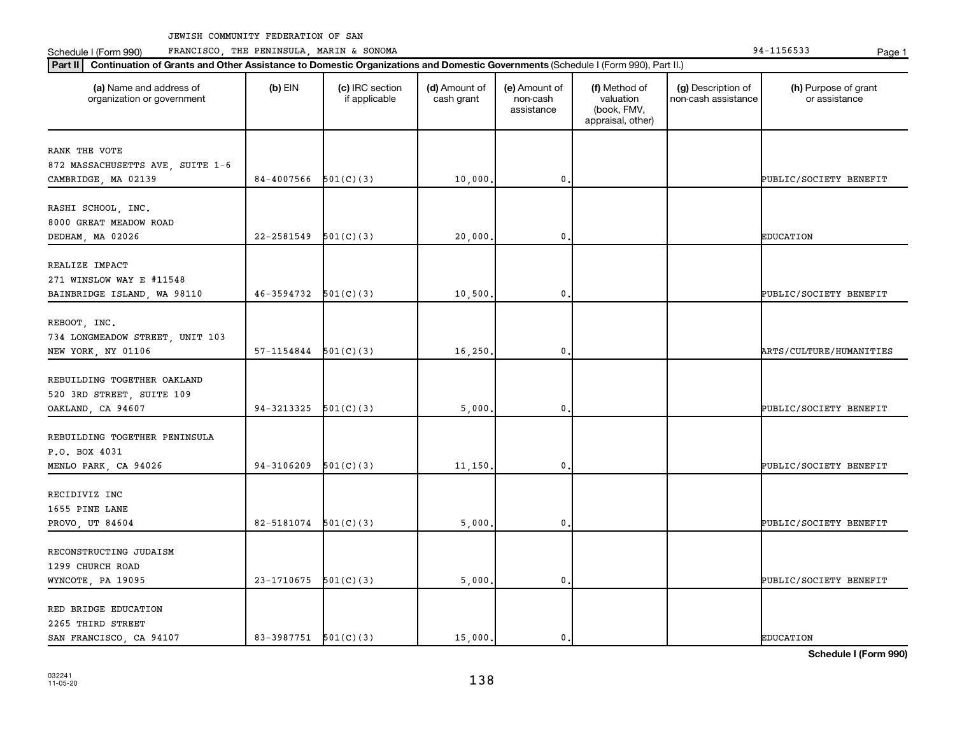Schedule I (Form 990) PRANCISCO, THE PENINSULA, MARIN & SONOMA Page 1 (Form 194-1156533 Page 1

| (a) Name and address of<br>organization or government | $(b)$ EIN                  | (c) IRC section<br>if applicable | (d) Amount of<br>cash grant | (e) Amount of<br>non-cash<br>assistance | (f) Method of<br>valuation<br>(book, FMV,<br>appraisal, other) | (g) Description of<br>non-cash assistance | (h) Purpose of grant<br>or assistance |
|-------------------------------------------------------|----------------------------|----------------------------------|-----------------------------|-----------------------------------------|----------------------------------------------------------------|-------------------------------------------|---------------------------------------|
| RANK THE VOTE                                         |                            |                                  |                             |                                         |                                                                |                                           |                                       |
| 872 MASSACHUSETTS AVE, SUITE 1-6                      |                            |                                  |                             |                                         |                                                                |                                           |                                       |
| CAMBRIDGE, MA 02139                                   | 84-4007566                 | 501(C)(3)                        | 10,000                      | 0                                       |                                                                |                                           | PUBLIC/SOCIETY BENEFIT                |
|                                                       |                            |                                  |                             |                                         |                                                                |                                           |                                       |
| RASHI SCHOOL, INC.                                    |                            |                                  |                             |                                         |                                                                |                                           |                                       |
| 8000 GREAT MEADOW ROAD                                |                            |                                  |                             |                                         |                                                                |                                           |                                       |
| DEDHAM, MA 02026                                      | 22-2581549                 | 501(C)(3)                        | 20,000                      | 0                                       |                                                                |                                           | <b>EDUCATION</b>                      |
| REALIZE IMPACT                                        |                            |                                  |                             |                                         |                                                                |                                           |                                       |
| 271 WINSLOW WAY E #11548                              |                            |                                  |                             |                                         |                                                                |                                           |                                       |
| BAINBRIDGE ISLAND, WA 98110                           | $46-3594732$ $501(C)(3)$   |                                  | 10,500                      | 0                                       |                                                                |                                           | PUBLIC/SOCIETY BENEFIT                |
|                                                       |                            |                                  |                             |                                         |                                                                |                                           |                                       |
| REBOOT, INC.                                          |                            |                                  |                             |                                         |                                                                |                                           |                                       |
| 734 LONGMEADOW STREET, UNIT 103                       |                            |                                  |                             |                                         |                                                                |                                           |                                       |
| NEW YORK, NY 01106                                    | $57-1154844$ $501(C)(3)$   |                                  | 16, 250.                    | 0                                       |                                                                |                                           | <b>ARTS/CULTURE/HUMANITIES</b>        |
|                                                       |                            |                                  |                             |                                         |                                                                |                                           |                                       |
| REBUILDING TOGETHER OAKLAND                           |                            |                                  |                             |                                         |                                                                |                                           |                                       |
| 520 3RD STREET, SUITE 109<br>OAKLAND, CA 94607        | 94-3213325                 | 501(C)(3)                        | 5,000                       | 0                                       |                                                                |                                           | PUBLIC/SOCIETY BENEFIT                |
|                                                       |                            |                                  |                             |                                         |                                                                |                                           |                                       |
| REBUILDING TOGETHER PENINSULA                         |                            |                                  |                             |                                         |                                                                |                                           |                                       |
| P.O. BOX 4031                                         |                            |                                  |                             |                                         |                                                                |                                           |                                       |
| MENLO PARK, CA 94026                                  | 94-3106209                 | 501(C)(3)                        | 11,150                      | 0                                       |                                                                |                                           | PUBLIC/SOCIETY BENEFIT                |
|                                                       |                            |                                  |                             |                                         |                                                                |                                           |                                       |
| RECIDIVIZ INC                                         |                            |                                  |                             |                                         |                                                                |                                           |                                       |
| 1655 PINE LANE                                        |                            |                                  |                             |                                         |                                                                |                                           |                                       |
| PROVO, UT 84604                                       | $82 - 5181074$ $501(C)(3)$ |                                  | 5,000                       | $\mathbf 0$                             |                                                                |                                           | PUBLIC/SOCIETY BENEFIT                |
| RECONSTRUCTING JUDAISM                                |                            |                                  |                             |                                         |                                                                |                                           |                                       |
| 1299 CHURCH ROAD                                      |                            |                                  |                             |                                         |                                                                |                                           |                                       |
| WYNCOTE, PA 19095                                     | $23-1710675$ 501(C)(3)     |                                  | 5,000,                      | $\mathbf 0$                             |                                                                |                                           | PUBLIC/SOCIETY BENEFIT                |
|                                                       |                            |                                  |                             |                                         |                                                                |                                           |                                       |
| RED BRIDGE EDUCATION                                  |                            |                                  |                             |                                         |                                                                |                                           |                                       |
| 2265 THIRD STREET                                     |                            |                                  |                             |                                         |                                                                |                                           |                                       |
| SAN FRANCISCO, CA 94107                               | 83-3987751 501(C)(3)       |                                  | 15,000.                     | 0.                                      |                                                                |                                           | <b>EDUCATION</b>                      |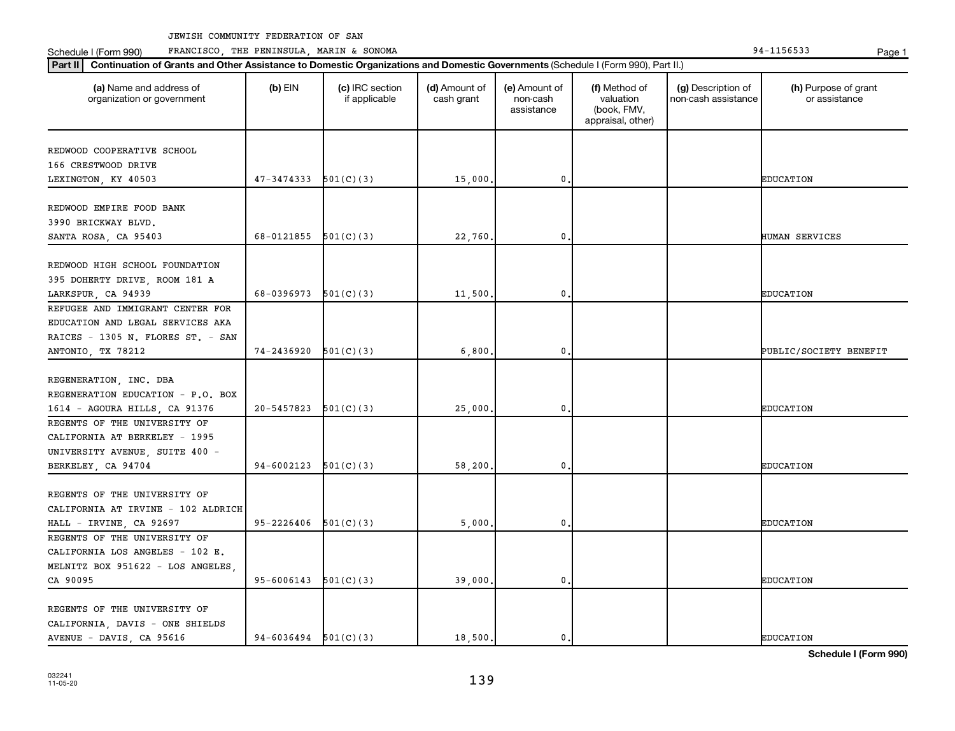Schedule I (Form 990) PRANCISCO, THE PENINSULA, MARIN & SONOMA Page 1 (Form 194-1156533 Page 1

|                                                             | 47-3474333               |           |         |                 |  |                        |
|-------------------------------------------------------------|--------------------------|-----------|---------|-----------------|--|------------------------|
| REDWOOD COOPERATIVE SCHOOL                                  |                          |           |         |                 |  |                        |
| 166 CRESTWOOD DRIVE                                         |                          |           |         |                 |  |                        |
| LEXINGTON, KY 40503                                         |                          | 501(C)(3) | 15,000  | $\mathfrak o$ . |  | <b>EDUCATION</b>       |
|                                                             |                          |           |         |                 |  |                        |
| REDWOOD EMPIRE FOOD BANK                                    |                          |           |         |                 |  |                        |
| 3990 BRICKWAY BLVD.                                         |                          |           |         |                 |  |                        |
| SANTA ROSA, CA 95403                                        | 68-0121855               | 501(C)(3) | 22,760  | 0               |  | HUMAN SERVICES         |
|                                                             |                          |           |         |                 |  |                        |
| REDWOOD HIGH SCHOOL FOUNDATION                              |                          |           |         |                 |  |                        |
| 395 DOHERTY DRIVE, ROOM 181 A                               |                          |           |         |                 |  |                        |
| LARKSPUR, CA 94939                                          | 68-0396973 $501(C)(3)$   |           | 11,500. | $\mathbf{0}$    |  | <b>EDUCATION</b>       |
| REFUGEE AND IMMIGRANT CENTER FOR                            |                          |           |         |                 |  |                        |
| EDUCATION AND LEGAL SERVICES AKA                            |                          |           |         |                 |  |                        |
| RAICES - 1305 N. FLORES ST. - SAN                           |                          |           |         |                 |  |                        |
| ANTONIO, TX 78212                                           | 74-2436920               | 501(C)(3) | 6,800.  | $\mathbf{0}$    |  | PUBLIC/SOCIETY BENEFIT |
|                                                             |                          |           |         |                 |  |                        |
| REGENERATION, INC. DBA                                      |                          |           |         |                 |  |                        |
| REGENERATION EDUCATION - P.O. BOX                           |                          |           |         |                 |  |                        |
| 1614 - AGOURA HILLS, CA 91376                               | 20-5457823               | 501(C)(3) | 25,000  | $\mathbf{0}$    |  | <b>EDUCATION</b>       |
| REGENTS OF THE UNIVERSITY OF                                |                          |           |         |                 |  |                        |
| CALIFORNIA AT BERKELEY - 1995                               |                          |           |         |                 |  |                        |
| UNIVERSITY AVENUE, SUITE 400 -                              |                          |           |         |                 |  |                        |
| BERKELEY, CA 94704                                          | 94-6002123               | 501(C)(3) | 58,200. | 0               |  | <b>EDUCATION</b>       |
|                                                             |                          |           |         |                 |  |                        |
| REGENTS OF THE UNIVERSITY OF                                |                          |           |         |                 |  |                        |
| CALIFORNIA AT IRVINE - 102 ALDRICH                          |                          |           |         |                 |  |                        |
| HALL - IRVINE, CA 92697                                     | 95-2226406               | 501(C)(3) | 5,000   | $\mathbf{0}$    |  | <b>EDUCATION</b>       |
| REGENTS OF THE UNIVERSITY OF                                |                          |           |         |                 |  |                        |
| CALIFORNIA LOS ANGELES - 102 E.                             |                          |           |         |                 |  |                        |
| MELNITZ BOX 951622 - LOS ANGELES,                           |                          |           |         |                 |  |                        |
| CA 90095                                                    | 95-6006143               | 501(C)(3) | 39,000. | $\mathbf 0$     |  | <b>EDUCATION</b>       |
| REGENTS OF THE UNIVERSITY OF                                |                          |           |         |                 |  |                        |
|                                                             |                          |           |         |                 |  |                        |
| CALIFORNIA, DAVIS - ONE SHIELDS<br>AVENUE - DAVIS, CA 95616 | $94-6036494$ $501(C)(3)$ |           | 18,500. | $\mathbf{0}$ .  |  | <b>EDUCATION</b>       |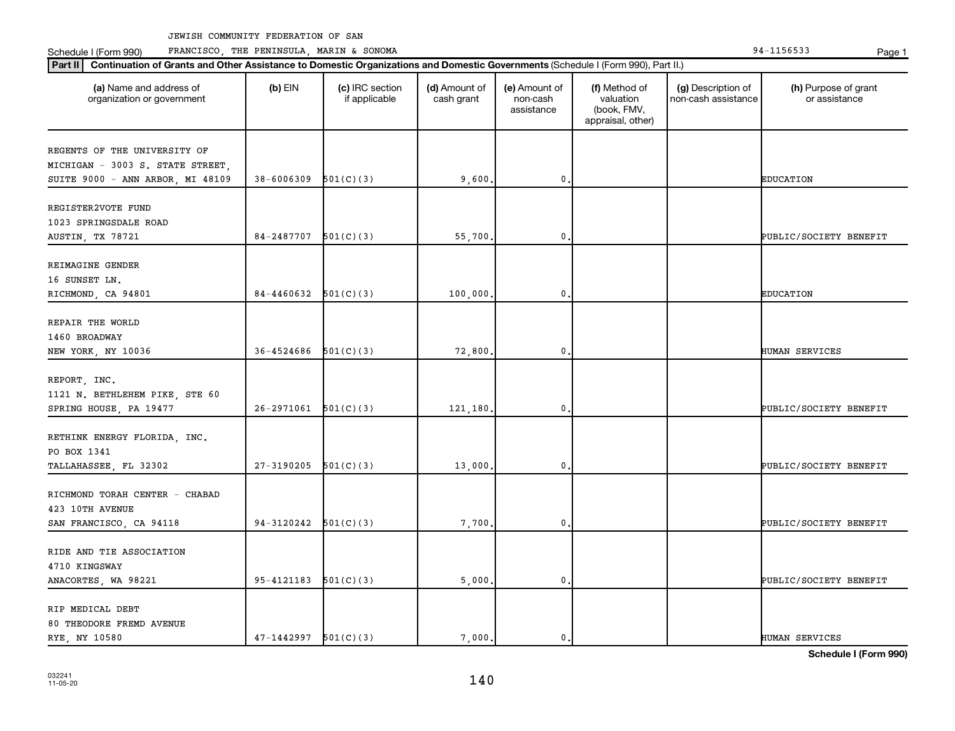Schedule I (Form 990) PRANCISCO, THE PENINSULA, MARIN & SONOMA Page 1 (Form 194-1156533 Page 1

| Part II   Continuation of Grants and Other Assistance to Domestic Organizations and Domestic Governments (Schedule I (Form 990), Part II.) |                            |                                  |                             |                                         |                                                                |                                           |                                       |
|--------------------------------------------------------------------------------------------------------------------------------------------|----------------------------|----------------------------------|-----------------------------|-----------------------------------------|----------------------------------------------------------------|-------------------------------------------|---------------------------------------|
| (a) Name and address of<br>organization or government                                                                                      | $(b)$ EIN                  | (c) IRC section<br>if applicable | (d) Amount of<br>cash grant | (e) Amount of<br>non-cash<br>assistance | (f) Method of<br>valuation<br>(book, FMV,<br>appraisal, other) | (g) Description of<br>non-cash assistance | (h) Purpose of grant<br>or assistance |
| REGENTS OF THE UNIVERSITY OF                                                                                                               |                            |                                  |                             |                                         |                                                                |                                           |                                       |
| MICHIGAN - 3003 S. STATE STREET,                                                                                                           |                            |                                  |                             |                                         |                                                                |                                           |                                       |
| SUITE 9000 - ANN ARBOR, MI 48109                                                                                                           | 38-6006309                 | 501(C)(3)                        | 9,600                       | 0                                       |                                                                |                                           | <b>EDUCATION</b>                      |
|                                                                                                                                            |                            |                                  |                             |                                         |                                                                |                                           |                                       |
| REGISTER2VOTE FUND<br>1023 SPRINGSDALE ROAD                                                                                                |                            |                                  |                             |                                         |                                                                |                                           |                                       |
|                                                                                                                                            | 84-2487707                 | 501(C)(3)                        |                             | 0                                       |                                                                |                                           | PUBLIC/SOCIETY BENEFIT                |
| AUSTIN, TX 78721                                                                                                                           |                            |                                  | 55,700                      |                                         |                                                                |                                           |                                       |
| REIMAGINE GENDER                                                                                                                           |                            |                                  |                             |                                         |                                                                |                                           |                                       |
| 16 SUNSET LN.                                                                                                                              |                            |                                  |                             |                                         |                                                                |                                           |                                       |
| RICHMOND, CA 94801                                                                                                                         | 84-4460632                 | 501(C)(3)                        | 100,000                     | 0                                       |                                                                |                                           | <b>EDUCATION</b>                      |
|                                                                                                                                            |                            |                                  |                             |                                         |                                                                |                                           |                                       |
| REPAIR THE WORLD                                                                                                                           |                            |                                  |                             |                                         |                                                                |                                           |                                       |
| 1460 BROADWAY                                                                                                                              |                            |                                  |                             |                                         |                                                                |                                           |                                       |
| NEW YORK, NY 10036                                                                                                                         | 36-4524686                 | 501(C)(3)                        | 72,800                      | 0                                       |                                                                |                                           | HUMAN SERVICES                        |
| REPORT, INC.                                                                                                                               |                            |                                  |                             |                                         |                                                                |                                           |                                       |
| 1121 N. BETHLEHEM PIKE, STE 60                                                                                                             |                            |                                  |                             |                                         |                                                                |                                           |                                       |
| SPRING HOUSE, PA 19477                                                                                                                     | 26-2971061                 | 501(C)(3)                        | 121,180,                    | 0                                       |                                                                |                                           | PUBLIC/SOCIETY BENEFIT                |
|                                                                                                                                            |                            |                                  |                             |                                         |                                                                |                                           |                                       |
| RETHINK ENERGY FLORIDA, INC.                                                                                                               |                            |                                  |                             |                                         |                                                                |                                           |                                       |
| PO BOX 1341                                                                                                                                |                            |                                  |                             |                                         |                                                                |                                           |                                       |
| TALLAHASSEE, FL 32302                                                                                                                      | 27-3190205                 | 501(C)(3)                        | 13,000                      | 0                                       |                                                                |                                           | PUBLIC/SOCIETY BENEFIT                |
| RICHMOND TORAH CENTER - CHABAD                                                                                                             |                            |                                  |                             |                                         |                                                                |                                           |                                       |
| 423 10TH AVENUE                                                                                                                            |                            |                                  |                             |                                         |                                                                |                                           |                                       |
| SAN FRANCISCO, CA 94118                                                                                                                    | 94-3120242                 | 501(C)(3)                        | 7,700                       | 0                                       |                                                                |                                           | PUBLIC/SOCIETY BENEFIT                |
|                                                                                                                                            |                            |                                  |                             |                                         |                                                                |                                           |                                       |
| RIDE AND TIE ASSOCIATION                                                                                                                   |                            |                                  |                             |                                         |                                                                |                                           |                                       |
| 4710 KINGSWAY                                                                                                                              |                            |                                  |                             |                                         |                                                                |                                           |                                       |
| ANACORTES, WA 98221                                                                                                                        | $95 - 4121183$ $501(C)(3)$ |                                  | 5,000                       | 0                                       |                                                                |                                           | PUBLIC/SOCIETY BENEFIT                |
|                                                                                                                                            |                            |                                  |                             |                                         |                                                                |                                           |                                       |
| RIP MEDICAL DEBT                                                                                                                           |                            |                                  |                             |                                         |                                                                |                                           |                                       |
| 80 THEODORE FREMD AVENUE                                                                                                                   |                            |                                  |                             |                                         |                                                                |                                           |                                       |
| RYE, NY 10580                                                                                                                              | 47-1442997                 | 501(C)(3)                        | 7,000.                      | $\mathbf{0}$                            |                                                                |                                           | <b>HUMAN SERVICES</b>                 |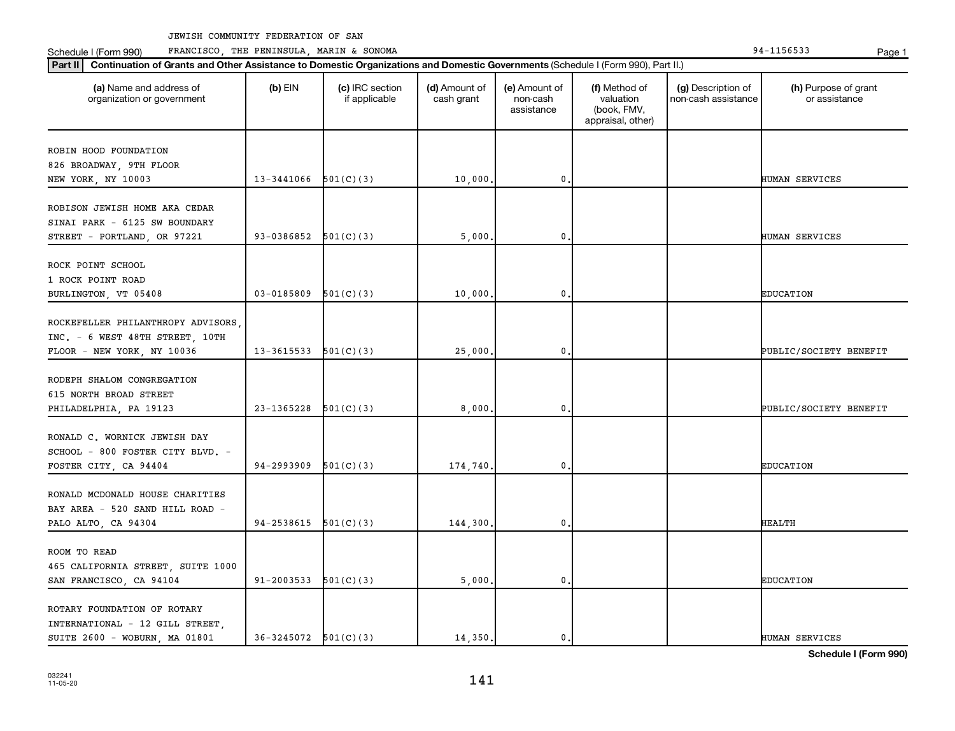Schedule I (Form 990) PRANCISCO, THE PENINSULA, MARIN & SONOMA Page 1 (Form 194-1156533 Page 1

| (a) Name and address of<br>organization or government | $(b)$ EIN                | (c) IRC section<br>if applicable | (d) Amount of<br>cash grant | (e) Amount of<br>non-cash<br>assistance | (f) Method of<br>valuation<br>(book, FMV,<br>appraisal, other) | (g) Description of<br>non-cash assistance | (h) Purpose of grant<br>or assistance |
|-------------------------------------------------------|--------------------------|----------------------------------|-----------------------------|-----------------------------------------|----------------------------------------------------------------|-------------------------------------------|---------------------------------------|
| ROBIN HOOD FOUNDATION                                 |                          |                                  |                             |                                         |                                                                |                                           |                                       |
| 826 BROADWAY, 9TH FLOOR                               |                          |                                  |                             |                                         |                                                                |                                           |                                       |
| NEW YORK, NY 10003                                    | 13-3441066               | 501(C)(3)                        | 10,000                      | 0                                       |                                                                |                                           | HUMAN SERVICES                        |
| ROBISON JEWISH HOME AKA CEDAR                         |                          |                                  |                             |                                         |                                                                |                                           |                                       |
| SINAI PARK - 6125 SW BOUNDARY                         |                          |                                  |                             |                                         |                                                                |                                           |                                       |
| STREET - PORTLAND, OR 97221                           | 93-0386852               | 501(C)(3)                        | 5,000                       | 0                                       |                                                                |                                           | HUMAN SERVICES                        |
|                                                       |                          |                                  |                             |                                         |                                                                |                                           |                                       |
| ROCK POINT SCHOOL                                     |                          |                                  |                             |                                         |                                                                |                                           |                                       |
| 1 ROCK POINT ROAD                                     |                          |                                  |                             |                                         |                                                                |                                           |                                       |
| BURLINGTON, VT 05408                                  | 03-0185809               | 501(C)(3)                        | 10,000                      | 0                                       |                                                                |                                           | <b>EDUCATION</b>                      |
| ROCKEFELLER PHILANTHROPY ADVISORS,                    |                          |                                  |                             |                                         |                                                                |                                           |                                       |
| INC. - 6 WEST 48TH STREET, 10TH                       |                          |                                  |                             |                                         |                                                                |                                           |                                       |
| FLOOR - NEW YORK, NY 10036                            | 13-3615533               | 501(C)(3)                        | 25,000                      | 0                                       |                                                                |                                           | PUBLIC/SOCIETY BENEFIT                |
|                                                       |                          |                                  |                             |                                         |                                                                |                                           |                                       |
| RODEPH SHALOM CONGREGATION                            |                          |                                  |                             |                                         |                                                                |                                           |                                       |
| 615 NORTH BROAD STREET                                |                          |                                  |                             |                                         |                                                                |                                           |                                       |
| PHILADELPHIA, PA 19123                                | 23-1365228               | 501(C)(3)                        | 8,000                       | 0                                       |                                                                |                                           | PUBLIC/SOCIETY BENEFIT                |
|                                                       |                          |                                  |                             |                                         |                                                                |                                           |                                       |
| RONALD C. WORNICK JEWISH DAY                          |                          |                                  |                             |                                         |                                                                |                                           |                                       |
| SCHOOL - 800 FOSTER CITY BLVD. -                      |                          |                                  |                             |                                         |                                                                |                                           |                                       |
| FOSTER CITY, CA 94404                                 | 94-2993909               | 501(C)(3)                        | 174,740                     | 0                                       |                                                                |                                           | <b>EDUCATION</b>                      |
|                                                       |                          |                                  |                             |                                         |                                                                |                                           |                                       |
| RONALD MCDONALD HOUSE CHARITIES                       |                          |                                  |                             |                                         |                                                                |                                           |                                       |
| BAY AREA - 520 SAND HILL ROAD -                       |                          |                                  |                             |                                         |                                                                |                                           |                                       |
| PALO ALTO, CA 94304                                   | 94-2538615               | 501(C)(3)                        | 144,300,                    | 0                                       |                                                                |                                           | <b>HEALTH</b>                         |
| ROOM TO READ                                          |                          |                                  |                             |                                         |                                                                |                                           |                                       |
| 465 CALIFORNIA STREET, SUITE 1000                     |                          |                                  |                             |                                         |                                                                |                                           |                                       |
| SAN FRANCISCO, CA 94104                               | 91-2003533               | 501(C)(3)                        | 5,000.                      | 0                                       |                                                                |                                           | <b>EDUCATION</b>                      |
|                                                       |                          |                                  |                             |                                         |                                                                |                                           |                                       |
| ROTARY FOUNDATION OF ROTARY                           |                          |                                  |                             |                                         |                                                                |                                           |                                       |
| INTERNATIONAL - 12 GILL STREET,                       |                          |                                  |                             |                                         |                                                                |                                           |                                       |
| SUITE 2600 - WOBURN, MA 01801                         | $36-3245072$ $501(C)(3)$ |                                  | 14,350.                     | 0.                                      |                                                                |                                           | HUMAN SERVICES                        |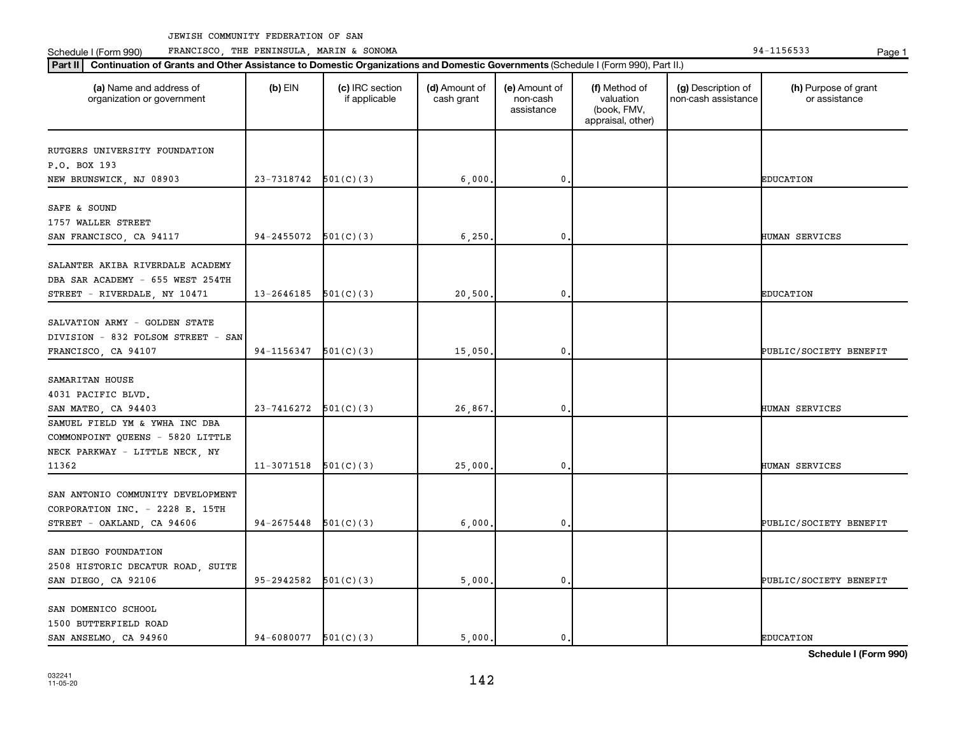**Part III Continuation of Grants and Other Assistance to Domestic Organizations and Domestic Government of Grants and Other Assistance to Domestic Continuation of Grants and Other Assistance to Domestic Croanizations and** Schedule I (Form 990) PRANCISCO, THE PENINSULA, MARIN & SONOMA Page 1 (Form 194-1156533 Page 1

| Part II<br>Continuation of Grants and Other Assistance to Domestic Organizations and Domestic Governments (Schedule I (Form 990), Part II.) |                          |                                  |                             |                                         |                                                                |                                           |                                       |
|---------------------------------------------------------------------------------------------------------------------------------------------|--------------------------|----------------------------------|-----------------------------|-----------------------------------------|----------------------------------------------------------------|-------------------------------------------|---------------------------------------|
| (a) Name and address of<br>organization or government                                                                                       | $(b)$ EIN                | (c) IRC section<br>if applicable | (d) Amount of<br>cash grant | (e) Amount of<br>non-cash<br>assistance | (f) Method of<br>valuation<br>(book, FMV,<br>appraisal, other) | (g) Description of<br>non-cash assistance | (h) Purpose of grant<br>or assistance |
| RUTGERS UNIVERSITY FOUNDATION<br>P.O. BOX 193<br>NEW BRUNSWICK, NJ 08903                                                                    | $23-7318742$ $501(C)(3)$ |                                  | 6,000                       | $\mathbf 0$                             |                                                                |                                           | <b>EDUCATION</b>                      |
| SAFE & SOUND<br>1757 WALLER STREET<br>SAN FRANCISCO, CA 94117                                                                               | $94-2455072$ $501(C)(3)$ |                                  | 6,250                       | 0                                       |                                                                |                                           | <b>HUMAN SERVICES</b>                 |
| SALANTER AKIBA RIVERDALE ACADEMY<br>DBA SAR ACADEMY - 655 WEST 254TH<br>STREET - RIVERDALE, NY 10471                                        | 13-2646185               | 501(C)(3)                        | 20,500                      | 0                                       |                                                                |                                           | <b>EDUCATION</b>                      |
| SALVATION ARMY - GOLDEN STATE<br>DIVISION - 832 FOLSOM STREET - SAN<br>FRANCISCO, CA 94107                                                  | 94-1156347               | 501(C)(3)                        | 15,050                      | $\mathbf{0}$                            |                                                                |                                           | <b>PUBLIC/SOCIETY BENEFIT</b>         |
| SAMARITAN HOUSE<br>4031 PACIFIC BLVD.<br>SAN MATEO, CA 94403                                                                                | 23-7416272               | 501(C)(3)                        | 26,867                      | 0                                       |                                                                |                                           | HUMAN SERVICES                        |
| SAMUEL FIELD YM & YWHA INC DBA<br>COMMONPOINT QUEENS - 5820 LITTLE<br>NECK PARKWAY - LITTLE NECK, NY<br>11362                               | 11-3071518               | 501(C)(3)                        | 25,000                      | 0                                       |                                                                |                                           | HUMAN SERVICES                        |
| SAN ANTONIO COMMUNITY DEVELOPMENT<br>CORPORATION INC. - 2228 E. 15TH<br>STREET - OAKLAND, CA 94606                                          | $94 - 2675448$           | 501(C)(3)                        | 6,000                       | 0                                       |                                                                |                                           | PUBLIC/SOCIETY BENEFIT                |
| SAN DIEGO FOUNDATION<br>2508 HISTORIC DECATUR ROAD, SUITE<br>SAN DIEGO, CA 92106                                                            | 95-2942582               | 501(C)(3)                        | 5,000                       | $\mathbf 0$                             |                                                                |                                           | PUBLIC/SOCIETY BENEFIT                |
| SAN DOMENICO SCHOOL<br>1500 BUTTERFIELD ROAD<br>SAN ANSELMO, CA 94960                                                                       | $94-6080077$ $501(C)(3)$ |                                  | 5,000.                      | 0.                                      |                                                                |                                           | <b>EDUCATION</b>                      |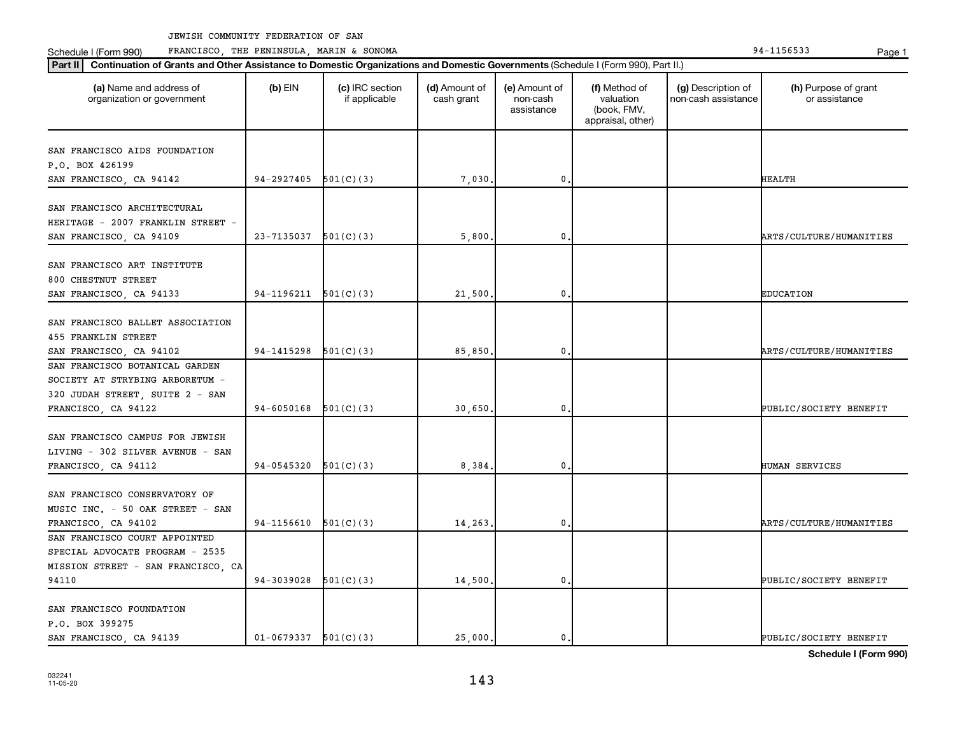**Part II Continuation of Grants and Other Assistance to Domestic Organizations and Domestic Governments**  (Schedule I (Form 990), Part II.)

Schedule I (Form 990) PRANCISCO, THE PENINSULA, MARIN & SONOMA Page 1 (Form 194-1156533 Page 1

| (a) Name and address of<br>organization or government               | $(b)$ EIN                | (c) IRC section<br>if applicable | (d) Amount of<br>cash grant | (e) Amount of<br>non-cash<br>assistance | (f) Method of<br>valuation<br>(book, FMV,<br>appraisal, other) | (g) Description of<br>non-cash assistance | (h) Purpose of grant<br>or assistance |
|---------------------------------------------------------------------|--------------------------|----------------------------------|-----------------------------|-----------------------------------------|----------------------------------------------------------------|-------------------------------------------|---------------------------------------|
| SAN FRANCISCO AIDS FOUNDATION                                       |                          |                                  |                             |                                         |                                                                |                                           |                                       |
| P.O. BOX 426199                                                     |                          |                                  |                             |                                         |                                                                |                                           |                                       |
| SAN FRANCISCO, CA 94142                                             | 94-2927405               | 501(C)(3)                        | 7,030                       | 0                                       |                                                                |                                           | <b>HEALTH</b>                         |
| SAN FRANCISCO ARCHITECTURAL                                         |                          |                                  |                             |                                         |                                                                |                                           |                                       |
| HERITAGE - 2007 FRANKLIN STREET -                                   |                          |                                  |                             |                                         |                                                                |                                           |                                       |
| SAN FRANCISCO, CA 94109                                             | $23 - 7135037$ 501(C)(3) |                                  | 5,800                       | 0                                       |                                                                |                                           | ARTS/CULTURE/HUMANITIES               |
| SAN FRANCISCO ART INSTITUTE                                         |                          |                                  |                             |                                         |                                                                |                                           |                                       |
| 800 CHESTNUT STREET<br>SAN FRANCISCO, CA 94133                      | $94-1196211$ $501(C)(3)$ |                                  | 21,500                      | 0                                       |                                                                |                                           | <b>EDUCATION</b>                      |
|                                                                     |                          |                                  |                             |                                         |                                                                |                                           |                                       |
| SAN FRANCISCO BALLET ASSOCIATION<br>455 FRANKLIN STREET             |                          |                                  |                             |                                         |                                                                |                                           |                                       |
| SAN FRANCISCO, CA 94102                                             | 94-1415298               | 501(C)(3)                        | 85,850                      | 0                                       |                                                                |                                           | ARTS/CULTURE/HUMANITIES               |
| SAN FRANCISCO BOTANICAL GARDEN                                      |                          |                                  |                             |                                         |                                                                |                                           |                                       |
| SOCIETY AT STRYBING ARBORETUM -                                     |                          |                                  |                             |                                         |                                                                |                                           |                                       |
| 320 JUDAH STREET, SUITE 2 - SAN                                     |                          |                                  |                             |                                         |                                                                |                                           |                                       |
| FRANCISCO, CA 94122                                                 | 94-6050168               | 501(C)(3)                        | 30,650                      | 0                                       |                                                                |                                           | PUBLIC/SOCIETY BENEFIT                |
| SAN FRANCISCO CAMPUS FOR JEWISH<br>LIVING - 302 SILVER AVENUE - SAN |                          |                                  |                             |                                         |                                                                |                                           |                                       |
| FRANCISCO, CA 94112                                                 | 94-0545320               | 501(C)(3)                        | 8,384                       | 0                                       |                                                                |                                           | HUMAN SERVICES                        |
| SAN FRANCISCO CONSERVATORY OF<br>MUSIC INC. - 50 OAK STREET - SAN   |                          |                                  |                             |                                         |                                                                |                                           |                                       |
| FRANCISCO, CA 94102                                                 | 94-1156610               | 501(C)(3)                        | 14,263                      | 0                                       |                                                                |                                           | ARTS/CULTURE/HUMANITIES               |
| SAN FRANCISCO COURT APPOINTED<br>SPECIAL ADVOCATE PROGRAM - 2535    |                          |                                  |                             |                                         |                                                                |                                           |                                       |
| MISSION STREET - SAN FRANCISCO, CA                                  |                          |                                  |                             |                                         |                                                                |                                           |                                       |
| 94110                                                               | 94-3039028               | 501(C)(3)                        | 14,500                      | 0                                       |                                                                |                                           | PUBLIC/SOCIETY BENEFIT                |
| SAN FRANCISCO FOUNDATION<br>P.O. BOX 399275                         |                          |                                  |                             |                                         |                                                                |                                           |                                       |
| SAN FRANCISCO, CA 94139                                             | $01-0679337$ $501(C)(3)$ |                                  | 25,000.                     | 0.                                      |                                                                |                                           | PUBLIC/SOCIETY BENEFIT                |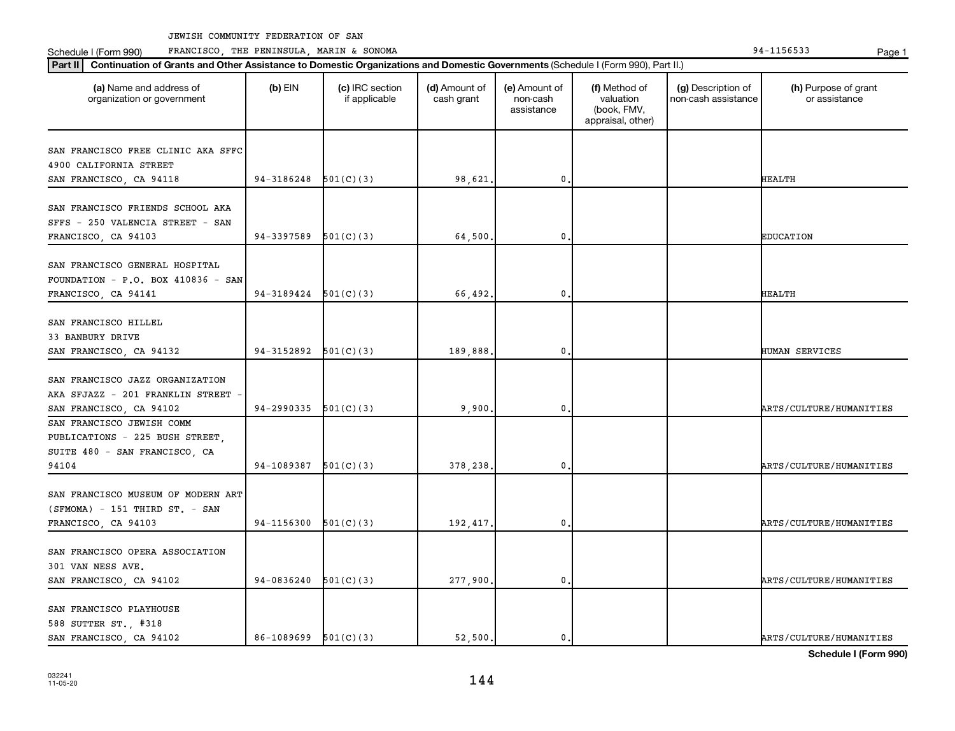Schedule I (Form 990) Page 1 FRANCISCO, THE PENINSULA, MARIN & SONOMA 94-1156533

| Part II   Continuation of Grants and Other Assistance to Domestic Organizations and Domestic Governments (Schedule I (Form 990), Part II.) |            |                                  |                             |                                         |                                                                |                                           |                                       |
|--------------------------------------------------------------------------------------------------------------------------------------------|------------|----------------------------------|-----------------------------|-----------------------------------------|----------------------------------------------------------------|-------------------------------------------|---------------------------------------|
| (a) Name and address of<br>organization or government                                                                                      | $(b)$ EIN  | (c) IRC section<br>if applicable | (d) Amount of<br>cash grant | (e) Amount of<br>non-cash<br>assistance | (f) Method of<br>valuation<br>(book, FMV,<br>appraisal, other) | (g) Description of<br>non-cash assistance | (h) Purpose of grant<br>or assistance |
|                                                                                                                                            |            |                                  |                             |                                         |                                                                |                                           |                                       |
| SAN FRANCISCO FREE CLINIC AKA SFFC                                                                                                         |            |                                  |                             |                                         |                                                                |                                           |                                       |
| 4900 CALIFORNIA STREET<br>SAN FRANCISCO, CA 94118                                                                                          | 94-3186248 | 501(C)(3)                        | 98,621.                     | 0                                       |                                                                |                                           | <b>HEALTH</b>                         |
|                                                                                                                                            |            |                                  |                             |                                         |                                                                |                                           |                                       |
| SAN FRANCISCO FRIENDS SCHOOL AKA<br>SFFS - 250 VALENCIA STREET - SAN<br>FRANCISCO, CA 94103                                                | 94-3397589 | 501(C)(3)                        | 64,500                      | 0                                       |                                                                |                                           | <b>EDUCATION</b>                      |
|                                                                                                                                            |            |                                  |                             |                                         |                                                                |                                           |                                       |
| SAN FRANCISCO GENERAL HOSPITAL<br>FOUNDATION - P.O. BOX 410836 - SAN<br>FRANCISCO, CA 94141                                                | 94-3189424 | 501(C)(3)                        | 66,492.                     | $\mathbf{0}$                            |                                                                |                                           | <b>HEALTH</b>                         |
|                                                                                                                                            |            |                                  |                             |                                         |                                                                |                                           |                                       |
| SAN FRANCISCO HILLEL<br>33 BANBURY DRIVE<br>SAN FRANCISCO, CA 94132                                                                        | 94-3152892 | 501(C)(3)                        | 189,888                     | 0                                       |                                                                |                                           | HUMAN SERVICES                        |
|                                                                                                                                            |            |                                  |                             |                                         |                                                                |                                           |                                       |
| SAN FRANCISCO JAZZ ORGANIZATION<br>AKA SFJAZZ - 201 FRANKLIN STREET                                                                        |            |                                  |                             |                                         |                                                                |                                           |                                       |
| SAN FRANCISCO, CA 94102                                                                                                                    | 94-2990335 | 501(C)(3)                        | 9.900                       | 0                                       |                                                                |                                           | ARTS/CULTURE/HUMANITIES               |
| SAN FRANCISCO JEWISH COMM<br>PUBLICATIONS - 225 BUSH STREET,<br>SUITE 480 - SAN FRANCISCO, CA                                              |            |                                  |                             |                                         |                                                                |                                           |                                       |
| 94104                                                                                                                                      | 94-1089387 | 501(C)(3)                        | 378,238.                    | 0                                       |                                                                |                                           | ARTS/CULTURE/HUMANITIES               |
| SAN FRANCISCO MUSEUM OF MODERN ART<br>$(SFMOMA) - 151 THIRD ST. - SAN$                                                                     |            |                                  |                             |                                         |                                                                |                                           |                                       |
| FRANCISCO, CA 94103                                                                                                                        | 94-1156300 | 501(C)(3)                        | 192,417.                    | 0                                       |                                                                |                                           | ARTS/CULTURE/HUMANITIES               |
| SAN FRANCISCO OPERA ASSOCIATION<br>301 VAN NESS AVE.                                                                                       |            |                                  |                             |                                         |                                                                |                                           |                                       |
| SAN FRANCISCO, CA 94102                                                                                                                    | 94-0836240 | 501(C)(3)                        | 277,900.                    | $\mathbf 0$                             |                                                                |                                           | ARTS/CULTURE/HUMANITIES               |
| SAN FRANCISCO PLAYHOUSE<br>588 SUTTER ST., #318                                                                                            |            |                                  |                             |                                         |                                                                |                                           |                                       |
| SAN FRANCISCO, CA 94102                                                                                                                    | 86-1089699 | 501(C)(3)                        | 52,500,                     | $\mathbf 0$                             |                                                                |                                           | ARTS/CULTURE/HUMANITIES               |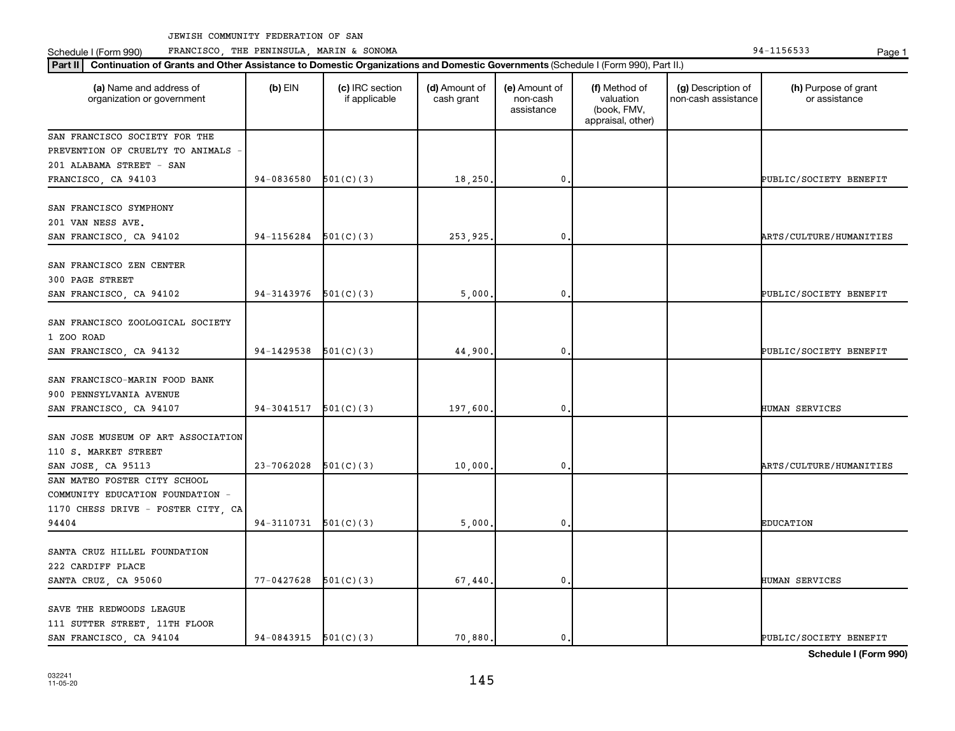Schedule I (Form 990) PRANCISCO, THE PENINSULA, MARIN & SONOMA Page 1 (Form 194-1156533 Page 1

| Part II   Continuation of Grants and Other Assistance to Domestic Organizations and Domestic Governments (Schedule I (Form 990), Part II.) |                          |                                  |                             |                                         |                                                                |                                           |                                       |  |  |
|--------------------------------------------------------------------------------------------------------------------------------------------|--------------------------|----------------------------------|-----------------------------|-----------------------------------------|----------------------------------------------------------------|-------------------------------------------|---------------------------------------|--|--|
| (a) Name and address of<br>organization or government                                                                                      | $(b)$ EIN                | (c) IRC section<br>if applicable | (d) Amount of<br>cash grant | (e) Amount of<br>non-cash<br>assistance | (f) Method of<br>valuation<br>(book, FMV,<br>appraisal, other) | (g) Description of<br>non-cash assistance | (h) Purpose of grant<br>or assistance |  |  |
| SAN FRANCISCO SOCIETY FOR THE                                                                                                              |                          |                                  |                             |                                         |                                                                |                                           |                                       |  |  |
| PREVENTION OF CRUELTY TO ANIMALS                                                                                                           |                          |                                  |                             |                                         |                                                                |                                           |                                       |  |  |
| 201 ALABAMA STREET - SAN                                                                                                                   |                          |                                  |                             |                                         |                                                                |                                           |                                       |  |  |
| FRANCISCO, CA 94103                                                                                                                        | $94-0836580$ $501(C)(3)$ |                                  | 18,250.                     | $\mathbf 0$                             |                                                                |                                           | PUBLIC/SOCIETY BENEFIT                |  |  |
| SAN FRANCISCO SYMPHONY                                                                                                                     |                          |                                  |                             |                                         |                                                                |                                           |                                       |  |  |
| 201 VAN NESS AVE.                                                                                                                          |                          |                                  |                             |                                         |                                                                |                                           |                                       |  |  |
| SAN FRANCISCO, CA 94102                                                                                                                    | 94-1156284               | 501(C)(3)                        | 253,925.                    | 0                                       |                                                                |                                           | ARTS/CULTURE/HUMANITIES               |  |  |
|                                                                                                                                            |                          |                                  |                             |                                         |                                                                |                                           |                                       |  |  |
| SAN FRANCISCO ZEN CENTER                                                                                                                   |                          |                                  |                             |                                         |                                                                |                                           |                                       |  |  |
| 300 PAGE STREET                                                                                                                            |                          |                                  |                             |                                         |                                                                |                                           |                                       |  |  |
| SAN FRANCISCO, CA 94102                                                                                                                    | $94-3143976$ $501(C)(3)$ |                                  | 5,000.                      | 0.                                      |                                                                |                                           | PUBLIC/SOCIETY BENEFIT                |  |  |
|                                                                                                                                            |                          |                                  |                             |                                         |                                                                |                                           |                                       |  |  |
| SAN FRANCISCO ZOOLOGICAL SOCIETY                                                                                                           |                          |                                  |                             |                                         |                                                                |                                           |                                       |  |  |
| 1 ZOO ROAD                                                                                                                                 |                          |                                  |                             |                                         |                                                                |                                           |                                       |  |  |
| SAN FRANCISCO, CA 94132                                                                                                                    | 94-1429538               | 501(C)(3)                        | 44,900.                     | $\mathbf 0$                             |                                                                |                                           | PUBLIC/SOCIETY BENEFIT                |  |  |
| SAN FRANCISCO-MARIN FOOD BANK                                                                                                              |                          |                                  |                             |                                         |                                                                |                                           |                                       |  |  |
| 900 PENNSYLVANIA AVENUE                                                                                                                    |                          |                                  |                             |                                         |                                                                |                                           |                                       |  |  |
|                                                                                                                                            | $94-3041517$ $501(C)(3)$ |                                  | 197,600                     | $\mathbf 0$                             |                                                                |                                           | HUMAN SERVICES                        |  |  |
| SAN FRANCISCO, CA 94107                                                                                                                    |                          |                                  |                             |                                         |                                                                |                                           |                                       |  |  |
| SAN JOSE MUSEUM OF ART ASSOCIATION                                                                                                         |                          |                                  |                             |                                         |                                                                |                                           |                                       |  |  |
| 110 S. MARKET STREET                                                                                                                       |                          |                                  |                             |                                         |                                                                |                                           |                                       |  |  |
| SAN JOSE, CA 95113                                                                                                                         | 23-7062028               | 501(C)(3)                        | 10,000.                     | $\mathbf 0$                             |                                                                |                                           | ARTS/CULTURE/HUMANITIES               |  |  |
| SAN MATEO FOSTER CITY SCHOOL                                                                                                               |                          |                                  |                             |                                         |                                                                |                                           |                                       |  |  |
| COMMUNITY EDUCATION FOUNDATION -                                                                                                           |                          |                                  |                             |                                         |                                                                |                                           |                                       |  |  |
| 1170 CHESS DRIVE - FOSTER CITY, CA                                                                                                         |                          |                                  |                             |                                         |                                                                |                                           |                                       |  |  |
| 94404                                                                                                                                      | $94-3110731$ $501(C)(3)$ |                                  | 5,000                       | $\mathbf 0$                             |                                                                |                                           | <b>EDUCATION</b>                      |  |  |
|                                                                                                                                            |                          |                                  |                             |                                         |                                                                |                                           |                                       |  |  |
| SANTA CRUZ HILLEL FOUNDATION                                                                                                               |                          |                                  |                             |                                         |                                                                |                                           |                                       |  |  |
| 222 CARDIFF PLACE                                                                                                                          |                          |                                  |                             |                                         |                                                                |                                           |                                       |  |  |
| SANTA CRUZ, CA 95060                                                                                                                       | $77 - 0427628$ 501(C)(3) |                                  | 67,440.                     | $\mathbf 0$                             |                                                                |                                           | HUMAN SERVICES                        |  |  |
|                                                                                                                                            |                          |                                  |                             |                                         |                                                                |                                           |                                       |  |  |
| SAVE THE REDWOODS LEAGUE                                                                                                                   |                          |                                  |                             |                                         |                                                                |                                           |                                       |  |  |
| 111 SUTTER STREET, 11TH FLOOR<br>SAN FRANCISCO, CA 94104                                                                                   | $94-0843915$ $501(C)(3)$ |                                  | 70,880.                     | 0.                                      |                                                                |                                           | PUBLIC/SOCIETY BENEFIT                |  |  |
|                                                                                                                                            |                          |                                  |                             |                                         |                                                                |                                           |                                       |  |  |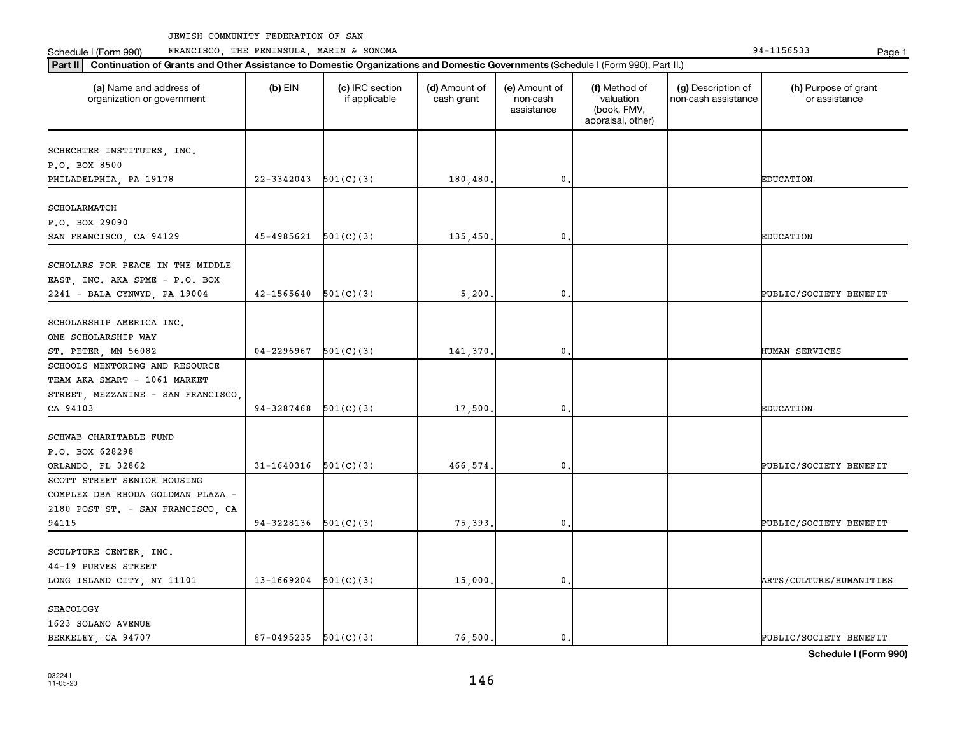Schedule I (Form 990) PRANCISCO, THE PENINSULA, MARIN & SONOMA Page 1 (Form 194-1156533 Page 1

| (a) Name and address of<br>organization or government | $(b)$ EIN              | (c) IRC section<br>if applicable | (d) Amount of<br>cash grant | (e) Amount of<br>non-cash<br>assistance | (f) Method of<br>valuation<br>(book, FMV,<br>appraisal, other) | (g) Description of<br>non-cash assistance | (h) Purpose of grant<br>or assistance |
|-------------------------------------------------------|------------------------|----------------------------------|-----------------------------|-----------------------------------------|----------------------------------------------------------------|-------------------------------------------|---------------------------------------|
| SCHECHTER INSTITUTES, INC.                            |                        |                                  |                             |                                         |                                                                |                                           |                                       |
| P.O. BOX 8500                                         |                        |                                  |                             |                                         |                                                                |                                           |                                       |
| PHILADELPHIA, PA 19178                                | 22-3342043             | 501(C)(3)                        | 180,480                     | 0,                                      |                                                                |                                           | <b>EDUCATION</b>                      |
|                                                       |                        |                                  |                             |                                         |                                                                |                                           |                                       |
| SCHOLARMATCH                                          |                        |                                  |                             |                                         |                                                                |                                           |                                       |
| P.O. BOX 29090                                        |                        |                                  |                             |                                         |                                                                |                                           |                                       |
| SAN FRANCISCO, CA 94129                               | 45-4985621             | 501(C)(3)                        | 135,450                     | 0                                       |                                                                |                                           | <b>EDUCATION</b>                      |
|                                                       |                        |                                  |                             |                                         |                                                                |                                           |                                       |
| SCHOLARS FOR PEACE IN THE MIDDLE                      |                        |                                  |                             |                                         |                                                                |                                           |                                       |
| EAST, INC. AKA SPME - P.O. BOX                        |                        |                                  |                             |                                         |                                                                |                                           |                                       |
| 2241 - BALA CYNWYD, PA 19004                          | 42-1565640             | 501(C)(3)                        | 5,200                       | $\mathbf{0}$ .                          |                                                                |                                           | PUBLIC/SOCIETY BENEFIT                |
| SCHOLARSHIP AMERICA INC.                              |                        |                                  |                             |                                         |                                                                |                                           |                                       |
| ONE SCHOLARSHIP WAY                                   |                        |                                  |                             |                                         |                                                                |                                           |                                       |
| ST. PETER, MN 56082                                   | 04-2296967             | 501(C)(3)                        | 141,370                     | $\mathbf 0$                             |                                                                |                                           | HUMAN SERVICES                        |
| SCHOOLS MENTORING AND RESOURCE                        |                        |                                  |                             |                                         |                                                                |                                           |                                       |
| TEAM AKA SMART - 1061 MARKET                          |                        |                                  |                             |                                         |                                                                |                                           |                                       |
| STREET, MEZZANINE - SAN FRANCISCO,                    |                        |                                  |                             |                                         |                                                                |                                           |                                       |
| CA 94103                                              | 94-3287468             | 501(C)(3)                        | 17,500                      | $\mathbf 0$ .                           |                                                                |                                           | <b>EDUCATION</b>                      |
|                                                       |                        |                                  |                             |                                         |                                                                |                                           |                                       |
| SCHWAB CHARITABLE FUND                                |                        |                                  |                             |                                         |                                                                |                                           |                                       |
| P.O. BOX 628298                                       |                        |                                  |                             |                                         |                                                                |                                           |                                       |
| ORLANDO, FL 32862                                     | 31-1640316             | 501(C)(3)                        | 466,574                     | $\mathbf 0$                             |                                                                |                                           | PUBLIC/SOCIETY BENEFIT                |
| SCOTT STREET SENIOR HOUSING                           |                        |                                  |                             |                                         |                                                                |                                           |                                       |
| COMPLEX DBA RHODA GOLDMAN PLAZA -                     |                        |                                  |                             |                                         |                                                                |                                           |                                       |
| 2180 POST ST. - SAN FRANCISCO, CA                     |                        |                                  |                             |                                         |                                                                |                                           |                                       |
| 94115                                                 | 94-3228136             | 501(C)(3)                        | 75,393                      | 0.                                      |                                                                |                                           | PUBLIC/SOCIETY BENEFIT                |
|                                                       |                        |                                  |                             |                                         |                                                                |                                           |                                       |
| SCULPTURE CENTER, INC.                                |                        |                                  |                             |                                         |                                                                |                                           |                                       |
| 44-19 PURVES STREET                                   |                        |                                  |                             |                                         |                                                                |                                           |                                       |
| LONG ISLAND CITY, NY 11101                            | 13-1669204             | 501(C)(3)                        | 15,000                      | $\mathbf 0$                             |                                                                |                                           | ARTS/CULTURE/HUMANITIES               |
| <b>SEACOLOGY</b>                                      |                        |                                  |                             |                                         |                                                                |                                           |                                       |
| 1623 SOLANO AVENUE                                    |                        |                                  |                             |                                         |                                                                |                                           |                                       |
| BERKELEY, CA 94707                                    | 87-0495235 $501(C)(3)$ |                                  | 76,500.                     | $\mathbf{0}$ .                          |                                                                |                                           | PUBLIC/SOCIETY BENEFIT                |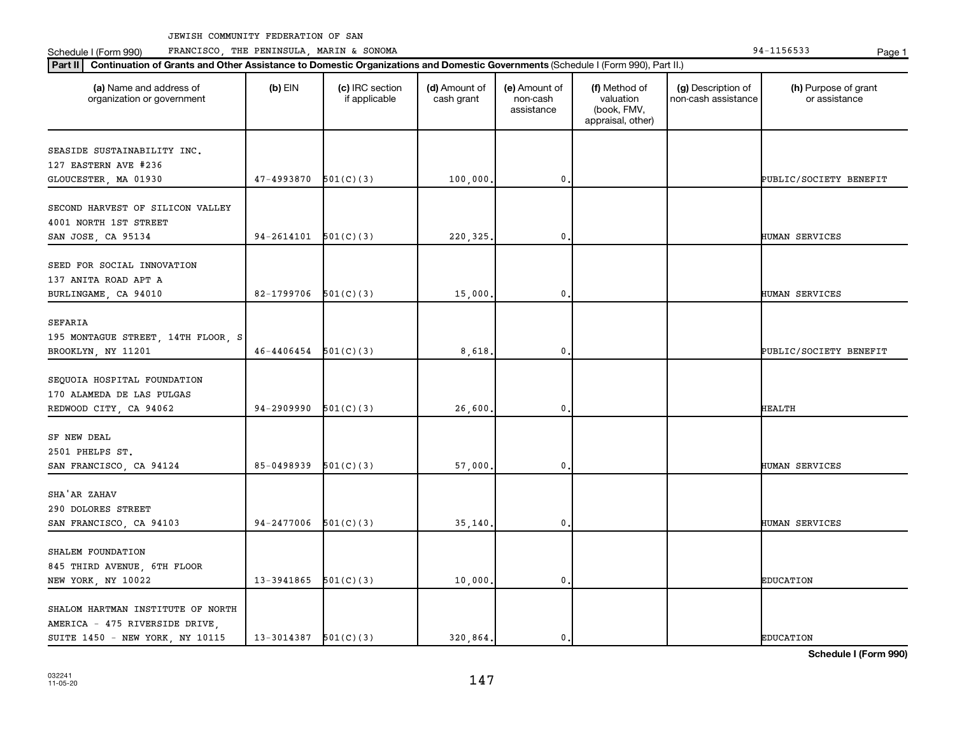**Part II Continuation of Grants and Other Assistance to Domestic Organizations and Domestic Governments**  (Schedule I (Form 990), Part II.)

Schedule I (Form 990) PRANCISCO, THE PENINSULA, MARIN & SONOMA Page 1 (Form 194-1156533 Page 1

| (a) Name and address of<br>organization or government                                                  | $(b)$ EIN                | (c) IRC section<br>if applicable | (d) Amount of<br>cash grant | (e) Amount of<br>non-cash<br>assistance | (f) Method of<br>valuation<br>(book, FMV,<br>appraisal, other) | (g) Description of<br>non-cash assistance | (h) Purpose of grant<br>or assistance |
|--------------------------------------------------------------------------------------------------------|--------------------------|----------------------------------|-----------------------------|-----------------------------------------|----------------------------------------------------------------|-------------------------------------------|---------------------------------------|
| SEASIDE SUSTAINABILITY INC.<br>127 EASTERN AVE #236<br>GLOUCESTER, MA 01930                            | 47-4993870               | 501(C)(3)                        | 100,000                     | $\mathbf{0}$                            |                                                                |                                           | PUBLIC/SOCIETY BENEFIT                |
| SECOND HARVEST OF SILICON VALLEY<br>4001 NORTH 1ST STREET<br>SAN JOSE, CA 95134                        | 94-2614101               | 501(C)(3)                        | 220, 325.                   | $\mathbf{0}$                            |                                                                |                                           | HUMAN SERVICES                        |
| SEED FOR SOCIAL INNOVATION<br>137 ANITA ROAD APT A<br>BURLINGAME, CA 94010                             | 82-1799706               | 501(C)(3)                        | 15,000                      | $\mathbf{0}$                            |                                                                |                                           | HUMAN SERVICES                        |
| SEFARIA<br>195 MONTAGUE STREET, 14TH FLOOR, S<br>BROOKLYN, NY 11201                                    | 46-4406454               | 501(C)(3)                        | 8,618                       | $\mathbf{0}$                            |                                                                |                                           | PUBLIC/SOCIETY BENEFIT                |
| SEQUOIA HOSPITAL FOUNDATION<br>170 ALAMEDA DE LAS PULGAS<br>REDWOOD CITY, CA 94062                     | 94-2909990               | 501(C)(3)                        | 26,600                      | $\mathbf{0}$                            |                                                                |                                           | <b>HEALTH</b>                         |
| SF NEW DEAL<br>2501 PHELPS ST.<br>SAN FRANCISCO, CA 94124                                              | 85-0498939               | 501(C)(3)                        | 57,000                      | $\mathbf 0$ .                           |                                                                |                                           | HUMAN SERVICES                        |
| SHA'AR ZAHAV<br>290 DOLORES STREET<br>SAN FRANCISCO, CA 94103                                          | 94-2477006               | 501(C)(3)                        | 35,140                      | $\mathbf{0}$ .                          |                                                                |                                           | HUMAN SERVICES                        |
| SHALEM FOUNDATION<br>845 THIRD AVENUE, 6TH FLOOR<br>NEW YORK, NY 10022                                 | 13-3941865               | 501(C)(3)                        | 10,000                      | $\mathbf{0}$ .                          |                                                                |                                           | <b>EDUCATION</b>                      |
| SHALOM HARTMAN INSTITUTE OF NORTH<br>AMERICA - 475 RIVERSIDE DRIVE,<br>SUITE 1450 - NEW YORK, NY 10115 | $13-3014387$ $501(C)(3)$ |                                  | 320.864.                    | $\mathbf{0}$ .                          |                                                                |                                           | <b>EDUCATION</b>                      |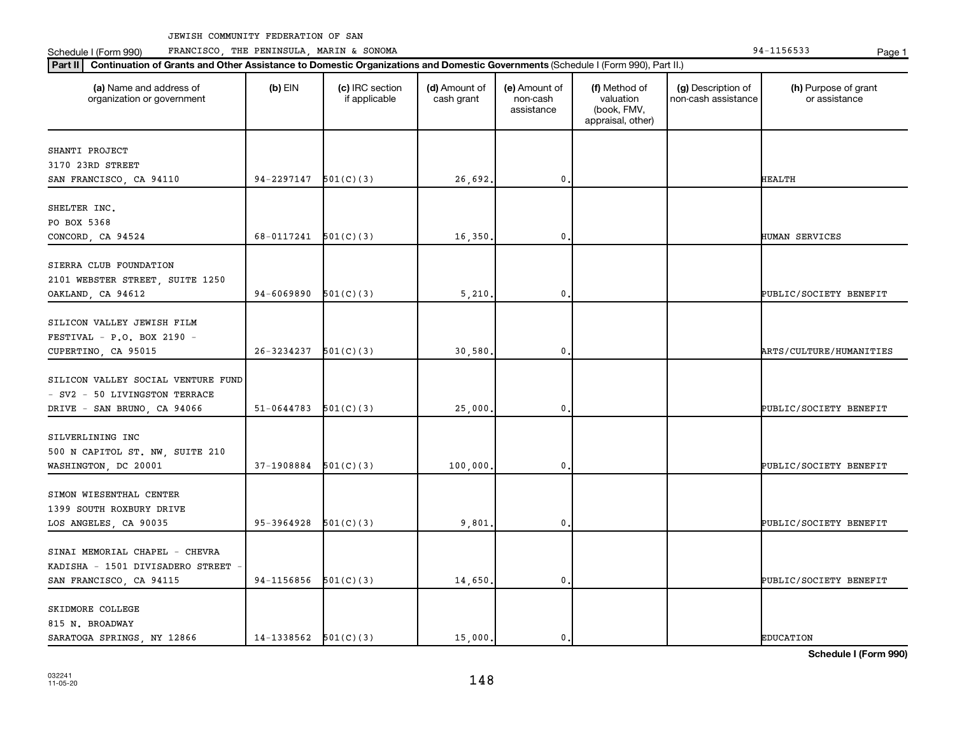Schedule I (Form 990) PRANCISCO, THE PENINSULA, MARIN & SONOMA Page 1 (Form 194-1156533 Page 1

| (a) Name and address of<br>organization or government                                              | $(b)$ EIN                | (c) IRC section<br>if applicable | (d) Amount of<br>cash grant | (e) Amount of<br>non-cash<br>assistance | (f) Method of<br>valuation<br>(book, FMV,<br>appraisal, other) | (g) Description of<br>non-cash assistance | (h) Purpose of grant<br>or assistance |
|----------------------------------------------------------------------------------------------------|--------------------------|----------------------------------|-----------------------------|-----------------------------------------|----------------------------------------------------------------|-------------------------------------------|---------------------------------------|
| SHANTI PROJECT<br>3170 23RD STREET                                                                 |                          |                                  |                             |                                         |                                                                |                                           |                                       |
| SAN FRANCISCO, CA 94110                                                                            | 94-2297147               | 501(C)(3)                        | 26,692.                     | $\mathbf 0$                             |                                                                |                                           | <b>HEALTH</b>                         |
| SHELTER INC.<br>PO BOX 5368<br>CONCORD, CA 94524                                                   | 68-0117241               | 501(C)(3)                        | 16,350                      | $\mathbf 0$                             |                                                                |                                           | HUMAN SERVICES                        |
| SIERRA CLUB FOUNDATION<br>2101 WEBSTER STREET, SUITE 1250<br>OAKLAND, CA 94612                     | 94-6069890               | 501(C)(3)                        | 5,210.                      | $\mathbf 0$                             |                                                                |                                           | PUBLIC/SOCIETY BENEFIT                |
| SILICON VALLEY JEWISH FILM<br>FESTIVAL - P.O. BOX 2190 -<br>CUPERTINO, CA 95015                    | 26-3234237               | 501(C)(3)                        | 30,580                      | 0                                       |                                                                |                                           | ARTS/CULTURE/HUMANITIES               |
| SILICON VALLEY SOCIAL VENTURE FUND<br>- SV2 - 50 LIVINGSTON TERRACE<br>DRIVE - SAN BRUNO, CA 94066 | $51 - 0644783$           | 501(C)(3)                        | 25,000                      | $\mathbf{0}$                            |                                                                |                                           | PUBLIC/SOCIETY BENEFIT                |
| SILVERLINING INC<br>500 N CAPITOL ST. NW, SUITE 210<br>WASHINGTON, DC 20001                        | 37-1908884               | 501(C)(3)                        | 100,000                     | $\mathbf 0$                             |                                                                |                                           | PUBLIC/SOCIETY BENEFIT                |
| SIMON WIESENTHAL CENTER<br>1399 SOUTH ROXBURY DRIVE<br>LOS ANGELES, CA 90035                       | 95-3964928               | 501(C)(3)                        | 9,801                       | 0                                       |                                                                |                                           | PUBLIC/SOCIETY BENEFIT                |
| SINAI MEMORIAL CHAPEL - CHEVRA<br>KADISHA - 1501 DIVISADERO STREET<br>SAN FRANCISCO, CA 94115      | 94-1156856               | 501(C)(3)                        | 14,650                      | $\mathbf 0$                             |                                                                |                                           | PUBLIC/SOCIETY BENEFIT                |
| SKIDMORE COLLEGE<br>815 N. BROADWAY<br>SARATOGA SPRINGS, NY 12866                                  | $14-1338562$ $501(C)(3)$ |                                  | 15,000.                     | 0.                                      |                                                                |                                           | <b>EDUCATION</b>                      |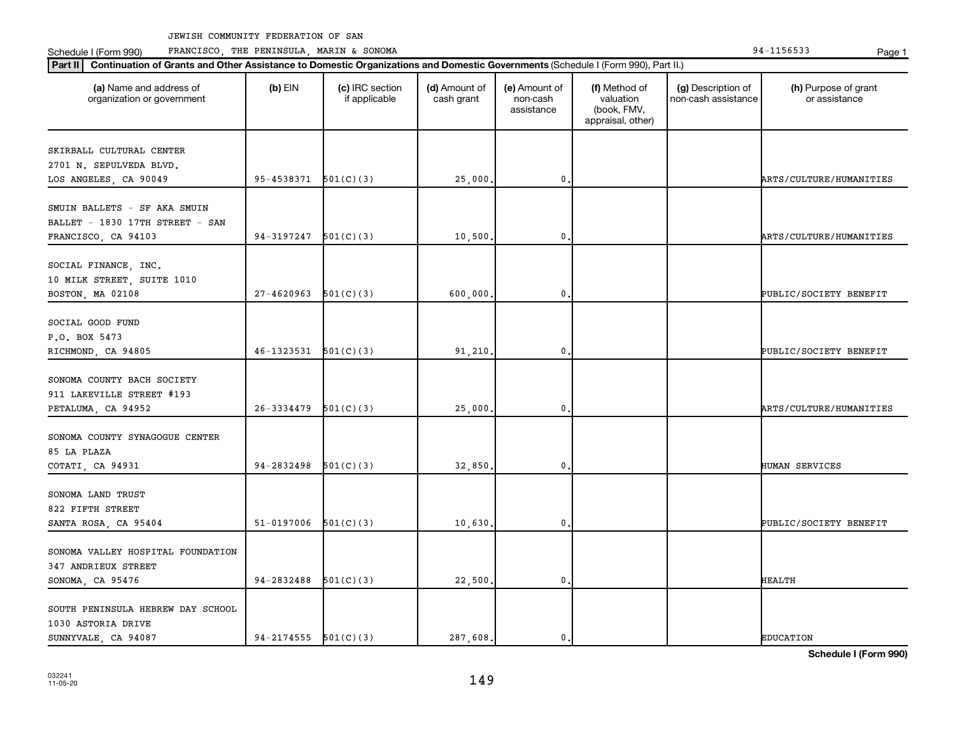Schedule I (Form 990) PRANCISCO, THE PENINSULA, MARIN & SONOMA Page 1 (Form 194-1156533 Page 1

| (a) Name and address of<br>organization or government                                  | $(b)$ EIN                | (c) IRC section<br>if applicable | (d) Amount of<br>cash grant | (e) Amount of<br>non-cash<br>assistance | (f) Method of<br>valuation<br>(book, FMV,<br>appraisal, other) | (g) Description of<br>non-cash assistance | (h) Purpose of grant<br>or assistance |
|----------------------------------------------------------------------------------------|--------------------------|----------------------------------|-----------------------------|-----------------------------------------|----------------------------------------------------------------|-------------------------------------------|---------------------------------------|
| SKIRBALL CULTURAL CENTER<br>2701 N. SEPULVEDA BLVD.                                    |                          |                                  |                             |                                         |                                                                |                                           |                                       |
| LOS ANGELES, CA 90049                                                                  | 95-4538371               | 501(C)(3)                        | 25,000                      | $\mathbf 0$ .                           |                                                                |                                           | ARTS/CULTURE/HUMANITIES               |
| SMUIN BALLETS - SF AKA SMUIN<br>BALLET - 1830 17TH STREET - SAN<br>FRANCISCO, CA 94103 | 94-3197247               | 501(C)(3)                        | 10,500                      | $\mathbf{0}$                            |                                                                |                                           | ARTS/CULTURE/HUMANITIES               |
| SOCIAL FINANCE, INC.<br>10 MILK STREET, SUITE 1010<br>BOSTON, MA 02108                 | 27-4620963               | 501(C)(3)                        | 600,000                     | 0.                                      |                                                                |                                           | PUBLIC/SOCIETY BENEFIT                |
| SOCIAL GOOD FUND<br>P.O. BOX 5473<br>RICHMOND, CA 94805                                | 46-1323531               | 501(C)(3)                        | 91,210                      | 0.                                      |                                                                |                                           | PUBLIC/SOCIETY BENEFIT                |
| SONOMA COUNTY BACH SOCIETY<br>911 LAKEVILLE STREET #193<br>PETALUMA, CA 94952          | 26-3334479               | 501(C)(3)                        | 25,000                      | $\mathbf 0$                             |                                                                |                                           | ARTS/CULTURE/HUMANITIES               |
| SONOMA COUNTY SYNAGOGUE CENTER<br>85 LA PLAZA<br>COTATI, CA 94931                      | 94-2832498               | 501(C)(3)                        | 32,850                      | 0.                                      |                                                                |                                           | HUMAN SERVICES                        |
| SONOMA LAND TRUST<br>822 FIFTH STREET<br>SANTA ROSA, CA 95404                          | 51-0197006               | 501(C)(3)                        | 10,630                      | 0.                                      |                                                                |                                           | PUBLIC/SOCIETY BENEFIT                |
| SONOMA VALLEY HOSPITAL FOUNDATION<br>347 ANDRIEUX STREET<br>SONOMA, CA 95476           | 94-2832488               | 501(C)(3)                        | 22,500                      | 0.                                      |                                                                |                                           | <b>HEALTH</b>                         |
| SOUTH PENINSULA HEBREW DAY SCHOOL<br>1030 ASTORIA DRIVE<br>SUNNYVALE, CA 94087         | $94-2174555$ $501(C)(3)$ |                                  | 287,608.                    | $\mathfrak{o}$ .                        |                                                                |                                           | <b>EDUCATION</b>                      |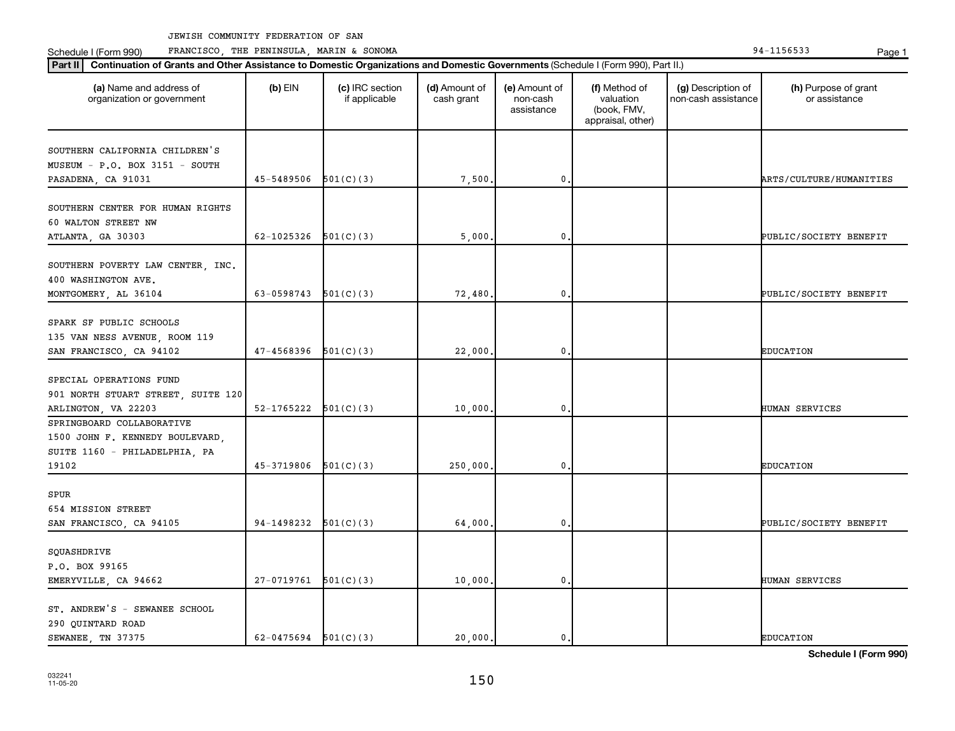Schedule I (Form 990) PRANCISCO, THE PENINSULA, MARIN & SONOMA Page 1 (Form 194-1156533 Page 1

| (a) Name and address of<br>organization or government                                         | $(b)$ EIN                | (c) IRC section<br>if applicable | (d) Amount of<br>cash grant | (e) Amount of<br>non-cash<br>assistance | (f) Method of<br>valuation<br>(book, FMV,<br>appraisal, other) | (g) Description of<br>non-cash assistance | (h) Purpose of grant<br>or assistance |
|-----------------------------------------------------------------------------------------------|--------------------------|----------------------------------|-----------------------------|-----------------------------------------|----------------------------------------------------------------|-------------------------------------------|---------------------------------------|
| SOUTHERN CALIFORNIA CHILDREN'S                                                                |                          |                                  |                             |                                         |                                                                |                                           |                                       |
| MUSEUM - P.O. BOX 3151 - SOUTH                                                                |                          |                                  |                             |                                         |                                                                |                                           |                                       |
| PASADENA, CA 91031                                                                            | 45-5489506               | 501(C)(3)                        | 7,500                       | 0                                       |                                                                |                                           | <b>ARTS/CULTURE/HUMANITIES</b>        |
| SOUTHERN CENTER FOR HUMAN RIGHTS<br>60 WALTON STREET NW                                       |                          |                                  |                             |                                         |                                                                |                                           |                                       |
| ATLANTA, GA 30303                                                                             | 62-1025326               | 501(C)(3)                        | 5,000                       | 0                                       |                                                                |                                           | PUBLIC/SOCIETY BENEFIT                |
| SOUTHERN POVERTY LAW CENTER, INC.<br>400 WASHINGTON AVE.<br>MONTGOMERY, AL 36104              | 63-0598743 $501(C)(3)$   |                                  | 72,480                      | 0                                       |                                                                |                                           | PUBLIC/SOCIETY BENEFIT                |
|                                                                                               |                          |                                  |                             |                                         |                                                                |                                           |                                       |
| SPARK SF PUBLIC SCHOOLS<br>135 VAN NESS AVENUE, ROOM 119<br>SAN FRANCISCO, CA 94102           | 47-4568396               | 501(C)(3)                        | 22,000                      | 0                                       |                                                                |                                           | <b>EDUCATION</b>                      |
|                                                                                               |                          |                                  |                             |                                         |                                                                |                                           |                                       |
| SPECIAL OPERATIONS FUND<br>901 NORTH STUART STREET, SUITE 120                                 |                          |                                  |                             |                                         |                                                                |                                           |                                       |
| ARLINGTON, VA 22203                                                                           | 52-1765222               | 501(C)(3)                        | 10,000                      | 0                                       |                                                                |                                           | HUMAN SERVICES                        |
| SPRINGBOARD COLLABORATIVE<br>1500 JOHN F. KENNEDY BOULEVARD,<br>SUITE 1160 - PHILADELPHIA, PA |                          |                                  |                             |                                         |                                                                |                                           |                                       |
| 19102                                                                                         | 45-3719806               | 501(C)(3)                        | 250,000                     | 0                                       |                                                                |                                           | <b>EDUCATION</b>                      |
| SPUR<br>654 MISSION STREET                                                                    |                          |                                  |                             |                                         |                                                                |                                           |                                       |
| SAN FRANCISCO, CA 94105                                                                       | $94-1498232$ $501(C)(3)$ |                                  | 64,000                      | $\mathbf 0$                             |                                                                |                                           | PUBLIC/SOCIETY BENEFIT                |
| SQUASHDRIVE<br>P.O. BOX 99165                                                                 |                          |                                  |                             |                                         |                                                                |                                           |                                       |
| EMERYVILLE, CA 94662                                                                          | $27-0719761$ $501(C)(3)$ |                                  | 10,000.                     | $\mathbf 0$                             |                                                                |                                           | HUMAN SERVICES                        |
| ST. ANDREW'S - SEWANEE SCHOOL<br>290 QUINTARD ROAD<br>SEWANEE, TN 37375                       | 62-0475694 $501(C)(3)$   |                                  | 20,000.                     | 0.                                      |                                                                |                                           | <b>EDUCATION</b>                      |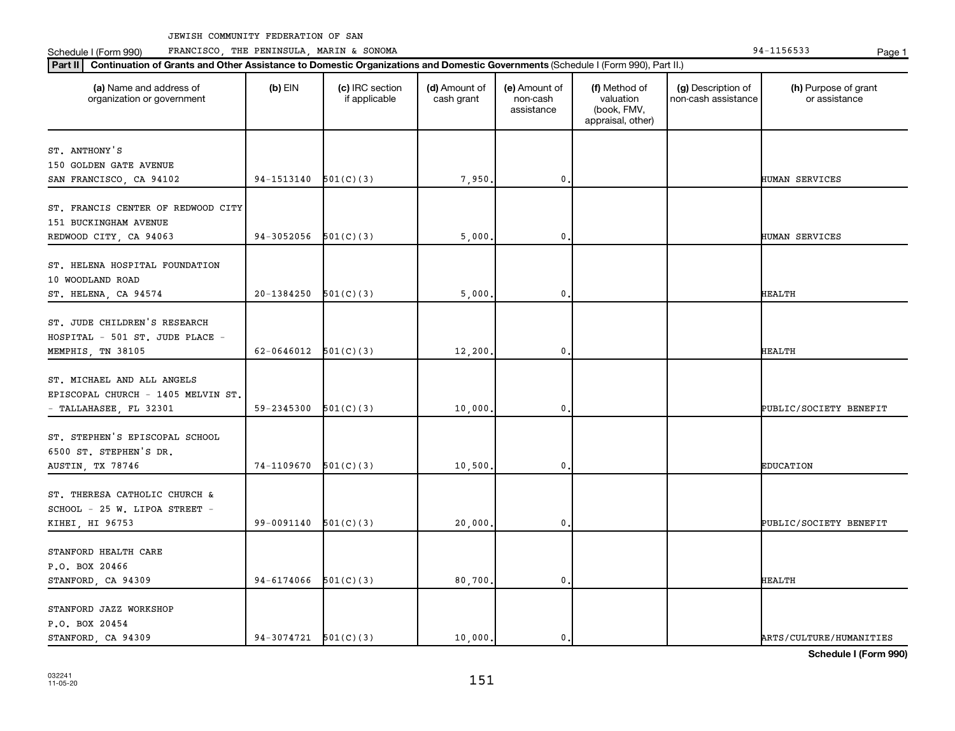Schedule I (Form 990) PRANCISCO, THE PENINSULA, MARIN & SONOMA Page 1 (Form 194-1156533 Page 1

| (a) Name and address of<br>organization or government                                | $(b)$ EIN                | (c) IRC section<br>if applicable | (d) Amount of<br>cash grant | (e) Amount of<br>non-cash<br>assistance | (f) Method of<br>valuation<br>(book, FMV,<br>appraisal, other) | (g) Description of<br>non-cash assistance | (h) Purpose of grant<br>or assistance |
|--------------------------------------------------------------------------------------|--------------------------|----------------------------------|-----------------------------|-----------------------------------------|----------------------------------------------------------------|-------------------------------------------|---------------------------------------|
| ST. ANTHONY'S                                                                        |                          |                                  |                             |                                         |                                                                |                                           |                                       |
| 150 GOLDEN GATE AVENUE                                                               |                          |                                  |                             |                                         |                                                                |                                           |                                       |
| SAN FRANCISCO, CA 94102                                                              | 94-1513140               | 501(C)(3)                        | 7,950.                      | $\mathbf 0$                             |                                                                |                                           | HUMAN SERVICES                        |
| ST. FRANCIS CENTER OF REDWOOD CITY<br>151 BUCKINGHAM AVENUE                          |                          |                                  |                             |                                         |                                                                |                                           |                                       |
| REDWOOD CITY, CA 94063                                                               | 94-3052056               | 501(C)(3)                        | 5,000                       | 0                                       |                                                                |                                           | HUMAN SERVICES                        |
| ST. HELENA HOSPITAL FOUNDATION<br>10 WOODLAND ROAD<br>ST. HELENA, CA 94574           | 20-1384250               | 501(C)(3)                        | 5,000                       | 0.                                      |                                                                |                                           | HEALTH                                |
|                                                                                      |                          |                                  |                             |                                         |                                                                |                                           |                                       |
| ST. JUDE CHILDREN'S RESEARCH<br>HOSPITAL - 501 ST. JUDE PLACE -<br>MEMPHIS, TN 38105 | $62-0646012$ $501(C)(3)$ |                                  | 12,200                      | $\mathbf 0$                             |                                                                |                                           | HEALTH                                |
|                                                                                      |                          |                                  |                             |                                         |                                                                |                                           |                                       |
| ST. MICHAEL AND ALL ANGELS<br>EPISCOPAL CHURCH - 1405 MELVIN ST.                     |                          |                                  |                             |                                         |                                                                |                                           |                                       |
| - TALLAHASEE, FL 32301                                                               | 59-2345300               | 501(C)(3)                        | 10,000                      | $\mathbf 0$                             |                                                                |                                           | PUBLIC/SOCIETY BENEFIT                |
| ST. STEPHEN'S EPISCOPAL SCHOOL<br>6500 ST. STEPHEN'S DR.<br>AUSTIN, TX 78746         | 74-1109670               | 501(C)(3)                        | 10,500.                     | 0                                       |                                                                |                                           | <b>EDUCATION</b>                      |
|                                                                                      |                          |                                  |                             |                                         |                                                                |                                           |                                       |
| ST. THERESA CATHOLIC CHURCH &<br>SCHOOL - 25 W. LIPOA STREET -<br>KIHEI, HI 96753    | 99-0091140               | 501(C)(3)                        | 20,000                      | 0.                                      |                                                                |                                           | PUBLIC/SOCIETY BENEFIT                |
|                                                                                      |                          |                                  |                             |                                         |                                                                |                                           |                                       |
| STANFORD HEALTH CARE                                                                 |                          |                                  |                             |                                         |                                                                |                                           |                                       |
| P.O. BOX 20466<br>STANFORD, CA 94309                                                 | 94-6174066               | 501(C)(3)                        | 80,700.                     | 0.                                      |                                                                |                                           | HEALTH                                |
|                                                                                      |                          |                                  |                             |                                         |                                                                |                                           |                                       |
| STANFORD JAZZ WORKSHOP                                                               |                          |                                  |                             |                                         |                                                                |                                           |                                       |
| P.O. BOX 20454                                                                       |                          |                                  |                             |                                         |                                                                |                                           |                                       |
| STANFORD, CA 94309                                                                   | $94-3074721$ $501(C)(3)$ |                                  | 10,000.                     | $\mathbf{0}$ .                          |                                                                |                                           | ARTS/CULTURE/HUMANITIES               |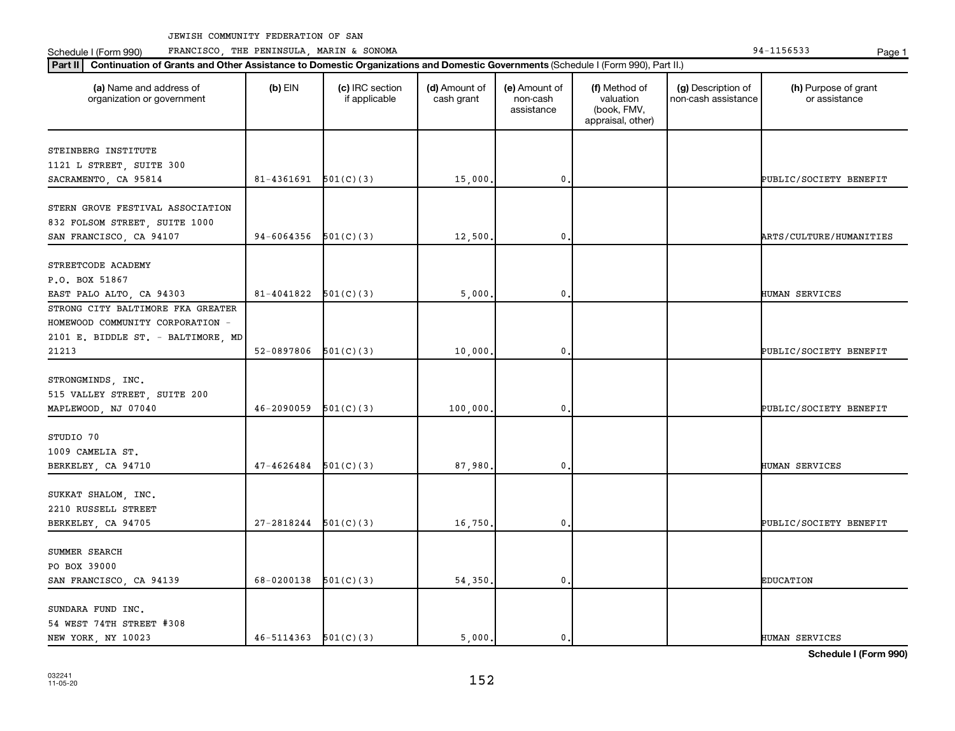Schedule I (Form 990) PRANCISCO, THE PENINSULA, MARIN & SONOMA Page 1 (Form 194-1156533 Page 1

| Part II   Continuation of Grants and Other Assistance to Domestic Organizations and Domestic Governments (Schedule I (Form 990), Part II.) |            |                                  |                             |                                         |                                                                |                                           |                                       |
|--------------------------------------------------------------------------------------------------------------------------------------------|------------|----------------------------------|-----------------------------|-----------------------------------------|----------------------------------------------------------------|-------------------------------------------|---------------------------------------|
| (a) Name and address of<br>organization or government                                                                                      | $(b)$ EIN  | (c) IRC section<br>if applicable | (d) Amount of<br>cash grant | (e) Amount of<br>non-cash<br>assistance | (f) Method of<br>valuation<br>(book, FMV,<br>appraisal, other) | (g) Description of<br>non-cash assistance | (h) Purpose of grant<br>or assistance |
| STEINBERG INSTITUTE                                                                                                                        |            |                                  |                             |                                         |                                                                |                                           |                                       |
| 1121 L STREET, SUITE 300                                                                                                                   |            |                                  |                             |                                         |                                                                |                                           |                                       |
| SACRAMENTO, CA 95814                                                                                                                       | 81-4361691 | 501(C)(3)                        | 15,000                      | $\mathbf 0$                             |                                                                |                                           | PUBLIC/SOCIETY BENEFIT                |
|                                                                                                                                            |            |                                  |                             |                                         |                                                                |                                           |                                       |
| STERN GROVE FESTIVAL ASSOCIATION                                                                                                           |            |                                  |                             |                                         |                                                                |                                           |                                       |
| 832 FOLSOM STREET, SUITE 1000                                                                                                              |            |                                  |                             |                                         |                                                                |                                           |                                       |
| SAN FRANCISCO, CA 94107                                                                                                                    | 94-6064356 | 501(C)(3)                        | 12,500                      | 0                                       |                                                                |                                           | ARTS/CULTURE/HUMANITIES               |
|                                                                                                                                            |            |                                  |                             |                                         |                                                                |                                           |                                       |
| STREETCODE ACADEMY                                                                                                                         |            |                                  |                             |                                         |                                                                |                                           |                                       |
| P.O. BOX 51867                                                                                                                             |            |                                  |                             |                                         |                                                                |                                           |                                       |
| EAST PALO ALTO, CA 94303                                                                                                                   | 81-4041822 | 501(C)(3)                        | 5,000                       | 0                                       |                                                                |                                           | HUMAN SERVICES                        |
| STRONG CITY BALTIMORE FKA GREATER                                                                                                          |            |                                  |                             |                                         |                                                                |                                           |                                       |
| HOMEWOOD COMMUNITY CORPORATION -                                                                                                           |            |                                  |                             |                                         |                                                                |                                           |                                       |
| 2101 E. BIDDLE ST. - BALTIMORE, MD                                                                                                         |            |                                  |                             |                                         |                                                                |                                           |                                       |
| 21213                                                                                                                                      | 52-0897806 | 501(C)(3)                        | 10,000                      | $\mathbf 0$                             |                                                                |                                           | PUBLIC/SOCIETY BENEFIT                |
|                                                                                                                                            |            |                                  |                             |                                         |                                                                |                                           |                                       |
| STRONGMINDS, INC.                                                                                                                          |            |                                  |                             |                                         |                                                                |                                           |                                       |
| 515 VALLEY STREET, SUITE 200                                                                                                               |            |                                  |                             |                                         |                                                                |                                           |                                       |
| MAPLEWOOD, NJ 07040                                                                                                                        | 46-2090059 | 501(C)(3)                        | 100,000                     | 0                                       |                                                                |                                           | PUBLIC/SOCIETY BENEFIT                |
|                                                                                                                                            |            |                                  |                             |                                         |                                                                |                                           |                                       |
| STUDIO 70                                                                                                                                  |            |                                  |                             |                                         |                                                                |                                           |                                       |
| 1009 CAMELIA ST.                                                                                                                           |            |                                  |                             |                                         |                                                                |                                           |                                       |
| BERKELEY, CA 94710                                                                                                                         | 47-4626484 | 501(C)(3)                        | 87,980                      | 0                                       |                                                                |                                           | HUMAN SERVICES                        |
|                                                                                                                                            |            |                                  |                             |                                         |                                                                |                                           |                                       |
| SUKKAT SHALOM, INC.                                                                                                                        |            |                                  |                             |                                         |                                                                |                                           |                                       |
| 2210 RUSSELL STREET                                                                                                                        |            |                                  |                             |                                         |                                                                |                                           |                                       |
| BERKELEY, CA 94705                                                                                                                         | 27-2818244 | 501(C)(3)                        | 16,750                      | $\mathbf 0$                             |                                                                |                                           | PUBLIC/SOCIETY BENEFIT                |
|                                                                                                                                            |            |                                  |                             |                                         |                                                                |                                           |                                       |
| SUMMER SEARCH                                                                                                                              |            |                                  |                             |                                         |                                                                |                                           |                                       |
| PO BOX 39000                                                                                                                               |            |                                  |                             |                                         |                                                                |                                           |                                       |
| SAN FRANCISCO, CA 94139                                                                                                                    | 68-0200138 | 501(C)(3)                        | 54,350.                     | 0                                       |                                                                |                                           | <b>EDUCATION</b>                      |
|                                                                                                                                            |            |                                  |                             |                                         |                                                                |                                           |                                       |
| SUNDARA FUND INC.                                                                                                                          |            |                                  |                             |                                         |                                                                |                                           |                                       |
| 54 WEST 74TH STREET #308                                                                                                                   |            |                                  |                             |                                         |                                                                |                                           |                                       |
| NEW YORK, NY 10023                                                                                                                         | 46-5114363 | 501(C)(3)                        | 5.000.                      | 0.                                      |                                                                |                                           | HUMAN SERVICES                        |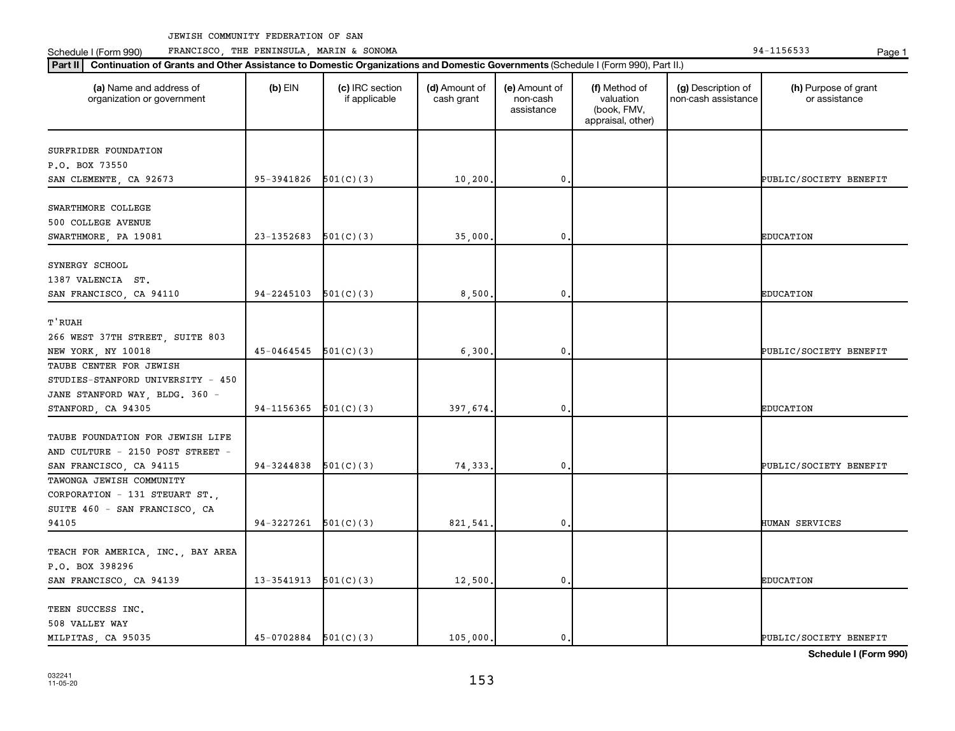Schedule I (Form 990) PRANCISCO, THE PENINSULA, MARIN & SONOMA Page 1 (Form 194-1156533 Page 1

| (a) Name and address of<br>organization or government | $(b)$ EIN                | (c) IRC section<br>if applicable | (d) Amount of<br>cash grant | (e) Amount of<br>non-cash<br>assistance | (f) Method of<br>valuation<br>(book, FMV,<br>appraisal, other) | (g) Description of<br>non-cash assistance | (h) Purpose of grant<br>or assistance |
|-------------------------------------------------------|--------------------------|----------------------------------|-----------------------------|-----------------------------------------|----------------------------------------------------------------|-------------------------------------------|---------------------------------------|
| SURFRIDER FOUNDATION                                  |                          |                                  |                             |                                         |                                                                |                                           |                                       |
| P.O. BOX 73550                                        |                          |                                  |                             |                                         |                                                                |                                           |                                       |
| SAN CLEMENTE, CA 92673                                | 95-3941826               | 501(C)(3)                        | 10, 200                     | $\mathbf 0$ .                           |                                                                |                                           | PUBLIC/SOCIETY BENEFIT                |
|                                                       |                          |                                  |                             |                                         |                                                                |                                           |                                       |
| SWARTHMORE COLLEGE                                    |                          |                                  |                             |                                         |                                                                |                                           |                                       |
| 500 COLLEGE AVENUE                                    |                          |                                  |                             |                                         |                                                                |                                           |                                       |
| SWARTHMORE, PA 19081                                  | 23-1352683               | 501(C)(3)                        | 35,000.                     | 0                                       |                                                                |                                           | <b>EDUCATION</b>                      |
|                                                       |                          |                                  |                             |                                         |                                                                |                                           |                                       |
| SYNERGY SCHOOL                                        |                          |                                  |                             |                                         |                                                                |                                           |                                       |
| 1387 VALENCIA ST.                                     |                          |                                  |                             |                                         |                                                                |                                           |                                       |
| SAN FRANCISCO, CA 94110                               | 94-2245103               | 501(C)(3)                        | 8,500.                      | $\mathbf 0$ .                           |                                                                |                                           | <b>EDUCATION</b>                      |
|                                                       |                          |                                  |                             |                                         |                                                                |                                           |                                       |
| T'RUAH                                                |                          |                                  |                             |                                         |                                                                |                                           |                                       |
| 266 WEST 37TH STREET, SUITE 803                       |                          |                                  |                             |                                         |                                                                |                                           |                                       |
| NEW YORK, NY 10018                                    | $45-0464545$ $501(C)(3)$ |                                  | 6,300.                      | $\mathbf 0$                             |                                                                |                                           | PUBLIC/SOCIETY BENEFIT                |
| TAUBE CENTER FOR JEWISH                               |                          |                                  |                             |                                         |                                                                |                                           |                                       |
| STUDIES-STANFORD UNIVERSITY - 450                     |                          |                                  |                             |                                         |                                                                |                                           |                                       |
| JANE STANFORD WAY, BLDG. 360 -                        |                          |                                  |                             |                                         |                                                                |                                           |                                       |
| STANFORD, CA 94305                                    | 94-1156365               | 501(C)(3)                        | 397,674.                    | 0.                                      |                                                                |                                           | <b>EDUCATION</b>                      |
|                                                       |                          |                                  |                             |                                         |                                                                |                                           |                                       |
| TAUBE FOUNDATION FOR JEWISH LIFE                      |                          |                                  |                             |                                         |                                                                |                                           |                                       |
| AND CULTURE - 2150 POST STREET -                      |                          |                                  |                             |                                         |                                                                |                                           |                                       |
| SAN FRANCISCO, CA 94115                               | 94-3244838               | 501(C)(3)                        | 74,333.                     | 0                                       |                                                                |                                           | PUBLIC/SOCIETY BENEFIT                |
| TAWONGA JEWISH COMMUNITY                              |                          |                                  |                             |                                         |                                                                |                                           |                                       |
| CORPORATION - 131 STEUART ST.,                        |                          |                                  |                             |                                         |                                                                |                                           |                                       |
| SUITE 460 - SAN FRANCISCO, CA                         |                          |                                  |                             |                                         |                                                                |                                           |                                       |
| 94105                                                 | $94-3227261$ $501(C)(3)$ |                                  | 821,541.                    | 0.                                      |                                                                |                                           | HUMAN SERVICES                        |
|                                                       |                          |                                  |                             |                                         |                                                                |                                           |                                       |
| TEACH FOR AMERICA, INC., BAY AREA                     |                          |                                  |                             |                                         |                                                                |                                           |                                       |
| P.O. BOX 398296                                       |                          |                                  |                             |                                         |                                                                |                                           |                                       |
| SAN FRANCISCO, CA 94139                               | 13-3541913               | 501(C)(3)                        | 12,500.                     | 0.                                      |                                                                |                                           | <b>EDUCATION</b>                      |
|                                                       |                          |                                  |                             |                                         |                                                                |                                           |                                       |
| TEEN SUCCESS INC.                                     |                          |                                  |                             |                                         |                                                                |                                           |                                       |
| 508 VALLEY WAY                                        |                          |                                  |                             |                                         |                                                                |                                           |                                       |
| MILPITAS, CA 95035                                    | $45-0702884$ $501(C)(3)$ |                                  | 105,000.                    | $\mathbf{0}$ .                          |                                                                |                                           | PUBLIC/SOCIETY BENEFIT                |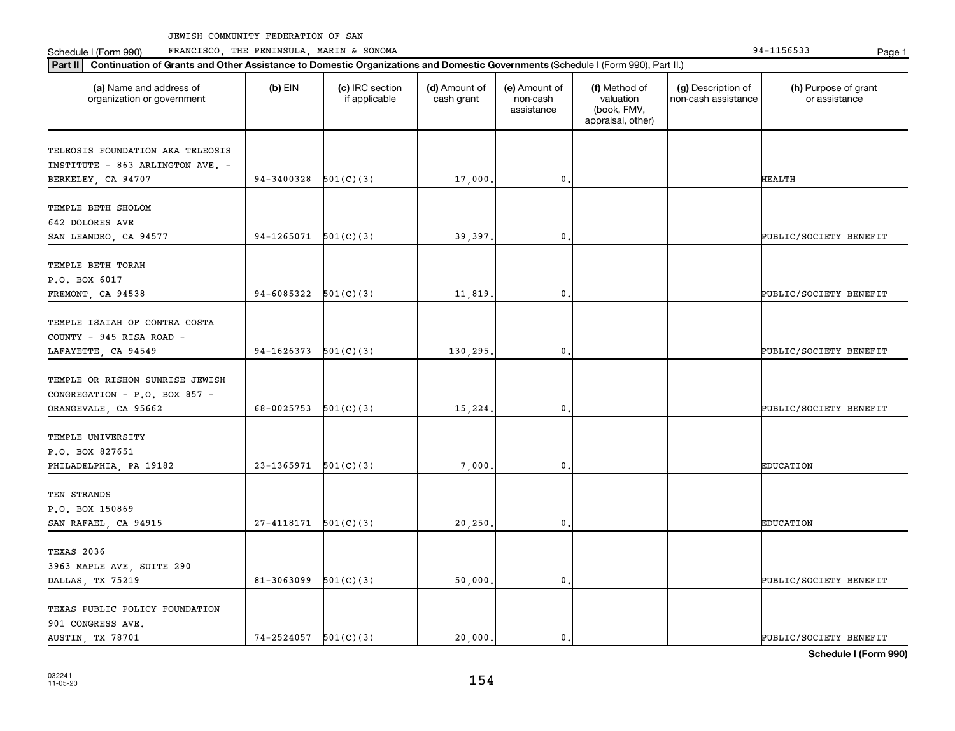Schedule I (Form 990) PRANCISCO, THE PENINSULA, MARIN & SONOMA Page 1 (Form 194-1156533 Page 1

| (a) Name and address of<br>organization or government                   | $(b)$ EIN                  | (c) IRC section<br>if applicable | (d) Amount of<br>cash grant | (e) Amount of<br>non-cash<br>assistance | (f) Method of<br>valuation<br>(book, FMV,<br>appraisal, other) | (g) Description of<br>non-cash assistance | (h) Purpose of grant<br>or assistance |
|-------------------------------------------------------------------------|----------------------------|----------------------------------|-----------------------------|-----------------------------------------|----------------------------------------------------------------|-------------------------------------------|---------------------------------------|
| TELEOSIS FOUNDATION AKA TELEOSIS<br>INSTITUTE - 863 ARLINGTON AVE. -    |                            |                                  |                             |                                         |                                                                |                                           |                                       |
| BERKELEY, CA 94707                                                      | 94-3400328                 | 501(C)(3)                        | 17,000                      | $\mathbf{0}$                            |                                                                |                                           | <b>HEALTH</b>                         |
| TEMPLE BETH SHOLOM<br>642 DOLORES AVE<br>SAN LEANDRO, CA 94577          | 94-1265071                 | 501(C)(3)                        | 39,397                      | 0                                       |                                                                |                                           | PUBLIC/SOCIETY BENEFIT                |
|                                                                         |                            |                                  |                             |                                         |                                                                |                                           |                                       |
| TEMPLE BETH TORAH<br>P.O. BOX 6017                                      | 94-6085322                 | 501(C)(3)                        |                             | $\mathbf 0$                             |                                                                |                                           | PUBLIC/SOCIETY BENEFIT                |
| FREMONT, CA 94538                                                       |                            |                                  | 11,819                      |                                         |                                                                |                                           |                                       |
| TEMPLE ISAIAH OF CONTRA COSTA<br>COUNTY - 945 RISA ROAD -               |                            |                                  |                             |                                         |                                                                |                                           |                                       |
| LAFAYETTE, CA 94549                                                     | 94-1626373                 | 501(C)(3)                        | 130,295                     | 0                                       |                                                                |                                           | PUBLIC/SOCIETY BENEFIT                |
| TEMPLE OR RISHON SUNRISE JEWISH<br>CONGREGATION - P.O. BOX 857 -        |                            |                                  |                             |                                         |                                                                |                                           |                                       |
| ORANGEVALE, CA 95662                                                    | 68-0025753                 | 501(C)(3)                        | 15,224.                     | $\mathbf 0$                             |                                                                |                                           | PUBLIC/SOCIETY BENEFIT                |
| TEMPLE UNIVERSITY<br>P.O. BOX 827651<br>PHILADELPHIA, PA 19182          | 23-1365971                 | 501(C)(3)                        | 7,000                       | 0                                       |                                                                |                                           | <b>EDUCATION</b>                      |
| TEN STRANDS<br>P.O. BOX 150869                                          |                            |                                  |                             |                                         |                                                                |                                           |                                       |
| SAN RAFAEL, CA 94915                                                    | 27-4118171                 | 501(C)(3)                        | 20, 250.                    | $\mathbf 0$                             |                                                                |                                           | <b>EDUCATION</b>                      |
| TEXAS 2036<br>3963 MAPLE AVE, SUITE 290                                 |                            |                                  |                             |                                         |                                                                |                                           |                                       |
| DALLAS, TX 75219                                                        | 81-3063099                 | 501(C)(3)                        | 50,000,                     | $\mathbf 0$                             |                                                                |                                           | PUBLIC/SOCIETY BENEFIT                |
| TEXAS PUBLIC POLICY FOUNDATION<br>901 CONGRESS AVE.<br>AUSTIN, TX 78701 | $74 - 2524057$ $501(C)(3)$ |                                  | 20,000.                     | 0.                                      |                                                                |                                           | PUBLIC/SOCIETY BENEFIT                |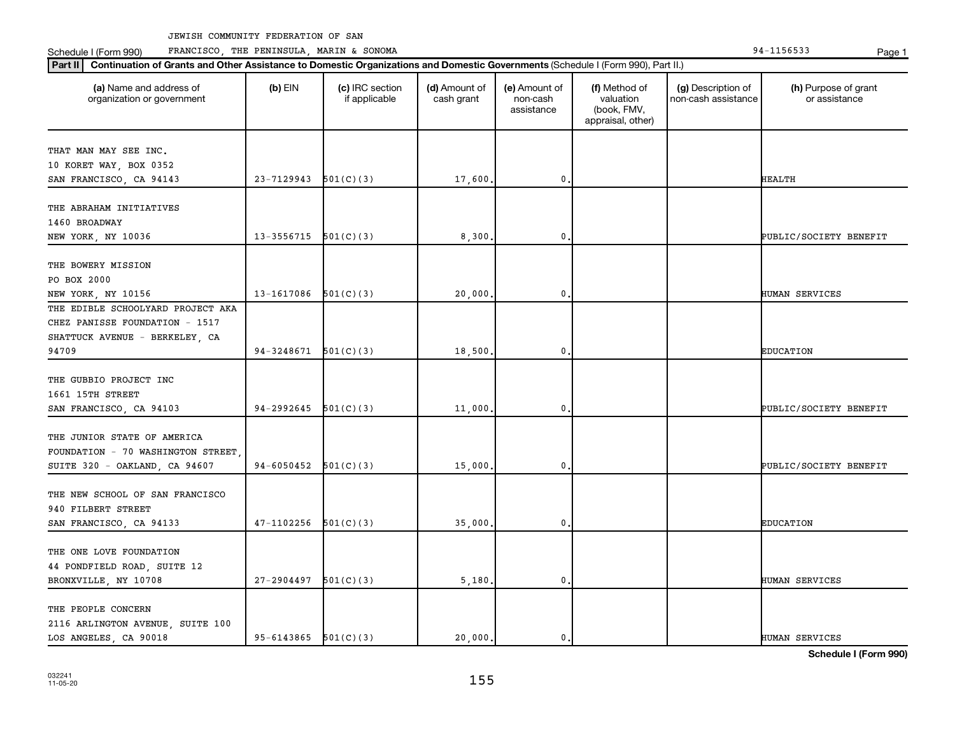**Part II Continuation of Grants and Other Assistance to Domestic Organizations and Domestic Governments**  (Schedule I (Form 990), Part II.)

Schedule I (Form 990) PRANCISCO, THE PENINSULA, MARIN & SONOMA Page 1 (Form 194-1156533 Page 1

| (a) Name and address of   | $(b)$ EIN | (c) IRC section | (d) Amount of | <b>(e)</b> Amount of | (f) Method of | (g) Description of     | (h) |
|---------------------------|-----------|-----------------|---------------|----------------------|---------------|------------------------|-----|
| rganization or government |           | f applicable    | cash grant    | non-cash             | valuation     | Thon-cash assistance L |     |
|                           |           |                 |               | -----------          |               |                        |     |

| organization or government               |                            | if applicable | cash grant | non-cash<br>assistance | valuation<br>(book, FMV,<br>appraisal, other) | non-cash assistance | or assistance          |
|------------------------------------------|----------------------------|---------------|------------|------------------------|-----------------------------------------------|---------------------|------------------------|
| THAT MAN MAY SEE INC.                    |                            |               |            |                        |                                               |                     |                        |
| 10 KORET WAY, BOX 0352                   |                            |               |            |                        |                                               |                     |                        |
| SAN FRANCISCO, CA 94143                  | $23-7129943$ $501(C)(3)$   |               | 17,600.    | $\mathbf 0$ .          |                                               |                     | <b>HEALTH</b>          |
|                                          |                            |               |            |                        |                                               |                     |                        |
| THE ABRAHAM INITIATIVES<br>1460 BROADWAY |                            |               |            |                        |                                               |                     |                        |
| <b>NEW YORK, NY 10036</b>                | 13-3556715                 | 501(C)(3)     | 8,300      | 0                      |                                               |                     | PUBLIC/SOCIETY BENEFIT |
|                                          |                            |               |            |                        |                                               |                     |                        |
| THE BOWERY MISSION                       |                            |               |            |                        |                                               |                     |                        |
| PO BOX 2000                              |                            |               |            |                        |                                               |                     |                        |
| NEW YORK, NY 10156                       | 13-1617086                 | 501(C)(3)     | 20,000     | 0                      |                                               |                     | HUMAN SERVICES         |
| THE EDIBLE SCHOOLYARD PROJECT AKA        |                            |               |            |                        |                                               |                     |                        |
| CHEZ PANISSE FOUNDATION - 1517           |                            |               |            |                        |                                               |                     |                        |
| SHATTUCK AVENUE - BERKELEY, CA           |                            |               |            |                        |                                               |                     |                        |
| 94709                                    | 94-3248671                 | 501(C)(3)     | 18,500     | 0                      |                                               |                     | <b>EDUCATION</b>       |
| THE GUBBIO PROJECT INC                   |                            |               |            |                        |                                               |                     |                        |
| 1661 15TH STREET                         |                            |               |            |                        |                                               |                     |                        |
| SAN FRANCISCO, CA 94103                  | 94-2992645                 | 501(C)(3)     | 11,000     | 0                      |                                               |                     | PUBLIC/SOCIETY BENEFIT |
|                                          |                            |               |            |                        |                                               |                     |                        |
| THE JUNIOR STATE OF AMERICA              |                            |               |            |                        |                                               |                     |                        |
| FOUNDATION - 70 WASHINGTON STREET        |                            |               |            |                        |                                               |                     |                        |
| SUITE 320 - OAKLAND, CA 94607            | 94-6050452                 | 501(C)(3)     | 15,000.    | 0.                     |                                               |                     | PUBLIC/SOCIETY BENEFIT |
| THE NEW SCHOOL OF SAN FRANCISCO          |                            |               |            |                        |                                               |                     |                        |
| 940 FILBERT STREET                       |                            |               |            |                        |                                               |                     |                        |
| SAN FRANCISCO, CA 94133                  | 47-1102256                 | 501(C)(3)     | 35,000     | 0                      |                                               |                     | <b>EDUCATION</b>       |
|                                          |                            |               |            |                        |                                               |                     |                        |
| THE ONE LOVE FOUNDATION                  |                            |               |            |                        |                                               |                     |                        |
| 44 PONDFIELD ROAD, SUITE 12              |                            |               |            |                        |                                               |                     |                        |
| BRONXVILLE, NY 10708                     | $27-2904497$ 501(C)(3)     |               | 5,180.     | $\mathbf{0}$           |                                               |                     | HUMAN SERVICES         |
| THE PEOPLE CONCERN                       |                            |               |            |                        |                                               |                     |                        |
| 2116 ARLINGTON AVENUE, SUITE 100         |                            |               |            |                        |                                               |                     |                        |
| LOS ANGELES, CA 90018                    | $95 - 6143865$ $501(C)(3)$ |               | 20,000.    | 0.                     |                                               |                     | HUMAN SERVICES         |
|                                          |                            |               |            |                        |                                               |                     |                        |

**Schedule I (Form 990)**

(h) Purpose of grant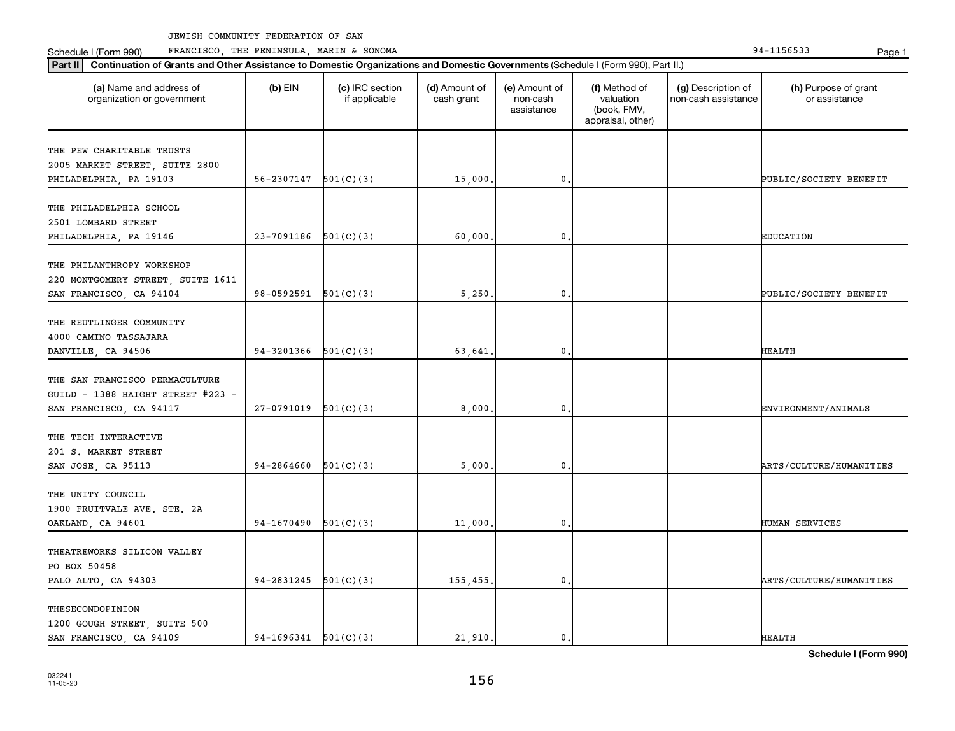Schedule I (Form 990) PRANCISCO, THE PENINSULA, MARIN & SONOMA Page 1 (Form 194-1156533 Page 1

| Part II   Continuation of Grants and Other Assistance to Domestic Organizations and Domestic Governments (Schedule I (Form 990), Part II.) |                          |                                  |                             |                                         |                                                                |                                           |                                       |
|--------------------------------------------------------------------------------------------------------------------------------------------|--------------------------|----------------------------------|-----------------------------|-----------------------------------------|----------------------------------------------------------------|-------------------------------------------|---------------------------------------|
| (a) Name and address of<br>organization or government                                                                                      | $(b)$ EIN                | (c) IRC section<br>if applicable | (d) Amount of<br>cash grant | (e) Amount of<br>non-cash<br>assistance | (f) Method of<br>valuation<br>(book, FMV,<br>appraisal, other) | (g) Description of<br>non-cash assistance | (h) Purpose of grant<br>or assistance |
| THE PEW CHARITABLE TRUSTS                                                                                                                  |                          |                                  |                             |                                         |                                                                |                                           |                                       |
| 2005 MARKET STREET, SUITE 2800                                                                                                             |                          |                                  |                             |                                         |                                                                |                                           |                                       |
| PHILADELPHIA, PA 19103                                                                                                                     | 56-2307147               | 501(C)(3)                        | 15,000.                     | $\mathbf 0$                             |                                                                |                                           | PUBLIC/SOCIETY BENEFIT                |
|                                                                                                                                            |                          |                                  |                             |                                         |                                                                |                                           |                                       |
| THE PHILADELPHIA SCHOOL                                                                                                                    |                          |                                  |                             |                                         |                                                                |                                           |                                       |
| 2501 LOMBARD STREET                                                                                                                        |                          |                                  |                             |                                         |                                                                |                                           |                                       |
| PHILADELPHIA, PA 19146                                                                                                                     | 23-7091186               | 501(C)(3)                        | 60,000                      | $\mathbf 0$                             |                                                                |                                           | <b>EDUCATION</b>                      |
|                                                                                                                                            |                          |                                  |                             |                                         |                                                                |                                           |                                       |
| THE PHILANTHROPY WORKSHOP                                                                                                                  |                          |                                  |                             |                                         |                                                                |                                           |                                       |
| 220 MONTGOMERY STREET, SUITE 1611                                                                                                          |                          |                                  |                             |                                         |                                                                |                                           |                                       |
| SAN FRANCISCO, CA 94104                                                                                                                    | 98-0592591               | 501(C)(3)                        | 5,250.                      | $\mathbf 0$                             |                                                                |                                           | PUBLIC/SOCIETY BENEFIT                |
|                                                                                                                                            |                          |                                  |                             |                                         |                                                                |                                           |                                       |
| THE REUTLINGER COMMUNITY                                                                                                                   |                          |                                  |                             |                                         |                                                                |                                           |                                       |
| 4000 CAMINO TASSAJARA                                                                                                                      | 94-3201366               | 501(C)(3)                        |                             | 0,                                      |                                                                |                                           | <b>HEALTH</b>                         |
| DANVILLE, CA 94506                                                                                                                         |                          |                                  | 63,641.                     |                                         |                                                                |                                           |                                       |
| THE SAN FRANCISCO PERMACULTURE                                                                                                             |                          |                                  |                             |                                         |                                                                |                                           |                                       |
| GUILD - 1388 HAIGHT STREET #223 -                                                                                                          |                          |                                  |                             |                                         |                                                                |                                           |                                       |
| SAN FRANCISCO, CA 94117                                                                                                                    | 27-0791019               | 501(C)(3)                        | 8,000.                      | $\mathbf 0$                             |                                                                |                                           | ENVIRONMENT/ANIMALS                   |
|                                                                                                                                            |                          |                                  |                             |                                         |                                                                |                                           |                                       |
| THE TECH INTERACTIVE                                                                                                                       |                          |                                  |                             |                                         |                                                                |                                           |                                       |
| 201 S. MARKET STREET                                                                                                                       |                          |                                  |                             |                                         |                                                                |                                           |                                       |
| SAN JOSE, CA 95113                                                                                                                         | 94-2864660               | 501(C)(3)                        | 5,000                       | $\mathbf{0}$                            |                                                                |                                           | ARTS/CULTURE/HUMANITIES               |
|                                                                                                                                            |                          |                                  |                             |                                         |                                                                |                                           |                                       |
| THE UNITY COUNCIL                                                                                                                          |                          |                                  |                             |                                         |                                                                |                                           |                                       |
| 1900 FRUITVALE AVE. STE. 2A                                                                                                                |                          |                                  |                             |                                         |                                                                |                                           |                                       |
| OAKLAND, CA 94601                                                                                                                          | $94-1670490$ $501(C)(3)$ |                                  | 11,000.                     | 0.                                      |                                                                |                                           | HUMAN SERVICES                        |
|                                                                                                                                            |                          |                                  |                             |                                         |                                                                |                                           |                                       |
| THEATREWORKS SILICON VALLEY                                                                                                                |                          |                                  |                             |                                         |                                                                |                                           |                                       |
| PO BOX 50458                                                                                                                               |                          |                                  |                             |                                         |                                                                |                                           |                                       |
| PALO ALTO, CA 94303                                                                                                                        | $94-2831245$ $501(C)(3)$ |                                  | 155,455.                    | 0.                                      |                                                                |                                           | ARTS/CULTURE/HUMANITIES               |
| THESECONDOPINION                                                                                                                           |                          |                                  |                             |                                         |                                                                |                                           |                                       |
| 1200 GOUGH STREET, SUITE 500                                                                                                               |                          |                                  |                             |                                         |                                                                |                                           |                                       |
| SAN FRANCISCO, CA 94109                                                                                                                    | $94-1696341$ $501(C)(3)$ |                                  | 21,910.                     | 0.                                      |                                                                |                                           | <b>HEALTH</b>                         |
|                                                                                                                                            |                          |                                  |                             |                                         |                                                                |                                           |                                       |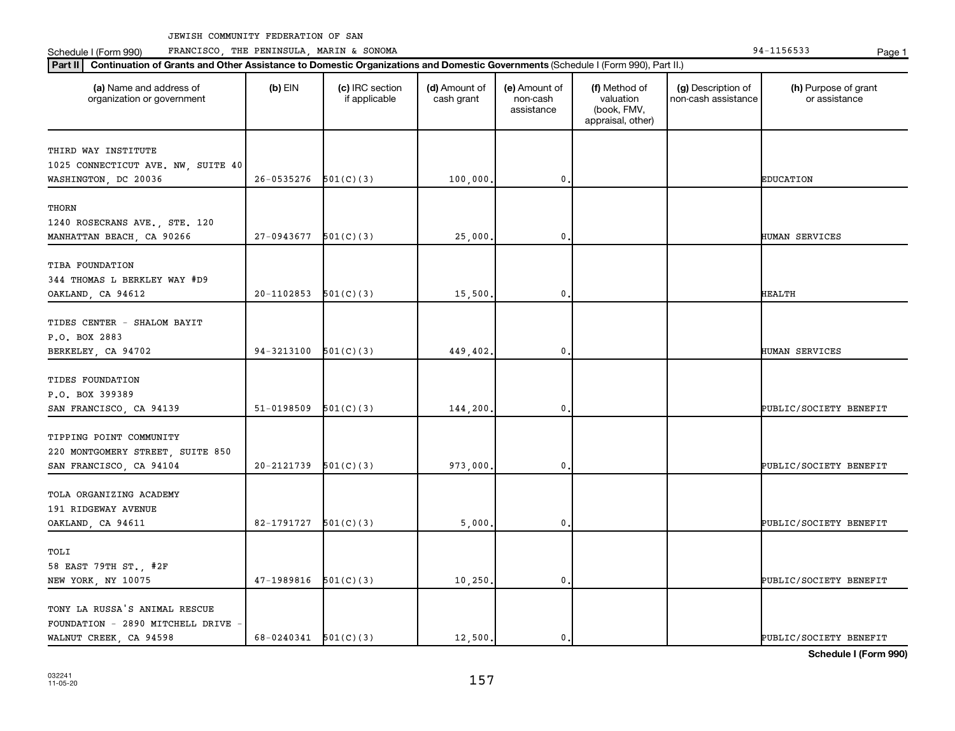**Part II Continuation of Grants and Other Assistance to Domestic Organizations and Domestic Governments**  (Schedule I (Form 990), Part II.)

Schedule I (Form 990) PRANCISCO, THE PENINSULA, MARIN & SONOMA Page 1 (Form 194-1156533 Page 1

| (a) Name and address of<br>organization or government                                       | $(b)$ EIN                | (c) IRC section<br>if applicable | (d) Amount of<br>cash grant | (e) Amount of<br>non-cash<br>assistance | (f) Method of<br>valuation<br>(book, FMV,<br>appraisal, other) | (g) Description of<br>non-cash assistance | (h) Purpose of grant<br>or assistance |
|---------------------------------------------------------------------------------------------|--------------------------|----------------------------------|-----------------------------|-----------------------------------------|----------------------------------------------------------------|-------------------------------------------|---------------------------------------|
| THIRD WAY INSTITUTE<br>1025 CONNECTICUT AVE. NW, SUITE 40<br>WASHINGTON, DC 20036           | 26-0535276               | 501(C)(3)                        | 100,000                     | $\mathbf{0}$                            |                                                                |                                           | <b>EDUCATION</b>                      |
| THORN<br>1240 ROSECRANS AVE., STE. 120<br>MANHATTAN BEACH, CA 90266                         | 27-0943677               | 501(C)(3)                        | 25,000.                     | $\mathbf{0}$                            |                                                                |                                           | HUMAN SERVICES                        |
| TIBA FOUNDATION<br>344 THOMAS L BERKLEY WAY #D9<br>OAKLAND, CA 94612                        | 20-1102853               | 501(C)(3)                        | 15,500.                     | $\mathbf{0}$                            |                                                                |                                           | HEALTH                                |
| TIDES CENTER - SHALOM BAYIT<br>P.O. BOX 2883<br>BERKELEY, CA 94702                          | 94-3213100               | 501(C)(3)                        | 449,402.                    | $\mathbf{0}$ .                          |                                                                |                                           | HUMAN SERVICES                        |
| TIDES FOUNDATION<br>P.O. BOX 399389<br>SAN FRANCISCO, CA 94139                              | 51-0198509               | 501(C)(3)                        | 144,200                     | $\mathbf 0$ .                           |                                                                |                                           | PUBLIC/SOCIETY BENEFIT                |
| TIPPING POINT COMMUNITY<br>220 MONTGOMERY STREET, SUITE 850<br>SAN FRANCISCO, CA 94104      | 20-2121739               | 501(C)(3)                        | 973,000                     | $\mathbf{0}$                            |                                                                |                                           | PUBLIC/SOCIETY BENEFIT                |
| TOLA ORGANIZING ACADEMY<br>191 RIDGEWAY AVENUE<br>OAKLAND, CA 94611                         | 82-1791727               | 501(C)(3)                        | 5,000                       | 0.                                      |                                                                |                                           | PUBLIC/SOCIETY BENEFIT                |
| TOLI<br>58 EAST 79TH ST., #2F<br>NEW YORK, NY 10075                                         | 47-1989816               | 501(C)(3)                        | 10, 250.                    | $\mathbf 0$ .                           |                                                                |                                           | PUBLIC/SOCIETY BENEFIT                |
| TONY LA RUSSA'S ANIMAL RESCUE<br>FOUNDATION - 2890 MITCHELL DRIVE<br>WALNUT CREEK, CA 94598 | $68-0240341$ $501(C)(3)$ |                                  | 12,500.                     | $\mathbf{0}$ .                          |                                                                |                                           | PUBLIC/SOCIETY BENEFIT                |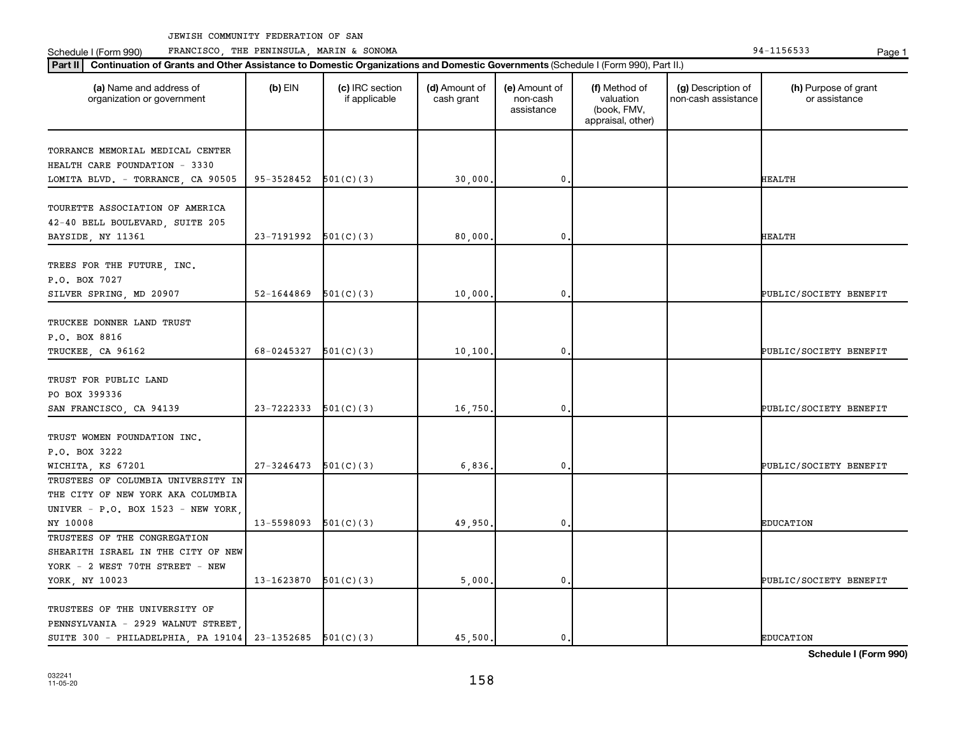Schedule I (Form 990) PRANCISCO, THE PENINSULA, MARIN & SONOMA Page 1 (Form 194-1156533 Page 1

| (a) Name and address of<br>organization or government       | $(b)$ EIN                | (c) IRC section<br>if applicable | (d) Amount of<br>cash grant | (e) Amount of<br>non-cash<br>assistance | (f) Method of<br>valuation<br>(book, FMV,<br>appraisal, other) | (g) Description of<br>non-cash assistance | (h) Purpose of grant<br>or assistance |
|-------------------------------------------------------------|--------------------------|----------------------------------|-----------------------------|-----------------------------------------|----------------------------------------------------------------|-------------------------------------------|---------------------------------------|
| TORRANCE MEMORIAL MEDICAL CENTER                            |                          |                                  |                             |                                         |                                                                |                                           |                                       |
| HEALTH CARE FOUNDATION - 3330                               |                          |                                  |                             |                                         |                                                                |                                           |                                       |
| LOMITA BLVD. - TORRANCE, CA 90505                           | $95-3528452$ $501(C)(3)$ |                                  | 30,000                      | 0                                       |                                                                |                                           | <b>HEALTH</b>                         |
|                                                             |                          |                                  |                             |                                         |                                                                |                                           |                                       |
| TOURETTE ASSOCIATION OF AMERICA                             |                          |                                  |                             |                                         |                                                                |                                           |                                       |
| 42-40 BELL BOULEVARD, SUITE 205                             |                          |                                  |                             |                                         |                                                                |                                           |                                       |
| BAYSIDE, NY 11361                                           | 23-7191992               | 501(C)(3)                        | 80,000                      | 0                                       |                                                                |                                           | <b>HEALTH</b>                         |
|                                                             |                          |                                  |                             |                                         |                                                                |                                           |                                       |
| TREES FOR THE FUTURE, INC.                                  |                          |                                  |                             |                                         |                                                                |                                           |                                       |
| P.O. BOX 7027                                               |                          |                                  |                             |                                         |                                                                |                                           |                                       |
| SILVER SPRING, MD 20907                                     | 52-1644869               | 501(C)(3)                        | 10,000                      | 0.                                      |                                                                |                                           | PUBLIC/SOCIETY BENEFIT                |
|                                                             |                          |                                  |                             |                                         |                                                                |                                           |                                       |
| TRUCKEE DONNER LAND TRUST                                   |                          |                                  |                             |                                         |                                                                |                                           |                                       |
| P.O. BOX 8816                                               |                          |                                  |                             |                                         |                                                                |                                           |                                       |
| TRUCKEE, CA 96162                                           | 68-0245327               | 501(C)(3)                        | 10,100                      | 0                                       |                                                                |                                           | PUBLIC/SOCIETY BENEFIT                |
|                                                             |                          |                                  |                             |                                         |                                                                |                                           |                                       |
| TRUST FOR PUBLIC LAND                                       |                          |                                  |                             |                                         |                                                                |                                           |                                       |
| PO BOX 399336                                               |                          |                                  |                             |                                         |                                                                |                                           |                                       |
| SAN FRANCISCO, CA 94139                                     | 23-7222333               | 501(C)(3)                        | 16,750                      | 0                                       |                                                                |                                           | PUBLIC/SOCIETY BENEFIT                |
| TRUST WOMEN FOUNDATION INC.                                 |                          |                                  |                             |                                         |                                                                |                                           |                                       |
| P.O. BOX 3222                                               |                          |                                  |                             |                                         |                                                                |                                           |                                       |
| WICHITA, KS 67201                                           | 27-3246473               | 501(C)(3)                        | 6,836                       | 0                                       |                                                                |                                           | PUBLIC/SOCIETY BENEFIT                |
| TRUSTEES OF COLUMBIA UNIVERSITY IN                          |                          |                                  |                             |                                         |                                                                |                                           |                                       |
| THE CITY OF NEW YORK AKA COLUMBIA                           |                          |                                  |                             |                                         |                                                                |                                           |                                       |
| UNIVER - P.O. BOX 1523 - NEW YORK,                          |                          |                                  |                             |                                         |                                                                |                                           |                                       |
| NY 10008                                                    | 13-5598093               | 501(C)(3)                        | 49,950                      | 0.                                      |                                                                |                                           | <b>EDUCATION</b>                      |
| TRUSTEES OF THE CONGREGATION                                |                          |                                  |                             |                                         |                                                                |                                           |                                       |
| SHEARITH ISRAEL IN THE CITY OF NEW                          |                          |                                  |                             |                                         |                                                                |                                           |                                       |
| YORK - 2 WEST 70TH STREET - NEW                             |                          |                                  |                             |                                         |                                                                |                                           |                                       |
| YORK, NY 10023                                              | 13-1623870               | 501(C)(3)                        | 5,000                       | $\mathbf 0$                             |                                                                |                                           | PUBLIC/SOCIETY BENEFIT                |
|                                                             |                          |                                  |                             |                                         |                                                                |                                           |                                       |
| TRUSTEES OF THE UNIVERSITY OF                               |                          |                                  |                             |                                         |                                                                |                                           |                                       |
| PENNSYLVANIA - 2929 WALNUT STREET,                          |                          |                                  |                             |                                         |                                                                |                                           |                                       |
| SUITE 300 - PHILADELPHIA, PA 19104   23-1352685   501(C)(3) |                          |                                  | 45,500.                     | 0.                                      |                                                                |                                           | <b>EDUCATION</b>                      |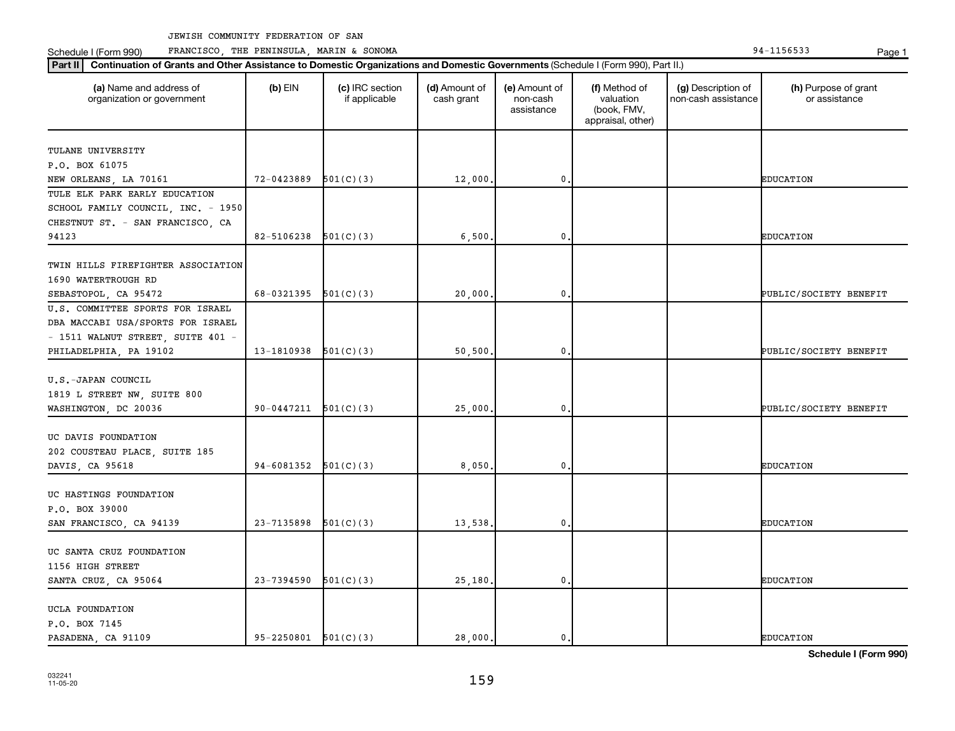Schedule I (Form 990) PRANCISCO, THE PENINSULA, MARIN & SONOMA Page 1 (Form 194-1156533 Page 1

| (a) Name and address of<br>organization or government | $(b)$ EIN                  | (c) IRC section<br>if applicable | (d) Amount of<br>cash grant | (e) Amount of<br>non-cash<br>assistance | (f) Method of<br>valuation<br>(book, FMV,<br>appraisal, other) | (g) Description of<br>non-cash assistance | (h) Purpose of grant<br>or assistance |
|-------------------------------------------------------|----------------------------|----------------------------------|-----------------------------|-----------------------------------------|----------------------------------------------------------------|-------------------------------------------|---------------------------------------|
| TULANE UNIVERSITY                                     |                            |                                  |                             |                                         |                                                                |                                           |                                       |
| P.O. BOX 61075                                        |                            |                                  |                             |                                         |                                                                |                                           |                                       |
| NEW ORLEANS, LA 70161                                 | 72-0423889                 | 501(C)(3)                        | 12,000                      | $\mathbf{0}$                            |                                                                |                                           | <b>EDUCATION</b>                      |
| TULE ELK PARK EARLY EDUCATION                         |                            |                                  |                             |                                         |                                                                |                                           |                                       |
| SCHOOL FAMILY COUNCIL, INC. - 1950                    |                            |                                  |                             |                                         |                                                                |                                           |                                       |
| CHESTNUT ST. - SAN FRANCISCO, CA                      |                            |                                  |                             |                                         |                                                                |                                           |                                       |
| 94123                                                 | 82-5106238                 | 501(C)(3)                        | 6,500                       | 0                                       |                                                                |                                           | <b>EDUCATION</b>                      |
|                                                       |                            |                                  |                             |                                         |                                                                |                                           |                                       |
| TWIN HILLS FIREFIGHTER ASSOCIATION                    |                            |                                  |                             |                                         |                                                                |                                           |                                       |
| 1690 WATERTROUGH RD                                   |                            |                                  |                             |                                         |                                                                |                                           |                                       |
| SEBASTOPOL, CA 95472                                  | 68-0321395 $501(C)(3)$     |                                  | 20,000                      | $\mathbf 0$                             |                                                                |                                           | PUBLIC/SOCIETY BENEFIT                |
| U.S. COMMITTEE SPORTS FOR ISRAEL                      |                            |                                  |                             |                                         |                                                                |                                           |                                       |
| DBA MACCABI USA/SPORTS FOR ISRAEL                     |                            |                                  |                             |                                         |                                                                |                                           |                                       |
| - 1511 WALNUT STREET, SUITE 401 -                     |                            |                                  |                             |                                         |                                                                |                                           |                                       |
| PHILADELPHIA, PA 19102                                | 13-1810938                 | 501(C)(3)                        | 50,500                      | $\mathbf 0$                             |                                                                |                                           | PUBLIC/SOCIETY BENEFIT                |
|                                                       |                            |                                  |                             |                                         |                                                                |                                           |                                       |
| U.S.-JAPAN COUNCIL                                    |                            |                                  |                             |                                         |                                                                |                                           |                                       |
| 1819 L STREET NW, SUITE 800                           |                            |                                  |                             |                                         |                                                                |                                           |                                       |
| WASHINGTON, DC 20036                                  | 90-0447211                 | 501(C)(3)                        | 25,000                      | $\mathbf 0$                             |                                                                |                                           | PUBLIC/SOCIETY BENEFIT                |
| UC DAVIS FOUNDATION                                   |                            |                                  |                             |                                         |                                                                |                                           |                                       |
| 202 COUSTEAU PLACE, SUITE 185                         |                            |                                  |                             |                                         |                                                                |                                           |                                       |
| DAVIS, CA 95618                                       | 94-6081352                 | 501(C)(3)                        | 8,050                       | $\mathbf 0$                             |                                                                |                                           | <b>EDUCATION</b>                      |
|                                                       |                            |                                  |                             |                                         |                                                                |                                           |                                       |
| UC HASTINGS FOUNDATION                                |                            |                                  |                             |                                         |                                                                |                                           |                                       |
| P.O. BOX 39000                                        |                            |                                  |                             |                                         |                                                                |                                           |                                       |
| SAN FRANCISCO, CA 94139                               | 23-7135898                 | 501(C)(3)                        | 13,538.                     | $\mathbf{0}$                            |                                                                |                                           | <b>EDUCATION</b>                      |
|                                                       |                            |                                  |                             |                                         |                                                                |                                           |                                       |
| UC SANTA CRUZ FOUNDATION                              |                            |                                  |                             |                                         |                                                                |                                           |                                       |
| 1156 HIGH STREET                                      |                            |                                  |                             |                                         |                                                                |                                           |                                       |
| SANTA CRUZ, CA 95064                                  | 23-7394590                 | 501(C)(3)                        | 25,180,                     | $\mathbf 0$                             |                                                                |                                           | <b>EDUCATION</b>                      |
| UCLA FOUNDATION                                       |                            |                                  |                             |                                         |                                                                |                                           |                                       |
| P.O. BOX 7145                                         |                            |                                  |                             |                                         |                                                                |                                           |                                       |
| PASADENA, CA 91109                                    | $95 - 2250801$ $501(C)(3)$ |                                  | 28,000.                     | 0.                                      |                                                                |                                           | <b>EDUCATION</b>                      |
|                                                       |                            |                                  |                             |                                         |                                                                |                                           |                                       |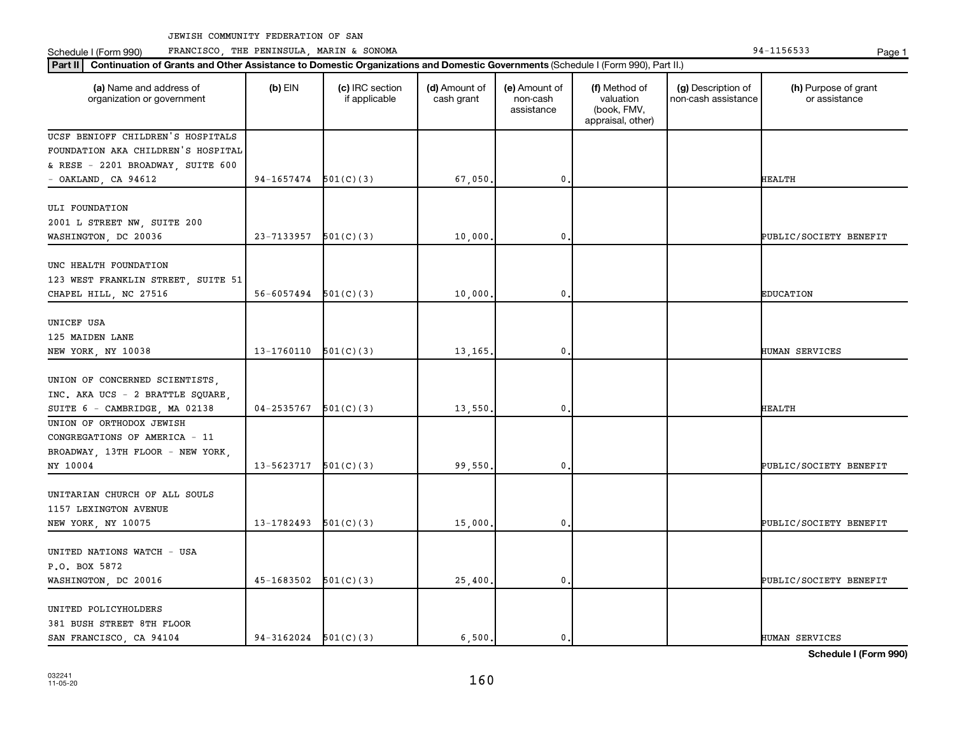Schedule I (Form 990) PRANCISCO, THE PENINSULA, MARIN & SONOMA Page 1 (Form 194-1156533 Page 1

| Part II   Continuation of Grants and Other Assistance to Domestic Organizations and Domestic Governments (Schedule I (Form 990), Part II.) |            |                                  |                             |                                         |                                                                |                                           |                                       |
|--------------------------------------------------------------------------------------------------------------------------------------------|------------|----------------------------------|-----------------------------|-----------------------------------------|----------------------------------------------------------------|-------------------------------------------|---------------------------------------|
| (a) Name and address of<br>organization or government                                                                                      | $(b)$ EIN  | (c) IRC section<br>if applicable | (d) Amount of<br>cash grant | (e) Amount of<br>non-cash<br>assistance | (f) Method of<br>valuation<br>(book, FMV,<br>appraisal, other) | (g) Description of<br>non-cash assistance | (h) Purpose of grant<br>or assistance |
| UCSF BENIOFF CHILDREN'S HOSPITALS                                                                                                          |            |                                  |                             |                                         |                                                                |                                           |                                       |
| FOUNDATION AKA CHILDREN'S HOSPITAL                                                                                                         |            |                                  |                             |                                         |                                                                |                                           |                                       |
| & RESE - 2201 BROADWAY, SUITE 600                                                                                                          |            |                                  |                             |                                         |                                                                |                                           |                                       |
| $-$ OAKLAND, CA 94612                                                                                                                      | 94-1657474 | 501(C)(3)                        | 67,050                      | $\mathbf 0$                             |                                                                |                                           | HEALTH                                |
| ULI FOUNDATION                                                                                                                             |            |                                  |                             |                                         |                                                                |                                           |                                       |
| 2001 L STREET NW, SUITE 200                                                                                                                |            |                                  |                             |                                         |                                                                |                                           |                                       |
| WASHINGTON, DC 20036                                                                                                                       | 23-7133957 | 501(C)(3)                        | 10,000                      | 0                                       |                                                                |                                           | PUBLIC/SOCIETY BENEFIT                |
|                                                                                                                                            |            |                                  |                             |                                         |                                                                |                                           |                                       |
| UNC HEALTH FOUNDATION                                                                                                                      |            |                                  |                             |                                         |                                                                |                                           |                                       |
| 123 WEST FRANKLIN STREET, SUITE 51                                                                                                         |            |                                  |                             |                                         |                                                                |                                           |                                       |
| CHAPEL HILL, NC 27516                                                                                                                      | 56-6057494 | 501(C)(3)                        | 10,000                      | $\pmb{0}$                               |                                                                |                                           | <b>EDUCATION</b>                      |
|                                                                                                                                            |            |                                  |                             |                                         |                                                                |                                           |                                       |
| UNICEF USA                                                                                                                                 |            |                                  |                             |                                         |                                                                |                                           |                                       |
| 125 MAIDEN LANE                                                                                                                            |            |                                  |                             |                                         |                                                                |                                           |                                       |
| NEW YORK, NY 10038                                                                                                                         | 13-1760110 | 501(C)(3)                        | 13,165                      | $\mathbf 0$                             |                                                                |                                           | HUMAN SERVICES                        |
|                                                                                                                                            |            |                                  |                             |                                         |                                                                |                                           |                                       |
| UNION OF CONCERNED SCIENTISTS,                                                                                                             |            |                                  |                             |                                         |                                                                |                                           |                                       |
| INC. AKA UCS - 2 BRATTLE SQUARE.                                                                                                           |            |                                  |                             |                                         |                                                                |                                           |                                       |
| SUITE 6 - CAMBRIDGE, MA 02138<br>UNION OF ORTHODOX JEWISH                                                                                  | 04-2535767 | 501(C)(3)                        | 13,550                      | 0                                       |                                                                |                                           | <b>HEALTH</b>                         |
| CONGREGATIONS OF AMERICA - 11                                                                                                              |            |                                  |                             |                                         |                                                                |                                           |                                       |
|                                                                                                                                            |            |                                  |                             |                                         |                                                                |                                           |                                       |
| BROADWAY, 13TH FLOOR - NEW YORK,<br>NY 10004                                                                                               | 13-5623717 | 501(C)(3)                        | 99,550                      | 0                                       |                                                                |                                           | PUBLIC/SOCIETY BENEFIT                |
|                                                                                                                                            |            |                                  |                             |                                         |                                                                |                                           |                                       |
| UNITARIAN CHURCH OF ALL SOULS                                                                                                              |            |                                  |                             |                                         |                                                                |                                           |                                       |
| 1157 LEXINGTON AVENUE                                                                                                                      |            |                                  |                             |                                         |                                                                |                                           |                                       |
| NEW YORK, NY 10075                                                                                                                         | 13-1782493 | 501(C)(3)                        | 15,000                      | 0                                       |                                                                |                                           | PUBLIC/SOCIETY BENEFIT                |
|                                                                                                                                            |            |                                  |                             |                                         |                                                                |                                           |                                       |
| UNITED NATIONS WATCH - USA                                                                                                                 |            |                                  |                             |                                         |                                                                |                                           |                                       |
| P.O. BOX 5872                                                                                                                              |            |                                  |                             |                                         |                                                                |                                           |                                       |
| WASHINGTON, DC 20016                                                                                                                       | 45-1683502 | 501(C)(3)                        | 25,400                      | $\mathbf{0}$                            |                                                                |                                           | PUBLIC/SOCIETY BENEFIT                |
|                                                                                                                                            |            |                                  |                             |                                         |                                                                |                                           |                                       |
| UNITED POLICYHOLDERS                                                                                                                       |            |                                  |                             |                                         |                                                                |                                           |                                       |
| 381 BUSH STREET 8TH FLOOR                                                                                                                  |            |                                  |                             |                                         |                                                                |                                           |                                       |
| SAN FRANCISCO, CA 94104                                                                                                                    | 94-3162024 | 501(C)(3)                        | 6,500.                      | 0.                                      |                                                                |                                           | HUMAN SERVICES                        |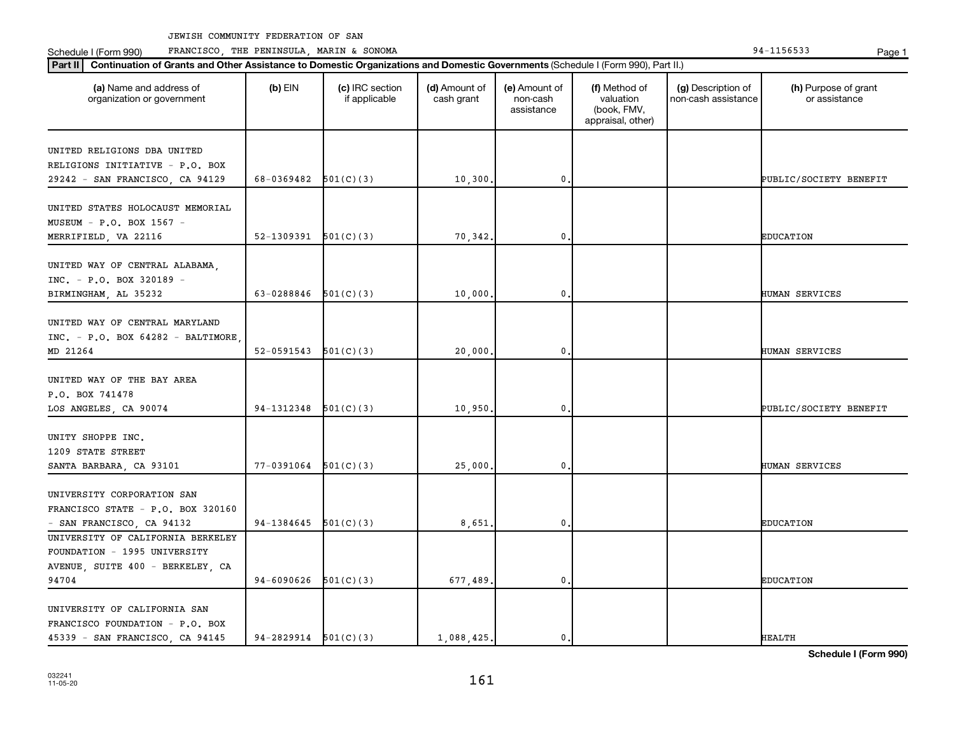Schedule I (Form 990) PRANCISCO, THE PENINSULA, MARIN & SONOMA Page 1 (Form 194-1156533 Page 1

| (a) Name and address of<br>organization or government | $(b)$ EIN                | (c) IRC section<br>if applicable | (d) Amount of<br>cash grant | (e) Amount of<br>non-cash<br>assistance | (f) Method of<br>valuation<br>(book, FMV,<br>appraisal, other) | (g) Description of<br>non-cash assistance | (h) Purpose of grant<br>or assistance |
|-------------------------------------------------------|--------------------------|----------------------------------|-----------------------------|-----------------------------------------|----------------------------------------------------------------|-------------------------------------------|---------------------------------------|
| UNITED RELIGIONS DBA UNITED                           |                          |                                  |                             |                                         |                                                                |                                           |                                       |
| RELIGIONS INITIATIVE - P.O. BOX                       |                          |                                  |                             |                                         |                                                                |                                           |                                       |
| 29242 - SAN FRANCISCO, CA 94129                       | $68-0369482$ $501(C)(3)$ |                                  | 10,300.                     | $\mathfrak o$ .                         |                                                                |                                           | PUBLIC/SOCIETY BENEFIT                |
|                                                       |                          |                                  |                             |                                         |                                                                |                                           |                                       |
| UNITED STATES HOLOCAUST MEMORIAL                      |                          |                                  |                             |                                         |                                                                |                                           |                                       |
| MUSEUM - P.O. BOX 1567 -                              |                          |                                  |                             |                                         |                                                                |                                           |                                       |
| MERRIFIELD, VA 22116                                  | 52-1309391               | 501(C)(3)                        | 70,342.                     | $\mathbf 0$                             |                                                                |                                           | <b>EDUCATION</b>                      |
|                                                       |                          |                                  |                             |                                         |                                                                |                                           |                                       |
| UNITED WAY OF CENTRAL ALABAMA,                        |                          |                                  |                             |                                         |                                                                |                                           |                                       |
| INC. - P.O. BOX 320189 -                              |                          |                                  |                             |                                         |                                                                |                                           |                                       |
| BIRMINGHAM, AL 35232                                  | 63-0288846 $501(C)(3)$   |                                  | 10,000                      | $\mathbf{0}$                            |                                                                |                                           | HUMAN SERVICES                        |
|                                                       |                          |                                  |                             |                                         |                                                                |                                           |                                       |
| UNITED WAY OF CENTRAL MARYLAND                        |                          |                                  |                             |                                         |                                                                |                                           |                                       |
| $INC. - P.O. BOX 64282 - BALTIMORE$                   |                          |                                  |                             |                                         |                                                                |                                           |                                       |
| MD 21264                                              | 52-0591543               | 501(C)(3)                        | 20,000                      | $\mathbf{0}$                            |                                                                |                                           | HUMAN SERVICES                        |
|                                                       |                          |                                  |                             |                                         |                                                                |                                           |                                       |
| UNITED WAY OF THE BAY AREA                            |                          |                                  |                             |                                         |                                                                |                                           |                                       |
| P.O. BOX 741478                                       |                          |                                  |                             |                                         |                                                                |                                           |                                       |
| LOS ANGELES, CA 90074                                 | 94-1312348               | 501(C)(3)                        | 10,950                      | $\mathbf{0}$                            |                                                                |                                           | PUBLIC/SOCIETY BENEFIT                |
| UNITY SHOPPE INC.                                     |                          |                                  |                             |                                         |                                                                |                                           |                                       |
| 1209 STATE STREET                                     |                          |                                  |                             |                                         |                                                                |                                           |                                       |
|                                                       | 77-0391064               | 501(C)(3)                        | 25,000.                     | 0                                       |                                                                |                                           | HUMAN SERVICES                        |
| SANTA BARBARA, CA 93101                               |                          |                                  |                             |                                         |                                                                |                                           |                                       |
| UNIVERSITY CORPORATION SAN                            |                          |                                  |                             |                                         |                                                                |                                           |                                       |
| FRANCISCO STATE - P.O. BOX 320160                     |                          |                                  |                             |                                         |                                                                |                                           |                                       |
| - SAN FRANCISCO, CA 94132                             | 94-1384645               | 501(C)(3)                        | 8,651                       | 0.                                      |                                                                |                                           | <b>EDUCATION</b>                      |
| UNIVERSITY OF CALIFORNIA BERKELEY                     |                          |                                  |                             |                                         |                                                                |                                           |                                       |
| FOUNDATION - 1995 UNIVERSITY                          |                          |                                  |                             |                                         |                                                                |                                           |                                       |
| AVENUE, SUITE 400 - BERKELEY, CA                      |                          |                                  |                             |                                         |                                                                |                                           |                                       |
| 94704                                                 | 94-6090626               | 501(C)(3)                        | 677,489.                    | $\mathbf{0}$                            |                                                                |                                           | <b>EDUCATION</b>                      |
|                                                       |                          |                                  |                             |                                         |                                                                |                                           |                                       |
| UNIVERSITY OF CALIFORNIA SAN                          |                          |                                  |                             |                                         |                                                                |                                           |                                       |
| FRANCISCO FOUNDATION - P.O. BOX                       |                          |                                  |                             |                                         |                                                                |                                           |                                       |
| 45339 - SAN FRANCISCO, CA 94145                       | $94-2829914$ $501(C)(3)$ |                                  | 1,088,425.                  | $\mathbf{0}$ .                          |                                                                |                                           | <b>HEALTH</b>                         |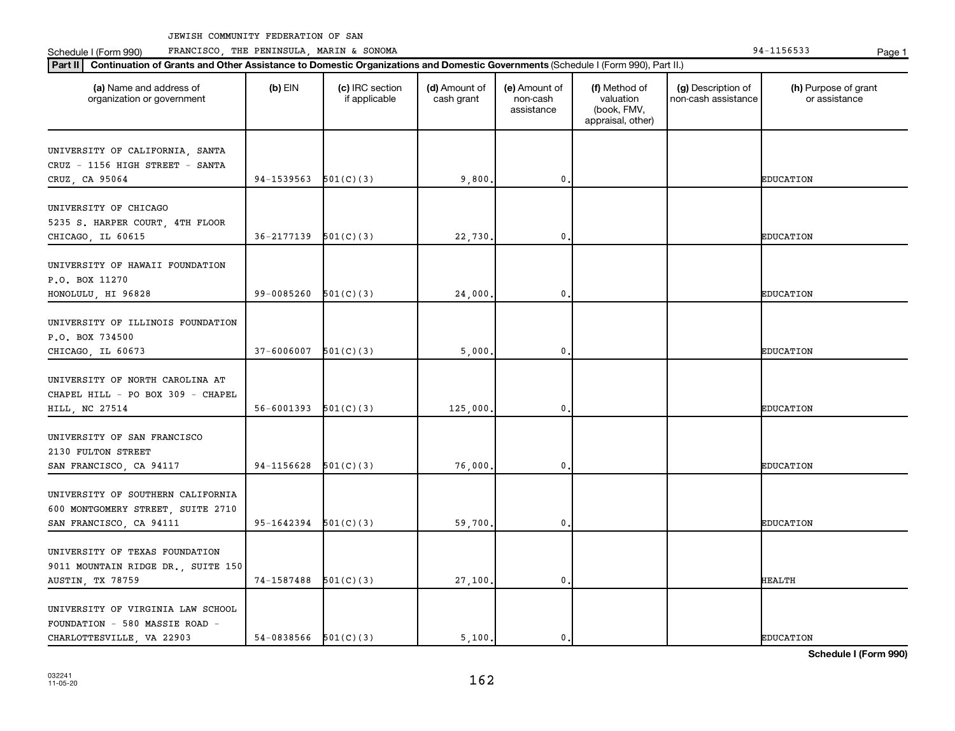Schedule I (Form 990) PRANCISCO, THE PENINSULA, MARIN & SONOMA Page 1 (Form 194-1156533 Page 1

| Part II   Continuation of Grants and Other Assistance to Domestic Organizations and Domestic Governments (Schedule I (Form 990), Part II.) | $(b)$ EIN              |                                  |                             |                                         |                                                                |                                           | (h) Purpose of grant |
|--------------------------------------------------------------------------------------------------------------------------------------------|------------------------|----------------------------------|-----------------------------|-----------------------------------------|----------------------------------------------------------------|-------------------------------------------|----------------------|
| (a) Name and address of<br>organization or government                                                                                      |                        | (c) IRC section<br>if applicable | (d) Amount of<br>cash grant | (e) Amount of<br>non-cash<br>assistance | (f) Method of<br>valuation<br>(book, FMV,<br>appraisal, other) | (g) Description of<br>non-cash assistance | or assistance        |
| UNIVERSITY OF CALIFORNIA, SANTA                                                                                                            |                        |                                  |                             |                                         |                                                                |                                           |                      |
| CRUZ - 1156 HIGH STREET - SANTA                                                                                                            |                        |                                  |                             |                                         |                                                                |                                           |                      |
| CRUZ, CA 95064                                                                                                                             | 94-1539563             | 501(C)(3)                        | 9,800                       | $\mathbf{0}$                            |                                                                |                                           | <b>EDUCATION</b>     |
|                                                                                                                                            |                        |                                  |                             |                                         |                                                                |                                           |                      |
| UNIVERSITY OF CHICAGO                                                                                                                      |                        |                                  |                             |                                         |                                                                |                                           |                      |
| 5235 S. HARPER COURT, 4TH FLOOR<br>CHICAGO, IL 60615                                                                                       | 36-2177139             | 501(C)(3)                        | 22,730                      | 0                                       |                                                                |                                           | <b>EDUCATION</b>     |
|                                                                                                                                            |                        |                                  |                             |                                         |                                                                |                                           |                      |
| UNIVERSITY OF HAWAII FOUNDATION                                                                                                            |                        |                                  |                             |                                         |                                                                |                                           |                      |
| P.O. BOX 11270                                                                                                                             |                        |                                  |                             |                                         |                                                                |                                           |                      |
| HONOLULU, HI 96828                                                                                                                         | 99-0085260             | 501(C)(3)                        | 24,000                      | $\mathbf 0$                             |                                                                |                                           | <b>EDUCATION</b>     |
|                                                                                                                                            |                        |                                  |                             |                                         |                                                                |                                           |                      |
| UNIVERSITY OF ILLINOIS FOUNDATION                                                                                                          |                        |                                  |                             |                                         |                                                                |                                           |                      |
| P.O. BOX 734500                                                                                                                            |                        |                                  |                             |                                         |                                                                |                                           |                      |
| CHICAGO, IL 60673                                                                                                                          | 37-6006007             | 501(C)(3)                        | 5,000                       | 0                                       |                                                                |                                           | <b>EDUCATION</b>     |
| UNIVERSITY OF NORTH CAROLINA AT                                                                                                            |                        |                                  |                             |                                         |                                                                |                                           |                      |
| CHAPEL HILL - PO BOX 309 - CHAPEL                                                                                                          |                        |                                  |                             |                                         |                                                                |                                           |                      |
| HILL, NC 27514                                                                                                                             | 56-6001393             | 501(C)(3)                        | 125,000,                    | $\mathbf 0$                             |                                                                |                                           | <b>EDUCATION</b>     |
|                                                                                                                                            |                        |                                  |                             |                                         |                                                                |                                           |                      |
| UNIVERSITY OF SAN FRANCISCO                                                                                                                |                        |                                  |                             |                                         |                                                                |                                           |                      |
| 2130 FULTON STREET                                                                                                                         |                        |                                  |                             |                                         |                                                                |                                           |                      |
| SAN FRANCISCO, CA 94117                                                                                                                    | 94-1156628             | 501(C)(3)                        | 76,000                      | 0                                       |                                                                |                                           | <b>EDUCATION</b>     |
|                                                                                                                                            |                        |                                  |                             |                                         |                                                                |                                           |                      |
| UNIVERSITY OF SOUTHERN CALIFORNIA                                                                                                          |                        |                                  |                             |                                         |                                                                |                                           |                      |
| 600 MONTGOMERY STREET, SUITE 2710                                                                                                          |                        |                                  |                             |                                         |                                                                |                                           |                      |
| SAN FRANCISCO, CA 94111                                                                                                                    | 95-1642394             | 501(C)(3)                        | 59,700,                     | $\mathbf 0$                             |                                                                |                                           | <b>EDUCATION</b>     |
| UNIVERSITY OF TEXAS FOUNDATION                                                                                                             |                        |                                  |                             |                                         |                                                                |                                           |                      |
| 9011 MOUNTAIN RIDGE DR., SUITE 150                                                                                                         |                        |                                  |                             |                                         |                                                                |                                           |                      |
| AUSTIN, TX 78759                                                                                                                           | 74-1587488             | 501(C)(3)                        | 27,100.                     | $\mathbf 0$                             |                                                                |                                           | <b>HEALTH</b>        |
|                                                                                                                                            |                        |                                  |                             |                                         |                                                                |                                           |                      |
| UNIVERSITY OF VIRGINIA LAW SCHOOL                                                                                                          |                        |                                  |                             |                                         |                                                                |                                           |                      |
| FOUNDATION - 580 MASSIE ROAD -                                                                                                             |                        |                                  |                             |                                         |                                                                |                                           |                      |
| CHARLOTTESVILLE, VA 22903                                                                                                                  | 54-0838566 $501(C)(3)$ |                                  | 5.100.                      | 0.                                      |                                                                |                                           | <b>EDUCATION</b>     |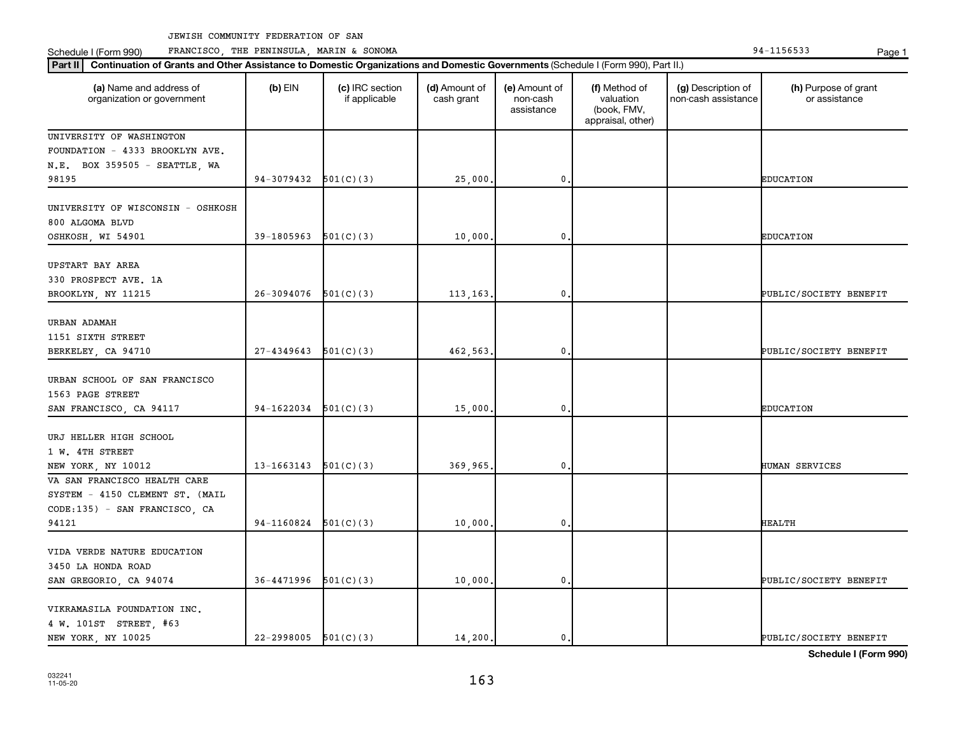Schedule I (Form 990) PRANCISCO, THE PENINSULA, MARIN & SONOMA Page 1 (Form 194-1156533 Page 1

| Part II   Continuation of Grants and Other Assistance to Domestic Organizations and Domestic Governments (Schedule I (Form 990), Part II.) |                          |                                  |                             |                                         |                                                                |                                           |                                       |
|--------------------------------------------------------------------------------------------------------------------------------------------|--------------------------|----------------------------------|-----------------------------|-----------------------------------------|----------------------------------------------------------------|-------------------------------------------|---------------------------------------|
| (a) Name and address of<br>organization or government                                                                                      | $(b)$ EIN                | (c) IRC section<br>if applicable | (d) Amount of<br>cash grant | (e) Amount of<br>non-cash<br>assistance | (f) Method of<br>valuation<br>(book, FMV,<br>appraisal, other) | (g) Description of<br>non-cash assistance | (h) Purpose of grant<br>or assistance |
| UNIVERSITY OF WASHINGTON                                                                                                                   |                          |                                  |                             |                                         |                                                                |                                           |                                       |
| FOUNDATION - 4333 BROOKLYN AVE.                                                                                                            |                          |                                  |                             |                                         |                                                                |                                           |                                       |
| N.E. BOX 359505 - SEATTLE, WA                                                                                                              |                          |                                  |                             |                                         |                                                                |                                           |                                       |
| 98195                                                                                                                                      | 94-3079432               | 501(C)(3)                        | 25,000                      | 0                                       |                                                                |                                           | <b>EDUCATION</b>                      |
| UNIVERSITY OF WISCONSIN - OSHKOSH<br>800 ALGOMA BLVD                                                                                       |                          |                                  |                             |                                         |                                                                |                                           |                                       |
| OSHKOSH, WI 54901                                                                                                                          | 39-1805963               | 501(C)(3)                        | 10,000                      | 0                                       |                                                                |                                           | <b>EDUCATION</b>                      |
| UPSTART BAY AREA<br>330 PROSPECT AVE. 1A<br>BROOKLYN, NY 11215                                                                             | 26-3094076               | 501(C)(3)                        | 113,163,                    | 0                                       |                                                                |                                           | PUBLIC/SOCIETY BENEFIT                |
|                                                                                                                                            |                          |                                  |                             |                                         |                                                                |                                           |                                       |
| URBAN ADAMAH                                                                                                                               |                          |                                  |                             |                                         |                                                                |                                           |                                       |
| 1151 SIXTH STREET                                                                                                                          |                          |                                  |                             |                                         |                                                                |                                           |                                       |
| BERKELEY, CA 94710                                                                                                                         | 27-4349643               | 501(C)(3)                        | 462,563.                    | 0                                       |                                                                |                                           | PUBLIC/SOCIETY BENEFIT                |
| URBAN SCHOOL OF SAN FRANCISCO<br>1563 PAGE STREET                                                                                          |                          |                                  |                             |                                         |                                                                |                                           |                                       |
| SAN FRANCISCO, CA 94117                                                                                                                    | 94-1622034               | 501(C)(3)                        | 15,000                      | 0                                       |                                                                |                                           | <b>EDUCATION</b>                      |
| URJ HELLER HIGH SCHOOL<br>1 W. 4TH STREET<br>NEW YORK, NY 10012                                                                            | 13-1663143               | 501(C)(3)                        | 369,965.                    | 0                                       |                                                                |                                           | <b>HUMAN SERVICES</b>                 |
| VA SAN FRANCISCO HEALTH CARE                                                                                                               |                          |                                  |                             |                                         |                                                                |                                           |                                       |
| SYSTEM - 4150 CLEMENT ST. (MAIL                                                                                                            |                          |                                  |                             |                                         |                                                                |                                           |                                       |
| CODE:135) - SAN FRANCISCO, CA                                                                                                              |                          |                                  |                             |                                         |                                                                |                                           |                                       |
| 94121                                                                                                                                      | 94-1160824               | 501(C)(3)                        | 10,000                      | $\mathbf 0$                             |                                                                |                                           | <b>HEALTH</b>                         |
| VIDA VERDE NATURE EDUCATION<br>3450 LA HONDA ROAD<br>SAN GREGORIO, CA 94074                                                                | 36-4471996               | 501(C)(3)                        | 10,000                      | 0                                       |                                                                |                                           | PUBLIC/SOCIETY BENEFIT                |
| VIKRAMASILA FOUNDATION INC.<br>4 W. 101ST STREET, #63                                                                                      | $22 - 2998005$ 501(C)(3) |                                  |                             | 0.                                      |                                                                |                                           |                                       |
| NEW YORK, NY 10025                                                                                                                         |                          |                                  | 14,200.                     |                                         |                                                                |                                           | PUBLIC/SOCIETY BENEFIT                |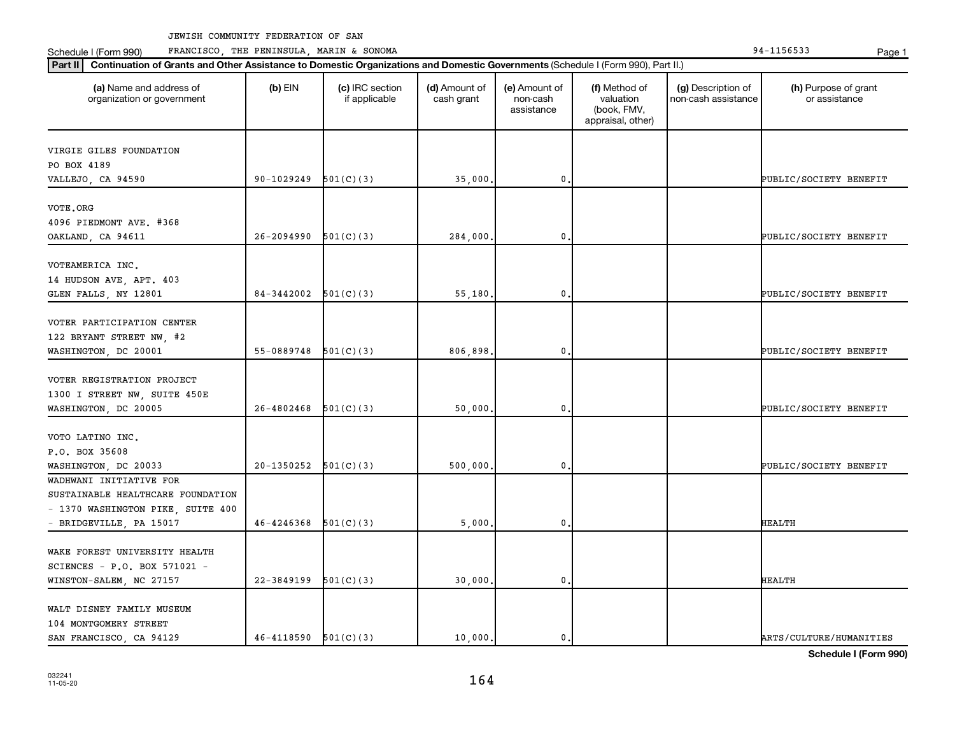Schedule I (Form 990) PRANCISCO, THE PENINSULA, MARIN & SONOMA Page 1 (Form 194-1156533 Page 1

| Continuation of Grants and Other Assistance to Domestic Organizations and Domestic Governments (Schedule I (Form 990), Part II.)<br>  Part II |                |                                  |                             |                                         |                                                                |                                           |                                       |
|-----------------------------------------------------------------------------------------------------------------------------------------------|----------------|----------------------------------|-----------------------------|-----------------------------------------|----------------------------------------------------------------|-------------------------------------------|---------------------------------------|
| (a) Name and address of<br>organization or government                                                                                         | $(b)$ EIN      | (c) IRC section<br>if applicable | (d) Amount of<br>cash grant | (e) Amount of<br>non-cash<br>assistance | (f) Method of<br>valuation<br>(book, FMV,<br>appraisal, other) | (g) Description of<br>non-cash assistance | (h) Purpose of grant<br>or assistance |
|                                                                                                                                               |                |                                  |                             |                                         |                                                                |                                           |                                       |
| VIRGIE GILES FOUNDATION                                                                                                                       |                |                                  |                             |                                         |                                                                |                                           |                                       |
| PO BOX 4189                                                                                                                                   | 90-1029249     |                                  |                             | $\mathbf 0$                             |                                                                |                                           |                                       |
| VALLEJO, CA 94590                                                                                                                             |                | 501(C)(3)                        | 35,000                      |                                         |                                                                |                                           | PUBLIC/SOCIETY BENEFIT                |
| VOTE.ORG                                                                                                                                      |                |                                  |                             |                                         |                                                                |                                           |                                       |
| 4096 PIEDMONT AVE. #368                                                                                                                       |                |                                  |                             |                                         |                                                                |                                           |                                       |
| OAKLAND, CA 94611                                                                                                                             | $26 - 2094990$ | 501(C)(3)                        | 284,000                     | $\mathbf{0}$                            |                                                                |                                           | PUBLIC/SOCIETY BENEFIT                |
|                                                                                                                                               |                |                                  |                             |                                         |                                                                |                                           |                                       |
| VOTEAMERICA INC.                                                                                                                              |                |                                  |                             |                                         |                                                                |                                           |                                       |
| 14 HUDSON AVE, APT. 403                                                                                                                       |                |                                  |                             |                                         |                                                                |                                           |                                       |
| GLEN FALLS, NY 12801                                                                                                                          | 84-3442002     | 501(C)(3)                        | 55,180                      | $\mathbf 0$                             |                                                                |                                           | PUBLIC/SOCIETY BENEFIT                |
|                                                                                                                                               |                |                                  |                             |                                         |                                                                |                                           |                                       |
| VOTER PARTICIPATION CENTER                                                                                                                    |                |                                  |                             |                                         |                                                                |                                           |                                       |
| 122 BRYANT STREET NW, #2                                                                                                                      |                |                                  |                             |                                         |                                                                |                                           |                                       |
| WASHINGTON, DC 20001                                                                                                                          | 55-0889748     | 501(C)(3)                        | 806,898.                    | $\mathbf{0}$                            |                                                                |                                           | PUBLIC/SOCIETY BENEFIT                |
|                                                                                                                                               |                |                                  |                             |                                         |                                                                |                                           |                                       |
| VOTER REGISTRATION PROJECT                                                                                                                    |                |                                  |                             |                                         |                                                                |                                           |                                       |
| 1300 I STREET NW, SUITE 450E                                                                                                                  |                |                                  |                             |                                         |                                                                |                                           |                                       |
| WASHINGTON, DC 20005                                                                                                                          | 26-4802468     | 501(C)(3)                        | 50,000                      | $\mathbf 0$                             |                                                                |                                           | PUBLIC/SOCIETY BENEFIT                |
|                                                                                                                                               |                |                                  |                             |                                         |                                                                |                                           |                                       |
| VOTO LATINO INC.                                                                                                                              |                |                                  |                             |                                         |                                                                |                                           |                                       |
| P.O. BOX 35608                                                                                                                                |                |                                  |                             |                                         |                                                                |                                           |                                       |
| WASHINGTON, DC 20033                                                                                                                          | 20-1350252     | 501(C)(3)                        | 500,000                     | $\mathbf{0}$                            |                                                                |                                           | PUBLIC/SOCIETY BENEFIT                |
| WADHWANI INITIATIVE FOR                                                                                                                       |                |                                  |                             |                                         |                                                                |                                           |                                       |
| SUSTAINABLE HEALTHCARE FOUNDATION                                                                                                             |                |                                  |                             |                                         |                                                                |                                           |                                       |
| - 1370 WASHINGTON PIKE, SUITE 400                                                                                                             |                |                                  |                             |                                         |                                                                |                                           |                                       |
| - BRIDGEVILLE, PA 15017                                                                                                                       | 46-4246368     | 501(C)(3)                        | 5,000                       | $\mathbf 0$                             |                                                                |                                           | <b>HEALTH</b>                         |
|                                                                                                                                               |                |                                  |                             |                                         |                                                                |                                           |                                       |
| WAKE FOREST UNIVERSITY HEALTH                                                                                                                 |                |                                  |                             |                                         |                                                                |                                           |                                       |
| SCIENCES - P.O. BOX 571021 -                                                                                                                  |                |                                  |                             |                                         |                                                                |                                           |                                       |
| WINSTON-SALEM, NC 27157                                                                                                                       | 22-3849199     | 501(C)(3)                        | 30,000                      | $\mathbf 0$                             |                                                                |                                           | <b>HEALTH</b>                         |
|                                                                                                                                               |                |                                  |                             |                                         |                                                                |                                           |                                       |
| WALT DISNEY FAMILY MUSEUM                                                                                                                     |                |                                  |                             |                                         |                                                                |                                           |                                       |
| 104 MONTGOMERY STREET                                                                                                                         |                |                                  |                             |                                         |                                                                |                                           |                                       |
| SAN FRANCISCO, CA 94129                                                                                                                       | 46-4118590     | 501(C)(3)                        | 10,000.                     | $\mathbf{0}$                            |                                                                |                                           | ARTS/CULTURE/HUMANITIES               |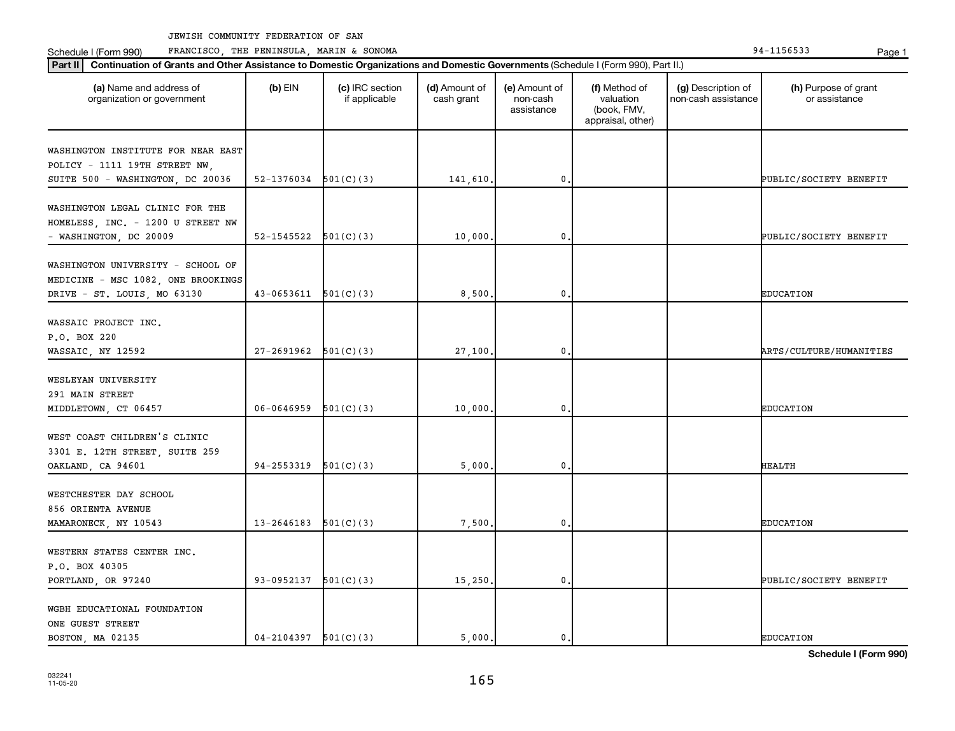Schedule I (Form 990) PRANCISCO, THE PENINSULA, MARIN & SONOMA Page 1 (Form 194-1156533 Page 1

| Continuation of Grants and Other Assistance to Domestic Organizations and Domestic Governments (Schedule I (Form 990), Part II.)<br>Part II |                          |                                  |                             |                                         |                                                                |                                           |                                       |  |  |
|---------------------------------------------------------------------------------------------------------------------------------------------|--------------------------|----------------------------------|-----------------------------|-----------------------------------------|----------------------------------------------------------------|-------------------------------------------|---------------------------------------|--|--|
| (a) Name and address of<br>organization or government                                                                                       | $(b)$ EIN                | (c) IRC section<br>if applicable | (d) Amount of<br>cash grant | (e) Amount of<br>non-cash<br>assistance | (f) Method of<br>valuation<br>(book, FMV,<br>appraisal, other) | (g) Description of<br>non-cash assistance | (h) Purpose of grant<br>or assistance |  |  |
| WASHINGTON INSTITUTE FOR NEAR EAST<br>POLICY - 1111 19TH STREET NW,                                                                         |                          |                                  |                             |                                         |                                                                |                                           |                                       |  |  |
| SUITE 500 - WASHINGTON, DC 20036                                                                                                            | $52-1376034$ $501(C)(3)$ |                                  | 141,610.                    | $\mathbf 0$                             |                                                                |                                           | PUBLIC/SOCIETY BENEFIT                |  |  |
| WASHINGTON LEGAL CLINIC FOR THE<br>HOMELESS, INC. - 1200 U STREET NW<br>- WASHINGTON, DC 20009                                              | 52-1545522               | 501(C)(3)                        | 10,000                      | $\mathbf 0$                             |                                                                |                                           | PUBLIC/SOCIETY BENEFIT                |  |  |
| WASHINGTON UNIVERSITY - SCHOOL OF<br>MEDICINE - MSC 1082, ONE BROOKINGS<br>DRIVE - ST. LOUIS, MO 63130                                      | $43-0653611$ $501(C)(3)$ |                                  | 8,500                       | $\mathbf 0$                             |                                                                |                                           | <b>EDUCATION</b>                      |  |  |
| WASSAIC PROJECT INC.<br>P.O. BOX 220<br>WASSAIC, NY 12592                                                                                   | $27-2691962$ $501(C)(3)$ |                                  | 27,100                      | $\mathbf 0$                             |                                                                |                                           | ARTS/CULTURE/HUMANITIES               |  |  |
| WESLEYAN UNIVERSITY<br>291 MAIN STREET<br>MIDDLETOWN, CT 06457                                                                              | 06-0646959               | 501(C)(3)                        | 10,000                      | $\mathbf 0$                             |                                                                |                                           | <b>EDUCATION</b>                      |  |  |
| WEST COAST CHILDREN'S CLINIC<br>3301 E. 12TH STREET, SUITE 259<br>OAKLAND, CA 94601                                                         | 94-2553319               | 501(C)(3)                        | 5,000                       | 0                                       |                                                                |                                           | HEALTH                                |  |  |
| WESTCHESTER DAY SCHOOL<br>856 ORIENTA AVENUE<br>MAMARONECK, NY 10543                                                                        | 13-2646183               | 501(C)(3)                        | 7,500                       | $\mathbf 0$                             |                                                                |                                           | <b>EDUCATION</b>                      |  |  |
| WESTERN STATES CENTER INC.<br>P.O. BOX 40305<br>PORTLAND, OR 97240                                                                          | 93-0952137 $501(C)(3)$   |                                  | 15,250                      | $\mathbf 0$                             |                                                                |                                           | PUBLIC/SOCIETY BENEFIT                |  |  |
| WGBH EDUCATIONAL FOUNDATION<br>ONE GUEST STREET<br>BOSTON, MA 02135                                                                         | $04 - 2104397$           | 501(C)(3)                        | 5,000.                      | 0.                                      |                                                                |                                           | <b>EDUCATION</b>                      |  |  |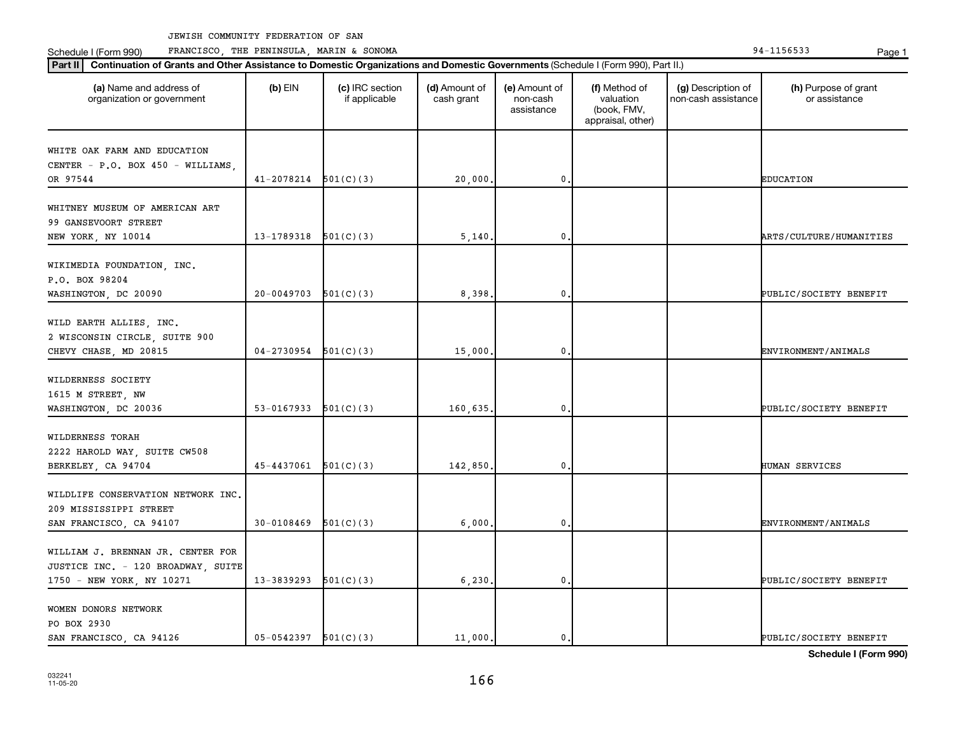Schedule I (Form 990) PRANCISCO, THE PENINSULA, MARIN & SONOMA Page 1 (Form 194-1156533 Page 1

| (a) Name and address of                                                           | $(b)$ EIN                | (c) IRC section | (d) Amount of | (e) Amount of          | (f) Method of                                 | (g) Description of  | (h) Purpose of grant       |
|-----------------------------------------------------------------------------------|--------------------------|-----------------|---------------|------------------------|-----------------------------------------------|---------------------|----------------------------|
| organization or government                                                        |                          | if applicable   | cash grant    | non-cash<br>assistance | valuation<br>(book, FMV,<br>appraisal, other) | non-cash assistance | or assistance              |
| WHITE OAK FARM AND EDUCATION                                                      |                          |                 |               |                        |                                               |                     |                            |
| CENTER - P.O. BOX 450 - WILLIAMS,                                                 |                          |                 |               |                        |                                               |                     |                            |
| OR 97544                                                                          | 41-2078214               | 501(C)(3)       | 20,000        | 0                      |                                               |                     | <b>EDUCATION</b>           |
| WHITNEY MUSEUM OF AMERICAN ART<br>99 GANSEVOORT STREET                            |                          |                 |               |                        |                                               |                     |                            |
| NEW YORK, NY 10014                                                                | 13-1789318               | 501(C)(3)       | 5,140         | 0                      |                                               |                     | ARTS/CULTURE/HUMANITIES    |
| WIKIMEDIA FOUNDATION, INC.<br>P.O. BOX 98204                                      |                          |                 |               |                        |                                               |                     |                            |
| WASHINGTON, DC 20090                                                              | 20-0049703               | 501(C)(3)       | 8,398         | 0                      |                                               |                     | PUBLIC/SOCIETY BENEFIT     |
| WILD EARTH ALLIES, INC.<br>2 WISCONSIN CIRCLE, SUITE 900<br>CHEVY CHASE, MD 20815 | 04-2730954               | 501(C)(3)       | 15,000        | 0                      |                                               |                     | <b>ENVIRONMENT/ANIMALS</b> |
|                                                                                   |                          |                 |               |                        |                                               |                     |                            |
| WILDERNESS SOCIETY                                                                |                          |                 |               |                        |                                               |                     |                            |
| 1615 M STREET, NW<br>WASHINGTON, DC 20036                                         | 53-0167933               | 501(C)(3)       | 160,635,      | 0                      |                                               |                     | PUBLIC/SOCIETY BENEFIT     |
|                                                                                   |                          |                 |               |                        |                                               |                     |                            |
| WILDERNESS TORAH<br>2222 HAROLD WAY, SUITE CW508                                  | 45-4437061               | 501(C)(3)       | 142,850       | 0                      |                                               |                     | HUMAN SERVICES             |
| BERKELEY, CA 94704                                                                |                          |                 |               |                        |                                               |                     |                            |
| WILDLIFE CONSERVATION NETWORK INC.<br>209 MISSISSIPPI STREET                      |                          |                 |               |                        |                                               |                     |                            |
| SAN FRANCISCO, CA 94107                                                           | 30-0108469               | 501(C)(3)       | 6,000         | 0                      |                                               |                     | ENVIRONMENT/ANIMALS        |
| WILLIAM J. BRENNAN JR. CENTER FOR<br>JUSTICE INC. - 120 BROADWAY, SUITE           |                          |                 |               |                        |                                               |                     |                            |
| 1750 - NEW YORK, NY 10271                                                         | 13-3839293               | 501(C)(3)       | 6, 230.       | 0                      |                                               |                     | PUBLIC/SOCIETY BENEFIT     |
| WOMEN DONORS NETWORK<br>PO BOX 2930                                               |                          |                 |               |                        |                                               |                     |                            |
| SAN FRANCISCO, CA 94126                                                           | $05-0542397$ $501(C)(3)$ |                 | 11,000.       | 0.                     |                                               |                     | PUBLIC/SOCIETY BENEFIT     |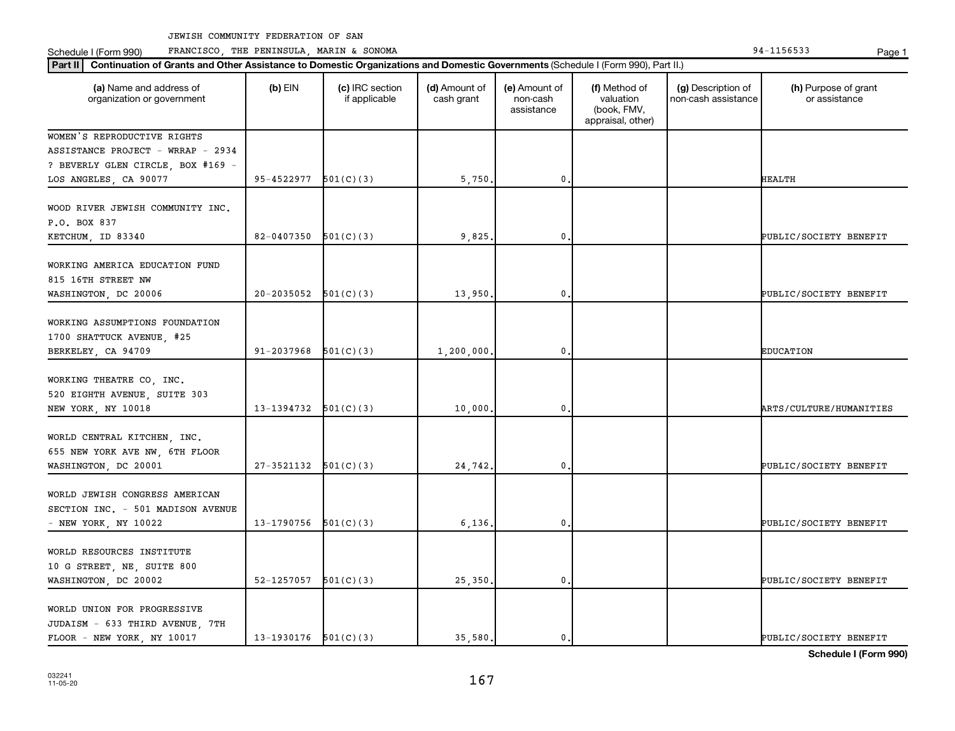Schedule I (Form 990) PRANCISCO, THE PENINSULA, MARIN & SONOMA Page 1 (Form 194-1156533 Page 1

| (a) Name and address of<br>organization or government                                       | $(b)$ EIN                  | (c) IRC section<br>if applicable | (d) Amount of<br>cash grant | (e) Amount of<br>non-cash<br>assistance | (f) Method of<br>valuation<br>(book, FMV,<br>appraisal, other) | (g) Description of<br>non-cash assistance | (h) Purpose of grant<br>or assistance |
|---------------------------------------------------------------------------------------------|----------------------------|----------------------------------|-----------------------------|-----------------------------------------|----------------------------------------------------------------|-------------------------------------------|---------------------------------------|
| WOMEN'S REPRODUCTIVE RIGHTS                                                                 |                            |                                  |                             |                                         |                                                                |                                           |                                       |
| ASSISTANCE PROJECT - WRRAP - 2934                                                           |                            |                                  |                             |                                         |                                                                |                                           |                                       |
| ? BEVERLY GLEN CIRCLE, BOX #169 -                                                           |                            |                                  |                             |                                         |                                                                |                                           |                                       |
| LOS ANGELES, CA 90077                                                                       | $95 - 4522977$ $501(C)(3)$ |                                  | 5,750                       | $\mathbf 0$                             |                                                                |                                           | HEALTH                                |
| WOOD RIVER JEWISH COMMUNITY INC.<br>P.O. BOX 837                                            |                            |                                  |                             |                                         |                                                                |                                           |                                       |
| KETCHUM, ID 83340                                                                           | 82-0407350                 | 501(C)(3)                        | 9,825                       | 0                                       |                                                                |                                           | PUBLIC/SOCIETY BENEFIT                |
| WORKING AMERICA EDUCATION FUND<br>815 16TH STREET NW<br>WASHINGTON, DC 20006                | $20-2035052$ $501(C)(3)$   |                                  | 13,950                      | 0.                                      |                                                                |                                           | PUBLIC/SOCIETY BENEFIT                |
|                                                                                             |                            |                                  |                             |                                         |                                                                |                                           |                                       |
| WORKING ASSUMPTIONS FOUNDATION<br>1700 SHATTUCK AVENUE, #25<br>BERKELEY, CA 94709           | 91-2037968                 | 501(C)(3)                        | 1,200,000,                  | $\mathbf 0$                             |                                                                |                                           | <b>EDUCATION</b>                      |
|                                                                                             |                            |                                  |                             |                                         |                                                                |                                           |                                       |
| WORKING THEATRE CO, INC.<br>520 EIGHTH AVENUE, SUITE 303<br>NEW YORK, NY 10018              | 13-1394732                 | 501(C)(3)                        | 10,000                      | $\mathbf 0$                             |                                                                |                                           | <b>ARTS/CULTURE/HUMANITIES</b>        |
|                                                                                             |                            |                                  |                             |                                         |                                                                |                                           |                                       |
| WORLD CENTRAL KITCHEN, INC.<br>655 NEW YORK AVE NW, 6TH FLOOR<br>WASHINGTON, DC 20001       | 27-3521132                 | 501(C)(3)                        | 24,742                      | $\mathbf 0$                             |                                                                |                                           | PUBLIC/SOCIETY BENEFIT                |
|                                                                                             |                            |                                  |                             |                                         |                                                                |                                           |                                       |
| WORLD JEWISH CONGRESS AMERICAN<br>SECTION INC. - 501 MADISON AVENUE<br>- NEW YORK, NY 10022 | $13-1790756$ $501(C)(3)$   |                                  | 6,136                       | 0.                                      |                                                                |                                           | PUBLIC/SOCIETY BENEFIT                |
|                                                                                             |                            |                                  |                             |                                         |                                                                |                                           |                                       |
| WORLD RESOURCES INSTITUTE                                                                   |                            |                                  |                             |                                         |                                                                |                                           |                                       |
| 10 G STREET, NE, SUITE 800                                                                  |                            |                                  |                             |                                         |                                                                |                                           |                                       |
| WASHINGTON, DC 20002                                                                        | $52 - 1257057$ $501(C)(3)$ |                                  | 25,350,                     | $\mathbf 0$                             |                                                                |                                           | PUBLIC/SOCIETY BENEFIT                |
| WORLD UNION FOR PROGRESSIVE<br>JUDAISM - 633 THIRD AVENUE, 7TH                              |                            |                                  |                             |                                         |                                                                |                                           |                                       |
| FLOOR - NEW YORK, NY 10017                                                                  | $13-1930176$ $501(C)(3)$   |                                  | 35,580.                     | $\mathbf{0}$ .                          |                                                                |                                           | PUBLIC/SOCIETY BENEFIT                |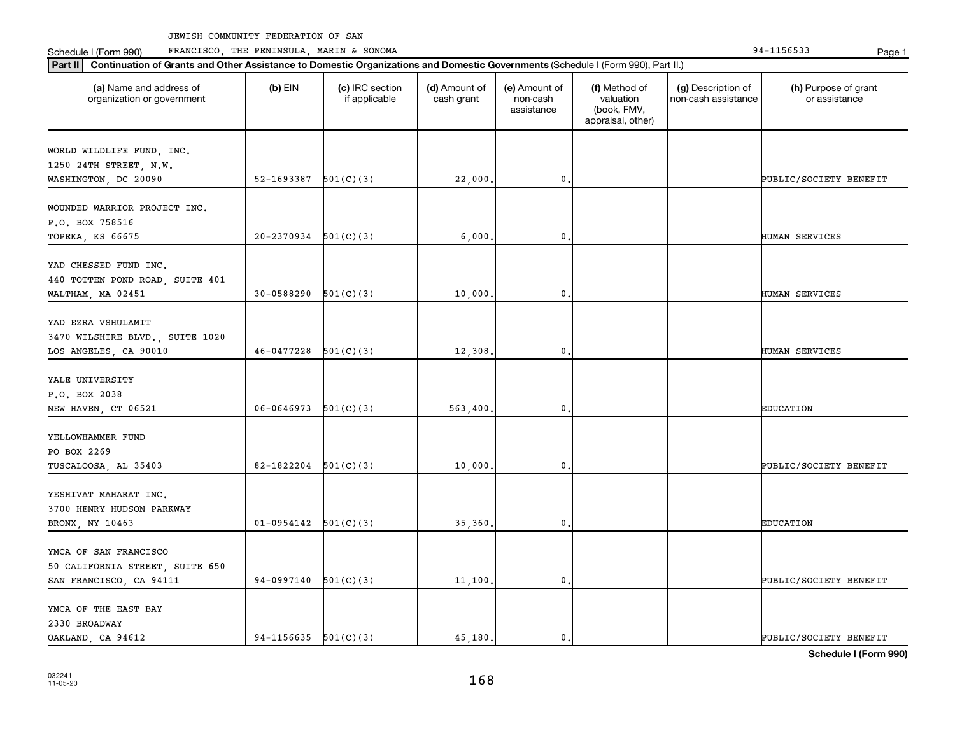Schedule I (Form 990) PRANCISCO, THE PENINSULA, MARIN & SONOMA Page 1 (Form 194-1156533 Page 1

| (a) Name and address of<br>organization or government                          | $(b)$ EIN              | (c) IRC section<br>if applicable | (d) Amount of<br>cash grant | (e) Amount of<br>non-cash<br>assistance | (f) Method of<br>valuation<br>(book, FMV,<br>appraisal, other) | (g) Description of<br>non-cash assistance | (h) Purpose of grant<br>or assistance           |
|--------------------------------------------------------------------------------|------------------------|----------------------------------|-----------------------------|-----------------------------------------|----------------------------------------------------------------|-------------------------------------------|-------------------------------------------------|
| WORLD WILDLIFE FUND, INC.<br>1250 24TH STREET, N.W.                            |                        |                                  |                             |                                         |                                                                |                                           |                                                 |
| WASHINGTON, DC 20090                                                           | 52-1693387 $501(C)(3)$ |                                  | 22,000                      | $\mathfrak{o}$ .                        |                                                                |                                           | PUBLIC/SOCIETY BENEFIT                          |
| WOUNDED WARRIOR PROJECT INC.<br>P.O. BOX 758516                                |                        |                                  |                             |                                         |                                                                |                                           |                                                 |
| TOPEKA, KS 66675                                                               | 20-2370934             | 501(C)(3)                        | 6,000                       | $\mathbf{0}$ .                          |                                                                |                                           | HUMAN SERVICES                                  |
| YAD CHESSED FUND INC.<br>440 TOTTEN POND ROAD, SUITE 401                       |                        |                                  |                             |                                         |                                                                |                                           |                                                 |
| WALTHAM, MA 02451                                                              | 30-0588290             | 501(C)(3)                        | 10,000.                     | $\mathbf{0}$                            |                                                                |                                           | HUMAN SERVICES                                  |
| YAD EZRA VSHULAMIT<br>3470 WILSHIRE BLVD., SUITE 1020<br>LOS ANGELES, CA 90010 | 46-0477228             | 501(C)(3)                        | 12,308                      | $\mathbf{0}$ .                          |                                                                |                                           | HUMAN SERVICES                                  |
| YALE UNIVERSITY<br>P.O. BOX 2038                                               |                        |                                  |                             |                                         |                                                                |                                           |                                                 |
| NEW HAVEN, CT 06521                                                            | 06-0646973             | 501(C)(3)                        | 563,400                     | $\mathbf{0}$ .                          |                                                                |                                           | <b>EDUCATION</b>                                |
| YELLOWHAMMER FUND<br>PO BOX 2269<br>TUSCALOOSA, AL 35403                       | 82-1822204             | 501(C)(3)                        | 10,000                      | 0                                       |                                                                |                                           | PUBLIC/SOCIETY BENEFIT                          |
| YESHIVAT MAHARAT INC.<br>3700 HENRY HUDSON PARKWAY<br>BRONX, NY 10463          | $01 - 0954142$         | 501(C)(3)                        | 35,360                      | $\mathbf{0}$ .                          |                                                                |                                           | <b>EDUCATION</b>                                |
| YMCA OF SAN FRANCISCO<br>50 CALIFORNIA STREET, SUITE 650                       |                        |                                  |                             |                                         |                                                                |                                           |                                                 |
| SAN FRANCISCO, CA 94111                                                        | 94-0997140             | 501(C)(3)                        | 11,100                      | $\mathbf 0$ .                           |                                                                |                                           | PUBLIC/SOCIETY BENEFIT                          |
| YMCA OF THE EAST BAY<br>2330 BROADWAY                                          |                        |                                  |                             |                                         |                                                                |                                           |                                                 |
| OAKLAND, CA 94612                                                              | 94-1156635             | 501(C)(3)                        | 45,180                      | $\mathbf{0}$ .                          |                                                                |                                           | PUBLIC/SOCIETY BENEFIT<br>Schedule I (Form 990) |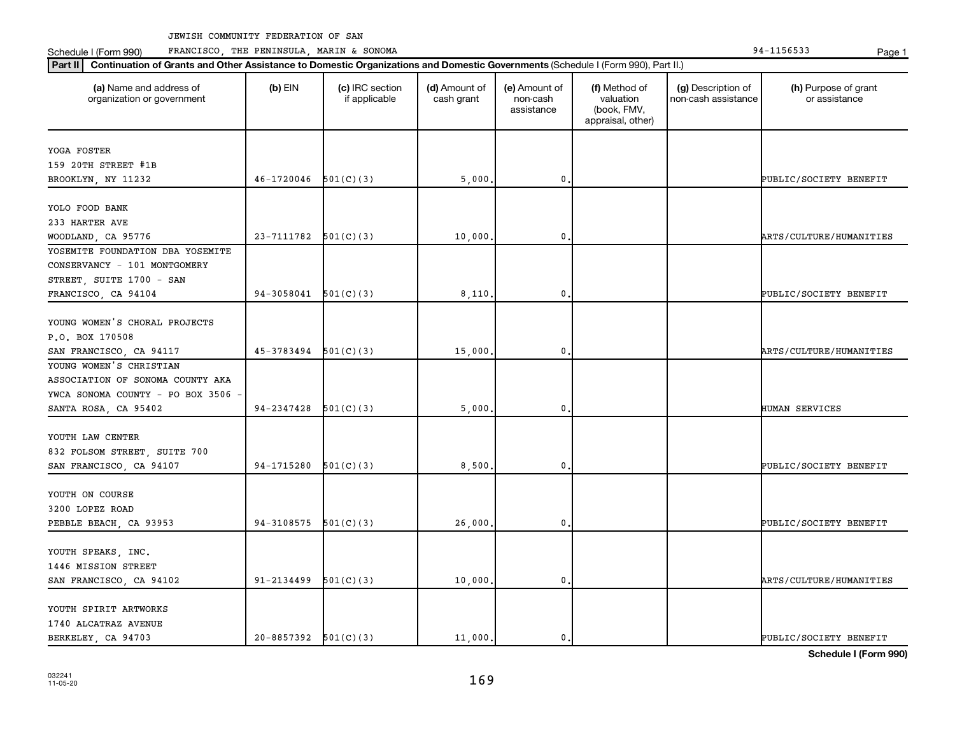**Part II Continuation of Grants and Other Assistance to Domestic Organizations and Domestic Governments**  (Schedule I (Form 990), Part II.)

Schedule I (Form 990) PRANCISCO, THE PENINSULA, MARIN & SONOMA Page 1 (Form 194-1156533 Page 1

032241 11-05-20

| (a) Name and address of<br>organization or government                                           | $(b)$ EIN                  | (c) IRC section<br>if applicable | (d) Amount of<br>cash grant | (e) Amount of<br>non-cash<br>assistance | (f) Method of<br>valuation<br>(book, FMV,<br>appraisal, other) | (g) Description of<br>non-cash assistance | (h) Purpose of grant<br>or assistance |
|-------------------------------------------------------------------------------------------------|----------------------------|----------------------------------|-----------------------------|-----------------------------------------|----------------------------------------------------------------|-------------------------------------------|---------------------------------------|
| YOGA FOSTER                                                                                     |                            |                                  |                             |                                         |                                                                |                                           |                                       |
| 159 20TH STREET #1B                                                                             |                            |                                  |                             |                                         |                                                                |                                           |                                       |
| BROOKLYN, NY 11232                                                                              | $46-1720046$ $501(C)(3)$   |                                  | 5,000                       | 0                                       |                                                                |                                           | PUBLIC/SOCIETY BENEFIT                |
| YOLO FOOD BANK                                                                                  |                            |                                  |                             |                                         |                                                                |                                           |                                       |
| 233 HARTER AVE                                                                                  |                            |                                  |                             |                                         |                                                                |                                           |                                       |
| WOODLAND, CA 95776                                                                              | 23-7111782                 | 501(C)(3)                        | 10,000                      | 0                                       |                                                                |                                           | ARTS/CULTURE/HUMANITIES               |
| YOSEMITE FOUNDATION DBA YOSEMITE<br>CONSERVANCY - 101 MONTGOMERY                                |                            |                                  |                             |                                         |                                                                |                                           |                                       |
| STREET, SUITE 1700 - SAN<br>FRANCISCO, CA 94104                                                 | $94-3058041$ $501(C)(3)$   |                                  | 8,110                       | 0                                       |                                                                |                                           | PUBLIC/SOCIETY BENEFIT                |
| YOUNG WOMEN'S CHORAL PROJECTS<br>P.O. BOX 170508<br>SAN FRANCISCO, CA 94117                     | 45-3783494                 | 501(C)(3)                        | 15,000                      | 0                                       |                                                                |                                           | ARTS/CULTURE/HUMANITIES               |
| YOUNG WOMEN'S CHRISTIAN<br>ASSOCIATION OF SONOMA COUNTY AKA<br>YWCA SONOMA COUNTY - PO BOX 3506 |                            |                                  |                             |                                         |                                                                |                                           |                                       |
| SANTA ROSA, CA 95402                                                                            | 94-2347428                 | 501(C)(3)                        | 5,000                       | 0                                       |                                                                |                                           | <b>HUMAN SERVICES</b>                 |
| YOUTH LAW CENTER<br>832 FOLSOM STREET, SUITE 700<br>SAN FRANCISCO, CA 94107                     | 94-1715280                 | 501(C)(3)                        | 8,500                       | 0                                       |                                                                |                                           | PUBLIC/SOCIETY BENEFIT                |
| YOUTH ON COURSE<br>3200 LOPEZ ROAD<br>PEBBLE BEACH, CA 93953                                    | 94-3108575                 | 501(C)(3)                        | 26,000                      | 0                                       |                                                                |                                           | PUBLIC/SOCIETY BENEFIT                |
|                                                                                                 |                            |                                  |                             |                                         |                                                                |                                           |                                       |
| YOUTH SPEAKS, INC.<br>1446 MISSION STREET<br>SAN FRANCISCO, CA 94102                            | 91-2134499                 | 501(C)(3)                        | 10,000                      | 0                                       |                                                                |                                           | ARTS/CULTURE/HUMANITIES               |
| YOUTH SPIRIT ARTWORKS<br>1740 ALCATRAZ AVENUE<br>BERKELEY, CA 94703                             | $20 - 8857392$ $501(C)(3)$ |                                  | 11,000.                     | 0.                                      |                                                                |                                           | PUBLIC/SOCIETY BENEFIT                |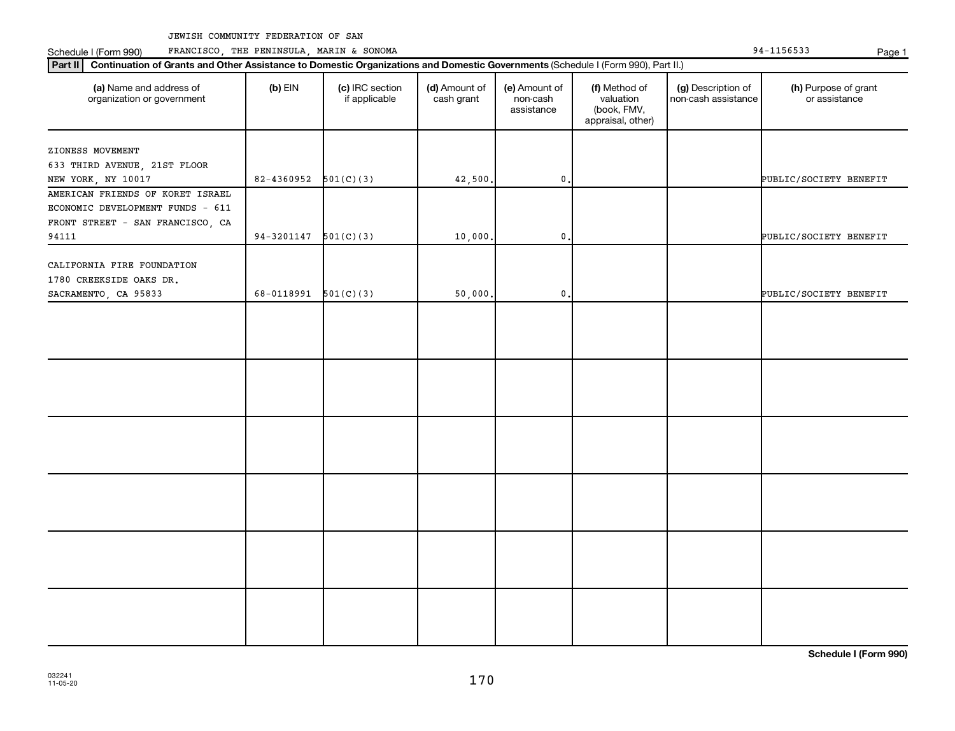Schedule I (Form 990) PRANCISCO, THE PENINSULA, MARIN & SONOMA Page 1 (Form 194-1156533 Page 1

| (a) Name and address of<br>organization or government                                                    | $(b)$ EIN              | (c) IRC section<br>if applicable | (d) Amount of<br>cash grant | (e) Amount of<br>non-cash<br>assistance | (f) Method of<br>valuation<br>(book, FMV,<br>appraisal, other) | (g) Description of<br>non-cash assistance | (h) Purpose of grant<br>or assistance |
|----------------------------------------------------------------------------------------------------------|------------------------|----------------------------------|-----------------------------|-----------------------------------------|----------------------------------------------------------------|-------------------------------------------|---------------------------------------|
| ZIONESS MOVEMENT                                                                                         |                        |                                  |                             |                                         |                                                                |                                           |                                       |
| 633 THIRD AVENUE, 21ST FLOOR                                                                             |                        |                                  |                             |                                         |                                                                |                                           |                                       |
| NEW YORK, NY 10017                                                                                       | 82-4360952             | 501(C)(3)                        | 42,500.                     | $\mathbf 0$ .                           |                                                                |                                           | PUBLIC/SOCIETY BENEFIT                |
| AMERICAN FRIENDS OF KORET ISRAEL<br>ECONOMIC DEVELOPMENT FUNDS - 611<br>FRONT STREET - SAN FRANCISCO, CA |                        |                                  |                             |                                         |                                                                |                                           |                                       |
| 94111                                                                                                    | $94 - 3201147$         | 501(C)(3)                        | 10,000.                     | $\mathbf{0}$                            |                                                                |                                           | PUBLIC/SOCIETY BENEFIT                |
| CALIFORNIA FIRE FOUNDATION<br>1780 CREEKSIDE OAKS DR.                                                    |                        |                                  |                             |                                         |                                                                |                                           |                                       |
| SACRAMENTO, CA 95833                                                                                     | 68-0118991 $501(C)(3)$ |                                  | 50,000.                     | $\mathbf 0$ .                           |                                                                |                                           | PUBLIC/SOCIETY BENEFIT                |
|                                                                                                          |                        |                                  |                             |                                         |                                                                |                                           |                                       |
|                                                                                                          |                        |                                  |                             |                                         |                                                                |                                           |                                       |
|                                                                                                          |                        |                                  |                             |                                         |                                                                |                                           |                                       |
|                                                                                                          |                        |                                  |                             |                                         |                                                                |                                           |                                       |
|                                                                                                          |                        |                                  |                             |                                         |                                                                |                                           |                                       |
|                                                                                                          |                        |                                  |                             |                                         |                                                                |                                           |                                       |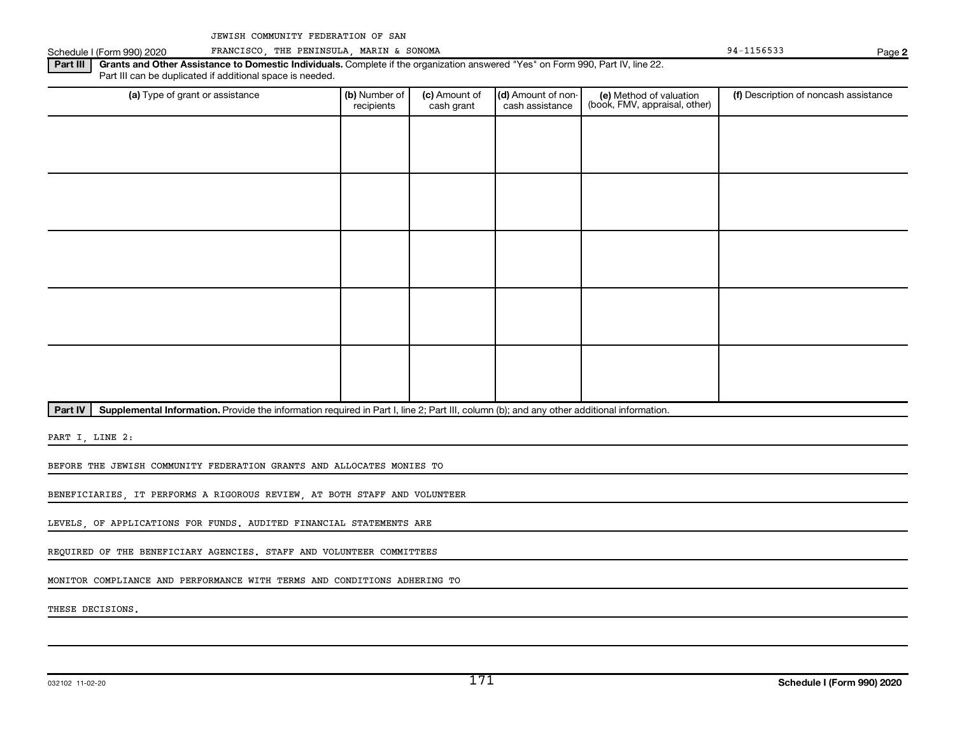Schedule I (Form 990) 2020 FRANCISCO, THE PENINSULA, MARIN & SONOMA 920 Page 94-1156533

**2**

Part III | Grants and Other Assistance to Domestic Individuals. Complete if the organization answered "Yes" on Form 990, Part IV, line 22. Part III can be duplicated if additional space is needed.

| (a) Type of grant or assistance | (b) Number of<br>recipients | (c) Amount of<br>cash grant | (d) Amount of non-<br>cash assistance | (e) Method of valuation<br>(book, FMV, appraisal, other) | (f) Description of noncash assistance |
|---------------------------------|-----------------------------|-----------------------------|---------------------------------------|----------------------------------------------------------|---------------------------------------|
|                                 |                             |                             |                                       |                                                          |                                       |
|                                 |                             |                             |                                       |                                                          |                                       |
|                                 |                             |                             |                                       |                                                          |                                       |
|                                 |                             |                             |                                       |                                                          |                                       |
|                                 |                             |                             |                                       |                                                          |                                       |
|                                 |                             |                             |                                       |                                                          |                                       |
|                                 |                             |                             |                                       |                                                          |                                       |
|                                 |                             |                             |                                       |                                                          |                                       |
|                                 |                             |                             |                                       |                                                          |                                       |
|                                 |                             |                             |                                       |                                                          |                                       |

Part IV | Supplemental Information. Provide the information required in Part I, line 2; Part III, column (b); and any other additional information.

PART I, LINE 2:

BEFORE THE JEWISH COMMUNITY FEDERATION GRANTS AND ALLOCATES MONIES TO

BENEFICIARIES, IT PERFORMS A RIGOROUS REVIEW, AT BOTH STAFF AND VOLUNTEER

LEVELS, OF APPLICATIONS FOR FUNDS. AUDITED FINANCIAL STATEMENTS ARE

REQUIRED OF THE BENEFICIARY AGENCIES. STAFF AND VOLUNTEER COMMITTEES

MONITOR COMPLIANCE AND PERFORMANCE WITH TERMS AND CONDITIONS ADHERING TO

THESE DECISIONS.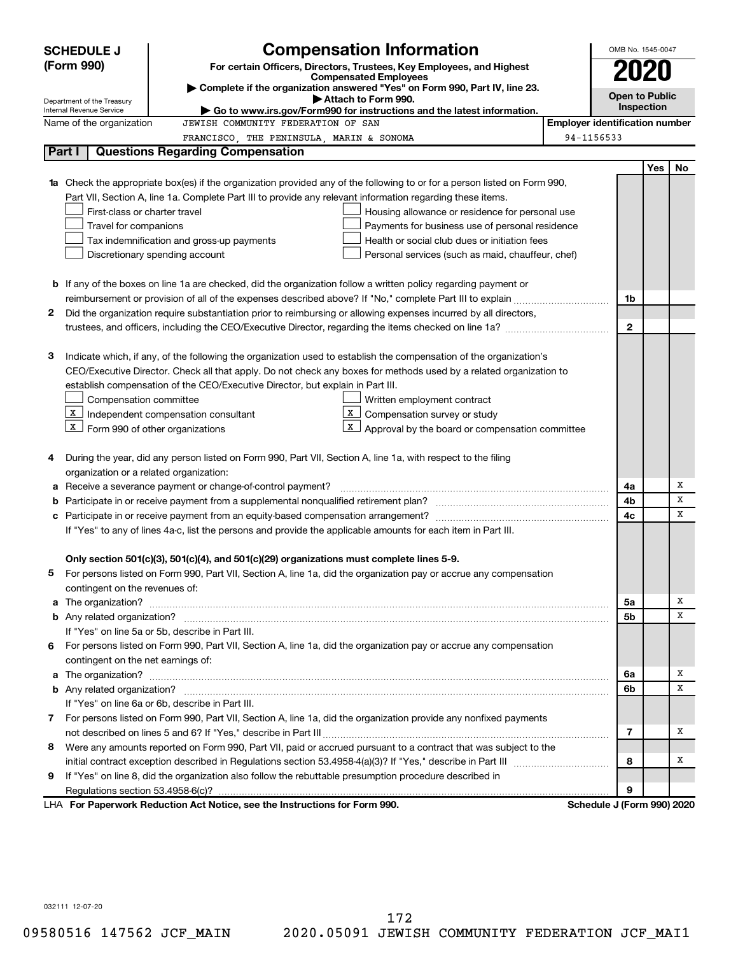| (Form 990)<br>For certain Officers, Directors, Trustees, Key Employees, and Highest<br>2020<br><b>Compensated Employees</b><br>Complete if the organization answered "Yes" on Form 990, Part IV, line 23.<br><b>Open to Public</b><br>Attach to Form 990.<br>Department of the Treasury<br>Inspection<br>Go to www.irs.gov/Form990 for instructions and the latest information.<br>Internal Revenue Service<br><b>Employer identification number</b><br>Name of the organization<br>JEWISH COMMUNITY FEDERATION OF SAN<br>94-1156533<br>FRANCISCO, THE PENINSULA, MARIN & SONOMA<br>Part I<br><b>Questions Regarding Compensation</b><br><b>Yes</b><br>No<br>Check the appropriate box(es) if the organization provided any of the following to or for a person listed on Form 990,<br>Part VII, Section A, line 1a. Complete Part III to provide any relevant information regarding these items.<br>First-class or charter travel<br>Housing allowance or residence for personal use<br>Travel for companions<br>Payments for business use of personal residence<br>Health or social club dues or initiation fees<br>Tax indemnification and gross-up payments<br>Discretionary spending account<br>Personal services (such as maid, chauffeur, chef)<br><b>b</b> If any of the boxes on line 1a are checked, did the organization follow a written policy regarding payment or<br>1b<br>Did the organization require substantiation prior to reimbursing or allowing expenses incurred by all directors,<br>2<br>$\mathbf{2}$<br>З<br>Indicate which, if any, of the following the organization used to establish the compensation of the organization's<br>CEO/Executive Director. Check all that apply. Do not check any boxes for methods used by a related organization to<br>establish compensation of the CEO/Executive Director, but explain in Part III.<br>Compensation committee<br>Written employment contract<br>X<br>Compensation survey or study<br>$X$ Independent compensation consultant<br>$X$ Form 990 of other organizations<br>X<br>Approval by the board or compensation committee<br>During the year, did any person listed on Form 990, Part VII, Section A, line 1a, with respect to the filing<br>organization or a related organization:<br>х<br>Receive a severance payment or change-of-control payment?<br>4a<br>а<br>X<br>4b<br>b<br>X<br>4c<br>с<br>If "Yes" to any of lines 4a-c, list the persons and provide the applicable amounts for each item in Part III.<br>Only section 501(c)(3), 501(c)(4), and 501(c)(29) organizations must complete lines 5-9.<br>For persons listed on Form 990, Part VII, Section A, line 1a, did the organization pay or accrue any compensation<br>contingent on the revenues of:<br>The organization? <b>William Commission Commission Commission</b> Commission Commission Commission Commission<br>X<br>5a<br>a<br>X<br>5b<br>If "Yes" on line 5a or 5b, describe in Part III.<br>6 For persons listed on Form 990, Part VII, Section A, line 1a, did the organization pay or accrue any compensation<br>contingent on the net earnings of:<br>X<br>The organization? <b>With the contract of the contract of the contract of the contract of the contract of the contract of the contract of the contract of the contract of the contract of the contract of the contract of the co</b><br>6а<br>a<br>X<br>6b<br>If "Yes" on line 6a or 6b, describe in Part III.<br>7 For persons listed on Form 990, Part VII, Section A, line 1a, did the organization provide any nonfixed payments<br>х<br>7<br>Were any amounts reported on Form 990, Part VII, paid or accrued pursuant to a contract that was subject to the<br>8<br>х<br>8<br>If "Yes" on line 8, did the organization also follow the rebuttable presumption procedure described in<br>9<br>9<br>LHA For Paperwork Reduction Act Notice, see the Instructions for Form 990.<br>Schedule J (Form 990) 2020 | <b>SCHEDULE J</b> | <b>Compensation Information</b> | OMB No. 1545-0047 |  |  |
|----------------------------------------------------------------------------------------------------------------------------------------------------------------------------------------------------------------------------------------------------------------------------------------------------------------------------------------------------------------------------------------------------------------------------------------------------------------------------------------------------------------------------------------------------------------------------------------------------------------------------------------------------------------------------------------------------------------------------------------------------------------------------------------------------------------------------------------------------------------------------------------------------------------------------------------------------------------------------------------------------------------------------------------------------------------------------------------------------------------------------------------------------------------------------------------------------------------------------------------------------------------------------------------------------------------------------------------------------------------------------------------------------------------------------------------------------------------------------------------------------------------------------------------------------------------------------------------------------------------------------------------------------------------------------------------------------------------------------------------------------------------------------------------------------------------------------------------------------------------------------------------------------------------------------------------------------------------------------------------------------------------------------------------------------------------------------------------------------------------------------------------------------------------------------------------------------------------------------------------------------------------------------------------------------------------------------------------------------------------------------------------------------------------------------------------------------------------------------------------------------------------------------------------------------------------------------------------------------------------------------------------------------------------------------------------------------------------------------------------------------------------------------------------------------------------------------------------------------------------------------------------------------------------------------------------------------------------------------------------------------------------------------------------------------------------------------------------------------------------------------------------------------------------------------------------------------------------------------------------------------------------------------------------------------------------------------------------------------------------------------------------------------------------------------------------------------------------------------------------------------------------------------------------------------------------------------------------------------------------------------------------------------------------------------------------------------------------------------------------------------------------------------------------------------------------------------------------------------------------------------------------------------------------------------------------------|-------------------|---------------------------------|-------------------|--|--|
|                                                                                                                                                                                                                                                                                                                                                                                                                                                                                                                                                                                                                                                                                                                                                                                                                                                                                                                                                                                                                                                                                                                                                                                                                                                                                                                                                                                                                                                                                                                                                                                                                                                                                                                                                                                                                                                                                                                                                                                                                                                                                                                                                                                                                                                                                                                                                                                                                                                                                                                                                                                                                                                                                                                                                                                                                                                                                                                                                                                                                                                                                                                                                                                                                                                                                                                                                                                                                                                                                                                                                                                                                                                                                                                                                                                                                                                                                                                                              |                   |                                 |                   |  |  |
|                                                                                                                                                                                                                                                                                                                                                                                                                                                                                                                                                                                                                                                                                                                                                                                                                                                                                                                                                                                                                                                                                                                                                                                                                                                                                                                                                                                                                                                                                                                                                                                                                                                                                                                                                                                                                                                                                                                                                                                                                                                                                                                                                                                                                                                                                                                                                                                                                                                                                                                                                                                                                                                                                                                                                                                                                                                                                                                                                                                                                                                                                                                                                                                                                                                                                                                                                                                                                                                                                                                                                                                                                                                                                                                                                                                                                                                                                                                                              |                   |                                 |                   |  |  |
|                                                                                                                                                                                                                                                                                                                                                                                                                                                                                                                                                                                                                                                                                                                                                                                                                                                                                                                                                                                                                                                                                                                                                                                                                                                                                                                                                                                                                                                                                                                                                                                                                                                                                                                                                                                                                                                                                                                                                                                                                                                                                                                                                                                                                                                                                                                                                                                                                                                                                                                                                                                                                                                                                                                                                                                                                                                                                                                                                                                                                                                                                                                                                                                                                                                                                                                                                                                                                                                                                                                                                                                                                                                                                                                                                                                                                                                                                                                                              |                   |                                 |                   |  |  |
|                                                                                                                                                                                                                                                                                                                                                                                                                                                                                                                                                                                                                                                                                                                                                                                                                                                                                                                                                                                                                                                                                                                                                                                                                                                                                                                                                                                                                                                                                                                                                                                                                                                                                                                                                                                                                                                                                                                                                                                                                                                                                                                                                                                                                                                                                                                                                                                                                                                                                                                                                                                                                                                                                                                                                                                                                                                                                                                                                                                                                                                                                                                                                                                                                                                                                                                                                                                                                                                                                                                                                                                                                                                                                                                                                                                                                                                                                                                                              |                   |                                 |                   |  |  |
|                                                                                                                                                                                                                                                                                                                                                                                                                                                                                                                                                                                                                                                                                                                                                                                                                                                                                                                                                                                                                                                                                                                                                                                                                                                                                                                                                                                                                                                                                                                                                                                                                                                                                                                                                                                                                                                                                                                                                                                                                                                                                                                                                                                                                                                                                                                                                                                                                                                                                                                                                                                                                                                                                                                                                                                                                                                                                                                                                                                                                                                                                                                                                                                                                                                                                                                                                                                                                                                                                                                                                                                                                                                                                                                                                                                                                                                                                                                                              |                   |                                 |                   |  |  |
|                                                                                                                                                                                                                                                                                                                                                                                                                                                                                                                                                                                                                                                                                                                                                                                                                                                                                                                                                                                                                                                                                                                                                                                                                                                                                                                                                                                                                                                                                                                                                                                                                                                                                                                                                                                                                                                                                                                                                                                                                                                                                                                                                                                                                                                                                                                                                                                                                                                                                                                                                                                                                                                                                                                                                                                                                                                                                                                                                                                                                                                                                                                                                                                                                                                                                                                                                                                                                                                                                                                                                                                                                                                                                                                                                                                                                                                                                                                                              |                   |                                 |                   |  |  |
|                                                                                                                                                                                                                                                                                                                                                                                                                                                                                                                                                                                                                                                                                                                                                                                                                                                                                                                                                                                                                                                                                                                                                                                                                                                                                                                                                                                                                                                                                                                                                                                                                                                                                                                                                                                                                                                                                                                                                                                                                                                                                                                                                                                                                                                                                                                                                                                                                                                                                                                                                                                                                                                                                                                                                                                                                                                                                                                                                                                                                                                                                                                                                                                                                                                                                                                                                                                                                                                                                                                                                                                                                                                                                                                                                                                                                                                                                                                                              |                   |                                 |                   |  |  |
|                                                                                                                                                                                                                                                                                                                                                                                                                                                                                                                                                                                                                                                                                                                                                                                                                                                                                                                                                                                                                                                                                                                                                                                                                                                                                                                                                                                                                                                                                                                                                                                                                                                                                                                                                                                                                                                                                                                                                                                                                                                                                                                                                                                                                                                                                                                                                                                                                                                                                                                                                                                                                                                                                                                                                                                                                                                                                                                                                                                                                                                                                                                                                                                                                                                                                                                                                                                                                                                                                                                                                                                                                                                                                                                                                                                                                                                                                                                                              |                   |                                 |                   |  |  |
|                                                                                                                                                                                                                                                                                                                                                                                                                                                                                                                                                                                                                                                                                                                                                                                                                                                                                                                                                                                                                                                                                                                                                                                                                                                                                                                                                                                                                                                                                                                                                                                                                                                                                                                                                                                                                                                                                                                                                                                                                                                                                                                                                                                                                                                                                                                                                                                                                                                                                                                                                                                                                                                                                                                                                                                                                                                                                                                                                                                                                                                                                                                                                                                                                                                                                                                                                                                                                                                                                                                                                                                                                                                                                                                                                                                                                                                                                                                                              |                   |                                 |                   |  |  |
|                                                                                                                                                                                                                                                                                                                                                                                                                                                                                                                                                                                                                                                                                                                                                                                                                                                                                                                                                                                                                                                                                                                                                                                                                                                                                                                                                                                                                                                                                                                                                                                                                                                                                                                                                                                                                                                                                                                                                                                                                                                                                                                                                                                                                                                                                                                                                                                                                                                                                                                                                                                                                                                                                                                                                                                                                                                                                                                                                                                                                                                                                                                                                                                                                                                                                                                                                                                                                                                                                                                                                                                                                                                                                                                                                                                                                                                                                                                                              |                   |                                 |                   |  |  |
|                                                                                                                                                                                                                                                                                                                                                                                                                                                                                                                                                                                                                                                                                                                                                                                                                                                                                                                                                                                                                                                                                                                                                                                                                                                                                                                                                                                                                                                                                                                                                                                                                                                                                                                                                                                                                                                                                                                                                                                                                                                                                                                                                                                                                                                                                                                                                                                                                                                                                                                                                                                                                                                                                                                                                                                                                                                                                                                                                                                                                                                                                                                                                                                                                                                                                                                                                                                                                                                                                                                                                                                                                                                                                                                                                                                                                                                                                                                                              |                   |                                 |                   |  |  |
|                                                                                                                                                                                                                                                                                                                                                                                                                                                                                                                                                                                                                                                                                                                                                                                                                                                                                                                                                                                                                                                                                                                                                                                                                                                                                                                                                                                                                                                                                                                                                                                                                                                                                                                                                                                                                                                                                                                                                                                                                                                                                                                                                                                                                                                                                                                                                                                                                                                                                                                                                                                                                                                                                                                                                                                                                                                                                                                                                                                                                                                                                                                                                                                                                                                                                                                                                                                                                                                                                                                                                                                                                                                                                                                                                                                                                                                                                                                                              |                   |                                 |                   |  |  |
|                                                                                                                                                                                                                                                                                                                                                                                                                                                                                                                                                                                                                                                                                                                                                                                                                                                                                                                                                                                                                                                                                                                                                                                                                                                                                                                                                                                                                                                                                                                                                                                                                                                                                                                                                                                                                                                                                                                                                                                                                                                                                                                                                                                                                                                                                                                                                                                                                                                                                                                                                                                                                                                                                                                                                                                                                                                                                                                                                                                                                                                                                                                                                                                                                                                                                                                                                                                                                                                                                                                                                                                                                                                                                                                                                                                                                                                                                                                                              |                   |                                 |                   |  |  |
|                                                                                                                                                                                                                                                                                                                                                                                                                                                                                                                                                                                                                                                                                                                                                                                                                                                                                                                                                                                                                                                                                                                                                                                                                                                                                                                                                                                                                                                                                                                                                                                                                                                                                                                                                                                                                                                                                                                                                                                                                                                                                                                                                                                                                                                                                                                                                                                                                                                                                                                                                                                                                                                                                                                                                                                                                                                                                                                                                                                                                                                                                                                                                                                                                                                                                                                                                                                                                                                                                                                                                                                                                                                                                                                                                                                                                                                                                                                                              |                   |                                 |                   |  |  |
|                                                                                                                                                                                                                                                                                                                                                                                                                                                                                                                                                                                                                                                                                                                                                                                                                                                                                                                                                                                                                                                                                                                                                                                                                                                                                                                                                                                                                                                                                                                                                                                                                                                                                                                                                                                                                                                                                                                                                                                                                                                                                                                                                                                                                                                                                                                                                                                                                                                                                                                                                                                                                                                                                                                                                                                                                                                                                                                                                                                                                                                                                                                                                                                                                                                                                                                                                                                                                                                                                                                                                                                                                                                                                                                                                                                                                                                                                                                                              |                   |                                 |                   |  |  |
|                                                                                                                                                                                                                                                                                                                                                                                                                                                                                                                                                                                                                                                                                                                                                                                                                                                                                                                                                                                                                                                                                                                                                                                                                                                                                                                                                                                                                                                                                                                                                                                                                                                                                                                                                                                                                                                                                                                                                                                                                                                                                                                                                                                                                                                                                                                                                                                                                                                                                                                                                                                                                                                                                                                                                                                                                                                                                                                                                                                                                                                                                                                                                                                                                                                                                                                                                                                                                                                                                                                                                                                                                                                                                                                                                                                                                                                                                                                                              |                   |                                 |                   |  |  |
|                                                                                                                                                                                                                                                                                                                                                                                                                                                                                                                                                                                                                                                                                                                                                                                                                                                                                                                                                                                                                                                                                                                                                                                                                                                                                                                                                                                                                                                                                                                                                                                                                                                                                                                                                                                                                                                                                                                                                                                                                                                                                                                                                                                                                                                                                                                                                                                                                                                                                                                                                                                                                                                                                                                                                                                                                                                                                                                                                                                                                                                                                                                                                                                                                                                                                                                                                                                                                                                                                                                                                                                                                                                                                                                                                                                                                                                                                                                                              |                   |                                 |                   |  |  |
|                                                                                                                                                                                                                                                                                                                                                                                                                                                                                                                                                                                                                                                                                                                                                                                                                                                                                                                                                                                                                                                                                                                                                                                                                                                                                                                                                                                                                                                                                                                                                                                                                                                                                                                                                                                                                                                                                                                                                                                                                                                                                                                                                                                                                                                                                                                                                                                                                                                                                                                                                                                                                                                                                                                                                                                                                                                                                                                                                                                                                                                                                                                                                                                                                                                                                                                                                                                                                                                                                                                                                                                                                                                                                                                                                                                                                                                                                                                                              |                   |                                 |                   |  |  |
|                                                                                                                                                                                                                                                                                                                                                                                                                                                                                                                                                                                                                                                                                                                                                                                                                                                                                                                                                                                                                                                                                                                                                                                                                                                                                                                                                                                                                                                                                                                                                                                                                                                                                                                                                                                                                                                                                                                                                                                                                                                                                                                                                                                                                                                                                                                                                                                                                                                                                                                                                                                                                                                                                                                                                                                                                                                                                                                                                                                                                                                                                                                                                                                                                                                                                                                                                                                                                                                                                                                                                                                                                                                                                                                                                                                                                                                                                                                                              |                   |                                 |                   |  |  |
|                                                                                                                                                                                                                                                                                                                                                                                                                                                                                                                                                                                                                                                                                                                                                                                                                                                                                                                                                                                                                                                                                                                                                                                                                                                                                                                                                                                                                                                                                                                                                                                                                                                                                                                                                                                                                                                                                                                                                                                                                                                                                                                                                                                                                                                                                                                                                                                                                                                                                                                                                                                                                                                                                                                                                                                                                                                                                                                                                                                                                                                                                                                                                                                                                                                                                                                                                                                                                                                                                                                                                                                                                                                                                                                                                                                                                                                                                                                                              |                   |                                 |                   |  |  |
|                                                                                                                                                                                                                                                                                                                                                                                                                                                                                                                                                                                                                                                                                                                                                                                                                                                                                                                                                                                                                                                                                                                                                                                                                                                                                                                                                                                                                                                                                                                                                                                                                                                                                                                                                                                                                                                                                                                                                                                                                                                                                                                                                                                                                                                                                                                                                                                                                                                                                                                                                                                                                                                                                                                                                                                                                                                                                                                                                                                                                                                                                                                                                                                                                                                                                                                                                                                                                                                                                                                                                                                                                                                                                                                                                                                                                                                                                                                                              |                   |                                 |                   |  |  |
|                                                                                                                                                                                                                                                                                                                                                                                                                                                                                                                                                                                                                                                                                                                                                                                                                                                                                                                                                                                                                                                                                                                                                                                                                                                                                                                                                                                                                                                                                                                                                                                                                                                                                                                                                                                                                                                                                                                                                                                                                                                                                                                                                                                                                                                                                                                                                                                                                                                                                                                                                                                                                                                                                                                                                                                                                                                                                                                                                                                                                                                                                                                                                                                                                                                                                                                                                                                                                                                                                                                                                                                                                                                                                                                                                                                                                                                                                                                                              |                   |                                 |                   |  |  |
|                                                                                                                                                                                                                                                                                                                                                                                                                                                                                                                                                                                                                                                                                                                                                                                                                                                                                                                                                                                                                                                                                                                                                                                                                                                                                                                                                                                                                                                                                                                                                                                                                                                                                                                                                                                                                                                                                                                                                                                                                                                                                                                                                                                                                                                                                                                                                                                                                                                                                                                                                                                                                                                                                                                                                                                                                                                                                                                                                                                                                                                                                                                                                                                                                                                                                                                                                                                                                                                                                                                                                                                                                                                                                                                                                                                                                                                                                                                                              |                   |                                 |                   |  |  |
|                                                                                                                                                                                                                                                                                                                                                                                                                                                                                                                                                                                                                                                                                                                                                                                                                                                                                                                                                                                                                                                                                                                                                                                                                                                                                                                                                                                                                                                                                                                                                                                                                                                                                                                                                                                                                                                                                                                                                                                                                                                                                                                                                                                                                                                                                                                                                                                                                                                                                                                                                                                                                                                                                                                                                                                                                                                                                                                                                                                                                                                                                                                                                                                                                                                                                                                                                                                                                                                                                                                                                                                                                                                                                                                                                                                                                                                                                                                                              |                   |                                 |                   |  |  |
|                                                                                                                                                                                                                                                                                                                                                                                                                                                                                                                                                                                                                                                                                                                                                                                                                                                                                                                                                                                                                                                                                                                                                                                                                                                                                                                                                                                                                                                                                                                                                                                                                                                                                                                                                                                                                                                                                                                                                                                                                                                                                                                                                                                                                                                                                                                                                                                                                                                                                                                                                                                                                                                                                                                                                                                                                                                                                                                                                                                                                                                                                                                                                                                                                                                                                                                                                                                                                                                                                                                                                                                                                                                                                                                                                                                                                                                                                                                                              |                   |                                 |                   |  |  |
|                                                                                                                                                                                                                                                                                                                                                                                                                                                                                                                                                                                                                                                                                                                                                                                                                                                                                                                                                                                                                                                                                                                                                                                                                                                                                                                                                                                                                                                                                                                                                                                                                                                                                                                                                                                                                                                                                                                                                                                                                                                                                                                                                                                                                                                                                                                                                                                                                                                                                                                                                                                                                                                                                                                                                                                                                                                                                                                                                                                                                                                                                                                                                                                                                                                                                                                                                                                                                                                                                                                                                                                                                                                                                                                                                                                                                                                                                                                                              |                   |                                 |                   |  |  |
|                                                                                                                                                                                                                                                                                                                                                                                                                                                                                                                                                                                                                                                                                                                                                                                                                                                                                                                                                                                                                                                                                                                                                                                                                                                                                                                                                                                                                                                                                                                                                                                                                                                                                                                                                                                                                                                                                                                                                                                                                                                                                                                                                                                                                                                                                                                                                                                                                                                                                                                                                                                                                                                                                                                                                                                                                                                                                                                                                                                                                                                                                                                                                                                                                                                                                                                                                                                                                                                                                                                                                                                                                                                                                                                                                                                                                                                                                                                                              |                   |                                 |                   |  |  |
|                                                                                                                                                                                                                                                                                                                                                                                                                                                                                                                                                                                                                                                                                                                                                                                                                                                                                                                                                                                                                                                                                                                                                                                                                                                                                                                                                                                                                                                                                                                                                                                                                                                                                                                                                                                                                                                                                                                                                                                                                                                                                                                                                                                                                                                                                                                                                                                                                                                                                                                                                                                                                                                                                                                                                                                                                                                                                                                                                                                                                                                                                                                                                                                                                                                                                                                                                                                                                                                                                                                                                                                                                                                                                                                                                                                                                                                                                                                                              |                   |                                 |                   |  |  |
|                                                                                                                                                                                                                                                                                                                                                                                                                                                                                                                                                                                                                                                                                                                                                                                                                                                                                                                                                                                                                                                                                                                                                                                                                                                                                                                                                                                                                                                                                                                                                                                                                                                                                                                                                                                                                                                                                                                                                                                                                                                                                                                                                                                                                                                                                                                                                                                                                                                                                                                                                                                                                                                                                                                                                                                                                                                                                                                                                                                                                                                                                                                                                                                                                                                                                                                                                                                                                                                                                                                                                                                                                                                                                                                                                                                                                                                                                                                                              |                   |                                 |                   |  |  |
|                                                                                                                                                                                                                                                                                                                                                                                                                                                                                                                                                                                                                                                                                                                                                                                                                                                                                                                                                                                                                                                                                                                                                                                                                                                                                                                                                                                                                                                                                                                                                                                                                                                                                                                                                                                                                                                                                                                                                                                                                                                                                                                                                                                                                                                                                                                                                                                                                                                                                                                                                                                                                                                                                                                                                                                                                                                                                                                                                                                                                                                                                                                                                                                                                                                                                                                                                                                                                                                                                                                                                                                                                                                                                                                                                                                                                                                                                                                                              |                   |                                 |                   |  |  |
|                                                                                                                                                                                                                                                                                                                                                                                                                                                                                                                                                                                                                                                                                                                                                                                                                                                                                                                                                                                                                                                                                                                                                                                                                                                                                                                                                                                                                                                                                                                                                                                                                                                                                                                                                                                                                                                                                                                                                                                                                                                                                                                                                                                                                                                                                                                                                                                                                                                                                                                                                                                                                                                                                                                                                                                                                                                                                                                                                                                                                                                                                                                                                                                                                                                                                                                                                                                                                                                                                                                                                                                                                                                                                                                                                                                                                                                                                                                                              |                   |                                 |                   |  |  |
|                                                                                                                                                                                                                                                                                                                                                                                                                                                                                                                                                                                                                                                                                                                                                                                                                                                                                                                                                                                                                                                                                                                                                                                                                                                                                                                                                                                                                                                                                                                                                                                                                                                                                                                                                                                                                                                                                                                                                                                                                                                                                                                                                                                                                                                                                                                                                                                                                                                                                                                                                                                                                                                                                                                                                                                                                                                                                                                                                                                                                                                                                                                                                                                                                                                                                                                                                                                                                                                                                                                                                                                                                                                                                                                                                                                                                                                                                                                                              |                   |                                 |                   |  |  |
|                                                                                                                                                                                                                                                                                                                                                                                                                                                                                                                                                                                                                                                                                                                                                                                                                                                                                                                                                                                                                                                                                                                                                                                                                                                                                                                                                                                                                                                                                                                                                                                                                                                                                                                                                                                                                                                                                                                                                                                                                                                                                                                                                                                                                                                                                                                                                                                                                                                                                                                                                                                                                                                                                                                                                                                                                                                                                                                                                                                                                                                                                                                                                                                                                                                                                                                                                                                                                                                                                                                                                                                                                                                                                                                                                                                                                                                                                                                                              |                   |                                 |                   |  |  |
|                                                                                                                                                                                                                                                                                                                                                                                                                                                                                                                                                                                                                                                                                                                                                                                                                                                                                                                                                                                                                                                                                                                                                                                                                                                                                                                                                                                                                                                                                                                                                                                                                                                                                                                                                                                                                                                                                                                                                                                                                                                                                                                                                                                                                                                                                                                                                                                                                                                                                                                                                                                                                                                                                                                                                                                                                                                                                                                                                                                                                                                                                                                                                                                                                                                                                                                                                                                                                                                                                                                                                                                                                                                                                                                                                                                                                                                                                                                                              |                   |                                 |                   |  |  |
|                                                                                                                                                                                                                                                                                                                                                                                                                                                                                                                                                                                                                                                                                                                                                                                                                                                                                                                                                                                                                                                                                                                                                                                                                                                                                                                                                                                                                                                                                                                                                                                                                                                                                                                                                                                                                                                                                                                                                                                                                                                                                                                                                                                                                                                                                                                                                                                                                                                                                                                                                                                                                                                                                                                                                                                                                                                                                                                                                                                                                                                                                                                                                                                                                                                                                                                                                                                                                                                                                                                                                                                                                                                                                                                                                                                                                                                                                                                                              |                   |                                 |                   |  |  |
|                                                                                                                                                                                                                                                                                                                                                                                                                                                                                                                                                                                                                                                                                                                                                                                                                                                                                                                                                                                                                                                                                                                                                                                                                                                                                                                                                                                                                                                                                                                                                                                                                                                                                                                                                                                                                                                                                                                                                                                                                                                                                                                                                                                                                                                                                                                                                                                                                                                                                                                                                                                                                                                                                                                                                                                                                                                                                                                                                                                                                                                                                                                                                                                                                                                                                                                                                                                                                                                                                                                                                                                                                                                                                                                                                                                                                                                                                                                                              |                   |                                 |                   |  |  |
|                                                                                                                                                                                                                                                                                                                                                                                                                                                                                                                                                                                                                                                                                                                                                                                                                                                                                                                                                                                                                                                                                                                                                                                                                                                                                                                                                                                                                                                                                                                                                                                                                                                                                                                                                                                                                                                                                                                                                                                                                                                                                                                                                                                                                                                                                                                                                                                                                                                                                                                                                                                                                                                                                                                                                                                                                                                                                                                                                                                                                                                                                                                                                                                                                                                                                                                                                                                                                                                                                                                                                                                                                                                                                                                                                                                                                                                                                                                                              |                   |                                 |                   |  |  |
|                                                                                                                                                                                                                                                                                                                                                                                                                                                                                                                                                                                                                                                                                                                                                                                                                                                                                                                                                                                                                                                                                                                                                                                                                                                                                                                                                                                                                                                                                                                                                                                                                                                                                                                                                                                                                                                                                                                                                                                                                                                                                                                                                                                                                                                                                                                                                                                                                                                                                                                                                                                                                                                                                                                                                                                                                                                                                                                                                                                                                                                                                                                                                                                                                                                                                                                                                                                                                                                                                                                                                                                                                                                                                                                                                                                                                                                                                                                                              |                   |                                 |                   |  |  |
|                                                                                                                                                                                                                                                                                                                                                                                                                                                                                                                                                                                                                                                                                                                                                                                                                                                                                                                                                                                                                                                                                                                                                                                                                                                                                                                                                                                                                                                                                                                                                                                                                                                                                                                                                                                                                                                                                                                                                                                                                                                                                                                                                                                                                                                                                                                                                                                                                                                                                                                                                                                                                                                                                                                                                                                                                                                                                                                                                                                                                                                                                                                                                                                                                                                                                                                                                                                                                                                                                                                                                                                                                                                                                                                                                                                                                                                                                                                                              |                   |                                 |                   |  |  |
|                                                                                                                                                                                                                                                                                                                                                                                                                                                                                                                                                                                                                                                                                                                                                                                                                                                                                                                                                                                                                                                                                                                                                                                                                                                                                                                                                                                                                                                                                                                                                                                                                                                                                                                                                                                                                                                                                                                                                                                                                                                                                                                                                                                                                                                                                                                                                                                                                                                                                                                                                                                                                                                                                                                                                                                                                                                                                                                                                                                                                                                                                                                                                                                                                                                                                                                                                                                                                                                                                                                                                                                                                                                                                                                                                                                                                                                                                                                                              |                   |                                 |                   |  |  |
|                                                                                                                                                                                                                                                                                                                                                                                                                                                                                                                                                                                                                                                                                                                                                                                                                                                                                                                                                                                                                                                                                                                                                                                                                                                                                                                                                                                                                                                                                                                                                                                                                                                                                                                                                                                                                                                                                                                                                                                                                                                                                                                                                                                                                                                                                                                                                                                                                                                                                                                                                                                                                                                                                                                                                                                                                                                                                                                                                                                                                                                                                                                                                                                                                                                                                                                                                                                                                                                                                                                                                                                                                                                                                                                                                                                                                                                                                                                                              |                   |                                 |                   |  |  |
|                                                                                                                                                                                                                                                                                                                                                                                                                                                                                                                                                                                                                                                                                                                                                                                                                                                                                                                                                                                                                                                                                                                                                                                                                                                                                                                                                                                                                                                                                                                                                                                                                                                                                                                                                                                                                                                                                                                                                                                                                                                                                                                                                                                                                                                                                                                                                                                                                                                                                                                                                                                                                                                                                                                                                                                                                                                                                                                                                                                                                                                                                                                                                                                                                                                                                                                                                                                                                                                                                                                                                                                                                                                                                                                                                                                                                                                                                                                                              |                   |                                 |                   |  |  |
|                                                                                                                                                                                                                                                                                                                                                                                                                                                                                                                                                                                                                                                                                                                                                                                                                                                                                                                                                                                                                                                                                                                                                                                                                                                                                                                                                                                                                                                                                                                                                                                                                                                                                                                                                                                                                                                                                                                                                                                                                                                                                                                                                                                                                                                                                                                                                                                                                                                                                                                                                                                                                                                                                                                                                                                                                                                                                                                                                                                                                                                                                                                                                                                                                                                                                                                                                                                                                                                                                                                                                                                                                                                                                                                                                                                                                                                                                                                                              |                   |                                 |                   |  |  |
|                                                                                                                                                                                                                                                                                                                                                                                                                                                                                                                                                                                                                                                                                                                                                                                                                                                                                                                                                                                                                                                                                                                                                                                                                                                                                                                                                                                                                                                                                                                                                                                                                                                                                                                                                                                                                                                                                                                                                                                                                                                                                                                                                                                                                                                                                                                                                                                                                                                                                                                                                                                                                                                                                                                                                                                                                                                                                                                                                                                                                                                                                                                                                                                                                                                                                                                                                                                                                                                                                                                                                                                                                                                                                                                                                                                                                                                                                                                                              |                   |                                 |                   |  |  |
|                                                                                                                                                                                                                                                                                                                                                                                                                                                                                                                                                                                                                                                                                                                                                                                                                                                                                                                                                                                                                                                                                                                                                                                                                                                                                                                                                                                                                                                                                                                                                                                                                                                                                                                                                                                                                                                                                                                                                                                                                                                                                                                                                                                                                                                                                                                                                                                                                                                                                                                                                                                                                                                                                                                                                                                                                                                                                                                                                                                                                                                                                                                                                                                                                                                                                                                                                                                                                                                                                                                                                                                                                                                                                                                                                                                                                                                                                                                                              |                   |                                 |                   |  |  |
|                                                                                                                                                                                                                                                                                                                                                                                                                                                                                                                                                                                                                                                                                                                                                                                                                                                                                                                                                                                                                                                                                                                                                                                                                                                                                                                                                                                                                                                                                                                                                                                                                                                                                                                                                                                                                                                                                                                                                                                                                                                                                                                                                                                                                                                                                                                                                                                                                                                                                                                                                                                                                                                                                                                                                                                                                                                                                                                                                                                                                                                                                                                                                                                                                                                                                                                                                                                                                                                                                                                                                                                                                                                                                                                                                                                                                                                                                                                                              |                   |                                 |                   |  |  |
|                                                                                                                                                                                                                                                                                                                                                                                                                                                                                                                                                                                                                                                                                                                                                                                                                                                                                                                                                                                                                                                                                                                                                                                                                                                                                                                                                                                                                                                                                                                                                                                                                                                                                                                                                                                                                                                                                                                                                                                                                                                                                                                                                                                                                                                                                                                                                                                                                                                                                                                                                                                                                                                                                                                                                                                                                                                                                                                                                                                                                                                                                                                                                                                                                                                                                                                                                                                                                                                                                                                                                                                                                                                                                                                                                                                                                                                                                                                                              |                   |                                 |                   |  |  |
|                                                                                                                                                                                                                                                                                                                                                                                                                                                                                                                                                                                                                                                                                                                                                                                                                                                                                                                                                                                                                                                                                                                                                                                                                                                                                                                                                                                                                                                                                                                                                                                                                                                                                                                                                                                                                                                                                                                                                                                                                                                                                                                                                                                                                                                                                                                                                                                                                                                                                                                                                                                                                                                                                                                                                                                                                                                                                                                                                                                                                                                                                                                                                                                                                                                                                                                                                                                                                                                                                                                                                                                                                                                                                                                                                                                                                                                                                                                                              |                   |                                 |                   |  |  |
|                                                                                                                                                                                                                                                                                                                                                                                                                                                                                                                                                                                                                                                                                                                                                                                                                                                                                                                                                                                                                                                                                                                                                                                                                                                                                                                                                                                                                                                                                                                                                                                                                                                                                                                                                                                                                                                                                                                                                                                                                                                                                                                                                                                                                                                                                                                                                                                                                                                                                                                                                                                                                                                                                                                                                                                                                                                                                                                                                                                                                                                                                                                                                                                                                                                                                                                                                                                                                                                                                                                                                                                                                                                                                                                                                                                                                                                                                                                                              |                   |                                 |                   |  |  |
|                                                                                                                                                                                                                                                                                                                                                                                                                                                                                                                                                                                                                                                                                                                                                                                                                                                                                                                                                                                                                                                                                                                                                                                                                                                                                                                                                                                                                                                                                                                                                                                                                                                                                                                                                                                                                                                                                                                                                                                                                                                                                                                                                                                                                                                                                                                                                                                                                                                                                                                                                                                                                                                                                                                                                                                                                                                                                                                                                                                                                                                                                                                                                                                                                                                                                                                                                                                                                                                                                                                                                                                                                                                                                                                                                                                                                                                                                                                                              |                   |                                 |                   |  |  |

032111 12-07-20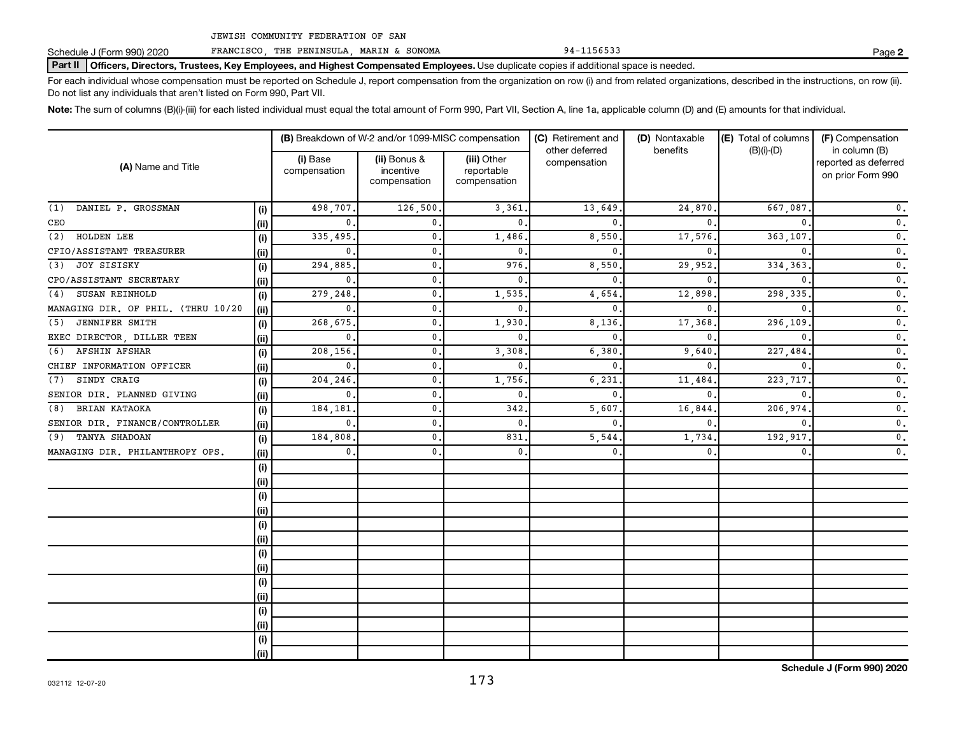Schedule J (Form 990) 2020 FRANCISCO, THE PENINSULA, MARIN & SONOMA 94-1156533

Part II | Officers, Directors, Trustees, Key Employees, and Highest Compensated Employees. Use duplicate copies if additional space is needed.

For each individual whose compensation must be reported on Schedule J, report compensation from the organization on row (i) and from related organizations, described in the instructions, on row (ii). Do not list any individuals that aren't listed on Form 990, Part VII.

Note: The sum of columns (B)(i)-(iii) for each listed individual must equal the total amount of Form 990, Part VII, Section A, line 1a, applicable column (D) and (E) amounts for that individual.

| (A) Name and Title                 |      | (B) Breakdown of W-2 and/or 1099-MISC compensation |                                           |                                           | (C) Retirement and             | (D) Nontaxable | (E) Total of columns | (F) Compensation                                           |
|------------------------------------|------|----------------------------------------------------|-------------------------------------------|-------------------------------------------|--------------------------------|----------------|----------------------|------------------------------------------------------------|
|                                    |      | (i) Base<br>compensation                           | (ii) Bonus &<br>incentive<br>compensation | (iii) Other<br>reportable<br>compensation | other deferred<br>compensation | benefits       | $(B)(i)$ - $(D)$     | in column (B)<br>reported as deferred<br>on prior Form 990 |
| DANIEL P. GROSSMAN<br>(1)          | (i)  | 498,707                                            | 126,500                                   | 3,361                                     | 13,649                         | 24,870         | 667,087              | $\mathbf 0$ .                                              |
| CEO                                | (ii) | $\Omega$                                           | $\mathbf{0}$ .                            | $\mathbf{0}$                              | <sup>n</sup>                   | $\Omega$       |                      | $\mathbf 0$ .                                              |
| HOLDEN LEE<br>(2)                  | (i)  | 335,495                                            | 0.                                        | 1,486                                     | 8,550                          | 17,576         | 363,107              | $\mathbf 0$ .                                              |
| CFIO/ASSISTANT TREASURER           | (ii) | $\mathbf{0}$                                       | 0.                                        | $\mathbf{0}$                              | $\Omega$                       | $\Omega$       |                      | $\mathbf 0$ .                                              |
| JOY SISISKY<br>(3)                 | (i)  | 294,885                                            | 0.                                        | 976                                       | 8,550                          | 29,952         | 334,363              | $\mathbf 0$ .                                              |
| CPO/ASSISTANT SECRETARY            | (ii) | $\mathbf{0}$                                       | 0.                                        | $\mathbf{0}$                              | $\Omega$                       | $\Omega$       |                      | $\mathbf 0$ .                                              |
| SUSAN REINHOLD<br>(4)              | (i)  | 279,248                                            | 0.                                        | 1,535                                     | 4,654                          | 12,898         | 298,335              | $\mathbf 0$ .                                              |
| MANAGING DIR. OF PHIL. (THRU 10/20 | (ii) | $\mathbf{0}$                                       | 0.                                        | $\mathbf{0}$                              | $\Omega$                       | $\Omega$       |                      | $\mathbf 0$ .                                              |
| JENNIFER SMITH<br>(5)              | (i)  | 268,675                                            | 0.                                        | 1,930                                     | 8,136                          | 17,368         | 296,109              | $\mathbf 0$ .                                              |
| EXEC DIRECTOR, DILLER TEEN         | (ii) | $\mathbf{0}$                                       | 0.                                        | $\mathbf{0}$                              | $\Omega$                       | $\Omega$       | $\Omega$             | $\mathbf 0$ .                                              |
| AFSHIN AFSHAR<br>(6)               | (i)  | 208,156                                            | 0.                                        | 3,308                                     | 6,380                          | 9,640          | 227,484              | $\mathbf 0$ .                                              |
| CHIEF INFORMATION OFFICER          | (ii) | $\mathbf{0}$                                       | 0.                                        | $\mathbf{0}$                              | 0                              | $\Omega$       | $\Omega$             | $\mathbf{0}$ .                                             |
| SINDY CRAIG<br>(7)                 | (i)  | 204,246                                            | 0.                                        | 1,756                                     | 6,231                          | 11,484         | 223,717              | $\mathbf{0}$ .                                             |
| SENIOR DIR. PLANNED GIVING         | (ii) | $\mathbf{0}$                                       | 0.                                        | $\mathbf{0}$                              | 0                              | $\Omega$       | $\Omega$             | $\mathbf{0}$ .                                             |
| BRIAN KATAOKA<br>(8)               | (i)  | 184,181                                            | $\mathbf{0}$ .                            | 342                                       | 5,607                          | 16,844         | 206,974              | $\mathbf 0$ .                                              |
| SENIOR DIR. FINANCE/CONTROLLER     | (ii) | $\mathbf{0}$                                       | $\mathbf{0}$ .                            | $\mathbf{0}$                              | $\Omega$                       | $\Omega$       | $\Omega$             | $\mathbf 0$ .                                              |
| TANYA SHADOAN<br>(9)               | (i)  | 184,808                                            | $\mathbf{0}$ .                            | 831                                       | 5,544                          | 1,734          | 192,917              | $\mathbf 0$ .                                              |
| MANAGING DIR. PHILANTHROPY OPS.    | (ii) | $\mathbf{0}$                                       | $\mathbf{0}$ .                            | $\mathbf{0}$                              | $\mathbf{0}$                   | $\mathbf{0}$   | $\mathbf{0}$         | $\mathbf 0$ .                                              |
|                                    | (i)  |                                                    |                                           |                                           |                                |                |                      |                                                            |
|                                    | (ii) |                                                    |                                           |                                           |                                |                |                      |                                                            |
|                                    | (i)  |                                                    |                                           |                                           |                                |                |                      |                                                            |
|                                    | (ii) |                                                    |                                           |                                           |                                |                |                      |                                                            |
|                                    | (i)  |                                                    |                                           |                                           |                                |                |                      |                                                            |
|                                    | (ii) |                                                    |                                           |                                           |                                |                |                      |                                                            |
|                                    | (i)  |                                                    |                                           |                                           |                                |                |                      |                                                            |
|                                    | (ii) |                                                    |                                           |                                           |                                |                |                      |                                                            |
|                                    | (i)  |                                                    |                                           |                                           |                                |                |                      |                                                            |
|                                    | (ii) |                                                    |                                           |                                           |                                |                |                      |                                                            |
|                                    | (i)  |                                                    |                                           |                                           |                                |                |                      |                                                            |
|                                    | (ii) |                                                    |                                           |                                           |                                |                |                      |                                                            |
|                                    | (i)  |                                                    |                                           |                                           |                                |                |                      |                                                            |
|                                    | (ii) |                                                    |                                           |                                           |                                |                |                      |                                                            |

**2**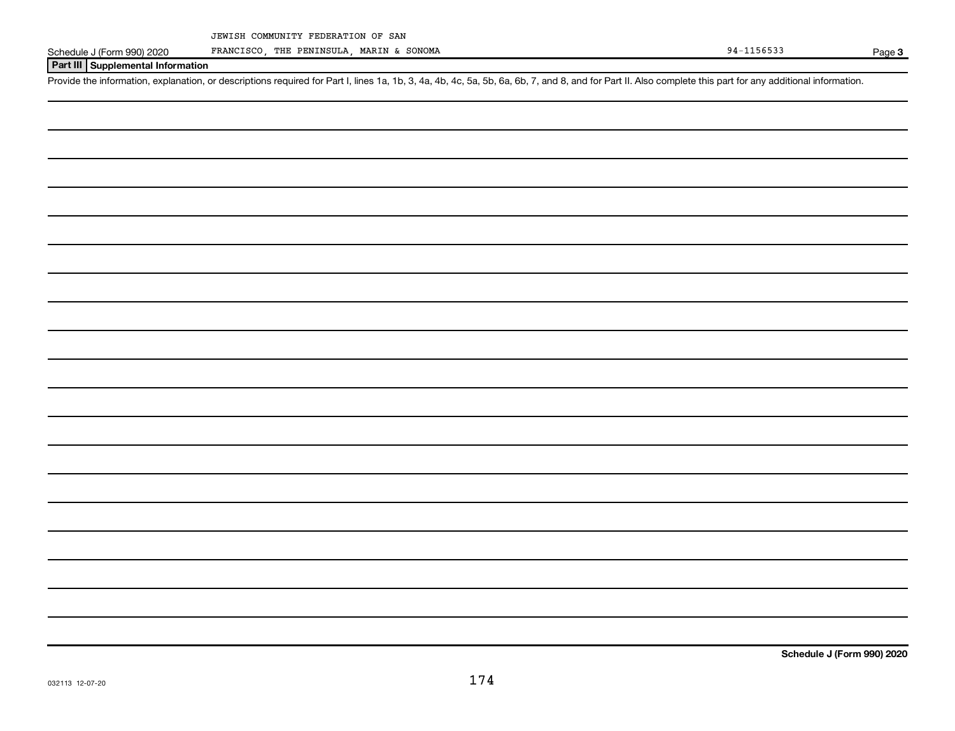Schedule J (Form 990) 2020 FRANCISCO, THE PENINSULA, MARIN & SONOMA 92 Page 94-1156533

Page 3

## **Part III Supplemental Information**

Provide the information, explanation, or descriptions required for Part I, lines 1a, 1b, 3, 4a, 4b, 4c, 5a, 5b, 6a, 6b, 7, and 8, and for Part II. Also complete this part for any additional information.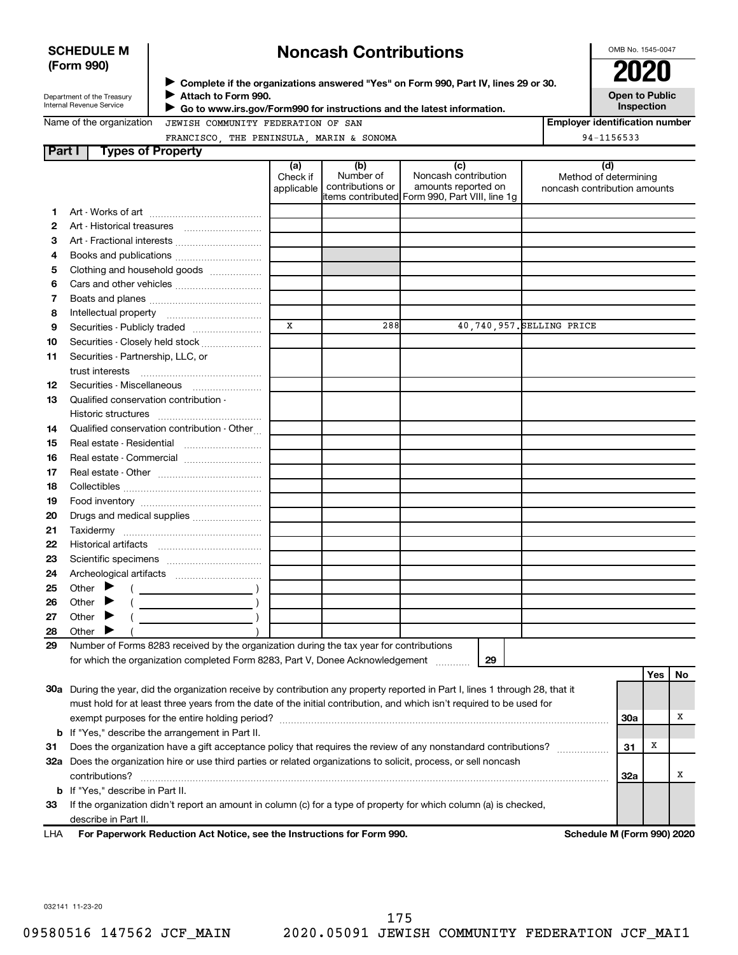|        | <b>SCHEDULE M</b><br>(Form 990)<br>Department of the Treasury<br>Internal Revenue Service | <b>Noncash Contributions</b><br>Complete if the organizations answered "Yes" on Form 990, Part IV, lines 29 or 30.<br>Attach to Form 990.<br>Go to www.irs.gov/Form990 for instructions and the latest information. |                               |                                      |                                                                                                      |  |                                                              | OMB No. 1545-0047<br>2020<br><b>Open to Public</b><br>Inspection |
|--------|-------------------------------------------------------------------------------------------|---------------------------------------------------------------------------------------------------------------------------------------------------------------------------------------------------------------------|-------------------------------|--------------------------------------|------------------------------------------------------------------------------------------------------|--|--------------------------------------------------------------|------------------------------------------------------------------|
|        | Name of the organization                                                                  | JEWISH COMMUNITY FEDERATION OF SAN                                                                                                                                                                                  |                               |                                      |                                                                                                      |  | <b>Employer identification number</b>                        |                                                                  |
|        |                                                                                           | FRANCISCO, THE PENINSULA, MARIN & SONOMA                                                                                                                                                                            |                               |                                      |                                                                                                      |  | 94-1156533                                                   |                                                                  |
| Part I |                                                                                           | <b>Types of Property</b>                                                                                                                                                                                            |                               |                                      |                                                                                                      |  |                                                              |                                                                  |
|        |                                                                                           |                                                                                                                                                                                                                     | (a)<br>Check if<br>applicable | (b)<br>Number of<br>contributions or | (c)<br>Noncash contribution<br>amounts reported on<br>items contributed Form 990, Part VIII, line 1q |  | (d)<br>Method of determining<br>noncash contribution amounts |                                                                  |
|        |                                                                                           |                                                                                                                                                                                                                     |                               |                                      |                                                                                                      |  |                                                              |                                                                  |
|        |                                                                                           |                                                                                                                                                                                                                     |                               |                                      |                                                                                                      |  |                                                              |                                                                  |
| 3      |                                                                                           | Art - Fractional interests                                                                                                                                                                                          |                               |                                      |                                                                                                      |  |                                                              |                                                                  |
| 4      |                                                                                           |                                                                                                                                                                                                                     |                               |                                      |                                                                                                      |  |                                                              |                                                                  |
| 5.     |                                                                                           | Clothing and household goods                                                                                                                                                                                        |                               |                                      |                                                                                                      |  |                                                              |                                                                  |
| 6      |                                                                                           |                                                                                                                                                                                                                     |                               |                                      |                                                                                                      |  |                                                              |                                                                  |
|        |                                                                                           |                                                                                                                                                                                                                     |                               |                                      |                                                                                                      |  |                                                              |                                                                  |
| 8      |                                                                                           |                                                                                                                                                                                                                     |                               |                                      |                                                                                                      |  |                                                              |                                                                  |

#### **9 10 11 12 13 14 15 16 17 18 19 20 21 22 23 24 25 26 27 28 29 29** Securities - Publicly traded ....................... Securities - Closely held stock .................... Securities - Partnership, LLC, or trust interests ~~~~~~~~~~~~~~ Securities - Miscellaneous [ ....................... Qualified conservation contribution - Historic structures ~~~~~~~~~~~~ Qualified conservation contribution - Other... Real estate - Residential ~~~~~~~~~ Real estate - Commercial ........................... Real estate - Other ~~~~~~~~~~~~ Collectibles ~~~~~~~~~~~~~~~~ Food inventory ~~~~~~~~~~~~~~ Drugs and medical supplies ....................... Taxidermy ~~~~~~~~~~~~~~~~ Historical artifacts ~~~~~~~~~~~~ Scientific specimens ................................. Archeological artifacts ~~~~~~~~~~ Other  $\blacktriangleright$  ( ) Other  $\blacktriangleright$  ( ) Other  $\blacktriangleright$  ( ) **Other** Number of Forms 8283 received by the organization during the tax year for contributions for which the organization completed Form 8283, Part V, Donee Acknowledgement ............  $\blacktriangleright$  $\blacktriangleright$ X 288 40,740,957. SELLING PRICE

|      |                                                                                                                            |                            | . |  |
|------|----------------------------------------------------------------------------------------------------------------------------|----------------------------|---|--|
| 30a  | During the year, did the organization receive by contribution any property reported in Part I, lines 1 through 28, that it |                            |   |  |
|      | must hold for at least three years from the date of the initial contribution, and which isn't required to be used for      |                            |   |  |
|      | exempt purposes for the entire holding period?                                                                             | <b>30a</b>                 |   |  |
|      | <b>b</b> If "Yes," describe the arrangement in Part II.                                                                    |                            |   |  |
| 31   | Does the organization have a gift acceptance policy that requires the review of any nonstandard contributions?             | 31                         | x |  |
| 32a  | Does the organization hire or use third parties or related organizations to solicit, process, or sell noncash              |                            |   |  |
|      | contributions?                                                                                                             | 32a                        |   |  |
|      | <b>b</b> If "Yes," describe in Part II.                                                                                    |                            |   |  |
| 33   | If the organization didn't report an amount in column (c) for a type of property for which column (a) is checked,          |                            |   |  |
|      | describe in Part II.                                                                                                       |                            |   |  |
| ∣ ⊟∆ | Ear Deparwork Reduction Act Notice, see the Instructions for Form 000                                                      | Schodule M (Form 990) 2020 |   |  |

**For Paperwork Reduction Act Notice, see the Instructions for Form 990. Schedule M (Form 990) 2020** LHA

**Yes No**

032141 11-23-20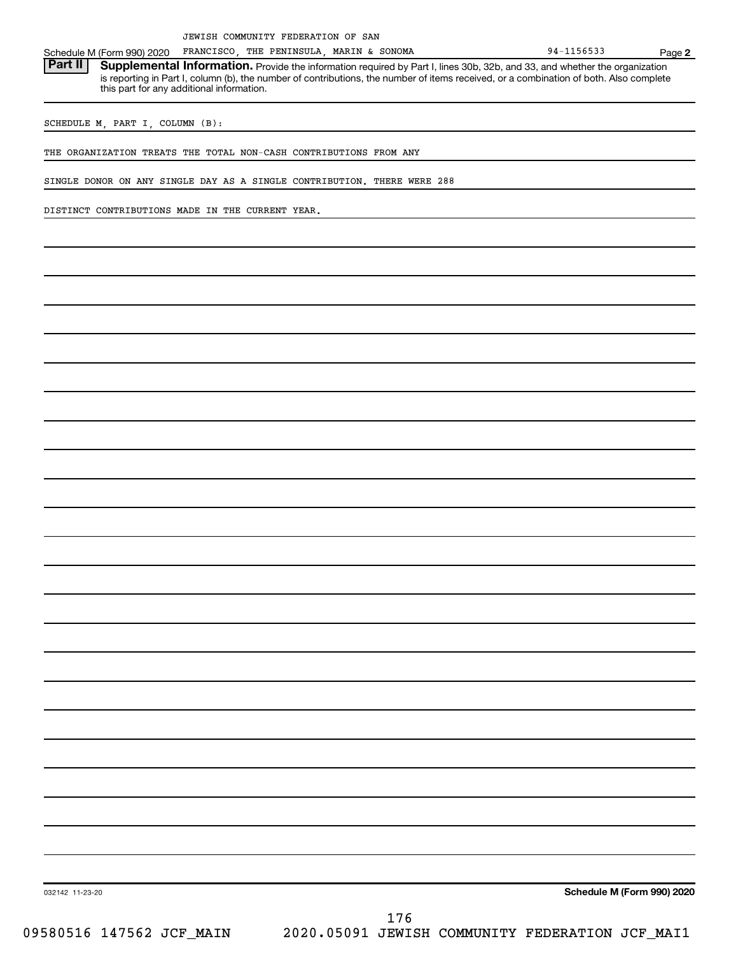THE PENINSULA, MARIN & SONOMA

Schedule M (Form 990) 2020 FRANCISCO, THE PENINSULA, MARIN & SONOMA 981 1156533<br>**Part II | Supplemental Information.** Provide the information required by Part I. lines 30b, 32b, and 33, and whether th Part II | Supplemental Information. Provide the information required by Part I, lines 30b, 32b, and 33, and whether the organization is reporting in Part I, column (b), the number of contributions, the number of items received, or a combination of both. Also complete this part for any additional information.

SCHEDULE M, PART I, COLUMN (B):

THE ORGANIZATION TREATS THE TOTAL NON-CASH CONTRIBUTIONS FROM ANY

SINGLE DONOR ON ANY SINGLE DAY AS A SINGLE CONTRIBUTION. THERE WERE 288

DISTINCT CONTRIBUTIONS MADE IN THE CURRENT YEAR.

**Schedule M (Form 990) 2020**

032142 11-23-20

**2**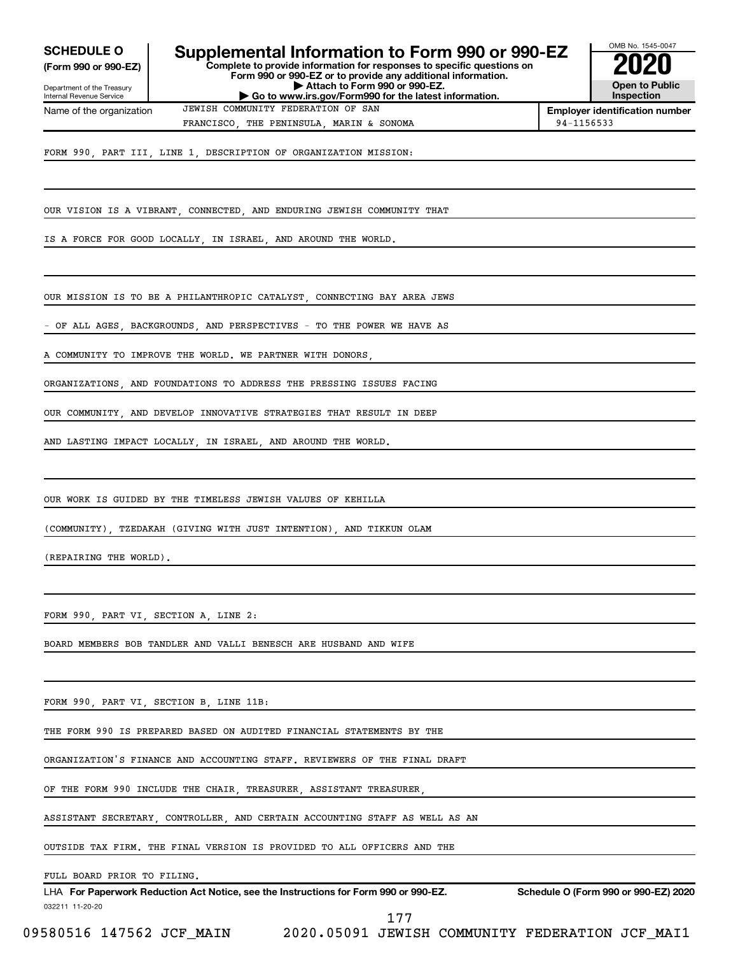**(Form 990 or 990-EZ)**

Department of the Treasury Internal Revenue Service Name of the organization

## **Complete to provide information for responses to specific questions on Form 990 or 990-EZ or to provide any additional information. | Attach to Form 990 or 990-EZ. SCHEDULE O** Supplemental Information to Form 990 or 990-EZ  $\overline{\smash{\big)}$  2020<br>(Form 990 or 990-EZ)

**| Go to www.irs.gov/Form990 for the latest information.**



**Employer identification number** FRANCISCO, THE PENINSULA, MARIN & SONOMA 8 80000 | 94-1156533

FORM 990, PART III, LINE 1, DESCRIPTION OF ORGANIZATION MISSION:

OUR VISION IS A VIBRANT, CONNECTED, AND ENDURING JEWISH COMMUNITY THAT

JEWISH COMMUNITY FEDERATION OF SAN

IS A FORCE FOR GOOD LOCALLY, IN ISRAEL, AND AROUND THE WORLD.

OUR MISSION IS TO BE A PHILANTHROPIC CATALYST, CONNECTING BAY AREA JEWS

OF ALL AGES, BACKGROUNDS, AND PERSPECTIVES - TO THE POWER WE HAVE AS

A COMMUNITY TO IMPROVE THE WORLD. WE PARTNER WITH DONORS

ORGANIZATIONS, AND FOUNDATIONS TO ADDRESS THE PRESSING ISSUES FACING

OUR COMMUNITY, AND DEVELOP INNOVATIVE STRATEGIES THAT RESULT IN DEEP

AND LASTING IMPACT LOCALLY, IN ISRAEL, AND AROUND THE WORLD.

OUR WORK IS GUIDED BY THE TIMELESS JEWISH VALUES OF KEHILLA

(COMMUNITY), TZEDAKAH (GIVING WITH JUST INTENTION), AND TIKKUN OLAM

(REPAIRING THE WORLD).

FORM 990, PART VI, SECTION A, LINE 2:

BOARD MEMBERS BOB TANDLER AND VALLI BENESCH ARE HUSBAND AND WIFE

FORM 990, PART VI, SECTION B, LINE 11B:

THE FORM 990 IS PREPARED BASED ON AUDITED FINANCIAL STATEMENTS BY THE

ORGANIZATION'S FINANCE AND ACCOUNTING STAFF. REVIEWERS OF THE FINAL DRAFT

OF THE FORM 990 INCLUDE THE CHAIR, TREASURER, ASSISTANT TREASURER,

ASSISTANT SECRETARY, CONTROLLER, AND CERTAIN ACCOUNTING STAFF AS WELL AS AN

OUTSIDE TAX FIRM. THE FINAL VERSION IS PROVIDED TO ALL OFFICERS AND THE

FULL BOARD PRIOR TO FILING.

032211 11-20-20 **For Paperwork Reduction Act Notice, see the Instructions for Form 990 or 990-EZ. Schedule O (Form 990 or 990-EZ) 2020** LHA

177

09580516 147562 JCF\_MAIN 2020.05091 JEWISH COMMUNITY FEDERATION JCF\_MAI1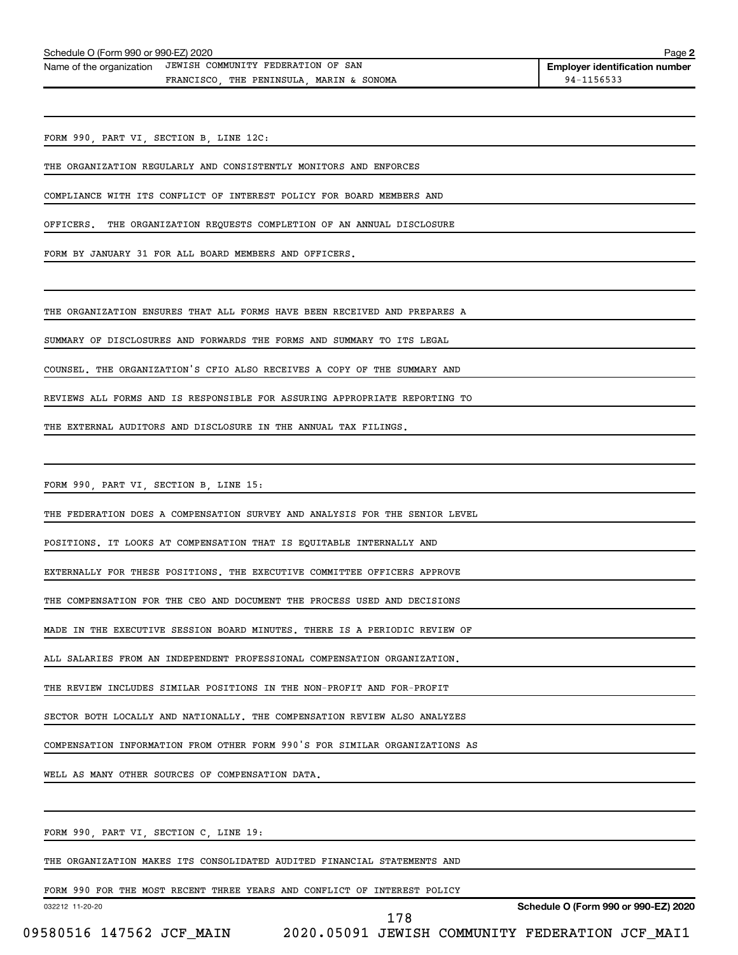| Name of the organization | JEWISH COMMUNITY FEDERATION OF SAN              | <b>Employer identif</b> |
|--------------------------|-------------------------------------------------|-------------------------|
|                          | SONOMA<br>MARIN &<br>THE PENINSULA<br>FRANCISCO | 94-1156533              |

FORM 990, PART VI, SECTION B, LINE 12C:

THE ORGANIZATION REGULARLY AND CONSISTENTLY MONITORS AND ENFORCES

COMPLIANCE WITH ITS CONFLICT OF INTEREST POLICY FOR BOARD MEMBERS AND

OFFICERS. THE ORGANIZATION REQUESTS COMPLETION OF AN ANNUAL DISCLOSURE

FORM BY JANUARY 31 FOR ALL BOARD MEMBERS AND OFFICERS.

THE ORGANIZATION ENSURES THAT ALL FORMS HAVE BEEN RECEIVED AND PREPARES A

SUMMARY OF DISCLOSURES AND FORWARDS THE FORMS AND SUMMARY TO ITS LEGAL

COUNSEL. THE ORGANIZATION'S CFIO ALSO RECEIVES A COPY OF THE SUMMARY AND

REVIEWS ALL FORMS AND IS RESPONSIBLE FOR ASSURING APPROPRIATE REPORTING TO

THE EXTERNAL AUDITORS AND DISCLOSURE IN THE ANNUAL TAX FILINGS.

FORM 990, PART VI, SECTION B, LINE 15:

THE FEDERATION DOES A COMPENSATION SURVEY AND ANALYSIS FOR THE SENIOR LEVEL

POSITIONS. IT LOOKS AT COMPENSATION THAT IS EQUITABLE INTERNALLY AND

EXTERNALLY FOR THESE POSITIONS. THE EXECUTIVE COMMITTEE OFFICERS APPROVE

THE COMPENSATION FOR THE CEO AND DOCUMENT THE PROCESS USED AND DECISIONS

MADE IN THE EXECUTIVE SESSION BOARD MINUTES. THERE IS A PERIODIC REVIEW OF

ALL SALARIES FROM AN INDEPENDENT PROFESSIONAL COMPENSATION ORGANIZATION.

THE REVIEW INCLUDES SIMILAR POSITIONS IN THE NON-PROFIT AND FOR-PROFIT

SECTOR BOTH LOCALLY AND NATIONALLY. THE COMPENSATION REVIEW ALSO ANALYZES

COMPENSATION INFORMATION FROM OTHER FORM 990'S FOR SIMILAR ORGANIZATIONS AS

WELL AS MANY OTHER SOURCES OF COMPENSATION DATA.

FORM 990, PART VI, SECTION C, LINE 19:

THE ORGANIZATION MAKES ITS CONSOLIDATED AUDITED FINANCIAL STATEMENTS AND

FORM 990 FOR THE MOST RECENT THREE YEARS AND CONFLICT OF INTEREST POLICY

032212 11-20-20

178

**Schedule O (Form 990 or 990-EZ) 2020**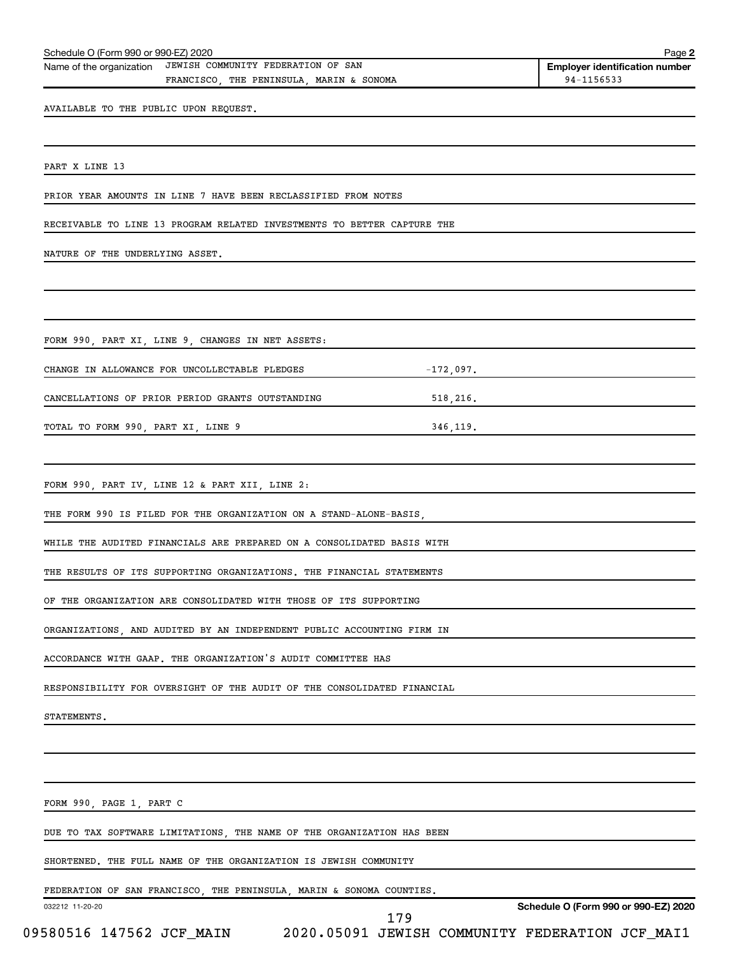|                                       | Schedule O (Form 990 or 990-EZ) 2020                                           |             |                                                     |
|---------------------------------------|--------------------------------------------------------------------------------|-------------|-----------------------------------------------------|
| Name of the organization              | JEWISH COMMUNITY FEDERATION OF SAN<br>FRANCISCO, THE PENINSULA, MARIN & SONOMA |             | <b>Employer identification number</b><br>94-1156533 |
| AVAILABLE TO THE PUBLIC UPON REQUEST. |                                                                                |             |                                                     |
|                                       |                                                                                |             |                                                     |
|                                       |                                                                                |             |                                                     |
| PART X LINE 13                        |                                                                                |             |                                                     |
|                                       | PRIOR YEAR AMOUNTS IN LINE 7 HAVE BEEN RECLASSIFIED FROM NOTES                 |             |                                                     |
|                                       | RECEIVABLE TO LINE 13 PROGRAM RELATED INVESTMENTS TO BETTER CAPTURE THE        |             |                                                     |
| NATURE OF THE UNDERLYING ASSET.       |                                                                                |             |                                                     |
|                                       |                                                                                |             |                                                     |
|                                       |                                                                                |             |                                                     |
|                                       | FORM 990, PART XI, LINE 9, CHANGES IN NET ASSETS:                              |             |                                                     |
|                                       | CHANGE IN ALLOWANCE FOR UNCOLLECTABLE PLEDGES                                  | $-172,097.$ |                                                     |
|                                       | CANCELLATIONS OF PRIOR PERIOD GRANTS OUTSTANDING                               |             |                                                     |
| TOTAL TO FORM 990, PART XI, LINE 9    |                                                                                | 346,119.    |                                                     |
|                                       |                                                                                |             |                                                     |
|                                       | FORM 990, PART IV, LINE 12 & PART XII, LINE 2:                                 |             |                                                     |
|                                       | THE FORM 990 IS FILED FOR THE ORGANIZATION ON A STAND-ALONE-BASIS,             |             |                                                     |
|                                       | WHILE THE AUDITED FINANCIALS ARE PREPARED ON A CONSOLIDATED BASIS WITH         |             |                                                     |
|                                       | THE RESULTS OF ITS SUPPORTING ORGANIZATIONS. THE FINANCIAL STATEMENTS          |             |                                                     |
|                                       | OF THE ORGANIZATION ARE CONSOLIDATED WITH THOSE OF ITS SUPPORTING              |             |                                                     |
|                                       | ORGANIZATIONS, AND AUDITED BY AN INDEPENDENT PUBLIC ACCOUNTING FIRM IN         |             |                                                     |
|                                       | ACCORDANCE WITH GAAP. THE ORGANIZATION'S AUDIT COMMITTEE HAS                   |             |                                                     |
|                                       | RESPONSIBILITY FOR OVERSIGHT OF THE AUDIT OF THE CONSOLIDATED FINANCIAL        |             |                                                     |
| STATEMENTS.                           |                                                                                |             |                                                     |
|                                       |                                                                                |             |                                                     |
|                                       |                                                                                |             |                                                     |
| FORM 990, PAGE 1, PART C              |                                                                                |             |                                                     |
|                                       | DUE TO TAX SOFTWARE LIMITATIONS, THE NAME OF THE ORGANIZATION HAS BEEN         |             |                                                     |
|                                       | SHORTENED. THE FULL NAME OF THE ORGANIZATION IS JEWISH COMMUNITY               |             |                                                     |
|                                       | FEDERATION OF SAN FRANCISCO, THE PENINSULA, MARIN & SONOMA COUNTIES.           |             |                                                     |
| 032212 11-20-20                       |                                                                                | 170         | Schedule O (Form 990 or 990-EZ) 2020                |

<sup>09580516 147562</sup> JCF\_MAIN 2020.05091 JEWISH COMMUNITY FEDERATION JCF\_MAI1 179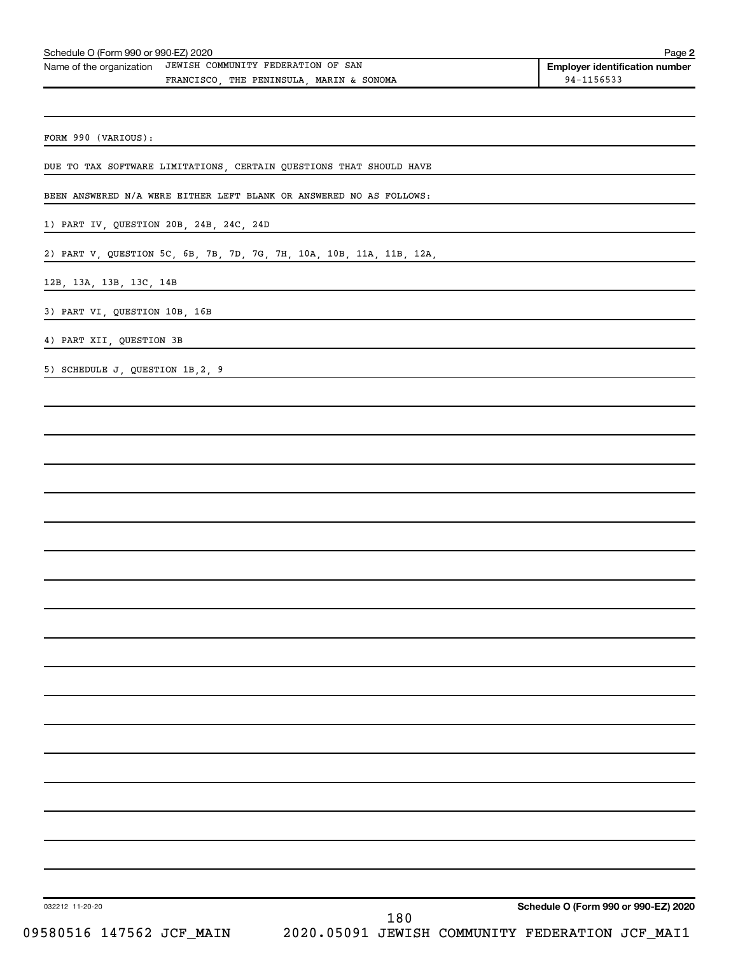| Name of the organization JEWISH COMMUNITY FEDERATION OF SAN | <b>Employer identification number</b> |
|-------------------------------------------------------------|---------------------------------------|
| THE PENINSULA MARIN & SONOMA<br>FRANCISCO                   | 94-1156533                            |
|                                                             |                                       |
|                                                             |                                       |
|                                                             |                                       |

FORM 990 (VARIOUS):

DUE TO TAX SOFTWARE LIMITATIONS, CERTAIN QUESTIONS THAT SHOULD HAVE

BEEN ANSWERED N/A WERE EITHER LEFT BLANK OR ANSWERED NO AS FOLLOWS:

1) PART IV, QUESTION 20B, 24B, 24C, 24D

2) PART V, QUESTION 5C, 6B, 7B, 7D, 7G, 7H, 10A, 10B, 11A, 11B, 12A,

12B, 13A, 13B, 13C, 14B

3) PART VI, QUESTION 10B, 16B

4) PART XII, QUESTION 3B

5) SCHEDULE J, QUESTION 1B,2, 9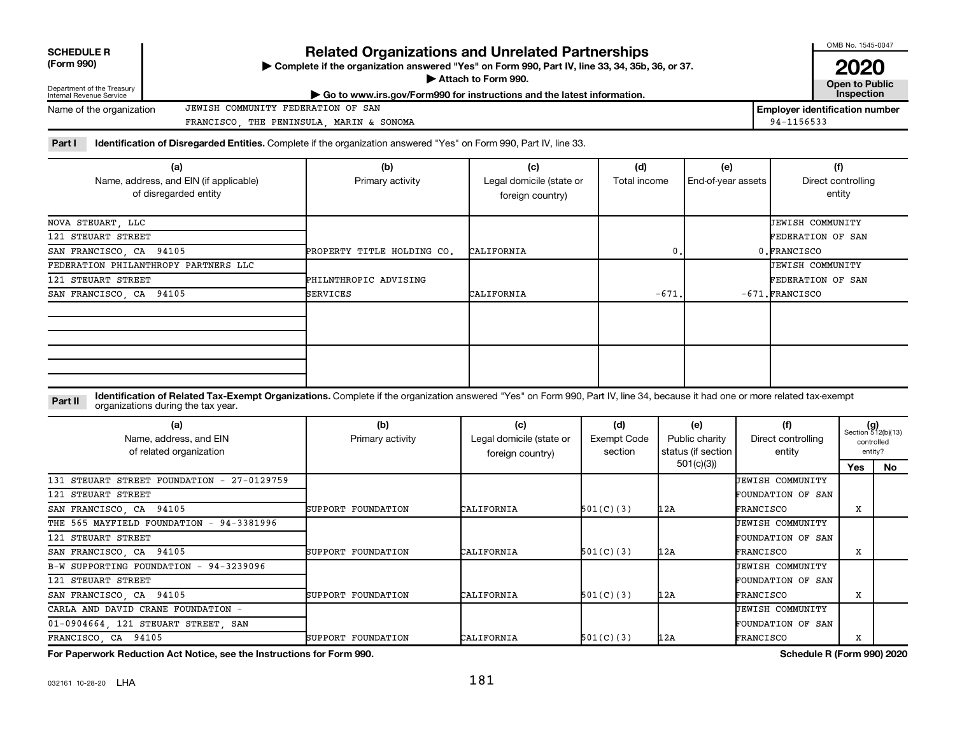| <b>SCHEDULE R</b> |  |
|-------------------|--|
|                   |  |

# **Related Organizations and Unrelated Partnerships**

**(Form 990) Complete if the organization answered "Yes" on Form 990, Part IV, line 33, 34, 35b, 36, or 37.** |

■ Attach to Form 990. **Dependent of Attach to Form 990.** Open to Public

OMB No. 1545-0047 **2020**

| <b>Open to Public</b> |  |  |
|-----------------------|--|--|
| <b>Inspection</b>     |  |  |

**Employer identification number**

| Department of the Treasury<br>Internal Revenue Service | $\blacktriangleright$ Go to www.irs.gov/Form990 for instructions and the latest information. |                       |
|--------------------------------------------------------|----------------------------------------------------------------------------------------------|-----------------------|
| Name of the organization                               | JEWISH COMMUNITY FEDERATION OF SAN                                                           | <b>Employer ident</b> |
|                                                        | MARIN & SONOMA<br>THE PENINSULA<br>FRANCISCO                                                 | 94-1156533            |

Part I ldentification of Disregarded Entities. Complete if the organization answered "Yes" on Form 990, Part IV, line 33.

| (a)<br>Name, address, and EIN (if applicable) | (b)<br>Primary activity    | (c)<br>Legal domicile (state or | (d)<br>Total income | (e)<br>End-of-year assets | (f)<br>Direct controlling |
|-----------------------------------------------|----------------------------|---------------------------------|---------------------|---------------------------|---------------------------|
| of disregarded entity                         |                            | foreign country)                |                     |                           | entity                    |
| NOVA STEUART, LLC                             |                            |                                 |                     |                           | <b>JEWISH COMMUNITY</b>   |
| 121 STEUART STREET                            |                            |                                 |                     |                           | FEDERATION OF SAN         |
| SAN FRANCISCO, CA 94105                       | PROPERTY TITLE HOLDING CO. | CALIFORNIA                      | $\mathbf{0}$ .      |                           | 0.FRANCISCO               |
| FEDERATION PHILANTHROPY PARTNERS LLC          |                            |                                 |                     |                           | <b>JEWISH COMMUNITY</b>   |
| 121 STEUART STREET                            | PHILNTHROPIC ADVISING      |                                 |                     |                           | FEDERATION OF SAN         |
| SAN FRANCISCO, CA 94105                       | <b>SERVICES</b>            | CALIFORNIA                      | $-671.$             |                           | $-671$ . FRANCISCO        |
|                                               |                            |                                 |                     |                           |                           |
|                                               |                            |                                 |                     |                           |                           |
|                                               |                            |                                 |                     |                           |                           |
|                                               |                            |                                 |                     |                           |                           |
|                                               |                            |                                 |                     |                           |                           |
|                                               |                            |                                 |                     |                           |                           |

**Part II** Identification of Related Tax-Exempt Organizations. Complete if the organization answered "Yes" on Form 990, Part IV, line 34, because it had one or more related tax-exempt<br>Part II acconizations during the tax ye organizations during the tax year.

| (a)<br>Name, address, and EIN<br>of related organization | (b)<br>Primary activity | (c)<br>Legal domicile (state or<br>foreign country) | (d)<br>Exempt Code<br>section | (e)<br>Public charity<br>status (if section | (f)<br>Direct controlling<br>entity |     | $(g)$<br>Section 512(b)(13)<br>controlled<br>entity? |  |
|----------------------------------------------------------|-------------------------|-----------------------------------------------------|-------------------------------|---------------------------------------------|-------------------------------------|-----|------------------------------------------------------|--|
|                                                          |                         |                                                     |                               | 501(c)(3))                                  |                                     | Yes | No.                                                  |  |
| 131 STEUART STREET FOUNDATION - 27-0129759               |                         |                                                     |                               |                                             | JEWISH COMMUNITY                    |     |                                                      |  |
| 121 STEUART STREET                                       |                         |                                                     |                               |                                             | FOUNDATION OF SAN                   |     |                                                      |  |
| SAN FRANCISCO, CA 94105                                  | SUPPORT FOUNDATION      | CALIFORNIA                                          | 501(C)(3)                     | 12A                                         | FRANCISCO                           | x   |                                                      |  |
| THE 565 MAYFIELD FOUNDATION - 94-3381996                 |                         |                                                     |                               |                                             | JEWISH COMMUNITY                    |     |                                                      |  |
| 121 STEUART STREET                                       |                         |                                                     |                               |                                             | FOUNDATION OF SAN                   |     |                                                      |  |
| SAN FRANCISCO, CA 94105                                  | SUPPORT FOUNDATION      | CALIFORNIA                                          | 501(C)(3)                     | 12A                                         | FRANCISCO                           | X   |                                                      |  |
| B-W SUPPORTING FOUNDATION - 94-3239096                   |                         |                                                     |                               |                                             | UEWISH COMMUNITY                    |     |                                                      |  |
| 121 STEUART STREET                                       |                         |                                                     |                               |                                             | FOUNDATION OF SAN                   |     |                                                      |  |
| SAN FRANCISCO, CA 94105                                  | SUPPORT FOUNDATION      | CALIFORNIA                                          | 501(C)(3)                     | 12A                                         | FRANCISCO                           | x   |                                                      |  |
| CARLA AND DAVID CRANE FOUNDATION -                       |                         |                                                     |                               |                                             | JEWISH COMMUNITY                    |     |                                                      |  |
| 01-0904664, 121 STEUART STREET, SAN                      |                         |                                                     |                               |                                             | FOUNDATION OF SAN                   |     |                                                      |  |
| FRANCISCO, CA 94105                                      | SUPPORT FOUNDATION      | CALIFORNIA                                          | 501(C)(3)                     | 12A                                         | FRANCISCO                           | x   |                                                      |  |

**For Paperwork Reduction Act Notice, see the Instructions for Form 990. Schedule R (Form 990) 2020**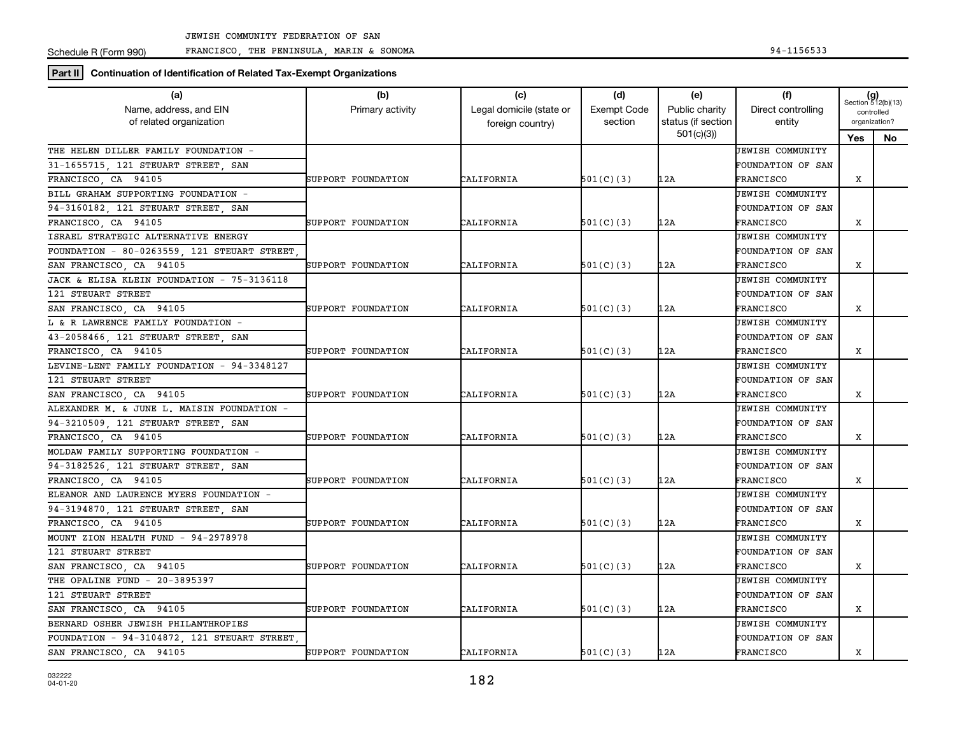Schedule R (Form 990)

FRANCISCO, THE PENINSULA, MARIN & SONOMA 94-1156533

**Part II Continuation of Identification of Related Tax-Exempt Organizations**

| (a)                                               | (b)                | (c)                                          | (d)                           | (e)                                  | (f)                          | $(g)$<br>Section 512(b)(13)<br>controlled<br>organization? |           |
|---------------------------------------------------|--------------------|----------------------------------------------|-------------------------------|--------------------------------------|------------------------------|------------------------------------------------------------|-----------|
| Name, address, and EIN<br>of related organization | Primary activity   | Legal domicile (state or<br>foreign country) | <b>Exempt Code</b><br>section | Public charity<br>status (if section | Direct controlling<br>entity |                                                            |           |
|                                                   |                    |                                              |                               | 501(c)(3)                            |                              | Yes                                                        | <b>No</b> |
| THE HELEN DILLER FAMILY FOUNDATION -              |                    |                                              |                               |                                      | <b>UEWISH COMMUNITY</b>      |                                                            |           |
| 31-1655715, 121 STEUART STREET, SAN               |                    |                                              |                               |                                      | <b>FOUNDATION OF SAN</b>     |                                                            |           |
| FRANCISCO CA 94105                                | SUPPORT FOUNDATION | CALIFORNIA                                   | 501(C)(3)                     | 12A                                  | FRANCISCO                    | X                                                          |           |
| BILL GRAHAM SUPPORTING FOUNDATION -               |                    |                                              |                               |                                      | <b>JEWISH COMMUNITY</b>      |                                                            |           |
| 94-3160182, 121 STEUART STREET, SAN               |                    |                                              |                               |                                      | FOUNDATION OF SAN            |                                                            |           |
| FRANCISCO, CA 94105                               | SUPPORT FOUNDATION | CALIFORNIA                                   | 501(C)(3)                     | 12A                                  | FRANCISCO                    | X                                                          |           |
| ISRAEL STRATEGIC ALTERNATIVE ENERGY               |                    |                                              |                               |                                      | UEWISH COMMUNITY             |                                                            |           |
| FOUNDATION - 80-0263559, 121 STEUART STREET       |                    |                                              |                               |                                      | FOUNDATION OF SAN            |                                                            |           |
| SAN FRANCISCO, CA 94105                           | SUPPORT FOUNDATION | CALIFORNIA                                   | 501(C)(3)                     | 12A                                  | FRANCISCO                    | х                                                          |           |
| JACK & ELISA KLEIN FOUNDATION - 75-3136118        |                    |                                              |                               |                                      | <b>JEWISH COMMUNITY</b>      |                                                            |           |
| 121 STEUART STREET                                |                    |                                              |                               |                                      | <b>FOUNDATION OF SAN</b>     |                                                            |           |
| SAN FRANCISCO, CA 94105                           | SUPPORT FOUNDATION | CALIFORNIA                                   | 501(C)(3)                     | 12A                                  | FRANCISCO                    | x                                                          |           |
| L & R LAWRENCE FAMILY FOUNDATION -                |                    |                                              |                               |                                      | JEWISH COMMUNITY             |                                                            |           |
| 43-2058466, 121 STEUART STREET, SAN               |                    |                                              |                               |                                      | <b>FOUNDATION OF SAN</b>     |                                                            |           |
| FRANCISCO, CA 94105                               | SUPPORT FOUNDATION | CALIFORNIA                                   | 501(C)(3)                     | 12A                                  | FRANCISCO                    | X                                                          |           |
| LEVINE-LENT FAMILY FOUNDATION - 94-3348127        |                    |                                              |                               |                                      | UEWISH COMMUNITY             |                                                            |           |
| 121 STEUART STREET                                |                    |                                              |                               |                                      | FOUNDATION OF SAN            |                                                            |           |
| SAN FRANCISCO, CA 94105                           | SUPPORT FOUNDATION | CALIFORNIA                                   | 501(C)(3)                     | 12A                                  | FRANCISCO                    | х                                                          |           |
| ALEXANDER M. & JUNE L. MAISIN FOUNDATION -        |                    |                                              |                               |                                      | <b>JEWISH COMMUNITY</b>      |                                                            |           |
| 94-3210509 121 STEUART STREET SAN                 |                    |                                              |                               |                                      | FOUNDATION OF SAN            |                                                            |           |
| FRANCISCO, CA 94105                               | SUPPORT FOUNDATION | CALIFORNIA                                   | 501(C)(3)                     | 12A                                  | FRANCISCO                    | x                                                          |           |
| MOLDAW FAMILY SUPPORTING FOUNDATION -             |                    |                                              |                               |                                      | <b>JEWISH COMMUNITY</b>      |                                                            |           |
| 94-3182526, 121 STEUART STREET, SAN               |                    |                                              |                               |                                      | <b>FOUNDATION OF SAN</b>     |                                                            |           |
| FRANCISCO, CA 94105                               | SUPPORT FOUNDATION | CALIFORNIA                                   | 501(C)(3)                     | 12A                                  | FRANCISCO                    | X                                                          |           |
| ELEANOR AND LAURENCE MYERS FOUNDATION -           |                    |                                              |                               |                                      | JEWISH COMMUNITY             |                                                            |           |
| 94-3194870, 121 STEUART STREET, SAN               |                    |                                              |                               |                                      | <b>FOUNDATION OF SAN</b>     |                                                            |           |
| FRANCISCO CA 94105                                | SUPPORT FOUNDATION | CALIFORNIA                                   | 501(C)(3)                     | 12A                                  | FRANCISCO                    | X                                                          |           |
| MOUNT ZION HEALTH FUND - 94-2978978               |                    |                                              |                               |                                      | <b>JEWISH COMMUNITY</b>      |                                                            |           |
| 121 STEUART STREET                                |                    |                                              |                               |                                      | <b>FOUNDATION OF SAN</b>     |                                                            |           |
| SAN FRANCISCO, CA 94105                           | SUPPORT FOUNDATION | CALIFORNIA                                   | 501(C)(3)                     | 12A                                  | FRANCISCO                    | х                                                          |           |
| THE OPALINE FUND - 20-3895397                     |                    |                                              |                               |                                      | <b>JEWISH COMMUNITY</b>      |                                                            |           |
| 121 STEUART STREET                                |                    |                                              |                               |                                      | <b>FOUNDATION OF SAN</b>     |                                                            |           |
| SAN FRANCISCO, CA 94105                           | SUPPORT FOUNDATION | CALIFORNIA                                   | 501(C)(3)                     | 12A                                  | FRANCISCO                    | x                                                          |           |
| BERNARD OSHER JEWISH PHILANTHROPIES               |                    |                                              |                               |                                      | <b>JEWISH COMMUNITY</b>      |                                                            |           |
| FOUNDATION - 94-3104872, 121 STEUART STREET       |                    |                                              |                               |                                      | FOUNDATION OF SAN            |                                                            |           |
| SAN FRANCISCO, CA 94105                           | SUPPORT FOUNDATION | CALIFORNIA                                   | 501(C)(3)                     | 12A                                  | FRANCISCO                    | X                                                          |           |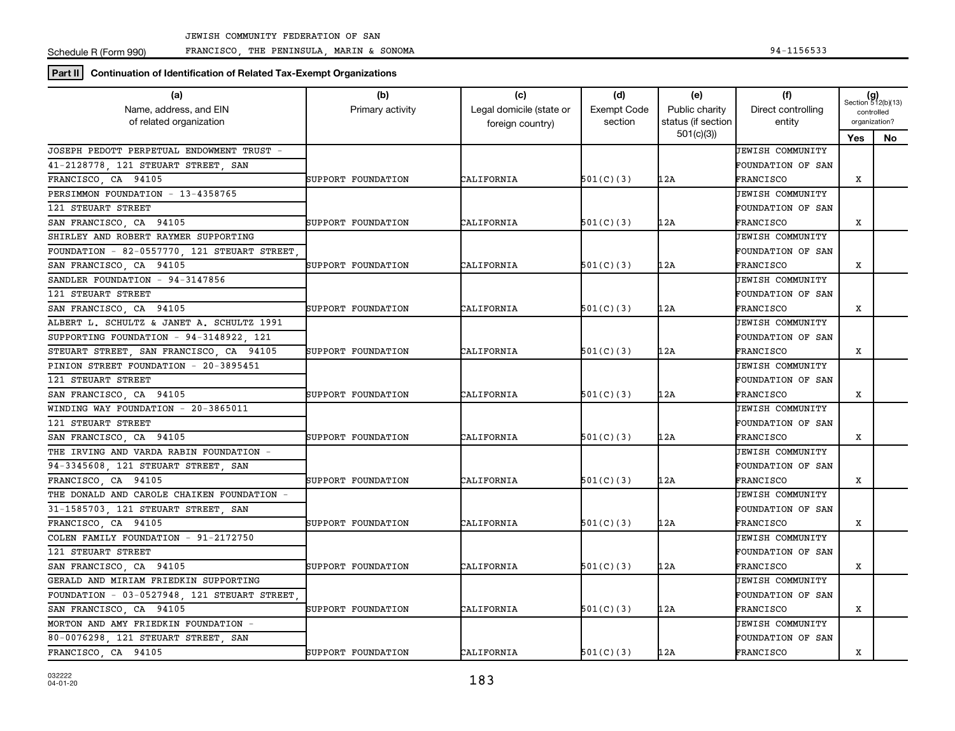Schedule R (Form 990)

FRANCISCO, THE PENINSULA, MARIN & SONOMA 94-1156533

**Part II Continuation of Identification of Related Tax-Exempt Organizations**

| status (if section<br>of related organization<br>section<br>entity<br>organization?<br>foreign country)<br>501(c)(3)<br>Yes<br>No.<br>JOSEPH PEDOTT PERPETUAL ENDOWMENT TRUST -<br><b>JEWISH COMMUNITY</b><br>41-2128778, 121 STEUART STREET, SAN<br><b>FOUNDATION OF SAN</b><br>FRANCISCO, CA 94105<br>SUPPORT FOUNDATION<br>CALIFORNIA<br>501(C)(3)<br>12A<br>FRANCISCO<br>x<br>PERSIMMON FOUNDATION - 13-4358765<br><b>JEWISH COMMUNITY</b><br>121 STEUART STREET<br><b>FOUNDATION OF SAN</b><br>SAN FRANCISCO, CA 94105<br>12A<br>X<br>SUPPORT FOUNDATION<br>CALIFORNIA<br>501(C)(3)<br>FRANCISCO<br>SHIRLEY AND ROBERT RAYMER SUPPORTING<br><b>JEWISH COMMUNITY</b><br>FOUNDATION - 82-0557770, 121 STEUART STREET<br>FOUNDATION OF SAN<br>12A<br>SAN FRANCISCO, CA 94105<br>CALIFORNIA<br>501(C)(3)<br>x<br>SUPPORT FOUNDATION<br>FRANCISCO<br>SANDLER FOUNDATION - 94-3147856<br><b>JEWISH COMMUNITY</b><br>121 STEUART STREET<br><b>FOUNDATION OF SAN</b><br>X<br>SAN FRANCISCO, CA 94105<br>CALIFORNIA<br>501(C)(3)<br>12A<br>SUPPORT FOUNDATION<br>FRANCISCO<br>ALBERT L. SCHULTZ & JANET A. SCHULTZ 1991<br><b>JEWISH COMMUNITY</b><br>SUPPORTING FOUNDATION - 94-3148922, 121<br><b>FOUNDATION OF SAN</b><br>STEUART STREET, SAN FRANCISCO, CA 94105<br>CALIFORNIA<br>501(C)(3)<br>12A<br>X<br>SUPPORT FOUNDATION<br>FRANCISCO<br>PINION STREET FOUNDATION - 20-3895451<br>UEWISH COMMUNITY<br>121 STEUART STREET<br>FOUNDATION OF SAN<br>12A<br>X<br>SAN FRANCISCO, CA 94105<br>CALIFORNIA<br>501(C)(3)<br>SUPPORT FOUNDATION<br>FRANCISCO<br>WINDING WAY FOUNDATION - 20-3865011<br><b>JEWISH COMMUNITY</b><br>FOUNDATION OF SAN<br>121 STEUART STREET<br>SAN FRANCISCO, CA 94105<br>CALIFORNIA<br>501(C)(3)<br>12A<br>X<br>SUPPORT FOUNDATION<br>FRANCISCO<br>THE IRVING AND VARDA RABIN FOUNDATION -<br><b>JEWISH COMMUNITY</b><br>94-3345608, 121 STEUART STREET, SAN<br><b>FOUNDATION OF SAN</b><br>FRANCISCO CA 94105<br>SUPPORT FOUNDATION<br>CALIFORNIA<br>501(C)(3)<br>12A<br>X<br>FRANCISCO<br>THE DONALD AND CAROLE CHAIKEN FOUNDATION -<br>JEWISH COMMUNITY<br>31-1585703, 121 STEUART STREET, SAN<br><b>FOUNDATION OF SAN</b><br>FRANCISCO, CA 94105<br>CALIFORNIA<br>501(C)(3)<br>12A<br>X<br>SUPPORT FOUNDATION<br>FRANCISCO<br>COLEN FAMILY FOUNDATION - 91-2172750<br>UEWISH COMMUNITY<br>121 STEUART STREET<br><b>FOUNDATION OF SAN</b><br>SAN FRANCISCO, CA 94105<br>CALIFORNIA<br>501(C)(3)<br>12A<br>х<br>SUPPORT FOUNDATION<br>FRANCISCO<br>GERALD AND MIRIAM FRIEDKIN SUPPORTING<br><b>JEWISH COMMUNITY</b><br>FOUNDATION - 03-0527948, 121 STEUART STREET<br><b>FOUNDATION OF SAN</b><br>SAN FRANCISCO, CA 94105<br>CALIFORNIA<br>501(C)(3)<br>12A<br>x<br>SUPPORT FOUNDATION<br>FRANCISCO<br>MORTON AND AMY FRIEDKIN FOUNDATION -<br><b>JEWISH COMMUNITY</b><br>80-0076298, 121 STEUART STREET, SAN<br><b>FOUNDATION OF SAN</b><br>FRANCISCO, CA 94105<br>CALIFORNIA<br>501(C)(3)<br>12A<br>FRANCISCO<br>X<br>SUPPORT FOUNDATION | (a)<br>Name, address, and EIN | (b)<br>Primary activity | (c)<br>Legal domicile (state or | (d)<br><b>Exempt Code</b> | (e)<br>Public charity | (f)<br>Direct controlling | $(g)$<br>Section 512(b)(13) |            |  |
|------------------------------------------------------------------------------------------------------------------------------------------------------------------------------------------------------------------------------------------------------------------------------------------------------------------------------------------------------------------------------------------------------------------------------------------------------------------------------------------------------------------------------------------------------------------------------------------------------------------------------------------------------------------------------------------------------------------------------------------------------------------------------------------------------------------------------------------------------------------------------------------------------------------------------------------------------------------------------------------------------------------------------------------------------------------------------------------------------------------------------------------------------------------------------------------------------------------------------------------------------------------------------------------------------------------------------------------------------------------------------------------------------------------------------------------------------------------------------------------------------------------------------------------------------------------------------------------------------------------------------------------------------------------------------------------------------------------------------------------------------------------------------------------------------------------------------------------------------------------------------------------------------------------------------------------------------------------------------------------------------------------------------------------------------------------------------------------------------------------------------------------------------------------------------------------------------------------------------------------------------------------------------------------------------------------------------------------------------------------------------------------------------------------------------------------------------------------------------------------------------------------------------------------------------------------------------------------------------------------------------------------------------------------------------------------------------------------------------------------------------------------------------------------------------------------------------------------------------------------------------------------------------------------------------------------------------------------------|-------------------------------|-------------------------|---------------------------------|---------------------------|-----------------------|---------------------------|-----------------------------|------------|--|
|                                                                                                                                                                                                                                                                                                                                                                                                                                                                                                                                                                                                                                                                                                                                                                                                                                                                                                                                                                                                                                                                                                                                                                                                                                                                                                                                                                                                                                                                                                                                                                                                                                                                                                                                                                                                                                                                                                                                                                                                                                                                                                                                                                                                                                                                                                                                                                                                                                                                                                                                                                                                                                                                                                                                                                                                                                                                                                                                                                        |                               |                         |                                 |                           |                       |                           |                             | controlled |  |
|                                                                                                                                                                                                                                                                                                                                                                                                                                                                                                                                                                                                                                                                                                                                                                                                                                                                                                                                                                                                                                                                                                                                                                                                                                                                                                                                                                                                                                                                                                                                                                                                                                                                                                                                                                                                                                                                                                                                                                                                                                                                                                                                                                                                                                                                                                                                                                                                                                                                                                                                                                                                                                                                                                                                                                                                                                                                                                                                                                        |                               |                         |                                 |                           |                       |                           |                             |            |  |
|                                                                                                                                                                                                                                                                                                                                                                                                                                                                                                                                                                                                                                                                                                                                                                                                                                                                                                                                                                                                                                                                                                                                                                                                                                                                                                                                                                                                                                                                                                                                                                                                                                                                                                                                                                                                                                                                                                                                                                                                                                                                                                                                                                                                                                                                                                                                                                                                                                                                                                                                                                                                                                                                                                                                                                                                                                                                                                                                                                        |                               |                         |                                 |                           |                       |                           |                             |            |  |
|                                                                                                                                                                                                                                                                                                                                                                                                                                                                                                                                                                                                                                                                                                                                                                                                                                                                                                                                                                                                                                                                                                                                                                                                                                                                                                                                                                                                                                                                                                                                                                                                                                                                                                                                                                                                                                                                                                                                                                                                                                                                                                                                                                                                                                                                                                                                                                                                                                                                                                                                                                                                                                                                                                                                                                                                                                                                                                                                                                        |                               |                         |                                 |                           |                       |                           |                             |            |  |
|                                                                                                                                                                                                                                                                                                                                                                                                                                                                                                                                                                                                                                                                                                                                                                                                                                                                                                                                                                                                                                                                                                                                                                                                                                                                                                                                                                                                                                                                                                                                                                                                                                                                                                                                                                                                                                                                                                                                                                                                                                                                                                                                                                                                                                                                                                                                                                                                                                                                                                                                                                                                                                                                                                                                                                                                                                                                                                                                                                        |                               |                         |                                 |                           |                       |                           |                             |            |  |
|                                                                                                                                                                                                                                                                                                                                                                                                                                                                                                                                                                                                                                                                                                                                                                                                                                                                                                                                                                                                                                                                                                                                                                                                                                                                                                                                                                                                                                                                                                                                                                                                                                                                                                                                                                                                                                                                                                                                                                                                                                                                                                                                                                                                                                                                                                                                                                                                                                                                                                                                                                                                                                                                                                                                                                                                                                                                                                                                                                        |                               |                         |                                 |                           |                       |                           |                             |            |  |
|                                                                                                                                                                                                                                                                                                                                                                                                                                                                                                                                                                                                                                                                                                                                                                                                                                                                                                                                                                                                                                                                                                                                                                                                                                                                                                                                                                                                                                                                                                                                                                                                                                                                                                                                                                                                                                                                                                                                                                                                                                                                                                                                                                                                                                                                                                                                                                                                                                                                                                                                                                                                                                                                                                                                                                                                                                                                                                                                                                        |                               |                         |                                 |                           |                       |                           |                             |            |  |
|                                                                                                                                                                                                                                                                                                                                                                                                                                                                                                                                                                                                                                                                                                                                                                                                                                                                                                                                                                                                                                                                                                                                                                                                                                                                                                                                                                                                                                                                                                                                                                                                                                                                                                                                                                                                                                                                                                                                                                                                                                                                                                                                                                                                                                                                                                                                                                                                                                                                                                                                                                                                                                                                                                                                                                                                                                                                                                                                                                        |                               |                         |                                 |                           |                       |                           |                             |            |  |
|                                                                                                                                                                                                                                                                                                                                                                                                                                                                                                                                                                                                                                                                                                                                                                                                                                                                                                                                                                                                                                                                                                                                                                                                                                                                                                                                                                                                                                                                                                                                                                                                                                                                                                                                                                                                                                                                                                                                                                                                                                                                                                                                                                                                                                                                                                                                                                                                                                                                                                                                                                                                                                                                                                                                                                                                                                                                                                                                                                        |                               |                         |                                 |                           |                       |                           |                             |            |  |
|                                                                                                                                                                                                                                                                                                                                                                                                                                                                                                                                                                                                                                                                                                                                                                                                                                                                                                                                                                                                                                                                                                                                                                                                                                                                                                                                                                                                                                                                                                                                                                                                                                                                                                                                                                                                                                                                                                                                                                                                                                                                                                                                                                                                                                                                                                                                                                                                                                                                                                                                                                                                                                                                                                                                                                                                                                                                                                                                                                        |                               |                         |                                 |                           |                       |                           |                             |            |  |
|                                                                                                                                                                                                                                                                                                                                                                                                                                                                                                                                                                                                                                                                                                                                                                                                                                                                                                                                                                                                                                                                                                                                                                                                                                                                                                                                                                                                                                                                                                                                                                                                                                                                                                                                                                                                                                                                                                                                                                                                                                                                                                                                                                                                                                                                                                                                                                                                                                                                                                                                                                                                                                                                                                                                                                                                                                                                                                                                                                        |                               |                         |                                 |                           |                       |                           |                             |            |  |
|                                                                                                                                                                                                                                                                                                                                                                                                                                                                                                                                                                                                                                                                                                                                                                                                                                                                                                                                                                                                                                                                                                                                                                                                                                                                                                                                                                                                                                                                                                                                                                                                                                                                                                                                                                                                                                                                                                                                                                                                                                                                                                                                                                                                                                                                                                                                                                                                                                                                                                                                                                                                                                                                                                                                                                                                                                                                                                                                                                        |                               |                         |                                 |                           |                       |                           |                             |            |  |
|                                                                                                                                                                                                                                                                                                                                                                                                                                                                                                                                                                                                                                                                                                                                                                                                                                                                                                                                                                                                                                                                                                                                                                                                                                                                                                                                                                                                                                                                                                                                                                                                                                                                                                                                                                                                                                                                                                                                                                                                                                                                                                                                                                                                                                                                                                                                                                                                                                                                                                                                                                                                                                                                                                                                                                                                                                                                                                                                                                        |                               |                         |                                 |                           |                       |                           |                             |            |  |
|                                                                                                                                                                                                                                                                                                                                                                                                                                                                                                                                                                                                                                                                                                                                                                                                                                                                                                                                                                                                                                                                                                                                                                                                                                                                                                                                                                                                                                                                                                                                                                                                                                                                                                                                                                                                                                                                                                                                                                                                                                                                                                                                                                                                                                                                                                                                                                                                                                                                                                                                                                                                                                                                                                                                                                                                                                                                                                                                                                        |                               |                         |                                 |                           |                       |                           |                             |            |  |
|                                                                                                                                                                                                                                                                                                                                                                                                                                                                                                                                                                                                                                                                                                                                                                                                                                                                                                                                                                                                                                                                                                                                                                                                                                                                                                                                                                                                                                                                                                                                                                                                                                                                                                                                                                                                                                                                                                                                                                                                                                                                                                                                                                                                                                                                                                                                                                                                                                                                                                                                                                                                                                                                                                                                                                                                                                                                                                                                                                        |                               |                         |                                 |                           |                       |                           |                             |            |  |
|                                                                                                                                                                                                                                                                                                                                                                                                                                                                                                                                                                                                                                                                                                                                                                                                                                                                                                                                                                                                                                                                                                                                                                                                                                                                                                                                                                                                                                                                                                                                                                                                                                                                                                                                                                                                                                                                                                                                                                                                                                                                                                                                                                                                                                                                                                                                                                                                                                                                                                                                                                                                                                                                                                                                                                                                                                                                                                                                                                        |                               |                         |                                 |                           |                       |                           |                             |            |  |
|                                                                                                                                                                                                                                                                                                                                                                                                                                                                                                                                                                                                                                                                                                                                                                                                                                                                                                                                                                                                                                                                                                                                                                                                                                                                                                                                                                                                                                                                                                                                                                                                                                                                                                                                                                                                                                                                                                                                                                                                                                                                                                                                                                                                                                                                                                                                                                                                                                                                                                                                                                                                                                                                                                                                                                                                                                                                                                                                                                        |                               |                         |                                 |                           |                       |                           |                             |            |  |
|                                                                                                                                                                                                                                                                                                                                                                                                                                                                                                                                                                                                                                                                                                                                                                                                                                                                                                                                                                                                                                                                                                                                                                                                                                                                                                                                                                                                                                                                                                                                                                                                                                                                                                                                                                                                                                                                                                                                                                                                                                                                                                                                                                                                                                                                                                                                                                                                                                                                                                                                                                                                                                                                                                                                                                                                                                                                                                                                                                        |                               |                         |                                 |                           |                       |                           |                             |            |  |
|                                                                                                                                                                                                                                                                                                                                                                                                                                                                                                                                                                                                                                                                                                                                                                                                                                                                                                                                                                                                                                                                                                                                                                                                                                                                                                                                                                                                                                                                                                                                                                                                                                                                                                                                                                                                                                                                                                                                                                                                                                                                                                                                                                                                                                                                                                                                                                                                                                                                                                                                                                                                                                                                                                                                                                                                                                                                                                                                                                        |                               |                         |                                 |                           |                       |                           |                             |            |  |
|                                                                                                                                                                                                                                                                                                                                                                                                                                                                                                                                                                                                                                                                                                                                                                                                                                                                                                                                                                                                                                                                                                                                                                                                                                                                                                                                                                                                                                                                                                                                                                                                                                                                                                                                                                                                                                                                                                                                                                                                                                                                                                                                                                                                                                                                                                                                                                                                                                                                                                                                                                                                                                                                                                                                                                                                                                                                                                                                                                        |                               |                         |                                 |                           |                       |                           |                             |            |  |
|                                                                                                                                                                                                                                                                                                                                                                                                                                                                                                                                                                                                                                                                                                                                                                                                                                                                                                                                                                                                                                                                                                                                                                                                                                                                                                                                                                                                                                                                                                                                                                                                                                                                                                                                                                                                                                                                                                                                                                                                                                                                                                                                                                                                                                                                                                                                                                                                                                                                                                                                                                                                                                                                                                                                                                                                                                                                                                                                                                        |                               |                         |                                 |                           |                       |                           |                             |            |  |
|                                                                                                                                                                                                                                                                                                                                                                                                                                                                                                                                                                                                                                                                                                                                                                                                                                                                                                                                                                                                                                                                                                                                                                                                                                                                                                                                                                                                                                                                                                                                                                                                                                                                                                                                                                                                                                                                                                                                                                                                                                                                                                                                                                                                                                                                                                                                                                                                                                                                                                                                                                                                                                                                                                                                                                                                                                                                                                                                                                        |                               |                         |                                 |                           |                       |                           |                             |            |  |
|                                                                                                                                                                                                                                                                                                                                                                                                                                                                                                                                                                                                                                                                                                                                                                                                                                                                                                                                                                                                                                                                                                                                                                                                                                                                                                                                                                                                                                                                                                                                                                                                                                                                                                                                                                                                                                                                                                                                                                                                                                                                                                                                                                                                                                                                                                                                                                                                                                                                                                                                                                                                                                                                                                                                                                                                                                                                                                                                                                        |                               |                         |                                 |                           |                       |                           |                             |            |  |
|                                                                                                                                                                                                                                                                                                                                                                                                                                                                                                                                                                                                                                                                                                                                                                                                                                                                                                                                                                                                                                                                                                                                                                                                                                                                                                                                                                                                                                                                                                                                                                                                                                                                                                                                                                                                                                                                                                                                                                                                                                                                                                                                                                                                                                                                                                                                                                                                                                                                                                                                                                                                                                                                                                                                                                                                                                                                                                                                                                        |                               |                         |                                 |                           |                       |                           |                             |            |  |
|                                                                                                                                                                                                                                                                                                                                                                                                                                                                                                                                                                                                                                                                                                                                                                                                                                                                                                                                                                                                                                                                                                                                                                                                                                                                                                                                                                                                                                                                                                                                                                                                                                                                                                                                                                                                                                                                                                                                                                                                                                                                                                                                                                                                                                                                                                                                                                                                                                                                                                                                                                                                                                                                                                                                                                                                                                                                                                                                                                        |                               |                         |                                 |                           |                       |                           |                             |            |  |
|                                                                                                                                                                                                                                                                                                                                                                                                                                                                                                                                                                                                                                                                                                                                                                                                                                                                                                                                                                                                                                                                                                                                                                                                                                                                                                                                                                                                                                                                                                                                                                                                                                                                                                                                                                                                                                                                                                                                                                                                                                                                                                                                                                                                                                                                                                                                                                                                                                                                                                                                                                                                                                                                                                                                                                                                                                                                                                                                                                        |                               |                         |                                 |                           |                       |                           |                             |            |  |
|                                                                                                                                                                                                                                                                                                                                                                                                                                                                                                                                                                                                                                                                                                                                                                                                                                                                                                                                                                                                                                                                                                                                                                                                                                                                                                                                                                                                                                                                                                                                                                                                                                                                                                                                                                                                                                                                                                                                                                                                                                                                                                                                                                                                                                                                                                                                                                                                                                                                                                                                                                                                                                                                                                                                                                                                                                                                                                                                                                        |                               |                         |                                 |                           |                       |                           |                             |            |  |
|                                                                                                                                                                                                                                                                                                                                                                                                                                                                                                                                                                                                                                                                                                                                                                                                                                                                                                                                                                                                                                                                                                                                                                                                                                                                                                                                                                                                                                                                                                                                                                                                                                                                                                                                                                                                                                                                                                                                                                                                                                                                                                                                                                                                                                                                                                                                                                                                                                                                                                                                                                                                                                                                                                                                                                                                                                                                                                                                                                        |                               |                         |                                 |                           |                       |                           |                             |            |  |
|                                                                                                                                                                                                                                                                                                                                                                                                                                                                                                                                                                                                                                                                                                                                                                                                                                                                                                                                                                                                                                                                                                                                                                                                                                                                                                                                                                                                                                                                                                                                                                                                                                                                                                                                                                                                                                                                                                                                                                                                                                                                                                                                                                                                                                                                                                                                                                                                                                                                                                                                                                                                                                                                                                                                                                                                                                                                                                                                                                        |                               |                         |                                 |                           |                       |                           |                             |            |  |
|                                                                                                                                                                                                                                                                                                                                                                                                                                                                                                                                                                                                                                                                                                                                                                                                                                                                                                                                                                                                                                                                                                                                                                                                                                                                                                                                                                                                                                                                                                                                                                                                                                                                                                                                                                                                                                                                                                                                                                                                                                                                                                                                                                                                                                                                                                                                                                                                                                                                                                                                                                                                                                                                                                                                                                                                                                                                                                                                                                        |                               |                         |                                 |                           |                       |                           |                             |            |  |
|                                                                                                                                                                                                                                                                                                                                                                                                                                                                                                                                                                                                                                                                                                                                                                                                                                                                                                                                                                                                                                                                                                                                                                                                                                                                                                                                                                                                                                                                                                                                                                                                                                                                                                                                                                                                                                                                                                                                                                                                                                                                                                                                                                                                                                                                                                                                                                                                                                                                                                                                                                                                                                                                                                                                                                                                                                                                                                                                                                        |                               |                         |                                 |                           |                       |                           |                             |            |  |
|                                                                                                                                                                                                                                                                                                                                                                                                                                                                                                                                                                                                                                                                                                                                                                                                                                                                                                                                                                                                                                                                                                                                                                                                                                                                                                                                                                                                                                                                                                                                                                                                                                                                                                                                                                                                                                                                                                                                                                                                                                                                                                                                                                                                                                                                                                                                                                                                                                                                                                                                                                                                                                                                                                                                                                                                                                                                                                                                                                        |                               |                         |                                 |                           |                       |                           |                             |            |  |
|                                                                                                                                                                                                                                                                                                                                                                                                                                                                                                                                                                                                                                                                                                                                                                                                                                                                                                                                                                                                                                                                                                                                                                                                                                                                                                                                                                                                                                                                                                                                                                                                                                                                                                                                                                                                                                                                                                                                                                                                                                                                                                                                                                                                                                                                                                                                                                                                                                                                                                                                                                                                                                                                                                                                                                                                                                                                                                                                                                        |                               |                         |                                 |                           |                       |                           |                             |            |  |
|                                                                                                                                                                                                                                                                                                                                                                                                                                                                                                                                                                                                                                                                                                                                                                                                                                                                                                                                                                                                                                                                                                                                                                                                                                                                                                                                                                                                                                                                                                                                                                                                                                                                                                                                                                                                                                                                                                                                                                                                                                                                                                                                                                                                                                                                                                                                                                                                                                                                                                                                                                                                                                                                                                                                                                                                                                                                                                                                                                        |                               |                         |                                 |                           |                       |                           |                             |            |  |
|                                                                                                                                                                                                                                                                                                                                                                                                                                                                                                                                                                                                                                                                                                                                                                                                                                                                                                                                                                                                                                                                                                                                                                                                                                                                                                                                                                                                                                                                                                                                                                                                                                                                                                                                                                                                                                                                                                                                                                                                                                                                                                                                                                                                                                                                                                                                                                                                                                                                                                                                                                                                                                                                                                                                                                                                                                                                                                                                                                        |                               |                         |                                 |                           |                       |                           |                             |            |  |
|                                                                                                                                                                                                                                                                                                                                                                                                                                                                                                                                                                                                                                                                                                                                                                                                                                                                                                                                                                                                                                                                                                                                                                                                                                                                                                                                                                                                                                                                                                                                                                                                                                                                                                                                                                                                                                                                                                                                                                                                                                                                                                                                                                                                                                                                                                                                                                                                                                                                                                                                                                                                                                                                                                                                                                                                                                                                                                                                                                        |                               |                         |                                 |                           |                       |                           |                             |            |  |
|                                                                                                                                                                                                                                                                                                                                                                                                                                                                                                                                                                                                                                                                                                                                                                                                                                                                                                                                                                                                                                                                                                                                                                                                                                                                                                                                                                                                                                                                                                                                                                                                                                                                                                                                                                                                                                                                                                                                                                                                                                                                                                                                                                                                                                                                                                                                                                                                                                                                                                                                                                                                                                                                                                                                                                                                                                                                                                                                                                        |                               |                         |                                 |                           |                       |                           |                             |            |  |
|                                                                                                                                                                                                                                                                                                                                                                                                                                                                                                                                                                                                                                                                                                                                                                                                                                                                                                                                                                                                                                                                                                                                                                                                                                                                                                                                                                                                                                                                                                                                                                                                                                                                                                                                                                                                                                                                                                                                                                                                                                                                                                                                                                                                                                                                                                                                                                                                                                                                                                                                                                                                                                                                                                                                                                                                                                                                                                                                                                        |                               |                         |                                 |                           |                       |                           |                             |            |  |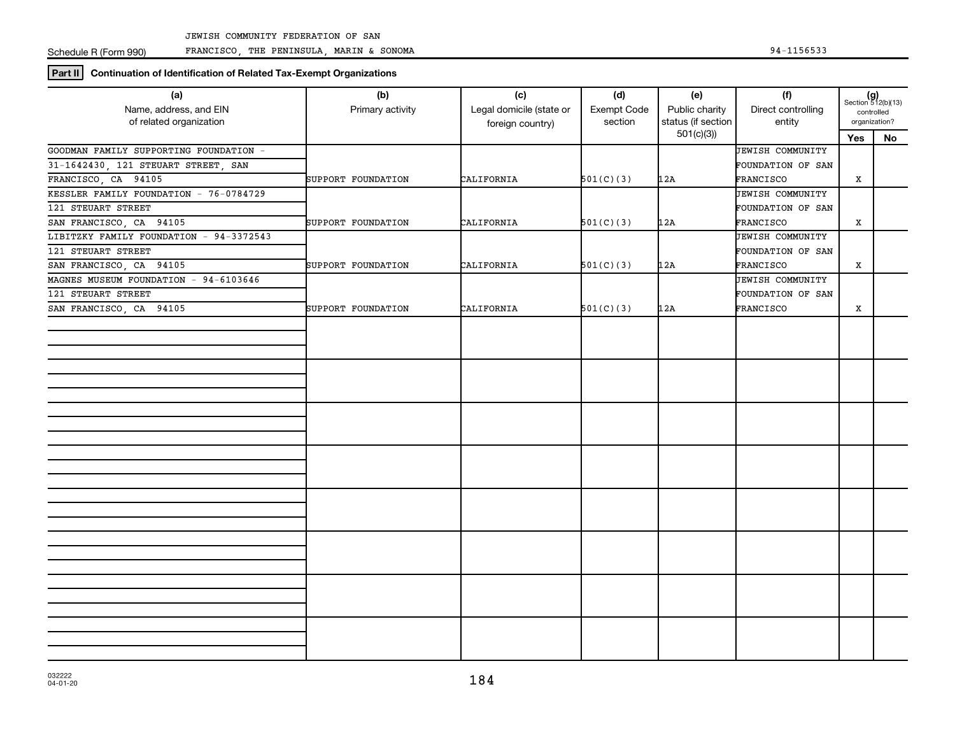Schedule R (Form 990)

FRANCISCO, THE PENINSULA, MARIN & SONOMA 94-1156533

**Part II Continuation of Identification of Related Tax-Exempt Organizations**

| (a)                                     | (b)                | (c)                      | (d)         | (e)                             | (f)                     | $(g)$<br>Section 512(b)(13)<br>controlled |    |
|-----------------------------------------|--------------------|--------------------------|-------------|---------------------------------|-------------------------|-------------------------------------------|----|
| Name, address, and EIN                  | Primary activity   | Legal domicile (state or | Exempt Code | Public charity                  | Direct controlling      |                                           |    |
| of related organization                 |                    | foreign country)         | section     | status (if section<br>501(c)(3) | entity                  | organization?                             |    |
|                                         |                    |                          |             |                                 |                         | Yes                                       | No |
| GOODMAN FAMILY SUPPORTING FOUNDATION -  |                    |                          |             |                                 | JEWISH COMMUNITY        |                                           |    |
| 31-1642430, 121 STEUART STREET, SAN     |                    |                          |             |                                 | FOUNDATION OF SAN       |                                           |    |
| FRANCISCO, CA 94105                     | SUPPORT FOUNDATION | CALIFORNIA               | 501(C)(3)   | 12A                             | FRANCISCO               | X                                         |    |
| KESSLER FAMILY FOUNDATION - 76-0784729  |                    |                          |             |                                 | JEWISH COMMUNITY        |                                           |    |
| 121 STEUART STREET                      |                    |                          |             |                                 | FOUNDATION OF SAN       |                                           |    |
| SAN FRANCISCO, CA 94105                 | SUPPORT FOUNDATION | CALIFORNIA               | 501(C)(3)   | 12A                             | FRANCISCO               | x                                         |    |
| LIBITZKY FAMILY FOUNDATION - 94-3372543 |                    |                          |             |                                 | <b>JEWISH COMMUNITY</b> |                                           |    |
| 121 STEUART STREET                      |                    |                          |             |                                 | FOUNDATION OF SAN       |                                           |    |
| SAN FRANCISCO, CA 94105                 | SUPPORT FOUNDATION | CALIFORNIA               | 501(C)(3)   | 12A                             | FRANCISCO               | $\mathbf X$                               |    |
| MAGNES MUSEUM FOUNDATION - 94-6103646   |                    |                          |             |                                 | <b>JEWISH COMMUNITY</b> |                                           |    |
| 121 STEUART STREET                      |                    |                          |             |                                 | FOUNDATION OF SAN       |                                           |    |
| SAN FRANCISCO, CA 94105                 | SUPPORT FOUNDATION | CALIFORNIA               | 501(C)(3)   | 12A                             | FRANCISCO               | Х                                         |    |
|                                         |                    |                          |             |                                 |                         |                                           |    |
|                                         |                    |                          |             |                                 |                         |                                           |    |
|                                         |                    |                          |             |                                 |                         |                                           |    |
|                                         |                    |                          |             |                                 |                         |                                           |    |
|                                         |                    |                          |             |                                 |                         |                                           |    |
|                                         |                    |                          |             |                                 |                         |                                           |    |
|                                         |                    |                          |             |                                 |                         |                                           |    |
|                                         |                    |                          |             |                                 |                         |                                           |    |
|                                         |                    |                          |             |                                 |                         |                                           |    |
|                                         |                    |                          |             |                                 |                         |                                           |    |
|                                         |                    |                          |             |                                 |                         |                                           |    |
|                                         |                    |                          |             |                                 |                         |                                           |    |
|                                         |                    |                          |             |                                 |                         |                                           |    |
|                                         |                    |                          |             |                                 |                         |                                           |    |
|                                         |                    |                          |             |                                 |                         |                                           |    |
|                                         |                    |                          |             |                                 |                         |                                           |    |
|                                         |                    |                          |             |                                 |                         |                                           |    |
|                                         |                    |                          |             |                                 |                         |                                           |    |
|                                         |                    |                          |             |                                 |                         |                                           |    |
|                                         |                    |                          |             |                                 |                         |                                           |    |
|                                         |                    |                          |             |                                 |                         |                                           |    |
|                                         |                    |                          |             |                                 |                         |                                           |    |
|                                         |                    |                          |             |                                 |                         |                                           |    |
|                                         |                    |                          |             |                                 |                         |                                           |    |
|                                         |                    |                          |             |                                 |                         |                                           |    |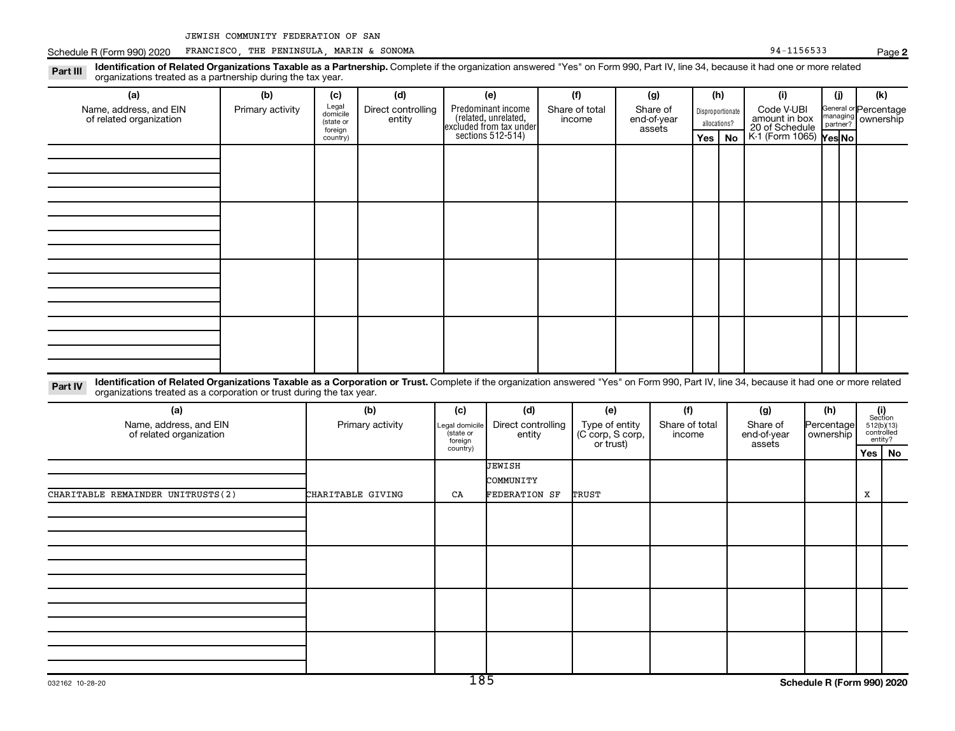**2**

|                                                   | Schedule R (Form 990) 2020 FRANCISCO, THE PENINSULA, MARIN & SONOMA                                                                                                                                                                                              |                  |                                           |                              |                                        |                                                                       |                                    |           |                                   |        |     |                                  | 94-1156533                                    |                         |                      |   | Page 2                              |
|---------------------------------------------------|------------------------------------------------------------------------------------------------------------------------------------------------------------------------------------------------------------------------------------------------------------------|------------------|-------------------------------------------|------------------------------|----------------------------------------|-----------------------------------------------------------------------|------------------------------------|-----------|-----------------------------------|--------|-----|----------------------------------|-----------------------------------------------|-------------------------|----------------------|---|-------------------------------------|
| Part III                                          | Identification of Related Organizations Taxable as a Partnership. Complete if the organization answered "Yes" on Form 990, Part IV, line 34, because it had one or more related<br>organizations treated as a partnership during the tax year.                   |                  |                                           |                              |                                        |                                                                       |                                    |           |                                   |        |     |                                  |                                               |                         |                      |   |                                     |
|                                                   | (a)                                                                                                                                                                                                                                                              | (b)              | (c)                                       | (d)                          |                                        | (e)                                                                   |                                    | (f)       |                                   | (g)    |     | (h)                              | (i)                                           |                         | (j)                  |   | (k)                                 |
| Name, address, and EIN<br>of related organization |                                                                                                                                                                                                                                                                  | Primary activity | Legal<br>domicile<br>(state or<br>foreign | Direct controlling<br>entity |                                        | Predominant income<br>(related, unrelated,<br>excluded from tax under | Share of total<br>income           |           | Share of<br>end-of-year<br>assets |        |     | Disproportionate<br>allocations? | Code V-UBI<br>amount in box<br>20 of Schedule |                         | managing<br>partner? |   | General or Percentage<br>ownership  |
|                                                   |                                                                                                                                                                                                                                                                  |                  | country)                                  |                              |                                        | sections $512-514$ )                                                  |                                    |           |                                   |        | Yes | No                               | K-1 (Form 1065) Yes No                        |                         |                      |   |                                     |
|                                                   |                                                                                                                                                                                                                                                                  |                  |                                           |                              |                                        |                                                                       |                                    |           |                                   |        |     |                                  |                                               |                         |                      |   |                                     |
|                                                   |                                                                                                                                                                                                                                                                  |                  |                                           |                              |                                        |                                                                       |                                    |           |                                   |        |     |                                  |                                               |                         |                      |   |                                     |
|                                                   |                                                                                                                                                                                                                                                                  |                  |                                           |                              |                                        |                                                                       |                                    |           |                                   |        |     |                                  |                                               |                         |                      |   |                                     |
|                                                   |                                                                                                                                                                                                                                                                  |                  |                                           |                              |                                        |                                                                       |                                    |           |                                   |        |     |                                  |                                               |                         |                      |   |                                     |
|                                                   |                                                                                                                                                                                                                                                                  |                  |                                           |                              |                                        |                                                                       |                                    |           |                                   |        |     |                                  |                                               |                         |                      |   |                                     |
|                                                   |                                                                                                                                                                                                                                                                  |                  |                                           |                              |                                        |                                                                       |                                    |           |                                   |        |     |                                  |                                               |                         |                      |   |                                     |
|                                                   |                                                                                                                                                                                                                                                                  |                  |                                           |                              |                                        |                                                                       |                                    |           |                                   |        |     |                                  |                                               |                         |                      |   |                                     |
|                                                   |                                                                                                                                                                                                                                                                  |                  |                                           |                              |                                        |                                                                       |                                    |           |                                   |        |     |                                  |                                               |                         |                      |   |                                     |
| Part IV                                           | Identification of Related Organizations Taxable as a Corporation or Trust. Complete if the organization answered "Yes" on Form 990, Part IV, line 34, because it had one or more related<br>organizations treated as a corporation or trust during the tax year. |                  |                                           |                              |                                        |                                                                       |                                    |           |                                   |        |     |                                  |                                               |                         |                      |   |                                     |
|                                                   | (a)                                                                                                                                                                                                                                                              |                  |                                           | (b)                          | (c)                                    | (d)                                                                   |                                    | (e)       |                                   | (f)    |     |                                  | (g)                                           |                         | (h)                  |   | (i)<br>Section                      |
|                                                   | Name, address, and EIN<br>of related organization                                                                                                                                                                                                                |                  | Primary activity                          |                              | Legal domicile<br>(state or<br>foreign | Direct controlling<br>entity                                          | Type of entity<br>(C corp, S corp, |           |                                   | income |     | Share of total<br>end-of-year    |                                               | Percentage<br>ownership |                      |   | 512(b)(13)<br>controlled<br>entity? |
|                                                   |                                                                                                                                                                                                                                                                  |                  |                                           |                              | country)                               |                                                                       |                                    | or trust) |                                   |        |     |                                  | assets                                        |                         |                      |   | Yes   No                            |
|                                                   |                                                                                                                                                                                                                                                                  |                  |                                           |                              |                                        | JEWISH<br>COMMUNITY                                                   |                                    |           |                                   |        |     |                                  |                                               |                         |                      |   |                                     |
|                                                   | CHARITABLE REMAINDER UNITRUSTS(2)                                                                                                                                                                                                                                |                  | CHARITABLE GIVING                         |                              | CA                                     | FEDERATION SF                                                         |                                    | TRUST     |                                   |        |     |                                  |                                               |                         |                      | X |                                     |
|                                                   |                                                                                                                                                                                                                                                                  |                  |                                           |                              |                                        |                                                                       |                                    |           |                                   |        |     |                                  |                                               |                         |                      |   |                                     |
|                                                   |                                                                                                                                                                                                                                                                  |                  |                                           |                              |                                        |                                                                       |                                    |           |                                   |        |     |                                  |                                               |                         |                      |   |                                     |
|                                                   |                                                                                                                                                                                                                                                                  |                  |                                           |                              |                                        |                                                                       |                                    |           |                                   |        |     |                                  |                                               |                         |                      |   |                                     |
|                                                   |                                                                                                                                                                                                                                                                  |                  |                                           |                              |                                        |                                                                       |                                    |           |                                   |        |     |                                  |                                               |                         |                      |   |                                     |
|                                                   |                                                                                                                                                                                                                                                                  |                  |                                           |                              |                                        |                                                                       |                                    |           |                                   |        |     |                                  |                                               |                         |                      |   |                                     |
|                                                   |                                                                                                                                                                                                                                                                  |                  |                                           |                              |                                        |                                                                       |                                    |           |                                   |        |     |                                  |                                               |                         |                      |   |                                     |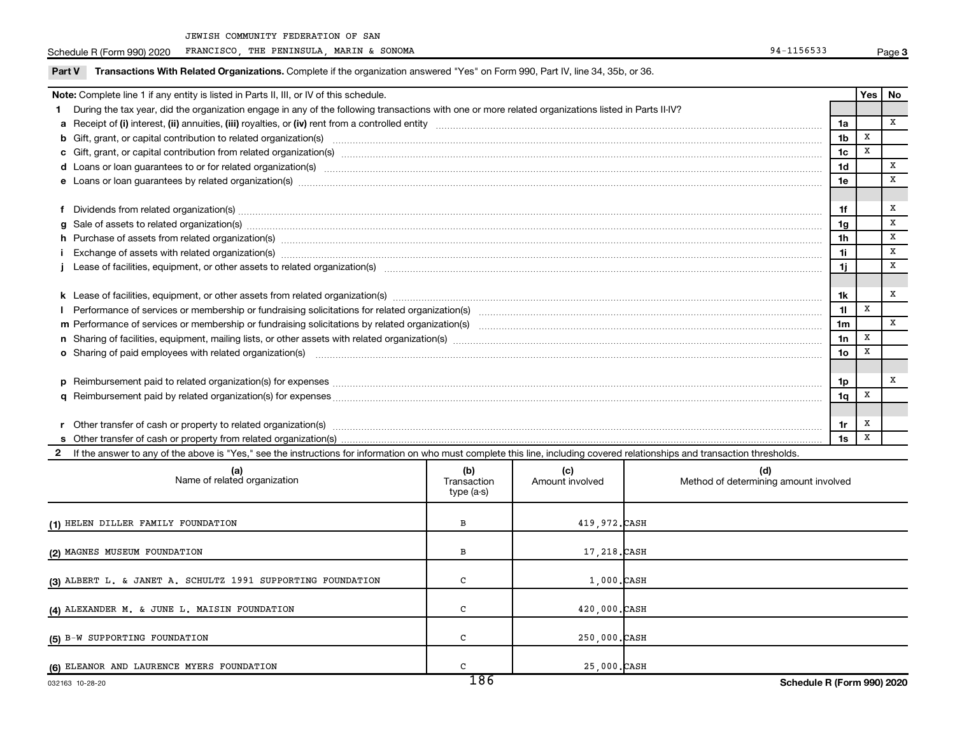JEWISH COMMUNITY FEDERATION OF SAN

Schedule R (Form 990) 2020 FRANCISCO, THE PENINSULA, MARIN & SONOMA extended the state of the state of the state of the state of the state of the state of the state of the state of the state of the state of the state of th

| Transactions With Related Organizations. Complete if the organization answered "Yes" on Form 990, Part IV, line 34, 35b, or 36.<br>Part V                                                                                      |                |            |      |
|--------------------------------------------------------------------------------------------------------------------------------------------------------------------------------------------------------------------------------|----------------|------------|------|
| Note: Complete line 1 if any entity is listed in Parts II, III, or IV of this schedule.                                                                                                                                        |                | <b>Yes</b> | l No |
| 1 During the tax year, did the organization engage in any of the following transactions with one or more related organizations listed in Parts II-IV?                                                                          |                |            |      |
|                                                                                                                                                                                                                                | 1a             |            | X    |
|                                                                                                                                                                                                                                | 1 <sub>b</sub> | x          |      |
|                                                                                                                                                                                                                                | 1 <sub>c</sub> | х          |      |
|                                                                                                                                                                                                                                | 1d             |            | X    |
| e Loans or loan guarantees by related organization(s) material contents and content to content the content of the content of the content of the content of the content of the content of the content of the content of the con | 1e             |            | x    |
|                                                                                                                                                                                                                                |                |            |      |
| f Dividends from related organization(s) manufactured and contract the contract of the contract of the contract of the contract of the contract of the contract of the contract of the contract of the contract of the contrac |                |            | х    |
| g Sale of assets to related organization(s) material content and content to the content of the content of the content of the content of the content of the content of the content of the content of the content of the content | 1g             |            | X    |
|                                                                                                                                                                                                                                | 1h             |            | x    |
| Exchange of assets with related organization(s) manufactured and content to the content of the content of the content of the content of the content of the content of the content of the content of the content of the content | 11             |            | X    |
|                                                                                                                                                                                                                                | 1i.            |            | X    |
|                                                                                                                                                                                                                                |                |            |      |
|                                                                                                                                                                                                                                | 1k             |            | x    |
|                                                                                                                                                                                                                                | 11             | x          |      |
|                                                                                                                                                                                                                                | 1 <sub>m</sub> |            | X    |
|                                                                                                                                                                                                                                | 1n             | X          |      |
| o Sharing of paid employees with related organization(s) matches and content to the content of the state of the content of the content of the content of the content of the content of the content of the content of the conte | 1o             | X          |      |
|                                                                                                                                                                                                                                |                |            |      |
|                                                                                                                                                                                                                                | 1p             |            | х    |
|                                                                                                                                                                                                                                | 1q             | X          |      |
|                                                                                                                                                                                                                                |                |            |      |
|                                                                                                                                                                                                                                | 1r             | х          |      |
|                                                                                                                                                                                                                                | 1s             | X          |      |

2 If the answer to any of the above is "Yes," see the instructions for information on who must complete this line, including covered relationships and transaction thresholds.

| (a)<br>Name of related organization                         | (b)<br>Transaction<br>type (a-s) | (c)<br>Amount involved | (d)<br>Method of determining amount involved |
|-------------------------------------------------------------|----------------------------------|------------------------|----------------------------------------------|
| (1) HELEN DILLER FAMILY FOUNDATION                          | В                                | 419,972.CASH           |                                              |
| (2) MAGNES MUSEUM FOUNDATION                                | В                                | 17,218.CASH            |                                              |
| (3) ALBERT L. & JANET A. SCHULTZ 1991 SUPPORTING FOUNDATION | C                                | $1,000$ . $CASH$       |                                              |
| (4) ALEXANDER M. & JUNE L. MAISIN FOUNDATION                | с                                | 420,000.CASH           |                                              |
| (5) B-W SUPPORTING FOUNDATION                               | C                                | 250,000.CASH           |                                              |
| (6) ELEANOR AND LAURENCE MYERS FOUNDATION                   | $\sim$<br>$\overline{100}$       | 25,000.CASH            |                                              |

**3**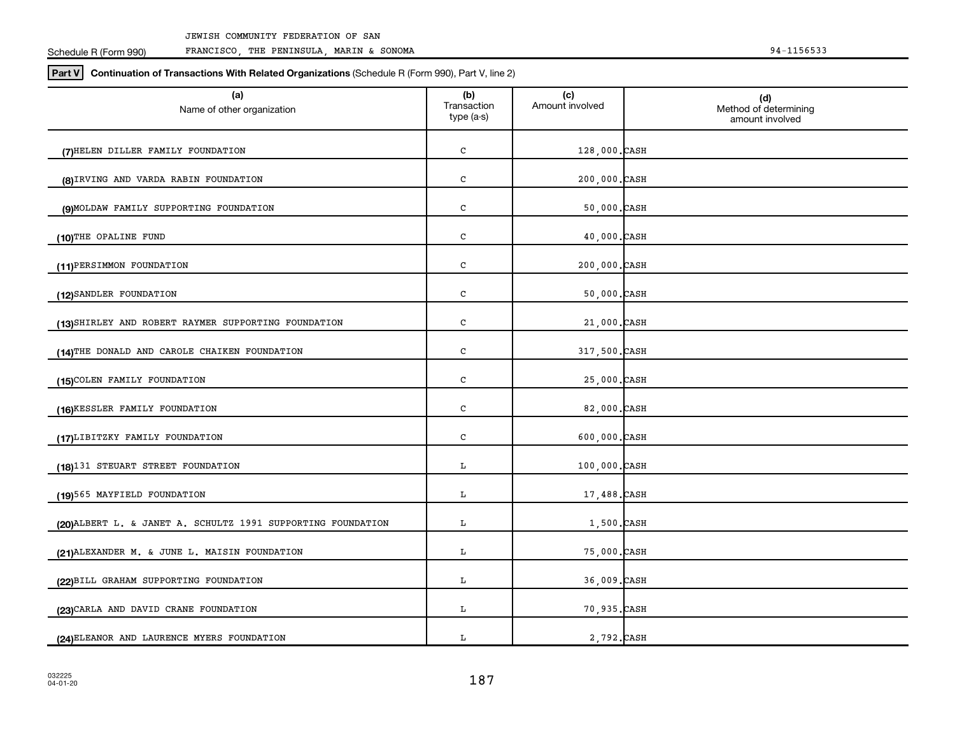| (a)<br>Name of other organization                           | (b)<br>Transaction<br>type (a-s) | (c)<br>Amount involved | (d)<br>Method of determining<br>amount involved |
|-------------------------------------------------------------|----------------------------------|------------------------|-------------------------------------------------|
| (7) HELEN DILLER FAMILY FOUNDATION                          | c                                | 128,000.CASH           |                                                 |
| (8) IRVING AND VARDA RABIN FOUNDATION                       | ${\bf C}$                        | 200,000.CASH           |                                                 |
| (9) MOLDAW FAMILY SUPPORTING FOUNDATION                     | c                                | $50,000.$ CASH         |                                                 |
| (10)THE OPALINE FUND                                        | c                                | 40,000.CASH            |                                                 |
| (11) PERSIMMON FOUNDATION                                   | c                                | 200,000.CASH           |                                                 |
| (12) SANDLER FOUNDATION                                     | c                                | $50,000.$ CASH         |                                                 |
| (13) SHIRLEY AND ROBERT RAYMER SUPPORTING FOUNDATION        | c                                | 21,000.CASH            |                                                 |
| (14)THE DONALD AND CAROLE CHAIKEN FOUNDATION                | c                                | 317,500.CASH           |                                                 |
| (15) COLEN FAMILY FOUNDATION                                | c                                | 25,000.CASH            |                                                 |
| (16)KESSLER FAMILY FOUNDATION                               | c                                | 82,000.CASH            |                                                 |
| (17) LIBITZKY FAMILY FOUNDATION                             | c                                | $600,000$ . CASH       |                                                 |
| (18)131 STEUART STREET FOUNDATION                           | L                                | 100,000.CASH           |                                                 |
| (19)565 MAYFIELD FOUNDATION                                 | L                                | 17,488.CASH            |                                                 |
| (20)ALBERT L. & JANET A. SCHULTZ 1991 SUPPORTING FOUNDATION | L                                | 1,500.CASH             |                                                 |
| (21) ALEXANDER M. & JUNE L. MAISIN FOUNDATION               | L                                | 75,000.CASH            |                                                 |
| (22) BILL GRAHAM SUPPORTING FOUNDATION                      | L                                | 36,009.CASH            |                                                 |
| (23) CARLA AND DAVID CRANE FOUNDATION                       | г                                | 70,935.CASH            |                                                 |
| (24) ELEANOR AND LAURENCE MYERS FOUNDATION                  | г                                | 2,792. CASH            |                                                 |

**Part V Continuation of Transactions With Related Organizations**  (Schedule R (Form 990), Part V, line 2)

Schedule R (Form 990) JEWISH COMMUNITY FEDERATION OF SAN FRANCISCO, THE PENINSULA, MARIN & SONOMA 94-1156533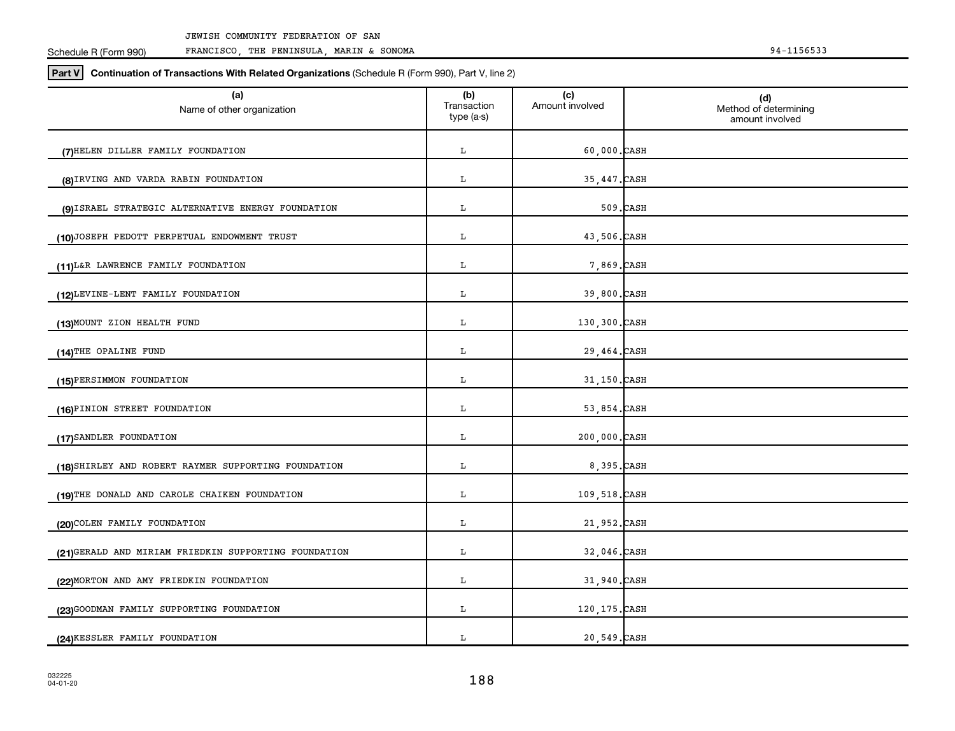| (a)<br>Name of other organization                    | (b)<br>Transaction | (c)<br>Amount involved | (d)<br>Method of determining |
|------------------------------------------------------|--------------------|------------------------|------------------------------|
|                                                      | type (a-s)         |                        | amount involved              |
| (7) HELEN DILLER FAMILY FOUNDATION                   | L                  | $60,000.$ CASH         |                              |
| (8) IRVING AND VARDA RABIN FOUNDATION                | L                  | 35,447. CASH           |                              |
| (9) ISRAEL STRATEGIC ALTERNATIVE ENERGY FOUNDATION   | L                  |                        | 509.CASH                     |
| (10)JOSEPH PEDOTT PERPETUAL ENDOWMENT TRUST          | L                  | 43,506.CASH            |                              |
| (11) L&R LAWRENCE FAMILY FOUNDATION                  | L                  | 7,869. CASH            |                              |
| (12) LEVINE-LENT FAMILY FOUNDATION                   | L                  | 39,800.CASH            |                              |
| (13) MOUNT ZION HEALTH FUND                          | L                  | 130,300.CASH           |                              |
| (14)THE OPALINE FUND                                 | L                  | 29,464.CASH            |                              |
| (15)PERSIMMON FOUNDATION                             | г                  | 31,150.CASH            |                              |
| (16) PINION STREET FOUNDATION                        | L                  | 53,854.CASH            |                              |
| (17) SANDLER FOUNDATION                              | L                  | 200,000.CASH           |                              |
| (18) SHIRLEY AND ROBERT RAYMER SUPPORTING FOUNDATION | L                  | 8,395.CASH             |                              |
| (19)THE DONALD AND CAROLE CHAIKEN FOUNDATION         | L                  | 109,518.CASH           |                              |
| (20) COLEN FAMILY FOUNDATION                         | L                  | 21,952.CASH            |                              |
| (21)GERALD AND MIRIAM FRIEDKIN SUPPORTING FOUNDATION | L                  | 32,046.CASH            |                              |
| (22) MORTON AND AMY FRIEDKIN FOUNDATION              | L                  | 31,940.CASH            |                              |
| (23) GOODMAN FAMILY SUPPORTING FOUNDATION            | L                  | 120, 175. CASH         |                              |
| (24) KESSLER FAMILY FOUNDATION                       | L                  | 20,549.CASH            |                              |

**Part V Continuation of Transactions With Related Organizations**  (Schedule R (Form 990), Part V, line 2)

JEWISH COMMUNITY FEDERATION OF SAN

Schedule R (Form 990)

FRANCISCO, THE PENINSULA, MARIN & SONOMA 94-1156533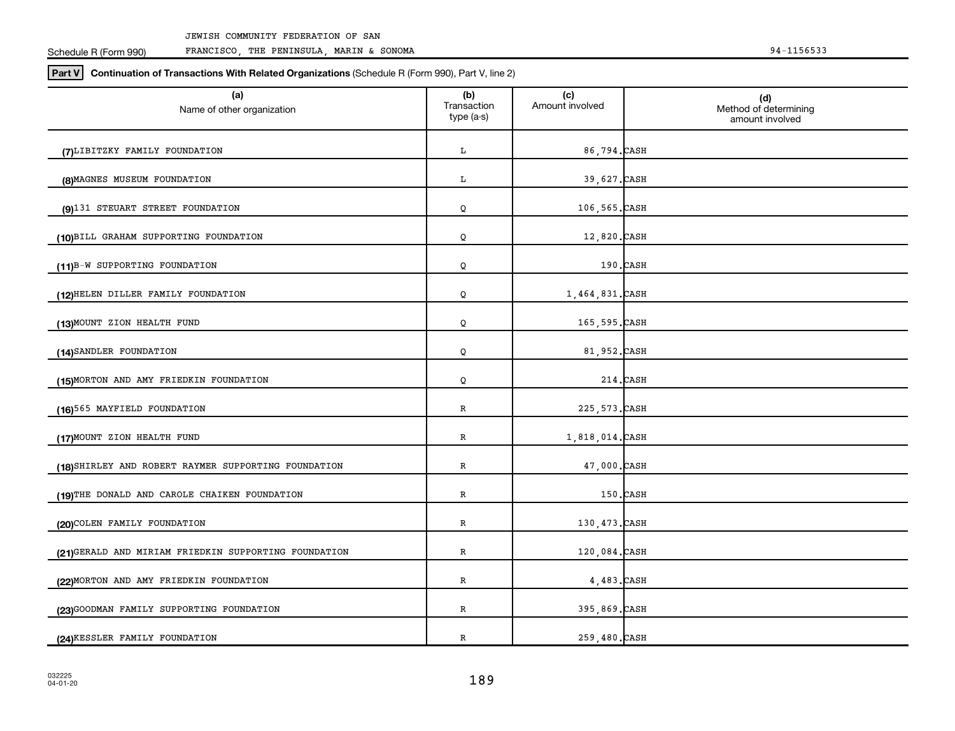| (a)<br>Name of other organization                    | (b)<br>Transaction<br>type (a-s) | (c)<br>Amount involved | (d)<br>Method of determining<br>amount involved |
|------------------------------------------------------|----------------------------------|------------------------|-------------------------------------------------|
| (7) LIBITZKY FAMILY FOUNDATION                       | L                                | 86,794.CASH            |                                                 |
| (8) MAGNES MUSEUM FOUNDATION                         | L                                | 39,627.CASH            |                                                 |
| (9)131 STEUART STREET FOUNDATION                     | Q                                | 106,565.CASH           |                                                 |
| (10)BILL GRAHAM SUPPORTING FOUNDATION                | Q                                | 12,820.CASH            |                                                 |
| (11)B-W SUPPORTING FOUNDATION                        | Q                                |                        | $190$ . CASH                                    |
| (12) HELEN DILLER FAMILY FOUNDATION                  | Q                                | 1,464,831.CASH         |                                                 |
| (13) MOUNT ZION HEALTH FUND                          | Q                                | 165,595.CASH           |                                                 |
| (14) SANDLER FOUNDATION                              | Q                                | 81,952.CASH            |                                                 |
| (15) MORTON AND AMY FRIEDKIN FOUNDATION              | Q                                |                        | 214.CASH                                        |
| (16)565 MAYFIELD FOUNDATION                          | R                                | 225, 573. CASH         |                                                 |
| (17) MOUNT ZION HEALTH FUND                          | $\, {\bf R}$                     | 1,818,014.CASH         |                                                 |
| (18) SHIRLEY AND ROBERT RAYMER SUPPORTING FOUNDATION | R                                | 47,000.CASH            |                                                 |
| (19)THE DONALD AND CAROLE CHAIKEN FOUNDATION         | $\, {\bf R}$                     |                        | $150$ . CASH                                    |
| (20) COLEN FAMILY FOUNDATION                         | R                                | 130,473.CASH           |                                                 |
| (21)GERALD AND MIRIAM FRIEDKIN SUPPORTING FOUNDATION | R                                | 120,084.CASH           |                                                 |
| (22) MORTON AND AMY FRIEDKIN FOUNDATION              | R                                | $4,483$ . CASH         |                                                 |
| (23) GOODMAN FAMILY SUPPORTING FOUNDATION            | $\, {\bf R}$                     | 395,869.CASH           |                                                 |
| (24) KESSLER FAMILY FOUNDATION                       | R                                | 259,480.CASH           |                                                 |

**Part V Continuation of Transactions With Related Organizations**  (Schedule R (Form 990), Part V, line 2)

Schedule R (Form 990)

FRANCISCO, THE PENINSULA, MARIN & SONOMA 94-1156533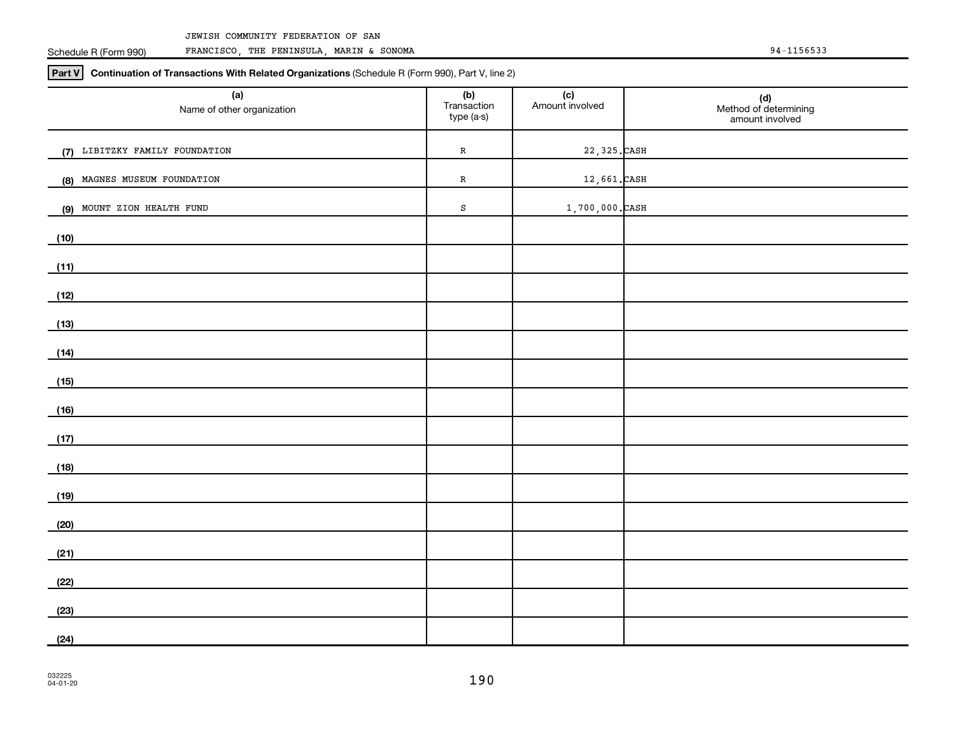#### JEWISH COMMUNITY FEDERATION OF SAN

Schedule R (Form 990)

FRANCISCO, THE PENINSULA, MARIN & SONOMA 94-1156533

**Part V Continuation of Transactions With Related Organizations**  (Schedule R (Form 990), Part V, line 2)

| (a)<br>Name of other organization | (b)<br>Transaction<br>type (a-s) | (c)<br>Amount involved | (d)<br>Method of determining<br>amount involved |
|-----------------------------------|----------------------------------|------------------------|-------------------------------------------------|
| (7) LIBITZKY FAMILY FOUNDATION    | ${\bf R}$                        | 22, 325. CASH          |                                                 |
| (8) MAGNES MUSEUM FOUNDATION      | ${\bf R}$                        | 12,661.CASH            |                                                 |
| MOUNT ZION HEALTH FUND<br>(9)     | $\mathtt{s}$                     | $1,700,000$ . CASH     |                                                 |
| (10)                              |                                  |                        |                                                 |
| (11)                              |                                  |                        |                                                 |
| (12)                              |                                  |                        |                                                 |
| (13)                              |                                  |                        |                                                 |
| (14)                              |                                  |                        |                                                 |
| (15)                              |                                  |                        |                                                 |
| (16)                              |                                  |                        |                                                 |
| (17)                              |                                  |                        |                                                 |
| (18)                              |                                  |                        |                                                 |
| (19)                              |                                  |                        |                                                 |
| (20)                              |                                  |                        |                                                 |
| (21)                              |                                  |                        |                                                 |
| (22)                              |                                  |                        |                                                 |
| (23)                              |                                  |                        |                                                 |
| (24)                              |                                  |                        |                                                 |